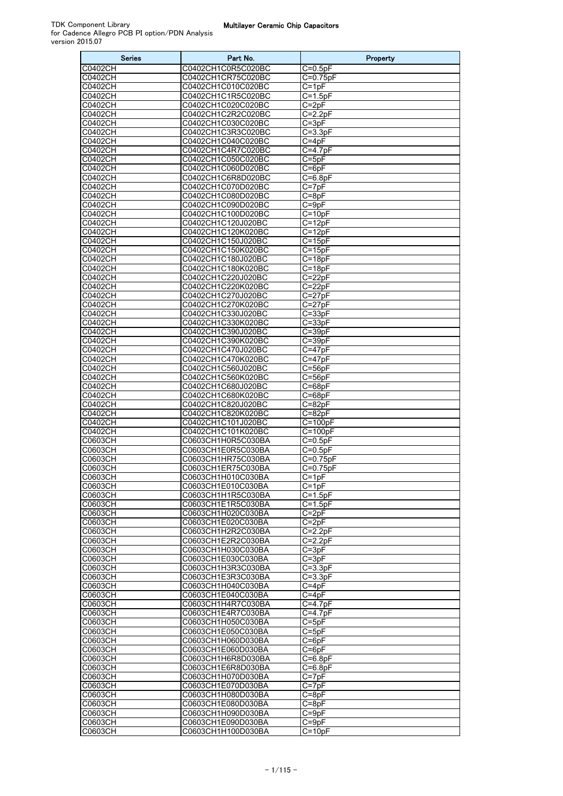| <b>Series</b>             | Part No.                                 | Property                 |
|---------------------------|------------------------------------------|--------------------------|
| C0402CH                   | C0402CH1C0R5C020BC                       | $C = 0.5pF$              |
| C0402CH                   | C0402CH1CR75C020BC                       | C=0.75pF                 |
| C0402CH                   | C0402CH1C010C020BC                       | $C = 1pF$                |
| C0402CH                   | C0402CH1C1R5C020BC                       | $C = 1.5pF$              |
| C0402CH                   | C0402CH1C020C020BC                       | $C = 2pF$                |
| C0402CH<br>C0402CH        | C0402CH1C2R2C020BC<br>C0402CH1C030C020BC | $C = 2.2pF$<br>$C = 3pF$ |
| C0402CH                   | C0402CH1C3R3C020BC                       | $C = 3.3pF$              |
| C0402CH                   | C0402CH1C040C020BC                       | $C = 4pF$                |
| C0402CH                   | C0402CH1C4R7C020BC                       | $C = 4.7pF$              |
| C0402CH                   | C0402CH1C050C020BC                       | $C = 5pF$                |
| C0402CH                   | C0402CH1C060D020BC                       | $C = 6pF$                |
| C0402CH                   | C0402CH1C6R8D020BC                       | $C = 6.8pF$              |
| C0402CH                   | C0402CH1C070D020BC                       | $C = 7pF$                |
| C0402CH                   | C0402CH1C080D020BC                       | $C = 8pF$                |
| C0402CH                   | C0402CH1C090D020BC                       | $C = 9pF$                |
| C0402CH                   | C0402CH1C100D020BC                       | $C = 10pF$               |
| C0402CH<br>C0402CH        | C0402CH1C120J020BC<br>C0402CH1C120K020BC | $C = 12pF$<br>$C = 12pF$ |
| C0402CH                   | C0402CH1C150J020BC                       | $C = 15pF$               |
| C0402CH                   | C0402CH1C150K020BC                       | $C = 15pF$               |
| C0402CH                   | C0402CH1C180J020BC                       | $C = 18pF$               |
| C0402CH                   | C0402CH1C180K020BC                       | $C = 18pF$               |
| C0402CH                   | C0402CH1C220J020BC                       | $C = 22pF$               |
| C0402CH                   | C0402CH1C220K020BC                       | $C = 22pF$               |
| C0402CH                   | C0402CH1C270J020BC                       | C=27pF                   |
| C0402CH                   | C0402CH1C270K020BC                       | $C=27pF$                 |
| C0402CH                   | C0402CH1C330J020BC                       | $C = 33pF$               |
| C0402CH<br>C0402CH        | C0402CH1C330K020BC<br>C0402CH1C390J020BC | $C = 33pF$<br>$C = 39pF$ |
| C0402CH                   | C0402CH1C390K020BC                       | $C = 39pF$               |
| C0402CH                   | C0402CH1C470J020BC                       | $C = 47pF$               |
| C0402CH                   | C0402CH1C470K020BC                       | C=47pF                   |
| C0402CH                   | C0402CH1C560J020BC                       | $C = 56pF$               |
| C0402CH                   | C0402CH1C560K020BC                       | $C = 56pF$               |
| C0402CH                   | C0402CH1C680J020BC                       | C=68pF                   |
| C0402CH                   | C0402CH1C680K020BC                       | $C = 68pF$               |
| C0402CH<br>C0402CH        | C0402CH1C820J020BC<br>C0402CH1C820K020BC | C=82pF<br>$C = 82pF$     |
| C0402CH                   | C0402CH1C101J020BC                       | $C = 100pF$              |
| C0402CH                   | C0402CH1C101K020BC                       | $C = 100pF$              |
| C0603CH                   | C0603CH1H0R5C030BA                       | $\overline{C=0.5}$ pF    |
| C0603CH                   | C0603CH1E0R5C030BA                       | C=0.5pF                  |
| C0603CH                   | C0603CH1HR75C030BA                       | $C=0.75pF$               |
| C0603CH                   | C0603CH1ER75C030BA                       | $C=0.75pF$               |
| <b>C0603CH</b><br>C0603CH | C0603CH1H010C030BA                       | $C=1pF$<br>$C = 1pF$     |
| C0603CH                   | C0603CH1E010C030BA<br>C0603CH1H1R5C030BA | $C = 1.5pF$              |
| C0603CH                   | C0603CH1E1R5C030BA                       | $C=1.5pF$                |
| C0603CH                   | C0603CH1H020C030BA                       | $C = 2pF$                |
| C0603CH                   | C0603CH1E020C030BA                       | $C = 2pF$                |
| C0603CH                   | C0603CH1H2R2C030BA                       | $\overline{C=2}.2pF$     |
| C0603CH                   | C0603CH1E2R2C030BA                       | C=2.2pF                  |
| C0603CH                   | C0603CH1H030C030BA                       | $C = 3pF$                |
| C0603CH                   | C0603CH1E030C030BA                       | $C = 3pF$                |
| <b>C0603CH</b>            | C0603CH1H3R3C030BA                       | $C = 3.3pF$              |
| C0603CH<br>C0603CH        | C0603CH1E3R3C030BA<br>C0603CH1H040C030BA | $C = 3.3pF$<br>$C = 4pF$ |
| C0603CH                   | C0603CH1E040C030BA                       | $C = 4pF$                |
| C0603CH                   | C0603CH1H4R7C030BA                       | $C = 4.7pF$              |
| C0603CH                   | C0603CH1E4R7C030BA                       | $C=4.7pF$                |
| C0603CH                   | C0603CH1H050C030BA                       | C=5pF                    |
| C0603CH                   | C0603CH1E050C030BA                       | $C = 5pF$                |
| C0603CH                   | C0603CH1H060D030BA                       | $C = 6pF$                |
| C0603CH                   | C0603CH1E060D030BA                       | $\overline{C}$ =6pF      |
| C0603CH<br>C0603CH        | C0603CH1H6R8D030BA<br>C0603CH1E6R8D030BA | $C = 6.8pF$<br>C=6.8pF   |
| C0603CH                   | C0603CH1H070D030BA                       | $C = 7pF$                |
| C0603CH                   | C0603CH1E070D030BA                       | $C = 7pF$                |
| C0603CH                   | C0603CH1H080D030BA                       | $C = 8pF$                |
| C0603CH                   | C0603CH1E080D030BA                       | $C = 8pF$                |
| C0603CH                   | C0603CH1H090D030BA                       | C=9pF                    |
| C0603CH                   | C0603CH1E090D030BA                       | $C = 9pF$                |
| C0603CH                   | C0603CH1H100D030BA                       | $C = 10pF$               |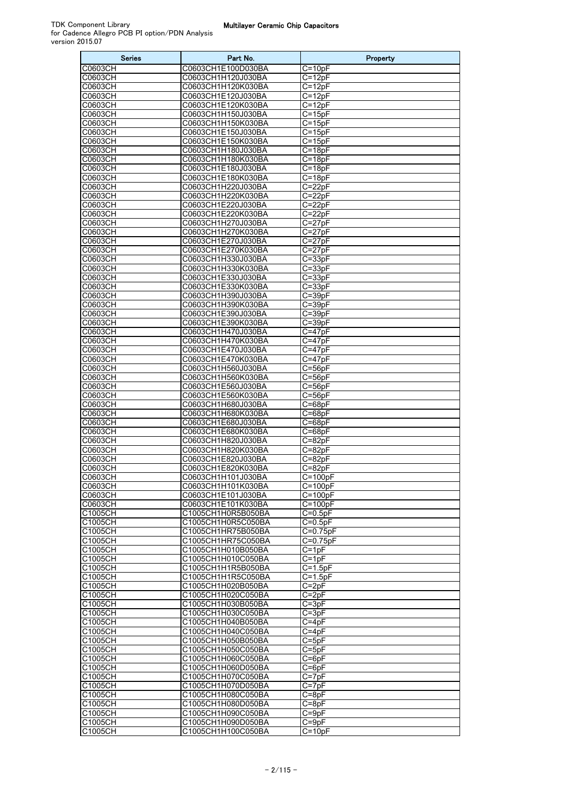| Series             | Part No.                                 | Property                   |
|--------------------|------------------------------------------|----------------------------|
| C0603CH            | C0603CH1E100D030BA                       | $C=10pF$                   |
| C0603CH            | C0603CH1H120J030BA                       | $C = 12pF$                 |
| C0603CH            | C0603CH1H120K030BA                       | C=12pF                     |
| C0603CH            | C0603CH1E120J030BA<br>C0603CH1E120K030BA | $C=12pF$                   |
| C0603CH<br>C0603CH | C0603CH1H150J030BA                       | $C = 12pF$<br>$C = 15pF$   |
| C0603CH            | C0603CH1H150K030BA                       | C=15pF                     |
| C0603CH            | C0603CH1E150J030BA                       | $C = 15pF$                 |
| C0603CH            | C0603CH1E150K030BA                       | $C=15pF$                   |
| C0603CH            | C0603CH1H180J030BA                       | $C = 18pF$                 |
| C0603CH            | C0603CH1H180K030BA                       | $C = 18pF$                 |
| C0603CH            | C0603CH1E180J030BA                       | C=18pF                     |
| C0603CH            | C0603CH1E180K030BA                       | $C = 18pF$                 |
| C0603CH<br>C0603CH | C0603CH1H220J030BA<br>C0603CH1H220K030BA | $C = 22pF$<br>$C = 22pF$   |
| C0603CH            | C0603CH1E220J030BA                       | C=22pF                     |
| C0603CH            | C0603CH1E220K030BA                       | $C = 22pF$                 |
| C0603CH            | C0603CH1H270J030BA                       | $C = 27pF$                 |
| C0603CH            | C0603CH1H270K030BA                       | $C=27pF$                   |
| C0603CH            | C0603CH1E270J030BA                       | $C = 27pF$                 |
| C0603CH            | C0603CH1E270K030BA                       | C=27pF                     |
| <b>C0603CH</b>     | C0603CH1H330J030BA                       | $C = 33pF$                 |
| C0603CH            | C0603CH1H330K030BA<br>C0603CH1E330J030BA | $C = 33pF$                 |
| C0603CH<br>C0603CH | C0603CH1E330K030BA                       | $C = 33pF$<br>$C = 33pF$   |
| C0603CH            | C0603CH1H390J030BA                       | $C = 39pF$                 |
| <b>C0603CH</b>     | C0603CH1H390K030BA                       | $C = 39pF$                 |
| C0603CH            | C0603CH1E390J030BA                       | $C = 39pF$                 |
| C0603CH            | C0603CH1E390K030BA                       | $C = 39pF$                 |
| C0603CH            | C0603CH1H470J030BA                       | $C = 47pF$                 |
| C0603CH            | C0603CH1H470K030BA                       | C=47pF                     |
| <b>C0603CH</b>     | C0603CH1E470J030BA                       | $C = 47pF$                 |
| C0603CH<br>C0603CH | C0603CH1E470K030BA<br>C0603CH1H560J030BA | $C = 47pF$<br>$C = 56pF$   |
| C0603CH            | C0603CH1H560K030BA                       | $C = 56pF$                 |
| C0603CH            | C0603CH1E560J030BA                       | $C = 56pF$                 |
| <b>C0603CH</b>     | C0603CH1E560K030BA                       | $C = 56pF$                 |
| C0603CH            | C0603CH1H680J030BA                       | C=68pF                     |
| C0603CH            | C0603CH1H680K030BA                       | $C = 68pF$                 |
| C0603CH            | C0603CH1E680J030BA                       | $C = 68pF$                 |
| C0603CH<br>C0603CH | C0603CH1E680K030BA<br>C0603CH1H820J030BA | C=68pF<br>$C = 82pF$       |
| C0603CH            | C0603CH1H820K030BA                       | C=82pF                     |
| C0603CH            | C0603CH1E820J030BA                       | $C = 82pF$                 |
| C0603CH            | C0603CH1E820K030BA                       | C=82pF                     |
| C0603CH            | C0603CH1H101J030BA                       | $C = 100pF$                |
| C0603CH            | C0603CH1H101K030BA                       | $C=100pF$                  |
| C0603CH            | C0603CH1E101J030BA                       | $C=100pF$                  |
| C0603CH            | C0603CH1E101K030BA                       | $C = 100pF$                |
| C1005CH<br>C1005CH | C1005CH1H0R5B050BA<br>C1005CH1H0R5C050BA | $C = 0.5pF$<br>$C = 0.5pF$ |
| C1005CH            | C1005CH1HR75B050BA                       | C=0.75pF                   |
| C1005CH            | C1005CH1HR75C050BA                       | C=0.75pF                   |
| C1005CH            | C1005CH1H010B050BA                       | $C = 1pF$                  |
| C1005CH            | C1005CH1H010C050BA                       | $C=1pF$                    |
| C1005CH            | C1005CH1H1R5B050BA                       | $C = 1.5pF$                |
| C1005CH            | C1005CH1H1R5C050BA                       | $C=1.5pF$                  |
| C1005CH            | C1005CH1H020B050BA                       | $C = 2pF$                  |
| C1005CH<br>C1005CH | C1005CH1H020C050BA<br>C1005CH1H030B050BA | $C = 2pF$<br>$C = 3pF$     |
| C1005CH            | C1005CH1H030C050BA                       | $C = 3pF$                  |
| C1005CH            | C1005CH1H040B050BA                       | $C = 4pF$                  |
| C1005CH            | C1005CH1H040C050BA                       | $C = 4pF$                  |
| C1005CH            | C1005CH1H050B050BA                       | $C = 5pF$                  |
| C1005CH            | C1005CH1H050C050BA                       | $C = 5pF$                  |
| C1005CH            | C1005CH1H060C050BA                       | $C = 6pF$                  |
| C1005CH<br>C1005CH | C1005CH1H060D050BA                       | $C = 6pF$                  |
| C1005CH            | C1005CH1H070C050BA<br>C1005CH1H070D050BA | C=7pF<br>$C = 7pF$         |
| C1005CH            | C1005CH1H080C050BA                       | $C = 8pF$                  |
| C1005CH            | C1005CH1H080D050BA                       | C=8pF                      |
| C1005CH            | C1005CH1H090C050BA                       | $C = 9pF$                  |
| C1005CH            | C1005CH1H090D050BA                       | $C = 9pF$                  |
| C1005CH            | C1005CH1H100C050BA                       | $C = 10pF$                 |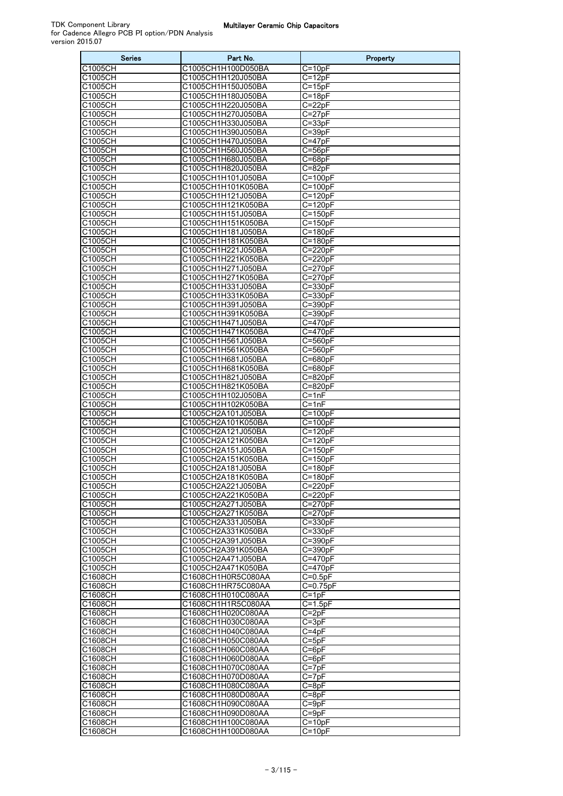| Series             | Part No.                                 | Property                   |
|--------------------|------------------------------------------|----------------------------|
| C1005CH            | C1005CH1H100D050BA                       | C=10pF                     |
| C1005CH            | C1005CH1H120J050BA                       | C=12pF                     |
| C1005CH            | C1005CH1H150J050BA                       | $C = 15pF$                 |
| C1005CH<br>C1005CH | C1005CH1H180J050BA<br>C1005CH1H220J050BA | $C = 18pF$<br>$C = 22pF$   |
| C1005CH            | C1005CH1H270J050BA                       | $C = 27pF$                 |
| C1005CH            | C1005CH1H330J050BA                       | $C = 33pF$                 |
| C1005CH            | C1005CH1H390J050BA                       | $C = 39pF$                 |
| C1005CH            | C1005CH1H470J050BA                       | $C = 47pF$                 |
| C1005CH            | C1005CH1H560J050BA                       | $C = 56pF$                 |
| C1005CH            | C1005CH1H680J050BA                       | $C = 68pF$                 |
| C1005CH<br>C1005CH | C1005CH1H820J050BA<br>C1005CH1H101J050BA | $C = 82pF$<br>$C = 100pF$  |
| C1005CH            | C1005CH1H101K050BA                       | $C = 100pF$                |
| C1005CH            | C1005CH1H121J050BA                       | $C = 120pF$                |
| C1005CH            | C1005CH1H121K050BA                       | $C = 120pF$                |
| C1005CH            | C1005CH1H151J050BA                       | $C = 150pF$                |
| C1005CH            | C1005CH1H151K050BA                       | $C = 150pF$                |
| C1005CH<br>C1005CH | C1005CH1H181J050BA<br>C1005CH1H181K050BA | $C = 180pF$<br>$C = 180pF$ |
| C1005CH            | C1005CH1H221J050BA                       | $C = 220pF$                |
| C1005CH            | C1005CH1H221K050BA                       | $C=220pF$                  |
| C1005CH            | C1005CH1H271J050BA                       | $C = 270pF$                |
| C1005CH            | C1005CH1H271K050BA                       | C=270pF                    |
| C1005CH            | C1005CH1H331J050BA                       | C=330pF                    |
| C1005CH            | C1005CH1H331K050BA                       | $C = 330pF$                |
| C1005CH<br>C1005CH | C1005CH1H391J050BA<br>C1005CH1H391K050BA | C=390pF<br>$C = 390pF$     |
| C1005CH            | C1005CH1H471J050BA                       | C=470pF                    |
| C1005CH            | C1005CH1H471K050BA                       | $C = 470pF$                |
| C1005CH            | C1005CH1H561J050BA                       | $C = 560pF$                |
| C1005CH            | C1005CH1H561K050BA                       | $C = 560pF$                |
| C1005CH            | C1005CH1H681J050BA                       | $C = 680pF$                |
| C1005CH<br>C1005CH | C1005CH1H681K050BA<br>C1005CH1H821J050BA | C=680pF                    |
| C1005CH            | C1005CH1H821K050BA                       | C=820pF<br>C=820pF         |
| C1005CH            | C1005CH1H102J050BA                       | C=1nF                      |
| C1005CH            | C1005CH1H102K050BA                       | C=1nF                      |
| C1005CH            | C1005CH2A101J050BA                       | $C = 100pF$                |
| C1005CH            | C1005CH2A101K050BA                       | $C = 100pF$                |
| C1005CH            | C1005CH2A121J050BA                       | $C = 120pF$                |
| C1005CH<br>C1005CH | C1005CH2A121K050BA<br>C1005CH2A151J050BA | $C = 120pF$<br>$C = 150pF$ |
| C1005CH            | C1005CH2A151K050BA                       | $C = 150pF$                |
| C1005CH            | C1005CH2A181J050BA                       | $C=180pF$                  |
| C1005CH            | C1005CH2A181K050BA                       | $C = 180pF$                |
| C1005CH            | C1005CH2A221J050BA                       | $C=220pF$                  |
| C1005CH            | C1005CH2A221K050BA                       | $C = 220pF$                |
| C1005CH<br>C1005CH | C1005CH2A271J050BA<br>C1005CH2A271K050BA | $C = 270pF$<br>$C = 270pF$ |
| C1005CH            | C1005CH2A331J050BA                       | $C = 330pF$                |
| C1005CH            | C1005CH2A331K050BA                       | $C = 330pF$                |
| C1005CH            | C1005CH2A391J050BA                       | $C = 390pF$                |
| C1005CH            | C1005CH2A391K050BA                       | $C = 390pF$                |
| C1005CH            | C1005CH2A471J050BA                       | $C = 470pF$                |
| C1005CH<br>C1608CH | C1005CH2A471K050BA                       | $C = 470pF$                |
| C1608CH            | C1608CH1H0R5C080AA<br>C1608CH1HR75C080AA | $C = 0.5pF$<br>C=0.75pF    |
| C1608CH            | C1608CH1H010C080AA                       | $C = 1pF$                  |
| C1608CH            | C1608CH1H1R5C080AA                       | $C=1.5pF$                  |
| C1608CH            | C1608CH1H020C080AA                       | $C = 2pF$                  |
| C1608CH            | C1608CH1H030C080AA                       | $C = 3pF$                  |
| C1608CH            | C1608CH1H040C080AA                       | $C = 4pF$                  |
| C1608CH<br>C1608CH | C1608CH1H050C080AA<br>C1608CH1H060C080AA | $C = 5pF$<br>$C = 6pF$     |
| C1608CH            | C1608CH1H060D080AA                       | $C = 6pF$                  |
| C1608CH            | C1608CH1H070C080AA                       | $C=7pF$                    |
| C1608CH            | C1608CH1H070D080AA                       | $C = 7pF$                  |
| C1608CH            | C1608CH1H080C080AA                       | $C = 8pF$                  |
| C1608CH            | C1608CH1H080D080AA                       | $C = 8pF$                  |
| C1608CH<br>C1608CH | C1608CH1H090C080AA<br>C1608CH1H090D080AA | $C = 9pF$<br>$C = 9pF$     |
| C1608CH            | C1608CH1H100C080AA                       | $C = 10pF$                 |
| C1608CH            | C1608CH1H100D080AA                       | $C = 10pF$                 |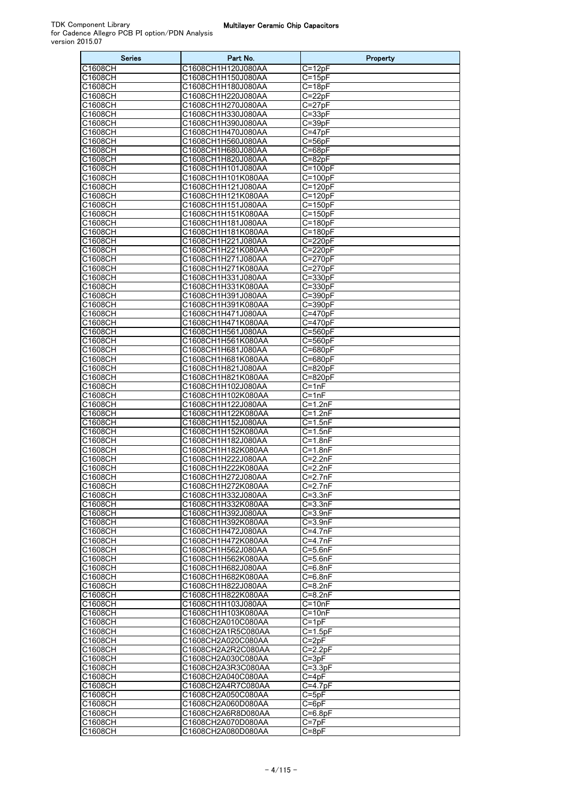| <b>Series</b>        | Part No.                                 | Property                             |
|----------------------|------------------------------------------|--------------------------------------|
| C1608CH              | C1608CH1H120J080AA                       | $C = 12pF$                           |
| C1608CH              | C1608CH1H150J080AA                       | $C = 15pF$                           |
| C1608CH              | C1608CH1H180J080AA                       | $C = 18pF$                           |
| C1608CH<br>C1608CH   | C1608CH1H220J080AA                       | $C = 22pF$                           |
| C1608CH              | C1608CH1H270J080AA<br>C1608CH1H330J080AA | $C = 27pF$<br>$C = 33pF$             |
| C1608CH              | C1608CH1H390J080AA                       | $C = 39pF$                           |
| C1608CH              | C1608CH1H470J080AA                       | C=47pF                               |
| C1608CH              | C1608CH1H560J080AA                       | $C = 56pF$                           |
| C1608CH              | C1608CH1H680J080AA                       | C=68pF                               |
| C1608CH              | C1608CH1H820J080AA                       | $C = 82pF$                           |
| C1608CH              | C1608CH1H101J080AA                       | $C = 100pF$                          |
| C1608CH              | C1608CH1H101K080AA                       | $C = 100pF$                          |
| C1608CH<br>C1608CH   | C1608CH1H121J080AA<br>C1608CH1H121K080AA | $C = 120pF$<br>$C = 120pF$           |
| C1608CH              | C1608CH1H151J080AA                       | $C = 150pF$                          |
| C1608CH              | C1608CH1H151K080AA                       | $C = 150pF$                          |
| C1608CH              | C1608CH1H181J080AA                       | $C = 180pF$                          |
| C1608CH              | C1608CH1H181K080AA                       | C=180pF                              |
| C1608CH              | C1608CH1H221J080AA                       | $C = 220pF$                          |
| C1608CH              | C1608CH1H221K080AA                       | $C = 220pF$                          |
| C1608CH              | C1608CH1H271J080AA                       | $C = 270pF$                          |
| C1608CH              | C1608CH1H271K080AA                       | $C = 270pF$                          |
| C1608CH<br>C1608CH   | C1608CH1H331J080AA<br>C1608CH1H331K080AA | C=330pF<br>$C = 330pF$               |
| C1608CH              | C1608CH1H391J080AA                       | C=390pF                              |
| C1608CH              | C1608CH1H391K080AA                       | C=390pF                              |
| C1608CH              | C1608CH1H471J080AA                       | $C = 470pF$                          |
| C1608CH              | C1608CH1H471K080AA                       | C=470pF                              |
| C1608CH              | C1608CH1H561J080AA                       | $C = 560pF$                          |
| C1608CH              | C1608CH1H561K080AA                       | $C = 560pF$                          |
| C1608CH              | C1608CH1H681J080AA                       | C=680pF                              |
| C1608CH              | C1608CH1H681K080AA                       | $C = 680pF$                          |
| C1608CH<br>C1608CH   | C1608CH1H821J080AA<br>C1608CH1H821K080AA | C=820pF<br>$C = 820pF$               |
| C1608CH              | C1608CH1H102J080AA                       | $C = 1nF$                            |
| C1608CH              | C1608CH1H102K080AA                       | $C=1nF$                              |
| C1608CH              | C1608CH1H122J080AA                       | $C = 1.2nF$                          |
| C1608CH              | C1608CH1H122K080AA                       | $C = 1.2nF$                          |
| C1608CH              | C1608CH1H152J080AA                       | $C=1.5nF$                            |
| C1608CH              | C1608CH1H152K080AA                       | $C = 1.5nF$                          |
| C1608CH              | C1608CH1H182J080AA                       | $C=1.8nF$                            |
| C1608CH              | C1608CH1H182K080AA<br>C1608CH1H222J080AA | $C = 1.8nF$<br>$\overline{C}$ =2.2nF |
| C1608CH<br>C1608CH   | C1608CH1H222K080AA                       | $C = 2.2nF$                          |
| C1608CH              | C1608CH1H272J080AA                       | $C = 2.7nF$                          |
| $\overline{C160}8CH$ | C1608CH1H272K080AA                       | $C=2.7nF$                            |
| C1608CH              | C1608CH1H332J080AA                       | $C = 3.3nF$                          |
| C1608CH              | C1608CH1H332K080AA                       | $C = 3.3nF$                          |
| C1608CH              | C1608CH1H392J080AA                       | $C = 3.9nF$                          |
| C1608CH              | C1608CH1H392K080AA                       | C=3.9nF                              |
| C1608CH              | C1608CH1H472J080AA                       | C=4.7nF                              |
| C1608CH<br>C1608CH   | C1608CH1H472K080AA<br>C1608CH1H562J080AA | C=4.7nF<br>$C = 5.6nF$               |
| C1608CH              | C1608CH1H562K080AA                       | $C = 5.6nF$                          |
| C1608CH              | C1608CH1H682J080AA                       | C=6.8nF                              |
| C1608CH              | C1608CH1H682K080AA                       | C=6.8nF                              |
| C1608CH              | C1608CH1H822J080AA                       | C=8.2nF                              |
| C1608CH              | C1608CH1H822K080AA                       | $C = 8.2nF$                          |
| C1608CH              | C1608CH1H103J080AA                       | $C = 10nF$                           |
| C1608CH              | C1608CH1H103K080AA                       | $C = 10nF$                           |
| C1608CH<br>C1608CH   | C1608CH2A010C080AA<br>C1608CH2A1R5C080AA | $C = 1pF$                            |
| C1608CH              | C1608CH2A020C080AA                       | C=1.5pF<br>$C = 2pF$                 |
| C1608CH              | C1608CH2A2R2C080AA                       | $C = 2.2pF$                          |
| C1608CH              | C1608CH2A030C080AA                       | $C = 3pF$                            |
| C1608CH              | C1608CH2A3R3C080AA                       | $\overline{C}$ =3.3pF                |
| C1608CH              | C1608CH2A040C080AA                       | $C = 4pF$                            |
| C1608CH              | C1608CH2A4R7C080AA                       | $C = 4.7pF$                          |
| C1608CH              | C1608CH2A050C080AA                       | $C = 5pF$                            |
| C1608CH              | C1608CH2A060D080AA                       | $C = 6pF$                            |
| C1608CH              | C1608CH2A6R8D080AA                       | $C = 6.8pF$                          |
| C1608CH<br>C1608CH   | C1608CH2A070D080AA<br>C1608CH2A080D080AA | $C = 7pF$<br>$C = 8pF$               |
|                      |                                          |                                      |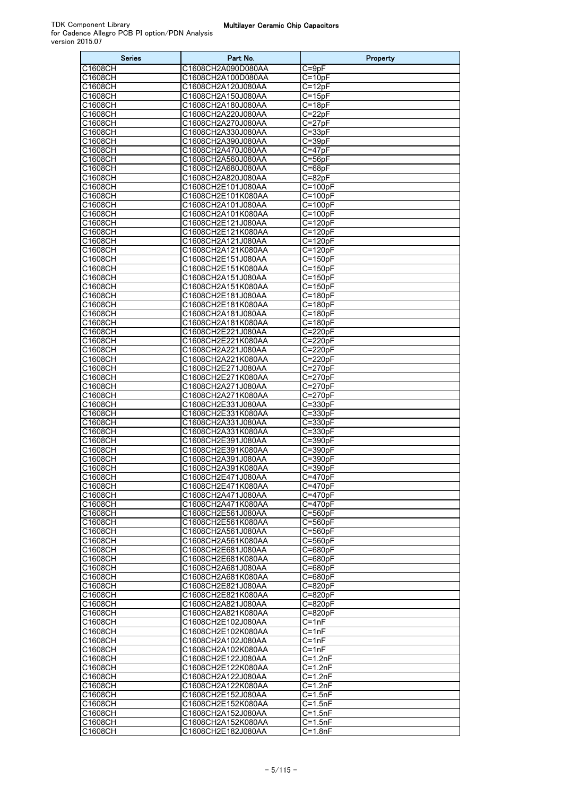| <b>Series</b>        | Part No.                                 | Property                             |
|----------------------|------------------------------------------|--------------------------------------|
| C1608CH              | C1608CH2A090D080AA                       | $C = 9pF$                            |
| C1608CH              | C1608CH2A100D080AA                       | $C = 10pF$                           |
| C1608CH              | C1608CH2A120J080AA                       | $C = 12pF$                           |
| C1608CH<br>C1608CH   | C1608CH2A150J080AA<br>C1608CH2A180J080AA | $C = 15pF$<br>$C = 18pF$             |
| C1608CH              | C1608CH2A220J080AA                       | $C = 22pF$                           |
| C1608CH              | C1608CH2A270J080AA                       | $C = 27pF$                           |
| C1608CH              | C1608CH2A330J080AA                       | $C = 33pF$                           |
| C1608CH              | C1608CH2A390J080AA                       | $C = 39pF$                           |
| C1608CH              | C1608CH2A470J080AA                       | $C = 47pF$                           |
| C1608CH              | C1608CH2A560J080AA                       | C=56pF                               |
| C1608CH              | C1608CH2A680J080AA                       | $C = 68pF$                           |
| C1608CH<br>C1608CH   | C1608CH2A820J080AA<br>C1608CH2E101J080AA | C=82pF<br>$C = 100pF$                |
| C1608CH              | C1608CH2E101K080AA                       | $C=100pF$                            |
| C1608CH              | C1608CH2A101J080AA                       | $C = 100pF$                          |
| C1608CH              | C1608CH2A101K080AA                       | $C = 100pF$                          |
| C1608CH              | C1608CH2E121J080AA                       | $C = 120pF$                          |
| C1608CH              | C1608CH2E121K080AA                       | $C = 120pF$                          |
| C1608CH              | C1608CH2A121J080AA                       | $C = 120pF$                          |
| C1608CH              | C1608CH2A121K080AA                       | $C=120pF$                            |
| C1608CH<br>C1608CH   | C1608CH2E151J080AA                       | $C=150pF$                            |
| C1608CH              | C1608CH2E151K080AA<br>C1608CH2A151J080AA | $C = 150pF$<br>$C = 150pF$           |
| C1608CH              | C1608CH2A151K080AA                       | $C = 150pF$                          |
| C1608CH              | C1608CH2E181J080AA                       | $C = 180pF$                          |
| C1608CH              | C1608CH2E181K080AA                       | C=180pF                              |
| C1608CH              | C1608CH2A181J080AA                       | $C = 180pF$                          |
| C1608CH              | C1608CH2A181K080AA                       | C=180pF                              |
| C1608CH              | C1608CH2E221J080AA                       | $C = 220pF$                          |
| C1608CH              | C1608CH2E221K080AA                       | $C = 220pF$                          |
| C1608CH<br>C1608CH   | C1608CH2A221J080AA<br>C1608CH2A221K080AA | C=220pF<br>$C = 220pF$               |
| C1608CH              | C1608CH2E271J080AA                       | $C = 270pF$                          |
| C1608CH              | C1608CH2E271K080AA                       | $C = 270pF$                          |
| C1608CH              | C1608CH2A271J080AA                       | C=270pF                              |
| C1608CH              | C1608CH2A271K080AA                       | C=270pF                              |
| C1608CH              | C1608CH2E331J080AA                       | $C = 330pF$                          |
| C1608CH              | C1608CH2E331K080AA                       | C=330pF                              |
| C1608CH              | C1608CH2A331J080AA                       | $C = 330pF$                          |
| C1608CH<br>C1608CH   | C1608CH2A331K080AA<br>C1608CH2E391J080AA | C=330pF<br>C=390pF                   |
| C1608CH              | C1608CH2E391K080AA                       | $C = 390pF$                          |
| C1608CH              | C1608CH2A391J080AA                       | C=390pF                              |
| C1608CH              | C1608CH2A391K080AA                       | C=390pF                              |
| <b>C1608CH</b>       | C1608CH2E471J080AA                       | $C = 470pF$                          |
| C <sub>160</sub> 8CH | C1608CH2E471K080AA                       | $C=470pF$                            |
| C1608CH              | C1608CH2A471J080AA                       | $C = 470pF$                          |
| C1608CH              | C1608CH2A471K080AA                       | $C = 470pF$                          |
| C1608CH              | C1608CH2E561J080AA                       | $C = 560pF$                          |
| C1608CH<br>C1608CH   | C1608CH2E561K080AA<br>C1608CH2A561J080AA | C=560pF<br>$C = 560pF$               |
| C1608CH              | C1608CH2A561K080AA                       | $C = 560pF$                          |
| C1608CH              | C1608CH2E681J080AA                       | $\overline{C}$ =680pF                |
| C1608CH              | C1608CH2E681K080AA                       | C=680pF                              |
| C1608CH              | C1608CH2A681J080AA                       | C=680pF                              |
| C1608CH              | C1608CH2A681K080AA                       | C=680pF                              |
| C1608CH              | C1608CH2E821J080AA                       | $C = 820pF$                          |
| C1608CH<br>C1608CH   | C1608CH2E821K080AA<br>C1608CH2A821J080AA | $\overline{C}$ =820pF<br>C=820pF     |
| C1608CH              | C1608CH2A821K080AA                       | C=820pF                              |
| C1608CH              | C1608CH2E102J080AA                       | $C = 1nF$                            |
| C1608CH              | C1608CH2E102K080AA                       | $C = 1nF$                            |
| C1608CH              | C1608CH2A102J080AA                       | $C = 1nF$                            |
| C1608CH              | C1608CH2A102K080AA                       | $C=1nF$                              |
| C1608CH              | C1608CH2E122J080AA                       | $C = 1.2nF$                          |
| C1608CH              | C1608CH2E122K080AA                       | $\overline{C=1}.2nF$                 |
| C1608CH<br>C1608CH   | C1608CH2A122J080AA<br>C1608CH2A122K080AA | $C = 1.2nF$<br>$\overline{C}$ =1.2nF |
| C1608CH              | C1608CH2E152J080AA                       | $C = 1.5nF$                          |
| C1608CH              | C1608CH2E152K080AA                       | $C = 1.5nF$                          |
| C1608CH              | C1608CH2A152J080AA                       | $\overline{C=1}.5nF$                 |
| C1608CH              | C1608CH2A152K080AA                       | $C = 1.5nF$                          |
| C1608CH              | C1608CH2E182J080AA                       | $\overline{C}$ =1.8nF                |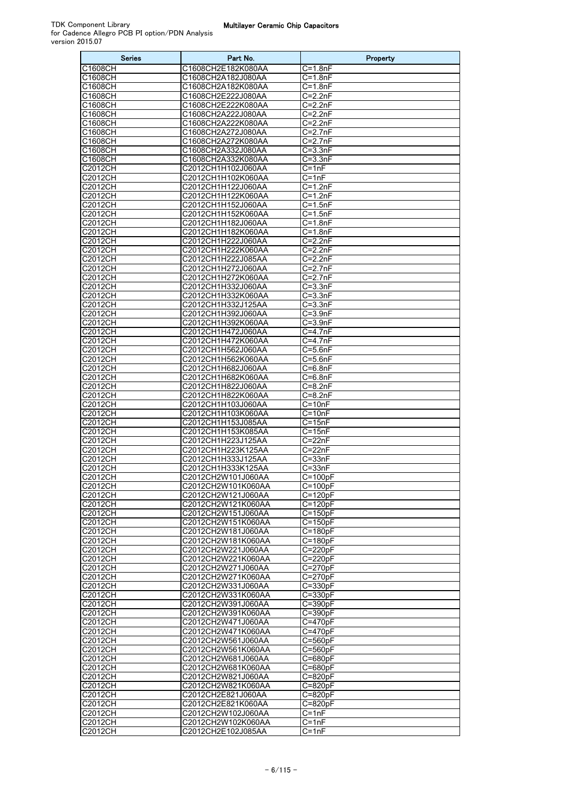| Series                    | Part No.                                 | Property                   |
|---------------------------|------------------------------------------|----------------------------|
| C1608CH                   | C1608CH2E182K080AA                       | C=1.8nF                    |
| C1608CH                   | C1608CH2A182J080AA                       | C=1.8nF                    |
| C1608CH                   | C1608CH2A182K080AA<br>C1608CH2E222J080AA | C=1.8nF<br>$C = 2.2nF$     |
| C1608CH<br>C1608CH        | C1608CH2E222K080AA                       | $C = 2.2nF$                |
| C1608CH                   | C1608CH2A222J080AA                       | $C = 2.2nF$                |
| C1608CH                   | C1608CH2A222K080AA                       | C=2.2nF                    |
| C1608CH                   | C1608CH2A272J080AA                       | $C = 2.7nF$                |
| C1608CH                   | C1608CH2A272K080AA                       | $C = 2.7nF$                |
| C1608CH                   | C1608CH2A332J080AA                       | $C = 3.3nF$                |
| C1608CH<br>C2012CH        | C1608CH2A332K080AA<br>C2012CH1H102J060AA | $C = 3.3nF$<br>C=1nF       |
| C2012CH                   | C2012CH1H102K060AA                       | C=1nF                      |
| C2012CH                   | C2012CH1H122J060AA                       | $C = 1.2nF$                |
| C2012CH                   | C2012CH1H122K060AA                       | $C = 1.2nF$                |
| C2012CH                   | C2012CH1H152J060AA                       | $C = 1.5nF$                |
| C2012CH                   | C2012CH1H152K060AA                       | $C = 1.5nF$                |
| C2012CH                   | C2012CH1H182J060AA                       | C=1.8nF                    |
| C2012CH<br>C2012CH        | C2012CH1H182K060AA<br>C2012CH1H222J060AA | C=1.8nF<br>$C = 2.2nF$     |
| C2012CH                   | C2012CH1H222K060AA                       | $C = 2.2nF$                |
| C2012CH                   | C2012CH1H222J085AA                       | $C = 2.2nF$                |
| C2012CH                   | C2012CH1H272J060AA                       | $C = 2.7nF$                |
| C2012CH                   | C2012CH1H272K060AA                       | $C = 2.7nF$                |
| C2012CH                   | C2012CH1H332J060AA                       | $C = 3.3nF$                |
| C2012CH                   | C2012CH1H332K060AA                       | $C = 3.3nF$                |
| C2012CH<br>C2012CH        | C2012CH1H332J125AA<br>C2012CH1H392J060AA | $C=3.3nF$<br>$C = 3.9nF$   |
| C2012CH                   | C2012CH1H392K060AA                       | $C = 3.9nF$                |
| C2012CH                   | C2012CH1H472J060AA                       | $C = 4.7nF$                |
| C2012CH                   | C2012CH1H472K060AA                       | $C = 4.7nF$                |
| C2012CH                   | C2012CH1H562J060AA                       | $C=5.6nF$                  |
| C2012CH                   | C2012CH1H562K060AA                       | C=5.6nF                    |
| C2012CH<br>C2012CH        | C2012CH1H682J060AA<br>C2012CH1H682K060AA | C=6.8nF<br>C=6.8nF         |
| C2012CH                   | C2012CH1H822J060AA                       | $C = 8.2nF$                |
| C2012CH                   | C2012CH1H822K060AA                       | $C = 8.2nF$                |
| C2012CH                   | C2012CH1H103J060AA                       | $C = 10nF$                 |
| C2012CH                   | C2012CH1H103K060AA                       | $C = 10nF$                 |
| C2012CH                   | C2012CH1H153J085AA                       | $C = 15nF$                 |
| C2012CH<br>C2012CH        | C2012CH1H153K085AA<br>C2012CH1H223J125AA | $C = 15nF$<br>C=22nF       |
| C2012CH                   | C2012CH1H223K125AA                       | C=22nF                     |
| C2012CH                   | C2012CH1H333J125AA                       | $C = 33nF$                 |
| C2012CH                   | C2012CH1H333K125AA                       | $C = 33nF$                 |
| <b>C2012CH</b>            | C2012CH2W101J060AA                       | $C = 100pF$                |
| C2012CH                   | C2012CH2W101K060AA                       | $C=100pF$                  |
| C2012CH<br>C2012CH        | C2012CH2W121J060AA<br>C2012CH2W121K060AA | $C = 120pF$<br>$C = 120pF$ |
| C2012CH                   | C2012CH2W151J060AA                       | $C = 150pF$                |
| <b>C2012CH</b>            | C2012CH2W151K060AA                       | $C = 150pF$                |
| C2012CH                   | C2012CH2W181J060AA                       | $C = 180pF$                |
| C2012CH                   | C2012CH2W181K060AA                       | $C = 180pF$                |
| C2012CH                   | C2012CH2W221J060AA                       | $C = 220pF$                |
| C2012CH<br><b>C2012CH</b> | C2012CH2W221K060AA<br>C2012CH2W271J060AA | $C = 220pF$<br>$C = 270pF$ |
| C2012CH                   | C2012CH2W271K060AA                       | $C = 270pF$                |
| C2012CH                   | C2012CH2W331J060AA                       | $C = 330pF$                |
| C2012CH                   | C2012CH2W331K060AA                       | $C = 330pF$                |
| C2012CH                   | C2012CH2W391J060AA                       | C=390pF                    |
| C2012CH                   | C2012CH2W391K060AA                       | $C = 390pF$                |
| C2012CH                   | C2012CH2W471J060AA                       | $C = 470pF$<br>$C = 470pF$ |
| C2012CH<br>C2012CH        | C2012CH2W471K060AA<br>C2012CH2W561J060AA | $C = 560pF$                |
| C2012CH                   | C2012CH2W561K060AA                       | C=560pF                    |
| C2012CH                   | C2012CH2W681J060AA                       | $C = 680pF$                |
| C2012CH                   | C2012CH2W681K060AA                       | $C = 680pF$                |
| C2012CH                   | C2012CH2W821J060AA                       | C=820pF                    |
| C2012CH                   | C2012CH2W821K060AA                       | $C = 820pF$                |
| C2012CH<br>C2012CH        | C2012CH2E821J060AA<br>C2012CH2E821K060AA | C=820pF<br>C=820pF         |
| C2012CH                   | C2012CH2W102J060AA                       | $C = 1nF$                  |
| C2012CH                   | C2012CH2W102K060AA                       | $C = 1nF$                  |
| <b>C2012CH</b>            | C2012CH2E102J085AA                       | $C = 1nF$                  |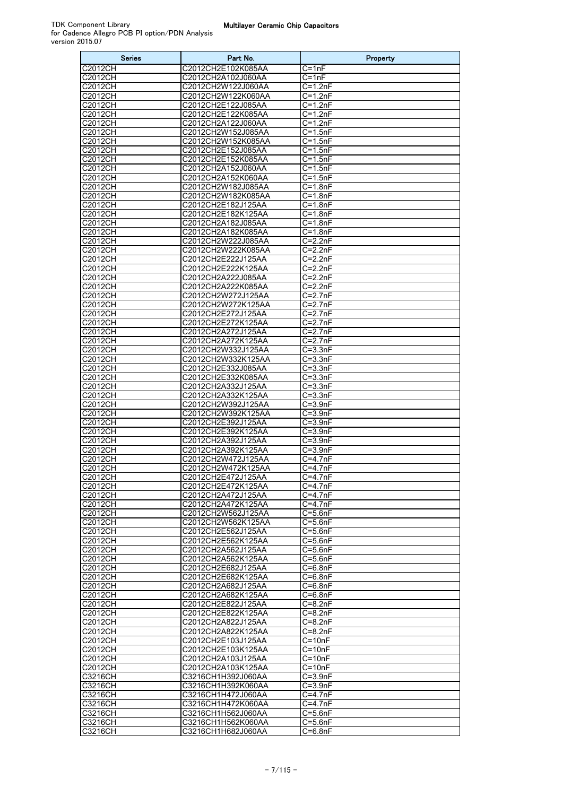| <b>Series</b>             | Part No.                                 | Property                         |
|---------------------------|------------------------------------------|----------------------------------|
| C2012CH                   | C2012CH2E102K085AA                       | $C = 1nF$                        |
| C2012CH                   | C2012CH2A102J060AA                       | $C = 1nF$                        |
| C2012CH                   | C2012CH2W122J060AA                       | $\overline{C=1}$ .2nF            |
| C2012CH                   | C2012CH2W122K060AA                       | $C = 1.2nF$                      |
| C2012CH<br><b>C2012CH</b> | C2012CH2E122J085AA                       | $C = 1.2nF$                      |
| <b>C2012CH</b>            | C2012CH2E122K085AA<br>C2012CH2A122J060AA | $C = 1.2nF$<br>$C = 1.2nF$       |
| C2012CH                   | C2012CH2W152J085AA                       | $C = 1.5nF$                      |
| C2012CH                   | C2012CH2W152K085AA                       | $C = 1.5nF$                      |
| C2012CH                   | C2012CH2E152J085AA                       | $C = 1.5nF$                      |
| C2012CH                   | C2012CH2E152K085AA                       | $C = 1.5nF$                      |
| C2012CH                   | C2012CH2A152J060AA                       | $C = 1.5nF$                      |
| C2012CH                   | C2012CH2A152K060AA                       | $C = 1.5nF$                      |
| C2012CH                   | C2012CH2W182J085AA                       | $C = 1.8nF$                      |
| C2012CH                   | C2012CH2W182K085AA                       | $C = 1.8nF$                      |
| C2012CH<br>C2012CH        | C2012CH2E182J125AA<br>C2012CH2E182K125AA | $C = 1.8nF$<br>$C = 1.8nF$       |
| C2012CH                   | C2012CH2A182J085AA                       | $C = 1.8nF$                      |
| C2012CH                   | C2012CH2A182K085AA                       | $\overline{C=1}$ .8nF            |
| C2012CH                   | C2012CH2W222J085AA                       | $C = 2.2nF$                      |
| C2012CH                   | C2012CH2W222K085AA                       | $C = 2.2nF$                      |
| C2012CH                   | C2012CH2E222J125AA                       | $C = 2.2nF$                      |
| <b>C2012CH</b>            | C2012CH2E222K125AA                       | $C = 2.2nF$                      |
| C2012CH                   | C2012CH2A222J085AA                       | $C = 2.2nF$                      |
| C2012CH                   | C2012CH2A222K085AA                       | $C = 2.2nF$                      |
| C2012CH                   | C2012CH2W272J125AA                       | $C = 2.7nF$                      |
| C2012CH<br><b>C2012CH</b> | C2012CH2W272K125AA<br>C2012CH2E272J125AA | $C = 2.7nF$<br>$C=2.7nF$         |
| C2012CH                   | C2012CH2E272K125AA                       | $C = 2.7nF$                      |
| C2012CH                   | C2012CH2A272J125AA                       | $C = 2.7nF$                      |
| C2012CH                   | C2012CH2A272K125AA                       | $C = 2.7nF$                      |
| C2012CH                   | C2012CH2W332J125AA                       | $C = 3.3nF$                      |
| C2012CH                   | C2012CH2W332K125AA                       | $C = 3.3nF$                      |
| C2012CH                   | C2012CH2E332J085AA                       | $C = 3.3nF$                      |
| C2012CH<br>C2012CH        | C2012CH2E332K085AA<br>C2012CH2A332J125AA | $C = 3.3nF$<br>$C = 3.3nF$       |
| C2012CH                   | C2012CH2A332K125AA                       | $C = 3.3nF$                      |
| C2012CH                   | C2012CH2W392J125AA                       | $C = 3.9nF$                      |
| C2012CH                   | C2012CH2W392K125AA                       | $\overline{C}$ =3.9nF            |
| C2012CH                   | C2012CH2E392J125AA                       | $C = 3.9nF$                      |
| C2012CH                   | C2012CH2E392K125AA                       | $C = 3.9nF$                      |
| C2012CH                   | C2012CH2A392J125AA                       | $C = 3.9nF$                      |
| C2012CH<br>C2012CH        | C2012CH2A392K125AA<br>C2012CH2W472J125AA | $C = 3.9nF$<br>$C = 4.7nF$       |
| C2012CH                   | C2012CH2W472K125AA                       | $C = 4.7nF$                      |
| C2012CH                   | C2012CH2E472J125AA                       | $C = 4.7nF$                      |
| $\overline{C201}2CH$      | C2012CH2E472K125AA                       | $C=4.7nF$                        |
| C2012CH                   | C2012CH2A472J125AA                       | $C=4.7nF$                        |
| C2012CH                   | C2012CH2A472K125AA                       | C=4.7nF                          |
| C2012CH                   | C2012CH2W562J125AA                       | $C = 5.6nF$                      |
| C2012CH<br>C2012CH        | C2012CH2W562K125AA<br>C2012CH2E562J125AA | C=5.6nF<br>$C = 5.6nF$           |
| C2012CH                   | C2012CH2E562K125AA                       | $C = 5.6nF$                      |
| C2012CH                   | C2012CH2A562J125AA                       | C=5.6nF                          |
| C2012CH                   | C2012CH2A562K125AA                       | $C = 5.6nF$                      |
| C2012CH                   | C2012CH2E682J125AA                       | $C = 6.8nF$                      |
| C2012CH                   | C2012CH2E682K125AA                       | $C = 6.8nF$                      |
| C2012CH                   | C2012CH2A682J125AA                       | $C = 6.8nF$                      |
| C2012CH<br>C2012CH        | C2012CH2A682K125AA<br>C2012CH2E822J125AA | C=6.8nF<br>$\overline{C}$ =8.2nF |
| C2012CH                   | C2012CH2E822K125AA                       | $C = 8.2nF$                      |
| C2012CH                   | C2012CH2A822J125AA                       | C=8.2nF                          |
| C2012CH                   | C2012CH2A822K125AA                       | $C = 8.2nF$                      |
| C2012CH                   | C2012CH2E103J125AA                       | C=10nF                           |
| C2012CH                   | C2012CH2E103K125AA                       | $C = 10nF$                       |
| C2012CH                   | C2012CH2A103J125AA                       | $C = 10nF$                       |
| C2012CH<br>C3216CH        | C2012CH2A103K125AA<br>C3216CH1H392J060AA | C=10nF<br>$C = 3.9nF$            |
| C3216CH                   | C3216CH1H392K060AA                       | C=3.9nF                          |
| C3216CH                   | C3216CH1H472J060AA                       | C=4.7nF                          |
| C3216CH                   | C3216CH1H472K060AA                       | $C=4.7nF$                        |
| C3216CH                   | C3216CH1H562J060AA                       | $\overline{C=5.6}$ nF            |
| C3216CH                   | C3216CH1H562K060AA                       | $C = 5.6nF$                      |
| <b>C3216CH</b>            | C3216CH1H682J060AA                       | $C = 6.8nF$                      |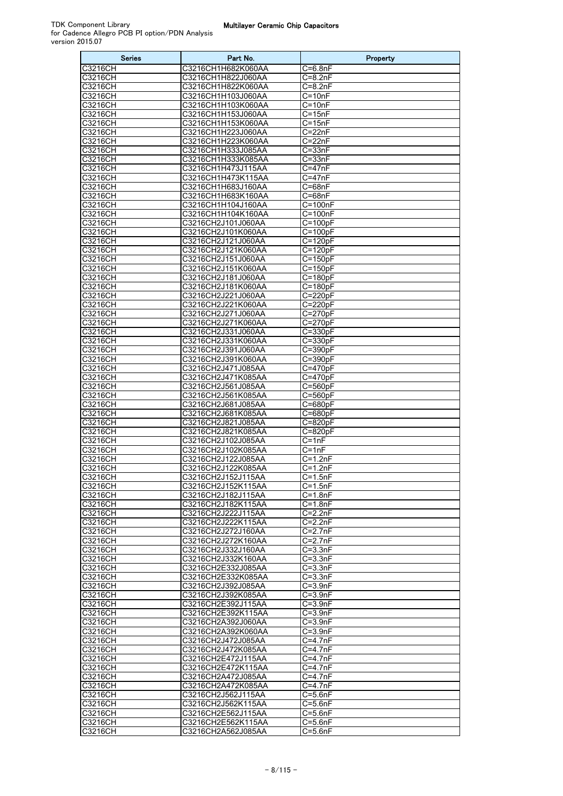| <b>Series</b>      | Part No.                                 | Property                   |
|--------------------|------------------------------------------|----------------------------|
| C3216CH            | C3216CH1H682K060AA                       | $C = 6.8nF$                |
| C3216CH            | C3216CH1H822J060AA                       | $C = 8.2nF$                |
| C3216CH            | C3216CH1H822K060AA                       | $C = 8.2nF$                |
| C3216CH            | C3216CH1H103J060AA                       | $C = 10nF$                 |
| C3216CH            | C3216CH1H103K060AA                       | $C = 10nF$                 |
| C3216CH            | C3216CH1H153J060AA                       | $C = 15nF$                 |
| C3216CH            | C3216CH1H153K060AA                       | $C = 15nF$                 |
| C3216CH            | C3216CH1H223J060AA                       | C=22nF                     |
| C3216CH            | C3216CH1H223K060AA                       | $C=22nF$                   |
| C3216CH<br>C3216CH | C3216CH1H333J085AA<br>C3216CH1H333K085AA | $C = 33nF$<br>$C = 33nF$   |
| C3216CH            | C3216CH1H473J115AA                       | $C = 47nF$                 |
| C3216CH            | C3216CH1H473K115AA                       | $C = 47nF$                 |
| C3216CH            | C3216CH1H683J160AA                       | $C = 68nF$                 |
| C3216CH            | C3216CH1H683K160AA                       | C=68nF                     |
| C3216CH            | C3216CH1H104J160AA                       | $C = 100nF$                |
| C3216CH            | C3216CH1H104K160AA                       | $C = 100nF$                |
| <b>C3216CH</b>     | C3216CH2J101J060AA                       | $C = 100pF$                |
| C3216CH            | C3216CH2J101K060AA                       | $C = 100pF$                |
| C3216CH            | C3216CH2J121J060AA                       | $C = 120pF$                |
| C3216CH            | C3216CH2J121K060AA                       | $C=120pF$                  |
| C3216CH            | C3216CH2J151J060AA                       | $C = 150pF$                |
| C3216CH            | C3216CH2J151K060AA                       | $C = 150pF$                |
| C3216CH            | C3216CH2J181J060AA                       | C=180pF                    |
| C3216CH            | C3216CH2J181K060AA                       | $C = 180pF$                |
| C3216CH            | C3216CH2J221J060AA                       | $C = 220pF$                |
| C3216CH            | C3216CH2J221K060AA                       | $C = 220pF$                |
| C3216CH            | C3216CH2J271J060AA<br>C3216CH2J271K060AA | $C = 270pF$                |
| C3216CH<br>C3216CH | C3216CH2J331J060AA                       | C=270pF<br>$C = 330pF$     |
| C3216CH            | C3216CH2J331K060AA                       | $C = 330pF$                |
| C3216CH            | C3216CH2J391J060AA                       | C=390pF                    |
| C3216CH            | C3216CH2J391K060AA                       | $C = 390pF$                |
| C3216CH            | C3216CH2J471J085AA                       | C=470pF                    |
| C3216CH            | C3216CH2J471K085AA                       | $C = 470pF$                |
| <b>C3216CH</b>     | C3216CH2J561J085AA                       | $C = 560pF$                |
| C3216CH            | C3216CH2J561K085AA                       | C=560pF                    |
| C3216CH            | C3216CH2J681J085AA                       | $C = 680pF$                |
| C3216CH            | C3216CH2J681K085AA                       | C=680pF                    |
| C3216CH            | C3216CH2J821J085AA                       | $C = 820pF$                |
| <b>C3216CH</b>     | C3216CH2J821K085AA                       | $C = 820pF$                |
| C3216CH            | C3216CH2J102J085AA                       | $C = 1nF$                  |
| C3216CH            | C3216CH2J102K085AA                       | $C = 1nF$                  |
| C3216CH            | C3216CH2J122J085AA                       | $C=1.2nF$                  |
| C3216CH<br>C3216CH | C3216CH2J122K085AA<br>C3216CH2J152J115AA | $C = 1.2nF$<br>$C = 1.5nF$ |
| C3216CH            | C3216CH2J152K115AA                       | $C = 1.5nF$                |
| C3216CH            | C3216CH2J182J115AA                       | C=1.8nF                    |
| C3216CH            | C3216CH2J182K115AA                       | $C=1.8nF$                  |
| C3216CH            | C3216CH2J222J115AA                       | C=2.2nF                    |
| C3216CH            | C3216CH2J222K115AA                       | C=2.2nF                    |
| C3216CH            | C3216CH2J272J160AA                       | $C = 2.7nF$                |
| C3216CH            | C3216CH2J272K160AA                       | C=2.7nF                    |
| C3216CH            | C3216CH2J332J160AA                       | $\overline{C}$ =3.3nF      |
| C3216CH            | C3216CH2J332K160AA                       | $C = 3.3nF$                |
| C3216CH            | C3216CH2E332J085AA                       | C=3.3nF                    |
| C3216CH            | C3216CH2E332K085AA                       | $C = 3.3nF$                |
| C3216CH            | C3216CH2J392J085AA                       | $C = 3.9nF$                |
| C3216CH            | C3216CH2J392K085AA                       | C=3.9nF                    |
| C3216CH            | C3216CH2E392J115AA                       | $C = 3.9nF$                |
| C3216CH<br>C3216CH | C3216CH2E392K115AA<br>C3216CH2A392J060AA | C=3.9nF<br>$C = 3.9nF$     |
| C3216CH            | C3216CH2A392K060AA                       | $C = 3.9nF$                |
| C3216CH            | C3216CH2J472J085AA                       | $\overline{C=4}$ . 7nF     |
| C3216CH            | C3216CH2J472K085AA                       | $C = 4.7nF$                |
| C3216CH            | C3216CH2E472J115AA                       | C=4.7nF                    |
| C3216CH            | C3216CH2E472K115AA                       | C=4.7nF                    |
| C3216CH            | C3216CH2A472J085AA                       | C=4.7nF                    |
| C3216CH            | C3216CH2A472K085AA                       | $\overline{C=4}$ . 7nF     |
| C3216CH            | C3216CH2J562J115AA                       | $C = 5.6nF$                |
| C3216CH            | C3216CH2J562K115AA                       | C=5.6nF                    |
| C3216CH            | C3216CH2E562J115AA                       | $C = 5.6nF$                |
| <b>C3216CH</b>     | C3216CH2E562K115AA                       | $C = 5.6nF$                |
| C3216CH            | C3216CH2A562J085AA                       | $C = 5.6nF$                |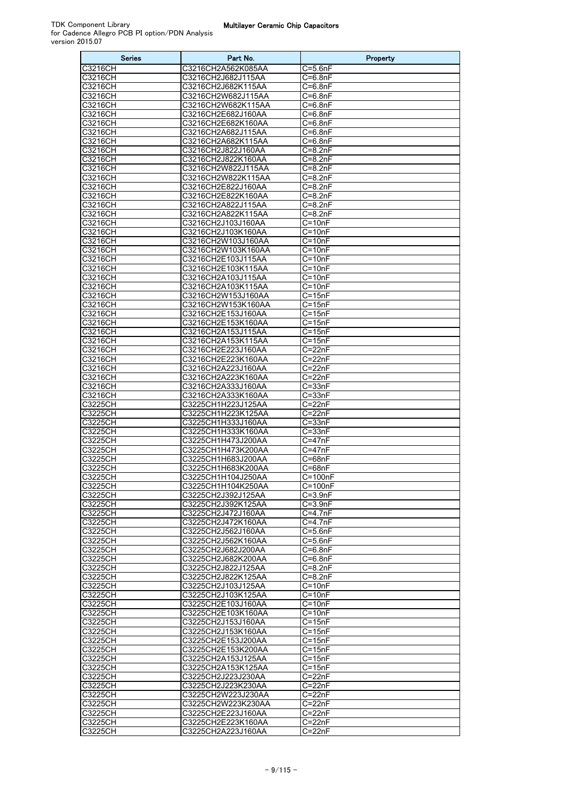| Series                           | Part No.                                 | Property                       |
|----------------------------------|------------------------------------------|--------------------------------|
| C3216CH                          | C3216CH2A562K085AA                       | C=5.6nF                        |
| C3216CH                          | C3216CH2J682J115AA                       | C=6.8nF                        |
| C3216CH<br>C3216CH               | C3216CH2J682K115AA<br>C3216CH2W682J115AA | C=6.8nF<br>C=6.8nF             |
| C3216CH                          | C3216CH2W682K115AA                       | C=6.8nF                        |
| C3216CH                          | C3216CH2E682J160AA                       | C=6.8nF                        |
| C3216CH                          | C3216CH2E682K160AA                       | C=6.8nF                        |
| C3216CH                          | C3216CH2A682J115AA                       | C=6.8nF                        |
| C3216CH                          | C3216CH2A682K115AA                       | C=6.8nF                        |
| C3216CH                          | C3216CH2J822J160AA                       | $C = 8.2nF$                    |
| C3216CH<br>C3216CH               | C3216CH2J822K160AA<br>C3216CH2W822J115AA | C=8.2nF<br>C=8.2nF             |
| C3216CH                          | C3216CH2W822K115AA                       | $C = 8.2nF$                    |
| C3216CH                          | C3216CH2E822J160AA                       | C=8.2nF                        |
| C3216CH                          | C3216CH2E822K160AA                       | $C = 8.2nF$                    |
| C3216CH                          | C3216CH2A822J115AA                       | C=8.2nF                        |
| $\overline{C321}$ 6CH            | C3216CH2A822K115AA                       | C=8.2nF                        |
| C3216CH<br>C3216CH               | C3216CH2J103J160AA                       | C=10nF                         |
| C3216CH                          | C3216CH2J103K160AA<br>C3216CH2W103J160AA | C=10nF<br>$C = 10nF$           |
| C3216CH                          | C3216CH2W103K160AA                       | C=10nF                         |
| $\overline{C321}$ 6CH            | C3216CH2E103J115AA                       | $C = 10nF$                     |
| C3216CH                          | C3216CH2E103K115AA                       | C=10nF                         |
| C3216CH                          | C3216CH2A103J115AA                       | C=10nF                         |
| C3216CH                          | C3216CH2A103K115AA                       | $C=10nF$                       |
| C3216CH<br>$\overline{C321}$ 6CH | C3216CH2W153J160AA<br>C3216CH2W153K160AA | C=15nF<br>$C = 15nF$           |
| C3216CH                          | C3216CH2E153J160AA                       | C=15nF                         |
| C3216CH                          | C3216CH2E153K160AA                       | $C = 15nF$                     |
| $\overline{C321}6CH$             | C3216CH2A153J115AA                       | C=15nF                         |
| C3216CH                          | C3216CH2A153K115AA                       | $C = 15nF$                     |
| $\overline{C321}$ 6CH            | C3216CH2E223J160AA                       | C=22nF                         |
| C3216CH<br>C3216CH               | C3216CH2E223K160AA<br>C3216CH2A223J160AA | C=22nF<br>C=22nF               |
| $\overline{C321}6CH$             | C3216CH2A223K160AA                       | $C = 22nF$                     |
| C3216CH                          | C3216CH2A333J160AA                       | $C = 33nF$                     |
| $\overline{C321}$ 6CH            | C3216CH2A333K160AA                       | $C = 33nF$                     |
| C3225CH                          | C3225CH1H223J125AA                       | C=22nF                         |
| C3225CH<br>C3225CH               | C3225CH1H223K125AA                       | C=22nF                         |
| C3225CH                          | C3225CH1H333J160AA<br>C3225CH1H333K160AA | C=33nF<br>$C = 33nF$           |
| C3225CH                          | C3225CH1H473J200AA                       | $\overline{C=4}$ 7nF           |
| C3225CH                          | C3225CH1H473K200AA                       | C=47nF                         |
| C3225CH                          | C3225CH1H683J200AA                       | C=68nF                         |
| C3225CH                          | C3225CH1H683K200AA                       | $C = 68nF$                     |
| <b>C3225CH</b><br>C3225CH        | C3225CH1H104J250AA<br>C3225CH1H104K250AA | $C = 100nF$<br>$C = 100nF$     |
| C3225CH                          | C3225CH2J392J125AA                       | $C = 3.9nF$                    |
| C3225CH                          | C3225CH2J392K125AA                       | C=3.9nF                        |
| C3225CH                          | C3225CH2J472J160AA                       | $C = 4.7nF$                    |
| <b>C3225CH</b>                   | C3225CH2J472K160AA                       | $C = 4.7nF$                    |
| C3225CH                          | C3225CH2J562J160AA                       | $C = 5.6nF$                    |
| C3225CH<br>C3225CH               | C3225CH2J562K160AA<br>C3225CH2J682J200AA | $C = 5.6nF$<br>C=6.8nF         |
| C3225CH                          | C3225CH2J682K200AA                       | $C = 6.8nF$                    |
| C3225CH                          | C3225CH2J822J125AA                       | C=8.2nF                        |
| C3225CH                          | C3225CH2J822K125AA                       | C=8.2nF                        |
| C3225CH                          | C3225CH2J103J125AA                       | $C = 10nF$                     |
| C3225CH                          | C3225CH2J103K125AA                       | $C = 10nF$                     |
| C3225CH<br>C3225CH               | C3225CH2E103J160AA<br>C3225CH2E103K160AA | $C = 10nF$<br>C=10nF           |
| C3225CH                          | C3225CH2J153J160AA                       | $\overline{C=1}$ 5nF           |
| C3225CH                          | C3225CH2J153K160AA                       | $C = 15nF$                     |
| C3225CH                          | C3225CH2E153J200AA                       | $C = 15nF$                     |
| C3225CH                          | C3225CH2E153K200AA                       | $C = 15nF$                     |
| C3225CH<br>C3225CH               | C3225CH2A153J125AA                       | C=15nF<br>$\overline{C=1}$ 5nF |
| C3225CH                          | C3225CH2A153K125AA<br>C3225CH2J223J230AA | $C = 22nF$                     |
| C3225CH                          | C3225CH2J223K230AA                       | C=22nF                         |
| C3225CH                          | C3225CH2W223J230AA                       | $C = 22nF$                     |
| C3225CH                          | C3225CH2W223K230AA                       | C=22nF                         |
| C3225CH                          | C3225CH2E223J160AA                       | $C=22nF$                       |
| C3225CH                          | C3225CH2E223K160AA                       | $C = 22nF$                     |
| C3225CH                          | C3225CH2A223J160AA                       | C=22nF                         |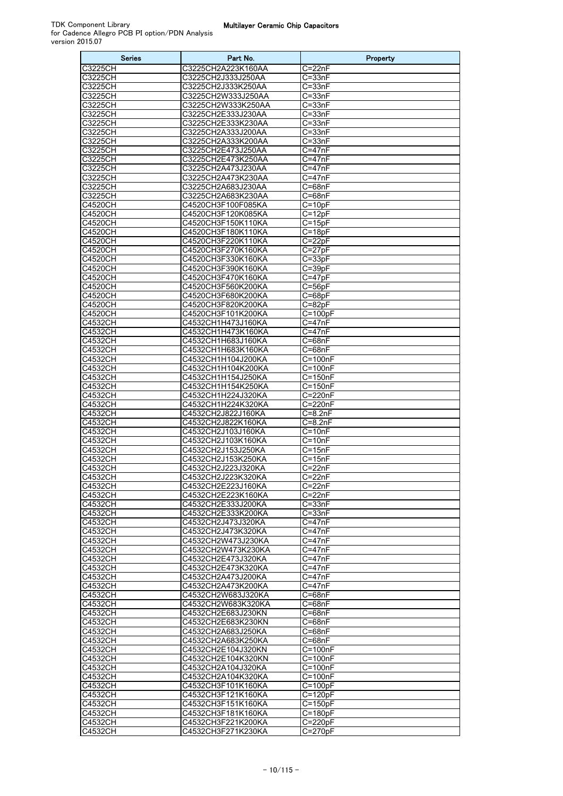| <b>Series</b>             | Part No.                                 | Property                        |
|---------------------------|------------------------------------------|---------------------------------|
| C3225CH                   | C3225CH2A223K160AA                       | C=22nF                          |
| <b>C3225CH</b>            | C3225CH2J333J250AA                       | $C = 33nF$                      |
| C3225CH                   | C3225CH2J333K250AA                       | $C = 33nF$                      |
| C3225CH                   | C3225CH2W333J250AA                       | $C = 33nF$                      |
| C3225CH<br>C3225CH        | C3225CH2W333K250AA<br>C3225CH2E333J230AA | $C = 33nF$<br>$C = 33nF$        |
| <b>C3225CH</b>            | C3225CH2E333K230AA                       | $C = 33nF$                      |
| C3225CH                   | C3225CH2A333J200AA                       | $C = 33nF$                      |
| C3225CH                   | C3225CH2A333K200AA                       | C=33nF                          |
| C3225CH                   | C3225CH2E473J250AA                       | C=47nF                          |
| <b>C3225CH</b>            | C3225CH2E473K250AA                       | C=47nF                          |
| <b>C3225CH</b>            | C3225CH2A473J230AA                       | $C = 47nF$                      |
| C3225CH                   | C3225CH2A473K230AA                       | $C = 47nF$                      |
| C3225CH                   | C3225CH2A683J230AA                       | C=68nF                          |
| C3225CH                   | C3225CH2A683K230AA                       | C=68nF                          |
| C4520CH<br>C4520CH        | C4520CH3F100F085KA<br>C4520CH3F120K085KA | $C = 10pF$<br>$C = 12pF$        |
| C4520CH                   | C4520CH3F150K110KA                       | $C = 15pF$                      |
| C4520CH                   | C4520CH3F180K110KA                       | $\overline{C=1}$ 8pF            |
| C4520CH                   | C4520CH3F220K110KA                       | $C = 22pF$                      |
| C4520CH                   | C4520CH3F270K160KA                       | $C = 27pF$                      |
| C4520CH                   | C4520CH3F330K160KA                       | $C = 33pF$                      |
| <b>C4520CH</b>            | C4520CH3F390K160KA                       | $C = 39pF$                      |
| C4520CH                   | C4520CH3F470K160KA                       | $C = 47pF$                      |
| C4520CH                   | C4520CH3F560K200KA                       | $C = 56pF$                      |
| C4520CH                   | C4520CH3F680K200KA                       | C=68pF                          |
| C4520CH<br><b>C4520CH</b> | C4520CH3F820K200KA<br>C4520CH3F101K200KA | $C = 82pF$<br>$C=100pF$         |
| C4532CH                   | C4532CH1H473J160KA                       | $C = 47nF$                      |
| C4532CH                   | C4532CH1H473K160KA                       | C=47nF                          |
| C4532CH                   | C4532CH1H683J160KA                       | $C = 68nF$                      |
| C4532CH                   | C4532CH1H683K160KA                       | $C = 68nF$                      |
| C4532CH                   | C4532CH1H104J200KA                       | $C = 100nF$                     |
| C4532CH                   | C4532CH1H104K200KA                       | C=100nF                         |
| C4532CH<br>C4532CH        | C4532CH1H154J250KA<br>C4532CH1H154K250KA | C=150nF<br>$C = 150nF$          |
| C4532CH                   | C4532CH1H224J320KA                       | C=220nF                         |
| C4532CH                   | C4532CH1H224K320KA                       | C=220nF                         |
| C4532CH                   | C4532CH2J822J160KA                       | C=8.2nF                         |
| C4532CH                   | C4532CH2J822K160KA                       | $C = 8.2nF$                     |
| C4532CH                   | C4532CH2J103J160KA                       | $C = 10nF$                      |
| C4532CH                   | C4532CH2J103K160KA                       | $C = 10nF$                      |
| C4532CH<br>C4532CH        | C4532CH2J153J250KA<br>C4532CH2J153K250KA | $C = 15nF$<br>C=15nF            |
| C4532CH                   | C4532CH2J223J320KA                       | C=22nF                          |
| C4532CH                   | C4532CH2J223K320KA                       | $C = 22nF$                      |
| C4532CH                   | C4532CH2E223J160KA                       | $C = 22nF$                      |
| C4532CH                   | C4532CH2E223K160KA                       | $C = 22nF$                      |
| C4532CH                   | C4532CH2E333J200KA                       | C=33nF                          |
| C4532CH                   | C4532CH2E333K200KA                       | $C = 33nF$                      |
| C4532CH                   | C4532CH2J473J320KA                       | C=47nF<br>$\overline{C=4}$ 7nF  |
| C4532CH<br>C4532CH        | C4532CH2J473K320KA<br>C4532CH2W473J230KA | $C = 47nF$                      |
| C4532CH                   | C4532CH2W473K230KA                       | C=47nF                          |
| C4532CH                   | C4532CH2E473J320KA                       | C=47nF                          |
| C4532CH                   | C4532CH2E473K320KA                       | C=47nF                          |
| C4532CH                   | C4532CH2A473J200KA                       | C=47nF                          |
| C4532CH                   | C4532CH2A473K200KA                       | $C = 47nF$                      |
| C4532CH<br>C4532CH        | C4532CH2W683J320KA<br>C4532CH2W683K320KA | C=68nF<br>$\overline{C} = 68nF$ |
| C4532CH                   | C4532CH2E683J230KN                       | C=68nF                          |
| C4532CH                   | C4532CH2E683K230KN                       | C=68nF                          |
| C4532CH                   | C4532CH2A683J250KA                       | $C = 68nF$                      |
| C4532CH                   | C4532CH2A683K250KA                       | C=68nF                          |
| C4532CH                   | C4532CH2E104J320KN                       | $C = 100nF$                     |
| C4532CH                   | C4532CH2E104K320KN                       | C=100nF                         |
| C4532CH<br>C4532CH        | C4532CH2A104J320KA<br>C4532CH2A104K320KA | $C = 100nF$<br>C=100nF          |
| C4532CH                   | C4532CH3F101K160KA                       | C=100pF                         |
| C4532CH                   | C4532CH3F121K160KA                       | $C = 120pF$                     |
| C4532CH                   | C4532CH3F151K160KA                       | $C = 150pF$                     |
| C4532CH                   | C4532CH3F181K160KA                       | $C = 180pF$                     |
| C4532CH                   | C4532CH3F221K200KA                       | $C = 220pF$                     |
| C4532CH                   | C4532CH3F271K230KA                       | $C = 270pF$                     |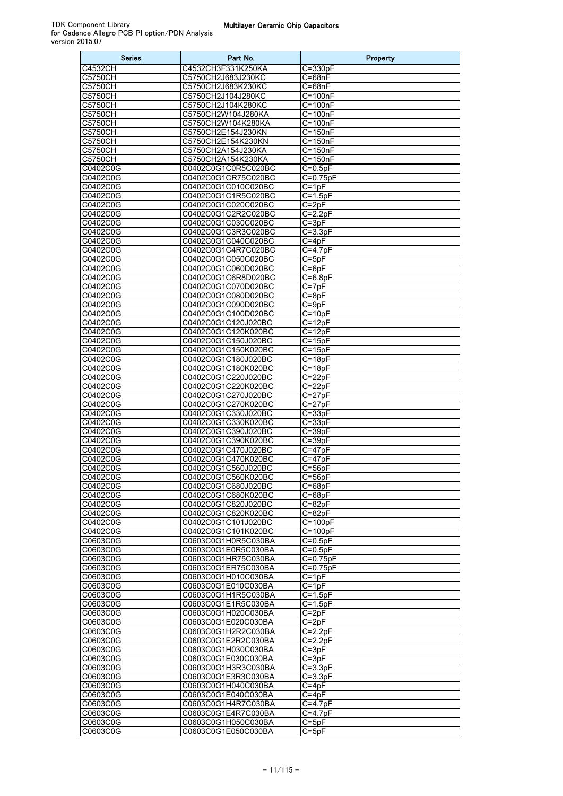| <b>Series</b>        | Part No.                                   | Property                 |
|----------------------|--------------------------------------------|--------------------------|
| C4532CH              | C4532CH3F331K250KA                         | C=330pF                  |
| C5750CH              | C5750CH2J683J230KC                         | C=68nF                   |
| C5750CH              | C5750CH2J683K230KC                         | C=68nF                   |
| C5750CH              | C5750CH2J104J280KC                         | C=100nF                  |
| <b>C5750CH</b>       | C5750CH2J104K280KC                         | $C = 100nF$              |
| C5750CH              | C5750CH2W104J280KA                         | C=100nF                  |
| C5750CH              | C5750CH2W104K280KA                         | C=100nF                  |
| C5750CH<br>C5750CH   | C5750CH2E154J230KN<br>C5750CH2E154K230KN   | $C = 150nF$<br>C=150nF   |
| <b>C5750CH</b>       | C5750CH2A154J230KA                         | $C = 150nF$              |
| C5750CH              | C5750CH2A154K230KA                         | $C = 150nF$              |
| C0402C0G             | C0402C0G1C0R5C020BC                        | $C=0.5pF$                |
| C0402C0G             | C0402C0G1CR75C020BC                        | C=0.75pF                 |
| C0402C0G             | C0402C0G1C010C020BC                        | $C = 1pF$                |
| C0402C0G             | C0402C0G1C1R5C020BC                        | $C = 1.5pF$              |
| C0402C0G             | C0402C0G1C020C020BC                        | $C = 2pF$                |
| C0402C0G             | C0402C0G1C2R2C020BC                        | $C = 2.2pF$              |
| C0402C0G             | C0402C0G1C030C020BC                        | $C = 3pF$                |
| C0402C0G             | C0402C0G1C3R3C020BC                        | $C = 3.3pF$              |
| C0402C0G             | C0402C0G1C040C020BC                        | C=4pF                    |
| C0402C0G             | C0402C0G1C4R7C020BC                        | $C = 4.7pF$              |
| C0402C0G<br>C0402C0G | C0402C0G1C050C020BC<br>C0402C0G1C060D020BC | $C = 5pF$<br>$C = 6pF$   |
| C0402C0G             | C0402C0G1C6R8D020BC                        | $C = 6.8pF$              |
| C0402C0G             | C0402C0G1C070D020BC                        | $C = 7pF$                |
| C0402C0G             | C0402C0G1C080D020BC                        | $C = 8pF$                |
| C0402C0G             | C0402C0G1C090D020BC                        | $C = 9pF$                |
| C0402C0G             | C0402C0G1C100D020BC                        | $C = 10pF$               |
| C0402C0G             | C0402C0G1C120J020BC                        | $C = 12pF$               |
| C0402C0G             | C0402C0G1C120K020BC                        | $C = 12pF$               |
| C0402C0G             | C0402C0G1C150J020BC                        | $C = 15pF$               |
| C0402C0G             | C0402C0G1C150K020BC                        | $C = 15pF$               |
| C0402C0G             | C0402C0G1C180J020BC                        | C=18pF                   |
| C0402C0G             | C0402C0G1C180K020BC                        | $C = 18pF$               |
| C0402C0G             | C0402C0G1C220J020BC                        | C=22pF                   |
| C0402C0G<br>C0402C0G | C0402C0G1C220K020BC<br>C0402C0G1C270J020BC | C=22pF<br>$C = 27pF$     |
| C0402C0G             | C0402C0G1C270K020BC                        | C=27pF                   |
| C0402C0G             | C0402C0G1C330J020BC                        | $C = 33pF$               |
| C0402C0G             | C0402C0G1C330K020BC                        | $C = 33pF$               |
| C0402C0G             | C0402C0G1C390J020BC                        | $C = 39pF$               |
| C0402C0G             | C0402C0G1C390K020BC                        | $C = 39pF$               |
| C0402C0G             | C0402C0G1C470J020BC                        | C=47pF                   |
| C0402C0G             | C0402C0G1C470K020BC                        | $C = 47pF$               |
| C0402C0G             | C0402C0G1C560J020BC                        | $C = 56pF$               |
| C0402C0G             | C0402C0G1C560K020BC                        | $C = 56pF$               |
| C0402C0G             | C0402C0G1C680J020BC                        | $C = 68pF$               |
| C0402C0G             | C0402C0G1C680K020BC                        | $C = 68pF$               |
| C0402C0G<br>C0402C0G | C0402C0G1C820J020BC<br>C0402C0G1C820K020BC | $C = 82pF$<br>$C = 82pF$ |
| C0402C0G             | C0402C0G1C101J020BC                        | $C = 100pF$              |
| C0402C0G             | C0402C0G1C101K020BC                        | $C = 100pF$              |
| C0603C0G             | C0603C0G1H0R5C030BA                        | $C = 0.5pF$              |
| C0603C0G             | C0603C0G1E0R5C030BA                        | $C=0.5pF$                |
| C0603C0G             | C0603C0G1HR75C030BA                        | C=0.75pF                 |
| C0603C0G             | C0603C0G1ER75C030BA                        | C=0.75pF                 |
| C0603C0G             | C0603C0G1H010C030BA                        | $C = 1pF$                |
| C0603C0G             | C0603C0G1E010C030BA                        | $C = 1pF$                |
| C0603C0G             | C0603C0G1H1R5C030BA                        | $C=1.5pF$                |
| C0603C0G             | C0603C0G1E1R5C030BA                        | $C=1.5pF$                |
| C0603C0G             | C0603C0G1H020C030BA                        | $C = 2pF$                |
| C0603C0G             | C0603C0G1E020C030BA                        | $C = 2pF$                |
| C0603C0G<br>C0603C0G | C0603C0G1H2R2C030BA<br>C0603C0G1E2R2C030BA | $C = 2.2pF$<br>$C=2.2pF$ |
| C0603C0G             | C0603C0G1H030C030BA                        | $C = 3pF$                |
| C0603C0G             | C0603C0G1E030C030BA                        | $C = 3pF$                |
| C0603C0G             | C0603C0G1H3R3C030BA                        | $C = 3.3pF$              |
| C0603C0G             | C0603C0G1E3R3C030BA                        | $C = 3.3pF$              |
| C0603C0G             | C0603C0G1H040C030BA                        | $C = 4pF$                |
| C0603C0G             | C0603C0G1E040C030BA                        | $C = 4pF$                |
| C0603C0G             | C0603C0G1H4R7C030BA                        | $C = 4.7pF$              |
| C0603C0G             | C0603C0G1E4R7C030BA                        | $C = 4.7pF$              |
| C0603C0G             | C0603C0G1H050C030BA                        | $C = 5pF$                |
| C0603C0G             | C0603C0G1E050C030BA                        | $C = 5pF$                |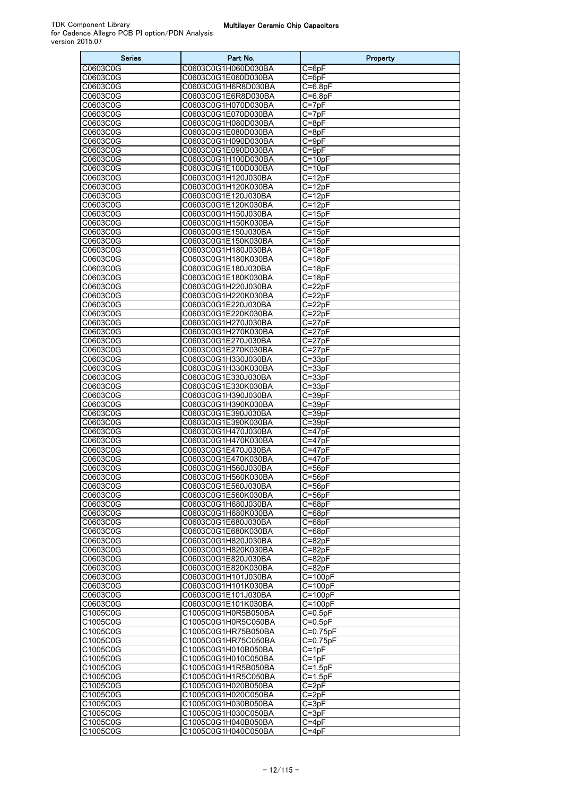| Series               | Part No.                                   | Property                          |
|----------------------|--------------------------------------------|-----------------------------------|
| C0603C0G             | C0603C0G1H060D030BA                        | C=6pF                             |
| C0603C0G             | C0603C0G1E060D030BA                        | C=6pF                             |
| C0603C0G             | C0603C0G1H6R8D030BA                        | $C = 6.8pF$                       |
| C0603C0G             | C0603C0G1E6R8D030BA                        | $C = 6.8pF$                       |
| C0603C0G<br>C0603C0G | C0603C0G1H070D030BA<br>C0603C0G1E070D030BA | C=7pF<br>$C = 7pF$                |
| C0603C0G             | C0603C0G1H080D030BA                        | C=8pF                             |
| C0603C0G             | C0603C0G1E080D030BA                        | $C = 8pF$                         |
| C0603C0G             | C0603C0G1H090D030BA                        | $C = 9pF$                         |
| C0603C0G             | C0603C0G1E090D030BA                        | $C = 9pF$                         |
| C0603C0G             | C0603C0G1H100D030BA                        | $C = 10pF$                        |
| C0603C0G             | C0603C0G1E100D030BA                        | $C = 10pF$                        |
| C0603C0G             | C0603C0G1H120J030BA                        | $C = 12pF$                        |
| C0603C0G<br>C0603C0G | C0603C0G1H120K030BA<br>C0603C0G1E120J030BA | $C = 12pF$<br>$C = 12pF$          |
| C0603C0G             | C0603C0G1E120K030BA                        | C=12pF                            |
| C0603C0G             | C0603C0G1H150J030BA                        | $C=15pF$                          |
| C0603C0G             | C0603C0G1H150K030BA                        | C=15pF                            |
| C0603C0G             | C0603C0G1E150J030BA                        | $C = 15pF$                        |
| C0603C0G             | C0603C0G1E150K030BA                        | $C = 15pF$                        |
| C0603C0G             | C0603C0G1H180J030BA                        | $C = 18pF$                        |
| C0603C0G             | C0603C0G1H180K030BA                        | $C=18pF$                          |
| C0603C0G<br>C0603C0G | C0603C0G1E180J030BA<br>C0603C0G1E180K030BA | C=18pF<br>C=18pF                  |
| C0603C0G             | C0603C0G1H220J030BA                        | C=22pF                            |
| C0603C0G             | C0603C0G1H220K030BA                        | $C = 22pF$                        |
| C0603C0G             | C0603C0G1E220J030BA                        | $C = 22pF$                        |
| C0603C0G             | C0603C0G1E220K030BA                        | C=22pF                            |
| C0603C0G             | C0603C0G1H270J030BA                        | $C = 27pF$                        |
| C0603C0G             | C0603C0G1H270K030BA                        | C=27pF                            |
| C0603C0G             | C0603C0G1E270J030BA                        | C=27pF                            |
| C0603C0G<br>C0603C0G | C0603C0G1E270K030BA<br>C0603C0G1H330J030BA | $C=27pF$<br>C=33pF                |
| C0603C0G             | C0603C0G1H330K030BA                        | $C = 33pF$                        |
| C0603C0G             | C0603C0G1E330J030BA                        | $C = 33pF$                        |
| C0603C0G             | C0603C0G1E330K030BA                        | C=33pF                            |
| C0603C0G             | C0603C0G1H390J030BA                        | $C = 39pF$                        |
| C0603C0G             | C0603C0G1H390K030BA                        | C=39pF                            |
| C0603C0G             | C0603C0G1E390J030BA                        | C=39pF                            |
| C0603C0G             | C0603C0G1E390K030BA                        | $C = 39pF$                        |
| C0603C0G<br>C0603C0G | C0603C0G1H470J030BA<br>C0603C0G1H470K030BA | C=47pF<br>$\overline{C=4}$ 7pF    |
| C0603C0G             | C0603C0G1E470J030BA                        | C=47pF                            |
| C0603C0G             | C0603C0G1E470K030BA                        | $C = 47pF$                        |
| C0603C0G             | C0603C0G1H560J030BA                        | $C = 56pF$                        |
| C0603C0G             | C0603C0G1H560K030BA                        | $C = 56pF$                        |
| C0603C0G             | C0603C0G1E560J030BA                        | $C = 56pF$                        |
| C0603C0G             | C0603C0G1E560K030BA                        | $C = 56pF$                        |
| C0603C0G             | C0603C0G1H680J030BA                        | $C = 68pF$                        |
| C0603C0G<br>C0603C0G | C0603C0G1H680K030BA<br>C0603C0G1E680J030BA | $C = 68pF$<br>$C = 68pF$          |
| C0603C0G             | C0603C0G1E680K030BA                        | $C = 68pF$                        |
| C0603C0G             | C0603C0G1H820J030BA                        | $C = 82pF$                        |
| C0603C0G             | C0603C0G1H820K030BA                        | $C = 82pF$                        |
| C0603C0G             | C0603C0G1E820J030BA                        | $C = 82pF$                        |
| C0603C0G             | C0603C0G1E820K030BA                        | $C = 82pF$                        |
| C0603C0G             | C0603C0G1H101J030BA                        | $C = 100pF$                       |
| C0603C0G<br>C0603C0G | C0603C0G1H101K030BA                        | $C = 100pF$                       |
| C0603C0G             | C0603C0G1E101J030BA<br>C0603C0G1E101K030BA | $C = 100pF$<br>$C=100pF$          |
| C1005C0G             | C1005C0G1H0R5B050BA                        | $C = 0.5pF$                       |
| C1005C0G             | C1005C0G1H0R5C050BA                        | $C = 0.5pF$                       |
| C1005C0G             | C1005C0G1HR75B050BA                        | C=0.75pF                          |
| C1005C0G             | C1005C0G1HR75C050BA                        | C=0.75pF                          |
| C1005C0G             | C1005C0G1H010B050BA                        | $C = 1pF$                         |
| C1005C0G             | C1005C0G1H010C050BA                        | $C = 1pF$                         |
| C1005C0G<br>C1005C0G | C1005C0G1H1R5B050BA<br>C1005C0G1H1R5C050BA | $\overline{C=1}.5pF$<br>$C=1.5pF$ |
| C1005C0G             | C1005C0G1H020B050BA                        | $C = 2pF$                         |
| C1005C0G             | C1005C0G1H020C050BA                        | $C = 2pF$                         |
| C1005C0G             | C1005C0G1H030B050BA                        | $C = 3pF$                         |
| C1005C0G             | C1005C0G1H030C050BA                        | $C = 3pF$                         |
| C1005C0G             | C1005C0G1H040B050BA                        | $C = 4pF$                         |
| C1005C0G             | C1005C0G1H040C050BA                        | $C = 4pF$                         |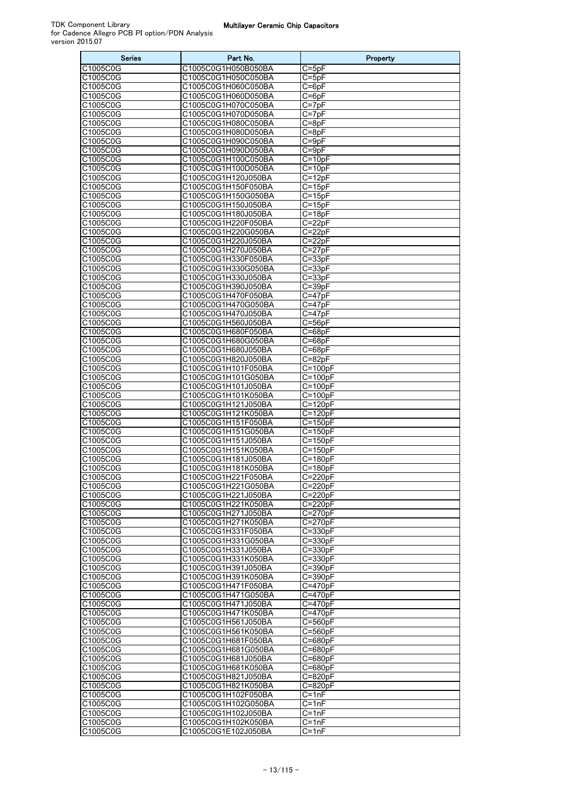| <b>Series</b>        | Part No.                                   | Property                   |
|----------------------|--------------------------------------------|----------------------------|
| C1005C0G             | C1005C0G1H050B050BA                        | $C = 5pF$                  |
| C1005C0G             | C1005C0G1H050C050BA                        | $C = 5pF$                  |
| C1005C0G             | C1005C0G1H060C050BA                        | $C = 6pF$                  |
| C1005C0G             | C1005C0G1H060D050BA                        | $C = 6pF$                  |
| C1005C0G<br>C1005C0G | C1005C0G1H070C050BA<br>C1005C0G1H070D050BA | $C = 7pF$<br>$C = 7pF$     |
| C1005C0G             | C1005C0G1H080C050BA                        | C=8pF                      |
| C1005C0G             | C1005C0G1H080D050BA                        | $C = 8pF$                  |
| C1005C0G             | C1005C0G1H090C050BA                        | $C = 9pF$                  |
| C1005C0G             | C1005C0G1H090D050BA                        | $C = 9pF$                  |
| C1005C0G             | C1005C0G1H100C050BA                        | $C = 10pF$                 |
| C1005C0G             | C1005C0G1H100D050BA                        | $C = 10pF$                 |
| C1005C0G             | C1005C0G1H120J050BA                        | $C = 12pF$                 |
| C1005C0G             | C1005C0G1H150F050BA                        | $C = 15pF$                 |
| C1005C0G             | C1005C0G1H150G050BA                        | $C = 15pF$                 |
| C1005C0G<br>C1005C0G | C1005C0G1H150J050BA<br>C1005C0G1H180J050BA | $C = 15pF$<br>$C=18pF$     |
| C1005C0G             | C1005C0G1H220F050BA                        | $C = 22pF$                 |
| C1005C0G             | C1005C0G1H220G050BA                        | $C = 22pF$                 |
| C1005C0G             | C1005C0G1H220J050BA                        | $C = 22pF$                 |
| C1005C0G             | C1005C0G1H270J050BA                        | $C = 27pF$                 |
| C1005C0G             | C1005C0G1H330F050BA                        | $C = 33pF$                 |
| C1005C0G             | C1005C0G1H330G050BA                        | $C = 33pF$                 |
| C1005C0G             | C1005C0G1H330J050BA                        | $C = 33pF$                 |
| C1005C0G             | C1005C0G1H390J050BA                        | $C = 39pF$                 |
| C1005C0G             | C1005C0G1H470F050BA                        | C=47pF                     |
| C1005C0G             | C1005C0G1H470G050BA                        | $C = 47pF$                 |
| C1005C0G             | C1005C0G1H470J050BA                        | $C = 47pF$                 |
| C1005C0G<br>C1005C0G | C1005C0G1H560J050BA<br>C1005C0G1H680F050BA | $C = 56pF$<br>$C = 68pF$   |
| C1005C0G             | C1005C0G1H680G050BA                        | C=68pF                     |
| C1005C0G             | C1005C0G1H680J050BA                        | $C = 68pF$                 |
| C1005C0G             | C1005C0G1H820J050BA                        | $C = 82pF$                 |
| C1005C0G             | C1005C0G1H101F050BA                        | $C = 100pF$                |
| C1005C0G             | C1005C0G1H101G050BA                        | $C = 100pF$                |
| C1005C0G             | C1005C0G1H101J050BA                        | $C = 100pF$                |
| C1005C0G             | C1005C0G1H101K050BA                        | $C = 100pF$                |
| C1005C0G             | C1005C0G1H121J050BA                        | $C = 120pF$                |
| C1005C0G             | C1005C0G1H121K050BA                        | $C = 120pF$                |
| C1005C0G<br>C1005C0G | C1005C0G1H151F050BA<br>C1005C0G1H151G050BA | $C = 150pF$                |
| C1005C0G             | C1005C0G1H151J050BA                        | $C = 150pF$<br>$C = 150pF$ |
| C1005C0G             | C1005C0G1H151K050BA                        | $C = 150pF$                |
| C1005C0G             | C1005C0G1H181J050BA                        | C=180pF                    |
| C1005C0G             | C1005C0G1H181K050BA                        | C=180pF                    |
| C1005C0G             | C1005C0G1H221F050BA                        | $C = 220pF$                |
| C1005C0G             | C1005C0G1H221G050BA                        | $C = 220pF$                |
| C1005C0G             | C1005C0G1H221J050BA                        | $C = 220pF$                |
| C1005C0G             | C1005C0G1H221K050BA                        | $C = 220pF$                |
| C1005C0G             | C1005C0G1H271J050BA                        | $C=270pF$                  |
| C1005C0G             | C1005C0G1H271K050BA                        | C=270pF<br>$C = 330pF$     |
| C1005C0G<br>C1005C0G | C1005C0G1H331F050BA<br>C1005C0G1H331G050BA | $C = 330pF$                |
| C1005C0G             | C1005C0G1H331J050BA                        | $C = 330pF$                |
| C1005C0G             | C1005C0G1H331K050BA                        | C=330pF                    |
| C1005C0G             | C1005C0G1H391J050BA                        | C=390pF                    |
| C1005C0G             | C1005C0G1H391K050BA                        | C=390pF                    |
| C1005C0G             | C1005C0G1H471F050BA                        | $C = 470pF$                |
| C1005C0G             | C1005C0G1H471G050BA                        | $C = 470pF$                |
| C1005C0G             | C1005C0G1H471J050BA                        | $C = 470pF$                |
| C1005C0G             | C1005C0G1H471K050BA                        | $C = 470pF$                |
| C1005C0G             | C1005C0G1H561J050BA                        | $C = 560pF$                |
| C1005C0G<br>C1005C0G | C1005C0G1H561K050BA<br>C1005C0G1H681F050BA | $C = 560pF$<br>$C = 680pF$ |
| C1005C0G             | C1005C0G1H681G050BA                        | C=680pF                    |
| C1005C0G             | C1005C0G1H681J050BA                        | C=680pF                    |
| C1005C0G             | C1005C0G1H681K050BA                        | $C = 680pF$                |
| C1005C0G             | C1005C0G1H821J050BA                        | $C = 820pF$                |
| C1005C0G             | C1005C0G1H821K050BA                        | $C = 820pF$                |
| C1005C0G             | C1005C0G1H102F050BA                        | $C = 1nF$                  |
| C1005C0G             | C1005C0G1H102G050BA                        | C=1nF                      |
| C1005C0G             | C1005C0G1H102J050BA                        | $C = 1nF$                  |
| C1005C0G             | C1005C0G1H102K050BA                        | $C = 1nF$                  |
| C1005C0G             | C1005C0G1E102J050BA                        | C=1nF                      |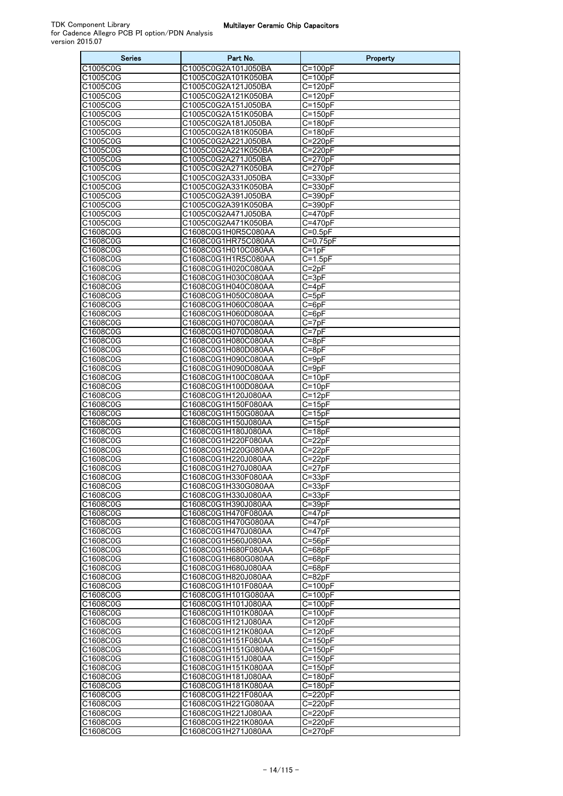| Series               | Part No.                                   | Property                   |
|----------------------|--------------------------------------------|----------------------------|
| C1005C0G             | C1005C0G2A101J050BA                        | $C = 100pF$                |
| C1005C0G             | C1005C0G2A101K050BA                        | $C = 100pF$                |
| C1005C0G             | C1005C0G2A121J050BA                        | C=120pF                    |
| C1005C0G             | C1005C0G2A121K050BA                        | C=120pF                    |
| C1005C0G<br>C1005C0G | C1005C0G2A151J050BA<br>C1005C0G2A151K050BA | $C = 150pF$<br>$C = 150pF$ |
| C1005C0G             | C1005C0G2A181J050BA                        | $C = 180pF$                |
| C1005C0G             | C1005C0G2A181K050BA                        | C=180pF                    |
| C1005C0G             | C1005C0G2A221J050BA                        | C=220pF                    |
| C1005C0G             | C1005C0G2A221K050BA                        | $C = 220pF$                |
| C1005C0G             | C1005C0G2A271J050BA                        | C=270pF                    |
| C1005C0G             | C1005C0G2A271K050BA                        | $C = 270pF$                |
| C1005C0G             | C1005C0G2A331J050BA                        | $C = 330pF$                |
| C1005C0G<br>C1005C0G | C1005C0G2A331K050BA<br>C1005C0G2A391J050BA | C=330pF<br>$C = 390pF$     |
| C1005C0G             | C1005C0G2A391K050BA                        | C=390pF                    |
| C1005C0G             | C1005C0G2A471J050BA                        | $C=470pF$                  |
| C1005C0G             | C1005C0G2A471K050BA                        | $C = 470pF$                |
| C1608C0G             | C1608C0G1H0R5C080AA                        | $C = 0.5pF$                |
| C1608C0G             | C1608C0G1HR75C080AA                        | $C = 0.75$ <sub>p</sub> F  |
| C1608C0G             | C1608C0G1H010C080AA                        | $C = 1pF$                  |
| C1608C0G             | C1608C0G1H1R5C080AA                        | $C = 1.5pF$                |
| C1608C0G             | C1608C0G1H020C080AA<br>C1608C0G1H030C080AA | $C = 2pF$                  |
| C1608C0G<br>C1608C0G | C1608C0G1H040C080AA                        | $C = 3pF$<br>$C = 4pF$     |
| C1608C0G             | C1608C0G1H050C080AA                        | $C = 5pF$                  |
| C1608C0G             | C1608C0G1H060C080AA                        | $C = 6pF$                  |
| C1608C0G             | C1608C0G1H060D080AA                        | $C = 6pF$                  |
| C1608C0G             | C1608C0G1H070C080AA                        | $C = 7pF$                  |
| C1608C0G             | C1608C0G1H070D080AA                        | $C = 7pF$                  |
| C1608C0G             | C1608C0G1H080C080AA                        | $C = 8pF$                  |
| C1608C0G             | C1608C0G1H080D080AA                        | $C = 8pF$                  |
| C1608C0G<br>C1608C0G | C1608C0G1H090C080AA<br>C1608C0G1H090D080AA | $C = 9pF$<br>$C = 9pF$     |
| C1608C0G             | C1608C0G1H100C080AA                        | $C = 10pF$                 |
| C1608C0G             | C1608C0G1H100D080AA                        | $C = 10pF$                 |
| C1608C0G             | C1608C0G1H120J080AA                        | $C = 12pF$                 |
| C1608C0G             | C1608C0G1H150F080AA                        | $C = 15pF$                 |
| C1608C0G             | C1608C0G1H150G080AA                        | $C = 15pF$                 |
| C1608C0G             | C1608C0G1H150J080AA                        | $C = 15pF$                 |
| C1608C0G             | C1608C0G1H180J080AA                        | $C = 18pF$                 |
| C1608C0G<br>C1608C0G | C1608C0G1H220F080AA<br>C1608C0G1H220G080AA | $C = 22pF$<br>$C = 22pF$   |
| C1608C0G             | C1608C0G1H220J080AA                        | C=22pF                     |
| C1608C0G             | C1608C0G1H270J080AA                        | $C = 27pF$                 |
| C1608C0G             | C1608C0G1H330F080AA                        | C=33pF                     |
| C1608C0G             | C1608C0G1H330G080AA                        | $C = 33pF$                 |
| C1608C0G             | C1608C0G1H330J080AA                        | $C = 33pF$                 |
| C1608C0G             | C1608C0G1H390J080AA                        | C=39pF                     |
| C1608C0G             | C1608C0G1H470F080AA                        | $C = 47pF$                 |
| C1608C0G<br>C1608C0G | C1608C0G1H470G080AA<br>C1608C0G1H470J080AA | C=47pF<br>$C = 47pF$       |
| C1608C0G             | C1608C0G1H560J080AA                        | $C = 56pF$                 |
| C1608C0G             | C1608C0G1H680F080AA                        | C=68pF                     |
| C1608C0G             | C1608C0G1H680G080AA                        | $C = 68pF$                 |
| C1608C0G             | C1608C0G1H680J080AA                        | C=68pF                     |
| C1608C0G             | C1608C0G1H820J080AA                        | $C = 82pF$                 |
| C1608C0G             | C1608C0G1H101F080AA                        | $C = 100pF$                |
| C1608C0G             | C1608C0G1H101G080AA                        | $C = 100pF$                |
| C1608C0G<br>C1608C0G | C1608C0G1H101J080AA<br>C1608C0G1H101K080AA | $C = 100pF$<br>$C = 100pF$ |
| C1608C0G             | C1608C0G1H121J080AA                        | $C = 120pF$                |
| C1608C0G             | C1608C0G1H121K080AA                        | $C = 120pF$                |
| C1608C0G             | C1608C0G1H151F080AA                        | $C = 150pF$                |
| C1608C0G             | C1608C0G1H151G080AA                        | $C = 150pF$                |
| C1608C0G             | C1608C0G1H151J080AA                        | $C = 150pF$                |
| C1608C0G             | C1608C0G1H151K080AA                        | $C=150pF$                  |
| C1608C0G             | C1608C0G1H181J080AA                        | $C = 180pF$                |
| C1608C0G<br>C1608C0G | C1608C0G1H181K080AA<br>C1608C0G1H221F080AA | $C = 180pF$<br>C=220pF     |
| C1608C0G             | C1608C0G1H221G080AA                        | $C = 220pF$                |
| C1608C0G             | C1608C0G1H221J080AA                        | $C = 220pF$                |
| C1608C0G             | C1608C0G1H221K080AA                        | $C = 220pF$                |
| C1608C0G             | C1608C0G1H271J080AA                        | $C = 270pF$                |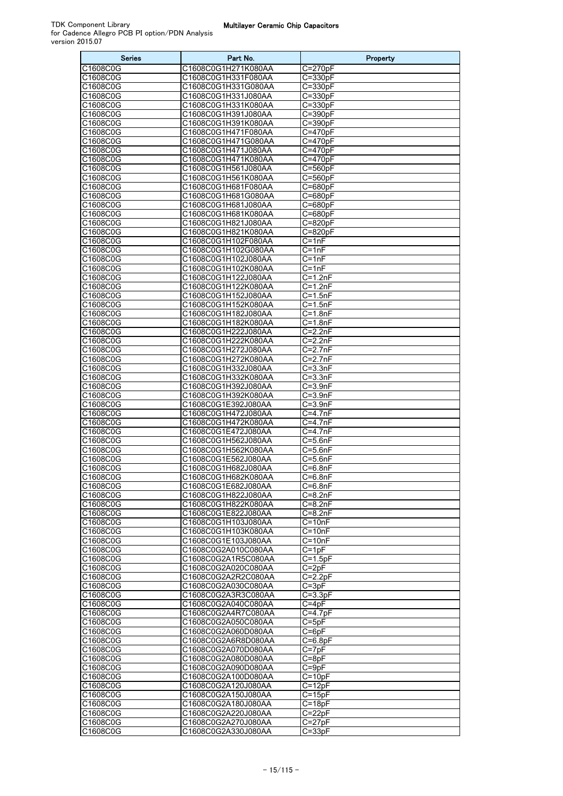| <b>Series</b>        | Part No.                                   | Property                           |
|----------------------|--------------------------------------------|------------------------------------|
| C1608C0G             | C1608C0G1H271K080AA                        | $C = 270pF$                        |
| C1608C0G             | C1608C0G1H331F080AA                        | $C = 330pF$                        |
| C1608C0G             | C1608C0G1H331G080AA                        | $C = 330pF$                        |
| C1608C0G             | C1608C0G1H331J080AA                        | C=330pF                            |
| C1608C0G<br>C1608C0G | C1608C0G1H331K080AA<br>C1608C0G1H391J080AA | C=330pF<br>$C = 390pF$             |
| C1608C0G             | C1608C0G1H391K080AA                        | $C = 390pF$                        |
| C1608C0G             | C1608C0G1H471F080AA                        | $C = 470pF$                        |
| C1608C0G             | C1608C0G1H471G080AA                        | C=470pF                            |
| C1608C0G             | C1608C0G1H471J080AA                        | C=470pF                            |
| C1608C0G             | C1608C0G1H471K080AA                        | $C = 470pF$                        |
| C1608C0G             | C1608C0G1H561J080AA                        | $C = 560pF$                        |
| C1608C0G             | C1608C0G1H561K080AA<br>C1608C0G1H681F080AA | $C = 560pF$                        |
| C1608C0G<br>C1608C0G | C1608C0G1H681G080AA                        | C=680pF<br>C=680pF                 |
| C1608C0G             | C1608C0G1H681J080AA                        | $C = 680pF$                        |
| C1608C0G             | C1608C0G1H681K080AA                        | C=680pF                            |
| C1608C0G             | C1608C0G1H821J080AA                        | C=820pF                            |
| C1608C0G             | C1608C0G1H821K080AA                        | C=820pF                            |
| C1608C0G             | C1608C0G1H102F080AA                        | $C = 1nF$                          |
| C1608C0G             | C1608C0G1H102G080AA                        | $C = 1nF$                          |
| C1608C0G             | C1608C0G1H102J080AA                        | $C = 1nF$                          |
| C1608C0G<br>C1608C0G | C1608C0G1H102K080AA<br>C1608C0G1H122J080AA | $C = 1nF$<br>$\overline{C}$ =1.2nF |
| C1608C0G             | C1608C0G1H122K080AA                        | $C = 1.2nF$                        |
| C1608C0G             | C1608C0G1H152J080AA                        | $C = 1.5nF$                        |
| C1608C0G             | C1608C0G1H152K080AA                        | $C=1.5nF$                          |
| C1608C0G             | C1608C0G1H182J080AA                        | $C = 1.8nF$                        |
| C1608C0G             | C1608C0G1H182K080AA                        | $\overline{C=1}$ .8nF              |
| C1608C0G             | C1608C0G1H222J080AA                        | C=2.2nF                            |
| C1608C0G             | C1608C0G1H222K080AA                        | $C = 2.2nF$                        |
| C1608C0G<br>C1608C0G | C1608C0G1H272J080AA<br>C1608C0G1H272K080AA | $C=2.7nF$<br>$C=2.7nF$             |
| C1608C0G             | C1608C0G1H332J080AA                        | $C = 3.3nF$                        |
| C1608C0G             | C1608C0G1H332K080AA                        | $C = 3.3nF$                        |
| C1608C0G             | C1608C0G1H392J080AA                        | $C = 3.9nF$                        |
| C1608C0G             | C1608C0G1H392K080AA                        | $C = 3.9nF$                        |
| C1608C0G             | C1608C0G1E392J080AA                        | $C = 3.9nF$                        |
| C1608C0G             | C1608C0G1H472J080AA                        | C=4.7nF                            |
| C1608C0G<br>C1608C0G | C1608C0G1H472K080AA<br>C1608C0G1E472J080AA | C=4.7nF<br>$C = 4.7nF$             |
| C1608C0G             | C1608C0G1H562J080AA                        | $C = 5.6nF$                        |
| C1608C0G             | C1608C0G1H562K080AA                        | $C = 5.6nF$                        |
| C1608C0G             | C1608C0G1E562J080AA                        | $\overline{C}$ =5.6nF              |
| C1608C0G             | C1608C0G1H682J080AA                        | $C = 6.8nF$                        |
| C1608C0G             | C1608C0G1H682K080AA                        | C=6.8nF                            |
| C1608C0G             | C1608C0G1E682J080AA                        | $C = 6.8nF$                        |
| C1608C0G             | C1608C0G1H822J080AA                        | $C = 8.2nF$                        |
| C1608C0G<br>C1608C0G | C1608C0G1H822K080AA<br>C1608C0G1E822J080AA | $C = 8.2nF$<br>$C = 8.2nF$         |
| C1608C0G             | C1608C0G1H103J080AA                        | $C = 10nF$                         |
| C1608C0G             | C1608C0G1H103K080AA                        | $C = 10nF$                         |
| C1608C0G             | C1608C0G1E103J080AA                        | $C = 10nF$                         |
| C1608C0G             | C1608C0G2A010C080AA                        | $\overline{C}$ =1pF                |
| C1608C0G             | C1608C0G2A1R5C080AA                        | $C = 1.5pF$                        |
| C1608C0G             | C1608C0G2A020C080AA                        | $C = 2pF$                          |
| C1608C0G             | C1608C0G2A2R2C080AA                        | $C = 2.2pF$                        |
| C1608C0G<br>C1608C0G | C1608C0G2A030C080AA<br>C1608C0G2A3R3C080AA | $C = 3pF$<br>$C = 3.3pF$           |
| C1608C0G             | C1608C0G2A040C080AA                        | $C = 4pF$                          |
| C1608C0G             | C1608C0G2A4R7C080AA                        | $C = 4.7pF$                        |
| C1608C0G             | C1608C0G2A050C080AA                        | $C = 5pF$                          |
| C1608C0G             | C1608C0G2A060D080AA                        | $C = 6pF$                          |
| C1608C0G             | C1608C0G2A6R8D080AA                        | $C = 6.8pF$                        |
| C1608C0G             | C1608C0G2A070D080AA                        | $C = 7pF$                          |
| C1608C0G<br>C1608C0G | C1608C0G2A080D080AA<br>C1608C0G2A090D080AA | $C = 8pF$<br>$C = 9pF$             |
| C1608C0G             | C1608C0G2A100D080AA                        | $C = 10pF$                         |
| C1608C0G             | C1608C0G2A120J080AA                        | $C = 12pF$                         |
| C1608C0G             | C1608C0G2A150J080AA                        | $C = 15pF$                         |
| C1608C0G             | C1608C0G2A180J080AA                        | C=18pF                             |
| C1608C0G             | C1608C0G2A220J080AA                        | $C = 22pF$                         |
| C1608C0G             | C1608C0G2A270J080AA                        | $C = 27pF$                         |
| C1608C0G             | C1608C0G2A330J080AA                        | $C = 33pF$                         |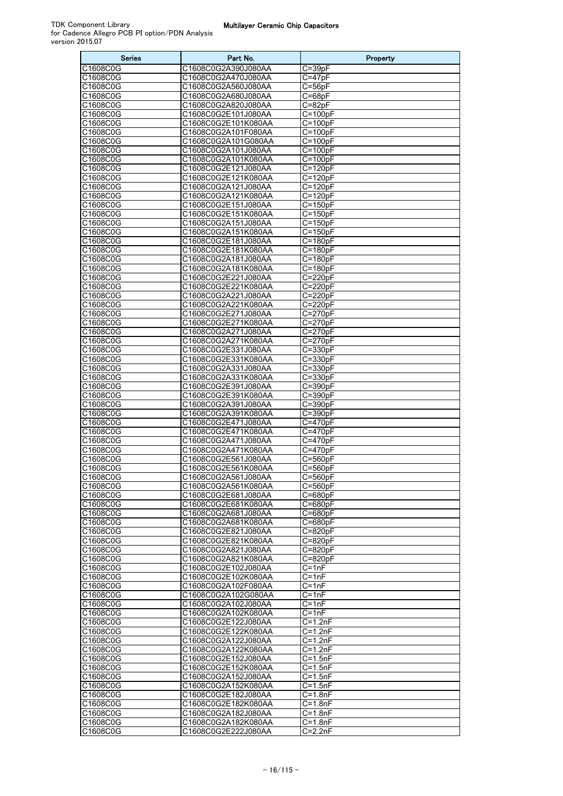| <b>Series</b>        | Part No.                                   | Property                   |
|----------------------|--------------------------------------------|----------------------------|
| C1608C0G             | C1608C0G2A390J080AA                        | C=39pF                     |
| C1608C0G             | C1608C0G2A470J080AA                        | $C = 47pF$                 |
| C1608C0G             | C1608C0G2A560J080AA                        | $C = 56pF$                 |
| C1608C0G<br>C1608C0G | C1608C0G2A680J080AA                        | $C = 68pF$                 |
| C1608C0G             | C1608C0G2A820J080AA<br>C1608C0G2E101J080AA | $C = 82pF$<br>$C = 100pF$  |
| C1608C0G             | C1608C0G2E101K080AA                        | $C = 100pF$                |
| C1608C0G             | C1608C0G2A101F080AA                        | $C = 100pF$                |
| C1608C0G             | C1608C0G2A101G080AA                        | $C = 100pF$                |
| C1608C0G             | C1608C0G2A101J080AA                        | $C = 100pF$                |
| C1608C0G             | C1608C0G2A101K080AA                        | $C = 100pF$                |
| C1608C0G             | C1608C0G2E121J080AA                        | $C = 120pF$                |
| C1608C0G             | C1608C0G2E121K080AA                        | $C = 120pF$                |
| C1608C0G             | C1608C0G2A121J080AA                        | $C = 120pF$                |
| C1608C0G<br>C1608C0G | C1608C0G2A121K080AA                        | $C = 120pF$                |
| C1608C0G             | C1608C0G2E151J080AA<br>C1608C0G2E151K080AA | $C = 150pF$<br>$C = 150pF$ |
| C1608C0G             | C1608C0G2A151J080AA                        | $C = 150pF$                |
| C1608C0G             | C1608C0G2A151K080AA                        | $C = 150pF$                |
| C1608C0G             | C1608C0G2E181J080AA                        | $C = 180pF$                |
| C1608C0G             | C1608C0G2E181K080AA                        | $C = 180pF$                |
| C1608C0G             | C1608C0G2A181J080AA                        | $C = 180pF$                |
| C1608C0G             | C1608C0G2A181K080AA                        | $C = 180pF$                |
| C1608C0G             | C1608C0G2E221J080AA                        | $C=220pF$                  |
| C1608C0G             | C1608C0G2E221K080AA                        | $C = 220pF$                |
| C1608C0G             | C1608C0G2A221J080AA                        | C=220pF                    |
| C1608C0G             | C1608C0G2A221K080AA                        | $C = 220pF$                |
| C1608C0G<br>C1608C0G | C1608C0G2E271J080AA<br>C1608C0G2E271K080AA | C=270pF<br>C=270pF         |
| C1608C0G             | C1608C0G2A271J080AA                        | $C = 270pF$                |
| C1608C0G             | C1608C0G2A271K080AA                        | C=270pF                    |
| C1608C0G             | C1608C0G2E331J080AA                        | C=330pF                    |
| C1608C0G             | C1608C0G2E331K080AA                        | $C = 330pF$                |
| C1608C0G             | C1608C0G2A331J080AA                        | C=330pF                    |
| C1608C0G             | C1608C0G2A331K080AA                        | $C = 330pF$                |
| C1608C0G             | C1608C0G2E391J080AA                        | C=390pF                    |
| C1608C0G             | C1608C0G2E391K080AA                        | C=390pF                    |
| C1608C0G             | C1608C0G2A391J080AA                        | $C = 390pF$                |
| C1608C0G             | C1608C0G2A391K080AA                        | $C = 390pF$                |
| C1608C0G<br>C1608C0G | C1608C0G2E471J080AA<br>C1608C0G2E471K080AA | $C = 470pF$<br>$C = 470pF$ |
| C1608C0G             | C1608C0G2A471J080AA                        | $C = 470pF$                |
| C1608C0G             | C1608C0G2A471K080AA                        | $C = 470pF$                |
| C1608C0G             | C1608C0G2E561J080AA                        | C=560pF                    |
| C1608C0G             | C1608C0G2E561K080AA                        | C=560pF                    |
| C1608C0G             | C1608C0G2A561J080AA                        | $C = 560pF$                |
| C1608C0G             | C1608C0G2A561K080AA                        | C=560pF                    |
| C1608C0G             | C1608C0G2E681J080AA                        | $C = 680pF$                |
| C1608C0G             | C1608C0G2E681K080AA                        | $C = 680pF$                |
| C1608C0G             | C1608C0G2A681J080AA                        | C=680pF                    |
| C1608C0G             | C1608C0G2A681K080AA                        | $C = 680pF$                |
| C1608C0G<br>C1608C0G | C1608C0G2E821J080AA<br>C1608C0G2E821K080AA | C=820pF<br>C=820pF         |
| C1608C0G             | C1608C0G2A821J080AA                        | $C = 820pF$                |
| C1608C0G             | C1608C0G2A821K080AA                        | C=820pF                    |
| C1608C0G             | C1608C0G2E102J080AA                        | $C = 1nF$                  |
| C1608C0G             | C1608C0G2E102K080AA                        | $\overline{C}$ =1nF        |
| C1608C0G             | C1608C0G2A102F080AA                        | $C = 1nF$                  |
| C1608C0G             | C1608C0G2A102G080AA                        | $C = 1nF$                  |
| C1608C0G             | C1608C0G2A102J080AA                        | C=1nF                      |
| C1608C0G             | C1608C0G2A102K080AA                        | $C = 1nF$                  |
| C1608C0G<br>C1608C0G | C1608C0G2E122J080AA                        | $C = 1.2nF$                |
| C1608C0G             | C1608C0G2E122K080AA<br>C1608C0G2A122J080AA | C=1.2nF<br>$C = 1.2nF$     |
| C1608C0G             | C1608C0G2A122K080AA                        | $C = 1.2nF$                |
| C1608C0G             | C1608C0G2E152J080AA                        | $C = 1.5nF$                |
| C1608C0G             | C1608C0G2E152K080AA                        | $\overline{C=1}.5nF$       |
| C1608C0G             | C1608C0G2A152J080AA                        | $C = 1.5nF$                |
| C1608C0G             | C1608C0G2A152K080AA                        | $\overline{C=1}.5nF$       |
| C1608C0G             | C1608C0G2E182J080AA                        | C=1.8nF                    |
| C1608C0G             | C1608C0G2E182K080AA                        | $C = 1.8nF$                |
| C1608C0G             | C1608C0G2A182J080AA                        | C=1.8nF                    |
| C1608C0G             | C1608C0G2A182K080AA                        | $C = 1.8nF$                |
| C1608C0G             | C1608C0G2E222J080AA                        | $C = 2.2nF$                |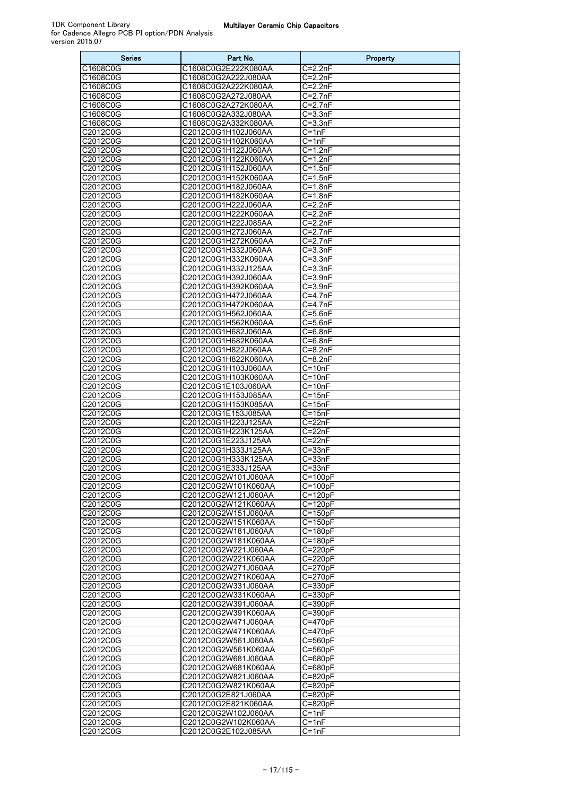| <b>Series</b>        | Part No.                                   | Property                             |
|----------------------|--------------------------------------------|--------------------------------------|
| C1608C0G             | C1608C0G2E222K080AA                        | $C = 2.2nF$                          |
| C1608C0G             | C1608C0G2A222J080AA                        | $C = 2.2nF$                          |
| C1608C0G             | C1608C0G2A222K080AA                        | C=2.2nF                              |
| C1608C0G             | C1608C0G2A272J080AA                        | $C = 2.7nF$                          |
| C1608C0G<br>C1608C0G | C1608C0G2A272K080AA<br>C1608C0G2A332J080AA | C=2.7nF<br>$C = 3.3nF$               |
| C1608C0G             | C1608C0G2A332K080AA                        | $C = 3.3nF$                          |
| C2012C0G             | C2012C0G1H102J060AA                        | $C = 1nF$                            |
| C2012C0G             | C2012C0G1H102K060AA                        | $C = 1nF$                            |
| C2012C0G             | C2012C0G1H122J060AA                        | $C = 1.2nF$                          |
| C2012C0G             | C2012C0G1H122K060AA                        | $C = 1.2nF$                          |
| C2012C0G             | C2012C0G1H152J060AA                        | $C = 1.5nF$                          |
| C2012C0G             | C2012C0G1H152K060AA                        | $C = 1.5nF$                          |
| C2012C0G             | C2012C0G1H182J060AA                        | $C = 1.8nF$                          |
| C2012C0G<br>C2012C0G | C2012C0G1H182K060AA<br>C2012C0G1H222J060AA | $C = 1.8nF$<br>$C = 2.2nF$           |
| C2012C0G             | C2012C0G1H222K060AA                        | $C = 2.2nF$                          |
| C2012C0G             | C2012C0G1H222J085AA                        | $C = 2.2nF$                          |
| C2012C0G             | C2012C0G1H272J060AA                        | $C = 2.7nF$                          |
| C2012C0G             | C2012C0G1H272K060AA                        | $C = 2.7nF$                          |
| C2012C0G             | C2012C0G1H332J060AA                        | $C = 3.3nF$                          |
| C2012C0G             | C2012C0G1H332K060AA                        | $C = 3.3nF$                          |
| C2012C0G             | C2012C0G1H332J125AA                        | $C = 3.3nF$                          |
| C2012C0G             | C2012C0G1H392J060AA                        | $C = 3.9nF$                          |
| C2012C0G             | C2012C0G1H392K060AA                        | $C = 3.9nF$                          |
| C2012C0G             | C2012C0G1H472J060AA                        | C=4.7nF                              |
| C2012C0G             | C2012C0G1H472K060AA                        | $C = 4.7nF$                          |
| C2012C0G             | C2012C0G1H562J060AA                        | $C = 5.6nF$                          |
| C2012C0G<br>C2012C0G | C2012C0G1H562K060AA<br>C2012C0G1H682J060AA | $\overline{C}$ =5.6nF<br>$C = 6.8nF$ |
| C2012C0G             | C2012C0G1H682K060AA                        | $C = 6.8nF$                          |
| C2012C0G             | C2012C0G1H822J060AA                        | $C = 8.2nF$                          |
| C2012C0G             | C2012C0G1H822K060AA                        | $C = 8.2nF$                          |
| C2012C0G             | C2012C0G1H103J060AA                        | $C = 10nF$                           |
| C2012C0G             | C2012C0G1H103K060AA                        | $C = 10nF$                           |
| C2012C0G             | C2012C0G1E103J060AA                        | $C = 10nF$                           |
| C2012C0G             | C2012C0G1H153J085AA                        | $C = 15nF$                           |
| C2012C0G             | C2012C0G1H153K085AA                        | $C = 15nF$                           |
| C2012C0G             | C2012C0G1E153J085AA                        | $C = 15nF$                           |
| C2012C0G<br>C2012C0G | C2012C0G1H223J125AA<br>C2012C0G1H223K125AA | $C = 22nF$<br>$C = 22nF$             |
| C2012C0G             | C2012C0G1E223J125AA                        | $C = 22nF$                           |
| C2012C0G             | C2012C0G1H333J125AA                        | $C = 33nF$                           |
| C2012C0G             | C2012C0G1H333K125AA                        | C=33nF                               |
| C2012C0G             | C2012C0G1E333J125AA                        | $C = 33nF$                           |
| C2012C0G             | C2012C0G2W101J060AA                        | $C = 100pF$                          |
| C2012C0G             | C2012C0G2W101K060AA                        | $C=100pF$                            |
| C2012C0G             | C2012C0G2W121J060AA                        | $C = 120pF$                          |
| C2012C0G             | C2012C0G2W121K060AA                        | $C=120pF$                            |
| C2012C0G             | C2012C0G2W151J060AA                        | $C = 150pF$                          |
| C2012C0G<br>C2012C0G | C2012C0G2W151K060AA<br>C2012C0G2W181J060AA | $C = 150pF$<br>$C = 180pF$           |
| C2012C0G             | C2012C0G2W181K060AA                        | $C = 180pF$                          |
| C2012C0G             | C2012C0G2W221J060AA                        | $C = 220pF$                          |
| C2012C0G             | C2012C0G2W221K060AA                        | $C = 220pF$                          |
| C2012C0G             | C2012C0G2W271J060AA                        | $C = 270pF$                          |
| C2012C0G             | C2012C0G2W271K060AA                        | $C = 270pF$                          |
| C2012C0G             | C2012C0G2W331J060AA                        | $C = 330pF$                          |
| C2012C0G             | C2012C0G2W331K060AA                        | $C = 330pF$                          |
| C2012C0G             | C2012C0G2W391J060AA                        | C=390pF                              |
| C2012C0G             | C2012C0G2W391K060AA                        | $C = 390pF$                          |
| C2012C0G<br>C2012C0G | C2012C0G2W471J060AA<br>C2012C0G2W471K060AA | $C = 470pF$<br>$C = 470pF$           |
| C2012C0G             | C2012C0G2W561J060AA                        | $C = 560pF$                          |
| C2012C0G             | C2012C0G2W561K060AA                        | $C = 560pF$                          |
| C2012C0G             | C2012C0G2W681J060AA                        | $C = 680pF$                          |
| C2012C0G             | C2012C0G2W681K060AA                        | $C = 680pF$                          |
| C2012C0G             | C2012C0G2W821J060AA                        | $C = 820pF$                          |
| C2012C0G             | C2012C0G2W821K060AA                        | $C = 820pF$                          |
| C2012C0G             | C2012C0G2E821J060AA                        | $C = 820pF$                          |
| C2012C0G             | C2012C0G2E821K060AA                        | C=820pF                              |
| C2012C0G             | C2012C0G2W102J060AA                        | $C = 1nF$                            |
| C2012C0G             | C2012C0G2W102K060AA                        | $C = 1nF$                            |
| C2012C0G             | C2012C0G2E102J085AA                        | $C = 1nF$                            |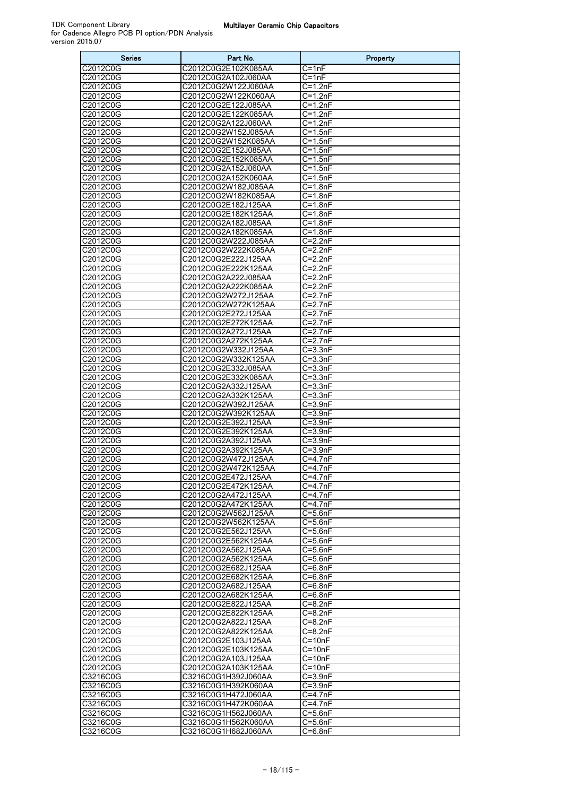| Series               | Part No.                                   | Property                   |
|----------------------|--------------------------------------------|----------------------------|
| C2012C0G             | C2012C0G2E102K085AA                        | $C = 1nF$                  |
| C2012C0G             | C2012C0G2A102J060AA                        | $C = 1nF$                  |
| C2012C0G             | C2012C0G2W122J060AA                        | $C = 1.2nF$                |
| C2012C0G             | C2012C0G2W122K060AA                        | C=1.2nF                    |
| C2012C0G             | C2012C0G2E122J085AA                        | $C = 1.2nF$                |
| C2012C0G<br>C2012C0G | C2012C0G2E122K085AA<br>C2012C0G2A122J060AA | $C = 1.2nF$<br>$C = 1.2nF$ |
| C2012C0G             | C2012C0G2W152J085AA                        | $C = 1.5nF$                |
| C2012C0G             | C2012C0G2W152K085AA                        | $C = 1.5nF$                |
| C2012C0G             | C2012C0G2E152J085AA                        | $C = 1.5nF$                |
| C2012C0G             | C2012C0G2E152K085AA                        | $C = 1.5nF$                |
| C2012C0G             | C2012C0G2A152J060AA                        | $C = 1.5nF$                |
| C2012C0G             | C2012C0G2A152K060AA                        | $C = 1.5nF$                |
| C2012C0G             | C2012C0G2W182J085AA                        | $C = 1.8nF$                |
| C2012C0G             | C2012C0G2W182K085AA                        | $C = 1.8nF$                |
| C2012C0G             | C2012C0G2E182J125AA                        | $C = 1.8nF$                |
| C2012C0G             | C2012C0G2E182K125AA                        | $C = 1.8nF$                |
| C2012C0G<br>C2012C0G | C2012C0G2A182J085AA<br>C2012C0G2A182K085AA | $C = 1.8nF$<br>$C = 1.8nF$ |
| C2012C0G             | C2012C0G2W222J085AA                        | $C=2.2nF$                  |
| C2012C0G             | C2012C0G2W222K085AA                        | $C = 2.2nF$                |
| C2012C0G             | C2012C0G2E222J125AA                        | $C = 2.2nF$                |
| C2012C0G             | C2012C0G2E222K125AA                        | $C = 2.2nF$                |
| C2012C0G             | C2012C0G2A222J085AA                        | $C = 2.2nF$                |
| C2012C0G             | C2012C0G2A222K085AA                        | $C = 2.2nF$                |
| C2012C0G             | C2012C0G2W272J125AA                        | $C = 2.7nF$                |
| C2012C0G             | C2012C0G2W272K125AA                        | $C = 2.7nF$                |
| C2012C0G<br>C2012C0G | C2012C0G2E272J125AA<br>C2012C0G2E272K125AA | $C = 2.7nF$<br>$C = 2.7nF$ |
| C2012C0G             | C2012C0G2A272J125AA                        | $C = 2.7nF$                |
| C2012C0G             | C2012C0G2A272K125AA                        | $C = 2.7nF$                |
| C2012C0G             | C2012C0G2W332J125AA                        | $C = 3.3nF$                |
| C2012C0G             | C2012C0G2W332K125AA                        | $C = 3.3nF$                |
| C2012C0G             | C2012C0G2E332J085AA                        | $C = 3.3nF$                |
| C2012C0G             | C2012C0G2E332K085AA                        | $C = 3.3nF$                |
| C2012C0G<br>C2012C0G | C2012C0G2A332J125AA<br>C2012C0G2A332K125AA | $C = 3.3nF$<br>$C = 3.3nF$ |
| C2012C0G             | C2012C0G2W392J125AA                        | $C = 3.9nF$                |
| C2012C0G             | C2012C0G2W392K125AA                        | $C = 3.9nF$                |
| C2012C0G             | C2012C0G2E392J125AA                        | $C = 3.9nF$                |
| C2012C0G             | C2012C0G2E392K125AA                        | $C = 3.9nF$                |
| C2012C0G             | C2012C0G2A392J125AA                        | $C = 3.9nF$                |
| C2012C0G             | C2012C0G2A392K125AA                        | $C = 3.9nF$                |
| C2012C0G<br>C2012C0G | C2012C0G2W472J125AA<br>C2012C0G2W472K125AA | $C = 4.7nF$<br>$C = 4.7nF$ |
| C2012C0G             | C2012C0G2E472J125AA                        | C=4.7nF                    |
| C2012C0G             | C2012C0G2E472K125AA                        | $C = 4.7nF$                |
| C2012C0G             | C2012C0G2A472J125AA                        | $C = 4.7nF$                |
| C2012C0G             | C2012C0G2A472K125AA                        | $C = 4.7nF$                |
| C2012C0G             | C2012C0G2W562J125AA                        | $C = 5.6nF$                |
| C2012C0G             | C2012C0G2W562K125AA                        | $C = 5.6nF$                |
| C2012C0G<br>C2012C0G | C2012C0G2E562J125AA<br>C2012C0G2E562K125AA | $C=5.6nF$<br>$C = 5.6nF$   |
| C2012C0G             | C2012C0G2A562J125AA                        | $C = 5.6nF$                |
| C2012C0G             | C2012C0G2A562K125AA                        | $C = 5.6nF$                |
| C2012C0G             | C2012C0G2E682J125AA                        | $C = 6.8nF$                |
| C2012C0G             | C2012C0G2E682K125AA                        | $\overline{C}$ =6.8nF      |
| C2012C0G             | C2012C0G2A682J125AA                        | $C = 6.8nF$                |
| C2012C0G             | C2012C0G2A682K125AA                        | $C = 6.8nF$                |
| C2012C0G             | C2012C0G2E822J125AA                        | C=8.2nF                    |
| C2012C0G<br>C2012C0G | C2012C0G2E822K125AA<br>C2012C0G2A822J125AA | C=8.2nF<br>$C = 8.2nF$     |
| C2012C0G             | C2012C0G2A822K125AA                        | $C = 8.2nF$                |
| C2012C0G             | C2012C0G2E103J125AA                        | $C = 10nF$                 |
| C2012C0G             | C2012C0G2E103K125AA                        | $C = 10nF$                 |
| C2012C0G             | C2012C0G2A103J125AA                        | C=10nF                     |
| C2012C0G             | C2012C0G2A103K125AA                        | $C = 10nF$                 |
| C3216C0G<br>C3216C0G | C3216C0G1H392J060AA<br>C3216C0G1H392K060AA | $C = 3.9nF$<br>$C = 3.9nF$ |
| C3216C0G             | C3216C0G1H472J060AA                        | C=4.7nF                    |
| C3216C0G             | C3216C0G1H472K060AA                        | $C = 4.7nF$                |
| C3216C0G             | C3216C0G1H562J060AA                        | $C = 5.6nF$                |
| C3216C0G             | C3216C0G1H562K060AA                        | $C = 5.6nF$                |
| C3216C0G             | C3216C0G1H682J060AA                        | $C = 6.8nF$                |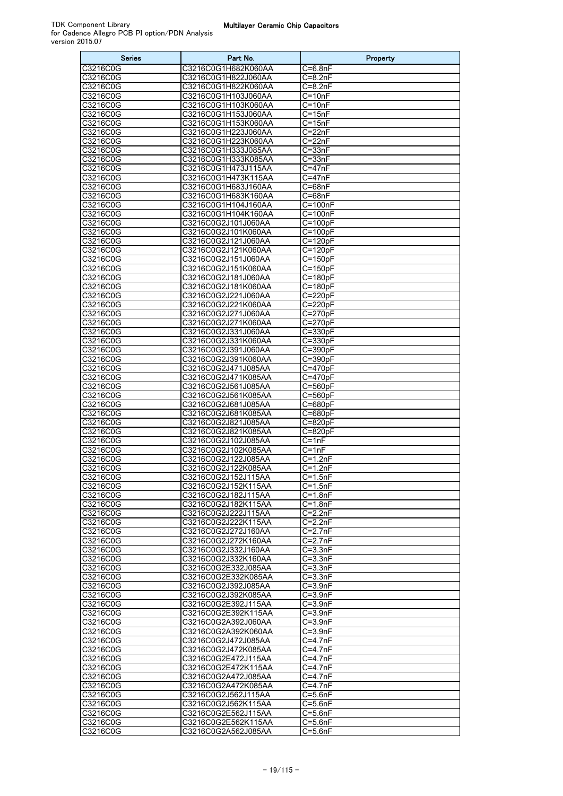| Series               | Part No.                                   | Property                           |
|----------------------|--------------------------------------------|------------------------------------|
| C3216C0G             | C3216C0G1H682K060AA                        | $C = 6.8nF$                        |
| C3216C0G             | C3216C0G1H822J060AA                        | $C = 8.2nF$                        |
| C3216C0G             | C3216C0G1H822K060AA                        | $C = 8.2nF$                        |
| C3216C0G             | C3216C0G1H103J060AA                        | $C = 10nF$                         |
| C3216C0G             | C3216C0G1H103K060AA                        | $C = 10nF$                         |
| C3216C0G<br>C3216C0G | C3216C0G1H153J060AA<br>C3216C0G1H153K060AA | $C = 15nF$<br>$C = 15nF$           |
| C3216C0G             | C3216C0G1H223J060AA                        | $C = 22nF$                         |
| C3216C0G             | C3216C0G1H223K060AA                        | $C = 22nF$                         |
| C3216C0G             | C3216C0G1H333J085AA                        | $C = 33nF$                         |
| C3216C0G             | C3216C0G1H333K085AA                        | $C = 33nF$                         |
| C3216C0G             | C3216C0G1H473J115AA                        | $C = 47nF$                         |
| C3216C0G             | C3216C0G1H473K115AA                        | $C = 47nF$                         |
| C3216C0G             | C3216C0G1H683J160AA                        | $C = 68nF$                         |
| C3216C0G             | C3216C0G1H683K160AA                        | $C = 68nF$                         |
| C3216C0G             | C3216C0G1H104J160AA                        | $C = 100nF$                        |
| C3216C0G             | C3216C0G1H104K160AA                        | $C = 100nF$                        |
| C3216C0G<br>C3216C0G | C3216C0G2J101J060AA<br>C3216C0G2J101K060AA | $C = 100pF$<br>$C=100pF$           |
| C3216C0G             | C3216C0G2J121J060AA                        | $C = 120pF$                        |
| C3216C0G             | C3216C0G2J121K060AA                        | $C = 120pF$                        |
| C3216C0G             | C3216C0G2J151J060AA                        | $C = 150pF$                        |
| C3216C0G             | C3216C0G2J151K060AA                        | $C = 150pF$                        |
| C3216C0G             | C3216C0G2J181J060AA                        | $C = 180pF$                        |
| C3216C0G             | C3216C0G2J181K060AA                        | $C = 180pF$                        |
| C3216C0G             | C3216C0G2J221J060AA                        | $C = 220pF$                        |
| C3216C0G             | C3216C0G2J221K060AA                        | $C = 220pF$                        |
| C3216C0G<br>C3216C0G | C3216C0G2J271J060AA<br>C3216C0G2J271K060AA | $C = 270pF$<br>$C = 270pF$         |
| C3216C0G             | C3216C0G2J331J060AA                        | $C = 330pF$                        |
| C3216C0G             | C3216C0G2J331K060AA                        | $C = 330pF$                        |
| C3216C0G             | C3216C0G2J391J060AA                        | $C = 390pF$                        |
| C3216C0G             | C3216C0G2J391K060AA                        | $C = 390pF$                        |
| C3216C0G             | C3216C0G2J471J085AA                        | $C = 470pF$                        |
| C3216C0G             | C3216C0G2J471K085AA                        | $C = 470pF$                        |
| C3216C0G<br>C3216C0G | C3216C0G2J561J085AA<br>C3216C0G2J561K085AA | $C = 560pF$                        |
| C3216C0G             | C3216C0G2J681J085AA                        | $C = 560pF$<br>$C = 680pF$         |
| C3216C0G             | C3216C0G2J681K085AA                        | $C = 680pF$                        |
| C3216C0G             | C3216C0G2J821J085AA                        | $C = 820pF$                        |
| C3216C0G             | C3216C0G2J821K085AA                        | $C = 820pF$                        |
| C3216C0G             | C3216C0G2J102J085AA                        | $C=1nF$                            |
| C3216C0G             | C3216C0G2J102K085AA                        | C=1nF                              |
| C3216C0G<br>C3216C0G | C3216C0G2J122J085AA<br>C3216C0G2J122K085AA | $C = 1.2nF$<br>$C = 1.2nF$         |
| C3216C0G             | C3216C0G2J152J115AA                        | $C = 1.5$ n $F$                    |
| C3216C0G             | C3216C0G2J152K115AA                        | $C=1.5nF$                          |
| C3216C0G             | C3216C0G2J182J115AA                        | $C = 1.8nF$                        |
| C3216C0G             | C3216C0G2J182K115AA                        | $C = 1.8nF$                        |
| C3216C0G             | C3216C0G2J222J115AA                        | $C = 2.2nF$                        |
| C3216C0G             | C3216C0G2J222K115AA                        | $C = 2.2nF$                        |
| C3216C0G<br>C3216C0G | C3216C0G2J272J160AA<br>C3216C0G2J272K160AA | $\overline{C}$ =2.7nF<br>$C=2.7nF$ |
| C3216C0G             | C3216C0G2J332J160AA                        | $C = 3.3nF$                        |
| C3216C0G             | C3216C0G2J332K160AA                        | $C = 3.3nF$                        |
| C3216C0G             | C3216C0G2E332J085AA                        | $C = 3.3nF$                        |
| C3216C0G             | C3216C0G2E332K085AA                        | $C = 3.3nF$                        |
| C3216C0G             | C3216C0G2J392J085AA                        | $C = 3.9nF$                        |
| C3216C0G             | C3216C0G2J392K085AA                        | $C = 3.9nF$                        |
| C3216C0G             | C3216C0G2E392J115AA                        | $C = 3.9nF$                        |
| C3216C0G<br>C3216C0G | C3216C0G2E392K115AA<br>C3216C0G2A392J060AA | $C = 3.9nF$<br>$C = 3.9nF$         |
| C3216C0G             | C3216C0G2A392K060AA                        | $C = 3.9nF$                        |
| C3216C0G             | C3216C0G2J472J085AA                        | $C=4.7nF$                          |
| C3216C0G             | C3216C0G2J472K085AA                        | $C = 4.7nF$                        |
| C3216C0G             | C3216C0G2E472J115AA                        | $C=4.7nF$                          |
| C3216C0G             | C3216C0G2E472K115AA                        | $C = 4.7nF$                        |
| C3216C0G             | C3216C0G2A472J085AA                        | $C = 4.7nF$                        |
| C3216C0G<br>C3216C0G | C3216C0G2A472K085AA<br>C3216C0G2J562J115AA | $C=4.7nF$<br>$C = 5.6nF$           |
| C3216C0G             | C3216C0G2J562K115AA                        | $C = 5.6nF$                        |
| C3216C0G             | C3216C0G2E562J115AA                        | $\overline{C}$ =5.6nF              |
| C3216C0G             | C3216C0G2E562K115AA                        | $C = 5.6nF$                        |
| C3216C0G             | C3216C0G2A562J085AA                        | $C = 5.6nF$                        |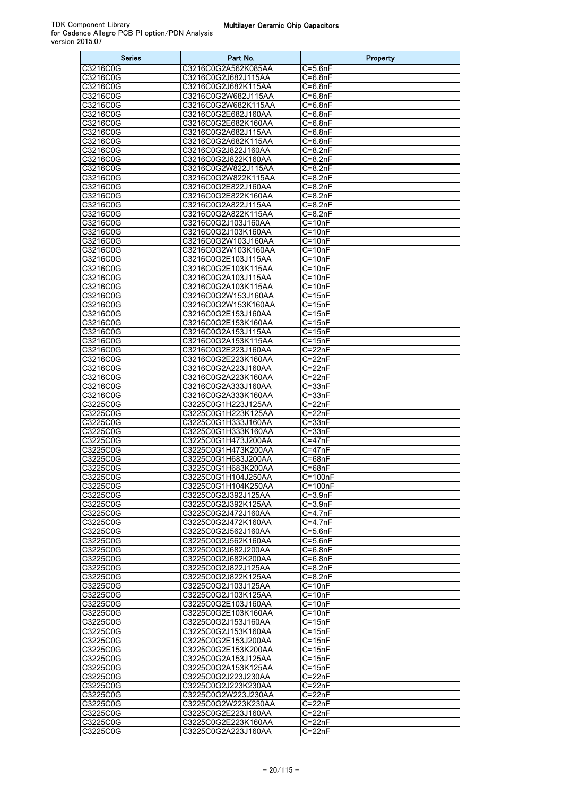| Series               | Part No.                                   | Property                           |
|----------------------|--------------------------------------------|------------------------------------|
| C3216C0G             | C3216C0G2A562K085AA                        | $C = 5.6nF$                        |
| C3216C0G             | C3216C0G2J682J115AA                        | $C = 6.8nF$                        |
| C3216C0G             | C3216C0G2J682K115AA                        | C=6.8nF                            |
| C3216C0G             | C3216C0G2W682J115AA                        | C=6.8nF                            |
| C3216C0G             | C3216C0G2W682K115AA                        | $C = 6.8nF$                        |
| C3216C0G<br>C3216C0G | C3216C0G2E682J160AA<br>C3216C0G2E682K160AA | $C = 6.8nF$<br>$C = 6.8nF$         |
| C3216C0G             | C3216C0G2A682J115AA                        | C=6.8nF                            |
| C3216C0G             | C3216C0G2A682K115AA                        | $\overline{C=6.8}$ nF              |
| C3216C0G             | C3216C0G2J822J160AA                        | $C = 8.2nF$                        |
| C3216C0G             | C3216C0G2J822K160AA                        | $C = 8.2nF$                        |
| C3216C0G             | C3216C0G2W822J115AA                        | $C = 8.2nF$                        |
| C3216C0G             | C3216C0G2W822K115AA                        | C=8.2nF                            |
| C3216C0G             | C3216C0G2E822J160AA                        | C=8.2nF                            |
| C3216C0G             | C3216C0G2E822K160AA                        | $C = 8.2nF$                        |
| C3216C0G             | C3216C0G2A822J115AA                        | $C = 8.2nF$                        |
| C3216C0G             | C3216C0G2A822K115AA                        | C=8.2nF                            |
| C3216C0G<br>C3216C0G | C3216C0G2J103J160AA<br>C3216C0G2J103K160AA | C=10nF<br>C=10nF                   |
| C3216C0G             | C3216C0G2W103J160AA                        | $C = 10nF$                         |
| C3216C0G             | C3216C0G2W103K160AA                        | $C = 10nF$                         |
| C3216C0G             | C3216C0G2E103J115AA                        | $C = 10nF$                         |
| C3216C0G             | C3216C0G2E103K115AA                        | C=10nF                             |
| C3216C0G             | C3216C0G2A103J115AA                        | C=10nF                             |
| C3216C0G             | C3216C0G2A103K115AA                        | $C = 10nF$                         |
| C3216C0G             | C3216C0G2W153J160AA                        | $C = 15nF$                         |
| C3216C0G             | C3216C0G2W153K160AA                        | $C = 15nF$                         |
| C3216C0G             | C3216C0G2E153J160AA                        | $C = 15nF$                         |
| C3216C0G<br>C3216C0G | C3216C0G2E153K160AA<br>C3216C0G2A153J115AA | $\overline{C}$ =15nF<br>$C = 15nF$ |
| C3216C0G             | C3216C0G2A153K115AA                        | $C = 15nF$                         |
| C3216C0G             | C3216C0G2E223J160AA                        | $C = 22nF$                         |
| C3216C0G             | C3216C0G2E223K160AA                        | $C = 22nF$                         |
| C3216C0G             | C3216C0G2A223J160AA                        | C=22nF                             |
| C3216C0G             | C3216C0G2A223K160AA                        | C=22nF                             |
| C3216C0G             | C3216C0G2A333J160AA                        | $C = 33nF$                         |
| C3216C0G             | C3216C0G2A333K160AA                        | $C = 33nF$                         |
| C3225C0G<br>C3225C0G | C3225C0G1H223J125AA<br>C3225C0G1H223K125AA | C=22nF<br>$C = 22nF$               |
| C3225C0G             | C3225C0G1H333J160AA                        | $C = 33nF$                         |
| C3225C0G             | C3225C0G1H333K160AA                        | $C = 33nF$                         |
| C3225C0G             | C3225C0G1H473J200AA                        | C=47nF                             |
| C3225C0G             | C3225C0G1H473K200AA                        | C=47nF                             |
| C3225C0G             | C3225C0G1H683J200AA                        | C=68nF                             |
| C3225C0G             | C3225C0G1H683K200AA                        | C=68nF                             |
| C3225C0G<br>C3225C0G | C3225C0G1H104J250AA                        | C=100NF                            |
| C3225C0G             | C3225C0G1H104K250AA<br>C3225C0G2J392J125AA | $C = 100nF$<br>C=3.9nF             |
| C3225C0G             | C3225C0G2J392K125AA                        | $C = 3.9nF$                        |
| C3225C0G             | C3225C0G2J472J160AA                        | $C = 4.7nF$                        |
| C3225C0G             | C3225C0G2J472K160AA                        | $C = 4.7nF$                        |
| C3225C0G             | C3225C0G2J562J160AA                        | $C = 5.6nF$                        |
| C3225C0G             | C3225C0G2J562K160AA                        | C=5.6nF                            |
| C3225C0G             | C3225C0G2J682J200AA                        | $C = 6.8nF$                        |
| C3225C0G             | C3225C0G2J682K200AA                        | C=6.8nF                            |
| C3225C0G<br>C3225C0G | C3225C0G2J822J125AA<br>C3225C0G2J822K125AA | C=8.2nF<br>$C = 8.2nF$             |
| C3225C0G             | C3225C0G2J103J125AA                        | C=10nF                             |
| C3225C0G             | C3225C0G2J103K125AA                        | $C = 10nF$                         |
| C3225C0G             | C3225C0G2E103J160AA                        | $C = 10nF$                         |
| C3225C0G             | C3225C0G2E103K160AA                        | C=10nF                             |
| C3225C0G             | C3225C0G2J153J160AA                        | $C = 15nF$                         |
| C3225C0G             | C3225C0G2J153K160AA                        | C=15nF                             |
| C3225C0G             | C3225C0G2E153J200AA                        | $C = 15nF$                         |
| C3225C0G             | C3225C0G2E153K200AA                        | C=15nF                             |
| C3225C0G<br>C3225C0G | C3225C0G2A153J125AA<br>C3225C0G2A153K125AA | C=15nF<br>$C = 15nF$               |
| C3225C0G             | C3225C0G2J223J230AA                        | C=22nF                             |
| C3225C0G             | C3225C0G2J223K230AA                        | $C = 22nF$                         |
| C3225C0G             | C3225C0G2W223J230AA                        | C=22nF                             |
| C3225C0G             | C3225C0G2W223K230AA                        | C=22nF                             |
| C3225C0G             | C3225C0G2E223J160AA                        | $C = 22nF$                         |
| C3225C0G             | C3225C0G2E223K160AA                        | $C = 22nF$                         |
| C3225C0G             | C3225C0G2A223J160AA                        | C=22nF                             |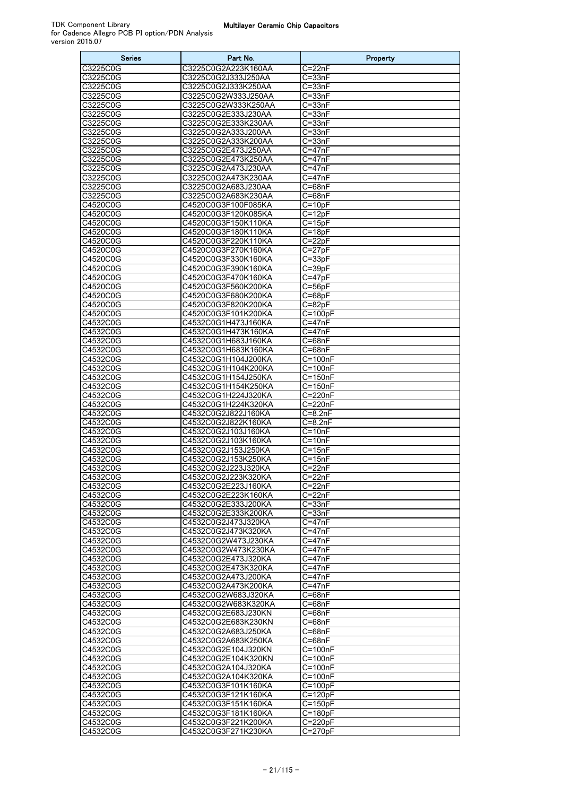| Series               | Part No.                                   | Property                   |
|----------------------|--------------------------------------------|----------------------------|
| C3225C0G             | C3225C0G2A223K160AA                        | C=22nF                     |
| C3225C0G             | C3225C0G2J333J250AA                        | $C = 33nF$                 |
| C3225C0G             | C3225C0G2J333K250AA                        | $C = 33nF$                 |
| C3225C0G             | C3225C0G2W333J250AA                        | $C = 33nF$                 |
| C3225C0G             | C3225C0G2W333K250AA                        | $C = 33nF$                 |
| C3225C0G<br>C3225C0G | C3225C0G2E333J230AA<br>C3225C0G2E333K230AA | $C = 33nF$<br>$C = 33nF$   |
| C3225C0G             | C3225C0G2A333J200AA                        | $C = 33nF$                 |
| C3225C0G             | C3225C0G2A333K200AA                        | $C = 33nF$                 |
| C3225C0G             | C3225C0G2E473J250AA                        | $C = 47nF$                 |
| C3225C0G             | C3225C0G2E473K250AA                        | $C = 47nF$                 |
| C3225C0G             | C3225C0G2A473J230AA                        | $C = 47nF$                 |
| C3225C0G             | C3225C0G2A473K230AA                        | $C = 47nF$                 |
| C3225C0G             | C3225C0G2A683J230AA                        | $C = 68nF$                 |
| C3225C0G             | C3225C0G2A683K230AA                        | $C = 68nF$                 |
| C4520C0G             | C4520C0G3F100F085KA                        | $C = 10pF$                 |
| C4520C0G             | C4520C0G3F120K085KA                        | $C = 12pF$                 |
| C4520C0G<br>C4520C0G | C4520C0G3F150K110KA<br>C4520C0G3F180K110KA | $C = 15pF$<br>$C = 18pF$   |
| C4520C0G             | C4520C0G3F220K110KA                        | $C = 22pF$                 |
| C4520C0G             | C4520C0G3F270K160KA                        | $C=27pF$                   |
| C4520C0G             | C4520C0G3F330K160KA                        | $C = 33pF$                 |
| C4520C0G             | C4520C0G3F390K160KA                        | $C = 39pF$                 |
| C4520C0G             | C4520C0G3F470K160KA                        | $C = 47pF$                 |
| C4520C0G             | C4520C0G3F560K200KA                        | $C = 56pF$                 |
| C4520C0G             | C4520C0G3F680K200KA                        | $C = 68pF$                 |
| C4520C0G             | C4520C0G3F820K200KA                        | $C = 82pF$                 |
| C4520C0G<br>C4532C0G | C4520C0G3F101K200KA<br>C4532C0G1H473J160KA | $C = 100pF$<br>$C = 47nF$  |
| C4532C0G             | C4532C0G1H473K160KA                        | $C = 47nF$                 |
| C4532C0G             | C4532C0G1H683J160KA                        | C=68nF                     |
| C4532C0G             | C4532C0G1H683K160KA                        | $\overline{C=68nF}$        |
| C4532C0G             | C4532C0G1H104J200KA                        | C=100nF                    |
| C4532C0G             | C4532C0G1H104K200KA                        | $C = 100nF$                |
| C4532C0G             | C4532C0G1H154J250KA                        | $C = 150nF$                |
| C4532C0G             | C4532C0G1H154K250KA                        | $C = 150nF$                |
| C4532C0G<br>C4532C0G | C4532C0G1H224J320KA<br>C4532C0G1H224K320KA | $C=220nF$<br>C=220nF       |
| C4532C0G             | C4532C0G2J822J160KA                        | $C = 8.2nF$                |
| C4532C0G             | C4532C0G2J822K160KA                        | $C = 8.2nF$                |
| C4532C0G             | C4532C0G2J103J160KA                        | $C = 10nF$                 |
| C4532C0G             | C4532C0G2J103K160KA                        | $C=10nF$                   |
| C4532C0G             | C4532C0G2J153J250KA                        | $C = 15nF$                 |
| C4532C0G             | C4532C0G2J153K250KA                        | $C = 15nF$                 |
| C4532C0G             | C4532C0G2J223J320KA                        | $C = 22nF$<br>$C = 22nF$   |
| C4532C0G<br>C4532C0G | C4532C0G2J223K320KA<br>C4532C0G2E223J160KA | $C = 22nF$                 |
| C4532C0G             | C4532C0G2E223K160KA                        | $C = 22nF$                 |
| C4532C0G             | C4532C0G2E333J200KA                        | $C = 33nF$                 |
| C4532C0G             | C4532C0G2E333K200KA                        | $C = 33nF$                 |
| C4532C0G             | C4532C0G2J473J320KA                        | $C = 47nF$                 |
| C4532C0G             | C4532C0G2J473K320KA                        | $C = 47nF$                 |
| C4532C0G             | C4532C0G2W473J230KA                        | $C = 47nF$                 |
| C4532C0G             | C4532C0G2W473K230KA                        | $C = 47nF$                 |
| C4532C0G             | C4532C0G2E473J320KA                        | $C = 47nF$<br>$C = 47nF$   |
| C4532C0G<br>C4532C0G | C4532C0G2E473K320KA<br>C4532C0G2A473J200KA | $C = 47nF$                 |
| C4532C0G             | C4532C0G2A473K200KA                        | $C = 47nF$                 |
| C4532C0G             | C4532C0G2W683J320KA                        | $C = 68nF$                 |
| C4532C0G             | C4532C0G2W683K320KA                        | $C = 68nF$                 |
| C4532C0G             | C4532C0G2E683J230KN                        | $C = 68nF$                 |
| C4532C0G             | C4532C0G2E683K230KN                        | $C = 68nF$                 |
| C4532C0G             | C4532C0G2A683J250KA                        | $C = 68nF$                 |
| C4532C0G             | C4532C0G2A683K250KA                        | $C = 68nF$                 |
| C4532C0G<br>C4532C0G | C4532C0G2E104J320KN<br>C4532C0G2E104K320KN | $C = 100nF$<br>$C = 100nF$ |
| C4532C0G             | C4532C0G2A104J320KA                        | $C=100nF$                  |
| C4532C0G             | C4532C0G2A104K320KA                        | $C = 100nF$                |
| C4532C0G             | C4532C0G3F101K160KA                        | $C = 100pF$                |
| C4532C0G             | C4532C0G3F121K160KA                        | $C = 120pF$                |
| C4532C0G             | C4532C0G3F151K160KA                        | $C = 150pF$                |
| C4532C0G             | C4532C0G3F181K160KA                        | $C = 180pF$                |
| C4532C0G             | C4532C0G3F221K200KA                        | $C = 220pF$                |
| C4532C0G             | C4532C0G3F271K230KA                        | $C = 270pF$                |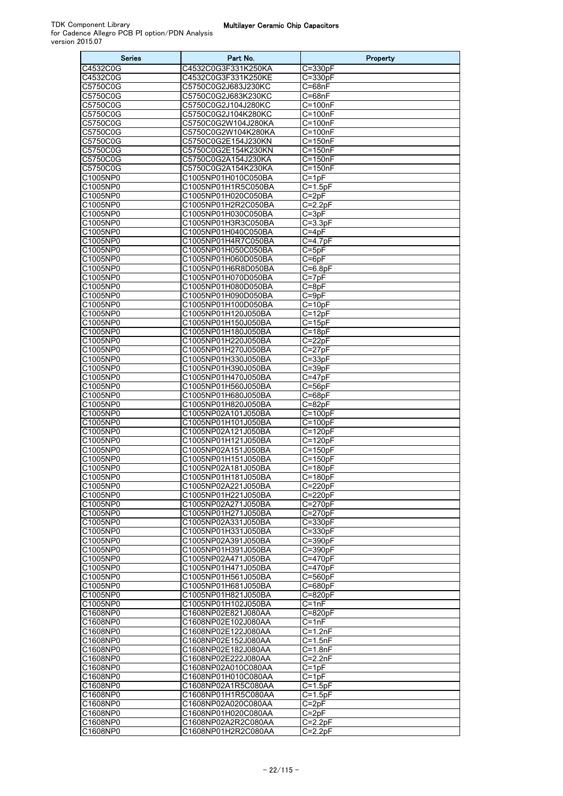| Series               | Part No.                                   | Property                   |
|----------------------|--------------------------------------------|----------------------------|
| C4532C0G             | C4532C0G3F331K250KA                        | $C = 330pF$                |
| C4532C0G             | C4532C0G3F331K250KE                        | $C = 330pF$                |
| C5750C0G             | C5750C0G2J683J230KC                        | C=68nF                     |
| C5750C0G             | C5750C0G2J683K230KC                        | C=68nF                     |
| C5750C0G             | C5750C0G2J104J280KC                        | $C = 100nF$                |
| C5750C0G             | C5750C0G2J104K280KC                        | $C = 100nF$                |
| C5750C0G             | C5750C0G2W104J280KA                        | $C = 100nF$                |
| C5750C0G             | C5750C0G2W104K280KA                        | $C = 100nF$                |
| C5750C0G             | C5750C0G2E154J230KN                        | $C = 150nF$                |
| C5750C0G<br>C5750C0G | C5750C0G2E154K230KN<br>C5750C0G2A154J230KA | $C = 150nF$<br>$C = 150nF$ |
| C5750C0G             | C5750C0G2A154K230KA                        | $C = 150nF$                |
| C1005NP0             | C1005NP01H010C050BA                        | $C = 1pF$                  |
| C1005NP0             | C1005NP01H1R5C050BA                        | $C = 1.5pF$                |
| C1005NP0             | C1005NP01H020C050BA                        | $C=2pF$                    |
| C1005NP0             | C1005NP01H2R2C050BA                        | $C = 2.2pF$                |
| C1005NP0             | C1005NP01H030C050BA                        | $C = 3pF$                  |
| C1005NP0             | C1005NP01H3R3C050BA                        | $C = 3.3pF$                |
| C1005NP0             | C1005NP01H040C050BA                        | $C = 4pF$                  |
| C1005NP0             | C1005NP01H4R7C050BA                        | $C = 4.7pF$                |
| C1005NP0             | C1005NP01H050C050BA                        | $C = 5pF$                  |
| C1005NP0             | C1005NP01H060D050BA                        | $C = 6pF$                  |
| C1005NP0             | C1005NP01H6R8D050BA                        | $C = 6.8pF$                |
| C1005NP0             | C1005NP01H070D050BA                        | $C = 7pF$                  |
| C1005NP0<br>C1005NP0 | C1005NP01H080D050BA<br>C1005NP01H090D050BA | $C = 8pF$<br>$C = 9pF$     |
| C1005NP0             | C1005NP01H100D050BA                        | $C = 10pF$                 |
| C1005NP0             | C1005NP01H120J050BA                        | $C = 12pF$                 |
| C1005NP0             | C1005NP01H150J050BA                        | $C = 15pF$                 |
| C1005NP0             | C1005NP01H180J050BA                        | $C = 18pF$                 |
| C1005NP0             | C1005NP01H220J050BA                        | $C = 22pF$                 |
| C1005NP0             | C1005NP01H270J050BA                        | $C=27pF$                   |
| C1005NP0             | C1005NP01H330J050BA                        | $C = 33pF$                 |
| C1005NP0             | C1005NP01H390J050BA                        | $C = 39pF$                 |
| C1005NP0             | C1005NP01H470J050BA                        | $C = 47pF$                 |
| C1005NP0             | C1005NP01H560J050BA                        | $C = 56pF$                 |
| C1005NP0             | C1005NP01H680J050BA                        | $C = 68pF$                 |
| C1005NP0             | C1005NP01H820J050BA                        | $C = 82pF$                 |
| C1005NP0<br>C1005NP0 | C1005NP02A101J050BA<br>C1005NP01H101J050BA | $C = 100pF$<br>$C = 100pF$ |
| C1005NP0             | C1005NP02A121J050BA                        | $C = 120pF$                |
| C1005NP0             | C1005NP01H121J050BA                        | $C = 120pF$                |
| C1005NP0             | C1005NP02A151J050BA                        | $C = 150pF$                |
| C1005NP0             | C1005NP01H151J050BA                        | $C = 150pF$                |
| C1005NP0             | C1005NP02A181J050BA                        | $C = 180pF$                |
| C1005NP0             | C1005NP01H181J050BA                        | C=180pF                    |
| C1005NP0             | C1005NP02A221J050BA                        | $C = 220pF$                |
| C1005NP0             | C1005NP01H221J050BA                        | $C = 220pF$                |
| C1005NP0             | C1005NP02A271J050BA                        | $C = 270pF$                |
| C1005NP0             | C1005NP01H271J050BA                        | $C = 270pF$                |
| C1005NP0             | C1005NP02A331J050BA                        | $C = 330pF$                |
| C1005NP0             | C1005NP01H331J050BA                        | $C = 330pF$                |
| C1005NP0<br>C1005NP0 | C1005NP02A391J050BA<br>C1005NP01H391J050BA | $C = 390pF$<br>$C = 390pF$ |
| C1005NP0             | C1005NP02A471J050BA                        | $C = 470pF$                |
| C1005NP0             | C1005NP01H471J050BA                        | $C = 470pF$                |
| C1005NP0             | C1005NP01H561J050BA                        | $C = 560pF$                |
| C1005NP0             | C1005NP01H681J050BA                        | $C = 680pF$                |
| C1005NP0             | C1005NP01H821J050BA                        | $C = 820pF$                |
| C1005NP0             | C1005NP01H102J050BA                        | $C = 1nF$                  |
| C1608NP0             | C1608NP02E821J080AA                        | $C = 820pF$                |
| C1608NP0             | C1608NP02E102J080AA                        | $C = 1nF$                  |
| C1608NP0             | C1608NP02E122J080AA                        | $C = 1.2nF$                |
| C1608NP0             | C1608NP02E152J080AA                        | $C = 1.5nF$                |
| C1608NP0             | C1608NP02E182J080AA                        | $C = 1.8nF$                |
| C1608NP0             | C1608NP02E222J080AA                        | $C = 2.2nF$                |
| C1608NP0             | C1608NP02A010C080AA                        | $C = 1pF$                  |
| C1608NP0<br>C1608NP0 | C1608NP01H010C080AA<br>C1608NP02A1R5C080AA | $C = 1pF$<br>$C=1.5pF$     |
| C1608NP0             | C1608NP01H1R5C080AA                        | $C = 1.5pF$                |
| C1608NP0             | C1608NP02A020C080AA                        | $C = 2pF$                  |
| C1608NP0             | C1608NP01H020C080AA                        | $C = 2pF$                  |
| C1608NP0             | C1608NP02A2R2C080AA                        | $C = 2.2pF$                |
| C1608NP0             | C1608NP01H2R2C080AA                        | $C = 2.2pF$                |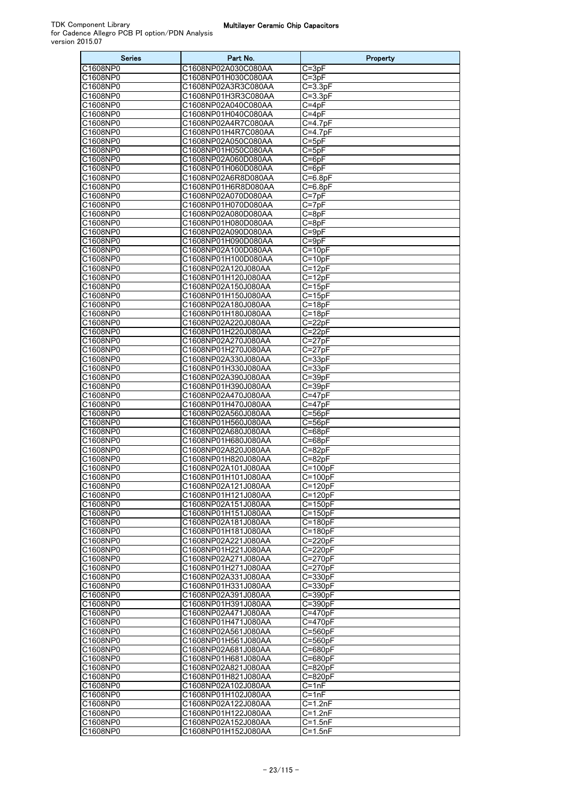| Series               | Part No.                                   | Property                    |
|----------------------|--------------------------------------------|-----------------------------|
| C1608NP0             | C1608NP02A030C080AA                        | $C = 3pF$                   |
| C1608NP0             | C1608NP01H030C080AA                        | $C = 3pF$                   |
| C1608NP0             | C1608NP02A3R3C080AA                        | $C = 3.3pF$<br>$C=3.3pF$    |
| C1608NP0<br>C1608NP0 | C1608NP01H3R3C080AA<br>C1608NP02A040C080AA | $C = 4pF$                   |
| C1608NP0             | C1608NP01H040C080AA                        | $C = 4pF$                   |
| C1608NP0             | C1608NP02A4R7C080AA                        | $C = 4.7pF$                 |
| C1608NP0             | C1608NP01H4R7C080AA                        | $C = 4.7pF$                 |
| C1608NP0             | C1608NP02A050C080AA                        | $C = 5pF$                   |
| C1608NP0             | C1608NP01H050C080AA                        | $C = 5pF$                   |
| C1608NP0<br>C1608NP0 | C1608NP02A060D080AA<br>C1608NP01H060D080AA | $C = 6pF$<br>$C = 6pF$      |
| C1608NP0             | C1608NP02A6R8D080AA                        | $C = 6.8pF$                 |
| C1608NP0             | C1608NP01H6R8D080AA                        | $C = 6.8pF$                 |
| C1608NP0             | C1608NP02A070D080AA                        | $C=7pF$                     |
| C1608NP0             | C1608NP01H070D080AA                        | $C = 7pF$                   |
| C1608NP0             | C1608NP02A080D080AA                        | $C = 8pF$                   |
| C1608NP0<br>C1608NP0 | C1608NP01H080D080AA<br>C1608NP02A090D080AA | $C = 8pF$<br>$C = 9pF$      |
| C1608NP0             | C1608NP01H090D080AA                        | $C = 9pF$                   |
| C1608NP0             | C1608NP02A100D080AA                        | $C = 10pF$                  |
| C1608NP0             | C1608NP01H100D080AA                        | $C=10pF$                    |
| C1608NP0             | C1608NP02A120J080AA                        | $C = 12pF$                  |
| C1608NP0             | C1608NP01H120J080AA                        | $C = 12pF$                  |
| C1608NP0             | C1608NP02A150J080AA                        | $C = 15pF$                  |
| C1608NP0<br>C1608NP0 | C1608NP01H150J080AA<br>C1608NP02A180J080AA | $C = 15pF$<br>$C = 18pF$    |
| C1608NP0             | C1608NP01H180J080AA                        | $C = 18pF$                  |
| C1608NP0             | C1608NP02A220J080AA                        | $C = 22pF$                  |
| C1608NP0             | C1608NP01H220J080AA                        | C=22pF                      |
| C1608NP0             | C1608NP02A270J080AA                        | C=27pF                      |
| C1608NP0             | C1608NP01H270J080AA                        | $C = 27pF$                  |
| C1608NP0<br>C1608NP0 | C1608NP02A330J080AA<br>C1608NP01H330J080AA | $C = 33pF$<br>$C = 33pF$    |
| C1608NP0             | C1608NP02A390J080AA                        | C=39pF                      |
| C1608NP0             | C1608NP01H390J080AA                        | $C = 39pF$                  |
| C1608NP0             | C1608NP02A470J080AA                        | $C = 47pF$                  |
| C1608NP0             | C1608NP01H470J080AA                        | $C = 47pF$                  |
| C1608NP0             | C1608NP02A560J080AA<br>C1608NP01H560J080AA | $C = 56pF$<br>$C = 56pF$    |
| C1608NP0<br>C1608NP0 | C1608NP02A680J080AA                        | $C = 68pF$                  |
| C1608NP0             | C1608NP01H680J080AA                        | $C = 68pF$                  |
| C1608NP0             | C1608NP02A820J080AA                        | $C = 82pF$                  |
| C1608NP0             | C1608NP01H820J080AA                        | $\overline{C=8}$ 2pF        |
| C1608NP0             | C1608NP02A101J080AA                        | $C = 100pF$                 |
| C1608NP0<br>C1608NP0 | C1608NP01H101J080AA<br>C1608NP02A121J080AA | $C = 100$ pF<br>$C = 120pF$ |
| C1608NP0             | C1608NP01H121J080AA                        | $C = 120pF$                 |
| C1608NP0             | C1608NP02A151J080AA                        | $C = 150pF$                 |
| C1608NP0             | C1608NP01H151J080AA                        | $C = 150pF$                 |
| C1608NP0             | C1608NP02A181J080AA                        | $C = 180pF$                 |
| C1608NP0             | C1608NP01H181J080AA                        | $C=180pF$                   |
| C1608NP0<br>C1608NP0 | C1608NP02A221J080AA<br>C1608NP01H221J080AA | $C = 220pF$<br>$C = 220pF$  |
| C1608NP0             | C1608NP02A271J080AA                        | C=270pF                     |
| C1608NP0             | C1608NP01H271J080AA                        | $C = 270pF$                 |
| C1608NP0             | C1608NP02A331J080AA                        | $C = 330pF$                 |
| C1608NP0             | C1608NP01H331J080AA                        | $C = 330pF$                 |
| C1608NP0<br>C1608NP0 | C1608NP02A391J080AA                        | $C = 390pF$<br>C=390pF      |
| C1608NP0             | C1608NP01H391J080AA<br>C1608NP02A471J080AA | $C = 470pF$                 |
| C1608NP0             | C1608NP01H471J080AA                        | $C = 470pF$                 |
| C1608NP0             | C1608NP02A561J080AA                        | $C = 560pF$                 |
| C1608NP0             | C1608NP01H561J080AA                        | $C = 560pF$                 |
| C1608NP0             | C1608NP02A681J080AA                        | C=680pF                     |
| C1608NP0<br>C1608NP0 | C1608NP01H681J080AA<br>C1608NP02A821J080AA | $C = 680pF$<br>$C = 820pF$  |
| C1608NP0             | C1608NP01H821J080AA                        | $C = 820pF$                 |
| C1608NP0             | C1608NP02A102J080AA                        | $C = 1nF$                   |
| C1608NP0             | C1608NP01H102J080AA                        | $C = 1nF$                   |
| C1608NP0             | C1608NP02A122J080AA                        | $C = 1.2nF$                 |
| C1608NP0             | C1608NP01H122J080AA                        | $C=1.2nF$                   |
| C1608NP0             | C1608NP02A152J080AA                        | $C = 1.5nF$                 |
| C1608NP0             | C1608NP01H152J080AA                        | $C = 1.5nF$                 |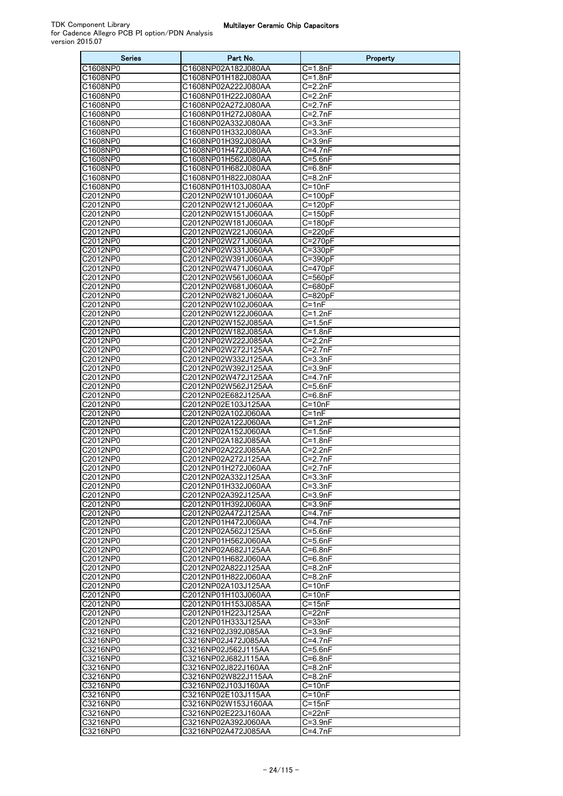| Series               | Part No.                                   | Property                   |
|----------------------|--------------------------------------------|----------------------------|
| C1608NP0             | C1608NP02A182J080AA                        | C=1.8nF                    |
| C1608NP0             | C1608NP01H182J080AA                        | C=1.8nF                    |
| C1608NP0<br>C1608NP0 | C1608NP02A222J080AA<br>C1608NP01H222J080AA | $C = 2.2nF$<br>$C = 2.2nF$ |
| C1608NP0             | C1608NP02A272J080AA                        | $C = 2.7nF$                |
| C1608NP0             | C1608NP01H272J080AA                        | C=2.7nF                    |
| C1608NP0             | C1608NP02A332J080AA                        | $C = 3.3nF$                |
| C1608NP0             | C1608NP01H332J080AA                        | $C = 3.3nF$                |
| C1608NP0             | C1608NP01H392J080AA                        | $C = 3.9nF$                |
| C1608NP0             | C1608NP01H472J080AA                        | C=4.7nF                    |
| C1608NP0<br>C1608NP0 | C1608NP01H562J080AA<br>C1608NP01H682J080AA | $C = 5.6nF$<br>C=6.8nF     |
| C1608NP0             | C1608NP01H822J080AA                        | $C = 8.2nF$                |
| C1608NP0             | C1608NP01H103J080AA                        | $C = 10nF$                 |
| C2012NP0             | C2012NP02W101J060AA                        | $C=100pF$                  |
| C2012NP0             | C2012NP02W121J060AA                        | $C = 120pF$                |
| C2012NP0             | C2012NP02W151J060AA                        | $C = 150pF$                |
| C2012NP0             | C2012NP02W181J060AA                        | $C = 180pF$                |
| C2012NP0<br>C2012NP0 | C2012NP02W221J060AA<br>C2012NP02W271J060AA | C=220pF<br>$C=270pF$       |
| C2012NP0             | C2012NP02W331J060AA                        | $C = 330pF$                |
| C2012NP0             | C2012NP02W391J060AA                        | $C = 390pF$                |
| C2012NP0             | C2012NP02W471J060AA                        | $C = 470pF$                |
| C2012NP0             | C2012NP02W561J060AA                        | C=560pF                    |
| C2012NP0             | C2012NP02W681J060AA                        | C=680pF                    |
| C2012NP0<br>C2012NP0 | C2012NP02W821J060AA<br>C2012NP02W102J060AA | C=820pF<br>C=1nF           |
| C2012NP0             | C2012NP02W122J060AA                        | C=1.2nF                    |
| C2012NP0             | C2012NP02W152J085AA                        | C=1.5nF                    |
| C2012NP0             | C2012NP02W182J085AA                        | $C = 1.8nF$                |
| C2012NP0             | C2012NP02W222J085AA                        | C=2.2nF                    |
| C2012NP0             | C2012NP02W272J125AA                        | $C = 2.7nF$                |
| C2012NP0<br>C2012NP0 | C2012NP02W332J125AA<br>C2012NP02W392J125AA | $C = 3.3nF$<br>C=3.9nF     |
| C2012NP0             | C2012NP02W472J125AA                        | $C = 4.7nF$                |
| C2012NP0             | C2012NP02W562J125AA                        | C=5.6nF                    |
| C2012NP0             | C2012NP02E682J125AA                        | $C = 6.8nF$                |
| C2012NP0             | C2012NP02E103J125AA                        | C=10nF                     |
| C2012NP0             | C2012NP02A102J060AA                        | C=1nF                      |
| C2012NP0<br>C2012NP0 | C2012NP02A122J060AA<br>C2012NP02A152J060AA | $C = 1.2nF$<br>C=1.5nF     |
| C2012NP0             | C2012NP02A182J085AA                        | $C=1.8nF$                  |
| C2012NP0             | C2012NP02A222J085AA                        | $C = 2.2nF$                |
| C2012NP0             | C2012NP02A272J125AA                        | C=2.7nF                    |
| C2012NP0             | C2012NP01H272J060AA                        | $C = 2.7nF$                |
| C2012NP0             | C2012NP02A332J125AA                        | C=3.3nF                    |
| C2012NP0<br>C2012NP0 | C2012NP01H332J060AA<br>C2012NP02A392J125AA | $C = 3.3nF$<br>$C = 3.9nF$ |
| C2012NP0             | C2012NP01H392J060AA                        | C=3.9nF                    |
| C2012NP0             | C2012NP02A472J125AA                        | $C = 4.7nF$                |
| C2012NP0             | C2012NP01H472J060AA                        | $C = 4.7nF$                |
| C2012NP0             | C2012NP02A562J125AA                        | $C = 5.6nF$                |
| C2012NP0<br>C2012NP0 | C2012NP01H562J060AA<br>C2012NP02A682J125AA | $C = 5.6nF$                |
| C2012NP0             | C2012NP01H682J060AA                        | C=6.8nF<br>$C = 6.8nF$     |
| C2012NP0             | C2012NP02A822J125AA                        | C=8.2nF                    |
| C2012NP0             | C2012NP01H822J060AA                        | $C = 8.2nF$                |
| C2012NP0             | C2012NP02A103J125AA                        | $C = 10nF$                 |
| C2012NP0             | C2012NP01H103J060AA                        | $C = 10nF$                 |
| C2012NP0<br>C2012NP0 | C2012NP01H153J085AA<br>C2012NP01H223J125AA | $C = 15nF$<br>$C = 22nF$   |
| C2012NP0             | C2012NP01H333J125AA                        | $C = 33nF$                 |
| C3216NP0             | C3216NP02J392J085AA                        | $C = 3.9nF$                |
| C3216NP0             | C3216NP02J472J085AA                        | C=4.7nF                    |
| C3216NP0             | C3216NP02J562J115AA                        | $C = 5.6nF$                |
| C3216NP0             | C3216NP02J682J115AA                        | C=6.8nF                    |
| C3216NP0<br>C3216NP0 | C3216NP02J822J160AA<br>C3216NP02W822J115AA | $C=8.2nF$<br>$C = 8.2nF$   |
| C3216NP0             | C3216NP02J103J160AA                        | C=10nF                     |
| C3216NP0             | C3216NP02E103J115AA                        | $C = 10nF$                 |
| C3216NP0             | C3216NP02W153J160AA                        | C=15nF                     |
| C3216NP0             | C3216NP02E223J160AA                        | $C=22nF$                   |
| C3216NP0             | C3216NP02A392J060AA                        | C=3.9nF                    |
| C3216NP0             | C3216NP02A472J085AA                        | $C=4.7nF$                  |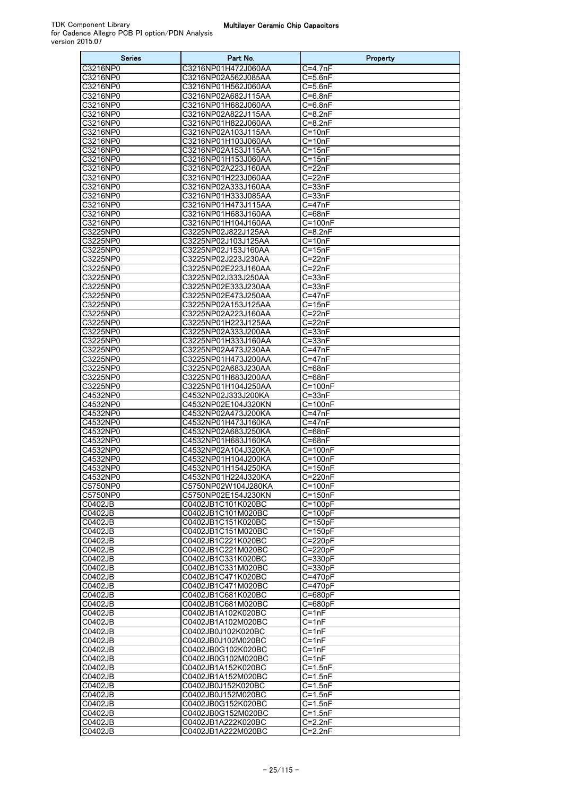| <b>Series</b>        | Part No.                                   | Property                         |
|----------------------|--------------------------------------------|----------------------------------|
| C3216NP0             | C3216NP01H472J060AA                        | C=4.7nF                          |
| C3216NP0             | C3216NP02A562J085AA                        | $C = 5.6nF$                      |
| C3216NP0             | C3216NP01H562J060AA                        | $C = 5.6nF$                      |
| C3216NP0<br>C3216NP0 | C3216NP02A682J115AA<br>C3216NP01H682J060AA | $C = 6.8nF$<br>$C = 6.8nF$       |
| C3216NP0             | C3216NP02A822J115AA                        | C=8.2nF                          |
| C3216NP0             | C3216NP01H822J060AA                        | $C = 8.2nF$                      |
| C3216NP0             | C3216NP02A103J115AA                        | $C = 10nF$                       |
| C3216NP0             | C3216NP01H103J060AA                        | $C = 10nF$                       |
| C3216NP0             | C3216NP02A153J115AA                        | $C = 15nF$                       |
| C3216NP0             | C3216NP01H153J060AA                        | $C = 15nF$                       |
| C3216NP0             | C3216NP02A223J160AA                        | $C = 22nF$                       |
| C3216NP0             | C3216NP01H223J060AA                        | $C = 22nF$                       |
| C3216NP0             | C3216NP02A333J160AA                        | $C = 33nF$                       |
| C3216NP0<br>C3216NP0 | C3216NP01H333J085AA<br>C3216NP01H473J115AA | C=33nF<br>C=47nF                 |
| C3216NP0             | C3216NP01H683J160AA                        | $C = 68nF$                       |
| C3216NP0             | C3216NP01H104J160AA                        | $C = 100nF$                      |
| C3225NP0             | C3225NP02J822J125AA                        | $C = 8.2nF$                      |
| C3225NP0             | C3225NP02J103J125AA                        | C=10nF                           |
| C3225NP0             | C3225NP02J153J160AA                        | $C = 15nF$                       |
| C3225NP0             | C3225NP02J223J230AA                        | $C = 22nF$                       |
| C3225NP0             | C3225NP02E223J160AA                        | $C = 22nF$                       |
| C3225NP0             | C3225NP02J333J250AA                        | $C = 33nF$                       |
| C3225NP0             | C3225NP02E333J230AA                        | C=33nF                           |
| C3225NP0             | C3225NP02E473J250AA                        | C=47nF                           |
| C3225NP0             | C3225NP02A153J125AA                        | $C = 15nF$                       |
| C3225NP0<br>C3225NP0 | C3225NP02A223J160AA<br>C3225NP01H223J125AA | $C = 22nF$<br>C=22nF             |
| C3225NP0             | C3225NP02A333J200AA                        | C=33nF                           |
| C3225NP0             | C3225NP01H333J160AA                        | $C = 33nF$                       |
| C3225NP0             | C3225NP02A473J230AA                        | $C = 47nF$                       |
| C3225NP0             | C3225NP01H473J200AA                        | $C = 47nF$                       |
| C3225NP0             | C3225NP02A683J230AA                        | C=68nF                           |
| C3225NP0             | C3225NP01H683J200AA                        | $C = 68nF$                       |
| C3225NP0             | C3225NP01H104J250AA                        | $C = 100nF$                      |
| C4532NP0             | C4532NP02J333J200KA                        | $C = 33nF$                       |
| C4532NP0             | C4532NP02E104J320KN                        | $C = 100nF$                      |
| C4532NP0             | C4532NP02A473J200KA                        | C=47nF                           |
| C4532NP0<br>C4532NP0 | C4532NP01H473J160KA<br>C4532NP02A683J250KA | $C = 47nF$<br>$C = 68nF$         |
| C4532NP0             | C4532NP01H683J160KA                        | $C = 68nF$                       |
| C4532NP0             | C4532NP02A104J320KA                        | C=100nF                          |
| C4532NP0             | C4532NP01H104J200KA                        | C=100nF                          |
| C4532NP0             | C4532NP01H154J250KA                        | C=150nF                          |
| C4532NP0             | C4532NP01H224J320KA                        | C=220nF                          |
| C5750NP0             | C5750NP02W104J280KA                        | C=100nF                          |
| C5750NP0             | C5750NP02E154J230KN                        | $C = 150nF$                      |
| C0402JB              | C0402JB1C101K020BC                         | $C = 100pF$                      |
| C0402JB              | C0402JB1C101M020BC                         | $C = 100pF$                      |
| C0402JB<br>C0402JB   | C0402JB1C151K020BC<br>C0402JB1C151M020BC   | $C = 150pF$<br>$C = 150pF$       |
| C0402JB              | C0402JB1C221K020BC                         | $C = 220pF$                      |
| C0402JB              | C0402JB1C221M020BC                         | $C=220pF$                        |
| C0402JB              | C0402JB1C331K020BC                         | $C = 330pF$                      |
| C0402JB              | C0402JB1C331M020BC                         | $C = 330pF$                      |
| C0402JB              | C0402JB1C471K020BC                         | $C = 470pF$                      |
| C0402JB              | C0402JB1C471M020BC                         | $C = 470pF$                      |
| C0402JB              | C0402JB1C681K020BC                         | $C = 680pF$                      |
| C0402JB              | C0402JB1C681M020BC                         | C=680pF                          |
| C0402JB              | C0402JB1A102K020BC                         | $C = 1nF$                        |
| C0402JB<br>C0402JB   | C0402JB1A102M020BC<br>C0402JB0J102K020BC   | $\overline{C}$ =1nF<br>$C = 1nF$ |
| C0402JB              | C0402JB0J102M020BC                         | $C = 1nF$                        |
| C0402JB              | C0402JB0G102K020BC                         | C=1nF                            |
| C0402JB              | C0402JB0G102M020BC                         | $C = 1nF$                        |
| C0402JB              | C0402JB1A152K020BC                         | $C = 1.5nF$                      |
| C0402JB              | C0402JB1A152M020BC                         | $C = 1.5nF$                      |
| C0402JB              | C0402JB0J152K020BC                         | $\overline{C=1}.5nF$             |
| C0402JB              | C0402JB0J152M020BC                         | $C = 1.5nF$                      |
| C0402JB              | C0402JB0G152K020BC                         | $C = 1.5nF$                      |
| C0402JB              | C0402JB0G152M020BC                         | $C = 1.5nF$                      |
| C0402JB              | C0402JB1A222K020BC                         | $C = 2.2nF$                      |
| C0402JB              | C0402JB1A222M020BC                         | $C = 2.2nF$                      |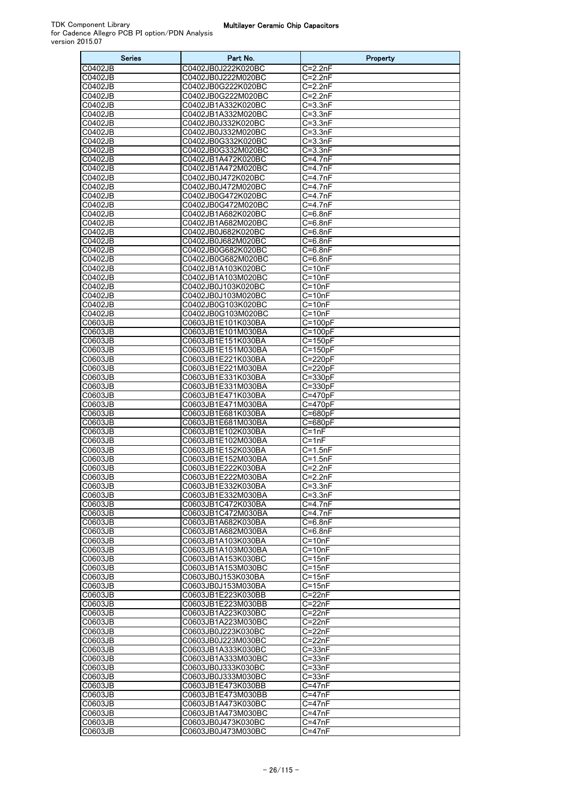| <b>Series</b>      | Part No.                                 | Property                         |
|--------------------|------------------------------------------|----------------------------------|
| C0402JB            | C0402JB0J222K020BC                       | $C = 2.2nF$                      |
| C0402JB            | C0402JB0J222M020BC                       | $C = 2.2nF$                      |
| C0402JB            | C0402JB0G222K020BC                       | $\overline{C}$ =2.2nF            |
| C0402JB            | C0402JB0G222M020BC                       | $C = 2.2nF$                      |
| C0402JB            | C0402JB1A332K020BC                       | $C = 3.3nF$                      |
| C0402JB<br>C0402JB | C0402JB1A332M020BC<br>C0402JB0J332K020BC | $C = 3.3nF$<br>$C = 3.3nF$       |
| C0402JB            | C0402JB0J332M020BC                       | $\overline{C}$ =3.3nF            |
| C0402JB            | C0402JB0G332K020BC                       | $C = 3.3nF$                      |
| C0402JB            | C0402JB0G332M020BC                       | $C = 3.3nF$                      |
| C0402JB            | C0402JB1A472K020BC                       | C=4.7nF                          |
| C0402JB            | C0402JB1A472M020BC                       | $C = 4.7nF$                      |
| C0402JB            | C0402JB0J472K020BC                       | $\overline{C}$ =4.7nF            |
| C0402JB            | C0402JB0J472M020BC                       | C=4.7nF                          |
| C0402JB            | C0402JB0G472K020BC                       | C=4.7nF                          |
| C0402JB<br>C0402JB | C0402JB0G472M020BC<br>C0402JB1A682K020BC | C=4.7nF<br>$C = 6.8nF$           |
| C0402JB            | C0402JB1A682M020BC                       | C=6.8nF                          |
| C0402JB            | C0402JB0J682K020BC                       | $C = 6.8nF$                      |
| C0402JB            | C0402JB0J682M020BC                       | C=6.8nF                          |
| C0402JB            | C0402JB0G682K020BC                       | $C = 6.8nF$                      |
| C0402JB            | C0402JB0G682M020BC                       | $C = 6.8nF$                      |
| C0402JB            | C0402JB1A103K020BC                       | $C = 10nF$                       |
| C0402JB            | C0402JB1A103M020BC                       | $C = 10nF$                       |
| C0402JB            | C0402JB0J103K020BC                       | $C = 10nF$                       |
| C0402JB            | C0402JB0J103M020BC                       | $C = 10nF$                       |
| C0402JB            | C0402JB0G103K020BC                       | $C = 10nF$                       |
| C0402JB            | C0402JB0G103M020BC                       | $C = 10nF$                       |
| C0603JB<br>C0603JB | C0603JB1E101K030BA<br>C0603JB1E101M030BA | $C = 100pF$<br>$C = 100pF$       |
| C0603JB            | C0603JB1E151K030BA                       | $C = 150pF$                      |
| C0603JB            | C0603JB1E151M030BA                       | $C = 150pF$                      |
| C0603JB            | C0603JB1E221K030BA                       | $C = 220pF$                      |
| C0603JB            | C0603JB1E221M030BA                       | $C = 220pF$                      |
| C0603JB            | C0603JB1E331K030BA                       | C=330pF                          |
| C0603JB            | C0603JB1E331M030BA                       | C=330pF                          |
| C0603JB            | C0603JB1E471K030BA                       | $C = 470pF$                      |
| C0603JB            | C0603JB1E471M030BA                       | $C = 470pF$                      |
| C0603JB            | C0603JB1E681K030BA                       | C=680pF                          |
| C0603JB            | C0603JB1E681M030BA                       | $C = 680pF$                      |
| C0603JB<br>C0603JB | C0603JB1E102K030BA<br>C0603JB1E102M030BA | C=1nF<br>$C = 1nF$               |
| C0603JB            | C0603JB1E152K030BA                       | $C = 1.5nF$                      |
| C0603JB            | C0603JB1E152M030BA                       | $C = 1.5nF$                      |
| C0603JB            | C0603JB1E222K030BA                       | $C = 2.2nF$                      |
| <b>CORO3JR</b>     | C0603JB1E222M030BA                       | C=2.2nF                          |
| C0603JB            | C0603JB1E332K030BA                       | $C = 3.3nF$                      |
| C0603JB            | C0603JB1E332M030BA                       | $C = 3.3nF$                      |
| C0603JB            | C0603JB1C472K030BA                       | C=4.7nF                          |
| C0603JB            | C0603JB1C472M030BA                       | C=4.7nF                          |
| C0603JB<br>C0603JB | C0603JB1A682K030BA<br>C0603JB1A682M030BA | C=6.8nF<br>$\overline{C}$ =6.8nF |
| C0603JB            | C0603JB1A103K030BA                       | $C = 10nF$                       |
| C0603JB            | C0603JB1A103M030BA                       | $C = 10nF$                       |
| C0603JB            | C0603JB1A153K030BC                       | $C = 15nF$                       |
| C0603JB            | C0603JB1A153M030BC                       | $C = 15nF$                       |
| C0603JB            | C0603JB0J153K030BA                       | $C = 15nF$                       |
| C0603JB            | C0603JB0J153M030BA                       | $C = 15nF$                       |
| C0603JB            | C0603JB1E223K030BB                       | $C = 22nF$                       |
| C0603JB            | C0603JB1E223M030BB                       | $C = 22nF$                       |
| C0603JB            | C0603JB1A223K030BC                       | C=22nF                           |
| C0603JB            | C0603JB1A223M030BC                       | $C = 22nF$                       |
| C0603JB<br>C0603JB | C0603JB0J223K030BC<br>C0603JB0J223M030BC | $C = 22nF$<br>$C = 22nF$         |
| C0603JB            | C0603JB1A333K030BC                       | C=33nF                           |
| C0603JB            | C0603JB1A333M030BC                       | $C = 33nF$                       |
| C0603JB            | C0603JB0J333K030BC                       | $C = 33nF$                       |
| C0603JB            | C0603JB0J333M030BC                       | $C = 33nF$                       |
| C0603JB            | C0603JB1E473K030BB                       | $C = 47nF$                       |
| C0603JB            | C0603JB1E473M030BB                       | $C = 47nF$                       |
| C0603JB            | C0603JB1A473K030BC                       | C=47nF                           |
| C0603JB            | C0603JB1A473M030BC                       | $C = 47nF$                       |
| C0603JB            | C0603JB0J473K030BC                       | C=47nF                           |
| C0603JB            | C0603JB0J473M030BC                       | C=47nF                           |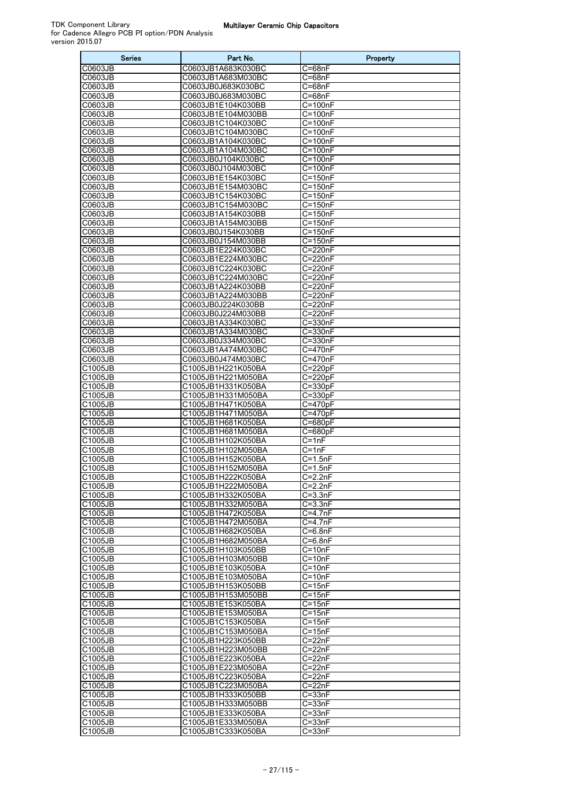| <b>Series</b>      | Part No.                                 | Property                   |
|--------------------|------------------------------------------|----------------------------|
| C0603JB            | C0603JB1A683K030BC                       | $C = 68nF$                 |
| C0603JB            | C0603JB1A683M030BC                       | $C = 68nF$                 |
| C0603JB            | C0603JB0J683K030BC                       | $C = 68nF$                 |
| C0603JB            | C0603JB0J683M030BC                       | $C = 68nF$                 |
| C0603JB            | C0603JB1E104K030BB                       | $C = 100nF$                |
| C0603JB<br>C0603JB | C0603JB1E104M030BB<br>C0603JB1C104K030BC | $C = 100nF$<br>C=100nF     |
| C0603JB            | C0603JB1C104M030BC                       | C=100nF                    |
| C0603JB            | C0603JB1A104K030BC                       | $C = 100nF$                |
| C0603JB            | C0603JB1A104M030BC                       | $C=100nF$                  |
| C0603JB            | C0603JB0J104K030BC                       | $C = 100nF$                |
| C0603JB            | C0603JB0J104M030BC                       | C=100nF                    |
| C0603JB            | C0603JB1E154K030BC                       | $C = 150nF$                |
| C0603JB            | C0603JB1E154M030BC                       | $C=150nF$                  |
| C0603JB            | C0603JB1C154K030BC                       | $C = 150nF$                |
| C0603JB<br>C0603JB | C0603JB1C154M030BC<br>C0603JB1A154K030BB | $C = 150nF$<br>$C = 150nF$ |
| C0603JB            | C0603JB1A154M030BB                       | $C = 150nF$                |
| C0603JB            | C0603JB0J154K030BB                       | $C = 150nF$                |
| C0603JB            | C0603JB0J154M030BB                       | $C = 150nF$                |
| C0603JB            | C0603JB1E224K030BC                       | C=220nF                    |
| C0603JB            | C0603JB1E224M030BC                       | C=220nF                    |
| C0603JB            | C0603JB1C224K030BC                       | C=220nF                    |
| C0603JB            | C0603JB1C224M030BC                       | C=220nF                    |
| C0603JB            | C0603JB1A224K030BB                       | C=220nF                    |
| C0603JB<br>C0603JB | C0603JB1A224M030BB<br>C0603JB0J224K030BB | C=220nF<br>C=220nF         |
| C0603JB            | C0603JB0J224M030BB                       | C=220nF                    |
| C0603JB            | C0603JB1A334K030BC                       | C=330nF                    |
| C0603JB            | C0603JB1A334M030BC                       | C=330nF                    |
| C0603JB            | C0603JB0J334M030BC                       | C=330nF                    |
| C0603JB            | C0603JB1A474M030BC                       | C=470nF                    |
| C0603JB            | C0603JB0J474M030BC                       | C=470nF                    |
| C1005JB            | C1005JB1H221K050BA                       | $C = 220pF$                |
| C1005JB            | C1005JB1H221M050BA                       | $C = 220pF$                |
| C1005JB<br>C1005JB | C1005JB1H331K050BA<br>C1005JB1H331M050BA | C=330pF                    |
| C1005JB            | C1005JB1H471K050BA                       | $C = 330pF$<br>$C = 470pF$ |
| C1005JB            | C1005JB1H471M050BA                       | $C = 470pF$                |
| C1005JB            | C1005JB1H681K050BA                       | $C = 680pF$                |
| C1005JB            | C1005JB1H681M050BA                       | C=680pF                    |
| C1005JB            | C1005JB1H102K050BA                       | $C = 1nF$                  |
| C1005JB            | C1005JB1H102M050BA                       | $C = 1nF$                  |
| C1005JB            | C1005JB1H152K050BA                       | $C=1.5nF$                  |
| C1005JB<br>C1005JB | C1005JB1H152M050BA                       | $C=1.5nF$                  |
| C1005JB            | C1005JB1H222K050BA<br>C1005JB1H222M050BA | $C = 2.2nF$<br>$C = 2.2nF$ |
| C1005JB            | C1005JB1H332K050BA                       | $C = 3.3nF$                |
| C1005JB            | C1005JB1H332M050BA                       | $\overline{C=3}.3nF$       |
| C1005JB            | C1005JB1H472K050BA                       | $C = 4.7nF$                |
| C1005JB            | C1005JB1H472M050BA                       | $C = 4.7nF$                |
| C1005JB            | C1005JB1H682K050BA                       | $C = 6.8nF$                |
| C1005JB            | C1005JB1H682M050BA                       | $C = 6.8nF$                |
| C1005JB            | C1005JB1H103K050BB                       | $C = 10nF$                 |
| C1005JB            | C1005JB1H103M050BB                       | $C = 10nF$                 |
| C1005JB<br>C1005JB | C1005JB1E103K050BA<br>C1005JB1E103M050BA | $C = 10nF$<br>$C = 10nF$   |
| C1005JB            | C1005JB1H153K050BB                       | $C = 15nF$                 |
| C1005JB            | C1005JB1H153M050BB                       | $C = 15nF$                 |
| C1005JB            | C1005JB1E153K050BA                       | $C = 15nF$                 |
| C1005JB            | C1005JB1E153M050BA                       | $C = 15nF$                 |
| C1005JB            | C1005JB1C153K050BA                       | $C = 15nF$                 |
| C1005JB            | C1005JB1C153M050BA                       | $C = 15nF$                 |
| C1005JB            | C1005JB1H223K050BB                       | $C = 22nF$                 |
| C1005JB            | C1005JB1H223M050BB                       | $C = 22nF$                 |
| C1005JB            | C1005JB1E223K050BA<br>C1005JB1E223M050BA | $C = 22nF$                 |
| C1005JB<br>C1005JB | C1005JB1C223K050BA                       | $C = 22nF$<br>$C = 22nF$   |
| C1005JB            | C1005JB1C223M050BA                       | $C = 22nF$                 |
| C1005JB            | C1005JB1H333K050BB                       | $C = 33nF$                 |
| C1005JB            | C1005JB1H333M050BB                       | $C = 33nF$                 |
| C1005JB            | C1005JB1E333K050BA                       | $C = 33nF$                 |
| C1005JB            | C1005JB1E333M050BA                       | $C = 33nF$                 |
| C1005JB            | C1005JB1C333K050BA                       | $C = 33nF$                 |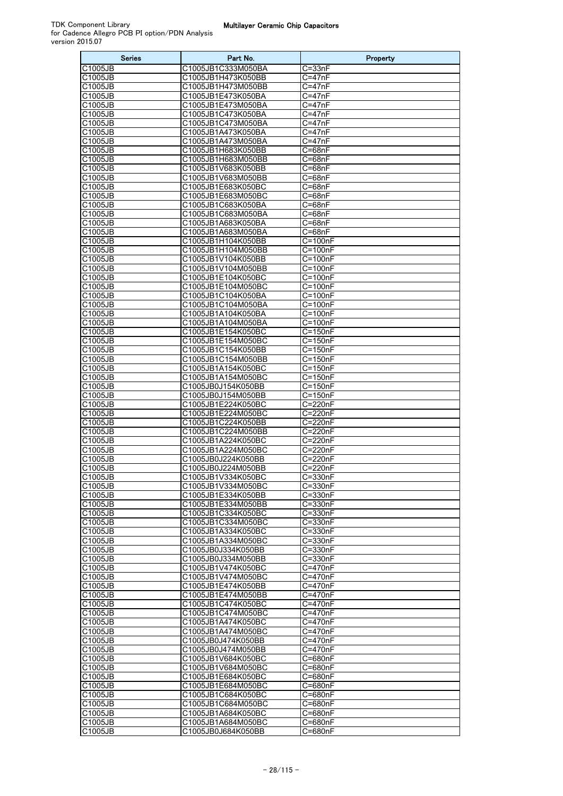| <b>Series</b>         | Part No.                                 | Property                           |
|-----------------------|------------------------------------------|------------------------------------|
| C1005JB               | C1005JB1C333M050BA                       | C=33nF                             |
| C1005JB               | C1005JB1H473K050BB                       | C=47nF                             |
| C1005JB               | C1005JB1H473M050BB                       | $C = 47nF$                         |
| C1005JB<br>C1005JB    | C1005JB1E473K050BA<br>C1005JB1E473M050BA | C=47nF<br>C=47nF                   |
| C1005JB               | C1005JB1C473K050BA                       | C=47nF                             |
| C1005JB               | C1005JB1C473M050BA                       | $C = 47nF$                         |
| $\overline{C1005JB}$  | C1005JB1A473K050BA                       | $C = 47nF$                         |
| C1005JB               | C1005JB1A473M050BA                       | C=47nF                             |
| C1005JB               | C1005JB1H683K050BB                       | $C = 68nF$                         |
| C1005JB               | C1005JB1H683M050BB                       | C=68nF                             |
| C1005JB<br>C1005JB    | C1005JB1V683K050BB<br>C1005JB1V683M050BB | $C = 68nF$<br>$C = 68nF$           |
| C1005JB               | C1005JB1E683K050BC                       | C=68nF                             |
| C1005JB               | C1005JB1E683M050BC                       | $C = 68nF$                         |
| C1005JB               | C1005JB1C683K050BA                       | C=68nF                             |
| C1005JB               | C1005JB1C683M050BA                       | $C = 68nF$                         |
| C1005JB               | C1005JB1A683K050BA                       | C=68nF                             |
| C1005JB               | C1005JB1A683M050BA                       | C=68nF                             |
| C1005JB               | C1005JB1H104K050BB<br>C1005JB1H104M050BB | $C = 100nF$<br>$C = 100nF$         |
| C1005JB<br>C1005JB    | C1005JB1V104K050BB                       | C=100nF                            |
| C1005JB               | C1005JB1V104M050BB                       | $C = 100nF$                        |
| C1005JB               | C1005JB1E104K050BC                       | C=100nF                            |
| C1005JB               | C1005JB1E104M050BC                       | $C = 100nF$                        |
| C1005JB               | C1005JB1C104K050BA                       | $C = 100nF$                        |
| C1005JB               | C1005JB1C104M050BA                       | C=100nF                            |
| C1005JB               | C1005JB1A104K050BA                       | $C=100nF$                          |
| C1005JB<br>C1005JB    | C1005JB1A104M050BA<br>C1005JB1E154K050BC | $C = 100nF$<br>$C = 150nF$         |
| C1005JB               | C1005JB1E154M050BC                       | $C = 150nF$                        |
| C1005JB               | C1005JB1C154K050BB                       | $\overline{C=150nF}$               |
| $\overline{C1005}$ JB | C1005JB1C154M050BB                       | $C = 150nF$                        |
| C1005JB               | C1005JB1A154K050BC                       | C=150nF                            |
| C1005JB               | C1005JB1A154M050BC                       | $C = 150nF$                        |
| C1005JB               | C1005JB0J154K050BB                       | $C = 150nF$                        |
| C1005JB<br>C1005JB    | C1005JB0J154M050BB<br>C1005JB1E224K050BC | $\overline{C=150n}$ F<br>$C=220nF$ |
| C1005JB               | C1005JB1E224M050BC                       | C=220nF                            |
| C1005JB               | C1005JB1C224K050BB                       | C=220nF                            |
| C1005JB               | C1005JB1C224M050BB                       | C=220nF                            |
| C1005JB               | C1005JB1A224K050BC                       | C=220nF                            |
| C1005JB               | C1005JB1A224M050BC                       | $C=220nF$                          |
| C1005JB               | C1005JB0J224K050BB                       | C=220nF                            |
| C1005JB<br>C1005JB    | C1005JB0J224M050BB<br>C1005JB1V334K050BC | C=220nF<br>$C = 330nF$             |
| C1005JB               | C1005JB1V334M050BC                       | $C = 330nF$                        |
| C1005JB               | C1005JB1E334K050BB                       | C=330nF                            |
| C1005JB               | C1005JB1E334M050BB                       | C=330nF                            |
| C1005JB               | C1005JB1C334K050BC                       | C=330nF                            |
| C1005JB               | C1005JB1C334M050BC                       | C=330nF                            |
| C1005JB               | C1005JB1A334K050BC                       | C=330nF                            |
| C1005JB<br>C1005JB    | C1005JB1A334M050BC<br>C1005JB0J334K050BB | C=330nF<br>C=330nF                 |
| C1005JB               | C1005JB0J334M050BB                       | C=330nF                            |
| C1005JB               | C1005JB1V474K050BC                       | $C = 470nF$                        |
| C1005JB               | C1005JB1V474M050BC                       | C=470nF                            |
| C1005JB               | C1005JB1E474K050BB                       | C=470nF                            |
| C1005JB               | C1005JB1E474M050BB                       | C=470nF                            |
| C1005JB               | C1005JB1C474K050BC                       | C=470nF                            |
| C1005JB<br>C1005JB    | C1005JB1C474M050BC<br>C1005JB1A474K050BC | C=470nF<br>C=470nF                 |
| C1005JB               | C1005JB1A474M050BC                       | C=470nF                            |
| C1005JB               | C1005JB0J474K050BB                       | C=470nF                            |
| C1005JB               | C1005JB0J474M050BB                       | C=470nF                            |
| C1005JB               | C1005JB1V684K050BC                       | C=680nF                            |
| C1005JB               | C1005JB1V684M050BC                       | C=680nF                            |
| C1005JB               | C1005JB1E684K050BC                       | C=680nF                            |
| C1005JB<br>C1005JB    | C1005JB1E684M050BC<br>C1005JB1C684K050BC | C=680nF<br>C=680nF                 |
| C1005JB               | C1005JB1C684M050BC                       | C=680nF                            |
| C1005JB               | C1005JB1A684K050BC                       | C=680nF                            |
| C1005JB               | C1005JB1A684M050BC                       | C=680nF                            |
| C1005JB               | C1005JB0J684K050BB                       | C=680nF                            |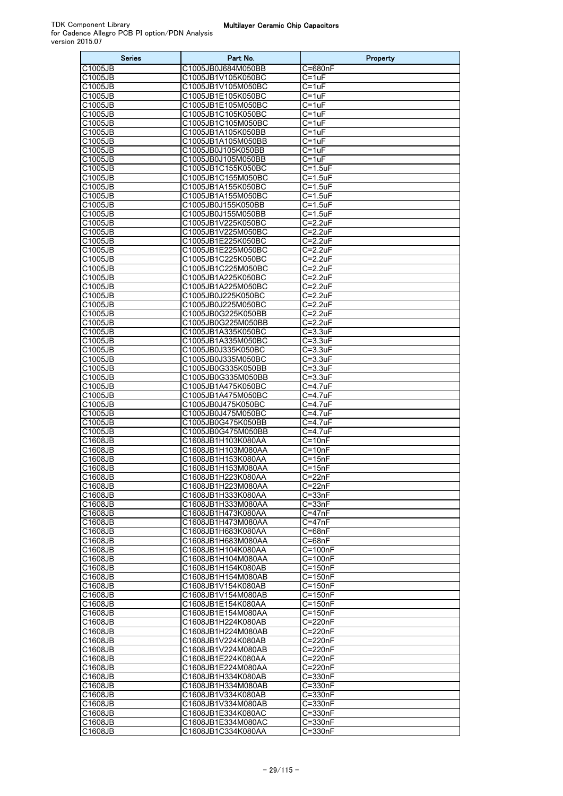| <b>Series</b>                    | Part No.                                 | Property                         |
|----------------------------------|------------------------------------------|----------------------------------|
| C1005JB                          | C1005JB0J684M050BB                       | C=680nF                          |
| C1005JB                          | C1005JB1V105K050BC                       | $C = 1uF$                        |
| C1005JB                          | C1005JB1V105M050BC                       | $C = 1uF$                        |
| C1005JB                          | C1005JB1E105K050BC<br>C1005JB1E105M050BC | $C = 1uF$                        |
| C1005JB<br>C1005JB               | C1005JB1C105K050BC                       | $C = 1uF$<br>$C = 1uF$           |
| C1005JB                          | C1005JB1C105M050BC                       | $C = 1$ uF                       |
| C1005JB                          | C1005JB1A105K050BB                       | $C = 1uF$                        |
| C1005JB                          | C1005JB1A105M050BB                       | $C = 1uF$                        |
| C1005JB                          | C1005JB0J105K050BB                       | $C = 1uF$                        |
| C1005JB                          | C1005JB0J105M050BB                       | $C = 1uF$                        |
| C1005JB<br>C1005JB               | C1005JB1C155K050BC                       | $C = 1.5$ uF                     |
| C1005JB                          | C1005JB1C155M050BC<br>C1005JB1A155K050BC | $C = 1.5$ uF<br>$C = 1.5$ uF     |
| C1005JB                          | C1005JB1A155M050BC                       | $C = 1.5$ uF                     |
| C1005JB                          | C1005JB0J155K050BB                       | $C = 1.5$ uF                     |
| C1005JB                          | C1005JB0J155M050BB                       | $C = 1.5uF$                      |
| C1005JB                          | C1005JB1V225K050BC                       | $C = 2.2uF$                      |
| C1005JB                          | C1005JB1V225M050BC                       | $C = 2.2uF$                      |
| C1005JB<br>C1005JB               | C1005JB1E225K050BC<br>C1005JB1E225M050BC | $C = 2.2uF$<br>$C = 2.2uF$       |
| C1005JB                          | C1005JB1C225K050BC                       | $C = 2.2uF$                      |
| C1005JB                          | C1005JB1C225M050BC                       | $C = 2.2uF$                      |
| C1005JB                          | C1005JB1A225K050BC                       | $C = 2.2uF$                      |
| C1005JB                          | C1005JB1A225M050BC                       | $C = 2.2uF$                      |
| C1005JB                          | C1005JB0J225K050BC                       | $C = 2.2uF$                      |
| C1005JB                          | C1005JB0J225M050BC                       | $C = 2.2uF$                      |
| C1005JB<br>C1005JB               | C1005JB0G225K050BB<br>C1005JB0G225M050BB | $C = 2.2uF$<br>$C = 2.2uF$       |
| C1005JB                          | C1005JB1A335K050BC                       | $C = 3.3uF$                      |
| C1005JB                          | C1005JB1A335M050BC                       | $C = 3.3uF$                      |
| C1005JB                          | C1005JB0J335K050BC                       | $C = 3.3uF$                      |
| C1005JB                          | C1005JB0J335M050BC                       | $C = 3.3uF$                      |
| C1005JB                          | C1005JB0G335K050BB                       | $C = 3.3uF$                      |
| C1005JB                          | C1005JB0G335M050BB                       | $C = 3.3uF$                      |
| C1005JB<br>C1005JB               | C1005JB1A475K050BC<br>C1005JB1A475M050BC | $C = 4.7uF$<br>$C = 4.7uF$       |
| C1005JB                          | C1005JB0J475K050BC                       | $C = 4.7$ uF                     |
| C1005JB                          | C1005JB0J475M050BC                       | $C = 4.7uF$                      |
| C1005JB                          | C1005JB0G475K050BB                       | $C = 4.7uF$                      |
| C1005JB                          | C1005JB0G475M050BB                       | $C = 4.7uF$                      |
| C1608JB                          | C1608JB1H103K080AA                       | $C = 10nF$<br>$C = 10nF$         |
| C1608JB<br>C1608JB               | C1608JB1H103M080AA<br>C1608JB1H153K080AA | $C = 15nF$                       |
| C1608JB                          | C1608JB1H153M080AA                       | $C = 15nF$                       |
| C1608JB                          | C1608JB1H223K080AA                       | $C = 22nF$                       |
| C1608JB                          | C1608JB1H223M080AA                       | $C = 22nF$                       |
| C1608JB                          | C1608JB1H333K080AA                       | $C = 33nF$                       |
| C1608JB                          | C1608JB1H333M080AA                       | $C = 33nF$                       |
| C1608JB<br>C1608JB               | C1608JB1H473K080AA<br>C1608JB1H473M080AA | $C = 47nF$<br>C=47nF             |
| C1608JB                          | C1608JB1H683K080AA                       | $C = 68nF$                       |
| C1608JB                          | C1608JB1H683M080AA                       | $C = 68nF$                       |
| C1608JB                          | C1608JB1H104K080AA                       | $C = 100nF$                      |
| C1608JB                          | C1608JB1H104M080AA                       | $C = 100nF$                      |
| C1608JB                          | C1608JB1H154K080AB                       | $C = 150nF$                      |
| C1608JB<br>C1608JB               | C1608JB1H154M080AB                       | $C = 150nF$<br>$C = 150nF$       |
| C1608JB                          | C1608JB1V154K080AB<br>C1608JB1V154M080AB | $\overline{C}$ =150nF            |
| C1608JB                          | C1608JB1E154K080AA                       | $C = 150nF$                      |
| C1608JB                          | C1608JB1E154M080AA                       | $C = 150nF$                      |
| C1608JB                          | C1608JB1H224K080AB                       | C=220nF                          |
| C1608JB                          | C1608JB1H224M080AB                       | C=220nF                          |
| C1608JB<br>C1608JB               | C1608JB1V224K080AB<br>C1608JB1V224M080AB | $\overline{C}$ =220nF<br>C=220nF |
| C1608JB                          | C1608JB1E224K080AA                       | C=220nF                          |
| C1608JB                          | C1608JB1E224M080AA                       | C=220nF                          |
| C1608JB                          | C1608JB1H334K080AB                       | C=330nF                          |
| C1608JB                          | C1608JB1H334M080AB                       | $\overline{C}$ =330nF            |
| C1608JB                          | C1608JB1V334K080AB                       | C=330nF                          |
| C1608JB                          | C1608JB1V334M080AB                       | C=330nF                          |
| C1608JB<br>$\overline{C1608}$ JB | C1608JB1E334K080AC<br>C1608JB1E334M080AC | C=330nF<br>C=330nF               |
| C1608JB                          | C1608JB1C334K080AA                       | C=330nF                          |
|                                  |                                          |                                  |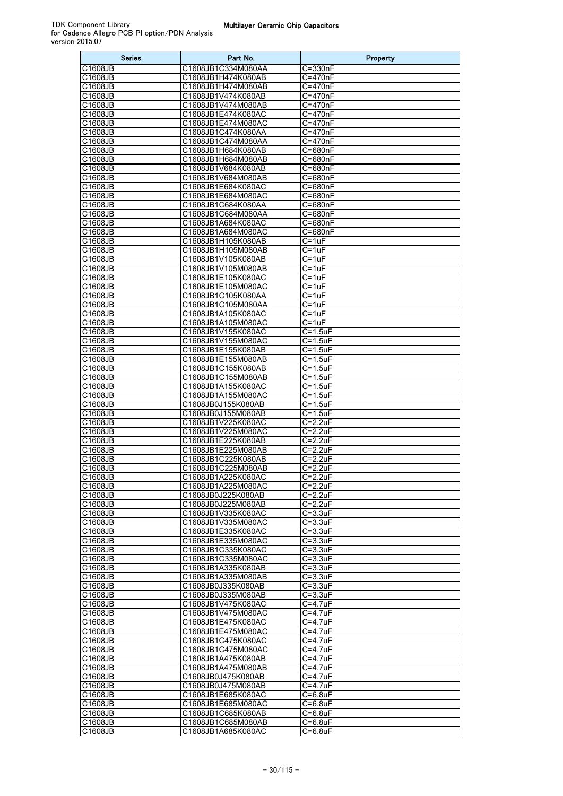| <b>Series</b>                    | Part No.                                 | Property                     |
|----------------------------------|------------------------------------------|------------------------------|
| C1608JB                          | C1608JB1C334M080AA                       | C=330nF                      |
| C1608JB                          | C1608JB1H474K080AB                       | C=470nF                      |
| C1608JB                          | C1608JB1H474M080AB                       | C=470nF                      |
| C1608JB<br>C1608JB               | C1608JB1V474K080AB<br>C1608JB1V474M080AB | C=470nF<br>C=470nF           |
| C1608JB                          | C1608JB1E474K080AC                       | $C = 470nF$                  |
| C1608JB                          | C1608JB1E474M080AC                       | C=470nF                      |
| C1608JB                          | C1608JB1C474K080AA                       | C=470nF                      |
| C1608JB                          | C1608JB1C474M080AA                       | C=470nF                      |
| C1608JB                          | C1608JB1H684K080AB                       | C=680nF                      |
| C1608JB                          | C1608JB1H684M080AB                       | C=680nF                      |
| C1608JB<br>C1608JB               | C1608JB1V684K080AB<br>C1608JB1V684M080AB | C=680nF<br>C=680nF           |
| C1608JB                          | C1608JB1E684K080AC                       | C=680nF                      |
| C1608JB                          | C1608JB1E684M080AC                       | $C = 680nF$                  |
| C1608JB                          | C1608JB1C684K080AA                       | C=680nF                      |
| C1608JB                          | C1608JB1C684M080AA                       | C=680nF                      |
| C1608JB                          | C1608JB1A684K080AC                       | C=680nF                      |
| C1608JB                          | C1608JB1A684M080AC                       | C=680nF                      |
| C1608JB                          | C1608JB1H105K080AB                       | $C = 1uF$                    |
| C1608JB<br>C1608JB               | C1608JB1H105M080AB<br>C1608JB1V105K080AB | C=1uF<br>C=1uF               |
| C1608JB                          | C1608JB1V105M080AB                       | $C = 1uF$                    |
| C1608JB                          | C1608JB1E105K080AC                       | C=1uF                        |
| C1608JB                          | C1608JB1E105M080AC                       | $C = 1uF$                    |
| C1608JB                          | C1608JB1C105K080AA                       | C=1uF                        |
| C1608JB                          | C1608JB1C105M080AA                       | C=1uF                        |
| C1608JB                          | C1608JB1A105K080AC                       | $C = 1uF$                    |
| C1608JB<br>C1608JB               | C1608JB1A105M080AC<br>C1608JB1V155K080AC | C=1uF<br>$C = 1.5$ uF        |
| C1608JB                          | C1608JB1V155M080AC                       | $C = 1.5$ uF                 |
| C1608JB                          | C1608JB1E155K080AB                       | $C = 1.5$ uF                 |
| C1608JB                          | C1608JB1E155M080AB                       | $C = 1.5$ uF                 |
| C1608JB                          | C1608JB1C155K080AB                       | C=1.5uF                      |
| C1608JB                          | C1608JB1C155M080AB                       | $C = 1.5$ uF                 |
| C1608JB                          | C1608JB1A155K080AC                       | $C = 1.5$ uF                 |
| C1608JB<br>C1608JB               | C1608JB1A155M080AC<br>C1608JB0J155K080AB | $C = 1.5$ uF<br>$C = 1.5$ uF |
| C1608JB                          | C1608JB0J155M080AB                       | $C = 1.5$ uF                 |
| C1608JB                          | C1608JB1V225K080AC                       | $C = 2.2uF$                  |
| C1608JB                          | C1608JB1V225M080AC                       | C=2.2uF                      |
| C1608JB                          | C1608JB1E225K080AB                       | $C = 2.2uF$                  |
| C1608JB                          | C1608JB1E225M080AB                       | $C = 2.2uF$                  |
| $\overline{C1608}$ JB<br>C1608JB | C1608JB1C225K080AB<br>C1608JB1C225M080AB | $C = 2.2uF$<br>$C = 2.2uF$   |
| C1608JB                          | C1608JB1A225K080AC                       | $C = 2.2uF$                  |
| C1608JB                          | C1608JB1A225M080AC                       | $C = 2.2uF$                  |
| C1608JB                          | C1608JB0J225K080AB                       | $C = 2.2uF$                  |
| C1608JB                          | C1608JB0J225M080AB                       | $C = 2.2uF$                  |
| C1608JB                          | C1608JB1V335K080AC                       | $C = 3.3uF$                  |
| C1608JB                          | C1608JB1V335M080AC                       | $C = 3.3uF$                  |
| C1608JB                          | C1608JB1E335K080AC                       | $C = 3.3uF$<br>$C = 3.3uF$   |
| C1608JB<br>C1608JB               | C1608JB1E335M080AC<br>C1608JB1C335K080AC | C=3.3uF                      |
| C1608JB                          | C1608JB1C335M080AC                       | $C = 3.3uF$                  |
| C1608JB                          | C1608JB1A335K080AB                       | $C = 3.3uF$                  |
| C1608JB                          | C1608JB1A335M080AB                       | $C = 3.3uF$                  |
| C1608JB                          | C1608JB0J335K080AB                       | $C = 3.3uF$                  |
| C1608JB                          | C1608JB0J335M080AB                       | C=3.3uF                      |
| C1608JB<br>C1608JB               | C1608JB1V475K080AC<br>C1608JB1V475M080AC | $C = 4.7uF$<br>$C = 4.7uF$   |
| C1608JB                          | C1608JB1E475K080AC                       | $C = 4.7uF$                  |
| C1608JB                          | C1608JB1E475M080AC                       | C=4.7uF                      |
| C1608JB                          | C1608JB1C475K080AC                       | $C = 4.7uF$                  |
| C1608JB                          | C1608JB1C475M080AC                       | $C = 4.7uF$                  |
| C1608JB                          | C1608JB1A475K080AB                       | $C = 4.7uF$                  |
| C1608JB                          | C1608JB1A475M080AB                       | $C = 4.7uF$                  |
| C1608JB<br>C1608JB               | C1608JB0J475K080AB<br>C1608JB0J475M080AB | C=4.7uF<br>$C = 4.7uF$       |
| C1608JB                          | C1608JB1E685K080AC                       | $C = 6.8$ uF                 |
| C1608JB                          | C1608JB1E685M080AC                       | $C = 6.8$ uF                 |
| C1608JB                          | C1608JB1C685K080AB                       | $C = 6.8uF$                  |
| C1608JB                          | C1608JB1C685M080AB                       | $C = 6.8$ uF                 |
| C1608JB                          | C1608JB1A685K080AC                       | C=6.8uF                      |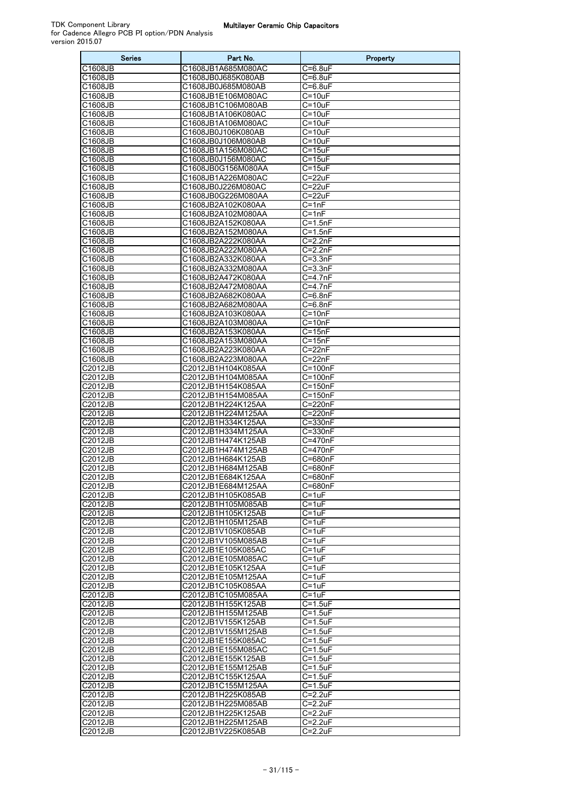| <b>Series</b>         | Part No.                                 | Property                     |
|-----------------------|------------------------------------------|------------------------------|
| C1608JB               | C1608JB1A685M080AC                       | C=6.8uF                      |
| C1608JB               | C1608JB0J685K080AB                       | C=6.8uF                      |
| C1608JB               | C1608JB0J685M080AB                       | C=6.8uF                      |
| C1608JB<br>C1608JB    | C1608JB1E106M080AC<br>C1608JB1C106M080AB | $C = 10uF$<br>C=10uF         |
| C1608JB               | C1608JB1A106K080AC                       | $C = 10uF$                   |
| C1608JB               | C1608JB1A106M080AC                       | $C = 10uF$                   |
| C1608JB               | C1608JB0J106K080AB                       | $C = 10uF$                   |
| C1608JB               | C1608JB0J106M080AB                       | $C = 10uF$                   |
| C1608JB               | C1608JB1A156M080AC                       | $C = 15uF$                   |
| C1608JB               | C1608JB0J156M080AC                       | $C = 15uF$                   |
| C1608JB               | C1608JB0G156M080AA                       | $C = 15uF$                   |
| C1608JB               | C1608JB1A226M080AC<br>C1608JB0J226M080AC | C=22uF                       |
| C1608JB<br>C1608JB    | C1608JB0G226M080AA                       | C=22uF<br>C=22uF             |
| C1608JB               | C1608JB2A102K080AA                       | $C = 1nF$                    |
| C1608JB               | C1608JB2A102M080AA                       | C=1nF                        |
| $\overline{C1608}$ JB | C1608JB2A152K080AA                       | $C = 1.5nF$                  |
| C1608JB               | C1608JB2A152M080AA                       | C=1.5nF                      |
| C1608JB               | C1608JB2A222K080AA                       | $C = 2.2nF$                  |
| C1608JB               | C1608JB2A222M080AA                       | $C = 2.2nF$                  |
| C1608JB               | C1608JB2A332K080AA                       | $C = 3.3nF$                  |
| C1608JB<br>C1608JB    | C1608JB2A332M080AA<br>C1608JB2A472K080AA | $C = 3.3nF$<br>C=4.7nF       |
| C1608JB               | C1608JB2A472M080AA                       | $C = 4.7nF$                  |
| C1608JB               | C1608JB2A682K080AA                       | $C = 6.8nF$                  |
| C1608JB               | C1608JB2A682M080AA                       | $\overline{C=6}$ .8nF        |
| C1608JB               | C1608JB2A103K080AA                       | $C = 10nF$                   |
| C1608JB               | C1608JB2A103M080AA                       | $C = 10nF$                   |
| C1608JB               | C1608JB2A153K080AA                       | $C = 15nF$                   |
| C1608JB               | C1608JB2A153M080AA                       | $C = 15nF$                   |
| C1608JB<br>C1608JB    | C1608JB2A223K080AA<br>C1608JB2A223M080AA | $C=22nF$<br>C=22nF           |
| C2012JB               | C2012JB1H104K085AA                       | C=100nF                      |
| C2012JB               | C2012JB1H104M085AA                       | $C = 100nF$                  |
| C2012JB               | C2012JB1H154K085AA                       | $C = 150nF$                  |
| C2012JB               | C2012JB1H154M085AA                       | $C = 150nF$                  |
| C2012JB               | C2012JB1H224K125AA                       | C=220nF                      |
| C2012JB               | C2012JB1H224M125AA                       | C=220nF                      |
| C2012JB               | C2012JB1H334K125AA                       | C=330nF                      |
| C2012JB<br>C2012JB    | C2012JB1H334M125AA<br>C2012JB1H474K125AB | C=330nF<br>C=470nF           |
| C2012JB               | C2012JB1H474M125AB                       | C=470nF                      |
| C2012JB               | C2012JB1H684K125AB                       | C=680nF                      |
| C2012JB               | C2012JB1H684M125AB                       | C=680nF                      |
| C2012JB               | C2012JB1E684K125AA                       | $C = 680nF$                  |
| C2012JB               | C2012JB1E684M125AA                       | C=680nF                      |
| C2012JB               | C2012JB1H105K085AB                       | $C = 1uF$                    |
| C2012JB<br>C2012JB    | C2012JB1H105M085AB<br>C2012JB1H105K125AB | $C = 1uF$<br>C=1uF           |
| C2012JB               | C2012JB1H105M125AB                       | $C = 1uF$                    |
| C2012JB               | C2012JB1V105K085AB                       | C=1uF                        |
| C2012JB               | C2012JB1V105M085AB                       | $C = 1uF$                    |
| C2012JB               | C2012JB1E105K085AC                       | C=1uF                        |
| C2012JB               | C2012JB1E105M085AC                       | $C=1uF$                      |
| C2012JB               | C2012JB1E105K125AA                       | C=1uF                        |
| C2012JB               | C2012JB1E105M125AA                       | C=1uF                        |
| C2012JB<br>C2012JB    | C2012JB1C105K085AA<br>C2012JB1C105M085AA | $C = 1uF$<br>$C = 1uF$       |
| C2012JB               | C2012JB1H155K125AB                       | $C = 1.5$ uF                 |
| C2012JB               | C2012JB1H155M125AB                       | C=1.5uF                      |
| C2012JB               | C2012JB1V155K125AB                       | $\overline{C=1}.5$ uF        |
| C2012JB               | C2012JB1V155M125AB                       | $C = 1.5$ uF                 |
| C2012JB               | C2012JB1E155K085AC                       | $C = 1.5$ uF                 |
| C2012JB               | C2012JB1E155M085AC                       | $C = 1.5$ uF                 |
| C2012JB               | C2012JB1E155K125AB                       | C=1.5uF                      |
| C2012JB<br>C2012JB    | C2012JB1E155M125AB<br>C2012JB1C155K125AA | $C = 1.5$ uF<br>$C = 1.5$ uF |
| C2012JB               | C2012JB1C155M125AA                       | $C = 1.5$ uF                 |
| C2012JB               | C2012JB1H225K085AB                       | $C=2.2uF$                    |
| C2012JB               | C2012JB1H225M085AB                       | C=2.2uF                      |
| C2012JB               | C2012JB1H225K125AB                       | $C = 2.2uF$                  |
| C2012JB               | C2012JB1H225M125AB                       | $C = 2.2uF$                  |
| C2012JB               | C2012JB1V225K085AB                       | $C=2.2uF$                    |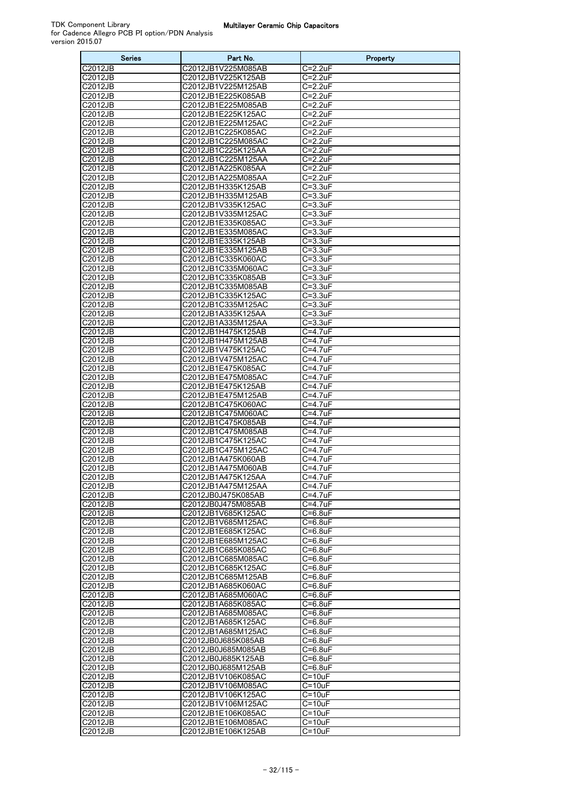| C2012JB1V225M085AB<br>C2012JB<br>$C = 2.2uF$<br><b>C2012JB</b><br>C2012JB1V225K125AB<br>$C = 2.2uF$<br>C2012JB<br>C2012JB1V225M125AB<br>$C = 2.2uF$<br>C2012JB<br>C2012JB1E225K085AB<br>$C = 2.2uF$<br>C2012JB<br>C2012JB1E225M085AB<br>$C = 2.2uF$<br>C2012JB<br>C2012JB1E225K125AC<br>$C = 2.2uF$<br><b>C2012JB</b><br>C2012JB1E225M125AC<br>$C = 2.2uF$<br>C2012JB1C225K085AC<br>C2012JB<br>$C = 2.2uF$<br>C2012JB1C225M085AC<br>C2012JB<br>$C = 2.2uF$<br>C2012JB<br>C2012JB1C225K125AA<br>$C = 2.2uF$<br>C2012JB<br>C2012JB1C225M125AA<br>$C = 2.2uF$<br><b>C2012JB</b><br>C2012JB1A225K085AA<br>$C = 2.2uF$<br>C2012JB1A225M085AA<br>C2012JB<br>$C = 2.2uF$<br>C2012JB<br>C2012JB1H335K125AB<br>$C = 3.3uF$<br>C2012JB<br>C2012JB1H335M125AB<br>$C = 3.3uF$<br>C2012JB<br>C2012JB1V335K125AC<br>$C = 3.3uF$<br>C2012JB<br>C2012JB1V335M125AC<br>$C = 3.3uF$<br>C2012JB<br>C2012JB1E335K085AC<br>$C = 3.3uF$<br>C2012JB<br>C2012JB1E335M085AC<br>$C = 3.3uF$<br>C2012JB<br>C2012JB1E335K125AB<br>$C = 3.3uF$<br>C2012JB<br>C2012JB1E335M125AB<br>$C = 3.3uF$<br>C2012JB<br>C2012JB1C335K060AC<br>$C = 3.3uF$<br>C2012JB<br>C2012JB1C335M060AC<br>$C = 3.3uF$<br>C2012JB<br>C2012JB1C335K085AB<br>$C = 3.3uF$<br>C2012JB<br>C2012JB1C335M085AB<br>$C = 3.3uF$<br>C2012JB<br>C2012JB1C335K125AC<br>$C = 3.3uF$<br>C2012JB<br>C2012JB1C335M125AC<br>$C = 3.3uF$<br>C2012JB<br>C2012JB1A335K125AA<br>$C = 3.3uF$<br>C2012JB<br>C2012JB1A335M125AA<br>$C = 3.3uF$<br>C2012JB<br>C2012JB1H475K125AB<br>C=4.7uF<br>C2012JB<br>C2012JB1H475M125AB<br>$C = 4.7uF$<br>C2012JB<br>C2012JB1V475K125AC<br>$C = 4.7$ u $F$<br>$C = 4.7$ uF<br>C2012JB<br>C2012JB1V475M125AC<br>C2012JB<br>C2012JB1E475K085AC<br>$C = 4.7uF$<br>C2012JB<br>C2012JB1E475M085AC<br>C=4.7uF<br>C2012JB<br>$C = 4.7uF$<br>C2012JB1E475K125AB<br>C2012JB<br>C2012JB1E475M125AB<br>$C = 4.7$ u $F$<br>$C = 4.7$ uF<br>C2012JB<br>C2012JB1C475K060AC<br>C2012JB<br>C2012JB1C475M060AC<br>$C = 4.7uF$<br>C2012JB<br>C2012JB1C475K085AB<br>C=4.7uF<br>C2012JB<br>$C = 4.7uF$<br>C2012JB1C475M085AB<br>C2012JB<br>C2012JB1C475K125AC<br>$C = 4.7$ u $F$<br>$C = 4.7$ uF<br>C2012JB<br>C2012JB1C475M125AC<br>C2012JB<br>C2012JB1A475K060AB<br>$C=4.7$ uF<br>C2012JB<br>C2012JB1A475M060AB<br>C=4.7uF<br>C2012JB<br>C2012JB1A475K125AA<br>C=4.7uF<br>C2012JB<br>$C = 4.7uF$<br>C2012JB1A475M125AA<br>C2012JB<br>C2012JB0J475K085AB<br>C=4.7uF<br>$\overline{C}$ =4.7uF<br>C2012JB<br>C2012JB0J475M085AB<br>C2012JB<br>C2012JB1V685K125AC<br>$C=6.8$ uF<br>C2012JB<br>C2012JB1V685M125AC<br>$C = 6.8$ uF<br>C2012JB<br>C2012JB1E685K125AC<br>C=6.8uF<br>C2012JB<br>C2012JB1E685M125AC<br>$C = 6.8$ uF<br>C2012JB<br>C2012JB1C685K085AC<br>C=6.8uF<br>C2012JB<br>C2012JB1C685M085AC<br>C=6.8uF<br>C2012JB<br>C2012JB1C685K125AC<br>$C = 6.8$ uF<br>C2012JB<br>C2012JB1C685M125AB<br>C=6.8uF<br>C2012JB<br>C2012JB1A685K060AC<br>$C = 6.8$ uF<br>C2012JB<br>C2012JB1A685M060AC<br>C=6.8uF<br>C2012JB<br>C2012JB1A685K085AC<br>C=6.8uF<br>C2012JB<br>C2012JB1A685M085AC<br>$C = 6.8$ uF<br>C2012JB<br>C2012JB1A685K125AC<br>C=6.8uF<br>C2012JB<br>C2012JB1A685M125AC<br>$C = 6.8$ uF<br>C2012JB0J685K085AB<br>C2012JB<br>C=6.8uF<br>C2012JB<br>C2012JB0J685M085AB<br>C=6.8uF<br>C2012JB<br>C2012JB0J685K125AB<br>$C = 6.8$ uF<br>C2012JB<br>C2012JB0J685M125AB<br>C=6.8uF<br>C2012JB<br>C2012JB1V106K085AC<br>$C = 10uF$<br>C2012JB1V106M085AC<br>C2012JB<br>$C = 10uF$<br>C2012JB<br>C2012JB1V106K125AC<br>$C = 10uF$<br>C2012JB<br>C2012JB1V106M125AC<br>$C = 10uF$<br>C2012JB<br>C2012JB1E106K085AC<br>$C = 10uF$<br>C2012JB<br>C2012JB1E106M085AC<br>$C = 10uF$<br>C2012JB<br>C2012JB1E106K125AB<br>$C = 10uF$ | <b>Series</b> | Part No. | Property |
|--------------------------------------------------------------------------------------------------------------------------------------------------------------------------------------------------------------------------------------------------------------------------------------------------------------------------------------------------------------------------------------------------------------------------------------------------------------------------------------------------------------------------------------------------------------------------------------------------------------------------------------------------------------------------------------------------------------------------------------------------------------------------------------------------------------------------------------------------------------------------------------------------------------------------------------------------------------------------------------------------------------------------------------------------------------------------------------------------------------------------------------------------------------------------------------------------------------------------------------------------------------------------------------------------------------------------------------------------------------------------------------------------------------------------------------------------------------------------------------------------------------------------------------------------------------------------------------------------------------------------------------------------------------------------------------------------------------------------------------------------------------------------------------------------------------------------------------------------------------------------------------------------------------------------------------------------------------------------------------------------------------------------------------------------------------------------------------------------------------------------------------------------------------------------------------------------------------------------------------------------------------------------------------------------------------------------------------------------------------------------------------------------------------------------------------------------------------------------------------------------------------------------------------------------------------------------------------------------------------------------------------------------------------------------------------------------------------------------------------------------------------------------------------------------------------------------------------------------------------------------------------------------------------------------------------------------------------------------------------------------------------------------------------------------------------------------------------------------------------------------------------------------------------------------------------------------------------------------------------------------------------------------------------------------------------------------------------------------------------------------------------------------------------------------------------------------------------------------------------------------------------------------------------------------------------------------------------------------------------------------------------------------------------------------|---------------|----------|----------|
|                                                                                                                                                                                                                                                                                                                                                                                                                                                                                                                                                                                                                                                                                                                                                                                                                                                                                                                                                                                                                                                                                                                                                                                                                                                                                                                                                                                                                                                                                                                                                                                                                                                                                                                                                                                                                                                                                                                                                                                                                                                                                                                                                                                                                                                                                                                                                                                                                                                                                                                                                                                                                                                                                                                                                                                                                                                                                                                                                                                                                                                                                                                                                                                                                                                                                                                                                                                                                                                                                                                                                                                                                                                                          |               |          |          |
|                                                                                                                                                                                                                                                                                                                                                                                                                                                                                                                                                                                                                                                                                                                                                                                                                                                                                                                                                                                                                                                                                                                                                                                                                                                                                                                                                                                                                                                                                                                                                                                                                                                                                                                                                                                                                                                                                                                                                                                                                                                                                                                                                                                                                                                                                                                                                                                                                                                                                                                                                                                                                                                                                                                                                                                                                                                                                                                                                                                                                                                                                                                                                                                                                                                                                                                                                                                                                                                                                                                                                                                                                                                                          |               |          |          |
|                                                                                                                                                                                                                                                                                                                                                                                                                                                                                                                                                                                                                                                                                                                                                                                                                                                                                                                                                                                                                                                                                                                                                                                                                                                                                                                                                                                                                                                                                                                                                                                                                                                                                                                                                                                                                                                                                                                                                                                                                                                                                                                                                                                                                                                                                                                                                                                                                                                                                                                                                                                                                                                                                                                                                                                                                                                                                                                                                                                                                                                                                                                                                                                                                                                                                                                                                                                                                                                                                                                                                                                                                                                                          |               |          |          |
|                                                                                                                                                                                                                                                                                                                                                                                                                                                                                                                                                                                                                                                                                                                                                                                                                                                                                                                                                                                                                                                                                                                                                                                                                                                                                                                                                                                                                                                                                                                                                                                                                                                                                                                                                                                                                                                                                                                                                                                                                                                                                                                                                                                                                                                                                                                                                                                                                                                                                                                                                                                                                                                                                                                                                                                                                                                                                                                                                                                                                                                                                                                                                                                                                                                                                                                                                                                                                                                                                                                                                                                                                                                                          |               |          |          |
|                                                                                                                                                                                                                                                                                                                                                                                                                                                                                                                                                                                                                                                                                                                                                                                                                                                                                                                                                                                                                                                                                                                                                                                                                                                                                                                                                                                                                                                                                                                                                                                                                                                                                                                                                                                                                                                                                                                                                                                                                                                                                                                                                                                                                                                                                                                                                                                                                                                                                                                                                                                                                                                                                                                                                                                                                                                                                                                                                                                                                                                                                                                                                                                                                                                                                                                                                                                                                                                                                                                                                                                                                                                                          |               |          |          |
|                                                                                                                                                                                                                                                                                                                                                                                                                                                                                                                                                                                                                                                                                                                                                                                                                                                                                                                                                                                                                                                                                                                                                                                                                                                                                                                                                                                                                                                                                                                                                                                                                                                                                                                                                                                                                                                                                                                                                                                                                                                                                                                                                                                                                                                                                                                                                                                                                                                                                                                                                                                                                                                                                                                                                                                                                                                                                                                                                                                                                                                                                                                                                                                                                                                                                                                                                                                                                                                                                                                                                                                                                                                                          |               |          |          |
|                                                                                                                                                                                                                                                                                                                                                                                                                                                                                                                                                                                                                                                                                                                                                                                                                                                                                                                                                                                                                                                                                                                                                                                                                                                                                                                                                                                                                                                                                                                                                                                                                                                                                                                                                                                                                                                                                                                                                                                                                                                                                                                                                                                                                                                                                                                                                                                                                                                                                                                                                                                                                                                                                                                                                                                                                                                                                                                                                                                                                                                                                                                                                                                                                                                                                                                                                                                                                                                                                                                                                                                                                                                                          |               |          |          |
|                                                                                                                                                                                                                                                                                                                                                                                                                                                                                                                                                                                                                                                                                                                                                                                                                                                                                                                                                                                                                                                                                                                                                                                                                                                                                                                                                                                                                                                                                                                                                                                                                                                                                                                                                                                                                                                                                                                                                                                                                                                                                                                                                                                                                                                                                                                                                                                                                                                                                                                                                                                                                                                                                                                                                                                                                                                                                                                                                                                                                                                                                                                                                                                                                                                                                                                                                                                                                                                                                                                                                                                                                                                                          |               |          |          |
|                                                                                                                                                                                                                                                                                                                                                                                                                                                                                                                                                                                                                                                                                                                                                                                                                                                                                                                                                                                                                                                                                                                                                                                                                                                                                                                                                                                                                                                                                                                                                                                                                                                                                                                                                                                                                                                                                                                                                                                                                                                                                                                                                                                                                                                                                                                                                                                                                                                                                                                                                                                                                                                                                                                                                                                                                                                                                                                                                                                                                                                                                                                                                                                                                                                                                                                                                                                                                                                                                                                                                                                                                                                                          |               |          |          |
|                                                                                                                                                                                                                                                                                                                                                                                                                                                                                                                                                                                                                                                                                                                                                                                                                                                                                                                                                                                                                                                                                                                                                                                                                                                                                                                                                                                                                                                                                                                                                                                                                                                                                                                                                                                                                                                                                                                                                                                                                                                                                                                                                                                                                                                                                                                                                                                                                                                                                                                                                                                                                                                                                                                                                                                                                                                                                                                                                                                                                                                                                                                                                                                                                                                                                                                                                                                                                                                                                                                                                                                                                                                                          |               |          |          |
|                                                                                                                                                                                                                                                                                                                                                                                                                                                                                                                                                                                                                                                                                                                                                                                                                                                                                                                                                                                                                                                                                                                                                                                                                                                                                                                                                                                                                                                                                                                                                                                                                                                                                                                                                                                                                                                                                                                                                                                                                                                                                                                                                                                                                                                                                                                                                                                                                                                                                                                                                                                                                                                                                                                                                                                                                                                                                                                                                                                                                                                                                                                                                                                                                                                                                                                                                                                                                                                                                                                                                                                                                                                                          |               |          |          |
|                                                                                                                                                                                                                                                                                                                                                                                                                                                                                                                                                                                                                                                                                                                                                                                                                                                                                                                                                                                                                                                                                                                                                                                                                                                                                                                                                                                                                                                                                                                                                                                                                                                                                                                                                                                                                                                                                                                                                                                                                                                                                                                                                                                                                                                                                                                                                                                                                                                                                                                                                                                                                                                                                                                                                                                                                                                                                                                                                                                                                                                                                                                                                                                                                                                                                                                                                                                                                                                                                                                                                                                                                                                                          |               |          |          |
|                                                                                                                                                                                                                                                                                                                                                                                                                                                                                                                                                                                                                                                                                                                                                                                                                                                                                                                                                                                                                                                                                                                                                                                                                                                                                                                                                                                                                                                                                                                                                                                                                                                                                                                                                                                                                                                                                                                                                                                                                                                                                                                                                                                                                                                                                                                                                                                                                                                                                                                                                                                                                                                                                                                                                                                                                                                                                                                                                                                                                                                                                                                                                                                                                                                                                                                                                                                                                                                                                                                                                                                                                                                                          |               |          |          |
|                                                                                                                                                                                                                                                                                                                                                                                                                                                                                                                                                                                                                                                                                                                                                                                                                                                                                                                                                                                                                                                                                                                                                                                                                                                                                                                                                                                                                                                                                                                                                                                                                                                                                                                                                                                                                                                                                                                                                                                                                                                                                                                                                                                                                                                                                                                                                                                                                                                                                                                                                                                                                                                                                                                                                                                                                                                                                                                                                                                                                                                                                                                                                                                                                                                                                                                                                                                                                                                                                                                                                                                                                                                                          |               |          |          |
|                                                                                                                                                                                                                                                                                                                                                                                                                                                                                                                                                                                                                                                                                                                                                                                                                                                                                                                                                                                                                                                                                                                                                                                                                                                                                                                                                                                                                                                                                                                                                                                                                                                                                                                                                                                                                                                                                                                                                                                                                                                                                                                                                                                                                                                                                                                                                                                                                                                                                                                                                                                                                                                                                                                                                                                                                                                                                                                                                                                                                                                                                                                                                                                                                                                                                                                                                                                                                                                                                                                                                                                                                                                                          |               |          |          |
|                                                                                                                                                                                                                                                                                                                                                                                                                                                                                                                                                                                                                                                                                                                                                                                                                                                                                                                                                                                                                                                                                                                                                                                                                                                                                                                                                                                                                                                                                                                                                                                                                                                                                                                                                                                                                                                                                                                                                                                                                                                                                                                                                                                                                                                                                                                                                                                                                                                                                                                                                                                                                                                                                                                                                                                                                                                                                                                                                                                                                                                                                                                                                                                                                                                                                                                                                                                                                                                                                                                                                                                                                                                                          |               |          |          |
|                                                                                                                                                                                                                                                                                                                                                                                                                                                                                                                                                                                                                                                                                                                                                                                                                                                                                                                                                                                                                                                                                                                                                                                                                                                                                                                                                                                                                                                                                                                                                                                                                                                                                                                                                                                                                                                                                                                                                                                                                                                                                                                                                                                                                                                                                                                                                                                                                                                                                                                                                                                                                                                                                                                                                                                                                                                                                                                                                                                                                                                                                                                                                                                                                                                                                                                                                                                                                                                                                                                                                                                                                                                                          |               |          |          |
|                                                                                                                                                                                                                                                                                                                                                                                                                                                                                                                                                                                                                                                                                                                                                                                                                                                                                                                                                                                                                                                                                                                                                                                                                                                                                                                                                                                                                                                                                                                                                                                                                                                                                                                                                                                                                                                                                                                                                                                                                                                                                                                                                                                                                                                                                                                                                                                                                                                                                                                                                                                                                                                                                                                                                                                                                                                                                                                                                                                                                                                                                                                                                                                                                                                                                                                                                                                                                                                                                                                                                                                                                                                                          |               |          |          |
|                                                                                                                                                                                                                                                                                                                                                                                                                                                                                                                                                                                                                                                                                                                                                                                                                                                                                                                                                                                                                                                                                                                                                                                                                                                                                                                                                                                                                                                                                                                                                                                                                                                                                                                                                                                                                                                                                                                                                                                                                                                                                                                                                                                                                                                                                                                                                                                                                                                                                                                                                                                                                                                                                                                                                                                                                                                                                                                                                                                                                                                                                                                                                                                                                                                                                                                                                                                                                                                                                                                                                                                                                                                                          |               |          |          |
|                                                                                                                                                                                                                                                                                                                                                                                                                                                                                                                                                                                                                                                                                                                                                                                                                                                                                                                                                                                                                                                                                                                                                                                                                                                                                                                                                                                                                                                                                                                                                                                                                                                                                                                                                                                                                                                                                                                                                                                                                                                                                                                                                                                                                                                                                                                                                                                                                                                                                                                                                                                                                                                                                                                                                                                                                                                                                                                                                                                                                                                                                                                                                                                                                                                                                                                                                                                                                                                                                                                                                                                                                                                                          |               |          |          |
|                                                                                                                                                                                                                                                                                                                                                                                                                                                                                                                                                                                                                                                                                                                                                                                                                                                                                                                                                                                                                                                                                                                                                                                                                                                                                                                                                                                                                                                                                                                                                                                                                                                                                                                                                                                                                                                                                                                                                                                                                                                                                                                                                                                                                                                                                                                                                                                                                                                                                                                                                                                                                                                                                                                                                                                                                                                                                                                                                                                                                                                                                                                                                                                                                                                                                                                                                                                                                                                                                                                                                                                                                                                                          |               |          |          |
|                                                                                                                                                                                                                                                                                                                                                                                                                                                                                                                                                                                                                                                                                                                                                                                                                                                                                                                                                                                                                                                                                                                                                                                                                                                                                                                                                                                                                                                                                                                                                                                                                                                                                                                                                                                                                                                                                                                                                                                                                                                                                                                                                                                                                                                                                                                                                                                                                                                                                                                                                                                                                                                                                                                                                                                                                                                                                                                                                                                                                                                                                                                                                                                                                                                                                                                                                                                                                                                                                                                                                                                                                                                                          |               |          |          |
|                                                                                                                                                                                                                                                                                                                                                                                                                                                                                                                                                                                                                                                                                                                                                                                                                                                                                                                                                                                                                                                                                                                                                                                                                                                                                                                                                                                                                                                                                                                                                                                                                                                                                                                                                                                                                                                                                                                                                                                                                                                                                                                                                                                                                                                                                                                                                                                                                                                                                                                                                                                                                                                                                                                                                                                                                                                                                                                                                                                                                                                                                                                                                                                                                                                                                                                                                                                                                                                                                                                                                                                                                                                                          |               |          |          |
|                                                                                                                                                                                                                                                                                                                                                                                                                                                                                                                                                                                                                                                                                                                                                                                                                                                                                                                                                                                                                                                                                                                                                                                                                                                                                                                                                                                                                                                                                                                                                                                                                                                                                                                                                                                                                                                                                                                                                                                                                                                                                                                                                                                                                                                                                                                                                                                                                                                                                                                                                                                                                                                                                                                                                                                                                                                                                                                                                                                                                                                                                                                                                                                                                                                                                                                                                                                                                                                                                                                                                                                                                                                                          |               |          |          |
|                                                                                                                                                                                                                                                                                                                                                                                                                                                                                                                                                                                                                                                                                                                                                                                                                                                                                                                                                                                                                                                                                                                                                                                                                                                                                                                                                                                                                                                                                                                                                                                                                                                                                                                                                                                                                                                                                                                                                                                                                                                                                                                                                                                                                                                                                                                                                                                                                                                                                                                                                                                                                                                                                                                                                                                                                                                                                                                                                                                                                                                                                                                                                                                                                                                                                                                                                                                                                                                                                                                                                                                                                                                                          |               |          |          |
|                                                                                                                                                                                                                                                                                                                                                                                                                                                                                                                                                                                                                                                                                                                                                                                                                                                                                                                                                                                                                                                                                                                                                                                                                                                                                                                                                                                                                                                                                                                                                                                                                                                                                                                                                                                                                                                                                                                                                                                                                                                                                                                                                                                                                                                                                                                                                                                                                                                                                                                                                                                                                                                                                                                                                                                                                                                                                                                                                                                                                                                                                                                                                                                                                                                                                                                                                                                                                                                                                                                                                                                                                                                                          |               |          |          |
|                                                                                                                                                                                                                                                                                                                                                                                                                                                                                                                                                                                                                                                                                                                                                                                                                                                                                                                                                                                                                                                                                                                                                                                                                                                                                                                                                                                                                                                                                                                                                                                                                                                                                                                                                                                                                                                                                                                                                                                                                                                                                                                                                                                                                                                                                                                                                                                                                                                                                                                                                                                                                                                                                                                                                                                                                                                                                                                                                                                                                                                                                                                                                                                                                                                                                                                                                                                                                                                                                                                                                                                                                                                                          |               |          |          |
|                                                                                                                                                                                                                                                                                                                                                                                                                                                                                                                                                                                                                                                                                                                                                                                                                                                                                                                                                                                                                                                                                                                                                                                                                                                                                                                                                                                                                                                                                                                                                                                                                                                                                                                                                                                                                                                                                                                                                                                                                                                                                                                                                                                                                                                                                                                                                                                                                                                                                                                                                                                                                                                                                                                                                                                                                                                                                                                                                                                                                                                                                                                                                                                                                                                                                                                                                                                                                                                                                                                                                                                                                                                                          |               |          |          |
|                                                                                                                                                                                                                                                                                                                                                                                                                                                                                                                                                                                                                                                                                                                                                                                                                                                                                                                                                                                                                                                                                                                                                                                                                                                                                                                                                                                                                                                                                                                                                                                                                                                                                                                                                                                                                                                                                                                                                                                                                                                                                                                                                                                                                                                                                                                                                                                                                                                                                                                                                                                                                                                                                                                                                                                                                                                                                                                                                                                                                                                                                                                                                                                                                                                                                                                                                                                                                                                                                                                                                                                                                                                                          |               |          |          |
|                                                                                                                                                                                                                                                                                                                                                                                                                                                                                                                                                                                                                                                                                                                                                                                                                                                                                                                                                                                                                                                                                                                                                                                                                                                                                                                                                                                                                                                                                                                                                                                                                                                                                                                                                                                                                                                                                                                                                                                                                                                                                                                                                                                                                                                                                                                                                                                                                                                                                                                                                                                                                                                                                                                                                                                                                                                                                                                                                                                                                                                                                                                                                                                                                                                                                                                                                                                                                                                                                                                                                                                                                                                                          |               |          |          |
|                                                                                                                                                                                                                                                                                                                                                                                                                                                                                                                                                                                                                                                                                                                                                                                                                                                                                                                                                                                                                                                                                                                                                                                                                                                                                                                                                                                                                                                                                                                                                                                                                                                                                                                                                                                                                                                                                                                                                                                                                                                                                                                                                                                                                                                                                                                                                                                                                                                                                                                                                                                                                                                                                                                                                                                                                                                                                                                                                                                                                                                                                                                                                                                                                                                                                                                                                                                                                                                                                                                                                                                                                                                                          |               |          |          |
|                                                                                                                                                                                                                                                                                                                                                                                                                                                                                                                                                                                                                                                                                                                                                                                                                                                                                                                                                                                                                                                                                                                                                                                                                                                                                                                                                                                                                                                                                                                                                                                                                                                                                                                                                                                                                                                                                                                                                                                                                                                                                                                                                                                                                                                                                                                                                                                                                                                                                                                                                                                                                                                                                                                                                                                                                                                                                                                                                                                                                                                                                                                                                                                                                                                                                                                                                                                                                                                                                                                                                                                                                                                                          |               |          |          |
|                                                                                                                                                                                                                                                                                                                                                                                                                                                                                                                                                                                                                                                                                                                                                                                                                                                                                                                                                                                                                                                                                                                                                                                                                                                                                                                                                                                                                                                                                                                                                                                                                                                                                                                                                                                                                                                                                                                                                                                                                                                                                                                                                                                                                                                                                                                                                                                                                                                                                                                                                                                                                                                                                                                                                                                                                                                                                                                                                                                                                                                                                                                                                                                                                                                                                                                                                                                                                                                                                                                                                                                                                                                                          |               |          |          |
|                                                                                                                                                                                                                                                                                                                                                                                                                                                                                                                                                                                                                                                                                                                                                                                                                                                                                                                                                                                                                                                                                                                                                                                                                                                                                                                                                                                                                                                                                                                                                                                                                                                                                                                                                                                                                                                                                                                                                                                                                                                                                                                                                                                                                                                                                                                                                                                                                                                                                                                                                                                                                                                                                                                                                                                                                                                                                                                                                                                                                                                                                                                                                                                                                                                                                                                                                                                                                                                                                                                                                                                                                                                                          |               |          |          |
|                                                                                                                                                                                                                                                                                                                                                                                                                                                                                                                                                                                                                                                                                                                                                                                                                                                                                                                                                                                                                                                                                                                                                                                                                                                                                                                                                                                                                                                                                                                                                                                                                                                                                                                                                                                                                                                                                                                                                                                                                                                                                                                                                                                                                                                                                                                                                                                                                                                                                                                                                                                                                                                                                                                                                                                                                                                                                                                                                                                                                                                                                                                                                                                                                                                                                                                                                                                                                                                                                                                                                                                                                                                                          |               |          |          |
|                                                                                                                                                                                                                                                                                                                                                                                                                                                                                                                                                                                                                                                                                                                                                                                                                                                                                                                                                                                                                                                                                                                                                                                                                                                                                                                                                                                                                                                                                                                                                                                                                                                                                                                                                                                                                                                                                                                                                                                                                                                                                                                                                                                                                                                                                                                                                                                                                                                                                                                                                                                                                                                                                                                                                                                                                                                                                                                                                                                                                                                                                                                                                                                                                                                                                                                                                                                                                                                                                                                                                                                                                                                                          |               |          |          |
|                                                                                                                                                                                                                                                                                                                                                                                                                                                                                                                                                                                                                                                                                                                                                                                                                                                                                                                                                                                                                                                                                                                                                                                                                                                                                                                                                                                                                                                                                                                                                                                                                                                                                                                                                                                                                                                                                                                                                                                                                                                                                                                                                                                                                                                                                                                                                                                                                                                                                                                                                                                                                                                                                                                                                                                                                                                                                                                                                                                                                                                                                                                                                                                                                                                                                                                                                                                                                                                                                                                                                                                                                                                                          |               |          |          |
|                                                                                                                                                                                                                                                                                                                                                                                                                                                                                                                                                                                                                                                                                                                                                                                                                                                                                                                                                                                                                                                                                                                                                                                                                                                                                                                                                                                                                                                                                                                                                                                                                                                                                                                                                                                                                                                                                                                                                                                                                                                                                                                                                                                                                                                                                                                                                                                                                                                                                                                                                                                                                                                                                                                                                                                                                                                                                                                                                                                                                                                                                                                                                                                                                                                                                                                                                                                                                                                                                                                                                                                                                                                                          |               |          |          |
|                                                                                                                                                                                                                                                                                                                                                                                                                                                                                                                                                                                                                                                                                                                                                                                                                                                                                                                                                                                                                                                                                                                                                                                                                                                                                                                                                                                                                                                                                                                                                                                                                                                                                                                                                                                                                                                                                                                                                                                                                                                                                                                                                                                                                                                                                                                                                                                                                                                                                                                                                                                                                                                                                                                                                                                                                                                                                                                                                                                                                                                                                                                                                                                                                                                                                                                                                                                                                                                                                                                                                                                                                                                                          |               |          |          |
|                                                                                                                                                                                                                                                                                                                                                                                                                                                                                                                                                                                                                                                                                                                                                                                                                                                                                                                                                                                                                                                                                                                                                                                                                                                                                                                                                                                                                                                                                                                                                                                                                                                                                                                                                                                                                                                                                                                                                                                                                                                                                                                                                                                                                                                                                                                                                                                                                                                                                                                                                                                                                                                                                                                                                                                                                                                                                                                                                                                                                                                                                                                                                                                                                                                                                                                                                                                                                                                                                                                                                                                                                                                                          |               |          |          |
|                                                                                                                                                                                                                                                                                                                                                                                                                                                                                                                                                                                                                                                                                                                                                                                                                                                                                                                                                                                                                                                                                                                                                                                                                                                                                                                                                                                                                                                                                                                                                                                                                                                                                                                                                                                                                                                                                                                                                                                                                                                                                                                                                                                                                                                                                                                                                                                                                                                                                                                                                                                                                                                                                                                                                                                                                                                                                                                                                                                                                                                                                                                                                                                                                                                                                                                                                                                                                                                                                                                                                                                                                                                                          |               |          |          |
|                                                                                                                                                                                                                                                                                                                                                                                                                                                                                                                                                                                                                                                                                                                                                                                                                                                                                                                                                                                                                                                                                                                                                                                                                                                                                                                                                                                                                                                                                                                                                                                                                                                                                                                                                                                                                                                                                                                                                                                                                                                                                                                                                                                                                                                                                                                                                                                                                                                                                                                                                                                                                                                                                                                                                                                                                                                                                                                                                                                                                                                                                                                                                                                                                                                                                                                                                                                                                                                                                                                                                                                                                                                                          |               |          |          |
|                                                                                                                                                                                                                                                                                                                                                                                                                                                                                                                                                                                                                                                                                                                                                                                                                                                                                                                                                                                                                                                                                                                                                                                                                                                                                                                                                                                                                                                                                                                                                                                                                                                                                                                                                                                                                                                                                                                                                                                                                                                                                                                                                                                                                                                                                                                                                                                                                                                                                                                                                                                                                                                                                                                                                                                                                                                                                                                                                                                                                                                                                                                                                                                                                                                                                                                                                                                                                                                                                                                                                                                                                                                                          |               |          |          |
|                                                                                                                                                                                                                                                                                                                                                                                                                                                                                                                                                                                                                                                                                                                                                                                                                                                                                                                                                                                                                                                                                                                                                                                                                                                                                                                                                                                                                                                                                                                                                                                                                                                                                                                                                                                                                                                                                                                                                                                                                                                                                                                                                                                                                                                                                                                                                                                                                                                                                                                                                                                                                                                                                                                                                                                                                                                                                                                                                                                                                                                                                                                                                                                                                                                                                                                                                                                                                                                                                                                                                                                                                                                                          |               |          |          |
|                                                                                                                                                                                                                                                                                                                                                                                                                                                                                                                                                                                                                                                                                                                                                                                                                                                                                                                                                                                                                                                                                                                                                                                                                                                                                                                                                                                                                                                                                                                                                                                                                                                                                                                                                                                                                                                                                                                                                                                                                                                                                                                                                                                                                                                                                                                                                                                                                                                                                                                                                                                                                                                                                                                                                                                                                                                                                                                                                                                                                                                                                                                                                                                                                                                                                                                                                                                                                                                                                                                                                                                                                                                                          |               |          |          |
|                                                                                                                                                                                                                                                                                                                                                                                                                                                                                                                                                                                                                                                                                                                                                                                                                                                                                                                                                                                                                                                                                                                                                                                                                                                                                                                                                                                                                                                                                                                                                                                                                                                                                                                                                                                                                                                                                                                                                                                                                                                                                                                                                                                                                                                                                                                                                                                                                                                                                                                                                                                                                                                                                                                                                                                                                                                                                                                                                                                                                                                                                                                                                                                                                                                                                                                                                                                                                                                                                                                                                                                                                                                                          |               |          |          |
|                                                                                                                                                                                                                                                                                                                                                                                                                                                                                                                                                                                                                                                                                                                                                                                                                                                                                                                                                                                                                                                                                                                                                                                                                                                                                                                                                                                                                                                                                                                                                                                                                                                                                                                                                                                                                                                                                                                                                                                                                                                                                                                                                                                                                                                                                                                                                                                                                                                                                                                                                                                                                                                                                                                                                                                                                                                                                                                                                                                                                                                                                                                                                                                                                                                                                                                                                                                                                                                                                                                                                                                                                                                                          |               |          |          |
|                                                                                                                                                                                                                                                                                                                                                                                                                                                                                                                                                                                                                                                                                                                                                                                                                                                                                                                                                                                                                                                                                                                                                                                                                                                                                                                                                                                                                                                                                                                                                                                                                                                                                                                                                                                                                                                                                                                                                                                                                                                                                                                                                                                                                                                                                                                                                                                                                                                                                                                                                                                                                                                                                                                                                                                                                                                                                                                                                                                                                                                                                                                                                                                                                                                                                                                                                                                                                                                                                                                                                                                                                                                                          |               |          |          |
|                                                                                                                                                                                                                                                                                                                                                                                                                                                                                                                                                                                                                                                                                                                                                                                                                                                                                                                                                                                                                                                                                                                                                                                                                                                                                                                                                                                                                                                                                                                                                                                                                                                                                                                                                                                                                                                                                                                                                                                                                                                                                                                                                                                                                                                                                                                                                                                                                                                                                                                                                                                                                                                                                                                                                                                                                                                                                                                                                                                                                                                                                                                                                                                                                                                                                                                                                                                                                                                                                                                                                                                                                                                                          |               |          |          |
|                                                                                                                                                                                                                                                                                                                                                                                                                                                                                                                                                                                                                                                                                                                                                                                                                                                                                                                                                                                                                                                                                                                                                                                                                                                                                                                                                                                                                                                                                                                                                                                                                                                                                                                                                                                                                                                                                                                                                                                                                                                                                                                                                                                                                                                                                                                                                                                                                                                                                                                                                                                                                                                                                                                                                                                                                                                                                                                                                                                                                                                                                                                                                                                                                                                                                                                                                                                                                                                                                                                                                                                                                                                                          |               |          |          |
|                                                                                                                                                                                                                                                                                                                                                                                                                                                                                                                                                                                                                                                                                                                                                                                                                                                                                                                                                                                                                                                                                                                                                                                                                                                                                                                                                                                                                                                                                                                                                                                                                                                                                                                                                                                                                                                                                                                                                                                                                                                                                                                                                                                                                                                                                                                                                                                                                                                                                                                                                                                                                                                                                                                                                                                                                                                                                                                                                                                                                                                                                                                                                                                                                                                                                                                                                                                                                                                                                                                                                                                                                                                                          |               |          |          |
|                                                                                                                                                                                                                                                                                                                                                                                                                                                                                                                                                                                                                                                                                                                                                                                                                                                                                                                                                                                                                                                                                                                                                                                                                                                                                                                                                                                                                                                                                                                                                                                                                                                                                                                                                                                                                                                                                                                                                                                                                                                                                                                                                                                                                                                                                                                                                                                                                                                                                                                                                                                                                                                                                                                                                                                                                                                                                                                                                                                                                                                                                                                                                                                                                                                                                                                                                                                                                                                                                                                                                                                                                                                                          |               |          |          |
|                                                                                                                                                                                                                                                                                                                                                                                                                                                                                                                                                                                                                                                                                                                                                                                                                                                                                                                                                                                                                                                                                                                                                                                                                                                                                                                                                                                                                                                                                                                                                                                                                                                                                                                                                                                                                                                                                                                                                                                                                                                                                                                                                                                                                                                                                                                                                                                                                                                                                                                                                                                                                                                                                                                                                                                                                                                                                                                                                                                                                                                                                                                                                                                                                                                                                                                                                                                                                                                                                                                                                                                                                                                                          |               |          |          |
|                                                                                                                                                                                                                                                                                                                                                                                                                                                                                                                                                                                                                                                                                                                                                                                                                                                                                                                                                                                                                                                                                                                                                                                                                                                                                                                                                                                                                                                                                                                                                                                                                                                                                                                                                                                                                                                                                                                                                                                                                                                                                                                                                                                                                                                                                                                                                                                                                                                                                                                                                                                                                                                                                                                                                                                                                                                                                                                                                                                                                                                                                                                                                                                                                                                                                                                                                                                                                                                                                                                                                                                                                                                                          |               |          |          |
|                                                                                                                                                                                                                                                                                                                                                                                                                                                                                                                                                                                                                                                                                                                                                                                                                                                                                                                                                                                                                                                                                                                                                                                                                                                                                                                                                                                                                                                                                                                                                                                                                                                                                                                                                                                                                                                                                                                                                                                                                                                                                                                                                                                                                                                                                                                                                                                                                                                                                                                                                                                                                                                                                                                                                                                                                                                                                                                                                                                                                                                                                                                                                                                                                                                                                                                                                                                                                                                                                                                                                                                                                                                                          |               |          |          |
|                                                                                                                                                                                                                                                                                                                                                                                                                                                                                                                                                                                                                                                                                                                                                                                                                                                                                                                                                                                                                                                                                                                                                                                                                                                                                                                                                                                                                                                                                                                                                                                                                                                                                                                                                                                                                                                                                                                                                                                                                                                                                                                                                                                                                                                                                                                                                                                                                                                                                                                                                                                                                                                                                                                                                                                                                                                                                                                                                                                                                                                                                                                                                                                                                                                                                                                                                                                                                                                                                                                                                                                                                                                                          |               |          |          |
|                                                                                                                                                                                                                                                                                                                                                                                                                                                                                                                                                                                                                                                                                                                                                                                                                                                                                                                                                                                                                                                                                                                                                                                                                                                                                                                                                                                                                                                                                                                                                                                                                                                                                                                                                                                                                                                                                                                                                                                                                                                                                                                                                                                                                                                                                                                                                                                                                                                                                                                                                                                                                                                                                                                                                                                                                                                                                                                                                                                                                                                                                                                                                                                                                                                                                                                                                                                                                                                                                                                                                                                                                                                                          |               |          |          |
|                                                                                                                                                                                                                                                                                                                                                                                                                                                                                                                                                                                                                                                                                                                                                                                                                                                                                                                                                                                                                                                                                                                                                                                                                                                                                                                                                                                                                                                                                                                                                                                                                                                                                                                                                                                                                                                                                                                                                                                                                                                                                                                                                                                                                                                                                                                                                                                                                                                                                                                                                                                                                                                                                                                                                                                                                                                                                                                                                                                                                                                                                                                                                                                                                                                                                                                                                                                                                                                                                                                                                                                                                                                                          |               |          |          |
|                                                                                                                                                                                                                                                                                                                                                                                                                                                                                                                                                                                                                                                                                                                                                                                                                                                                                                                                                                                                                                                                                                                                                                                                                                                                                                                                                                                                                                                                                                                                                                                                                                                                                                                                                                                                                                                                                                                                                                                                                                                                                                                                                                                                                                                                                                                                                                                                                                                                                                                                                                                                                                                                                                                                                                                                                                                                                                                                                                                                                                                                                                                                                                                                                                                                                                                                                                                                                                                                                                                                                                                                                                                                          |               |          |          |
|                                                                                                                                                                                                                                                                                                                                                                                                                                                                                                                                                                                                                                                                                                                                                                                                                                                                                                                                                                                                                                                                                                                                                                                                                                                                                                                                                                                                                                                                                                                                                                                                                                                                                                                                                                                                                                                                                                                                                                                                                                                                                                                                                                                                                                                                                                                                                                                                                                                                                                                                                                                                                                                                                                                                                                                                                                                                                                                                                                                                                                                                                                                                                                                                                                                                                                                                                                                                                                                                                                                                                                                                                                                                          |               |          |          |
|                                                                                                                                                                                                                                                                                                                                                                                                                                                                                                                                                                                                                                                                                                                                                                                                                                                                                                                                                                                                                                                                                                                                                                                                                                                                                                                                                                                                                                                                                                                                                                                                                                                                                                                                                                                                                                                                                                                                                                                                                                                                                                                                                                                                                                                                                                                                                                                                                                                                                                                                                                                                                                                                                                                                                                                                                                                                                                                                                                                                                                                                                                                                                                                                                                                                                                                                                                                                                                                                                                                                                                                                                                                                          |               |          |          |
|                                                                                                                                                                                                                                                                                                                                                                                                                                                                                                                                                                                                                                                                                                                                                                                                                                                                                                                                                                                                                                                                                                                                                                                                                                                                                                                                                                                                                                                                                                                                                                                                                                                                                                                                                                                                                                                                                                                                                                                                                                                                                                                                                                                                                                                                                                                                                                                                                                                                                                                                                                                                                                                                                                                                                                                                                                                                                                                                                                                                                                                                                                                                                                                                                                                                                                                                                                                                                                                                                                                                                                                                                                                                          |               |          |          |
|                                                                                                                                                                                                                                                                                                                                                                                                                                                                                                                                                                                                                                                                                                                                                                                                                                                                                                                                                                                                                                                                                                                                                                                                                                                                                                                                                                                                                                                                                                                                                                                                                                                                                                                                                                                                                                                                                                                                                                                                                                                                                                                                                                                                                                                                                                                                                                                                                                                                                                                                                                                                                                                                                                                                                                                                                                                                                                                                                                                                                                                                                                                                                                                                                                                                                                                                                                                                                                                                                                                                                                                                                                                                          |               |          |          |
|                                                                                                                                                                                                                                                                                                                                                                                                                                                                                                                                                                                                                                                                                                                                                                                                                                                                                                                                                                                                                                                                                                                                                                                                                                                                                                                                                                                                                                                                                                                                                                                                                                                                                                                                                                                                                                                                                                                                                                                                                                                                                                                                                                                                                                                                                                                                                                                                                                                                                                                                                                                                                                                                                                                                                                                                                                                                                                                                                                                                                                                                                                                                                                                                                                                                                                                                                                                                                                                                                                                                                                                                                                                                          |               |          |          |
|                                                                                                                                                                                                                                                                                                                                                                                                                                                                                                                                                                                                                                                                                                                                                                                                                                                                                                                                                                                                                                                                                                                                                                                                                                                                                                                                                                                                                                                                                                                                                                                                                                                                                                                                                                                                                                                                                                                                                                                                                                                                                                                                                                                                                                                                                                                                                                                                                                                                                                                                                                                                                                                                                                                                                                                                                                                                                                                                                                                                                                                                                                                                                                                                                                                                                                                                                                                                                                                                                                                                                                                                                                                                          |               |          |          |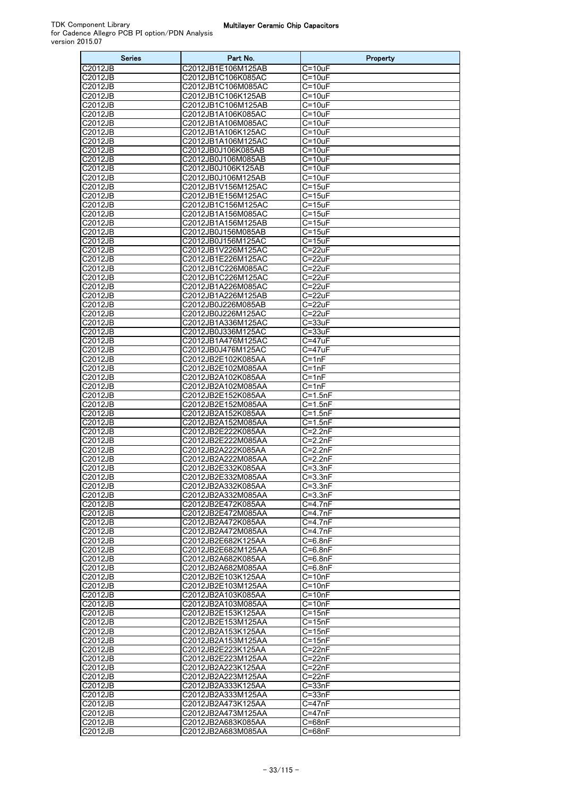| <b>Series</b>      | Part No.                                 | Property                   |
|--------------------|------------------------------------------|----------------------------|
| C2012JB            | C2012JB1E106M125AB                       | C=10uF                     |
| C2012JB            | C2012JB1C106K085AC                       | $\overline{C}$ =10uF       |
| C2012JB            | C2012JB1C106M085AC                       | $C = 10uF$                 |
| C2012JB            | C2012JB1C106K125AB                       | $C = 10uF$                 |
| C2012JB<br>C2012JB | C2012JB1C106M125AB<br>C2012JB1A106K085AC | $C = 10uF$<br>$C = 10uF$   |
| C2012JB            | C2012JB1A106M085AC                       | $C=10uF$                   |
| C2012JB            | C2012JB1A106K125AC                       | $C = 10uF$                 |
| C2012JB            | C2012JB1A106M125AC                       | $C = 10uF$                 |
| C2012JB            | C2012JB0J106K085AB                       | $C = 10uF$                 |
| C2012JB            | C2012JB0J106M085AB                       | $C = 10uF$                 |
| C2012JB            | C2012JB0J106K125AB                       | $\overline{C}$ =10uF       |
| C2012JB            | C2012JB0J106M125AB                       | $C = 10uF$                 |
| C2012JB            | C2012JB1V156M125AC                       | $C = 15uF$                 |
| C2012JB            | C2012JB1E156M125AC                       | $C = 15uF$                 |
| C2012JB<br>C2012JB | C2012JB1C156M125AC<br>C2012JB1A156M085AC | $C = 15uF$<br>$C = 15uF$   |
| C2012JB            | C2012JB1A156M125AB                       | $C = 15uF$                 |
| C2012JB            | C2012JB0J156M085AB                       | $C = 15uF$                 |
| C2012JB            | C2012JB0J156M125AC                       | $C = 15uF$                 |
| C2012JB            | C2012JB1V226M125AC                       | C=22uF                     |
| C2012JB            | C2012JB1E226M125AC                       | C=22uF                     |
| C2012JB            | C2012JB1C226M085AC                       | C=22uF                     |
| C2012JB            | C2012JB1C226M125AC                       | C=22uF                     |
| C2012JB            | C2012JB1A226M085AC                       | $C = 22uF$                 |
| C2012JB            | C2012JB1A226M125AB                       | C=22uF                     |
| C2012JB<br>C2012JB | C2012JB0J226M085AB<br>C2012JB0J226M125AC | C=22uF<br>C=22uF           |
| C2012JB            | C2012JB1A336M125AC                       | $C = 33uF$                 |
| C2012JB            | C2012JB0J336M125AC                       | $C = 33uF$                 |
| C2012JB            | C2012JB1A476M125AC                       | C=47uF                     |
| C2012JB            | C2012JB0J476M125AC                       | C=47uF                     |
| C2012JB            | C2012JB2E102K085AA                       | C=1nF                      |
| C2012JB            | C2012JB2E102M085AA                       | C=1nF                      |
| C2012JB            | C2012JB2A102K085AA                       | $C = 1nF$                  |
| C2012JB            | C2012JB2A102M085AA                       | C=1nF                      |
| C2012JB<br>C2012JB | C2012JB2E152K085AA<br>C2012JB2E152M085AA | $C = 1.5nF$<br>$C = 1.5nF$ |
| C2012JB            | C2012JB2A152K085AA                       | $C = 1.5nF$                |
| C2012JB            | C2012JB2A152M085AA                       | $C = 1.5nF$                |
| C2012JB            | C2012JB2E222K085AA                       | C=2.2nF                    |
| C2012JB            | C2012JB2E222M085AA                       | $C=2.2nF$                  |
| C2012JB            | C2012JB2A222K085AA                       | $C = 2.2nF$                |
| C2012JB            | C2012JB2A222M085AA                       | C=2.2nF                    |
| C2012JB            | C2012JB2E332K085AA<br>C2012JB2E332M085AA | $C = 3.3nF$                |
| C2012JB<br>C2012JB | C2012JB2A332K085AA                       | C=3.3nF<br>$C = 3.3nF$     |
| C2012JB            | C2012JB2A332M085AA                       | $C = 3.3nF$                |
| C2012JB            | C2012JB2E472K085AA                       | $C = 4.7nF$                |
| C2012JB            | C2012JB2E472M085AA                       | $C = 4.7nF$                |
| C2012JB            | C2012JB2A472K085AA                       | $C = 4.7nF$                |
| C2012JB            | C2012JB2A472M085AA                       | $C = 4.7nF$                |
| C2012JB            | C2012JB2E682K125AA                       | $C = 6.8nF$                |
| C2012JB            | C2012JB2E682M125AA                       | C=6.8nF                    |
| C2012JB            | C2012JB2A682K085AA<br>C2012JB2A682M085AA | $C = 6.8nF$                |
| C2012JB<br>C2012JB | C2012JB2E103K125AA                       | $C = 6.8nF$<br>$C = 10nF$  |
| C2012JB            | C2012JB2E103M125AA                       | $C = 10nF$                 |
| C2012JB            | C2012JB2A103K085AA                       | $C = 10nF$                 |
| C2012JB            | C2012JB2A103M085AA                       | $C = 10nF$                 |
| C2012JB            | C2012JB2E153K125AA                       | $C = 15nF$                 |
| C2012JB            | C2012JB2E153M125AA                       | $C = 15nF$                 |
| C2012JB            | C2012JB2A153K125AA                       | $C = 15nF$                 |
| C2012JB            | C2012JB2A153M125AA                       | $C = 15nF$                 |
| C2012JB<br>C2012JB | C2012JB2E223K125AA<br>C2012JB2E223M125AA | $C = 22nF$<br>C=22nF       |
| C2012JB            | C2012JB2A223K125AA                       | $C = 22nF$                 |
| C2012JB            | C2012JB2A223M125AA                       | $C=22nF$                   |
| C2012JB            | C2012JB2A333K125AA                       | $C = 33nF$                 |
| C2012JB            | C2012JB2A333M125AA                       | $C = 33nF$                 |
| C2012JB            | C2012JB2A473K125AA                       | C=47nF                     |
| C2012JB            | C2012JB2A473M125AA                       | $C = 47nF$                 |
| C2012JB            | C2012JB2A683K085AA                       | C=68nF                     |
| C2012JB            | C2012JB2A683M085AA                       | C=68nF                     |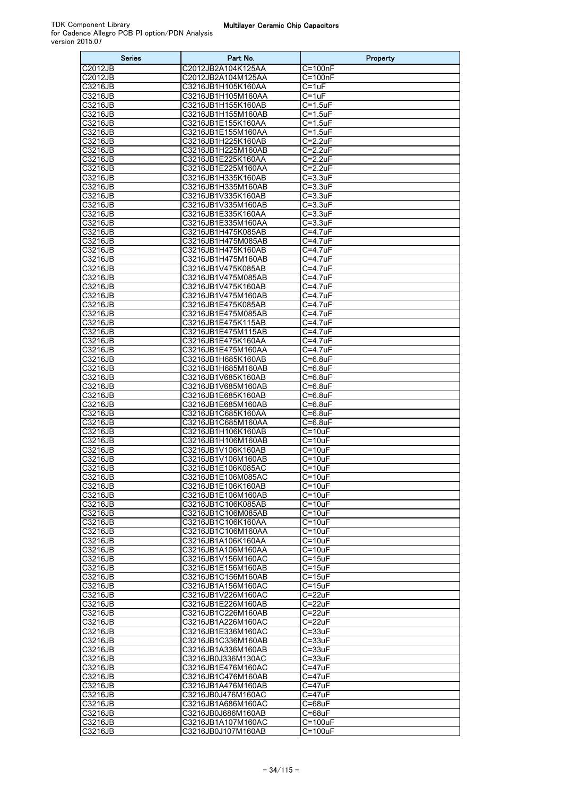| <b>Series</b>      | Part No.                                 | Property                   |
|--------------------|------------------------------------------|----------------------------|
| C2012JB            | C2012JB2A104K125AA                       | C=100nF                    |
| C2012JB            | C2012JB2A104M125AA                       | $C = 100nF$                |
| C3216JB<br>C3216JB | C3216JB1H105K160AA                       | $C = 1uF$                  |
| C3216JB            | C3216JB1H105M160AA<br>C3216JB1H155K160AB | C=1uF<br>$C = 1.5uF$       |
| C3216JB            | C3216JB1H155M160AB                       | $C = 1.5$ uF               |
| C3216JB            | C3216JB1E155K160AA                       | C=1.5uF                    |
| C3216JB            | C3216JB1E155M160AA                       | $C = 1.5uF$                |
| C3216JB            | C3216JB1H225K160AB                       | $C=2.2uF$                  |
| C3216JB            | C3216JB1H225M160AB                       | $C = 2.2uF$                |
| C3216JB            | C3216JB1E225K160AA                       | $C = 2.2uF$                |
| C3216JB            | C3216JB1E225M160AA                       | C=2.2uF                    |
| C3216JB<br>C3216JB | C3216JB1H335K160AB<br>C3216JB1H335M160AB | $C = 3.3uF$<br>$C = 3.3uF$ |
| C3216JB            | C3216JB1V335K160AB                       | $C = 3.3uF$                |
| C3216JB            | C3216JB1V335M160AB                       | $C = 3.3uF$                |
| C3216JB            | C3216JB1E335K160AA                       | $C = 3.3uF$                |
| C3216JB            | C3216JB1E335M160AA                       | $C = 3.3uF$                |
| C3216JB            | C3216JB1H475K085AB                       | C=4.7uF                    |
| C3216JB            | C3216JB1H475M085AB                       | $C = 4.7uF$                |
| C3216JB            | C3216JB1H475K160AB                       | C=4.7uF                    |
| C3216JB<br>C3216JB | C3216JB1H475M160AB<br>C3216JB1V475K085AB | C=4.7uF<br>$C = 4.7uF$     |
| C3216JB            | C3216JB1V475M085AB                       | C=4.7uF                    |
| C3216JB            | C3216JB1V475K160AB                       | $C = 4.7$ uF               |
| C3216JB            | C3216JB1V475M160AB                       | C=4.7uF                    |
| C3216JB            | C3216JB1E475K085AB                       | C=4.7uF                    |
| C3216JB            | C3216JB1E475M085AB                       | $C = 4.7uF$                |
| C3216JB            | C3216JB1E475K115AB                       | C=4.7uF                    |
| C3216JB            | C3216JB1E475M115AB                       | C=4.7uF                    |
| C3216JB            | C3216JB1E475K160AA                       | C=4.7uF                    |
| C3216JB<br>C3216JB | C3216JB1E475M160AA<br>C3216JB1H685K160AB | C=4.7uF<br>$C = 6.8$ uF    |
| C3216JB            | C3216JB1H685M160AB                       | $C=6.8$ uF                 |
| C3216JB            | C3216JB1V685K160AB                       | $C = 6.8$ uF               |
| C3216JB            | C3216JB1V685M160AB                       | $C = 6.8$ uF               |
| C3216JB            | C3216JB1E685K160AB                       | $C = 6.8$ uF               |
| C3216JB            | C3216JB1E685M160AB                       | $C = 6.8$ uF               |
| C3216JB            | C3216JB1C685K160AA                       | $C=6.8$ uF                 |
| C3216JB<br>C3216JB | C3216JB1C685M160AA<br>C3216JB1H106K160AB | $C = 6.8uF$<br>$C = 10uF$  |
| C3216JB            | C3216JB1H106M160AB                       | $C = 10uF$                 |
| C3216JB            | C3216JB1V106K160AB                       | $C = 10uF$                 |
| C3216JB            | C3216JB1V106M160AB                       | $C = 10uF$                 |
| C3216JB            | C3216JB1E106K085AC                       | $C = 10uF$                 |
| C3216JB            | C3216JB1E106M085AC                       | $C = 10uF$                 |
| C3216JB            | C3216JB1E106K160AB                       | $C = 10uF$                 |
| C3216JB<br>C3216JB | C3216JB1E106M160AB<br>C3216JB1C106K085AB | C=10uF<br>$C = 10uF$       |
| C3216JB            | C3216JB1C106M085AB                       | C=10uF                     |
| C3216JB            | C3216JB1C106K160AA                       | $C = 10uF$                 |
| C3216JB            | C3216JB1C106M160AA                       | $C = 10uF$                 |
| C3216JB            | C3216JB1A106K160AA                       | $C = 10uF$                 |
| C3216JB            | C3216JB1A106M160AA                       | $C = 10uF$                 |
| C3216JB            | C3216JB1V156M160AC                       | $C = 15uF$                 |
| C3216JB            | C3216JB1E156M160AB                       | $C = 15uF$                 |
| C3216JB<br>C3216JB | C3216JB1C156M160AB<br>C3216JB1A156M160AC | $C = 15uF$<br>C=15uF       |
| C3216JB            | C3216JB1V226M160AC                       | $C = 22uF$                 |
| C3216JB            | C3216JB1E226M160AB                       | $C = 22uF$                 |
| C3216JB            | C3216JB1C226M160AB                       | C=22uF                     |
| C3216JB            | C3216JB1A226M160AC                       | $C = 22uF$                 |
| C3216JB            | C3216JB1E336M160AC                       | $C = 33uF$                 |
| C3216JB            | C3216JB1C336M160AB                       | $C = 33uF$                 |
| C3216JB            | C3216JB1A336M160AB                       | C=33uF                     |
| C3216JB            | C3216JB0J336M130AC                       | $C = 33uF$                 |
| C3216JB<br>C3216JB | C3216JB1E476M160AC<br>C3216JB1C476M160AB | C=47uF<br>C=47uF           |
| C3216JB            | C3216JB1A476M160AB                       | $C = 47uF$                 |
| C3216JB            | C3216JB0J476M160AC                       | C=47uF                     |
| C3216JB            | C3216JB1A686M160AC                       | $C = 68uF$                 |
| C3216JB            | C3216JB0J686M160AB                       | C=68uF                     |
| C3216JB            | C3216JB1A107M160AC                       | C=100uF                    |
| C3216JB            | C3216JB0J107M160AB                       | C=100uF                    |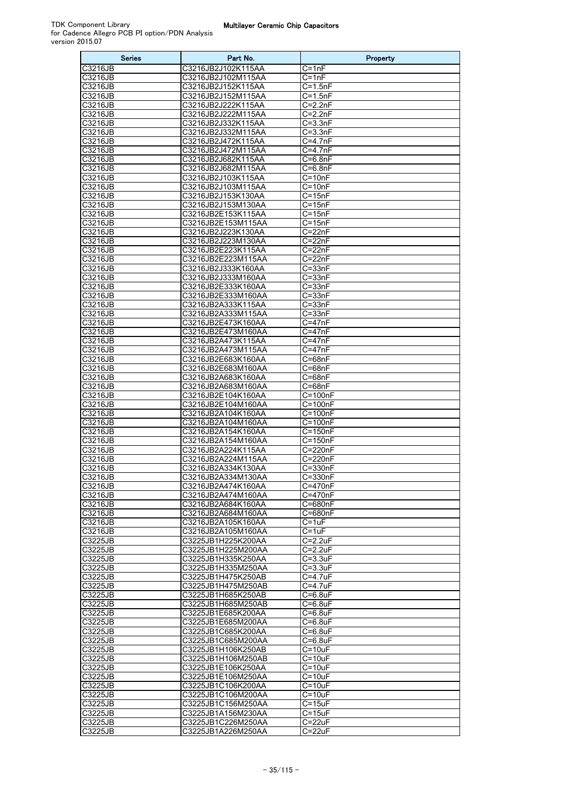| <b>Series</b>                    | Part No.                                 | Property                   |
|----------------------------------|------------------------------------------|----------------------------|
| C3216JB                          | C3216JB2J102K115AA                       | $C = 1nF$                  |
| C3216JB                          | C3216JB2J102M115AA                       | $C = 1nF$                  |
| C3216JB                          | C3216JB2J152K115AA                       | $\overline{C=1}.5nF$       |
| C3216JB                          | C3216JB2J152M115AA                       | $C = 1.5nF$                |
| C3216JB                          | C3216JB2J222K115AA                       | $C = 2.2nF$                |
| C3216JB<br>C3216JB               | C3216JB2J222M115AA                       | $C = 2.2nF$<br>$C = 3.3nF$ |
| C3216JB                          | C3216JB2J332K115AA<br>C3216JB2J332M115AA | $C = 3.3nF$                |
| C3216JB                          | C3216JB2J472K115AA                       | C=4.7nF                    |
| C3216JB                          | C3216JB2J472M115AA                       | C=4.7nF                    |
| C3216JB                          | C3216JB2J682K115AA                       | $C = 6.8nF$                |
| C3216JB                          | C3216JB2J682M115AA                       | $C = 6.8nF$                |
| C3216JB                          | C3216JB2J103K115AA                       | $C = 10nF$                 |
| C3216JB                          | C3216JB2J103M115AA                       | $C = 10nF$                 |
| C3216JB                          | C3216JB2J153K130AA                       | $C = 15nF$                 |
| C3216JB                          | C3216JB2J153M130AA                       | $C = 15nF$                 |
| C3216JB                          | C3216JB2E153K115AA                       | $C = 15nF$                 |
| C3216JB<br>C3216JB               | C3216JB2E153M115AA<br>C3216JB2J223K130AA | $C = 15nF$<br>$C = 22nF$   |
| C3216JB                          | C3216JB2J223M130AA                       | $C = 22nF$                 |
| C3216JB                          | C3216JB2E223K115AA                       | $C = 22nF$                 |
| C3216JB                          | C3216JB2E223M115AA                       | $C = 22nF$                 |
| C3216JB                          | C3216JB2J333K160AA                       | $C = 33nF$                 |
| C3216JB                          | C3216JB2J333M160AA                       | $C = 33nF$                 |
| C3216JB                          | C3216JB2E333K160AA                       | $C = 33nF$                 |
| C3216JB                          | C3216JB2E333M160AA                       | $C = 33nF$                 |
| C3216JB                          | C3216JB2A333K115AA                       | $C = 33nF$                 |
| C3216JB                          | C3216JB2A333M115AA                       | $C = 33nF$                 |
| C3216JB<br>C3216JB               | C3216JB2E473K160AA<br>C3216JB2E473M160AA | $C = 47nF$<br>$C = 47nF$   |
| C3216JB                          | C3216JB2A473K115AA                       | $C = 47nF$                 |
| C3216JB                          | C3216JB2A473M115AA                       | $C = 47nF$                 |
| C3216JB                          | C3216JB2E683K160AA                       | $C = 68nF$                 |
| C3216JB                          | C3216JB2E683M160AA                       | C=68nF                     |
| C3216JB                          | C3216JB2A683K160AA                       | $C = 68nF$                 |
| C3216JB                          | C3216JB2A683M160AA                       | $C = 68nF$                 |
| C3216JB                          | C3216JB2E104K160AA                       | $C = 100nF$<br>$C = 100nF$ |
| C3216JB<br>C3216JB               | C3216JB2E104M160AA<br>C3216JB2A104K160AA | $\overline{C}$ =100nF      |
| C3216JB                          | C3216JB2A104M160AA                       | $C = 100nF$                |
| C3216JB                          | C3216JB2A154K160AA                       | $C = 150nF$                |
| C3216JB                          | C3216JB2A154M160AA                       | $C = 150nF$                |
| C3216JB                          | C3216JB2A224K115AA                       | $C = 220nF$                |
| C3216JB                          | C3216JB2A224M115AA                       | C=220nF                    |
| C3216JB<br>C3216JB               | C3216JB2A334K130AA                       | C=330nF                    |
| C3216JB                          | C3216JB2A334M130AA<br>C3216JB2A474K160AA | C=330nF<br>C=470nF         |
| C3216JB                          | C3216JB2A474M160AA                       | C=470nF                    |
| C3216JB                          | C3216JB2A684K160AA                       | C=680nF                    |
| C3216JB                          | C3216JB2A684M160AA                       | C=680nF                    |
| C3216JB                          | C3216JB2A105K160AA                       | C=1uF                      |
| C3216JB                          | C3216JB2A105M160AA                       | C=1uF                      |
| C3225JB                          | C3225JB1H225K200AA                       | $C = 2.2uF$                |
| C3225JB<br>C3225JB               | C3225JB1H225M200AA<br>C3225JB1H335K250AA | C=2.2uF<br>$C = 3.3uF$     |
| C3225JB                          | C3225JB1H335M250AA                       | $C = 3.3uF$                |
| C3225JB                          | C3225JB1H475K250AB                       | C=4.7uF                    |
| C3225JB                          | C3225JB1H475M250AB                       | $C = 4.7uF$                |
| $\overline{C}3225JB$             | C3225JB1H685K250AB                       | C=6.8uF                    |
| C3225JB                          | C3225JB1H685M250AB                       | $\overline{C=6}$ .8uF      |
| C3225JB                          | C3225JB1E685K200AA                       | C=6.8uF                    |
| C3225JB                          | C3225JB1E685M200AA                       | C=6.8uF                    |
| C3225JB<br>$\overline{C}3225JB$  | C3225JB1C685K200AA<br>C3225JB1C685M200AA | $C = 6.8$ uF<br>C=6.8uF    |
| C3225JB                          | C3225JB1H106K250AB                       | $C = 10uF$                 |
| C3225JB                          | C3225JB1H106M250AB                       | C=10uF                     |
| C3225JB                          | C3225JB1E106K250AA                       | $C = 10uF$                 |
| C3225JB                          | C3225JB1E106M250AA                       | $C = 10uF$                 |
| $\overline{C}3225JB$             | C3225JB1C106K200AA                       | C=10uF                     |
| C3225JB                          | C3225JB1C106M200AA                       | $C = 10uF$                 |
| C3225JB<br>$\overline{C3225}$ JB | C3225JB1C156M250AA<br>C3225JB1A156M230AA | $C = 15uF$<br>$C=15uF$     |
| C3225JB                          | C3225JB1C226M250AA                       | C=22uF                     |
| C3225JB                          | C3225JB1A226M250AA                       | C=22uF                     |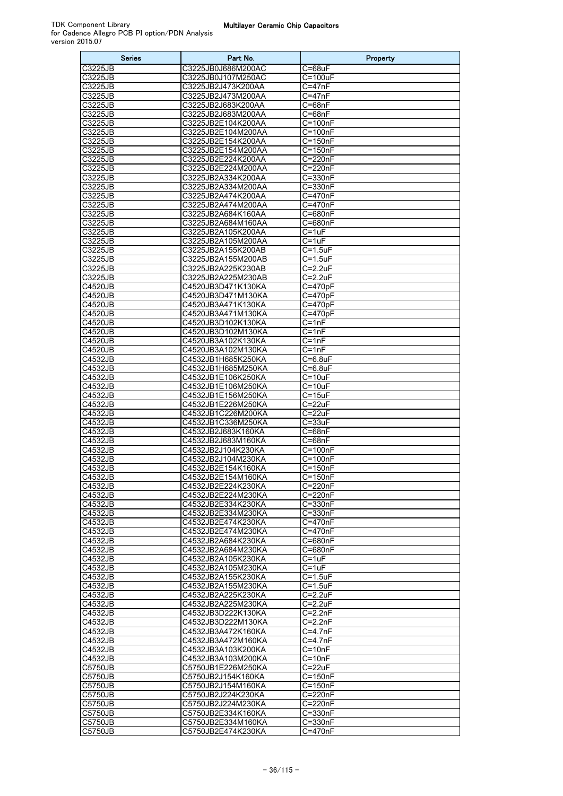| <b>Series</b>      | Part No.                                 | Property                   |
|--------------------|------------------------------------------|----------------------------|
| C3225JB            | C3225JB0J686M200AC                       | C=68uF                     |
| C3225JB            | C3225JB0J107M250AC                       | C=100uF                    |
| C3225JB            | C3225JB2J473K200AA                       | $C = 47nF$                 |
| C3225JB            | C3225JB2J473M200AA                       | $C = 47nF$                 |
| C3225JB            | C3225JB2J683K200AA                       | C=68nF                     |
| C3225JB            | C3225JB2J683M200AA                       | $C = 68nF$                 |
| C3225JB            | C3225JB2E104K200AA                       | $C = 100nF$                |
| C3225JB            | C3225JB2E104M200AA                       | $C = 100nF$                |
| C3225JB            | C3225JB2E154K200AA<br>C3225JB2E154M200AA | $C = 150nF$                |
| C3225JB<br>C3225JB | C3225JB2E224K200AA                       | $C = 150nF$<br>C=220nF     |
| C3225JB            | C3225JB2E224M200AA                       | C=220nF                    |
| C3225JB            | C3225JB2A334K200AA                       | $C = 330nF$                |
| C3225JB            | C3225JB2A334M200AA                       | C=330nF                    |
| C3225JB            | C3225JB2A474K200AA                       | C=470nF                    |
| C3225JB            | C3225JB2A474M200AA                       | C=470nF                    |
| C3225JB            | C3225JB2A684K160AA                       | C=680nF                    |
| C3225JB            | C3225JB2A684M160AA                       | C=680nF                    |
| C3225JB            | C3225JB2A105K200AA                       | C=1uF                      |
| C3225JB            | C3225JB2A105M200AA                       | $C = 1uF$                  |
| C3225JB            | C3225JB2A155K200AB                       | $C = 1.5$ uF               |
| C3225JB            | C3225JB2A155M200AB                       | $C = 1.5$ uF               |
| C3225JB<br>C3225JB | C3225JB2A225K230AB<br>C3225JB2A225M230AB | $C = 2.2uF$<br>$C = 2.2uF$ |
| C4520JB            | C4520JB3D471K130KA                       | $C = 470pF$                |
| C4520JB            | C4520JB3D471M130KA                       | $C = 470pF$                |
| C4520JB            | C4520JB3A471K130KA                       | $C = 470pF$                |
| C4520JB            | C4520JB3A471M130KA                       | $C = 470pF$                |
| C4520JB            | C4520JB3D102K130KA                       | C=1nF                      |
| C4520JB            | C4520JB3D102M130KA                       | $C=1nF$                    |
| C4520JB            | C4520JB3A102K130KA                       | C=1nF                      |
| C4520JB            | C4520JB3A102M130KA                       | $C = 1nF$                  |
| C4532JB            | C4532JB1H685K250KA                       | C=6.8uF                    |
| C4532JB            | C4532JB1H685M250KA                       | $C=6.8$ uF                 |
| C4532JB            | C4532JB1E106K250KA                       | $C = 10uF$                 |
| C4532JB            | C4532JB1E106M250KA                       | $C = 10uF$                 |
| C4532JB<br>C4532JB | C4532JB1E156M250KA<br>C4532JB1E226M250KA | $C = 15uF$<br>$C = 22uF$   |
| C4532JB            | C4532JB1C226M200KA                       | C=22uF                     |
| C4532JB            | C4532JB1C336M250KA                       | $C = 33uF$                 |
| C4532JB            | C4532JB2J683K160KA                       | C=68nF                     |
| C4532JB            | C4532JB2J683M160KA                       | $C = 68nF$                 |
| C4532JB            | C4532JB2J104K230KA                       | $C = 100nF$                |
| C4532JB            | C4532JB2J104M230KA                       | $C=100nF$                  |
| C4532JB            | C4532JB2E154K160KA                       | $C = 150nF$                |
| C4532JB            | C4532JB2E154M160KA                       | $C = 150nF$                |
| C4532JB            | C4532JB2E224K230KA                       | C=220nF                    |
| C4532JB            | C4532JB2E224M230KA                       | C=220nF                    |
| C4532JB            | C4532JB2E334K230KA<br>C4532JB2E334M230KA | C=330nF                    |
| C4532JB<br>C4532JB | C4532JB2E474K230KA                       | C=330nF<br>C=470nF         |
| C4532JB            | C4532JB2E474M230KA                       | C=470nF                    |
| C4532JB            | C4532JB2A684K230KA                       | C=680nF                    |
| C4532JB            | C4532JB2A684M230KA                       | C=680nF                    |
| C4532JB            | C4532JB2A105K230KA                       | $C = 1uF$                  |
| C4532JB            | C4532JB2A105M230KA                       | C=1uF                      |
| C4532JB            | C4532JB2A155K230KA                       | $C = 1.5$ uF               |
| C4532JB            | C4532JB2A155M230KA                       | C=1.5uF                    |
| C4532JB            | C4532JB2A225K230KA                       | $C=2.2uF$                  |
| C4532JB            | C4532JB2A225M230KA                       | $C = 2.2uF$                |
| C4532JB<br>C4532JB | C4532JB3D222K130KA<br>C4532JB3D222M130KA | C=2.2nF<br>$C = 2.2nF$     |
| C4532JB            | C4532JB3A472K160KA                       | C=4.7nF                    |
| C4532JB            | C4532JB3A472M160KA                       | $C = 4.7nF$                |
| C4532JB            | C4532JB3A103K200KA                       | $C = 10nF$                 |
| C4532JB            | C4532JB3A103M200KA                       | C=10nF                     |
| C5750JB            | C5750JB1E226M250KA                       | $C = 22uF$                 |
| C5750JB            | C5750JB2J154K160KA                       | $C = 150nF$                |
| C5750JB            | C5750JB2J154M160KA                       | $\overline{C}$ =150nF      |
| C5750JB            | C5750JB2J224K230KA                       | C=220nF                    |
| C5750JB            | C5750JB2J224M230KA                       | C=220nF                    |
| C5750JB            | C5750JB2E334K160KA                       | C=330nF                    |
| C5750JB            | C5750JB2E334M160KA                       | C=330nF                    |
| C5750JB            | C5750JB2E474K230KA                       | C=470nF                    |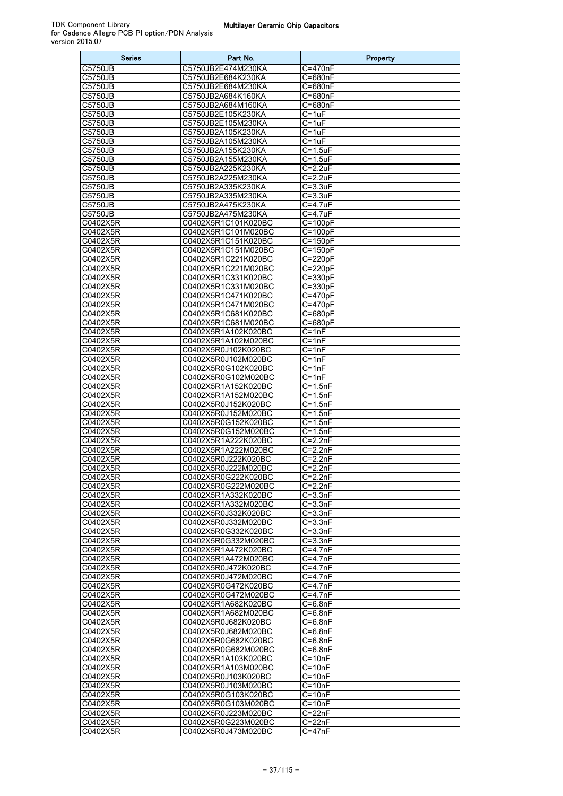| <b>Series</b>             | Part No.                                   | Property                   |
|---------------------------|--------------------------------------------|----------------------------|
| C5750JB                   | C5750JB2E474M230KA                         | C=470nF                    |
| <b>C5750JB</b>            | C5750JB2E684K230KA                         | C=680nF                    |
| C5750JB                   | C5750JB2E684M230KA                         | C=680nF                    |
| C5750JB                   | C5750JB2A684K160KA                         | C=680nF                    |
| C5750JB                   | C5750JB2A684M160KA                         | C=680nF                    |
| C5750JB<br><b>C5750JB</b> | C5750JB2E105K230KA<br>C5750JB2E105M230KA   | $C = 1uF$<br>$C = 1uF$     |
| C5750JB                   | C5750JB2A105K230KA                         | $C = 1uF$                  |
| C5750JB                   | C5750JB2A105M230KA                         | C=1uF                      |
| C5750JB                   | C5750JB2A155K230KA                         | $C = 1.5$ uF               |
| C5750JB                   | C5750JB2A155M230KA                         | $C = 1.5$ uF               |
| <b>C5750JB</b>            | C5750JB2A225K230KA                         | $C = 2.2uF$                |
| C5750JB                   | C5750JB2A225M230KA                         | $C = 2.2uF$                |
| C5750JB                   | C5750JB2A335K230KA                         | $C = 3.3uF$                |
| C5750JB                   | C5750JB2A335M230KA                         | $C = 3.3uF$                |
| C5750JB                   | C5750JB2A475K230KA                         | C=4.7uF                    |
| C5750JB                   | C5750JB2A475M230KA                         | $C = 4.7$ u $F$            |
| C0402X5R<br>C0402X5R      | C0402X5R1C101K020BC<br>C0402X5R1C101M020BC | $C = 100pF$<br>$C = 100pF$ |
| C0402X5R                  | C0402X5R1C151K020BC                        | $C = 150pF$                |
| C0402X5R                  | C0402X5R1C151M020BC                        | $C = 150pF$                |
| C0402X5R                  | C0402X5R1C221K020BC                        | $C = 220pF$                |
| C0402X5R                  | C0402X5R1C221M020BC                        | $C = 220pF$                |
| C0402X5R                  | C0402X5R1C331K020BC                        | $C = 330pF$                |
| C0402X5R                  | C0402X5R1C331M020BC                        | $C = 330pF$                |
| C0402X5R                  | C0402X5R1C471K020BC                        | $C = 470pF$                |
| C0402X5R                  | C0402X5R1C471M020BC                        | C=470pF                    |
| C0402X5R                  | C0402X5R1C681K020BC                        | $C = 680pF$                |
| C0402X5R                  | C0402X5R1C681M020BC                        | C=680pF                    |
| C0402X5R<br>C0402X5R      | C0402X5R1A102K020BC<br>C0402X5R1A102M020BC | $C = 1nF$<br>C=1nF         |
| C0402X5R                  | C0402X5R0J102K020BC                        | $C = 1nF$                  |
| C0402X5R                  | C0402X5R0J102M020BC                        | $C = 1nF$                  |
| C0402X5R                  | C0402X5R0G102K020BC                        | C=1nF                      |
| C0402X5R                  | C0402X5R0G102M020BC                        | $C = 1nF$                  |
| C0402X5R                  | C0402X5R1A152K020BC                        | $C = 1.5nF$                |
| C0402X5R                  | C0402X5R1A152M020BC                        | $C=1.5nF$                  |
| C0402X5R                  | C0402X5R0J152K020BC                        | $C = 1.5nF$                |
| C0402X5R                  | C0402X5R0J152M020BC                        | $C = 1.5nF$                |
| C0402X5R<br>C0402X5R      | C0402X5R0G152K020BC<br>C0402X5R0G152M020BC | $C = 1.5nF$<br>$C = 1.5nF$ |
| C0402X5R                  | C0402X5R1A222K020BC                        | $C=2.2nF$                  |
| C0402X5R                  | C0402X5R1A222M020BC                        | $C = 2.2nF$                |
| C0402X5R                  | C0402X5R0J222K020BC                        | $C = 2.2nF$                |
| C0402X5R                  | C0402X5R0J222M020BC                        | C=2.2nF                    |
| C0402X5R                  | C0402X5R0G222K020BC                        | $C = 2.2nF$                |
| C0402X5R                  | C0402X5R0G222M020BC                        | $C=2.2nF$                  |
| C0402X5R                  | C0402X5R1A332K020BC                        | C=3.3nF                    |
| C0402X5R<br>C0402X5R      | C0402X5R1A332M020BC<br>C0402X5R0J332K020BC | C=3.3nF<br>$C = 3.3nF$     |
| C0402X5R                  | C0402X5R0J332M020BC                        | C=3.3nF                    |
| C0402X5R                  | C0402X5R0G332K020BC                        | C=3.3nF                    |
| C0402X5R                  | C0402X5R0G332M020BC                        | $C = 3.3nF$                |
| C0402X5R                  | C0402X5R1A472K020BC                        | $C = 4.7nF$                |
| C0402X5R                  | C0402X5R1A472M020BC                        | $C = 4.7nF$                |
| C0402X5R                  | C0402X5R0J472K020BC                        | C=4.7nF                    |
| C0402X5R                  | C0402X5R0J472M020BC                        | $C = 4.7nF$                |
| C0402X5R                  | C0402X5R0G472K020BC                        | C=4.7nF                    |
| C0402X5R                  | C0402X5R0G472M020BC                        | $C = 4.7nF$                |
| C0402X5R<br>C0402X5R      | C0402X5R1A682K020BC<br>C0402X5R1A682M020BC | C=6.8nF<br>C=6.8nF         |
| C0402X5R                  | C0402X5R0J682K020BC                        | C=6.8nF                    |
| C0402X5R                  | C0402X5R0J682M020BC                        | $C = 6.8nF$                |
| C0402X5R                  | C0402X5R0G682K020BC                        | C=6.8nF                    |
| C0402X5R                  | C0402X5R0G682M020BC                        | C=6.8nF                    |
| C0402X5R                  | C0402X5R1A103K020BC                        | C=10nF                     |
| C0402X5R                  | C0402X5R1A103M020BC                        | $C = 10nF$                 |
| C0402X5R                  | C0402X5R0J103K020BC                        | $C = 10nF$                 |
| C0402X5R                  | C0402X5R0J103M020BC                        | C=10nF                     |
| C0402X5R<br>C0402X5R      | C0402X5R0G103K020BC<br>C0402X5R0G103M020BC | $C = 10nF$<br>$C = 10nF$   |
| C0402X5R                  | C0402X5R0J223M020BC                        | $C = 22nF$                 |
| C0402X5R                  | C0402X5R0G223M020BC                        | C=22nF                     |
| C0402X5R                  | C0402X5R0J473M020BC                        | $C = 47nF$                 |
|                           |                                            |                            |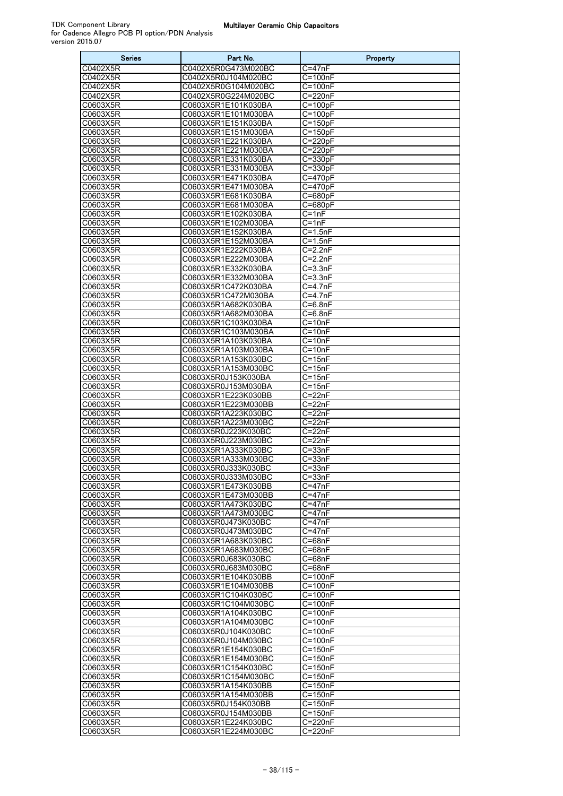| Series               | Part No.                                   | Property                   |
|----------------------|--------------------------------------------|----------------------------|
| C0402X5R             | C0402X5R0G473M020BC                        | $C = 47nF$                 |
| C0402X5R             | C0402X5R0J104M020BC                        | $C = 100nF$                |
| C0402X5R             | C0402X5R0G104M020BC                        | $\overline{C}$ =100nF      |
| C0402X5R             | C0402X5R0G224M020BC                        | C=220nF                    |
| C0603X5R             | C0603X5R1E101K030BA                        | $C = 100pF$                |
| C0603X5R<br>C0603X5R | C0603X5R1E101M030BA<br>C0603X5R1E151K030BA | $C = 100pF$<br>$C = 150pF$ |
| C0603X5R             | C0603X5R1E151M030BA                        | $C = 150pF$                |
| C0603X5R             | C0603X5R1E221K030BA                        | C=220pF                    |
| C0603X5R             | C0603X5R1E221M030BA                        | $C = 220pF$                |
| C0603X5R             | C0603X5R1E331K030BA                        | C=330pF                    |
| C0603X5R             | C0603X5R1E331M030BA                        | $C = 330pF$                |
| C0603X5R             | C0603X5R1E471K030BA                        | $C = 470pF$                |
| C0603X5R             | C0603X5R1E471M030BA                        | C=470pF                    |
| C0603X5R             | C0603X5R1E681K030BA                        | C=680pF                    |
| C0603X5R             | C0603X5R1E681M030BA                        | C=680pF                    |
| C0603X5R             | C0603X5R1E102K030BA                        | C=1nF                      |
| C0603X5R<br>C0603X5R | C0603X5R1E102M030BA<br>C0603X5R1E152K030BA | $C = 1nF$<br>C=1.5nF       |
| C0603X5R             | C0603X5R1E152M030BA                        | $C = 1.5nF$                |
| C0603X5R             | C0603X5R1E222K030BA                        | $C = 2.2nF$                |
| C0603X5R             | C0603X5R1E222M030BA                        | $C=2.2nF$                  |
| C0603X5R             | C0603X5R1E332K030BA                        | $C = 3.3nF$                |
| C0603X5R             | C0603X5R1E332M030BA                        | $C = 3.3nF$                |
| C0603X5R             | C0603X5R1C472K030BA                        | $C = 4.7nF$                |
| C0603X5R             | C0603X5R1C472M030BA                        | C=4.7nF                    |
| C0603X5R             | C0603X5R1A682K030BA                        | $C = 6.8nF$                |
| C0603X5R             | C0603X5R1A682M030BA                        | C=6.8nF                    |
| C0603X5R             | C0603X5R1C103K030BA                        | $C = 10nF$                 |
| C0603X5R             | C0603X5R1C103M030BA                        | $C = 10nF$                 |
| C0603X5R<br>C0603X5R | C0603X5R1A103K030BA<br>C0603X5R1A103M030BA | $C = 10nF$<br>$C = 10nF$   |
| C0603X5R             | C0603X5R1A153K030BC                        | $C = 15nF$                 |
| C0603X5R             | C0603X5R1A153M030BC                        | $C = 15nF$                 |
| C0603X5R             | C0603X5R0J153K030BA                        | $C = 15nF$                 |
| C0603X5R             | C0603X5R0J153M030BA                        | $C = 15nF$                 |
| C0603X5R             | C0603X5R1E223K030BB                        | $C = 22nF$                 |
| C0603X5R             | C0603X5R1E223M030BB                        | $C = 22nF$                 |
| C0603X5R             | C0603X5R1A223K030BC                        | C=22nF                     |
| C0603X5R             | C0603X5R1A223M030BC                        | C=22nF                     |
| C0603X5R             | C0603X5R0J223K030BC                        | C=22nF                     |
| C0603X5R             | C0603X5R0J223M030BC<br>C0603X5R1A333K030BC | $C = 22nF$                 |
| C0603X5R<br>C0603X5R | C0603X5R1A333M030BC                        | $C = 33nF$<br>$C = 33nF$   |
| C0603X5R             | C0603X5R0J333K030BC                        | $C = 33nF$                 |
| C0603X5R             | C0603X5R0J333M030BC                        | C=33nF                     |
| C0603X5R             | C0603X5R1E473K030BB                        | $C = 47nF$                 |
| C0603X5R             | C0603X5R1E473M030BB                        | C=47nF                     |
| C0603X5R             | C0603X5R1A473K030BC                        | $C = 47nF$                 |
| C0603X5R             | C0603X5R1A473M030BC                        | $C = 47nF$                 |
| C0603X5R             | C0603X5R0J473K030BC                        | $C = 47nF$                 |
| C0603X5R             | C0603X5R0J473M030BC                        | C=47nF                     |
| C0603X5R             | C0603X5R1A683K030BC<br>C0603X5R1A683M030BC | C=68nF<br>$C = 68nF$       |
| C0603X5R<br>C0603X5R | C0603X5R0J683K030BC                        | $C = 68nF$                 |
| C0603X5R             | C0603X5R0J683M030BC                        | $C = 68nF$                 |
| C0603X5R             | C0603X5R1E104K030BB                        | $C = 100nF$                |
| C0603X5R             | C0603X5R1E104M030BB                        | $C = 100nF$                |
| C0603X5R             | C0603X5R1C104K030BC                        | $C = 100nF$                |
| C0603X5R             | C0603X5R1C104M030BC                        | C=100nF                    |
| C0603X5R             | C0603X5R1A104K030BC                        | $C = 100nF$                |
| C0603X5R             | C0603X5R1A104M030BC                        | C=100nF                    |
| C0603X5R             | C0603X5R0J104K030BC                        | $C = 100nF$                |
| C0603X5R<br>C0603X5R | C0603X5R0J104M030BC<br>C0603X5R1E154K030BC | $C = 100nF$<br>$C = 150nF$ |
| C0603X5R             | C0603X5R1E154M030BC                        | $C = 150nF$                |
| C0603X5R             | C0603X5R1C154K030BC                        | C=150nF                    |
| C0603X5R             | C0603X5R1C154M030BC                        | $C=150nF$                  |
| C0603X5R             | C0603X5R1A154K030BB                        | $C = 150nF$                |
| C0603X5R             | C0603X5R1A154M030BB                        | $C = 150nF$                |
| C0603X5R             | C0603X5R0J154K030BB                        | $C = 150nF$                |
| C0603X5R             | C0603X5R0J154M030BB                        | C=150nF                    |
| C0603X5R             | C0603X5R1E224K030BC                        | C=220nF                    |
| C0603X5R             | C0603X5R1E224M030BC                        | C=220nF                    |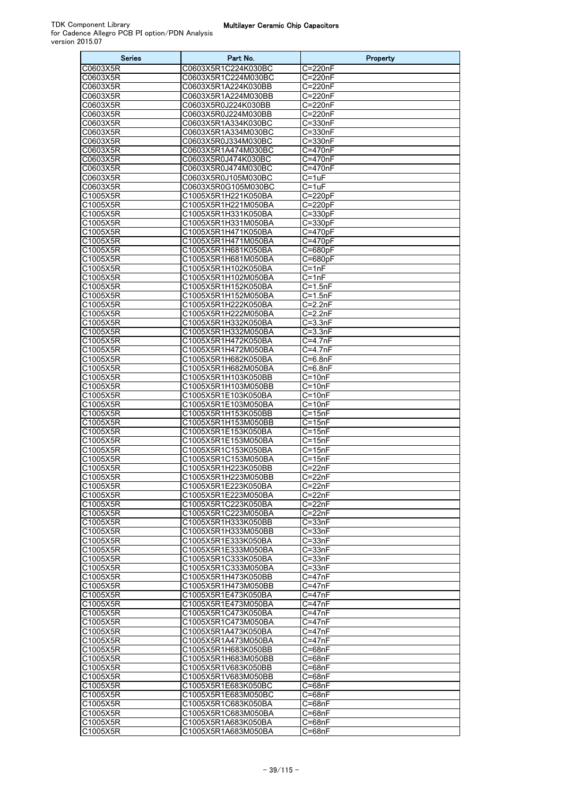| Series                             | Part No.                                   | Property                        |
|------------------------------------|--------------------------------------------|---------------------------------|
| C0603X5R                           | C0603X5R1C224K030BC                        | C=220nF                         |
| C0603X5R                           | C0603X5R1C224M030BC                        | C=220nF                         |
| C0603X5R<br>C0603X5R               | C0603X5R1A224K030BB<br>C0603X5R1A224M030BB | C=220nF<br>C=220nF              |
| C0603X5R                           | C0603X5R0J224K030BB                        | C=220nF                         |
| $\overline{CO60}$ 3X5R             | C0603X5R0J224M030BB                        | C=220nF                         |
| C0603X5R                           | C0603X5R1A334K030BC                        | C=330nF                         |
| C0603X5R                           | C0603X5R1A334M030BC                        | C=330nF                         |
| C0603X5R                           | C0603X5R0J334M030BC                        | C=330nF                         |
| C0603X5R                           | C0603X5R1A474M030BC                        | $C = 470nF$                     |
| $\overline{CO60}$ 3X5R<br>C0603X5R | C0603X5R0J474K030BC<br>C0603X5R0J474M030BC | C=470nF<br>C=470nF              |
| C0603X5R                           | C0603X5R0J105M030BC                        | $C = 1uF$                       |
| C0603X5R                           | C0603X5R0G105M030BC                        | C=1uF                           |
| C1005X5R                           | C1005X5R1H221K050BA                        | $C = 220pF$                     |
| $\overline{\text{C1005X5R}}$       | C1005X5R1H221M050BA                        | $C = 220pF$                     |
| C1005X5R                           | C1005X5R1H331K050BA                        | $C = 330pF$                     |
| C1005X5R                           | C1005X5R1H331M050BA                        | $C = 330pF$                     |
| C1005X5R<br>C1005X5R               | C1005X5R1H471K050BA<br>C1005X5R1H471M050BA | $C = 470pF$<br>$C = 470pF$      |
| $\overline{\text{C1005X5R}}$       | C1005X5R1H681K050BA                        | $C = 680pF$                     |
| C1005X5R                           | C1005X5R1H681M050BA                        | C=680pF                         |
| C1005X5R                           | C1005X5R1H102K050BA                        | C=1nF                           |
| C1005X5R                           | C1005X5R1H102M050BA                        | $C = 1nF$                       |
| C1005X5R                           | C1005X5R1H152K050BA                        | $C = 1.5nF$                     |
| $\overline{\text{C1005X5R}}$       | C1005X5R1H152M050BA<br>C1005X5R1H222K050BA | $C = 1.5nF$                     |
| C1005X5R<br>C1005X5R               | C1005X5R1H222M050BA                        | C=2.2nF<br>$C = 2.2nF$          |
| C1005X5R                           | C1005X5R1H332K050BA                        | $C = 3.3nF$                     |
| C1005X5R                           | C1005X5R1H332M050BA                        | $C = 3.3nF$                     |
| C1005X5R                           | C1005X5R1H472K050BA                        | $C = 4.7nF$                     |
| C1005X5R                           | C1005X5R1H472M050BA                        | $C = 4.7nF$                     |
| C1005X5R                           | C1005X5R1H682K050BA                        | $C = 6.8nF$                     |
| C1005X5R<br>C1005X5R               | C1005X5R1H682M050BA<br>C1005X5R1H103K050BB | C=6.8nF<br>$\overline{C=1}$ OnF |
| C1005X5R                           | C1005X5R1H103M050BB                        | $C = 10nF$                      |
| C1005X5R                           | C1005X5R1E103K050BA                        | $C = 10nF$                      |
| C1005X5R                           | C1005X5R1E103M050BA                        | $C = 10nF$                      |
| C1005X5R                           | C1005X5R1H153K050BB                        | $C = 15nF$                      |
| C1005X5R                           | C1005X5R1H153M050BB                        | $C = 15nF$                      |
| $\overline{C1}005X5R$<br>C1005X5R  | C1005X5R1E153K050BA<br>C1005X5R1E153M050BA | $C = 15nF$<br>$C = 15nF$        |
| C1005X5R                           | C1005X5R1C153K050BA                        | $C = 15nF$                      |
| C1005X5R                           | C1005X5R1C153M050BA                        | $C = 15nF$                      |
| C1005X5R                           | C1005X5R1H223K050BB                        | $C = 22nF$                      |
| C1005X5R                           | C1005X5R1H223M050BB                        | $C = 22nF$                      |
| C1005X5R                           | C1005X5R1E223K050BA                        | $C = 22nF$                      |
| C1005X5R<br>C1005X5R               | C1005X5R1E223M050BA<br>C1005X5R1C223K050BA | $C = 22nF$<br>$C = 22nF$        |
| C1005X5R                           | C1005X5R1C223M050BA                        | $C = 22nF$                      |
| C1005X5R                           | C1005X5R1H333K050BB                        | $C = 33nF$                      |
| C1005X5R                           | C1005X5R1H333M050BB                        | $C = 33nF$                      |
| C1005X5R                           | C1005X5R1E333K050BA                        | $C = 33nF$                      |
| C1005X5R                           | C1005X5R1E333M050BA                        | $C = 33nF$                      |
| C1005X5R                           | C1005X5R1C333K050BA                        | $C = 33nF$                      |
| C1005X5R<br>C1005X5R               | C1005X5R1C333M050BA<br>C1005X5R1H473K050BB | $C = 33nF$<br>$C = 47nF$        |
| C1005X5R                           | C1005X5R1H473M050BB                        | $C = 47nF$                      |
| C1005X5R                           | C1005X5R1E473K050BA                        | $C = 47nF$                      |
| C1005X5R                           | C1005X5R1E473M050BA                        | $C = 47nF$                      |
| C1005X5R                           | C1005X5R1C473K050BA                        | $C = 47nF$                      |
| C1005X5R                           | C1005X5R1C473M050BA                        | $C = 47nF$<br>$C = 47nF$        |
| C1005X5R<br>C1005X5R               | C1005X5R1A473K050BA<br>C1005X5R1A473M050BA | C=47nF                          |
| C1005X5R                           | C1005X5R1H683K050BB                        | $C = 68nF$                      |
| C1005X5R                           | C1005X5R1H683M050BB                        | C=68nF                          |
| C1005X5R                           | C1005X5R1V683K050BB                        | $C = 68nF$                      |
| C1005X5R                           | C1005X5R1V683M050BB                        | $C = 68nF$                      |
| C1005X5R                           | C1005X5R1E683K050BC                        | C=68nF                          |
| C1005X5R<br>C1005X5R               | C1005X5R1E683M050BC<br>C1005X5R1C683K050BA | $C = 68nF$<br>C=68nF            |
| C1005X5R                           | C1005X5R1C683M050BA                        | $C = 68nF$                      |
| C1005X5R                           | C1005X5R1A683K050BA                        | C=68nF                          |
| C1005X5R                           | C1005X5R1A683M050BA                        | C=68nF                          |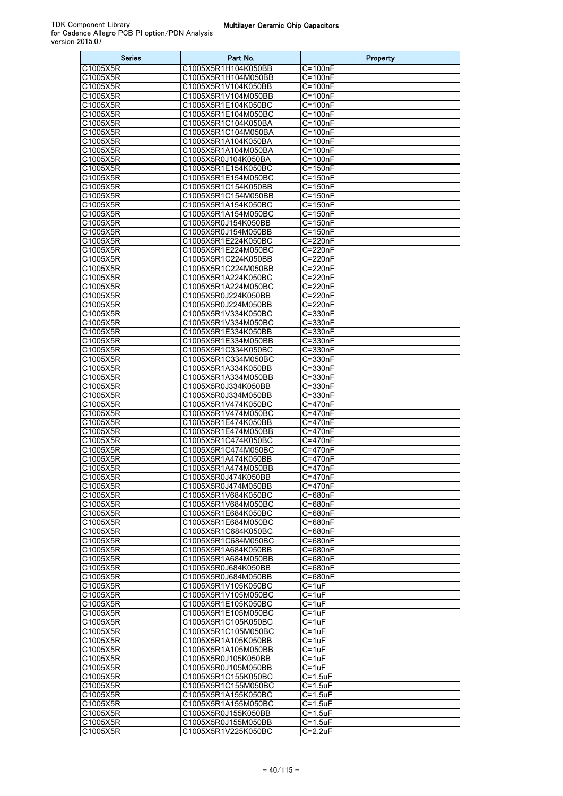| <b>Series</b>        | Part No.                                   | Property                     |
|----------------------|--------------------------------------------|------------------------------|
| C1005X5R             | C1005X5R1H104K050BB                        | C=100nF                      |
| C1005X5R             | C1005X5R1H104M050BB                        | $C = 100nF$                  |
| C1005X5R             | C1005X5R1V104K050BB                        | C=100nF                      |
| C1005X5R             | C1005X5R1V104M050BB                        | $C=100nF$                    |
| C1005X5R             | C1005X5R1E104K050BC                        | $C = 100nF$                  |
| C1005X5R             | C1005X5R1E104M050BC                        | $C = 100nF$                  |
| C1005X5R             | C1005X5R1C104K050BA                        | $C = 100nF$                  |
| C1005X5R             | C1005X5R1C104M050BA                        | C=100nF                      |
| C1005X5R             | C1005X5R1A104K050BA                        | $C=100nF$<br>$C = 100nF$     |
| C1005X5R<br>C1005X5R | C1005X5R1A104M050BA<br>C1005X5R0J104K050BA | C=100nF                      |
| C1005X5R             | C1005X5R1E154K050BC                        | $C = 150nF$                  |
| C1005X5R             | C1005X5R1E154M050BC                        | $C = 150nF$                  |
| C1005X5R             | C1005X5R1C154K050BB                        | C=150nF                      |
| C1005X5R             | C1005X5R1C154M050BB                        | $C = 150nF$                  |
| C1005X5R             | C1005X5R1A154K050BC                        | $C = 150nF$                  |
| C1005X5R             | C1005X5R1A154M050BC                        | $C = 150nF$                  |
| C1005X5R             | C1005X5R0J154K050BB                        | $C = 150nF$                  |
| C1005X5R             | C1005X5R0J154M050BB                        | C=150nF                      |
| C1005X5R             | C1005X5R1E224K050BC                        | C=220nF                      |
| C1005X5R             | C1005X5R1E224M050BC                        | C=220nF                      |
| C1005X5R             | C1005X5R1C224K050BB                        | C=220nF                      |
| C1005X5R             | C1005X5R1C224M050BB                        | C=220nF                      |
| C1005X5R             | C1005X5R1A224K050BC                        | C=220nF                      |
| C1005X5R<br>C1005X5R | C1005X5R1A224M050BC<br>C1005X5R0J224K050BB | C=220nF<br>C=220nF           |
| C1005X5R             | C1005X5R0J224M050BB                        | C=220nF                      |
| C1005X5R             | C1005X5R1V334K050BC                        | $C = 330nF$                  |
| C1005X5R             | C1005X5R1V334M050BC                        | C=330nF                      |
| C1005X5R             | C1005X5R1E334K050BB                        | $C = 330nF$                  |
| C1005X5R             | C1005X5R1E334M050BB                        | C=330nF                      |
| C1005X5R             | C1005X5R1C334K050BC                        | $C = 330nF$                  |
| C1005X5R             | C1005X5R1C334M050BC                        | $C = 330nF$                  |
| C1005X5R             | C1005X5R1A334K050BB                        | C=330nF                      |
| C1005X5R             | C1005X5R1A334M050BB                        | $C = 330nF$                  |
| C1005X5R             | C1005X5R0J334K050BB                        | C=330nF                      |
| C1005X5R             | C1005X5R0J334M050BB                        | C=330nF                      |
| C1005X5R             | C1005X5R1V474K050BC                        | $C = 470nF$                  |
| C1005X5R             | C1005X5R1V474M050BC<br>C1005X5R1E474K050BB | C=470nF                      |
| C1005X5R<br>C1005X5R | C1005X5R1E474M050BB                        | C=470nF<br>C=470nF           |
| C1005X5R             | C1005X5R1C474K050BC                        | C=470nF                      |
| C1005X5R             | C1005X5R1C474M050BC                        | $C = 470nF$                  |
| C1005X5R             | C1005X5R1A474K050BB                        | C=470nF                      |
| C1005X5R             | C1005X5R1A474M050BB                        | C=470nF                      |
| C1005X5R             | C1005X5R0J474K050BB                        | C=470nF                      |
| C1005X5R             | C1005X5R0J474M050BB                        | C=470nF                      |
| C1005X5R             | C1005X5R1V684K050BC                        | C=680nF                      |
| C1005X5R             | C1005X5R1V684M050BC                        | $\overline{C}$ =680nF        |
| C1005X5R             | C1005X5R1E684K050BC                        | C=680nF                      |
| C1005X5R             | C1005X5R1E684M050BC                        | C=680nF                      |
| C1005X5R             | C1005X5R1C684K050BC                        | C=680nF                      |
| C1005X5R             | C1005X5R1C684M050BC                        | C=680nF                      |
| C1005X5R<br>C1005X5R | C1005X5R1A684K050BB<br>C1005X5R1A684M050BB | C=680nF<br>C=680nF           |
| C1005X5R             | C1005X5R0J684K050BB                        | C=680nF                      |
| C1005X5R             | C1005X5R0J684M050BB                        | C=680nF                      |
| C1005X5R             | C1005X5R1V105K050BC                        | C=1uF                        |
| C1005X5R             | C1005X5R1V105M050BC                        | $C = 1uF$                    |
| C1005X5R             | C1005X5R1E105K050BC                        | $C = 1uF$                    |
| C1005X5R             | C1005X5R1E105M050BC                        | C=1uF                        |
| C1005X5R             | C1005X5R1C105K050BC                        | $C = 1uF$                    |
| C1005X5R             | C1005X5R1C105M050BC                        | C=1uF                        |
| C1005X5R             | C1005X5R1A105K050BB                        | $C = 1uF$                    |
| C1005X5R             | C1005X5R1A105M050BB                        | $C = 1uF$                    |
| C1005X5R             | C1005X5R0J105K050BB                        | C=1uF                        |
| C1005X5R             | C1005X5R0J105M050BB                        | $C = 1uF$                    |
| C1005X5R<br>C1005X5R | C1005X5R1C155K050BC<br>C1005X5R1C155M050BC | $C = 1.5$ uF<br>$C = 1.5$ uF |
| C1005X5R             | C1005X5R1A155K050BC                        | $C = 1.5$ uF                 |
| C1005X5R             | C1005X5R1A155M050BC                        | C=1.5uF                      |
| C1005X5R             | C1005X5R0J155K050BB                        | $C = 1.5uF$                  |
| C1005X5R             | C1005X5R0J155M050BB                        | $C = 1.5$ u $F$              |
| C1005X5R             | C1005X5R1V225K050BC                        | $C=2.2uF$                    |
|                      |                                            |                              |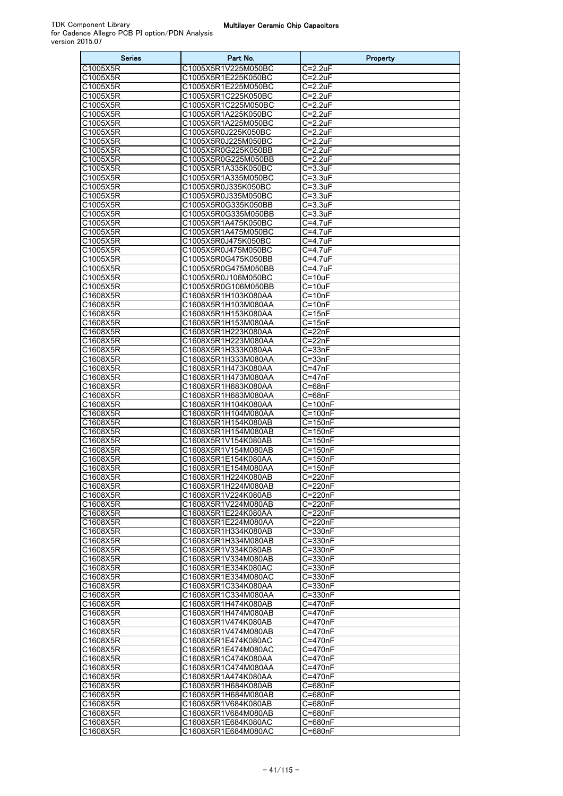| Series               | Part No.                                   | Property                    |
|----------------------|--------------------------------------------|-----------------------------|
| C1005X5R             | C1005X5R1V225M050BC                        | C=2.2uF                     |
| C1005X5R             | C1005X5R1E225K050BC                        | $C=2.2uF$                   |
| C1005X5R<br>C1005X5R | C1005X5R1E225M050BC<br>C1005X5R1C225K050BC | $C = 2.2uF$<br>$C = 2.2uF$  |
| C1005X5R             | C1005X5R1C225M050BC                        | $C = 2.2uF$                 |
| C1005X5R             | C1005X5R1A225K050BC                        | C=2.2uF                     |
| C1005X5R             | C1005X5R1A225M050BC                        | $C = 2.2uF$                 |
| C1005X5R             | C1005X5R0J225K050BC                        | $C = 2.2uF$                 |
| C1005X5R             | C1005X5R0J225M050BC                        | $C = 2.2uF$                 |
| C1005X5R             | C1005X5R0G225K050BB                        | $C = 2.2uF$                 |
| C1005X5R<br>C1005X5R | C1005X5R0G225M050BB<br>C1005X5R1A335K050BC | $C = 2.2uF$<br>$C = 3.3$ uF |
| C1005X5R             | C1005X5R1A335M050BC                        | $C = 3.3uF$                 |
| C1005X5R             | C1005X5R0J335K050BC                        | $C = 3.3$ uF                |
| C1005X5R             | C1005X5R0J335M050BC                        | $C = 3.3uF$                 |
| C1005X5R             | C1005X5R0G335K050BB                        | $C = 3.3uF$                 |
| C1005X5R             | C1005X5R0G335M050BB                        | $C = 3.3uF$                 |
| C1005X5R             | C1005X5R1A475K050BC                        | $C = 4.7uF$                 |
| C1005X5R<br>C1005X5R | C1005X5R1A475M050BC<br>C1005X5R0J475K050BC | C=4.7uF<br>$C = 4.7uF$      |
| C1005X5R             | C1005X5R0J475M050BC                        | $C = 4.7uF$                 |
| C1005X5R             | C1005X5R0G475K050BB                        | C=4.7uF                     |
| C1005X5R             | C1005X5R0G475M050BB                        | $C = 4.7uF$                 |
| C1005X5R             | C1005X5R0J106M050BC                        | $C = 10uF$                  |
| C1005X5R             | C1005X5R0G106M050BB                        | $C = 10uF$                  |
| C1608X5R             | C1608X5R1H103K080AA                        | $C = 10nF$                  |
| C1608X5R<br>C1608X5R | C1608X5R1H103M080AA<br>C1608X5R1H153K080AA | $C = 10nF$<br>$C = 15nF$    |
| C1608X5R             | C1608X5R1H153M080AA                        | $C = 15nF$                  |
| C1608X5R             | C1608X5R1H223K080AA                        | $C = 22nF$                  |
| C1608X5R             | C1608X5R1H223M080AA                        | C=22nF                      |
| C1608X5R             | C1608X5R1H333K080AA                        | $C = 33nF$                  |
| C1608X5R             | C1608X5R1H333M080AA                        | $C = 33nF$                  |
| C1608X5R<br>C1608X5R | C1608X5R1H473K080AA<br>C1608X5R1H473M080AA | C=47nF<br>$C = 47nF$        |
| C1608X5R             | C1608X5R1H683K080AA                        | $C = 68nF$                  |
| C1608X5R             | C1608X5R1H683M080AA                        | $C = 68nF$                  |
| C1608X5R             | C1608X5R1H104K080AA                        | C=100nF                     |
| C1608X5R             | C1608X5R1H104M080AA                        | C=100nF                     |
| C1608X5R             | C1608X5R1H154K080AB                        | $C = 150nF$                 |
| C1608X5R<br>C1608X5R | C1608X5R1H154M080AB<br>C1608X5R1V154K080AB | $C = 150nF$<br>$C=150nF$    |
| C1608X5R             | C1608X5R1V154M080AB                        | $C = 150nF$                 |
| C1608X5R             | C1608X5R1E154K080AA                        | C=150nF                     |
| C1608X5R             | C1608X5R1E154M080AA                        | $C = 150nF$                 |
| C1608X5R             | C1608X5R1H224K080AB                        | C=220nF                     |
| C1608X5R             | C1608X5R1H224M080AB                        | C=220nF                     |
| C1608X5R<br>C1608X5R | C1608X5R1V224K080AB<br>C1608X5R1V224M080AB | $C = 220nF$<br>C=220nF      |
| C1608X5R             | C1608X5R1E224K080AA                        | C=220nF                     |
| C1608X5R             | C1608X5R1E224M080AA                        | C=220nF                     |
| C1608X5R             | C1608X5R1H334K080AB                        | C=330nF                     |
| C1608X5R             | C1608X5R1H334M080AB                        | C=330nF                     |
| C1608X5R             | C1608X5R1V334K080AB                        | C=330nF                     |
| C1608X5R<br>C1608X5R | C1608X5R1V334M080AB<br>C1608X5R1E334K080AC | C=330nF<br>C=330nF          |
| C1608X5R             | C1608X5R1E334M080AC                        | C=330nF                     |
| C1608X5R             | C1608X5R1C334K080AA                        | C=330nF                     |
| C1608X5R             | C1608X5R1C334M080AA                        | C=330nF                     |
| C1608X5R             | C1608X5R1H474K080AB                        | C=470nF                     |
| C1608X5R             | C1608X5R1H474M080AB                        | $C = 470nF$                 |
| C1608X5R<br>C1608X5R | C1608X5R1V474K080AB<br>C1608X5R1V474M080AB | C=470nF<br>C=470nF          |
| C1608X5R             | C1608X5R1E474K080AC                        | C=470nF                     |
| C1608X5R             | C1608X5R1E474M080AC                        | C=470nF                     |
| C1608X5R             | C1608X5R1C474K080AA                        | C=470nF                     |
| C1608X5R             | C1608X5R1C474M080AA                        | C=470nF                     |
| C1608X5R             | C1608X5R1A474K080AA                        | C=470nF                     |
| C1608X5R             | C1608X5R1H684K080AB                        | C=680nF                     |
| C1608X5R<br>C1608X5R | C1608X5R1H684M080AB<br>C1608X5R1V684K080AB | C=680nF<br>C=680nF          |
| C1608X5R             | C1608X5R1V684M080AB                        | C=680nF                     |
| C1608X5R             | C1608X5R1E684K080AC                        | C=680nF                     |
| C1608X5R             | C1608X5R1E684M080AC                        | C=680nF                     |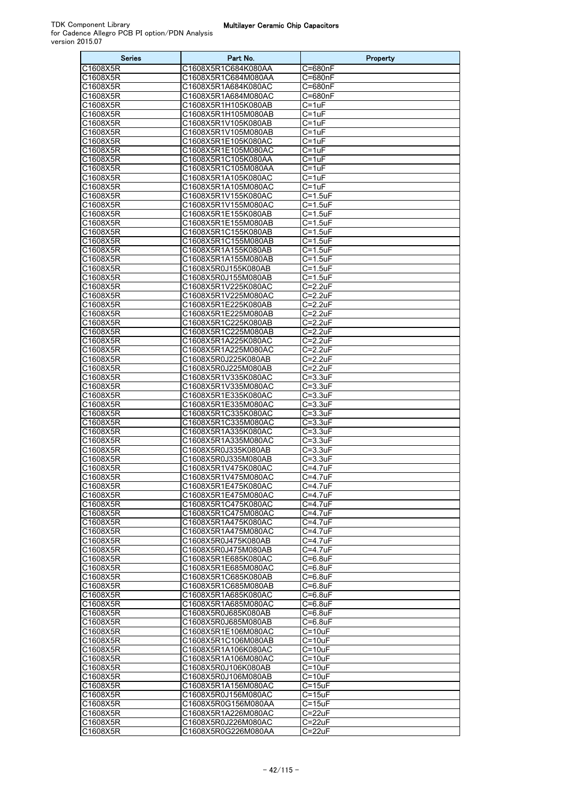| <b>Series</b>        | Part No.                                   | Property                     |
|----------------------|--------------------------------------------|------------------------------|
| C1608X5R             | C1608X5R1C684K080AA                        | C=680nF                      |
| C1608X5R             | C1608X5R1C684M080AA                        | $C = 680nF$                  |
| C1608X5R             | C1608X5R1A684K080AC                        | C=680nF                      |
| C1608X5R             | C1608X5R1A684M080AC                        | C=680nF                      |
| C1608X5R             | C1608X5R1H105K080AB                        | $C=1uF$                      |
| C1608X5R             | C1608X5R1H105M080AB                        | C=1uF                        |
| C1608X5R             | C1608X5R1V105K080AB                        | C=1uF                        |
| C1608X5R             | C1608X5R1V105M080AB                        | $C = 1uF$                    |
| C1608X5R             | C1608X5R1E105K080AC                        | C=1uF<br>$C = 1uF$           |
| C1608X5R<br>C1608X5R | C1608X5R1E105M080AC<br>C1608X5R1C105K080AA | C=1uF                        |
| C1608X5R             | C1608X5R1C105M080AA                        | C=1uF                        |
| C1608X5R             | C1608X5R1A105K080AC                        | $C = 1uF$                    |
| C1608X5R             | C1608X5R1A105M080AC                        | C=1uF                        |
| C1608X5R             | C1608X5R1V155K080AC                        | $C = 1.5$ uF                 |
| C1608X5R             | C1608X5R1V155M080AC                        | $C = 1.5$ uF                 |
| C1608X5R             | C1608X5R1E155K080AB                        | $C = 1.5$ uF                 |
| C1608X5R             | C1608X5R1E155M080AB                        | $C = 1.5$ uF                 |
| C1608X5R             | C1608X5R1C155K080AB                        | $C = 1.5$ uF                 |
| C1608X5R             | C1608X5R1C155M080AB                        | $C = 1.5$ uF                 |
| C1608X5R             | C1608X5R1A155K080AB                        | $C = 1.5$ uF                 |
| C1608X5R             | C1608X5R1A155M080AB                        | $C = 1.5$ uF<br>$C = 1.5$ uF |
| C1608X5R<br>C1608X5R | C1608X5R0J155K080AB<br>C1608X5R0J155M080AB | $C = 1.5uF$                  |
| C1608X5R             | C1608X5R1V225K080AC                        | $C = 2.2uF$                  |
| C1608X5R             | C1608X5R1V225M080AC                        | $C = 2.2uF$                  |
| C1608X5R             | C1608X5R1E225K080AB                        | $C = 2.2uF$                  |
| C1608X5R             | C1608X5R1E225M080AB                        | $C = 2.2uF$                  |
| C1608X5R             | C1608X5R1C225K080AB                        | $C = 2.2uF$                  |
| C1608X5R             | C1608X5R1C225M080AB                        | $C = 2.2uF$                  |
| C1608X5R             | C1608X5R1A225K080AC                        | $C=2.2uF$                    |
| C1608X5R             | C1608X5R1A225M080AC                        | $C = 2.2uF$                  |
| C1608X5R             | C1608X5R0J225K080AB                        | $C = 2.2uF$                  |
| C1608X5R             | C1608X5R0J225M080AB                        | $C = 2.2uF$                  |
| C1608X5R             | C1608X5R1V335K080AC                        | $C = 3.3uF$                  |
| C1608X5R             | C1608X5R1V335M080AC                        | $C = 3.3uF$                  |
| C1608X5R<br>C1608X5R | C1608X5R1E335K080AC<br>C1608X5R1E335M080AC | $C = 3.3uF$<br>$C = 3.3uF$   |
| C1608X5R             | C1608X5R1C335K080AC                        | $C = 3.3uF$                  |
| C1608X5R             | C1608X5R1C335M080AC                        | $C = 3.3uF$                  |
| C1608X5R             | C1608X5R1A335K080AC                        | $C = 3.3uF$                  |
| C1608X5R             | C1608X5R1A335M080AC                        | $C = 3.3uF$                  |
| C1608X5R             | C1608X5R0J335K080AB                        | $C = 3.3uF$                  |
| C1608X5R             | C1608X5R0J335M080AB                        | $C = 3.3uF$                  |
| C1608X5R             | C1608X5R1V475K080AC                        | $C = 4.7uF$                  |
| C1608X5R             | C1608X5R1V475M080AC                        | $C = 4.7$ uF                 |
| C1608X5R             | C1608X5R1E475K080AC                        | $C = 4.7uF$                  |
| C1608X5R             | C1608X5R1E475M080AC                        | C=4.7uF<br>C=4.7uF           |
| C1608X5R<br>C1608X5R | C1608X5R1C475K080AC<br>C1608X5R1C475M080AC | C=4.7uF                      |
| C1608X5R             | C1608X5R1A475K080AC                        | C=4.7uF                      |
| C1608X5R             | C1608X5R1A475M080AC                        | C=4.7uF                      |
| C1608X5R             | C1608X5R0J475K080AB                        | C=4.7uF                      |
| C1608X5R             | C1608X5R0J475M080AB                        | C=4.7uF                      |
| C1608X5R             | C1608X5R1E685K080AC                        | $C = 6.8$ uF                 |
| C1608X5R             | C1608X5R1E685M080AC                        | $C = 6.8$ uF                 |
| C1608X5R             | C1608X5R1C685K080AB                        | $C = 6.8$ uF                 |
| C1608X5R             | C1608X5R1C685M080AB                        | C=6.8uF                      |
| C1608X5R             | C1608X5R1A685K080AC                        | $C = 6.8$ uF                 |
| C1608X5R             | C1608X5R1A685M080AC                        | $C = 6.8$ uF                 |
| C1608X5R             | C1608X5R0J685K080AB                        | C=6.8uF                      |
| C1608X5R<br>C1608X5R | C1608X5R0J685M080AB<br>C1608X5R1E106M080AC | $C = 6.8$ uF<br>C=10uF       |
| C1608X5R             | C1608X5R1C106M080AB                        | $C = 10uF$                   |
| C1608X5R             | C1608X5R1A106K080AC                        | $C = 10uF$                   |
| C1608X5R             | C1608X5R1A106M080AC                        | C=10uF                       |
| C1608X5R             | C1608X5R0J106K080AB                        | $C = 10uF$                   |
| C1608X5R             | C1608X5R0J106M080AB                        | C=10uF                       |
| C1608X5R             | C1608X5R1A156M080AC                        | $C = 15uF$                   |
| C1608X5R             | C1608X5R0J156M080AC                        | $C = 15uF$                   |
| C1608X5R             | C1608X5R0G156M080AA                        | C=15uF                       |
| C1608X5R             | C1608X5R1A226M080AC                        | $C = 22uF$                   |
| C1608X5R             | C1608X5R0J226M080AC                        | $C = 22uF$                   |
| C1608X5R             | C1608X5R0G226M080AA                        | $C = 22uF$                   |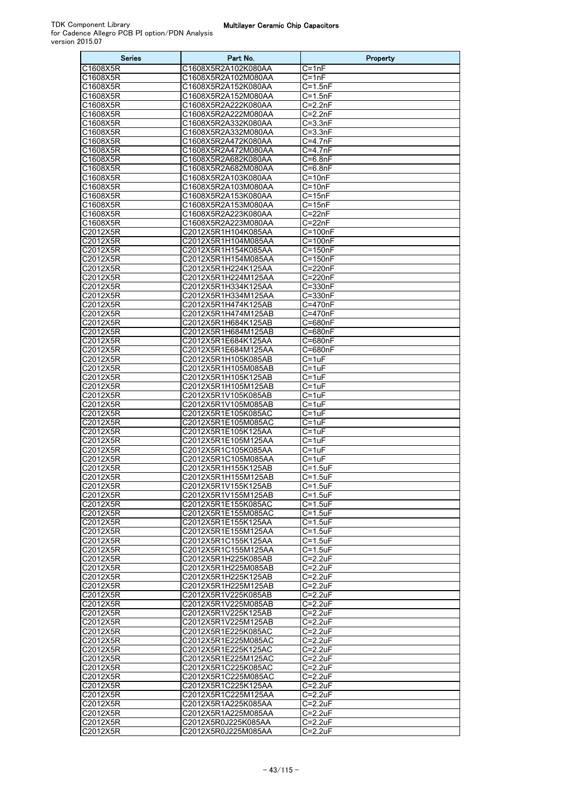| Series                       | Part No.                                   | Property                    |
|------------------------------|--------------------------------------------|-----------------------------|
| C1608X5R                     | C1608X5R2A102K080AA                        | C=1nF                       |
| C1608X5R                     | C1608X5R2A102M080AA                        | C=1nF                       |
| C1608X5R                     | C1608X5R2A152K080AA                        | C=1.5nF                     |
| C1608X5R<br>C1608X5R         | C1608X5R2A152M080AA<br>C1608X5R2A222K080AA | $C = 1.5nF$<br>$C = 2.2nF$  |
| C1608X5R                     | C1608X5R2A222M080AA                        | $C = 2.2nF$                 |
| C1608X5R                     | C1608X5R2A332K080AA                        | C=3.3nF                     |
| C1608X5R                     | C1608X5R2A332M080AA                        | $C = 3.3nF$                 |
| C1608X5R                     | C1608X5R2A472K080AA                        | C=4.7nF                     |
| C1608X5R                     | C1608X5R2A472M080AA                        | $C = 4.7nF$                 |
| C1608X5R                     | C1608X5R2A682K080AA                        | $C = 6.8nF$                 |
| C1608X5R                     | C1608X5R2A682M080AA                        | C=6.8nF                     |
| C1608X5R                     | C1608X5R2A103K080AA                        | $C = 10nF$                  |
| C1608X5R<br>C1608X5R         | C1608X5R2A103M080AA<br>C1608X5R2A153K080AA | C=10nF<br>$C = 15nF$        |
| $\overline{\text{C1608X5R}}$ | C1608X5R2A153M080AA                        | $C = 15nF$                  |
| C1608X5R                     | C1608X5R2A223K080AA                        | C=22nF                      |
| C1608X5R                     | C1608X5R2A223M080AA                        | C=22nF                      |
| C2012X5R                     | C2012X5R1H104K085AA                        | C=100nF                     |
| C2012X5R                     | C2012X5R1H104M085AA                        | $C=100nF$                   |
| C2012X5R                     | C2012X5R1H154K085AA                        | C=150nF                     |
| C2012X5R                     | C2012X5R1H154M085AA                        | $\overline{C=150n}$ F       |
| C2012X5R                     | C2012X5R1H224K125AA                        | C=220nF                     |
| C2012X5R<br>C2012X5R         | C2012X5R1H224M125AA                        | C=220nF                     |
| C2012X5R                     | C2012X5R1H334K125AA<br>C2012X5R1H334M125AA | C=330nF<br>C=330nF          |
| C2012X5R                     | C2012X5R1H474K125AB                        | $\overline{C=4}$ 70nF       |
| C2012X5R                     | C2012X5R1H474M125AB                        | C=470nF                     |
| C2012X5R                     | C2012X5R1H684K125AB                        | C=680nF                     |
| C2012X5R                     | C2012X5R1H684M125AB                        | C=680nF                     |
| C2012X5R                     | C2012X5R1E684K125AA                        | C=680nF                     |
| C2012X5R                     | C2012X5R1E684M125AA                        | $\overline{C} = 680nF$      |
| C2012X5R                     | C2012X5R1H105K085AB                        | C=1uF                       |
| C2012X5R                     | C2012X5R1H105M085AB                        | C=1uF                       |
| C2012X5R<br>C2012X5R         | C2012X5R1H105K125AB<br>C2012X5R1H105M125AB | C=1uF                       |
| C2012X5R                     | C2012X5R1V105K085AB                        | C=1uF<br>C=1uF              |
| C2012X5R                     | C2012X5R1V105M085AB                        | C=1uF                       |
| C2012X5R                     | C2012X5R1E105K085AC                        | C=1uF                       |
| C2012X5R                     | C2012X5R1E105M085AC                        | $C = 1uF$                   |
| C2012X5R                     | C2012X5R1E105K125AA                        | C=1uF                       |
| C2012X5R                     | C2012X5R1E105M125AA                        | C=1uF                       |
| C2012X5R                     | C2012X5R1C105K085AA                        | C=1uF                       |
| C2012X5R<br>C2012X5R         | C2012X5R1C105M085AA<br>C2012X5R1H155K125AB | C=1uF<br>$C = 1.5$ uF       |
| C2012X5R                     | C2012X5R1H155M125AB                        | $C=1.5$ ur                  |
| C2012X5R                     | C2012X5R1V155K125AB                        | $C=1.5$ uF                  |
| C2012X5R                     | C2012X5R1V155M125AB                        | $C = 1.5$ uF                |
| C2012X5R                     | C2012X5R1E155K085AC                        | $C = 1.5$ uF                |
| C2012X5R                     | C2012X5R1E155M085AC                        | $C = 1.5$ uF                |
| C2012X5R                     | C2012X5R1E155K125AA                        | $C = 1.5$ uF                |
| C2012X5R                     | C2012X5R1E155M125AA                        | $\overline{C=1}.5$ uF       |
| C2012X5R                     | C2012X5R1C155K125AA                        | $C = 1.5$ uF                |
| C2012X5R<br>C2012X5R         | C2012X5R1C155M125AA<br>C2012X5R1H225K085AB | $C = 1.5$ uF<br>$C = 2.2uF$ |
| C2012X5R                     | C2012X5R1H225M085AB                        | $C = 2.2uF$                 |
| C2012X5R                     | C2012X5R1H225K125AB                        | $\overline{C=2}.2uF$        |
| C2012X5R                     | C2012X5R1H225M125AB                        | $C = 2.2uF$                 |
| C2012X5R                     | C2012X5R1V225K085AB                        | $C = 2.2uF$                 |
| C2012X5R                     | C2012X5R1V225M085AB                        | $C = 2.2uF$                 |
| C2012X5R                     | C2012X5R1V225K125AB                        | $C = 2.2uF$                 |
| C2012X5R                     | C2012X5R1V225M125AB                        | C=2.2uF                     |
| C2012X5R                     | C2012X5R1E225K085AC                        | $C = 2.2uF$                 |
| C2012X5R                     | C2012X5R1E225M085AC                        | $C = 2.2uF$                 |
| C2012X5R<br>C2012X5R         | C2012X5R1E225K125AC<br>C2012X5R1E225M125AC | $C = 2.2uF$<br>$C = 2.2uF$  |
| C2012X5R                     | C2012X5R1C225K085AC                        | C=2.2uF                     |
| C2012X5R                     | C2012X5R1C225M085AC                        | $C = 2.2uF$                 |
| C2012X5R                     | C2012X5R1C225K125AA                        | $C = 2.2uF$                 |
| C2012X5R                     | C2012X5R1C225M125AA                        | $C = 2.2uF$                 |
| C2012X5R                     | C2012X5R1A225K085AA                        | $C = 2.2uF$                 |
| C2012X5R                     | C2012X5R1A225M085AA                        | C=2.2uF                     |
| C2012X5R                     | C2012X5R0J225K085AA                        | C=2.2uF                     |
| C2012X5R                     | C2012X5R0J225M085AA                        | C=2.2uF                     |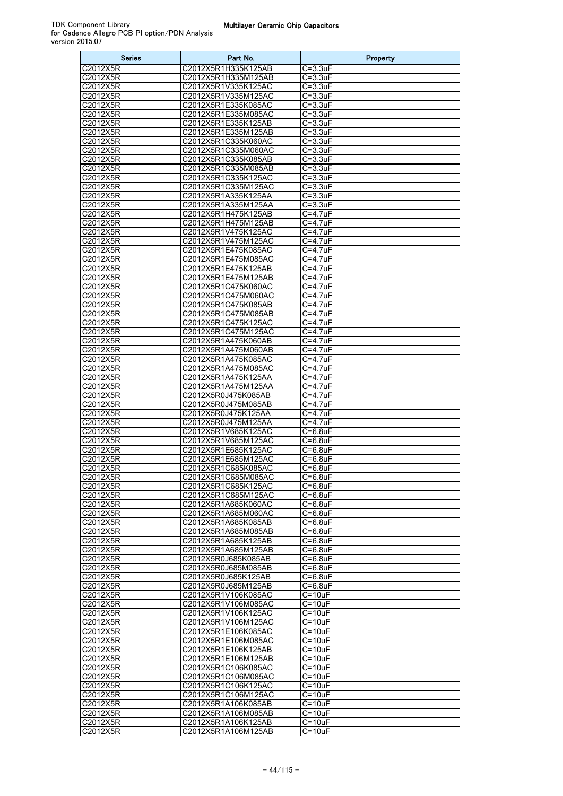| Series               | Part No.                                   | Property                           |
|----------------------|--------------------------------------------|------------------------------------|
| C2012X5R             | C2012X5R1H335K125AB                        | C=3.3uF                            |
| C2012X5R             | C2012X5R1H335M125AB                        | C=3.3uF                            |
| C2012X5R<br>C2012X5R | C2012X5R1V335K125AC<br>C2012X5R1V335M125AC | C=3.3uF<br>C=3.3uF                 |
| C2012X5R             | C2012X5R1E335K085AC                        | C=3.3uF                            |
| C2012X5R             | C2012X5R1E335M085AC                        | $C = 3.3uF$                        |
| C2012X5R             | C2012X5R1E335K125AB                        | C=3.3uF                            |
| C2012X5R             | C2012X5R1E335M125AB                        | C=3.3uF                            |
| C2012X5R             | C2012X5R1C335K060AC                        | C=3.3uF                            |
| C2012X5R             | C2012X5R1C335M060AC                        | C=3.3uF                            |
| C2012X5R             | C2012X5R1C335K085AB                        | $C = 3.3uF$                        |
| C2012X5R             | C2012X5R1C335M085AB                        | C=3.3uF                            |
| C2012X5R             | C2012X5R1C335K125AC                        | C=3.3uF                            |
| C2012X5R<br>C2012X5R | C2012X5R1C335M125AC<br>C2012X5R1A335K125AA | C=3.3uF<br>C=3.3uF                 |
| C2012X5R             | C2012X5R1A335M125AA                        | $C = 3.3uF$                        |
| C2012X5R             | C2012X5R1H475K125AB                        | C=4.7uF                            |
| C2012X5R             | C2012X5R1H475M125AB                        | C=4.7uF                            |
| C2012X5R             | C2012X5R1V475K125AC                        | C=4.7uF                            |
| C2012X5R             | C2012X5R1V475M125AC                        | C=4.7uF                            |
| C2012X5R             | C2012X5R1E475K085AC                        | C=4.7uF                            |
| C2012X5R             | C2012X5R1E475M085AC                        | C=4.7uF                            |
| C2012X5R             | C2012X5R1E475K125AB                        | C=4.7uF                            |
| C2012X5R             | C2012X5R1E475M125AB                        | C=4.7uF                            |
| C2012X5R             | C2012X5R1C475K060AC                        | C=4.7uF                            |
| C2012X5R             | C2012X5R1C475M060AC<br>C2012X5R1C475K085AB | C=4.7uF                            |
| C2012X5R<br>C2012X5R | C2012X5R1C475M085AB                        | C=4.7uF<br>C=4.7uF                 |
| C2012X5R             | C2012X5R1C475K125AC                        | C=4.7uF                            |
| C2012X5R             | C2012X5R1C475M125AC                        | C=4.7uF                            |
| C2012X5R             | C2012X5R1A475K060AB                        | C=4.7uF                            |
| C2012X5R             | C2012X5R1A475M060AB                        | C=4.7uF                            |
| C2012X5R             | C2012X5R1A475K085AC                        | C=4.7uF                            |
| C2012X5R             | C2012X5R1A475M085AC                        | C=4.7uF                            |
| C2012X5R             | C2012X5R1A475K125AA                        | C=4.7uF                            |
| C2012X5R             | C2012X5R1A475M125AA                        | C=4.7uF                            |
| C2012X5R             | C2012X5R0J475K085AB                        | C=4.7uF                            |
| C2012X5R             | C2012X5R0J475M085AB                        | C=4.7uF                            |
| C2012X5R<br>C2012X5R | C2012X5R0J475K125AA<br>C2012X5R0J475M125AA | C=4.7uF<br>C=4.7uF                 |
| C2012X5R             | C2012X5R1V685K125AC                        | C=6.8uF                            |
| C2012X5R             | C2012X5R1V685M125AC                        | C=6.8uF                            |
| C2012X5R             | C2012X5R1E685K125AC                        | C=6.8uF                            |
| C2012X5R             | C2012X5R1E685M125AC                        | C=6.8uF                            |
| C2012X5R             | C2012X5R1C685K085AC                        | $C = 6.8$ uF                       |
| C2012X5R             | C2012X5R1C685M085AC                        | $C = 6.8$ uF                       |
| C2012X5R             | C2012X5R1C685K125AC                        | $C = 6.8$ uF                       |
| C2012X5R             | C2012X5R1C685M125AC                        | $C = 6.8$ uF                       |
| C2012X5R             | C2012X5R1A685K060AC                        | C=6.8uF                            |
| C2012X5R<br>C2012X5R | C2012X5R1A685M060AC<br>C2012X5R1A685K085AB | $C = 6.8$ uF<br>C=6.8uF            |
| C2012X5R             | C2012X5R1A685M085AB                        | $\overline{C=6}$ .8uF              |
| C2012X5R             | C2012X5R1A685K125AB                        | C=6.8uF                            |
| C2012X5R             | C2012X5R1A685M125AB                        | C=6.8uF                            |
| C2012X5R             | C2012X5R0J685K085AB                        | C=6.8uF                            |
| C2012X5R             | C2012X5R0J685M085AB                        | C=6.8uF                            |
| C2012X5R             | C2012X5R0J685K125AB                        | $C = 6.8$ uF                       |
| C2012X5R             | C2012X5R0J685M125AB                        | $C = 6.8$ uF                       |
| C2012X5R             | C2012X5R1V106K085AC                        | $C = 10uF$                         |
| C2012X5R             | C2012X5R1V106M085AC                        | $C = 10uF$                         |
| C2012X5R             | C2012X5R1V106K125AC                        | $C = 10uF$<br>$\overline{C=1}$ OuF |
| C2012X5R<br>C2012X5R | C2012X5R1V106M125AC<br>C2012X5R1E106K085AC | C=10uF                             |
| C2012X5R             | C2012X5R1E106M085AC                        | $C = 10uF$                         |
| C2012X5R             | C2012X5R1E106K125AB                        | $C=10uF$                           |
| C2012X5R             | C2012X5R1E106M125AB                        | $C = 10uF$                         |
| C2012X5R             | C2012X5R1C106K085AC                        | $\overline{C=1}$ OuF               |
| C2012X5R             | C2012X5R1C106M085AC                        | $C = 10uF$                         |
| C2012X5R             | C2012X5R1C106K125AC                        | $C = 10uF$                         |
| C2012X5R             | C2012X5R1C106M125AC                        | $C=10uF$                           |
| C2012X5R             | C2012X5R1A106K085AB                        | C=10uF                             |
| C2012X5R             | C2012X5R1A106M085AB                        | $C = 10uF$                         |
| C2012X5R             | C2012X5R1A106K125AB                        | $C = 10uF$                         |
| C2012X5R             | C2012X5R1A106M125AB                        | C=10uF                             |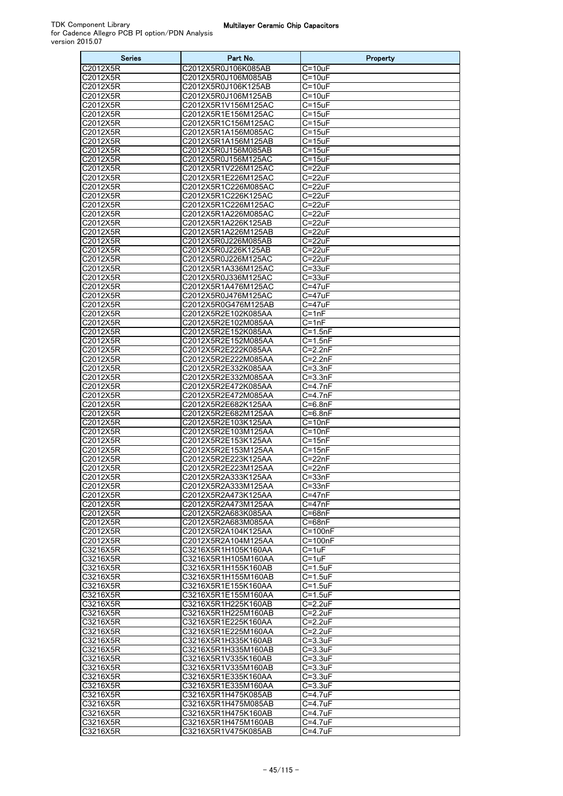| Series                                   | Part No.                                   | Property                        |
|------------------------------------------|--------------------------------------------|---------------------------------|
| C2012X5R                                 | C2012X5R0J106K085AB                        | $C = 10uF$                      |
| C2012X5R                                 | C2012X5R0J106M085AB                        | $C = 10uF$                      |
| C2012X5R                                 | C2012X5R0J106K125AB                        | $C = 10uF$                      |
| C2012X5R                                 | C2012X5R0J106M125AB                        | $C = 10uF$                      |
| C2012X5R<br>C2012X5R                     | C2012X5R1V156M125AC<br>C2012X5R1E156M125AC | $C = 15uF$<br>$C = 15uF$        |
| C2012X5R                                 | C2012X5R1C156M125AC                        | $C = 15uF$                      |
| C2012X5R                                 | C2012X5R1A156M085AC                        | $C = 15uF$                      |
| C2012X5R                                 | C2012X5R1A156M125AB                        | $C = 15uF$                      |
| C2012X5R                                 | C2012X5R0J156M085AB                        | $C = 15uF$                      |
| C2012X5R                                 | C2012X5R0J156M125AC                        | $C = 15uF$                      |
| C2012X5R<br>C2012X5R                     | C2012X5R1V226M125AC<br>C2012X5R1E226M125AC | $C = 22uF$<br>$C = 22uF$        |
| C2012X5R                                 | C2012X5R1C226M085AC                        | $C = 22uF$                      |
| C2012X5R                                 | C2012X5R1C226K125AC                        | $C = 22uF$                      |
| C2012X5R                                 | C2012X5R1C226M125AC                        | $C = 22uF$                      |
| C2012X5R                                 | C2012X5R1A226M085AC                        | $C = 22uF$                      |
| C2012X5R                                 | C2012X5R1A226K125AB                        | $C = 22uF$                      |
| C2012X5R                                 | C2012X5R1A226M125AB                        | $C = 22uF$                      |
| C2012X5R<br>$\overline{\text{C2012X5R}}$ | C2012X5R0J226M085AB<br>C2012X5R0J226K125AB | $C = 22uF$<br>$C = 22uF$        |
| C2012X5R                                 | C2012X5R0J226M125AC                        | $C = 22uF$                      |
| C2012X5R                                 | C2012X5R1A336M125AC                        | $C = 33uF$                      |
| C2012X5R                                 | C2012X5R0J336M125AC                        | $C = 33uF$                      |
| C2012X5R                                 | C2012X5R1A476M125AC                        | $\overline{C=4}$ 7uF            |
| $\overline{\text{C2012X5R}}$             | C2012X5R0J476M125AC                        | $C = 47uF$                      |
| C2012X5R                                 | C2012X5R0G476M125AB                        | $C=47uF$                        |
| C2012X5R<br>C2012X5R                     | C2012X5R2E102K085AA<br>C2012X5R2E102M085AA | $C = 1nF$<br>$C = 1nF$          |
| C2012X5R                                 | C2012X5R2E152K085AA                        | $C = 1.5nF$                     |
| $\overline{\text{C2012X5R}}$             | C2012X5R2E152M085AA                        | $C = 1.5nF$                     |
| C2012X5R                                 | C2012X5R2E222K085AA                        | $C = 2.2nF$                     |
| C2012X5R                                 | C2012X5R2E222M085AA                        | $C = 2.2nF$                     |
| C2012X5R                                 | C2012X5R2E332K085AA                        | $C = 3.3nF$                     |
| C2012X5R                                 | C2012X5R2E332M085AA                        | $C = 3.3nF$<br>$C=4.7nF$        |
| C2012X5R<br>C2012X5R                     | C2012X5R2E472K085AA<br>C2012X5R2E472M085AA | $C = 4.7nF$                     |
| C2012X5R                                 | C2012X5R2E682K125AA                        | $C = 6.8nF$                     |
| C2012X5R                                 | C2012X5R2E682M125AA                        | $C = 6.8nF$                     |
| C2012X5R                                 | C2012X5R2E103K125AA                        | $C = 10nF$                      |
| C2012X5R                                 | C2012X5R2E103M125AA                        | $C = 10nF$                      |
| C2012X5R                                 | C2012X5R2E153K125AA                        | $C = 15nF$                      |
| C2012X5R<br>C2012X5R                     | C2012X5R2E153M125AA<br>C2012X5R2E223K125AA | $C = 15nF$<br>$C = 22nF$        |
| C2012X5R                                 | C2012X5R2E223M125AA                        | $C = 22nF$                      |
| C2012X5R                                 | C2012X5R2A333K125AA                        | C=33nF                          |
| C2012X5R                                 | C2012X5R2A333M125AA                        | $C = 33nF$                      |
| C2012X5R                                 | C2012X5R2A473K125AA                        | $C = 47nF$                      |
| C2012X5R                                 | C2012X5R2A473M125AA                        | $C = 47nF$                      |
| C2012X5R<br>C2012X5R                     | C2012X5R2A683K085AA<br>C2012X5R2A683M085AA | $C = 68nF$<br>$C = 68nF$        |
| C2012X5R                                 | C2012X5R2A104K125AA                        | $C = 100nF$                     |
| C2012X5R                                 | C2012X5R2A104M125AA                        | $C = 100nF$                     |
| C3216X5R                                 | C3216X5R1H105K160AA                        | $C = 1uF$                       |
| C3216X5R                                 | C3216X5R1H105M160AA                        | $C = 1uF$                       |
| C3216X5R                                 | C3216X5R1H155K160AB                        | $C = 1.5$ uF                    |
| C3216X5R<br>C3216X5R                     | C3216X5R1H155M160AB<br>C3216X5R1E155K160AA | $C = 1.5$ u $F$<br>$C = 1.5$ uF |
| C3216X5R                                 | C3216X5R1E155M160AA                        | $C = 1.5$ uF                    |
| C3216X5R                                 | C3216X5R1H225K160AB                        | $C = 2.2uF$                     |
| C3216X5R                                 | C3216X5R1H225M160AB                        | $C = 2.2uF$                     |
| C3216X5R                                 | C3216X5R1E225K160AA                        | $C = 2.2uF$                     |
| C3216X5R                                 | C3216X5R1E225M160AA                        | $C=2.2uF$                       |
| C3216X5R                                 | C3216X5R1H335K160AB                        | $C = 3.3uF$                     |
| C3216X5R<br>C3216X5R                     | C3216X5R1H335M160AB<br>C3216X5R1V335K160AB | $C = 3.3$ uF<br>$C = 3.3uF$     |
| C3216X5R                                 | C3216X5R1V335M160AB                        | $C = 3.3uF$                     |
| C3216X5R                                 | C3216X5R1E335K160AA                        | $C = 3.3uF$                     |
| C3216X5R                                 | C3216X5R1E335M160AA                        | $C = 3.3uF$                     |
| C3216X5R                                 | C3216X5R1H475K085AB                        | $C = 4.7uF$                     |
| C3216X5R                                 | C3216X5R1H475M085AB                        | C=4.7uF                         |
| C3216X5R<br>C3216X5R                     | C3216X5R1H475K160AB<br>C3216X5R1H475M160AB | $C = 4.7uF$<br>$C = 4.7uF$      |
| C3216X5R                                 | C3216X5R1V475K085AB                        | $C = 4.7uF$                     |
|                                          |                                            |                                 |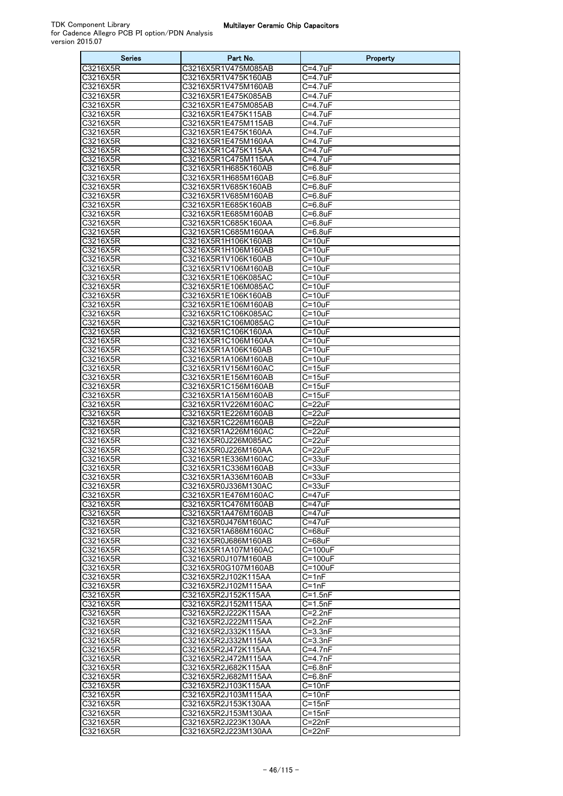| Series                        | Part No.                                   | Property                     |
|-------------------------------|--------------------------------------------|------------------------------|
| C3216X5R                      | C3216X5R1V475M085AB                        | C=4.7uF                      |
| C3216X5R                      | C3216X5R1V475K160AB                        | $C = 4.7$ uF                 |
| C3216X5R                      | C3216X5R1V475M160AB                        | $C = 4.7uF$                  |
| C3216X5R                      | C3216X5R1E475K085AB                        | $C = 4.7$ uF                 |
| C3216X5R                      | C3216X5R1E475M085AB                        | $C = 4.7$ uF                 |
| C3216X5R<br>C3216X5R          | C3216X5R1E475K115AB<br>C3216X5R1E475M115AB | $C = 4.7uF$<br>$C = 4.7$ uF  |
| C3216X5R                      | C3216X5R1E475K160AA                        | $C = 4.7uF$                  |
| C3216X5R                      | C3216X5R1E475M160AA                        | $C = 4.7$ uF                 |
| C3216X5R                      | C3216X5R1C475K115AA                        | $C = 4.7$ uF                 |
| C3216X5R                      | C3216X5R1C475M115AA                        | $C = 4.7uF$                  |
| C3216X5R                      | C3216X5R1H685K160AB                        | $C = 6.8$ uF                 |
| C3216X5R                      | C3216X5R1H685M160AB                        | $C = 6.8$ uF                 |
| C3216X5R                      | C3216X5R1V685K160AB                        | $C = 6.8$ uF                 |
| C3216X5R                      | C3216X5R1V685M160AB                        | $C = 6.8$ uF                 |
| C3216X5R                      | C3216X5R1E685K160AB                        | $C = 6.8$ uF                 |
| C3216X5R                      | C3216X5R1E685M160AB                        | $\overline{C=6}$ .8uF        |
| C3216X5R<br>C3216X5R          | C3216X5R1C685K160AA<br>C3216X5R1C685M160AA | $C = 6.8$ uF<br>$C = 6.8$ uF |
| C3216X5R                      | C3216X5R1H106K160AB                        | $C = 10uF$                   |
| $\overline{\text{C}3216}$ X5R | C3216X5R1H106M160AB                        | C=10uF                       |
| C3216X5R                      | C3216X5R1V106K160AB                        | $C = 10uF$                   |
| C3216X5R                      | C3216X5R1V106M160AB                        | $C = 10uF$                   |
| C3216X5R                      | C3216X5R1E106K085AC                        | $C = 10uF$                   |
| C3216X5R                      | C3216X5R1E106M085AC                        | $C = 10uF$                   |
| $\overline{\text{C}3216}$ X5R | C3216X5R1E106K160AB                        | $C = 10uF$                   |
| C3216X5R                      | C3216X5R1E106M160AB                        | $C = 10uF$                   |
| C3216X5R<br>C3216X5R          | C3216X5R1C106K085AC<br>C3216X5R1C106M085AC | $C = 10uF$<br>$C = 10uF$     |
| C3216X5R                      | C3216X5R1C106K160AA                        | $C = 10uF$                   |
| $\overline{\text{C}3216}$ X5R | C3216X5R1C106M160AA                        | $C = 10uF$                   |
| C3216X5R                      | C3216X5R1A106K160AB                        | $C = 10uF$                   |
| C3216X5R                      | C3216X5R1A106M160AB                        | $C = 10uF$                   |
| C3216X5R                      | C3216X5R1V156M160AC                        | $C = 15uF$                   |
| C3216X5R                      | C3216X5R1E156M160AB                        | $C = 15uF$                   |
| $\overline{\text{C}3216}$ X5R | C3216X5R1C156M160AB                        | $C = 15uF$                   |
| C3216X5R<br>C3216X5R          | C3216X5R1A156M160AB<br>C3216X5R1V226M160AC | $C = 15uF$<br>C=22uF         |
| C3216X5R                      | C3216X5R1E226M160AB                        | $C = 22uF$                   |
| C3216X5R                      | C3216X5R1C226M160AB                        | $C = 22uF$                   |
| $\overline{\text{C}3216}$ X5R | C3216X5R1A226M160AC                        | $C = 22uF$                   |
| C3216X5R                      | C3216X5R0J226M085AC                        | $C = 22uF$                   |
| C3216X5R                      | C3216X5R0J226M160AA                        | $C = 22uF$                   |
| C3216X5R<br>C3216X5R          | C3216X5R1E336M160AC<br>C3216X5R1C336M160AB | $C = 33uF$<br>$C = 33uF$     |
| C3216X5R                      | C3216X5R1A336M160AB                        | C=33uF                       |
| C3216X5R                      | C3216X5R0J336M130AC                        | $C = 33uF$                   |
| C3216X5R                      | C3216X5R1E476M160AC                        | $C = 47uF$                   |
| C3216X5R                      | C3216X5R1C476M160AB                        | $C = 47uF$                   |
| C3216X5R                      | C3216X5R1A476M160AB                        | $C = 47uF$                   |
| C3216X5R                      | C3216X5R0J476M160AC                        | $C = 47uF$                   |
| C3216X5R                      | C3216X5R1A686M160AC                        | $C = 68uF$                   |
| C3216X5R<br>C3216X5R          | C3216X5R0J686M160AB<br>C3216X5R1A107M160AC | $C = 68uF$<br>$C = 100uF$    |
| C3216X5R                      | C3216X5R0J107M160AB                        | $C = 100uF$                  |
| C3216X5R                      | C3216X5R0G107M160AB                        | $C = 100uF$                  |
| C3216X5R                      | C3216X5R2J102K115AA                        | $C = 1nF$                    |
| C3216X5R                      | C3216X5R2J102M115AA                        | $C = 1nF$                    |
| C3216X5R                      | C3216X5R2J152K115AA                        | $C = 1.5nF$                  |
| C3216X5R                      | C3216X5R2J152M115AA                        | $C = 1.5nF$                  |
| C3216X5R                      | C3216X5R2J222K115AA                        | $C = 2.2nF$                  |
| C3216X5R<br>C3216X5R          | C3216X5R2J222M115AA<br>C3216X5R2J332K115AA | $C=2.2nF$<br>$C = 3.3nF$     |
| C3216X5R                      | C3216X5R2J332M115AA                        | $C = 3.3nF$                  |
| C3216X5R                      | C3216X5R2J472K115AA                        | $C = 4.7nF$                  |
| C3216X5R                      | C3216X5R2J472M115AA                        | $C = 4.7nF$                  |
| C3216X5R                      | C3216X5R2J682K115AA                        | $C=6.8nF$                    |
| C3216X5R                      | C3216X5R2J682M115AA                        | $C = 6.8nF$                  |
| C3216X5R                      | C3216X5R2J103K115AA                        | $C = 10nF$                   |
| C3216X5R                      | C3216X5R2J103M115AA                        | $C = 10nF$                   |
| C3216X5R<br>C3216X5R          | C3216X5R2J153K130AA<br>C3216X5R2J153M130AA | $C = 15nF$<br>$C = 15nF$     |
| C3216X5R                      | C3216X5R2J223K130AA                        | $C = 22nF$                   |
| C3216X5R                      | C3216X5R2J223M130AA                        | $C = 22nF$                   |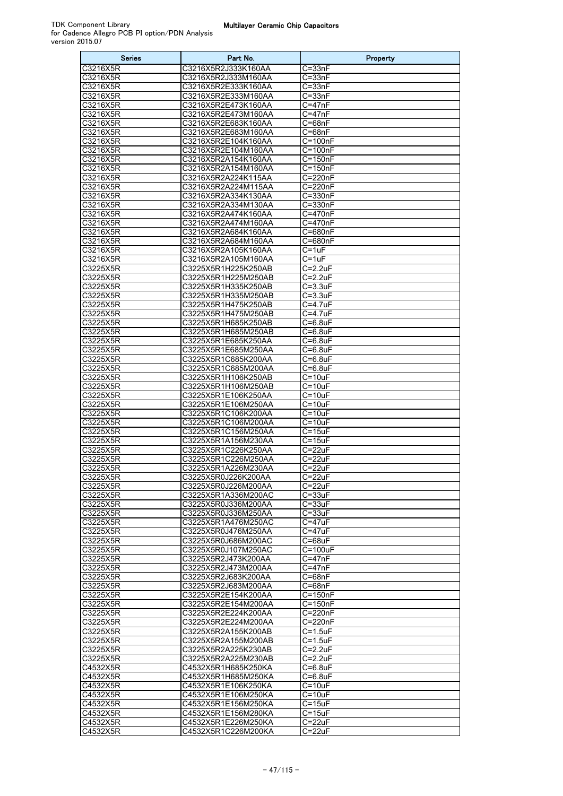| Series               | Part No.                                   | Property                        |
|----------------------|--------------------------------------------|---------------------------------|
| C3216X5R             | C3216X5R2J333K160AA                        | $C = 33nF$                      |
| C3216X5R             | C3216X5R2J333M160AA                        | C=33nF                          |
| C3216X5R             | C3216X5R2E333K160AA                        | C=33nF                          |
| C3216X5R             | C3216X5R2E333M160AA                        | C=33nF                          |
| C3216X5R             | C3216X5R2E473K160AA                        | C=47nF                          |
| C3216X5R<br>C3216X5R | C3216X5R2E473M160AA<br>C3216X5R2E683K160AA | $C = 47nF$<br>$C = 68nF$        |
| C3216X5R             | C3216X5R2E683M160AA                        | C=68nF                          |
| C3216X5R             | C3216X5R2E104K160AA                        | C=100nF                         |
| C3216X5R             | C3216X5R2E104M160AA                        | $C=100nF$                       |
| C3216X5R             | C3216X5R2A154K160AA                        | $C = 150nF$                     |
| C3216X5R             | C3216X5R2A154M160AA                        | $C = 150nF$                     |
| C3216X5R             | C3216X5R2A224K115AA                        | C=220nF                         |
| C3216X5R             | C3216X5R2A224M115AA                        | C=220nF                         |
| C3216X5R<br>C3216X5R | C3216X5R2A334K130AA<br>C3216X5R2A334M130AA | C=330nF<br>C=330nF              |
| C3216X5R             | C3216X5R2A474K160AA                        | C=470nF                         |
| C3216X5R             | C3216X5R2A474M160AA                        | C=470nF                         |
| C3216X5R             | C3216X5R2A684K160AA                        | C=680nF                         |
| C3216X5R             | C3216X5R2A684M160AA                        | C=680nF                         |
| C3216X5R             | C3216X5R2A105K160AA                        | C=1uF                           |
| C3216X5R             | C3216X5R2A105M160AA                        | C=1uF                           |
| C3225X5R             | C3225X5R1H225K250AB                        | $C = 2.2uF$                     |
| C3225X5R             | C3225X5R1H225M250AB                        | C=2.2uF                         |
| C3225X5R<br>C3225X5R | C3225X5R1H335K250AB<br>C3225X5R1H335M250AB | C=3.3uF<br>$C = 3.3uF$          |
| C3225X5R             | C3225X5R1H475K250AB                        | C=4.7uF                         |
| C3225X5R             | C3225X5R1H475M250AB                        | $C = 4.7uF$                     |
| C3225X5R             | C3225X5R1H685K250AB                        | C=6.8uF                         |
| C3225X5R             | C3225X5R1H685M250AB                        | C=6.8uF                         |
| C3225X5R             | C3225X5R1E685K250AA                        | $C = 6.8$ uF                    |
| C3225X5R             | C3225X5R1E685M250AA                        | $C = 6.8$ uF                    |
| C3225X5R             | C3225X5R1C685K200AA                        | C=6.8uF                         |
| C3225X5R<br>C3225X5R | C3225X5R1C685M200AA                        | C=6.8uF<br>$\overline{C=1}$ OuF |
| C3225X5R             | C3225X5R1H106K250AB<br>C3225X5R1H106M250AB | C=10uF                          |
| C3225X5R             | C3225X5R1E106K250AA                        | $C = 10uF$                      |
| C3225X5R             | C3225X5R1E106M250AA                        | C=10uF                          |
| C3225X5R             | C3225X5R1C106K200AA                        | C=10uF                          |
| C3225X5R             | C3225X5R1C106M200AA                        | $C = 10uF$                      |
| C3225X5R             | C3225X5R1C156M250AA                        | C=15uF                          |
| C3225X5R             | C3225X5R1A156M230AA                        | $C = 15uF$                      |
| C3225X5R<br>C3225X5R | C3225X5R1C226K250AA<br>C3225X5R1C226M250AA | C=22uF<br>C=22uF                |
| C3225X5R             | C3225X5R1A226M230AA                        | C=22uF                          |
| C3225X5R             | C3225X5R0J226K200AA                        | C=22uF                          |
| C3225X5R             | C3225X5R0J226M200AA                        | $C = 22uF$                      |
| C3225X5R             | C3225X5R1A336M200AC                        | C=33uF                          |
| C3225X5R             | C3225X5R0J336M200AA                        | $C = 33uF$                      |
| C3225X5R             | C3225X5R0J336M250AA                        | $C = 33uF$<br>C=47uF            |
| C3225X5R<br>C3225X5R | C3225X5R1A476M250AC<br>C3225X5R0J476M250AA | $C = 47uF$                      |
| C3225X5R             | C3225X5R0J686M200AC                        | C=68uF                          |
| C3225X5R             | C3225X5R0J107M250AC                        | C=100uF                         |
| C3225X5R             | C3225X5R2J473K200AA                        | C=47nF                          |
| C3225X5R             | C3225X5R2J473M200AA                        | C=47nF                          |
| C3225X5R             | C3225X5R2J683K200AA                        | $C = 68nF$                      |
| C3225X5R             | C3225X5R2J683M200AA                        | C=68nF                          |
| C3225X5R<br>C3225X5R | C3225X5R2E154K200AA<br>C3225X5R2E154M200AA | $C = 150nF$<br>C=150nF          |
| C3225X5R             | C3225X5R2E224K200AA                        | C=220nF                         |
| C3225X5R             | C3225X5R2E224M200AA                        | $C = 220nF$                     |
| C3225X5R             | C3225X5R2A155K200AB                        | $C = 1.5$ uF                    |
| C3225X5R             | C3225X5R2A155M200AB                        | $C = 1.5$ uF                    |
| C3225X5R             | C3225X5R2A225K230AB                        | $C = 2.2uF$                     |
| C3225X5R             | C3225X5R2A225M230AB                        | C=2.2uF                         |
| C4532X5R             | C4532X5R1H685K250KA                        | $C = 6.8$ uF                    |
| C4532X5R<br>C4532X5R | C4532X5R1H685M250KA<br>C4532X5R1E106K250KA | $C = 6.8$ uF<br>$C = 10uF$      |
| C4532X5R             | C4532X5R1E106M250KA                        | $C = 10uF$                      |
| C4532X5R             | C4532X5R1E156M250KA                        | C=15uF                          |
| C4532X5R             | C4532X5R1E156M280KA                        | $C = 15uF$                      |
| C4532X5R             | C4532X5R1E226M250KA                        | C=22uF                          |
| C4532X5R             | C4532X5R1C226M200KA                        | C=22uF                          |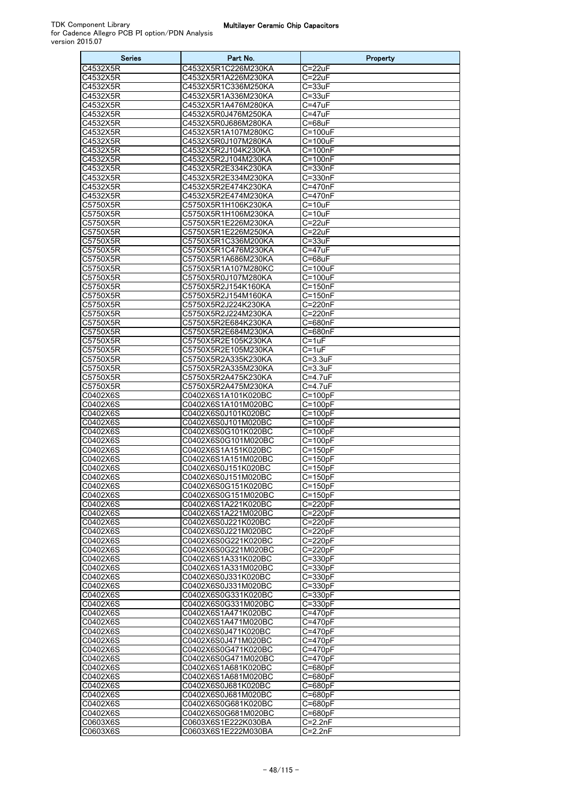| <b>Series</b>                      | Part No.                                   | Property                    |
|------------------------------------|--------------------------------------------|-----------------------------|
| C4532X5R                           | C4532X5R1C226M230KA                        | C=22uF                      |
| C4532X5R                           | C4532X5R1A226M230KA                        | C=22uF                      |
| C4532X5R                           | C4532X5R1C336M250KA                        | $C = 33uF$                  |
| C4532X5R<br>$\overline{C4532X}$ 5R | C4532X5R1A336M230KA<br>C4532X5R1A476M280KA | $C = 33uF$<br>$C = 47uF$    |
| C4532X5R                           | C4532X5R0J476M250KA                        | C=47uF                      |
| C4532X5R                           | C4532X5R0J686M280KA                        | $C = 68uF$                  |
| C4532X5R                           | C4532X5R1A107M280KC                        | C=100uF                     |
| C4532X5R                           | C4532X5R0J107M280KA                        | C=100uF                     |
| $\overline{C4532X}$ 5R             | C4532X5R2J104K230KA                        | $C = 100nF$                 |
| C4532X5R                           | C4532X5R2J104M230KA                        | $C = 100nF$                 |
| C4532X5R                           | C4532X5R2E334K230KA                        | C=330nF                     |
| C4532X5R                           | C4532X5R2E334M230KA<br>C4532X5R2E474K230KA | C=330nF                     |
| C4532X5R<br>C4532X5R               | C4532X5R2E474M230KA                        | C=470nF<br>C=470nF          |
| C5750X5R                           | C5750X5R1H106K230KA                        | $C = 10uF$                  |
| C5750X5R                           | C5750X5R1H106M230KA                        | $C = 10uF$                  |
| C5750X5R                           | C5750X5R1E226M230KA                        | C=22uF                      |
| C5750X5R                           | C5750X5R1E226M250KA                        | C=22uF                      |
| C5750X5R                           | C5750X5R1C336M200KA                        | $C = 33uF$                  |
| C5750X5R                           | C5750X5R1C476M230KA                        | C=47uF                      |
| C5750X5R                           | C5750X5R1A686M230KA                        | $C = 68uF$                  |
| C5750X5R                           | C5750X5R1A107M280KC<br>C5750X5R0J107M280KA | C=100uF                     |
| C5750X5R<br>C5750X5R               | C5750X5R2J154K160KA                        | C=100uF<br>C=150nF          |
| C5750X5R                           | C5750X5R2J154M160KA                        | $C = 150nF$                 |
| C5750X5R                           | C5750X5R2J224K230KA                        | C=220nF                     |
| C5750X5R                           | C5750X5R2J224M230KA                        | $C = 220nF$                 |
| C5750X5R                           | C5750X5R2E684K230KA                        | C=680nF                     |
| C5750X5R                           | C5750X5R2E684M230KA                        | C=680nF                     |
| C5750X5R                           | C5750X5R2E105K230KA                        | C=1uF                       |
| C5750X5R                           | C5750X5R2E105M230KA                        | $C = 1uF$                   |
| C5750X5R                           | C5750X5R2A335K230KA                        | $C = 3.3uF$                 |
| C5750X5R<br>C5750X5R               | C5750X5R2A335M230KA<br>C5750X5R2A475K230KA | $C = 3.3$ uF<br>$C = 4.7uF$ |
| C5750X5R                           | C5750X5R2A475M230KA                        | C=4.7uF                     |
| C0402X6S                           | C0402X6S1A101K020BC                        | $C = 100pF$                 |
| C0402X6S                           | C0402X6S1A101M020BC                        | $C = 100pF$                 |
| C0402X6S                           | C0402X6S0J101K020BC                        | $C = 100pF$                 |
| C0402X6S                           | C0402X6S0J101M020BC                        | $C = 100pF$                 |
| C0402X6S                           | C0402X6S0G101K020BC                        | $C = 100pF$                 |
| C0402X6S<br>C0402X6S               | C0402X6S0G101M020BC<br>C0402X6S1A151K020BC | $C = 100pF$<br>$C = 150pF$  |
| $\overline{C0402X6S}$              | C0402X6S1A151M020BC                        | $C = 150pF$                 |
| C0402X6S                           | C0402X6S0J151K020BC                        | $C = 150pF$                 |
| C0402X6S                           | C0402X6S0J151M020BC                        | $C = 150pF$                 |
| C0402X6S                           | C0402X6S0G151K020BC                        | C=150pF                     |
| C0402X6S                           | C0402X6S0G151M020BC                        | $C = 150pF$                 |
| C0402X6S                           | C0402X6S1A221K020BC                        | $C = 220pF$                 |
| C0402X6S                           | C0402X6S1A221M020BC                        | $C = 220pF$                 |
| C0402X6S<br>C0402X6S               | C0402X6S0J221K020BC<br>C0402X6S0J221M020BC | $C = 220pF$<br>$C = 220pF$  |
| C0402X6S                           | C0402X6S0G221K020BC                        | $C = 220pF$                 |
| C0402X6S                           | C0402X6S0G221M020BC                        | $C = 220pF$                 |
| C0402X6S                           | C0402X6S1A331K020BC                        | $C = 330pF$                 |
| C0402X6S                           | C0402X6S1A331M020BC                        | $C = 330pF$                 |
| C0402X6S                           | C0402X6S0J331K020BC                        | C=330pF                     |
| C0402X6S                           | C0402X6S0J331M020BC                        | C=330pF                     |
| C0402X6S                           | C0402X6S0G331K020BC                        | $C = 330pF$                 |
| C0402X6S<br>C0402X6S               | C0402X6S0G331M020BC<br>C0402X6S1A471K020BC | $C = 330pF$<br>$C = 470pF$  |
| C0402X6S                           | C0402X6S1A471M020BC                        | C=470pF                     |
| C0402X6S                           | C0402X6S0J471K020BC                        | $C = 470pF$                 |
| C0402X6S                           | C0402X6S0J471M020BC                        | $C = 470pF$                 |
| C0402X6S                           | C0402X6S0G471K020BC                        | C=470pF                     |
| C0402X6S                           | C0402X6S0G471M020BC                        | $C = 470pF$                 |
| C0402X6S                           | C0402X6S1A681K020BC                        | $C = 680pF$                 |
| C0402X6S                           | C0402X6S1A681M020BC                        | C=680pF                     |
| C0402X6S                           | C0402X6S0J681K020BC                        | C=680pF                     |
| C0402X6S<br>C0402X6S               | C0402X6S0J681M020BC<br>C0402X6S0G681K020BC | C=680pF<br>C=680pF          |
| C0402X6S                           | C0402X6S0G681M020BC                        | C=680pF                     |
| C0603X6S                           | C0603X6S1E222K030BA                        | C=2.2nF                     |
| C0603X6S                           | C0603X6S1E222M030BA                        | $C = 2.2nF$                 |
|                                    |                                            |                             |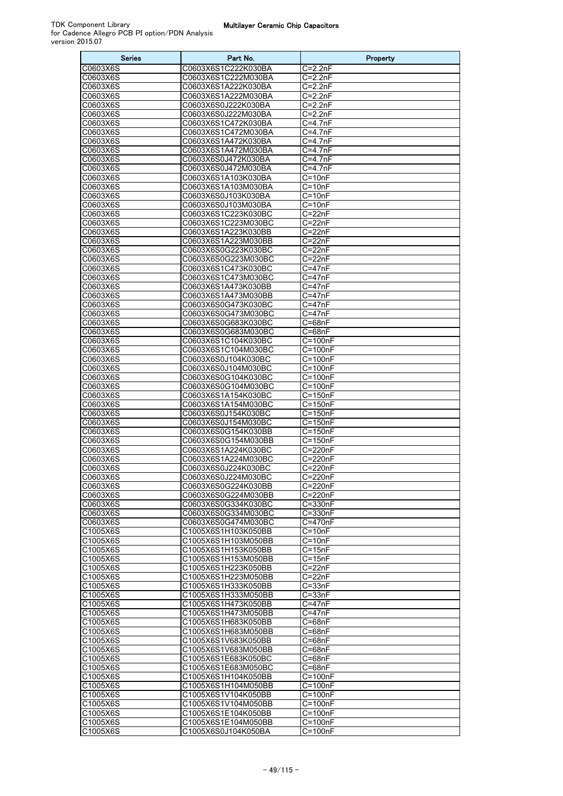| Series               | Part No.                                   | Property                   |
|----------------------|--------------------------------------------|----------------------------|
| C0603X6S             | C0603X6S1C222K030BA                        | C=2.2nF                    |
| C0603X6S             | C0603X6S1C222M030BA                        | $C=2.2nF$                  |
| C0603X6S<br>C0603X6S | C0603X6S1A222K030BA<br>C0603X6S1A222M030BA | $C = 2.2nF$<br>$C = 2.2nF$ |
| C0603X6S             | C0603X6S0J222K030BA                        | $C = 2.2nF$                |
| C0603X6S             | C0603X6S0J222M030BA                        | $C = 2.2nF$                |
| C0603X6S             | C0603X6S1C472K030BA                        | $C = 4.7nF$                |
| C0603X6S             | C0603X6S1C472M030BA                        | $C = 4.7nF$                |
| C0603X6S             | C0603X6S1A472K030BA                        | $C = 4.7nF$                |
| C0603X6S             | C0603X6S1A472M030BA                        | $C = 4.7nF$                |
| C0603X6S<br>C0603X6S | C0603X6S0J472K030BA<br>C0603X6S0J472M030BA | $C = 4.7nF$<br>$C = 4.7nF$ |
| C0603X6S             | C0603X6S1A103K030BA                        | $C = 10nF$                 |
| C0603X6S             | C0603X6S1A103M030BA                        | $C = 10nF$                 |
| C0603X6S             | C0603X6S0J103K030BA                        | $C = 10nF$                 |
| C0603X6S             | C0603X6S0J103M030BA                        | $C = 10nF$                 |
| C0603X6S             | C0603X6S1C223K030BC                        | C=22nF                     |
| C0603X6S             | C0603X6S1C223M030BC                        | $C = 22nF$                 |
| C0603X6S<br>C0603X6S | C0603X6S1A223K030BB<br>C0603X6S1A223M030BB | C=22nF<br>$C = 22nF$       |
| C0603X6S             | C0603X6S0G223K030BC                        | C=22nF                     |
| C0603X6S             | C0603X6S0G223M030BC                        | C=22nF                     |
| C0603X6S             | C0603X6S1C473K030BC                        | C=47nF                     |
| C0603X6S             | C0603X6S1C473M030BC                        | C=47nF                     |
| C0603X6S             | C0603X6S1A473K030BB                        | $C = 47nF$                 |
| C0603X6S             | C0603X6S1A473M030BB                        | $C = 47nF$                 |
| C0603X6S<br>C0603X6S | C0603X6S0G473K030BC<br>C0603X6S0G473M030BC | C=47nF<br>$C = 47nF$       |
| C0603X6S             | C0603X6S0G683K030BC                        | C=68nF                     |
| C0603X6S             | C0603X6S0G683M030BC                        | $C = 68nF$                 |
| C0603X6S             | C0603X6S1C104K030BC                        | $C = 100nF$                |
| C0603X6S             | C0603X6S1C104M030BC                        | $C=100nF$                  |
| C0603X6S             | C0603X6S0J104K030BC                        | C=100nF                    |
| C0603X6S<br>C0603X6S | C0603X6S0J104M030BC<br>C0603X6S0G104K030BC | C=100nF<br>$C = 100nF$     |
| C0603X6S             | C0603X6S0G104M030BC                        | C=100nF                    |
| C0603X6S             | C0603X6S1A154K030BC                        | $C=150nF$                  |
| C0603X6S             | C0603X6S1A154M030BC                        | $C = 150nF$                |
| C0603X6S             | C0603X6S0J154K030BC                        | C=150nF                    |
| C0603X6S             | C0603X6S0J154M030BC                        | $C = 150nF$                |
| C0603X6S<br>C0603X6S | C0603X6S0G154K030BB<br>C0603X6S0G154M030BB | $C = 150nF$<br>$C=150nF$   |
| C0603X6S             | C0603X6S1A224K030BC                        | C=220nF                    |
| C0603X6S             | C0603X6S1A224M030BC                        | $C = 220nF$                |
| C0603X6S             | C0603X6S0J224K030BC                        | C=220nF                    |
| C0603X6S             | C0603X6S0J224M030BC                        | $C = 220nF$                |
| C0603X6S             | C0603X6S0G224K030BB                        | $C = 220nF$                |
| C0603X6S<br>C0603X6S | C0603X6S0G224M030BB<br>C0603X6S0G334K030BC | C=220nF<br>C=330nF         |
| C0603X6S             | C0603X6S0G334M030BC                        | C=330nF                    |
| C0603X6S             | C0603X6S0G474M030BC                        | $C = 470nF$                |
| C1005X6S             | C1005X6S1H103K050BB                        | $C = 10nF$                 |
| C1005X6S             | C1005X6S1H103M050BB                        | $C = 10nF$                 |
| C1005X6S             | C1005X6S1H153K050BB                        | $C = 15nF$                 |
| C1005X6S<br>C1005X6S | C1005X6S1H153M050BB<br>C1005X6S1H223K050BB | $C = 15nF$<br>$C = 22nF$   |
| C1005X6S             | C1005X6S1H223M050BB                        | $C = 22nF$                 |
| C1005X6S             | C1005X6S1H333K050BB                        | $C = 33nF$                 |
| C1005X6S             | C1005X6S1H333M050BB                        | $C = 33nF$                 |
| C1005X6S             | C1005X6S1H473K050BB                        | $C = 47nF$                 |
| C1005X6S             | C1005X6S1H473M050BB                        | C=47nF                     |
| C1005X6S             | C1005X6S1H683K050BB                        | $C = 68nF$                 |
| C1005X6S<br>C1005X6S | C1005X6S1H683M050BB<br>C1005X6S1V683K050BB | $C = 68nF$<br>$C = 68nF$   |
| C1005X6S             | C1005X6S1V683M050BB                        | $C = 68nF$                 |
| C1005X6S             | C1005X6S1E683K050BC                        | C=68nF                     |
| C1005X6S             | C1005X6S1E683M050BC                        | $C = 68nF$                 |
| C1005X6S             | C1005X6S1H104K050BB                        | C=100nF                    |
| C1005X6S             | C1005X6S1H104M050BB                        | C=100nF                    |
| C1005X6S<br>C1005X6S | C1005X6S1V104K050BB<br>C1005X6S1V104M050BB | $C=100nF$<br>$C = 100nF$   |
| C1005X6S             | C1005X6S1E104K050BB                        | $C = 100nF$                |
| C1005X6S             | C1005X6S1E104M050BB                        | $C = 100nF$                |
| C1005X6S             | C1005X6S0J104K050BA                        | $C = 100nF$                |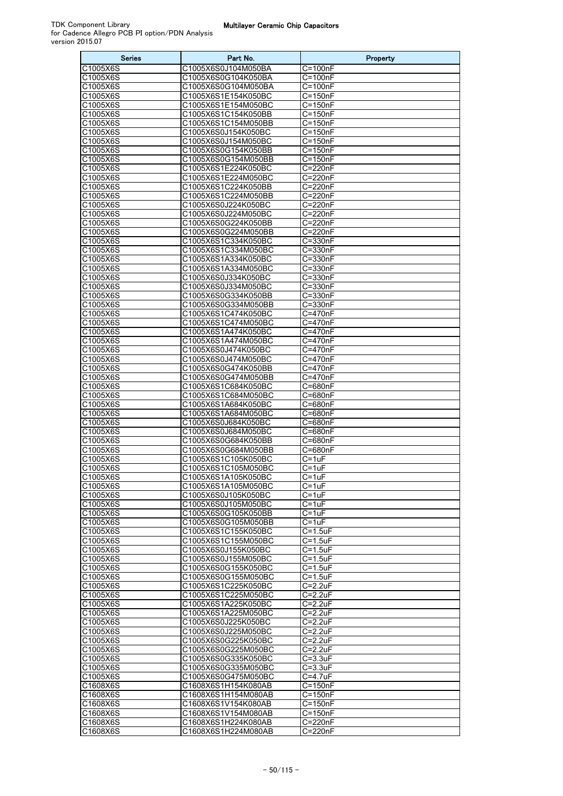| <b>Series</b>        | Part No.                                   | Property               |
|----------------------|--------------------------------------------|------------------------|
| C1005X6S             | C1005X6S0J104M050BA                        | $C = 100nF$            |
| C1005X6S             | C1005X6S0G104K050BA                        | $C = 100nF$            |
| C1005X6S             | C1005X6S0G104M050BA                        | C=100nF                |
| C1005X6S             | C1005X6S1E154K050BC                        | $C = 150nF$            |
| C1005X6S             | C1005X6S1E154M050BC                        | $C = 150nF$            |
| C1005X6S             | C1005X6S1C154K050BB                        | C=150nF                |
| C1005X6S             | C1005X6S1C154M050BB                        | $C = 150nF$            |
| C1005X6S             | C1005X6S0J154K050BC                        | $C = 150nF$            |
| C1005X6S<br>C1005X6S | C1005X6S0J154M050BC                        | $C = 150nF$            |
| C1005X6S             | C1005X6S0G154K050BB<br>C1005X6S0G154M050BB | $C = 150nF$<br>C=150nF |
| C1005X6S             | C1005X6S1E224K050BC                        | C=220nF                |
| C1005X6S             | C1005X6S1E224M050BC                        | C=220nF                |
| C1005X6S             | C1005X6S1C224K050BB                        | C=220nF                |
| C1005X6S             | C1005X6S1C224M050BB                        | C=220nF                |
| C1005X6S             | C1005X6S0J224K050BC                        | C=220nF                |
| C1005X6S             | C1005X6S0J224M050BC                        | C=220nF                |
| C1005X6S             | C1005X6S0G224K050BB                        | C=220nF                |
| C1005X6S             | C1005X6S0G224M050BB                        | C=220nF                |
| C1005X6S             | C1005X6S1C334K050BC                        | $C = 330nF$            |
| C1005X6S             | C1005X6S1C334M050BC                        | C=330nF                |
| C1005X6S             | C1005X6S1A334K050BC                        | C=330nF                |
| C1005X6S             | C1005X6S1A334M050BC                        | $C = 330nF$            |
| C1005X6S             | C1005X6S0J334K050BC                        | C=330nF                |
| C1005X6S<br>C1005X6S | C1005X6S0J334M050BC<br>C1005X6S0G334K050BB | $C = 330nF$<br>C=330nF |
| C1005X6S             | C1005X6S0G334M050BB                        | C=330nF                |
| C1005X6S             | C1005X6S1C474K050BC                        | $C = 470nF$            |
| C1005X6S             | C1005X6S1C474M050BC                        | C=470nF                |
| C1005X6S             | C1005X6S1A474K050BC                        | C=470nF                |
| C1005X6S             | C1005X6S1A474M050BC                        | C=470nF                |
| C1005X6S             | C1005X6S0J474K050BC                        | C=470nF                |
| C1005X6S             | C1005X6S0J474M050BC                        | $C = 470nF$            |
| C1005X6S             | C1005X6S0G474K050BB                        | C=470nF                |
| C1005X6S             | C1005X6S0G474M050BB                        | C=470nF                |
| C1005X6S             | C1005X6S1C684K050BC                        | C=680nF                |
| C1005X6S             | C1005X6S1C684M050BC                        | C=680nF                |
| C1005X6S             | C1005X6S1A684K050BC                        | C=680nF                |
| C1005X6S<br>C1005X6S | C1005X6S1A684M050BC<br>C1005X6S0J684K050BC | $C = 680nF$<br>C=680nF |
| C1005X6S             | C1005X6S0J684M050BC                        | C=680nF                |
| C1005X6S             | C1005X6S0G684K050BB                        | C=680nF                |
| C1005X6S             | C1005X6S0G684M050BB                        | C=680nF                |
| C1005X6S             | C1005X6S1C105K050BC                        | C=1uF                  |
| C1005X6S             | C1005X6S1C105M050BC                        | $C = 1uF$              |
| C1005X6S             | C1005X6S1A105K050BC                        | $C = 1uF$              |
| C1005X6S             | C1005X6S1A105M050BC                        | $C=1uF$                |
| C1005X6S             | C1005X6S0J105K050BC                        | $C = 1uF$              |
| C1005X6S             | C1005X6S0J105M050BC                        | $C = 1uF$              |
| C1005X6S             | C1005X6S0G105K050BB                        | $C = 1uF$              |
| C1005X6S             | C1005X6S0G105M050BB                        | C=1uF                  |
| C1005X6S             | C1005X6S1C155K050BC                        | $C = 1.5$ uF           |
| C1005X6S<br>C1005X6S | C1005X6S1C155M050BC<br>C1005X6S0J155K050BC | C=1.5uF<br>$C=1.5$ uF  |
| C1005X6S             | C1005X6S0J155M050BC                        | $C = 1.5$ uF           |
| C1005X6S             | C1005X6S0G155K050BC                        | C=1.5uF                |
| C1005X6S             | C1005X6S0G155M050BC                        | $C = 1.5$ uF           |
| C1005X6S             | C1005X6S1C225K050BC                        | C=2.2uF                |
| C1005X6S             | C1005X6S1C225M050BC                        | $C = 2.2uF$            |
| C1005X6S             | C1005X6S1A225K050BC                        | $C = 2.2uF$            |
| C1005X6S             | C1005X6S1A225M050BC                        | C=2.2uF                |
| C1005X6S             | C1005X6S0J225K050BC                        | $C = 2.2uF$            |
| C1005X6S             | C1005X6S0J225M050BC                        | C=2.2uF                |
| C1005X6S             | C1005X6S0G225K050BC                        | $C = 2.2uF$            |
| C1005X6S             | C1005X6S0G225M050BC                        | $C = 2.2uF$            |
| C1005X6S             | C1005X6S0G335K050BC                        | C=3.3uF                |
| C1005X6S             | C1005X6S0G335M050BC                        | $C = 3.3uF$            |
| C1005X6S<br>C1608X6S | C1005X6S0G475M050BC<br>C1608X6S1H154K080AB | C=4.7uF<br>$C=150nF$   |
| C1608X6S             | C1608X6S1H154M080AB                        | $C = 150nF$            |
| C1608X6S             | C1608X6S1V154K080AB                        | C=150nF                |
| C1608X6S             | C1608X6S1V154M080AB                        | $C = 150nF$            |
| C1608X6S             | C1608X6S1H224K080AB                        | C=220nF                |
| C1608X6S             | C1608X6S1H224M080AB                        | C=220nF                |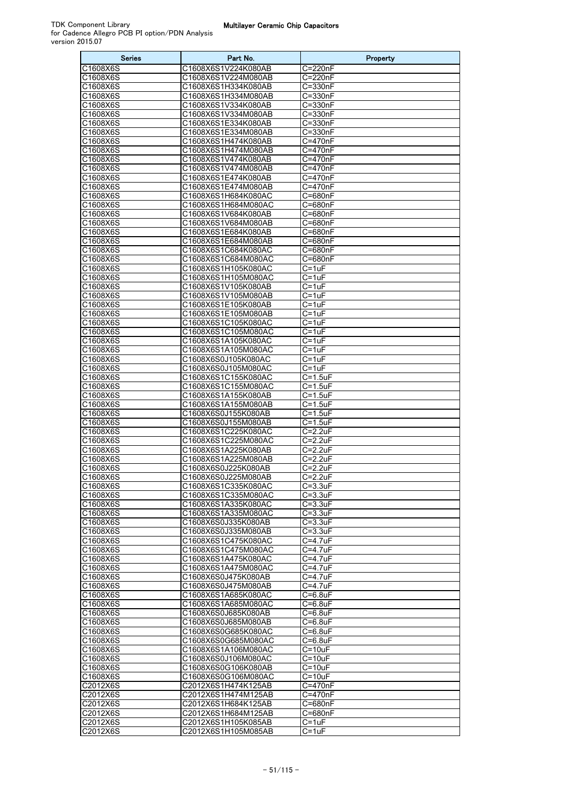| <b>Series</b>         | Part No.                                   | Property                     |
|-----------------------|--------------------------------------------|------------------------------|
| C1608X6S              | C1608X6S1V224K080AB                        | $C=220nF$                    |
| C1608X6S              | C1608X6S1V224M080AB                        | $\overline{C}$ =220nF        |
| C1608X6S              | C1608X6S1H334K080AB                        | C=330nF                      |
| C1608X6S              | C1608X6S1H334M080AB                        | C=330nF                      |
| C1608X6S              | C1608X6S1V334K080AB                        | C=330nF                      |
| C1608X6S              | C1608X6S1V334M080AB                        | C=330nF                      |
| C1608X6S              | C1608X6S1E334K080AB                        | C=330nF                      |
| C1608X6S              | C1608X6S1E334M080AB                        | C=330nF                      |
| C1608X6S<br>C1608X6S  | C1608X6S1H474K080AB<br>C1608X6S1H474M080AB | C=470nF<br>C=470nF           |
| C1608X6S              | C1608X6S1V474K080AB                        | C=470nF                      |
| C1608X6S              | C1608X6S1V474M080AB                        | C=470nF                      |
| C1608X6S              | C1608X6S1E474K080AB                        | C=470nF                      |
| C1608X6S              | C1608X6S1E474M080AB                        | C=470nF                      |
| C1608X6S              | C1608X6S1H684K080AC                        | C=680nF                      |
| C1608X6S              | C1608X6S1H684M080AC                        | $\overline{C}$ =680nF        |
| C1608X6S              | C1608X6S1V684K080AB                        | C=680nF                      |
| C1608X6S              | C1608X6S1V684M080AB                        | C=680nF                      |
| C1608X6S              | C1608X6S1E684K080AB                        | C=680nF                      |
| C1608X6S              | C1608X6S1E684M080AB                        | C=680nF                      |
| C1608X6S              | C1608X6S1C684K080AC                        | $\overline{C}$ =680nF        |
| C1608X6S              | C1608X6S1C684M080AC                        | C=680nF                      |
| C1608X6S<br>C1608X6S  | C1608X6S1H105K080AC<br>C1608X6S1H105M080AC | $C = 1uF$<br>$C=1uF$         |
| C1608X6S              | C1608X6S1V105K080AB                        | $C = 1uF$                    |
| C1608X6S              | C1608X6S1V105M080AB                        | $C = 1uF$                    |
| C1608X6S              | C1608X6S1E105K080AB                        | $C = 1uF$                    |
| C1608X6S              | C1608X6S1E105M080AB                        | $C = 1uF$                    |
| C1608X6S              | C1608X6S1C105K080AC                        | $C=1uF$                      |
| C1608X6S              | C1608X6S1C105M080AC                        | $C = 1uF$                    |
| C1608X6S              | C1608X6S1A105K080AC                        | $C = 1uF$                    |
| C1608X6S              | C1608X6S1A105M080AC                        | $C = 1uF$                    |
| C1608X6S              | C1608X6S0J105K080AC                        | $C = 1uF$                    |
| C1608X6S              | C1608X6S0J105M080AC                        | $C=1uF$                      |
| C1608X6S              | C1608X6S1C155K080AC                        | $C = 1.5$ uF                 |
| C1608X6S              | C1608X6S1C155M080AC                        | $C = 1.5$ uF                 |
| C1608X6S              | C1608X6S1A155K080AB                        | $C = 1.5$ uF                 |
| C1608X6S<br>C1608X6S  | C1608X6S1A155M080AB<br>C1608X6S0J155K080AB | $C = 1.5$ uF<br>$C = 1.5$ uF |
| C1608X6S              | C1608X6S0J155M080AB                        | $C = 1.5$ uF                 |
| C1608X6S              | C1608X6S1C225K080AC                        | $C = 2.2uF$                  |
| C1608X6S              | C1608X6S1C225M080AC                        | $C = 2.2uF$                  |
| C1608X6S              | C1608X6S1A225K080AB                        | $C = 2.2uF$                  |
| $\overline{C1608X6S}$ | C1608X6S1A225M080AB                        | $C=2.2uF$                    |
| C1608X6S              | C1608X6S0J225K080AB                        | $C = 2.2uF$                  |
| C1608X6S              | C1608X6S0J225M080AB                        | $C = 2.2uF$                  |
| C1608X6S              | C1608X6S1C335K080AC                        | $C = 3.3uF$                  |
| C1608X6S              | C1608X6S1C335M080AC                        | $C = 3.3uF$                  |
| C1608X6S              | C1608X6S1A335K080AC                        | $C=3.3uF$                    |
| C1608X6S              | C1608X6S1A335M080AC                        | $C = 3.3uF$                  |
| C1608X6S              | C1608X6S0J335K080AB                        | $C = 3.3$ uF                 |
| C1608X6S<br>C1608X6S  | C1608X6S0J335M080AB<br>C1608X6S1C475K080AC | C=3.3uF<br>C=4.7uF           |
| C1608X6S              | C1608X6S1C475M080AC                        | $C=4.7$ uF                   |
| C1608X6S              | C1608X6S1A475K080AC                        | $C = 4.7uF$                  |
| C1608X6S              | C1608X6S1A475M080AC                        | C=4.7uF                      |
| C1608X6S              | C1608X6S0J475K080AB                        | $C = 4.7uF$                  |
| C1608X6S              | C1608X6S0J475M080AB                        | C=4.7uF                      |
| C1608X6S              | C1608X6S1A685K080AC                        | C=6.8uF                      |
| C1608X6S              | C1608X6S1A685M080AC                        | C=6.8uF                      |
| C1608X6S              | C1608X6S0J685K080AB                        | C=6.8uF                      |
| C1608X6S              | C1608X6S0J685M080AB                        | C=6.8uF                      |
| C1608X6S              | C1608X6S0G685K080AC                        | C=6.8uF                      |
| C1608X6S              | C1608X6S0G685M080AC                        | C=6.8uF                      |
| C1608X6S              | C1608X6S1A106M080AC                        | $C = 10uF$                   |
| C1608X6S<br>C1608X6S  | C1608X6S0J106M080AC<br>C1608X6S0G106K080AB | C=10uF<br>$C = 10uF$         |
| C1608X6S              | C1608X6S0G106M080AC                        | $C = 10uF$                   |
| C2012X6S              | C2012X6S1H474K125AB                        | C=470nF                      |
| C2012X6S              | C2012X6S1H474M125AB                        | C=470nF                      |
| C2012X6S              | C2012X6S1H684K125AB                        | C=680nF                      |
| C2012X6S              | C2012X6S1H684M125AB                        | C=680nF                      |
| C2012X6S              | C2012X6S1H105K085AB                        | $C = 1uF$                    |
| C2012X6S              | C2012X6S1H105M085AB                        | C=1uF                        |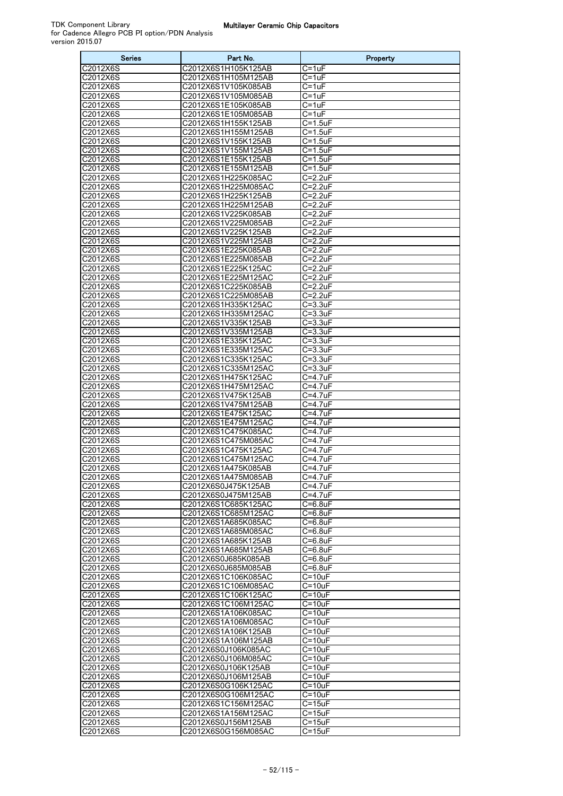| Series               | Part No.                                   | Property                     |
|----------------------|--------------------------------------------|------------------------------|
| C2012X6S             | C2012X6S1H105K125AB                        | C=1uF                        |
| C2012X6S             | C2012X6S1H105M125AB                        | $C = 1uF$                    |
| C2012X6S             | C2012X6S1V105K085AB                        | $C = 1uF$                    |
| C2012X6S<br>C2012X6S | C2012X6S1V105M085AB<br>C2012X6S1E105K085AB | C=1uF<br>$C = 1uF$           |
| C2012X6S             | C2012X6S1E105M085AB                        | $C = 1uF$                    |
| C2012X6S             | C2012X6S1H155K125AB                        | $C = 1.5$ uF                 |
| C2012X6S             | C2012X6S1H155M125AB                        | C=1.5uF                      |
| C2012X6S             | C2012X6S1V155K125AB                        | $C = 1.5$ uF                 |
| C2012X6S             | C2012X6S1V155M125AB                        | $C = 1.5$ uF                 |
| C2012X6S             | C2012X6S1E155K125AB                        | $C = 1.5$ uF                 |
| C2012X6S             | C2012X6S1E155M125AB                        | $C = 1.5$ uF                 |
| C2012X6S<br>C2012X6S | C2012X6S1H225K085AC<br>C2012X6S1H225M085AC | $C = 2.2uF$<br>$C = 2.2uF$   |
| C2012X6S             | C2012X6S1H225K125AB                        | $C = 2.2uF$                  |
| C2012X6S             | C2012X6S1H225M125AB                        | $C = 2.2uF$                  |
| C2012X6S             | C2012X6S1V225K085AB                        | $C = 2.2uF$                  |
| C2012X6S             | C2012X6S1V225M085AB                        | $C = 2.2uF$                  |
| C2012X6S             | C2012X6S1V225K125AB                        | $C = 2.2uF$                  |
| C2012X6S             | C2012X6S1V225M125AB                        | $C = 2.2uF$                  |
| C2012X6S             | C2012X6S1E225K085AB                        | $C = 2.2uF$                  |
| C2012X6S             | C2012X6S1E225M085AB                        | $C = 2.2uF$<br>$C = 2.2uF$   |
| C2012X6S<br>C2012X6S | C2012X6S1E225K125AC<br>C2012X6S1E225M125AC | $C = 2.2uF$                  |
| C2012X6S             | C2012X6S1C225K085AB                        | $C = 2.2uF$                  |
| C2012X6S             | C2012X6S1C225M085AB                        | $C = 2.2uF$                  |
| C2012X6S             | C2012X6S1H335K125AC                        | $C = 3.3uF$                  |
| C2012X6S             | C2012X6S1H335M125AC                        | $C = 3.3uF$                  |
| C2012X6S             | C2012X6S1V335K125AB                        | C=3.3uF                      |
| C2012X6S             | C2012X6S1V335M125AB                        | $C = 3.3uF$                  |
| C2012X6S             | C2012X6S1E335K125AC                        | $C = 3.3uF$                  |
| C2012X6S<br>C2012X6S | C2012X6S1E335M125AC<br>C2012X6S1C335K125AC | $C = 3.3uF$<br>$C = 3.3uF$   |
| C2012X6S             | C2012X6S1C335M125AC                        | C=3.3uF                      |
| C2012X6S             | C2012X6S1H475K125AC                        | $\overline{C}$ =4.7uF        |
| C2012X6S             | C2012X6S1H475M125AC                        | $C = 4.7uF$                  |
| C2012X6S             | C2012X6S1V475K125AB                        | C=4.7uF                      |
| C2012X6S             | C2012X6S1V475M125AB                        | $C = 4.7uF$                  |
| C2012X6S             | C2012X6S1E475K125AC                        | C=4.7uF                      |
| C2012X6S<br>C2012X6S | C2012X6S1E475M125AC                        | $C = 4.7$ uF<br>$C = 4.7$ uF |
| C2012X6S             | C2012X6S1C475K085AC<br>C2012X6S1C475M085AC | C=4.7uF                      |
| C2012X6S             | C2012X6S1C475K125AC                        | $C = 4.7$ uF                 |
| C2012X6S             | C2012X6S1C475M125AC                        | C=4.7uF                      |
| C2012X6S             | C2012X6S1A475K085AB                        | C=4.7uF                      |
| C2012X6S             | C2012X6S1A475M085AB                        | C=4.7uF                      |
| C2012X6S             | C2012X6S0J475K125AB                        | $C = 4.7uF$                  |
| C2012X6S             | C2012X6S0J475M125AB                        | $C = 4.7$ uF                 |
| C2012X6S             | C2012X6S1C685K125AC                        | C=6.8uF                      |
| C2012X6S<br>C2012X6S | C2012X6S1C685M125AC<br>C2012X6S1A685K085AC | $C = 6.8$ uF<br>C=6.8uF      |
| C2012X6S             | C2012X6S1A685M085AC                        | $C = 6.8$ uF                 |
| C2012X6S             | C2012X6S1A685K125AB                        | $C = 6.8$ uF                 |
| C2012X6S             | C2012X6S1A685M125AB                        | $C = 6.8$ uF                 |
| C2012X6S             | C2012X6S0J685K085AB                        | $C = 6.8$ uF                 |
| C2012X6S             | C2012X6S0J685M085AB                        | C=6.8uF                      |
| C2012X6S             | C2012X6S1C106K085AC                        | $C = 10uF$                   |
| C2012X6S<br>C2012X6S | C2012X6S1C106M085AC<br>C2012X6S1C106K125AC | $C = 10uF$<br>$C = 10uF$     |
| C2012X6S             | C2012X6S1C106M125AC                        | $C = 10uF$                   |
| C2012X6S             | C2012X6S1A106K085AC                        | $C = 10uF$                   |
| C2012X6S             | C2012X6S1A106M085AC                        | $C = 10uF$                   |
| C2012X6S             | C2012X6S1A106K125AB                        | $C = 10uF$                   |
| C2012X6S             | C2012X6S1A106M125AB                        | C=10uF                       |
| C2012X6S             | C2012X6S0J106K085AC                        | $C = 10uF$                   |
| C2012X6S             | C2012X6S0J106M085AC                        | $C = 10uF$                   |
| C2012X6S<br>C2012X6S | C2012X6S0J106K125AB<br>C2012X6S0J106M125AB | $C = 10uF$<br>$C = 10uF$     |
| C2012X6S             | C2012X6S0G106K125AC                        | $C = 10uF$                   |
| C2012X6S             | C2012X6S0G106M125AC                        | $C = 10uF$                   |
| C2012X6S             | C2012X6S1C156M125AC                        | C=15uF                       |
| C2012X6S             | C2012X6S1A156M125AC                        | $C=15uF$                     |
| C2012X6S             | C2012X6S0J156M125AB                        | $C = 15uF$                   |
| C2012X6S             | C2012X6S0G156M085AC                        | $C = 15uF$                   |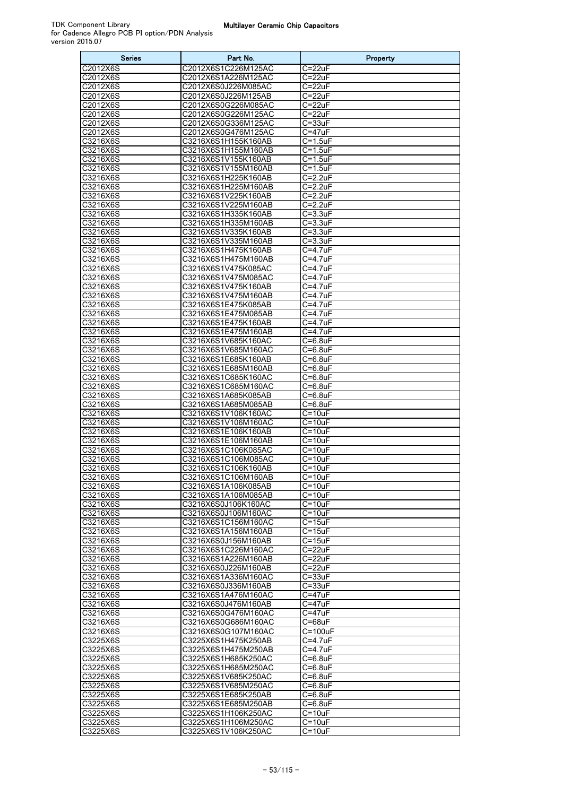| <b>Series</b>                 | Part No.                                   | Property                           |
|-------------------------------|--------------------------------------------|------------------------------------|
| C2012X6S                      | C2012X6S1C226M125AC                        | C=22uF                             |
| C2012X6S                      | C2012X6S1A226M125AC                        | $C = 22uF$                         |
| C2012X6S                      | C2012X6S0J226M085AC                        | C=22uF                             |
| C2012X6S<br>C2012X6S          | C2012X6S0J226M125AB<br>C2012X6S0G226M085AC | $C = 22uF$<br>$C=22uF$             |
| C2012X6S                      | C2012X6S0G226M125AC                        | $C = 22uF$                         |
| C2012X6S                      | C2012X6S0G336M125AC                        | $C = 33uF$                         |
| C2012X6S                      | C2012X6S0G476M125AC                        | C=47uF                             |
| C3216X6S                      | C3216X6S1H155K160AB                        | $C = 1.5$ uF                       |
| C3216X6S                      | C3216X6S1H155M160AB                        | $C = 1.5$ uF                       |
| C3216X6S                      | C3216X6S1V155K160AB                        | $C = 1.5$ uF                       |
| C3216X6S                      | C3216X6S1V155M160AB                        | $C = 1.5$ uF                       |
| C3216X6S<br>C3216X6S          | C3216X6S1H225K160AB<br>C3216X6S1H225M160AB | $C = 2.2uF$<br>$C = 2.2uF$         |
| C3216X6S                      | C3216X6S1V225K160AB                        | $C = 2.2uF$                        |
| C3216X6S                      | C3216X6S1V225M160AB                        | $C = 2.2uF$                        |
| C3216X6S                      | C3216X6S1H335K160AB                        | $C = 3.3uF$                        |
| C3216X6S                      | C3216X6S1H335M160AB                        | $C = 3.3uF$                        |
| C3216X6S                      | C3216X6S1V335K160AB                        | $C = 3.3uF$                        |
| C3216X6S                      | C3216X6S1V335M160AB                        | $C = 3.3uF$                        |
| C3216X6S<br>C3216X6S          | C3216X6S1H475K160AB                        | $C = 4.7uF$                        |
| C3216X6S                      | C3216X6S1H475M160AB<br>C3216X6S1V475K085AC | $C = 4.7uF$<br>$C = 4.7$ uF        |
| C3216X6S                      | C3216X6S1V475M085AC                        | $C = 4.7uF$                        |
| C3216X6S                      | C3216X6S1V475K160AB                        | $C = 4.7uF$                        |
| C3216X6S                      | C3216X6S1V475M160AB                        | $C = 4.7uF$                        |
| C3216X6S                      | C3216X6S1E475K085AB                        | $C = 4.7uF$                        |
| C3216X6S                      | C3216X6S1E475M085AB                        | $C = 4.7$ uF                       |
| C3216X6S                      | C3216X6S1E475K160AB                        | $C = 4.7uF$                        |
| C3216X6S<br>C3216X6S          | C3216X6S1E475M160AB<br>C3216X6S1V685K160AC | $C = 4.7uF$<br>$C = 6.8$ uF        |
| C3216X6S                      | C3216X6S1V685M160AC                        | $C = 6.8$ uF                       |
| C3216X6S                      | C3216X6S1E685K160AB                        | C=6.8uF                            |
| C3216X6S                      | C3216X6S1E685M160AB                        | C=6.8uF                            |
| C3216X6S                      | C3216X6S1C685K160AC                        | C=6.8uF                            |
| C3216X6S                      | C3216X6S1C685M160AC                        | $C = 6.8$ uF                       |
| $\overline{\text{C3216X}}$ 6S | C3216X6S1A685K085AB                        | $C = 6.8$ uF                       |
| C3216X6S                      | C3216X6S1A685M085AB<br>C3216X6S1V106K160AC | $C = 6.8$ uF                       |
| C3216X6S<br>C3216X6S          | C3216X6S1V106M160AC                        | C=10uF<br>$C = 10uF$               |
| C3216X6S                      | C3216X6S1E106K160AB                        | $C = 10uF$                         |
| C3216X6S                      | C3216X6S1E106M160AB                        | $C = 10uF$                         |
| C3216X6S                      | C3216X6S1C106K085AC                        | $C = 10uF$                         |
| C3216X6S                      | C3216X6S1C106M085AC                        | C=10uF                             |
| C3216X6S                      | C3216X6S1C106K160AB                        | $C = 10uF$                         |
| C3216X6S<br>C3216X6S          | C3216X6S1C106M160AB<br>C3216X6S1A106K085AB | $C = 10uF$<br>$C = 10uF$           |
| C3216X6S                      | C3216X6S1A106M085AB                        | $C = 10uF$                         |
| C3216X6S                      | C3216X6S0J106K160AC                        | $C = 10uF$                         |
| C3216X6S                      | C3216X6S0J106M160AC                        | $C = 10uF$                         |
| C3216X6S                      | C3216X6S1C156M160AC                        | $C = 15uF$                         |
| C3216X6S                      | C3216X6S1A156M160AB                        | $\overline{C}$ =15uF               |
| C3216X6S                      | C3216X6S0J156M160AB                        | $C = 15uF$                         |
| C3216X6S<br>C3216X6S          | C3216X6S1C226M160AC                        | C=22uF                             |
| C3216X6S                      | C3216X6S1A226M160AB<br>C3216X6S0J226M160AB | $C = 22uF$<br>$C = 22uF$           |
| C3216X6S                      | C3216X6S1A336M160AC                        | C=33uF                             |
| C3216X6S                      | C3216X6S0J336M160AB                        | $C = 33uF$                         |
| C3216X6S                      | C3216X6S1A476M160AC                        | C=47uF                             |
| C3216X6S                      | C3216X6S0J476M160AB                        | C=47uF                             |
| C3216X6S                      | C3216X6S0G476M160AC                        | $C = 47uF$                         |
| C3216X6S                      | C3216X6S0G686M160AC                        | C=68uF                             |
| C3216X6S<br>C3225X6S          | C3216X6S0G107M160AC<br>C3225X6S1H475K250AB | C=100uF<br>C=4.7uF                 |
| C3225X6S                      | C3225X6S1H475M250AB                        | C=4.7uF                            |
| C3225X6S                      | C3225X6S1H685K250AC                        | C=6.8uF                            |
| C3225X6S                      | C3225X6S1H685M250AC                        | C=6.8uF                            |
| C3225X6S                      | C3225X6S1V685K250AC                        | $C = 6.8$ uF                       |
| C3225X6S                      | C3225X6S1V685M250AC                        | C=6.8uF                            |
| C3225X6S                      | C3225X6S1E685K250AB                        | C=6.8uF                            |
| C3225X6S                      | C3225X6S1E685M250AB                        | $C = 6.8$ uF                       |
| C3225X6S<br>C3225X6S          | C3225X6S1H106K250AC<br>C3225X6S1H106M250AC | $\overline{C}$ =10uF<br>$C = 10uF$ |
| C3225X6S                      | C3225X6S1V106K250AC                        | $C = 10uF$                         |
|                               |                                            |                                    |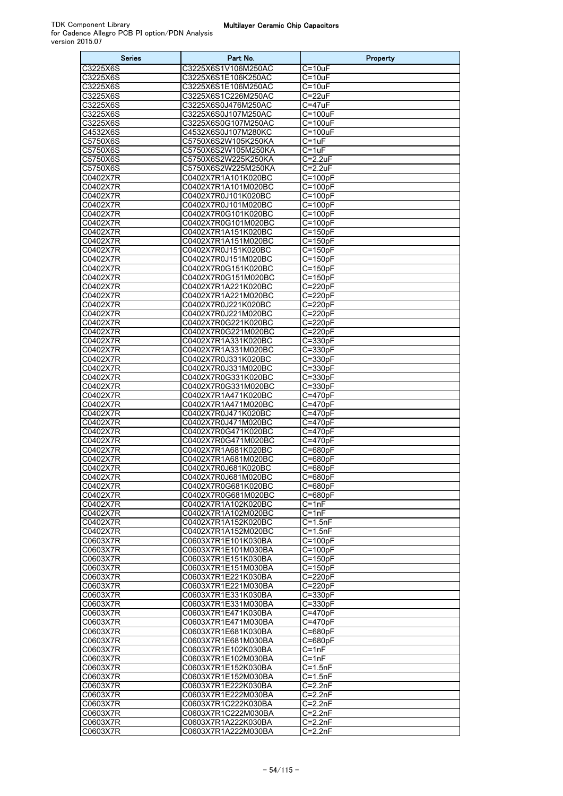| Series               | Part No.                                   | Property                   |
|----------------------|--------------------------------------------|----------------------------|
| C3225X6S             | C3225X6S1V106M250AC                        | $C = 10uF$                 |
| C3225X6S             | C3225X6S1E106K250AC                        | $C = 10uF$                 |
| C3225X6S             | C3225X6S1E106M250AC                        | C=10uF                     |
| C3225X6S<br>C3225X6S | C3225X6S1C226M250AC                        | C=22uF<br>$C = 47uF$       |
| C3225X6S             | C3225X6S0J476M250AC<br>C3225X6S0J107M250AC | C=100uF                    |
| C3225X6S             | C3225X6S0G107M250AC                        | C=100uF                    |
| C4532X6S             | C4532X6S0J107M280KC                        | $\overline{C}$ =100uF      |
| C5750X6S             | C5750X6S2W105K250KA                        | C=1uF                      |
| C5750X6S             | C5750X6S2W105M250KA                        | $C = 1uF$                  |
| C5750X6S             | C5750X6S2W225K250KA                        | $C = 2.2uF$                |
| C5750X6S             | C5750X6S2W225M250KA                        | $C = 2.2uF$                |
| C0402X7R             | C0402X7R1A101K020BC                        | $C = 100pF$                |
| C0402X7R             | C0402X7R1A101M020BC                        | $C = 100pF$                |
| C0402X7R<br>C0402X7R | C0402X7R0J101K020BC<br>C0402X7R0J101M020BC | $C = 100pF$<br>$C = 100pF$ |
| C0402X7R             | C0402X7R0G101K020BC                        | $C=100pF$                  |
| C0402X7R             | C0402X7R0G101M020BC                        | $C = 100pF$                |
| C0402X7R             | C0402X7R1A151K020BC                        | $C = 150pF$                |
| C0402X7R             | C0402X7R1A151M020BC                        | $C = 150pF$                |
| C0402X7R             | C0402X7R0J151K020BC                        | $C = 150pF$                |
| C0402X7R             | C0402X7R0J151M020BC                        | $C = 150pF$                |
| C0402X7R             | C0402X7R0G151K020BC                        | $C = 150pF$                |
| C0402X7R             | C0402X7R0G151M020BC                        | $C = 150pF$                |
| C0402X7R<br>C0402X7R | C0402X7R1A221K020BC<br>C0402X7R1A221M020BC | $C = 220pF$<br>$C = 220pF$ |
| C0402X7R             | C0402X7R0J221K020BC                        | $C = 220pF$                |
| C0402X7R             | C0402X7R0J221M020BC                        | $C = 220pF$                |
| C0402X7R             | C0402X7R0G221K020BC                        | C=220pF                    |
| C0402X7R             | C0402X7R0G221M020BC                        | $C = 220pF$                |
| C0402X7R             | C0402X7R1A331K020BC                        | C=330pF                    |
| C0402X7R             | C0402X7R1A331M020BC                        | $C = 330pF$                |
| C0402X7R             | C0402X7R0J331K020BC                        | C=330pF                    |
| C0402X7R             | C0402X7R0J331M020BC                        | C=330pF                    |
| C0402X7R<br>C0402X7R | C0402X7R0G331K020BC<br>C0402X7R0G331M020BC | $C = 330pF$                |
| C0402X7R             | C0402X7R1A471K020BC                        | C=330pF<br>C=470pF         |
| C0402X7R             | C0402X7R1A471M020BC                        | $C = 470pF$                |
| C0402X7R             | C0402X7R0J471K020BC                        | C=470pF                    |
| C0402X7R             | C0402X7R0J471M020BC                        | $C = 470pF$                |
| C0402X7R             | C0402X7R0G471K020BC                        | $C = 470pF$                |
| C0402X7R             | C0402X7R0G471M020BC                        | $C=470pF$                  |
| C0402X7R             | C0402X7R1A681K020BC                        | C=680pF                    |
| C0402X7R<br>C0402X7R | C0402X7R1A681M020BC                        | C=680pF                    |
|                      | C0402X7R0J681K020BC                        | C=680pF                    |
| C0402X/R<br>C0402X7R | C0402X7R0J681M020BC<br>C0402X7R0G681K020BC | С=680рн<br>$C = 680pF$     |
| C0402X7R             | C0402X7R0G681M020BC                        | $C = 680pF$                |
| C0402X7R             | C0402X7R1A102K020BC                        | $C = 1nF$                  |
| C0402X7R             | C0402X7R1A102M020BC                        | $C = 1nF$                  |
| C0402X7R             | C0402X7R1A152K020BC                        | $C = 1.5nF$                |
| C0402X7R             | C0402X7R1A152M020BC                        | $C = 1.5nF$                |
| C0603X7R             | C0603X7R1E101K030BA                        | $C = 100pF$                |
| C0603X7R             | C0603X7R1E101M030BA                        | $C = 100pF$<br>$C = 150pF$ |
| C0603X7R<br>C0603X7R | C0603X7R1E151K030BA<br>C0603X7R1E151M030BA | $C = 150pF$                |
| C0603X7R             | C0603X7R1E221K030BA                        | $C = 220pF$                |
| C0603X7R             | C0603X7R1E221M030BA                        | $C = 220pF$                |
| C0603X7R             | C0603X7R1E331K030BA                        | C=330pF                    |
| C0603X7R             | C0603X7R1E331M030BA                        | C=330pF                    |
| C0603X7R             | C0603X7R1E471K030BA                        | $C = 470pF$                |
| C0603X7R             | C0603X7R1E471M030BA                        | $C = 470pF$                |
| C0603X7R             | C0603X7R1E681K030BA                        | $C = 680pF$                |
| C0603X7R             | C0603X7R1E681M030BA                        | C=680pF                    |
| C0603X7R<br>C0603X7R | C0603X7R1E102K030BA<br>C0603X7R1E102M030BA | $C = 1nF$<br>$C = 1nF$     |
| C0603X7R             | C0603X7R1E152K030BA                        | $\overline{C=1}.5nF$       |
| C0603X7R             | C0603X7R1E152M030BA                        | $C = 1.5nF$                |
| C0603X7R             | C0603X7R1E222K030BA                        | $C = 2.2nF$                |
| C0603X7R             | C0603X7R1E222M030BA                        | $C = 2.2nF$                |
| C0603X7R             | C0603X7R1C222K030BA                        | C=2.2nF                    |
| C0603X7R             | C0603X7R1C222M030BA                        | $C = 2.2nF$                |
| C0603X7R             | C0603X7R1A222K030BA                        | $C = 2.2nF$                |
| C0603X7R             | C0603X7R1A222M030BA                        | $C = 2.2nF$                |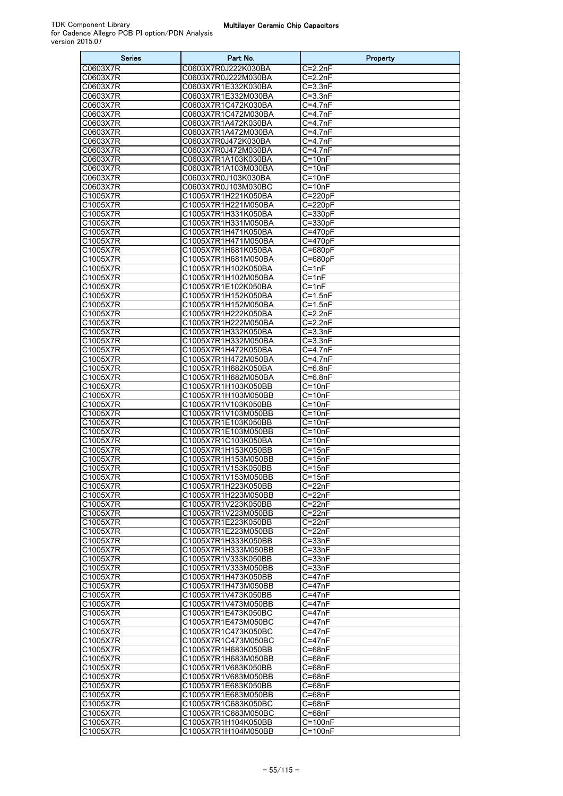| Series               | Part No.                                   | Property                   |
|----------------------|--------------------------------------------|----------------------------|
| C0603X7R             | C0603X7R0J222K030BA                        | C=2.2nF                    |
| C0603X7R             | C0603X7R0J222M030BA                        | $C = 2.2nF$                |
| C0603X7R             | C0603X7R1E332K030BA                        | $C = 3.3nF$                |
| C0603X7R<br>C0603X7R | C0603X7R1E332M030BA<br>C0603X7R1C472K030BA | $C = 3.3nF$<br>$C = 4.7nF$ |
| C0603X7R             | C0603X7R1C472M030BA                        | $C = 4.7nF$                |
| C0603X7R             | C0603X7R1A472K030BA                        | $C = 4.7nF$                |
| C0603X7R             | C0603X7R1A472M030BA                        | $C = 4.7nF$                |
| C0603X7R             | C0603X7R0J472K030BA                        | $C = 4.7nF$                |
| C0603X7R             | C0603X7R0J472M030BA                        | $C = 4.7nF$                |
| C0603X7R             | C0603X7R1A103K030BA                        | $C = 10nF$                 |
| C0603X7R             | C0603X7R1A103M030BA                        | $\overline{C}$ =10nF       |
| C0603X7R             | C0603X7R0J103K030BA                        | $C = 10nF$                 |
| C0603X7R<br>C1005X7R | C0603X7R0J103M030BC<br>C1005X7R1H221K050BA | $C = 10nF$<br>$C = 220pF$  |
| C1005X7R             | C1005X7R1H221M050BA                        | $C = 220pF$                |
| C1005X7R             | C1005X7R1H331K050BA                        | $C = 330pF$                |
| C1005X7R             | C1005X7R1H331M050BA                        | $C = 330pF$                |
| C1005X7R             | C1005X7R1H471K050BA                        | $C = 470pF$                |
| C1005X7R             | C1005X7R1H471M050BA                        | $C = 470pF$                |
| C1005X7R             | C1005X7R1H681K050BA                        | $C = 680pF$                |
| C1005X7R             | C1005X7R1H681M050BA                        | $\overline{C}$ =680pF      |
| C1005X7R             | C1005X7R1H102K050BA                        | C=1nF                      |
| C1005X7R             | C1005X7R1H102M050BA                        | C=1nF<br>$C=1nF$           |
| C1005X7R<br>C1005X7R | C1005X7R1E102K050BA<br>C1005X7R1H152K050BA | $C = 1.5nF$                |
| C1005X7R             | C1005X7R1H152M050BA                        | $\overline{C=1}.5nF$       |
| C1005X7R             | C1005X7R1H222K050BA                        | $C = 2.2nF$                |
| C1005X7R             | C1005X7R1H222M050BA                        | $C = 2.2nF$                |
| C1005X7R             | C1005X7R1H332K050BA                        | $C = 3.3nF$                |
| C1005X7R             | C1005X7R1H332M050BA                        | $C = 3.3nF$                |
| C1005X7R             | C1005X7R1H472K050BA                        | $\overline{C=4}$ .7nF      |
| C1005X7R             | C1005X7R1H472M050BA                        | $C = 4.7nF$                |
| C1005X7R             | C1005X7R1H682K050BA                        | $C = 6.8nF$                |
| C1005X7R<br>C1005X7R | C1005X7R1H682M050BA<br>C1005X7R1H103K050BB | $C = 6.8nF$<br>$C = 10nF$  |
| C1005X7R             | C1005X7R1H103M050BB                        | $C = 10nF$                 |
| C1005X7R             | C1005X7R1V103K050BB                        | C=10nF                     |
| C1005X7R             | C1005X7R1V103M050BB                        | C=10nF                     |
| C1005X7R             | C1005X7R1E103K050BB                        | $C = 10nF$                 |
| C1005X7R             | C1005X7R1E103M050BB                        | $C = 10nF$                 |
| C1005X7R             | C1005X7R1C103K050BA                        | $C = 10nF$                 |
| C1005X7R             | C1005X7R1H153K050BB                        | $C = 15nF$                 |
| C1005X7R<br>C1005X7R | C1005X7R1H153M050BB<br>C1005X7R1V153K050BB | $C = 15nF$<br>$C = 15nF$   |
| C1005X7R             | C1005X7R1V153M050BB                        | $C = 15nF$                 |
| C1005X7R             | C1005X7R1H223K050BB                        | $C=22nF$                   |
| C1005X7R             | C1005X7R1H223M050BB                        | $C=22nF$                   |
| C1005X7R             | C1005X7R1V223K050BB                        | $C = 22nF$                 |
| C1005X7R             | C1005X7R1V223M050BB                        | $C = 22nF$                 |
| C1005X7R             | C1005X7R1E223K050BB                        | $C = 22nF$                 |
| C1005X7R             | C1005X7R1E223M050BB                        | $C = 22nF$                 |
| C1005X7R             | C1005X7R1H333K050BB                        | $C = 33nF$                 |
| C1005X7R<br>C1005X7R | C1005X7R1H333M050BB<br>C1005X7R1V333K050BB | $C = 33nF$<br>$C = 33nF$   |
| C1005X7R             | C1005X7R1V333M050BB                        | $C = 33nF$                 |
| C1005X7R             | C1005X7R1H473K050BB                        | $C = 47nF$                 |
| C1005X7R             | C1005X7R1H473M050BB                        | $C = 47nF$                 |
| C1005X7R             | C1005X7R1V473K050BB                        | $C = 47nF$                 |
| C1005X7R             | C1005X7R1V473M050BB                        | $C = 47nF$                 |
| C1005X7R             | C1005X7R1E473K050BC                        | $C = 47nF$                 |
| C1005X7R             | C1005X7R1E473M050BC                        | $C = 47nF$                 |
| C1005X7R             | C1005X7R1C473K050BC                        | $C = 47nF$                 |
| C1005X7R             | C1005X7R1C473M050BC                        | C=47nF                     |
| C1005X7R<br>C1005X7R | C1005X7R1H683K050BB<br>C1005X7R1H683M050BB | $C = 68nF$<br>$C = 68nF$   |
| C1005X7R             | C1005X7R1V683K050BB                        | $C = 68nF$                 |
| C1005X7R             | C1005X7R1V683M050BB                        | $C = 68nF$                 |
| C1005X7R             | C1005X7R1E683K050BB                        | C=68nF                     |
| C1005X7R             | C1005X7R1E683M050BB                        | $C = 68nF$                 |
| C1005X7R             | C1005X7R1C683K050BC                        | C=68nF                     |
| C1005X7R             | C1005X7R1C683M050BC                        | $C = 68nF$                 |
| C1005X7R             | C1005X7R1H104K050BB                        | C=100nF                    |
| C1005X7R             | C1005X7R1H104M050BB                        | C=100nF                    |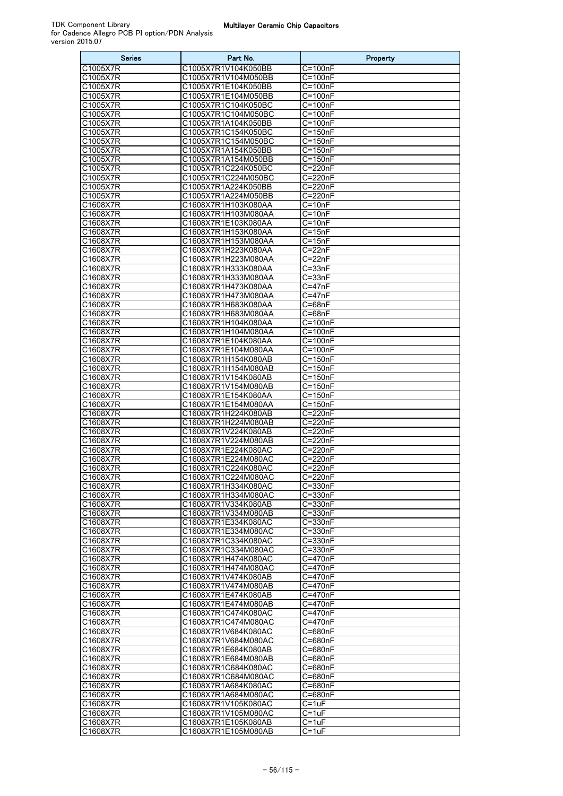| Series               | Part No.                                   | Property                 |
|----------------------|--------------------------------------------|--------------------------|
| C1005X7R             | C1005X7R1V104K050BB                        | C=100nF                  |
| C1005X7R             | C1005X7R1V104M050BB                        | C=100nF                  |
| C1005X7R             | C1005X7R1E104K050BB                        | C=100nF                  |
| C1005X7R<br>C1005X7R | C1005X7R1E104M050BB<br>C1005X7R1C104K050BC | C=100nF<br>C=100nF       |
| C1005X7R             | C1005X7R1C104M050BC                        | C=100nF                  |
| C1005X7R             | C1005X7R1A104K050BB                        | $C=100nF$                |
| C1005X7R             | C1005X7R1C154K050BC                        | $C = 150nF$              |
| C1005X7R             | C1005X7R1C154M050BC                        | C=150nF                  |
| C1005X7R             | C1005X7R1A154K050BB                        | $C = 150nF$              |
| C1005X7R             | C1005X7R1A154M050BB                        | $C = 150nF$              |
| C1005X7R<br>C1005X7R | C1005X7R1C224K050BC<br>C1005X7R1C224M050BC | $C = 220nF$<br>C=220nF   |
| C1005X7R             | C1005X7R1A224K050BB                        | C=220nF                  |
| C1005X7R             | C1005X7R1A224M050BB                        | C=220nF                  |
| C1608X7R             | C1608X7R1H103K080AA                        | $C = 10nF$               |
| C1608X7R             | C1608X7R1H103M080AA                        | $C=10nF$                 |
| C1608X7R             | C1608X7R1E103K080AA                        | $C = 10nF$               |
| C1608X7R<br>C1608X7R | C1608X7R1H153K080AA<br>C1608X7R1H153M080AA | $C = 15nF$<br>$C = 15nF$ |
| C1608X7R             | C1608X7R1H223K080AA                        | C=22nF                   |
| C1608X7R             | C1608X7R1H223M080AA                        | C=22nF                   |
| C1608X7R             | C1608X7R1H333K080AA                        | C=33nF                   |
| C1608X7R             | C1608X7R1H333M080AA                        | $C = 33nF$               |
| C1608X7R             | C1608X7R1H473K080AA                        | $C = 47nF$               |
| C1608X7R             | C1608X7R1H473M080AA                        | $C = 47nF$               |
| C1608X7R<br>C1608X7R | C1608X7R1H683K080AA<br>C1608X7R1H683M080AA | $C = 68nF$<br>C=68nF     |
| C1608X7R             | C1608X7R1H104K080AA                        | C=100nF                  |
| C1608X7R             | C1608X7R1H104M080AA                        | $C=100nF$                |
| C1608X7R             | C1608X7R1E104K080AA                        | C=100nF                  |
| C1608X7R             | C1608X7R1E104M080AA                        | $C = 100nF$              |
| C1608X7R             | C1608X7R1H154K080AB                        | C=150nF                  |
| C1608X7R<br>C1608X7R | C1608X7R1H154M080AB<br>C1608X7R1V154K080AB | C=150nF<br>$C = 150nF$   |
| C1608X7R             | C1608X7R1V154M080AB                        | $C = 150nF$              |
| C1608X7R             | C1608X7R1E154K080AA                        | $C=150nF$                |
| C1608X7R             | C1608X7R1E154M080AA                        | C=150nF                  |
| C1608X7R             | C1608X7R1H224K080AB                        | C=220nF                  |
| C1608X7R             | C1608X7R1H224M080AB                        | C=220nF                  |
| C1608X7R<br>C1608X7R | C1608X7R1V224K080AB<br>C1608X7R1V224M080AB | C=220nF<br>C=220nF       |
| C1608X7R             | C1608X7R1E224K080AC                        | C=220nF                  |
| C1608X7R             | C1608X7R1E224M080AC                        | $C = 220nF$              |
| C1608X7R             | C1608X7R1C224K080AC                        | C=220nF                  |
| C1608X7R             | C1608X7R1C224M080AC                        | $C = 220nF$              |
| C1608X7R<br>C1608X7R | C1608X7R1H334K080AC<br>C1608X7R1H334M080AC | $\overline{C}$ =330nF    |
| C1608X7R             | C1608X7R1V334K080AB                        | C=330nF<br>C=330nF       |
| C1608X7R             | C1608X7R1V334M080AB                        | C=330nF                  |
| C1608X7R             | C1608X7R1E334K080AC                        | C=330nF                  |
| C1608X7R             | C1608X7R1E334M080AC                        | C=330nF                  |
| C1608X7R             | C1608X7R1C334K080AC                        | C=330nF                  |
| C1608X7R             | C1608X7R1C334M080AC<br>C1608X7R1H474K080AC | C=330nF                  |
| C1608X7R<br>C1608X7R | C1608X7R1H474M080AC                        | C=470nF<br>C=470nF       |
| C1608X7R             | C1608X7R1V474K080AB                        | C=470nF                  |
| C1608X7R             | C1608X7R1V474M080AB                        | C=470nF                  |
| C1608X7R             | C1608X7R1E474K080AB                        | C=470nF                  |
| C1608X7R             | C1608X7R1E474M080AB                        | C=470nF                  |
| C1608X7R<br>C1608X7R | C1608X7R1C474K080AC<br>C1608X7R1C474M080AC | C=470nF<br>C=470nF       |
| C1608X7R             | C1608X7R1V684K080AC                        | C=680nF                  |
| C1608X7R             | C1608X7R1V684M080AC                        | C=680nF                  |
| C1608X7R             | C1608X7R1E684K080AB                        | C=680nF                  |
| C1608X7R             | C1608X7R1E684M080AB                        | C=680nF                  |
| C1608X7R             | C1608X7R1C684K080AC                        | $C = 680nF$              |
| C1608X7R<br>C1608X7R | C1608X7R1C684M080AC<br>C1608X7R1A684K080AC | C=680nF<br>C=680nF       |
| C1608X7R             | C1608X7R1A684M080AC                        | C=680nF                  |
| C1608X7R             | C1608X7R1V105K080AC                        | $C = 1uF$                |
| C1608X7R             | C1608X7R1V105M080AC                        | C=1uF                    |
| C1608X7R             | C1608X7R1E105K080AB                        | $C = 1uF$                |
| C1608X7R             | C1608X7R1E105M080AB                        | C=1uF                    |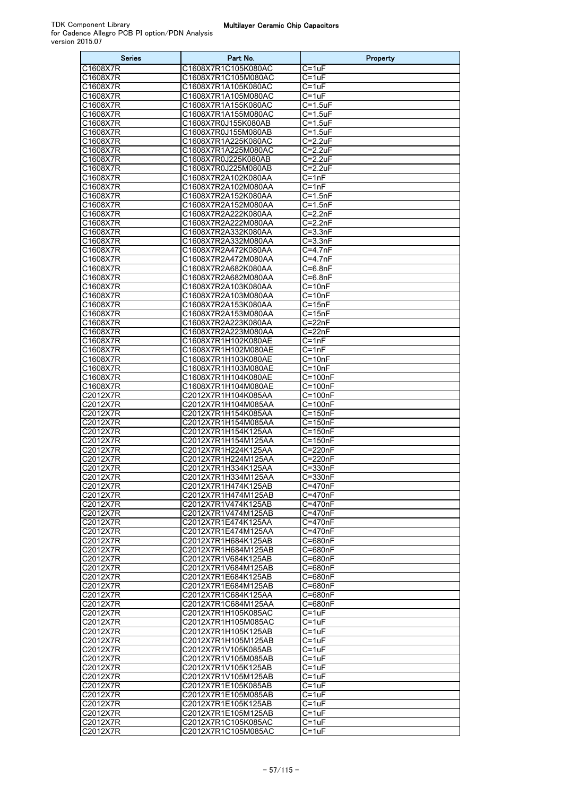| Series               | Part No.                                   | Property                         |
|----------------------|--------------------------------------------|----------------------------------|
| C1608X7R             | C1608X7R1C105K080AC                        | C=1uF                            |
| C1608X7R             | C1608X7R1C105M080AC                        | C=1uF                            |
| C1608X7R<br>C1608X7R | C1608X7R1A105K080AC<br>C1608X7R1A105M080AC | C=1uF<br>C=1uF                   |
| C1608X7R             | C1608X7R1A155K080AC                        | $C = 1.5$ uF                     |
| C1608X7R             | C1608X7R1A155M080AC                        | $C = 1.5$ uF                     |
| C1608X7R             | C1608X7R0J155K080AB                        | C=1.5uF                          |
| C1608X7R             | C1608X7R0J155M080AB                        | $C = 1.5$ uF                     |
| C1608X7R             | C1608X7R1A225K080AC                        | $C = 2.2uF$                      |
| C1608X7R             | C1608X7R1A225M080AC                        | $C = 2.2uF$                      |
| C1608X7R<br>C1608X7R | C1608X7R0J225K080AB<br>C1608X7R0J225M080AB | C=2.2uF<br>$\overline{C}$ =2.2uF |
| C1608X7R             | C1608X7R2A102K080AA                        | C=1nF                            |
| C1608X7R             | C1608X7R2A102M080AA                        | C=1nF                            |
| C1608X7R             | C1608X7R2A152K080AA                        | $C = 1.5nF$                      |
| C1608X7R             | C1608X7R2A152M080AA                        | $C = 1.5nF$                      |
| C1608X7R             | C1608X7R2A222K080AA                        | $C = 2.2nF$                      |
| C1608X7R             | C1608X7R2A222M080AA                        | $C = 2.2nF$                      |
| C1608X7R<br>C1608X7R | C1608X7R2A332K080AA<br>C1608X7R2A332M080AA | $C = 3.3nF$<br>$C = 3.3nF$       |
| C1608X7R             | C1608X7R2A472K080AA                        | $C = 4.7nF$                      |
| C1608X7R             | C1608X7R2A472M080AA                        | $C = 4.7nF$                      |
| C1608X7R             | C1608X7R2A682K080AA                        | $C = 6.8nF$                      |
| C1608X7R             | C1608X7R2A682M080AA                        | C=6.8nF                          |
| C1608X7R             | C1608X7R2A103K080AA                        | $C=10nF$                         |
| C1608X7R             | C1608X7R2A103M080AA                        | $C = 10nF$                       |
| C1608X7R<br>C1608X7R | C1608X7R2A153K080AA<br>C1608X7R2A153M080AA | $C = 15nF$<br>C=15nF             |
| C1608X7R             | C1608X7R2A223K080AA                        | C=22nF                           |
| C1608X7R             | C1608X7R2A223M080AA                        | C=22nF                           |
| C1608X7R             | C1608X7R1H102K080AE                        | $C = 1nF$                        |
| C1608X7R             | C1608X7R1H102M080AE                        | C=1nF                            |
| C1608X7R             | C1608X7R1H103K080AE                        | C=10nF                           |
| C1608X7R<br>C1608X7R | C1608X7R1H103M080AE<br>C1608X7R1H104K080AE | $C = 10nF$<br>$C = 100nF$        |
| C1608X7R             | C1608X7R1H104M080AE                        | $C = 100nF$                      |
| C2012X7R             | C2012X7R1H104K085AA                        | $C=100nF$                        |
| C2012X7R             | C2012X7R1H104M085AA                        | C=100nF                          |
| C2012X7R             | C2012X7R1H154K085AA                        | C=150nF                          |
| C2012X7R             | C2012X7R1H154M085AA                        | $C = 150nF$                      |
| C2012X7R<br>C2012X7R | C2012X7R1H154K125AA<br>C2012X7R1H154M125AA | $C = 150nF$<br>$C=150nF$         |
| C2012X7R             | C2012X7R1H224K125AA                        | C=220nF                          |
| C2012X7R             | C2012X7R1H224M125AA                        | C=220nF                          |
| C2012X7R             | C2012X7R1H334K125AA                        | $C = 330nF$                      |
| C2012X7R             | C2012X7R1H334M125AA                        | $C = 330nF$                      |
| C2012X7R             | C2012X7R1H474K125AB                        | C=470nF                          |
| C2012X7R<br>C2012X7R | C2012X7R1H474M125AB<br>C2012X7R1V474K125AB | C=470nF<br>C=470nF               |
| C2012X7R             | C2012X7R1V474M125AB                        | C=470nF                          |
| C2012X7R             | C2012X7R1E474K125AA                        | C=470nF                          |
| C2012X7R             | C2012X7R1E474M125AA                        | C=470nF                          |
| C2012X7R             | C2012X7R1H684K125AB                        | C=680nF                          |
| C2012X7R             | C2012X7R1H684M125AB                        | C=680nF                          |
| C2012X7R<br>C2012X7R | C2012X7R1V684K125AB<br>C2012X7R1V684M125AB | C=680nF<br>C=680nF               |
| C2012X7R             | C2012X7R1E684K125AB                        | $C = 680nF$                      |
| C2012X7R             | C2012X7R1E684M125AB                        | C=680nF                          |
| C2012X7R             | C2012X7R1C684K125AA                        | C=680nF                          |
| C2012X7R             | C2012X7R1C684M125AA                        | C=680nF                          |
| C2012X7R             | C2012X7R1H105K085AC                        | $C = 1uF$                        |
| C2012X7R             | C2012X7R1H105M085AC                        | C=1uF                            |
| C2012X7R<br>C2012X7R | C2012X7R1H105K125AB<br>C2012X7R1H105M125AB | $C = 1uF$<br>C=1uF               |
| C2012X7R             | C2012X7R1V105K085AB                        | $C = 1uF$                        |
| C2012X7R             | C2012X7R1V105M085AB                        | $C = 1uF$                        |
| C2012X7R             | C2012X7R1V105K125AB                        | C=1uF                            |
| C2012X7R             | C2012X7R1V105M125AB                        | $C = 1uF$                        |
| C2012X7R             | C2012X7R1E105K085AB                        | C=1uF                            |
| C2012X7R<br>C2012X7R | C2012X7R1E105M085AB<br>C2012X7R1E105K125AB | $C = 1uF$<br>$C = 1uF$           |
| C2012X7R             | C2012X7R1E105M125AB                        | C=1uF                            |
| C2012X7R             | C2012X7R1C105K085AC                        | $C = 1uF$                        |
| C2012X7R             | C2012X7R1C105M085AC                        | C=1uF                            |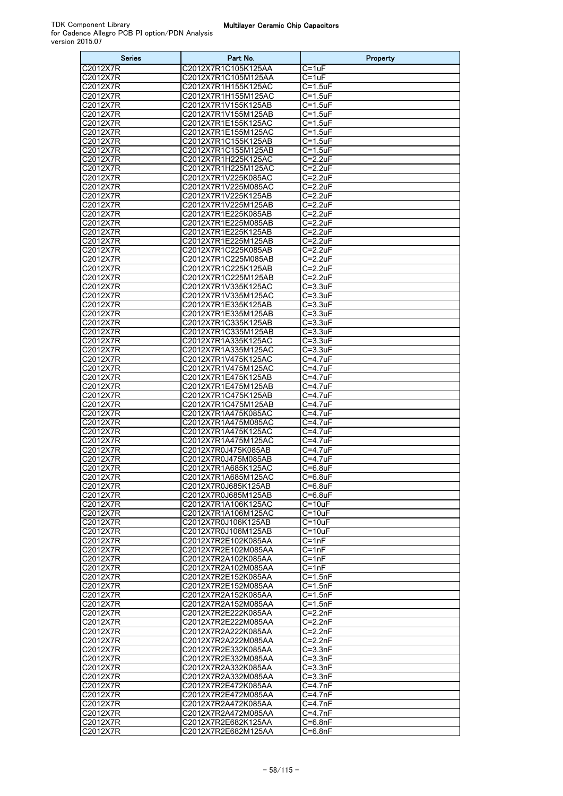| <b>Series</b>                                     | Part No.                                   | Property                              |
|---------------------------------------------------|--------------------------------------------|---------------------------------------|
| C2012X7R                                          | C2012X7R1C105K125AA                        | $C = 1uF$                             |
| C2012X7R                                          | C2012X7R1C105M125AA                        | C=1uF                                 |
| C2012X7R                                          | C2012X7R1H155K125AC                        | C=1.5uF                               |
| C2012X7R                                          | C2012X7R1H155M125AC                        | $C=1.5uF$                             |
| C2012X7R                                          | C2012X7R1V155K125AB<br>C2012X7R1V155M125AB | $C = 1.5$ uF                          |
| C2012X7R<br>C2012X7R                              | C2012X7R1E155K125AC                        | C=1.5uF<br>$C = 1.5$ uF               |
| C2012X7R                                          | C2012X7R1E155M125AC                        | $C = 1.5$ uF                          |
| C2012X7R                                          | C2012X7R1C155K125AB                        | $C = 1.5$ uF                          |
| C2012X7R                                          | C2012X7R1C155M125AB                        | $C = 1.5$ uF                          |
| C2012X7R                                          | C2012X7R1H225K125AC                        | $C = 2.2uF$                           |
| C2012X7R                                          | C2012X7R1H225M125AC                        | $C = 2.2uF$                           |
| C2012X7R                                          | C2012X7R1V225K085AC                        | $C = 2.2uF$                           |
| C2012X7R                                          | C2012X7R1V225M085AC                        | $C = 2.2$ uF                          |
| $\overline{\text{C2012} \text{X7}}$ R<br>C2012X7R | C2012X7R1V225K125AB<br>C2012X7R1V225M125AB | C=2.2uF<br>$C = 2.2uF$                |
| C2012X7R                                          | C2012X7R1E225K085AB                        | $C = 2.2uF$                           |
| C2012X7R                                          | C2012X7R1E225M085AB                        | $C = 2.2uF$                           |
| C2012X7R                                          | C2012X7R1E225K125AB                        | $C = 2.2uF$                           |
| C2012X7R                                          | C2012X7R1E225M125AB                        | $C = 2.2uF$                           |
| C2012X7R                                          | C2012X7R1C225K085AB                        | $C = 2.2uF$                           |
| C2012X7R                                          | C2012X7R1C225M085AB                        | $C = 2.2uF$                           |
| C2012X7R                                          | C2012X7R1C225K125AB                        | $C = 2.2uF$                           |
| C2012X7R<br>C2012X7R                              | C2012X7R1C225M125AB<br>C2012X7R1V335K125AC | $C=2.2uF$<br>$C = 3.3uF$              |
| C2012X7R                                          | C2012X7R1V335M125AC                        | $C = 3.3$ uF                          |
| C2012X7R                                          | C2012X7R1E335K125AB                        | $C = 3.3uF$                           |
| C2012X7R                                          | C2012X7R1E335M125AB                        | $C = 3.3uF$                           |
| C2012X7R                                          | C2012X7R1C335K125AB                        | $C = 3.3uF$                           |
| C2012X7R                                          | C2012X7R1C335M125AB                        | $C = 3.3uF$                           |
| C2012X7R                                          | C2012X7R1A335K125AC                        | $C = 3.3$ uF                          |
| C2012X7R                                          | C2012X7R1A335M125AC                        | $C = 3.3uF$                           |
| C2012X7R<br>C2012X7R                              | C2012X7R1V475K125AC<br>C2012X7R1V475M125AC | $C = 4.7uF$<br>$\overline{C=4}$ . 7uF |
| C2012X7R                                          | C2012X7R1E475K125AB                        | C=4.7uF                               |
| C2012X7R                                          | C2012X7R1E475M125AB                        | C=4.7uF                               |
| C2012X7R                                          | C2012X7R1C475K125AB                        | C=4.7uF                               |
| C2012X7R                                          | C2012X7R1C475M125AB                        | C=4.7uF                               |
| C2012X7R                                          | C2012X7R1A475K085AC                        | C=4.7uF                               |
| C2012X7R                                          | C2012X7R1A475M085AC                        | C=4.7uF                               |
| C2012X7R<br>C2012X7R                              | C2012X7R1A475K125AC<br>C2012X7R1A475M125AC | C=4.7uF                               |
| C2012X7R                                          | C2012X7R0J475K085AB                        | C=4.7uF<br>$C = 4.7uF$                |
| C2012X7R                                          | C2012X7R0J475M085AB                        | C=4.7uF                               |
| C2012X7R                                          | C2012X7R1A685K125AC                        | $C = 6.8uF$                           |
| C2012X7R                                          | C2012X7R1A685M125AC                        | $C = 6.8$ uF                          |
| C2012X7R                                          | C2012X7R0J685K125AB                        | $\overline{C}$ =6.8uF                 |
| C2012X7R                                          | C2012X7R0J685M125AB                        | $C = 6.8$ uF                          |
| C2012X7R                                          | C2012X7R1A106K125AC                        | $C=10uF$                              |
| C2012X7R<br>C2012X7R                              | C2012X7R1A106M125AC<br>C2012X7R0J106K125AB | $C = 10uF$<br>C=10uF                  |
| C2012X7R                                          | C2012X7R0J106M125AB                        | $C = 10uF$                            |
| C2012X7R                                          | C2012X7R2E102K085AA                        | C=1nF                                 |
| C2012X7R                                          | C2012X7R2E102M085AA                        | $C = 1nF$                             |
| C2012X7R                                          | C2012X7R2A102K085AA                        | C=1nF                                 |
| C2012X7R                                          | C2012X7R2A102M085AA                        | C=1nF                                 |
| C2012X7R                                          | C2012X7R2E152K085AA                        | $C = 1.5nF$                           |
| C2012X7R                                          | C2012X7R2E152M085AA                        | C=1.5nF<br>$C=1.5nF$                  |
| C2012X7R<br>C2012X7R                              | C2012X7R2A152K085AA<br>C2012X7R2A152M085AA | $C = 1.5nF$                           |
| C2012X7R                                          | C2012X7R2E222K085AA                        | C=2.2nF                               |
| C2012X7R                                          | C2012X7R2E222M085AA                        | $C = 2.2nF$                           |
| C2012X7R                                          | C2012X7R2A222K085AA                        | C=2.2nF                               |
| C2012X7R                                          | C2012X7R2A222M085AA                        | $C=2.2nF$                             |
| C2012X7R                                          | C2012X7R2E332K085AA                        | $C = 3.3nF$                           |
| C2012X7R                                          | C2012X7R2E332M085AA                        | C=3.3nF                               |
| C2012X7R<br>C2012X7R                              | C2012X7R2A332K085AA<br>C2012X7R2A332M085AA | $C = 3.3nF$<br>$C = 3.3nF$            |
| C2012X7R                                          | C2012X7R2E472K085AA                        | $\overline{C=4}$ . 7nF                |
| C2012X7R                                          | C2012X7R2E472M085AA                        | C=4.7nF                               |
| C2012X7R                                          | C2012X7R2A472K085AA                        | C=4.7nF                               |
| C2012X7R                                          | C2012X7R2A472M085AA                        | $C = 4.7nF$                           |
| C2012X7R                                          | C2012X7R2E682K125AA                        | C=6.8nF                               |
| C2012X7R                                          | C2012X7R2E682M125AA                        | C=6.8nF                               |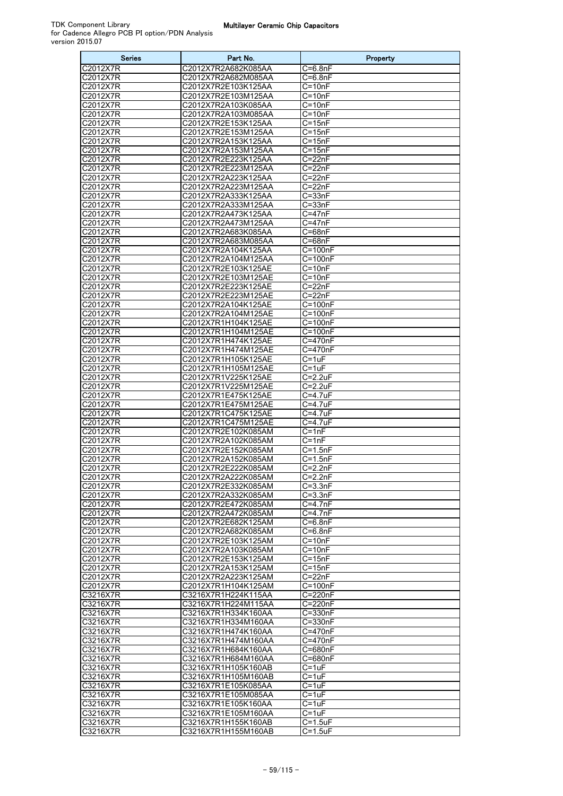| Series                                | Part No.                                   | Property                         |
|---------------------------------------|--------------------------------------------|----------------------------------|
| C2012X7R                              | C2012X7R2A682K085AA                        | C=6.8nF                          |
| C2012X7R                              | C2012X7R2A682M085AA                        | C=6.8nF                          |
| C2012X7R<br>C2012X7R                  | C2012X7R2E103K125AA<br>C2012X7R2E103M125AA | C=10nF                           |
| C2012X7R                              | C2012X7R2A103K085AA                        | C=10nF<br>$C = 10nF$             |
| C2012X7R                              | C2012X7R2A103M085AA                        | $C = 10nF$                       |
| C2012X7R                              | C2012X7R2E153K125AA                        | $C = 15nF$                       |
| C2012X7R                              | C2012X7R2E153M125AA                        | C=15nF                           |
| C2012X7R                              | C2012X7R2A153K125AA                        | $C = 15nF$                       |
| C2012X7R                              | C2012X7R2A153M125AA                        | C=15nF                           |
| C2012X7R<br>C2012X7R                  | C2012X7R2E223K125AA<br>C2012X7R2E223M125AA | C=22nF<br>C=22nF                 |
| C2012X7R                              | C2012X7R2A223K125AA                        | $\overline{C}$ =22nF             |
| C2012X7R                              | C2012X7R2A223M125AA                        | C=22nF                           |
| C2012X7R                              | C2012X7R2A333K125AA                        | C=33nF                           |
| C2012X7R                              | C2012X7R2A333M125AA                        | $C = 33nF$                       |
| C2012X7R                              | C2012X7R2A473K125AA                        | $C=47nF$                         |
| C2012X7R                              | C2012X7R2A473M125AA                        | C=47nF                           |
| C2012X7R<br>C2012X7R                  | C2012X7R2A683K085AA<br>C2012X7R2A683M085AA | C=68nF<br>C=68nF                 |
| C2012X7R                              | C2012X7R2A104K125AA                        | C=100nF                          |
| C2012X7R                              | C2012X7R2A104M125AA                        | $\overline{C=100n}$ F            |
| C2012X7R                              | C2012X7R2E103K125AE                        | C=10nF                           |
| C2012X7R                              | C2012X7R2E103M125AE                        | $C = 10nF$                       |
| C2012X7R                              | C2012X7R2E223K125AE                        | $C = 22nF$                       |
| C2012X7R                              | C2012X7R2E223M125AE<br>C2012X7R2A104K125AE | C=22nF                           |
| C2012X7R<br>C2012X7R                  | C2012X7R2A104M125AE                        | $C = 100nF$<br>C=100nF           |
| C2012X7R                              | C2012X7R1H104K125AE                        | C=100nF                          |
| C2012X7R                              | C2012X7R1H104M125AE                        | $C = 100nF$                      |
| C2012X7R                              | C2012X7R1H474K125AE                        | C=470nF                          |
| C2012X7R                              | C2012X7R1H474M125AE                        | C=470nF                          |
| C2012X7R                              | C2012X7R1H105K125AE                        | C=1uF                            |
| C2012X7R<br>C2012X7R                  | C2012X7R1H105M125AE<br>C2012X7R1V225K125AE | C=1uF<br>$C = 2.2uF$             |
| C2012X7R                              | C2012X7R1V225M125AE                        | $C = 2.2uF$                      |
| C2012X7R                              | C2012X7R1E475K125AE                        | C=4.7uF                          |
| C2012X7R                              | C2012X7R1E475M125AE                        | C=4.7uF                          |
| C2012X7R                              | C2012X7R1C475K125AE                        | C=4.7uF                          |
| C2012X7R                              | C2012X7R1C475M125AE                        | C=4.7uF                          |
| C2012X7R<br>C2012X7R                  | C2012X7R2E102K085AM<br>C2012X7R2A102K085AM | C=1nF<br>C=1nF                   |
| C2012X7R                              | C2012X7R2E152K085AM                        | $C = 1.5nF$                      |
| C2012X7R                              | C2012X7R2A152K085AM                        | $C = 1.5nF$                      |
| C2012X7R                              | C2012X7R2E222K085AM                        | $C=2.2nF$                        |
| C2012X7R                              | C2012X7R2A222K085AM                        | ∪=∠.∠n⊦                          |
| C2012X7R                              | C2012X7R2E332K085AM                        | $C = 3.3nF$                      |
| C2012X7R<br>C2012X7R                  | C2012X7R2A332K085AM<br>C2012X7R2E472K085AM | $C = 3.3nF$<br>C=4.7nF           |
| C2012X7R                              | C2012X7R2A472K085AM                        | $C = 4.7nF$                      |
| C2012X7R                              | C2012X7R2E682K125AM                        | $C = 6.8nF$                      |
| C2012X7R                              | C2012X7R2A682K085AM                        | $\overline{C=6}$ .8nF            |
| $\overline{\text{C2012} \text{X7}}$ R | C2012X7R2E103K125AM                        | $C = 10nF$                       |
| C2012X7R                              | C2012X7R2A103K085AM                        | $C = 10nF$                       |
| C2012X7R<br>C2012X7R                  | C2012X7R2E153K125AM<br>C2012X7R2A153K125AM | $C = 15nF$<br>$C = 15nF$         |
| C2012X7R                              | C2012X7R2A223K125AM                        | $C=22nF$                         |
| $\overline{\text{C2012} \text{X7}}$ R | C2012X7R1H104K125AM                        | $C = 100nF$                      |
| C3216X7R                              | C3216X7R1H224K115AA                        | C=220nF                          |
| C3216X7R                              | C3216X7R1H224M115AA                        | C=220nF                          |
| C3216X7R                              | C3216X7R1H334K160AA                        | C=330nF                          |
| C3216X7R<br>C3216X7R                  | C3216X7R1H334M160AA<br>C3216X7R1H474K160AA | $\overline{C=330n}$ F<br>C=470nF |
| C3216X7R                              | C3216X7R1H474M160AA                        | C=470nF                          |
| C3216X7R                              | C3216X7R1H684K160AA                        | C=680nF                          |
| C3216X7R                              | C3216X7R1H684M160AA                        | C=680nF                          |
| C3216X7R                              | C3216X7R1H105K160AB                        | C=1uF                            |
| C3216X7R                              | C3216X7R1H105M160AB                        | $C = 1uF$                        |
| C3216X7R                              | C3216X7R1E105K085AA                        | $C = 1uF$<br>$C=1uF$             |
| C3216X7R<br>C3216X7R                  | C3216X7R1E105M085AA<br>C3216X7R1E105K160AA | C=1uF                            |
| C3216X7R                              | C3216X7R1E105M160AA                        | $C=1uF$                          |
| C3216X7R                              | C3216X7R1H155K160AB                        | C=1.5uF                          |
| C3216X7R                              | C3216X7R1H155M160AB                        | C=1.5uF                          |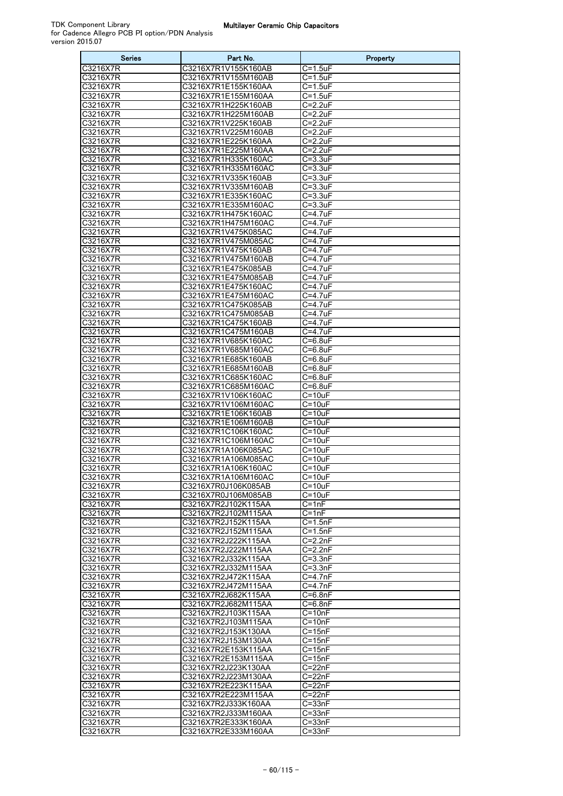| Series               | Part No.                                   | Property                   |
|----------------------|--------------------------------------------|----------------------------|
| C3216X7R             | C3216X7R1V155K160AB                        | C=1.5uF                    |
| C3216X7R             | C3216X7R1V155M160AB                        | C=1.5uF                    |
| C3216X7R             | C3216X7R1E155K160AA                        | $C = 1.5$ uF               |
| C3216X7R             | C3216X7R1E155M160AA                        | C=1.5uF                    |
| C3216X7R<br>C3216X7R | C3216X7R1H225K160AB<br>C3216X7R1H225M160AB | $C = 2.2uF$<br>$C = 2.2uF$ |
| C3216X7R             | C3216X7R1V225K160AB                        | C=2.2uF                    |
| C3216X7R             | C3216X7R1V225M160AB                        | $C = 2.2uF$                |
| C3216X7R             | C3216X7R1E225K160AA                        | $C = 2.2uF$                |
| C3216X7R             | C3216X7R1E225M160AA                        | $C = 2.2uF$                |
| C3216X7R             | C3216X7R1H335K160AC                        | $C = 3.3uF$                |
| C3216X7R             | C3216X7R1H335M160AC                        | C=3.3uF                    |
| C3216X7R             | C3216X7R1V335K160AB                        | $C = 3.3uF$                |
| C3216X7R             | C3216X7R1V335M160AB                        | $C = 3.3$ uF               |
| C3216X7R             | C3216X7R1E335K160AC                        | $C = 3.3uF$                |
| C3216X7R<br>C3216X7R | C3216X7R1E335M160AC<br>C3216X7R1H475K160AC | $C = 3.3uF$<br>C=4.7uF     |
| C3216X7R             | C3216X7R1H475M160AC                        | C=4.7uF                    |
| C3216X7R             | C3216X7R1V475K085AC                        | C=4.7uF                    |
| C3216X7R             | C3216X7R1V475M085AC                        | C=4.7uF                    |
| C3216X7R             | C3216X7R1V475K160AB                        | $C = 4.7$ uF               |
| C3216X7R             | C3216X7R1V475M160AB                        | $C = 4.7$ uF               |
| C3216X7R             | C3216X7R1E475K085AB                        | C=4.7uF                    |
| C3216X7R             | C3216X7R1E475M085AB                        | C=4.7uF                    |
| C3216X7R             | C3216X7R1E475K160AC                        | C=4.7uF                    |
| C3216X7R             | C3216X7R1E475M160AC                        | $C = 4.7$ uF               |
| C3216X7R<br>C3216X7R | C3216X7R1C475K085AB<br>C3216X7R1C475M085AB | $C = 4.7$ uF<br>C=4.7uF    |
| C3216X7R             | C3216X7R1C475K160AB                        | C=4.7uF                    |
| C3216X7R             | C3216X7R1C475M160AB                        | C=4.7uF                    |
| C3216X7R             | C3216X7R1V685K160AC                        | $C = 6.8$ uF               |
| C3216X7R             | C3216X7R1V685M160AC                        | $C=6.8$ uF                 |
| C3216X7R             | C3216X7R1E685K160AB                        | C=6.8uF                    |
| C3216X7R             | C3216X7R1E685M160AB                        | C=6.8uF                    |
| C3216X7R             | C3216X7R1C685K160AC                        | C=6.8uF                    |
| C3216X7R<br>C3216X7R | C3216X7R1C685M160AC                        | C=6.8uF<br>$C = 10uF$      |
| C3216X7R             | C3216X7R1V106K160AC<br>C3216X7R1V106M160AC | C=10uF                     |
| C3216X7R             | C3216X7R1E106K160AB                        | C=10uF                     |
| C3216X7R             | C3216X7R1E106M160AB                        | $C = 10uF$                 |
| C3216X7R             | C3216X7R1C106K160AC                        | C=10uF                     |
| C3216X7R             | C3216X7R1C106M160AC                        | $C = 10uF$                 |
| C3216X7R             | C3216X7R1A106K085AC                        | C=10uF                     |
| C3216X7R<br>C3216X7R | C3216X7R1A106M085AC<br>C3216X7R1A106K160AC | $C = 10uF$<br>$C = 10uF$   |
| C3216X7R             | C3216X7R1A106M160AC                        | C=10uF                     |
| C3216X7R             | C3216X7R0J106K085AB                        | $C=10uF$                   |
| C3216X7R             | C3216X7R0J106M085AB                        | $C = 10uF$                 |
| C3216X7R             | C3216X7R2J102K115AA                        | $C = 1nF$                  |
| C3216X7R             | C3216X7R2J102M115AA                        | $C = 1nF$                  |
| C3216X7R             | C3216X7R2J152K115AA                        | $C = 1.5nF$                |
| C3216X7R             | C3216X7R2J152M115AA                        | $C=1.5nF$                  |
| C3216X7R<br>C3216X7R | C3216X7R2J222K115AA<br>C3216X7R2J222M115AA | $C = 2.2nF$<br>$C = 2.2nF$ |
| C3216X7R             | C3216X7R2J332K115AA                        | $C = 3.3nF$                |
| C3216X7R             | C3216X7R2J332M115AA                        | $C = 3.3nF$                |
| C3216X7R             | C3216X7R2J472K115AA                        | $C=4.7nF$                  |
| C3216X7R             | C3216X7R2J472M115AA                        | $C = 4.7nF$                |
| C3216X7R             | C3216X7R2J682K115AA                        | $C = 6.8nF$                |
| C3216X7R             | C3216X7R2J682M115AA                        | $C = 6.8nF$                |
| C3216X7R             | C3216X7R2J103K115AA                        | $C = 10nF$                 |
| C3216X7R             | C3216X7R2J103M115AA                        | $C=10nF$                   |
| C3216X7R<br>C3216X7R | C3216X7R2J153K130AA<br>C3216X7R2J153M130AA | $C = 15nF$<br>$C = 15nF$   |
| C3216X7R             | C3216X7R2E153K115AA                        | $C = 15nF$                 |
| C3216X7R             | C3216X7R2E153M115AA                        | $C = 15nF$                 |
| C3216X7R             | C3216X7R2J223K130AA                        | $C=22nF$                   |
| C3216X7R             | C3216X7R2J223M130AA                        | $C = 22nF$                 |
| C3216X7R             | C3216X7R2E223K115AA                        | $C = 22nF$                 |
| C3216X7R             | C3216X7R2E223M115AA                        | $C = 22nF$                 |
| C3216X7R<br>C3216X7R | C3216X7R2J333K160AA<br>C3216X7R2J333M160AA | C=33nF<br>$C = 33nF$       |
| C3216X7R             | C3216X7R2E333K160AA                        | C=33nF                     |
| C3216X7R             | C3216X7R2E333M160AA                        | C=33nF                     |
|                      |                                            |                            |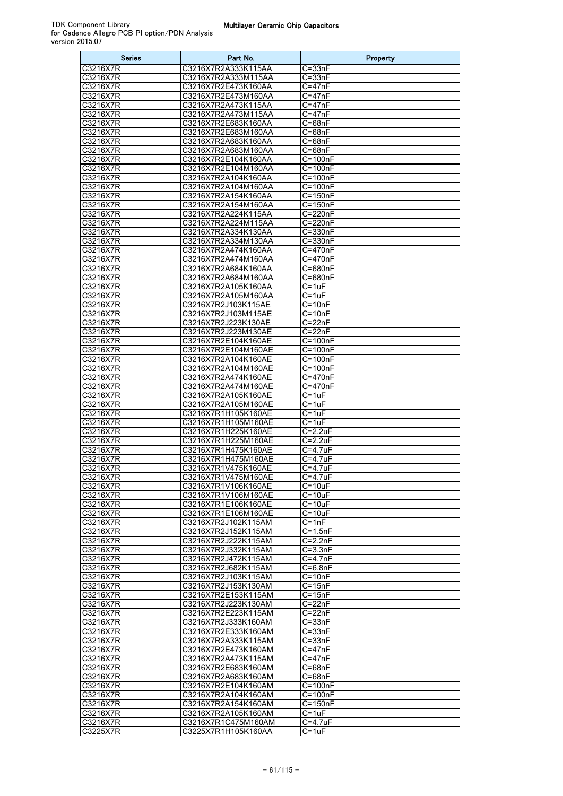| Series                                   | Part No.                                   | Property                   |
|------------------------------------------|--------------------------------------------|----------------------------|
| C3216X7R                                 | C3216X7R2A333K115AA                        | $C = 33nF$                 |
| C3216X7R                                 | C3216X7R2A333M115AA                        | $C = 33nF$                 |
| C3216X7R                                 | C3216X7R2E473K160AA                        | C=47nF                     |
| C3216X7R                                 | C3216X7R2E473M160AA                        | C=47nF                     |
| C3216X7R                                 | C3216X7R2A473K115AA                        | $C = 47nF$                 |
| C3216X7R<br>C3216X7R                     | C3216X7R2A473M115AA<br>C3216X7R2E683K160AA | $C = 47nF$<br>$C = 68nF$   |
| C3216X7R                                 | C3216X7R2E683M160AA                        | C=68nF                     |
| C3216X7R                                 | C3216X7R2A683K160AA                        | C=68nF                     |
| C3216X7R                                 | C3216X7R2A683M160AA                        | $C = 68nF$                 |
| C3216X7R                                 | C3216X7R2E104K160AA                        | C=100nF                    |
| C3216X7R                                 | C3216X7R2E104M160AA                        | $C = 100nF$                |
| C3216X7R                                 | C3216X7R2A104K160AA                        | C=100nF                    |
| C3216X7R                                 | C3216X7R2A104M160AA                        | C=100nF                    |
| C3216X7R<br>C3216X7R                     | C3216X7R2A154K160AA<br>C3216X7R2A154M160AA | $C = 150nF$<br>$C = 150nF$ |
| C3216X7R                                 | C3216X7R2A224K115AA                        | C=220nF                    |
| C3216X7R                                 | C3216X7R2A224M115AA                        | C=220nF                    |
| C3216X7R                                 | C3216X7R2A334K130AA                        | C=330nF                    |
| C3216X7R                                 | C3216X7R2A334M130AA                        | C=330nF                    |
| C3216X7R                                 | C3216X7R2A474K160AA                        | C=470nF                    |
| C3216X7R                                 | C3216X7R2A474M160AA                        | $C=470nF$                  |
| C3216X7R                                 | C3216X7R2A684K160AA                        | C=680nF                    |
| C3216X7R                                 | C3216X7R2A684M160AA                        | C=680nF                    |
| C3216X7R<br>C3216X7R                     | C3216X7R2A105K160AA<br>C3216X7R2A105M160AA | $C = 1uF$<br>C=1uF         |
| C3216X7R                                 | C3216X7R2J103K115AE                        | $C = 10nF$                 |
| C3216X7R                                 | C3216X7R2J103M115AE                        | C=10nF                     |
| C3216X7R                                 | C3216X7R2J223K130AE                        | C=22nF                     |
| C3216X7R                                 | C3216X7R2J223M130AE                        | C=22nF                     |
| C3216X7R                                 | C3216X7R2E104K160AE                        | C=100nF                    |
| C3216X7R                                 | C3216X7R2E104M160AE                        | C=100nF                    |
| C3216X7R                                 | C3216X7R2A104K160AE                        | C=100nF                    |
| C3216X7R<br>C3216X7R                     | C3216X7R2A104M160AE<br>C3216X7R2A474K160AE | C=100nF<br>C=470nF         |
| C3216X7R                                 | C3216X7R2A474M160AE                        | C=470nF                    |
| C3216X7R                                 | C3216X7R2A105K160AE                        | C=1uF                      |
| C3216X7R                                 | C3216X7R2A105M160AE                        | C=1uF                      |
| C3216X7R                                 | C3216X7R1H105K160AE                        | C=1uF                      |
| C3216X7R                                 | C3216X7R1H105M160AE                        | C=1uF                      |
| C3216X7R<br>$\overline{\text{C3216X7R}}$ | C3216X7R1H225K160AE<br>C3216X7R1H225M160AE | $C = 2.2uF$<br>$C = 2.2uF$ |
| C3216X7R                                 | C3216X7R1H475K160AE                        | $C = 4.7$ uF               |
| C3216X7R                                 | C3216X7R1H475M160AE                        | C=4.7uF                    |
| C3216X7R                                 | C3216X7R1V475K160AE                        | C=4.7uF                    |
| C3216X7R                                 | C3216X7R1V475M160AE                        | C=4.7uF                    |
| C3216X7R                                 | C3216X7R1V106K160AE                        | $C=10uF$                   |
| C3216X7R                                 | C3216X7R1V106M160AE<br>C3216X7R1E106K160AE | $C = 10uF$<br>$C = 10uF$   |
| C3216X7R<br>C3216X7R                     | C3216X7R1E106M160AE                        | $C = 10uF$                 |
| C3216X7R                                 | C3216X7R2J102K115AM                        | $C = 1nF$                  |
| C3216X7R                                 | C3216X7R2J152K115AM                        | $C = 1.5nF$                |
| C3216X7R                                 | C3216X7R2J222K115AM                        | $C = 2.2nF$                |
| C3216X7R                                 | C3216X7R2J332K115AM                        | $C = 3.3nF$                |
| C3216X7R                                 | C3216X7R2J472K115AM                        | $C = 4.7nF$                |
| C3216X7R<br>C3216X7R                     | C3216X7R2J682K115AM<br>C3216X7R2J103K115AM | $C = 6.8nF$<br>$C=10nF$    |
| C3216X7R                                 | C3216X7R2J153K130AM                        | $C = 15nF$                 |
| C3216X7R                                 | C3216X7R2E153K115AM                        | $C = 15nF$                 |
| C3216X7R                                 | C3216X7R2J223K130AM                        | $C = 22nF$                 |
| C3216X7R                                 | C3216X7R2E223K115AM                        | $C = 22nF$                 |
| C3216X7R                                 | C3216X7R2J333K160AM                        | $C = 33nF$                 |
| C3216X7R                                 | C3216X7R2E333K160AM                        | $C = 33nF$                 |
| C3216X7R<br>C3216X7R                     | C3216X7R2A333K115AM                        | $C = 33nF$<br>$C = 47nF$   |
| C3216X7R                                 | C3216X7R2E473K160AM<br>C3216X7R2A473K115AM | $C = 47nF$                 |
| C3216X7R                                 | C3216X7R2E683K160AM                        | $C = 68nF$                 |
| C3216X7R                                 | C3216X7R2A683K160AM                        | $C = 68nF$                 |
| C3216X7R                                 | C3216X7R2E104K160AM                        | C=100nF                    |
| C3216X7R                                 | C3216X7R2A104K160AM                        | $C = 100nF$                |
| C3216X7R                                 | C3216X7R2A154K160AM                        | $C = 150nF$                |
| C3216X7R<br>C3216X7R                     | C3216X7R2A105K160AM<br>C3216X7R1C475M160AM | $C = 1uF$<br>C=4.7uF       |
| C3225X7R                                 | C3225X7R1H105K160AA                        | C=1uF                      |
|                                          |                                            |                            |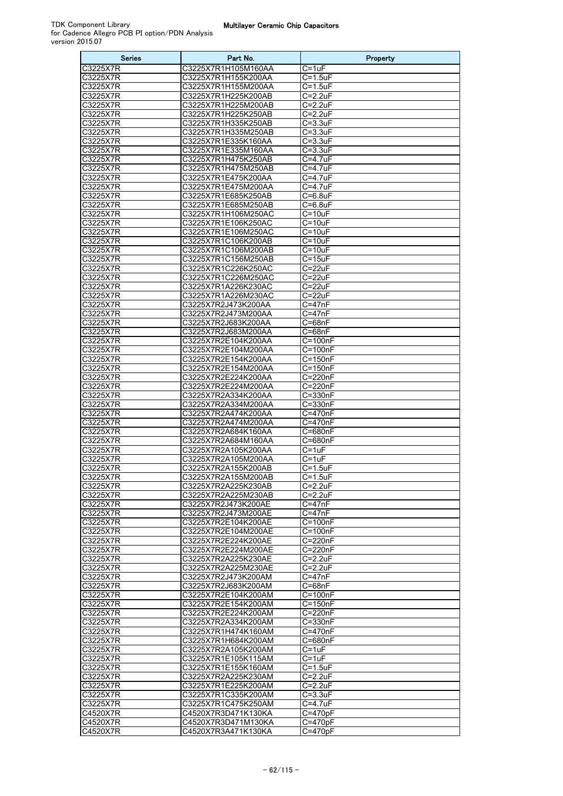| Series                        | Part No.                                   | Property                  |
|-------------------------------|--------------------------------------------|---------------------------|
| C3225X7R                      | C3225X7R1H105M160AA                        | C=1uF                     |
| C3225X7R                      | C3225X7R1H155K200AA                        | C=1.5uF                   |
| C3225X7R                      | C3225X7R1H155M200AA                        | C=1.5uF                   |
| C3225X7R                      | C3225X7R1H225K200AB                        | C=2.2uF                   |
| C3225X7R                      | C3225X7R1H225M200AB                        | $C = 2.2uF$               |
| C3225X7R                      | C3225X7R1H225K250AB                        | C=2.2uF                   |
| C3225X7R                      | C3225X7R1H335K250AB                        | C=3.3uF                   |
| C3225X7R<br>C3225X7R          | C3225X7R1H335M250AB<br>C3225X7R1E335K160AA | $C = 3.3uF$<br>C=3.3uF    |
| C3225X7R                      | C3225X7R1E335M160AA                        | $C = 3.3uF$               |
| C3225X7R                      | C3225X7R1H475K250AB                        | C=4.7uF                   |
| C3225X7R                      | C3225X7R1H475M250AB                        | C=4.7uF                   |
| C3225X7R                      | C3225X7R1E475K200AA                        | C=4.7uF                   |
| C3225X7R                      | C3225X7R1E475M200AA                        | C=4.7uF                   |
| C3225X7R                      | C3225X7R1E685K250AB                        | $C = 6.8$ uF              |
| C3225X7R                      | C3225X7R1E685M250AB                        | C=6.8uF                   |
| C3225X7R                      | C3225X7R1H106M250AC                        | $C = 10uF$                |
| C3225X7R                      | C3225X7R1E106K250AC                        | C=10uF                    |
| C3225X7R                      | C3225X7R1E106M250AC                        | C=10uF                    |
| C3225X7R                      | C3225X7R1C106K200AB                        | C=10uF                    |
| C3225X7R<br>C3225X7R          | C3225X7R1C106M200AB                        | $C = 10uF$                |
| $\overline{\text{C3225X}}$ 7R | C3225X7R1C156M250AB<br>C3225X7R1C226K250AC | C=15uF<br>C=22uF          |
| C3225X7R                      | C3225X7R1C226M250AC                        | C=22uF                    |
| C3225X7R                      | C3225X7R1A226K230AC                        | $C = 22uF$                |
| C3225X7R                      | C3225X7R1A226M230AC                        | C=22uF                    |
| C3225X7R                      | C3225X7R2J473K200AA                        | C=47nF                    |
| $\overline{\text{C3225XTR}}$  | C3225X7R2J473M200AA                        | C=47nF                    |
| C3225X7R                      | C3225X7R2J683K200AA                        | C=68nF                    |
| C3225X7R                      | C3225X7R2J683M200AA                        | C=68nF                    |
| C3225X7R                      | C3225X7R2E104K200AA                        | C=100nF                   |
| C3225X7R                      | C3225X7R2E104M200AA                        | $C=100nF$                 |
| $\overline{\text{C3225XTR}}$  | C3225X7R2E154K200AA                        | C=150nF                   |
| C3225X7R<br>C3225X7R          | C3225X7R2E154M200AA                        | C=150nF                   |
| C3225X7R                      | C3225X7R2E224K200AA<br>C3225X7R2E224M200AA | C=220nF<br>C=220nF        |
| C3225X7R                      | C3225X7R2A334K200AA                        | $C = 330nF$               |
| $\overline{\text{C3225X}}$ 7R | C3225X7R2A334M200AA                        | C=330nF                   |
| C3225X7R                      | C3225X7R2A474K200AA                        | C=470nF                   |
| C3225X7R                      | C3225X7R2A474M200AA                        | C=470nF                   |
| C3225X7R                      | C3225X7R2A684K160AA                        | C=680nF                   |
| C3225X7R                      | C3225X7R2A684M160AA                        | $C = 680nF$               |
| C3225X7R                      | C3225X7R2A105K200AA                        | C=1uF                     |
| C3225X7R                      | C3225X7R2A105M200AA                        | C=1uF                     |
| C3225X7R<br>C3225X7R          | C3225X7R2A155K200AB                        | $C = 1.5$ uF              |
| C3225X7R                      | C3225X7R2A155M200AB<br>C3225X7R2A225K230AB | ∪=1.bu⊨<br>$C = 2.2uF$    |
| C3225X7R                      | C3225X7R2A225M230AB                        | $C = 2.2uF$               |
| C3225X7R                      | C3225X7R2J473K200AE                        | $C = 47nF$                |
| C3225X7R                      | C3225X7R2J473M200AE                        | $C = 47nF$                |
| C3225X7R                      | C3225X7R2E104K200AE                        | $C = 100nF$               |
| C3225X7R                      | C3225X7R2E104M200AE                        | C=100nF                   |
| C3225X7R                      | C3225X7R2E224K200AE                        | C=220nF                   |
| C3225X7R                      | C3225X7R2E224M200AE                        | C=220nF                   |
| C3225X7R                      | C3225X7R2A225K230AE                        | $C = 2.2uF$               |
| C3225X7R                      | C3225X7R2A225M230AE                        | C=2.2uF                   |
| C3225X7R                      | C3225X7R2J473K200AM                        | $C = 47nF$                |
| C3225X7R<br>C3225X7R          | C3225X7R2J683K200AM<br>C3225X7R2E104K200AM | $C = 68nF$<br>$C = 100nF$ |
| C3225X7R                      | C3225X7R2E154K200AM                        | $C = 150nF$               |
| C3225X7R                      | C3225X7R2E224K200AM                        | C=220nF                   |
| C3225X7R                      | C3225X7R2A334K200AM                        | C=330nF                   |
| C3225X7R                      | C3225X7R1H474K160AM                        | C=470nF                   |
| C3225X7R                      | C3225X7R1H684K200AM                        | C=680nF                   |
| C3225X7R                      | C3225X7R2A105K200AM                        | $C=1uF$                   |
| C3225X7R                      | C3225X7R1E105K115AM                        | $C = 1uF$                 |
| C3225X7R                      | C3225X7R1E155K160AM                        | $C=1.5$ uF                |
| C3225X7R                      | C3225X7R2A225K230AM                        | $C = 2.2uF$               |
| C3225X7R                      | C3225X7R1E225K200AM                        | $C = 2.2uF$               |
| C3225X7R                      | C3225X7R1C335K200AM                        | $C = 3.3uF$               |
| C3225X7R<br>C4520X7R          | C3225X7R1C475K250AM<br>C4520X7R3D471K130KA | C=4.7uF<br>$C = 470pF$    |
| C4520X7R                      | C4520X7R3D471M130KA                        | $C = 470pF$               |
| C4520X7R                      | C4520X7R3A471K130KA                        | $C=470pF$                 |
|                               |                                            |                           |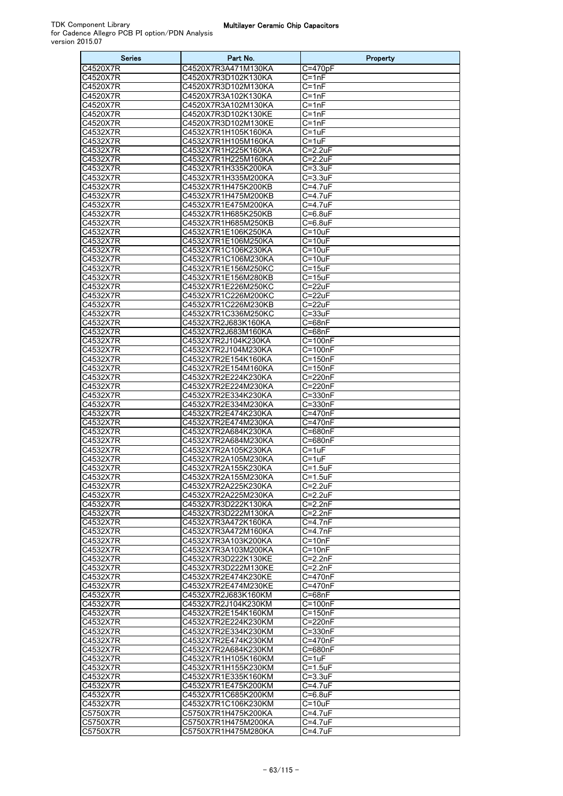| Series               | Part No.                                   | Property                    |
|----------------------|--------------------------------------------|-----------------------------|
| C4520X7R             | C4520X7R3A471M130KA                        | C=470pF                     |
| C4520X7R             | C4520X7R3D102K130KA                        | $C = 1nF$                   |
| C4520X7R             | C4520X7R3D102M130KA                        | C=1nF                       |
| C4520X7R             | C4520X7R3A102K130KA                        | $C = 1nF$                   |
| C4520X7R             | C4520X7R3A102M130KA                        | $C = 1nF$                   |
| C4520X7R<br>C4520X7R | C4520X7R3D102K130KE<br>C4520X7R3D102M130KE | C=1nF<br>$C = 1nF$          |
| C4532X7R             | C4532X7R1H105K160KA                        | C=1uF                       |
| C4532X7R             | C4532X7R1H105M160KA                        | $C = 1uF$                   |
| C4532X7R             | C4532X7R1H225K160KA                        | $C = 2.2uF$                 |
| C4532X7R             | C4532X7R1H225M160KA                        | $C = 2.2uF$                 |
| C4532X7R             | C4532X7R1H335K200KA                        | $C = 3.3$ uF                |
| C4532X7R             | C4532X7R1H335M200KA                        | $C = 3.3uF$                 |
| C4532X7R<br>C4532X7R | C4532X7R1H475K200KB                        | $C = 4.7$ uF                |
| C4532X7R             | C4532X7R1H475M200KB<br>C4532X7R1E475M200KA | $C = 4.7$ uF<br>$C = 4.7uF$ |
| C4532X7R             | C4532X7R1H685K250KB                        | $C=6.8$ uF                  |
| C4532X7R             | C4532X7R1H685M250KB                        | $C = 6.8$ uF                |
| C4532X7R             | C4532X7R1E106K250KA                        | $C = 10uF$                  |
| C4532X7R             | C4532X7R1E106M250KA                        | $C = 10uF$                  |
| C4532X7R             | C4532X7R1C106K230KA                        | $C = 10uF$                  |
| C4532X7R             | C4532X7R1C106M230KA                        | $C = 10uF$                  |
| C4532X7R             | C4532X7R1E156M250KC                        | $C = 15uF$                  |
| C4532X7R             | C4532X7R1E156M280KB                        | $C = 15uF$                  |
| C4532X7R<br>C4532X7R | C4532X7R1E226M250KC<br>C4532X7R1C226M200KC | $C = 22uF$<br>$C = 22uF$    |
| C4532X7R             | C4532X7R1C226M230KB                        | $C = 22uF$                  |
| C4532X7R             | C4532X7R1C336M250KC                        | $C = 33uF$                  |
| C4532X7R             | C4532X7R2J683K160KA                        | $C = 68nF$                  |
| C4532X7R             | C4532X7R2J683M160KA                        | $C = 68nF$                  |
| C4532X7R             | C4532X7R2J104K230KA                        | $C = 100nF$                 |
| C4532X7R             | C4532X7R2J104M230KA                        | $\overline{C=100n}$ F       |
| C4532X7R             | C4532X7R2E154K160KA                        | $C = 150nF$                 |
| C4532X7R             | C4532X7R2E154M160KA<br>C4532X7R2E224K230KA | $C = 150nF$<br>$C = 220nF$  |
| C4532X7R<br>C4532X7R | C4532X7R2E224M230KA                        | C=220nF                     |
| C4532X7R             | C4532X7R2E334K230KA                        | $\overline{C=330nF}$        |
| C4532X7R             | C4532X7R2E334M230KA                        | C=330nF                     |
| C4532X7R             | C4532X7R2E474K230KA                        | $C = 470nF$                 |
| C4532X7R             | C4532X7R2E474M230KA                        | C=470nF                     |
| C4532X7R             | C4532X7R2A684K230KA                        | C=680nF                     |
| C4532X7R             | C4532X7R2A684M230KA                        | $C = 680nF$                 |
| C4532X7R<br>C4532X7R | C4532X7R2A105K230KA<br>C4532X7R2A105M230KA | C=1uF<br>$C = 1uF$          |
| C4532X7R             | C4532X7R2A155K230KA                        | $C = 1.5uF$                 |
| C4532X7R             | C4532X7R2A155M230KA                        | ∪=⊺.bu⊨                     |
| C4532X7R             | C4532X7R2A225K230KA                        | $C = 2.2uF$                 |
| C4532X7R             | C4532X7R2A225M230KA                        | $C = 2.2uF$                 |
| C4532X7R             | C4532X7R3D222K130KA                        | $C = 2.2nF$                 |
| C4532X7R             | C4532X7R3D222M130KA                        | $C = 2.2nF$                 |
| C4532X7R             | C4532X7R3A472K160KA                        | $C = 4.7nF$                 |
| C4532X7R<br>C4532X7R | C4532X7R3A472M160KA<br>C4532X7R3A103K200KA | $C = 4.7nF$<br>$C = 10nF$   |
| C4532X7R             | C4532X7R3A103M200KA                        | $C = 10nF$                  |
| C4532X7R             | C4532X7R3D222K130KE                        | $C = 2.2nF$                 |
| C4532X7R             | C4532X7R3D222M130KE                        | $C = 2.2nF$                 |
| C4532X7R             | C4532X7R2E474K230KE                        | C=470nF                     |
| C4532X7R             | C4532X7R2E474M230KE                        | C=470nF                     |
| C4532X7R             | C4532X7R2J683K160KM                        | $C = 68nF$                  |
| C4532X7R             | C4532X7R2J104K230KM                        | $C = 100nF$                 |
| C4532X7R<br>C4532X7R | C4532X7R2E154K160KM<br>C4532X7R2E224K230KM | $C = 150nF$<br>C=220nF      |
| C4532X7R             | C4532X7R2E334K230KM                        | $C = 330nF$                 |
| C4532X7R             | C4532X7R2E474K230KM                        | C=470nF                     |
| C4532X7R             | C4532X7R2A684K230KM                        | C=680nF                     |
| C4532X7R             | C4532X7R1H105K160KM                        | $C = 1uF$                   |
| C4532X7R             | C4532X7R1H155K230KM                        | $C=1.5$ uF                  |
| C4532X7R             | C4532X7R1E335K160KM                        | $C = 3.3uF$                 |
| C4532X7R             | C4532X7R1E475K200KM                        | $C = 4.7$ uF                |
| C4532X7R             | C4532X7R1C685K200KM                        | $C=6.8$ uF<br>$C = 10uF$    |
| C4532X7R<br>C5750X7R | C4532X7R1C106K230KM<br>C5750X7R1H475K200KA | $C = 4.7uF$                 |
| C5750X7R             | C5750X7R1H475M200KA                        | $C = 4.7uF$                 |
| C5750X7R             | C5750X7R1H475M280KA                        | $C=4.7uF$                   |
|                      |                                            |                             |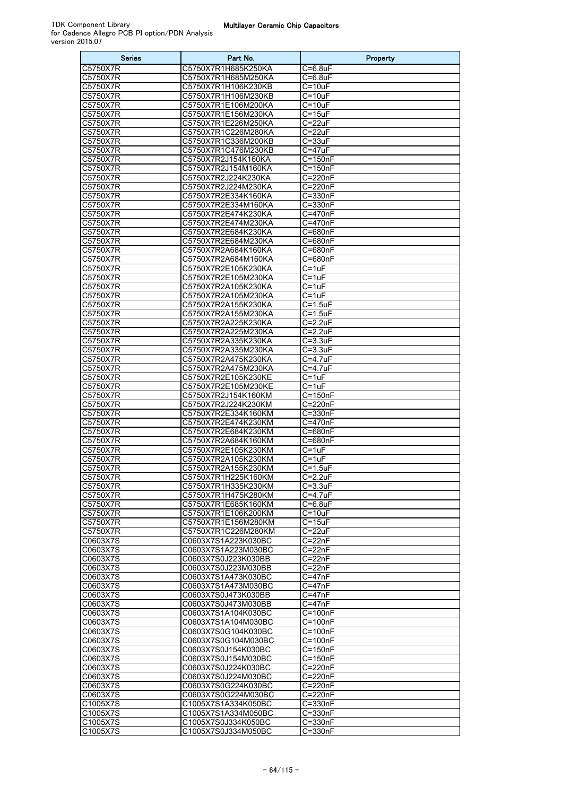| <b>Series</b>        | Part No.                                   | Property                         |
|----------------------|--------------------------------------------|----------------------------------|
| C5750X7R             | C5750X7R1H685K250KA                        | $C = 6.8$ uF                     |
| C5750X7R             | C5750X7R1H685M250KA                        | C=6.8uF                          |
| C5750X7R             | C5750X7R1H106K230KB                        | $C = 10uF$                       |
| C5750X7R             | C5750X7R1H106M230KB                        | $C=10uF$                         |
| C5750X7R             | C5750X7R1E106M200KA                        | C=10uF                           |
| C5750X7R             | C5750X7R1E156M230KA                        | $C = 15uF$                       |
| C5750X7R             | C5750X7R1E226M250KA                        | $C = 22uF$                       |
| C5750X7R             | C5750X7R1C226M280KA                        | C=22uF                           |
| C5750X7R             | C5750X7R1C336M200KB                        | C=33uF                           |
| C5750X7R             | C5750X7R1C476M230KB<br>C5750X7R2J154K160KA | C=47uF                           |
| C5750X7R<br>C5750X7R | C5750X7R2J154M160KA                        | $C = 150nF$<br>$C = 150nF$       |
| C5750X7R             | C5750X7R2J224K230KA                        | C=220nF                          |
| C5750X7R             | C5750X7R2J224M230KA                        | C=220nF                          |
| C5750X7R             | C5750X7R2E334K160KA                        | $C = 330nF$                      |
| C5750X7R             | C5750X7R2E334M160KA                        | C=330nF                          |
| C5750X7R             | C5750X7R2E474K230KA                        | C=470nF                          |
| C5750X7R             | C5750X7R2E474M230KA                        | $C = 470nF$                      |
| C5750X7R             | C5750X7R2E684K230KA                        | C=680nF                          |
| C5750X7R             | C5750X7R2E684M230KA                        | C=680nF                          |
| C5750X7R             | C5750X7R2A684K160KA                        | C=680nF                          |
| C5750X7R             | C5750X7R2A684M160KA                        | C=680nF                          |
| C5750X7R             | C5750X7R2E105K230KA                        | $C = 1uF$                        |
| C5750X7R             | C5750X7R2E105M230KA                        | C=1uF                            |
| C5750X7R             | C5750X7R2A105K230KA                        | C=1uF                            |
| C5750X7R             | C5750X7R2A105M230KA                        | C=1uF                            |
| C5750X7R             | C5750X7R2A155K230KA                        | $C = 1.5$ uF                     |
| C5750X7R             | C5750X7R2A155M230KA                        | $C = 1.5$ uF                     |
| C5750X7R             | C5750X7R2A225K230KA                        | $C=2.2uF$                        |
| C5750X7R             | C5750X7R2A225M230KA                        | C=2.2uF<br>$C = 3.3uF$           |
| C5750X7R<br>C5750X7R | C5750X7R2A335K230KA<br>C5750X7R2A335M230KA | $C = 3.3uF$                      |
| C5750X7R             | C5750X7R2A475K230KA                        | C=4.7uF                          |
| C5750X7R             | C5750X7R2A475M230KA                        | C=4.7uF                          |
| C5750X7R             | C5750X7R2E105K230KE                        | $C = 1uF$                        |
| C5750X7R             | C5750X7R2E105M230KE                        | C=1uF                            |
| C5750X7R             | C5750X7R2J154K160KM                        | $C = 150nF$                      |
| C5750X7R             | C5750X7R2J224K230KM                        | C=220nF                          |
| C5750X7R             | C5750X7R2E334K160KM                        | C=330nF                          |
| C5750X7R             | C5750X7R2E474K230KM                        | $C = 470nF$                      |
| C5750X7R             | C5750X7R2E684K230KM                        | C=680nF                          |
| C5750X7R             | C5750X7R2A684K160KM                        | C=680nF                          |
| C5750X7R             | C5750X7R2E105K230KM                        | $C = 1uF$                        |
| C5750X7R             | C5750X7R2A105K230KM                        | C=1uF                            |
| C5750X7R             | C5750X7R2A155K230KM                        | $C = 1.5$ uF                     |
| C5750X7R             | C5750X7R1H225K160KM                        | $C = 2.2uF$                      |
| C5750X7R             | C5750X7R1H335K230KM                        | $C = 3.3uF$                      |
| C5750X7R             | C5750X7R1H475K280KM<br>C5750X7R1E685K160KM | C=4.7uF<br>$\overline{C=6}$ .8uF |
| C5750X7R<br>C5750X7R | C5750X7R1E106K200KM                        | $C = 10uF$                       |
| C5750X7R             | C5750X7R1E156M280KM                        | C=15uF                           |
| C5750X7R             | C5750X7R1C226M280KM                        | C=22uF                           |
| C0603X7S             | C0603X7S1A223K030BC                        | C=22nF                           |
| C0603X7S             | C0603X7S1A223M030BC                        | $C = 22nF$                       |
| C0603X7S             | C0603X7S0J223K030BB                        | C=22nF                           |
| C0603X7S             | C0603X7S0J223M030BB                        | C=22nF                           |
| C0603X7S             | C0603X7S1A473K030BC                        | $C = 47nF$                       |
| C0603X7S             | C0603X7S1A473M030BC                        | C=47nF                           |
| C0603X7S             | C0603X7S0J473K030BB                        | $C = 47nF$                       |
| C0603X7S             | C0603X7S0J473M030BB                        | $C = 47nF$                       |
| C0603X7S             | C0603X7S1A104K030BC                        | C=100nF                          |
| C0603X7S             | C0603X7S1A104M030BC                        | $C = 100nF$                      |
| C0603X7S             | C0603X7S0G104K030BC                        | C=100nF                          |
| C0603X7S             | C0603X7S0G104M030BC                        | $\overline{C=100n}$ F            |
| C0603X7S             | C0603X7S0J154K030BC                        | C=150nF                          |
| C0603X7S<br>C0603X7S | C0603X7S0J154M030BC<br>C0603X7S0J224K030BC | C=150nF<br>C=220nF               |
| C0603X7S             | C0603X7S0J224M030BC                        | C=220nF                          |
| C0603X7S             | C0603X7S0G224K030BC                        | C=220nF                          |
| C0603X7S             | C0603X7S0G224M030BC                        | C=220nF                          |
| C1005X7S             | C1005X7S1A334K050BC                        | C=330nF                          |
| C1005X7S             | C1005X7S1A334M050BC                        | C=330nF                          |
| C1005X7S             | C1005X7S0J334K050BC                        | C=330nF                          |
| C1005X7S             | C1005X7S0J334M050BC                        | C=330nF                          |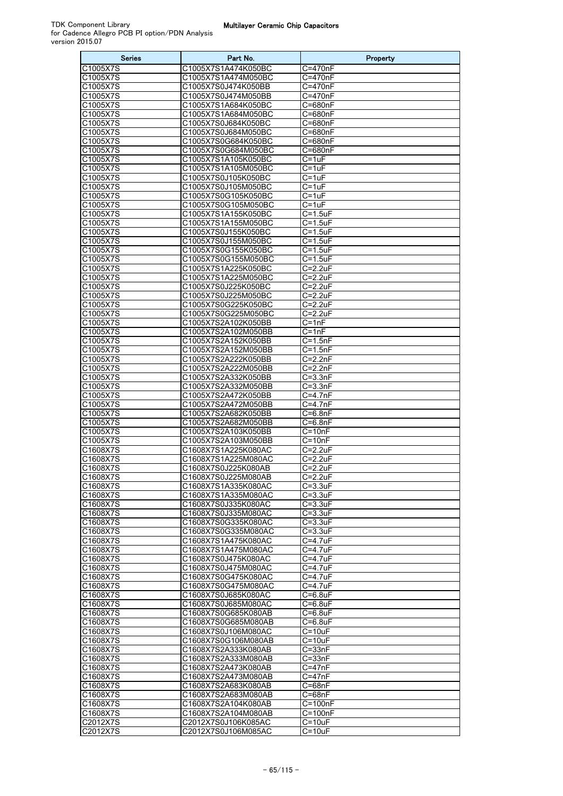| Series               | Part No.                                   | Property                   |
|----------------------|--------------------------------------------|----------------------------|
| C1005X7S             | C1005X7S1A474K050BC                        | C=470nF                    |
| C1005X7S             | C1005X7S1A474M050BC                        | C=470nF                    |
| C1005X7S<br>C1005X7S | C1005X7S0J474K050BB<br>C1005X7S0J474M050BB | C=470nF<br>C=470nF         |
| C1005X7S             | C1005X7S1A684K050BC                        | C=680nF                    |
| C1005X7S             | C1005X7S1A684M050BC                        | C=680nF                    |
| C1005X7S             | C1005X7S0J684K050BC                        | C=680nF                    |
| C1005X7S             | C1005X7S0J684M050BC                        | C=680nF                    |
| C1005X7S             | C1005X7S0G684K050BC                        | C=680nF                    |
| C1005X7S             | C1005X7S0G684M050BC                        | C=680nF                    |
| C1005X7S<br>C1005X7S | C1005X7S1A105K050BC<br>C1005X7S1A105M050BC | $C = 1uF$<br>C=1uF         |
| C1005X7S             | C1005X7S0J105K050BC                        | C=1uF                      |
| C1005X7S             | C1005X7S0J105M050BC                        | C=1uF                      |
| C1005X7S             | C1005X7S0G105K050BC                        | C=1uF                      |
| C1005X7S             | C1005X7S0G105M050BC                        | $C = 1uF$                  |
| C1005X7S             | C1005X7S1A155K050BC                        | $C = 1.5$ uF               |
| C1005X7S             | C1005X7S1A155M050BC                        | $C = 1.5$ uF               |
| C1005X7S<br>C1005X7S | C1005X7S0J155K050BC<br>C1005X7S0J155M050BC | C=1.5uF<br>$C = 1.5$ uF    |
| C1005X7S             | C1005X7S0G155K050BC                        | $C = 1.5$ uF               |
| C1005X7S             | C1005X7S0G155M050BC                        | $C = 1.5uF$                |
| C1005X7S             | C1005X7S1A225K050BC                        | $C = 2.2uF$                |
| C1005X7S             | C1005X7S1A225M050BC                        | $C = 2.2uF$                |
| C1005X7S             | C1005X7S0J225K050BC                        | $C = 2.2uF$                |
| C1005X7S             | C1005X7S0J225M050BC                        | $C = 2.2uF$                |
| C1005X7S<br>C1005X7S | C1005X7S0G225K050BC<br>C1005X7S0G225M050BC | $C = 2.2uF$<br>$C = 2.2uF$ |
| C1005X7S             | C1005X7S2A102K050BB                        | $C = 1nF$                  |
| C1005X7S             | C1005X7S2A102M050BB                        | $C = 1nF$                  |
| C1005X7S             | C1005X7S2A152K050BB                        | $C = 1.5nF$                |
| C1005X7S             | C1005X7S2A152M050BB                        | $\overline{C=1}.5nF$       |
| C1005X7S             | C1005X7S2A222K050BB                        | $C = 2.2nF$                |
| C1005X7S<br>C1005X7S | C1005X7S2A222M050BB<br>C1005X7S2A332K050BB | C=2.2nF<br>$C = 3.3nF$     |
| C1005X7S             | C1005X7S2A332M050BB                        | $C = 3.3nF$                |
| C1005X7S             | C1005X7S2A472K050BB                        | $C=4.7nF$                  |
| C1005X7S             | C1005X7S2A472M050BB                        | $C = 4.7nF$                |
| C1005X7S             | C1005X7S2A682K050BB                        | C=6.8nF                    |
| C1005X7S             | C1005X7S2A682M050BB                        | C=6.8nF                    |
| C1005X7S<br>C1005X7S | C1005X7S2A103K050BB<br>C1005X7S2A103M050BB | C=10nF<br>$C=10nF$         |
| C1608X7S             | C1608X7S1A225K080AC                        | $C = 2.2uF$                |
| C1608X7S             | C1608X7S1A225M080AC                        | $C = 2.2$ uF               |
| C1608X7S             | C1608X7S0J225K080AB                        | $C = 2.2uF$                |
| C1608X7S             | C1608X7S0J225M080AB                        | C=2.2ur                    |
| C1608X7S             | C1608X7S1A335K080AC                        | $C = 3.3uF$                |
| C1608X7S<br>C1608X7S | C1608X7S1A335M080AC<br>C1608X7S0J335K080AC | $C = 3.3uF$<br>$C = 3.3uF$ |
| C1608X7S             | C1608X7S0J335M080AC                        | $C = 3.3uF$                |
| C1608X7S             | C1608X7S0G335K080AC                        | $C = 3.3uF$                |
| C1608X7S             | C1608X7S0G335M080AC                        | $C = 3.3uF$                |
| C1608X7S             | C1608X7S1A475K080AC                        | C=4.7uF                    |
| C1608X7S             | C1608X7S1A475M080AC                        | $C = 4.7uF$                |
| C1608X7S<br>C1608X7S | C1608X7S0J475K080AC<br>C1608X7S0J475M080AC | C=4.7uF<br>C=4.7uF         |
| C1608X7S             | C1608X7S0G475K080AC                        | C=4.7uF                    |
| C1608X7S             | C1608X7S0G475M080AC                        | C=4.7uF                    |
| C1608X7S             | C1608X7S0J685K080AC                        | $C = 6.8$ uF               |
| C1608X7S             | C1608X7S0J685M080AC                        | $C = 6.8$ uF               |
| C1608X7S             | C1608X7S0G685K080AB                        | $C = 6.8$ uF               |
| C1608X7S             | C1608X7S0G685M080AB                        | $C = 6.8$ uF               |
| C1608X7S<br>C1608X7S | C1608X7S0J106M080AC<br>C1608X7S0G106M080AB | $C = 10uF$<br>$C = 10uF$   |
| C1608X7S             | C1608X7S2A333K080AB                        | $C = 33nF$                 |
| C1608X7S             | C1608X7S2A333M080AB                        | $C = 33nF$                 |
| C1608X7S             | C1608X7S2A473K080AB                        | $C = 47nF$                 |
| C1608X7S             | C1608X7S2A473M080AB                        | $C = 47nF$                 |
| C1608X7S             | C1608X7S2A683K080AB                        | C=68nF                     |
| C1608X7S<br>C1608X7S | C1608X7S2A683M080AB<br>C1608X7S2A104K080AB | $C = 68nF$<br>C=100nF      |
| C1608X7S             | C1608X7S2A104M080AB                        | $C = 100nF$                |
| C2012X7S             | C2012X7S0J106K085AC                        | $C = 10uF$                 |
| C2012X7S             | C2012X7S0J106M085AC                        | C=10uF                     |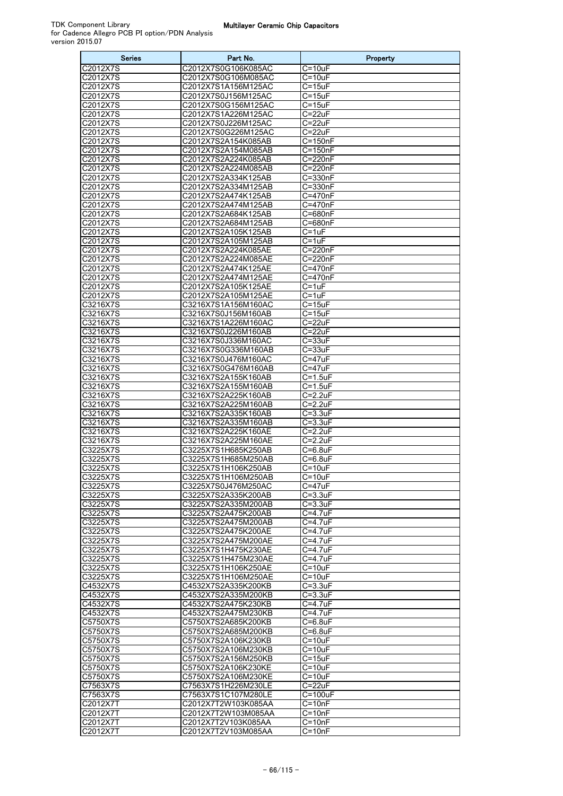| Series               | Part No.                                   | Property                      |
|----------------------|--------------------------------------------|-------------------------------|
| C2012X7S             | C2012X7S0G106K085AC                        | C=10uF                        |
| C2012X7S             | C2012X7S0G106M085AC                        | $C = 10uF$                    |
| C2012X7S             | C2012X7S1A156M125AC                        | C=15uF                        |
| C2012X7S             | C2012X7S0J156M125AC                        | C=15uF                        |
| C2012X7S             | C2012X7S0G156M125AC                        | $C = 15uF$                    |
| C2012X7S<br>C2012X7S | C2012X7S1A226M125AC<br>C2012X7S0J226M125AC | C=22uF<br>$C = 22uF$          |
| C2012X7S             | C2012X7S0G226M125AC                        | C=22uF                        |
| C2012X7S             | C2012X7S2A154K085AB                        | $C = 150nF$                   |
| C2012X7S             | C2012X7S2A154M085AB                        | $C = 150nF$                   |
| C2012X7S             | C2012X7S2A224K085AB                        | C=220nF                       |
| C2012X7S             | C2012X7S2A224M085AB                        | $C = 220nF$                   |
| C2012X7S             | C2012X7S2A334K125AB                        | C=330nF                       |
| C2012X7S             | C2012X7S2A334M125AB                        | C=330nF                       |
| C2012X7S             | C2012X7S2A474K125AB                        | C=470nF                       |
| C2012X7S             | C2012X7S2A474M125AB                        | C=470nF                       |
| C2012X7S             | C2012X7S2A684K125AB                        | C=680nF                       |
| C2012X7S<br>C2012X7S | C2012X7S2A684M125AB<br>C2012X7S2A105K125AB | C=680nF<br>C=1uF              |
| C2012X7S             | C2012X7S2A105M125AB                        | $C = 1uF$                     |
| C2012X7S             | C2012X7S2A224K085AE                        | C=220nF                       |
| C2012X7S             | C2012X7S2A224M085AE                        | $C = 220nF$                   |
| C2012X7S             | C2012X7S2A474K125AE                        | C=470nF                       |
| C2012X7S             | C2012X7S2A474M125AE                        | C=470nF                       |
| C2012X7S             | C2012X7S2A105K125AE                        | $C = 1uF$                     |
| C2012X7S             | C2012X7S2A105M125AE                        | C=1uF                         |
| C3216X7S             | C3216X7S1A156M160AC                        | $C = 15uF$                    |
| C3216X7S             | C3216X7S0J156M160AB                        | C=15uF                        |
| C3216X7S<br>C3216X7S | C3216X7S1A226M160AC<br>C3216X7S0J226M160AB | C=22uF<br>C=22uF              |
| C3216X7S             | C3216X7S0J336M160AC                        | $C = 33uF$                    |
| C3216X7S             | C3216X7S0G336M160AB                        | $C = 33uF$                    |
| C3216X7S             | C3216X7S0J476M160AC                        | C=47uF                        |
| C3216X7S             | C3216X7S0G476M160AB                        | C=47uF                        |
| C3216X7S             | C3216X7S2A155K160AB                        | $C = 1.5$ uF                  |
| C3216X7S             | C3216X7S2A155M160AB                        | $C = 1.5$ uF                  |
| C3216X7S<br>C3216X7S | C3216X7S2A225K160AB<br>C3216X7S2A225M160AB | $C = 2.2uF$<br>$C = 2.2uF$    |
| C3216X7S             | C3216X7S2A335K160AB                        | $C = 3.3uF$                   |
| C3216X7S             | C3216X7S2A335M160AB                        | $C = 3.3uF$                   |
| C3216X7S             | C3216X7S2A225K160AE                        | $C = 2.2uF$                   |
| C3216X7S             | C3216X7S2A225M160AE                        | $C = 2.2uF$                   |
| C3225X7S             | C3225X7S1H685K250AB                        | C=6.8uF                       |
| C3225X7S<br>C3225X7S | C3225X7S1H685M250AB<br>C3225X7S1H106K250AB | C=6.8uF<br>$C = 10uF$         |
| G3225X7S             | C3225X7S1H106M250AB                        | C=10uF                        |
| C3225X7S             | C3225X7S0J476M250AC                        | $C = 47uF$                    |
| C3225X7S             | C3225X7S2A335K200AB                        | $C = 3.3$ uF                  |
| C3225X7S             | C3225X7S2A335M200AB                        | $C = 3.3uF$                   |
| C3225X7S             | C3225X7S2A475K200AB                        | C=4.7uF                       |
| C3225X7S             | C3225X7S2A475M200AB                        | C=4.7uF                       |
| C3225X7S             | C3225X7S2A475K200AE                        | $C = 4.7$ uF                  |
| C3225X7S<br>C3225X7S | C3225X7S2A475M200AE<br>C3225X7S1H475K230AE | C=4.7uF<br>$C = 4.7uF$        |
| C3225X7S             | C3225X7S1H475M230AE                        | C=4.7uF                       |
| C3225X7S             | C3225X7S1H106K250AE                        | $C = 10uF$                    |
| C3225X7S             | C3225X7S1H106M250AE                        | $C = 10uF$                    |
| C4532X7S             | C4532X7S2A335K200KB                        | C=3.3uF                       |
| C4532X7S             | C4532X7S2A335M200KB                        | $C = 3.3uF$                   |
| C4532X7S             | C4532X7S2A475K230KB                        | C=4.7uF                       |
| C4532X7S             | C4532X7S2A475M230KB                        | $C = 4.7uF$                   |
| C5750X7S<br>C5750X7S | C5750X7S2A685K200KB<br>C5750X7S2A685M200KB | $C=6.8$ u $F$<br>$C = 6.8$ uF |
| C5750X7S             | C5750X7S2A106K230KB                        | $C = 10uF$                    |
| C5750X7S             | C5750X7S2A106M230KB                        | $C = 10uF$                    |
| C5750X7S             | C5750X7S2A156M250KB                        | $C = 15uF$                    |
| C5750X7S             | C5750X7S2A106K230KE                        | $C = 10uF$                    |
| C5750X7S             | C5750X7S2A106M230KE                        | $C = 10uF$                    |
| C7563X7S             | C7563X7S1H226M230LE                        | $C = 22uF$                    |
| C7563X7S<br>C2012X7T | C7563X7S1C107M280LE<br>C2012X7T2W103K085AA | C=100uF<br>C=10nF             |
| C2012X7T             | C2012X7T2W103M085AA                        | $C = 10nF$                    |
| C2012X7T             | C2012X7T2V103K085AA                        | $C = 10nF$                    |
| C2012X7T             | C2012X7T2V103M085AA                        | $C = 10nF$                    |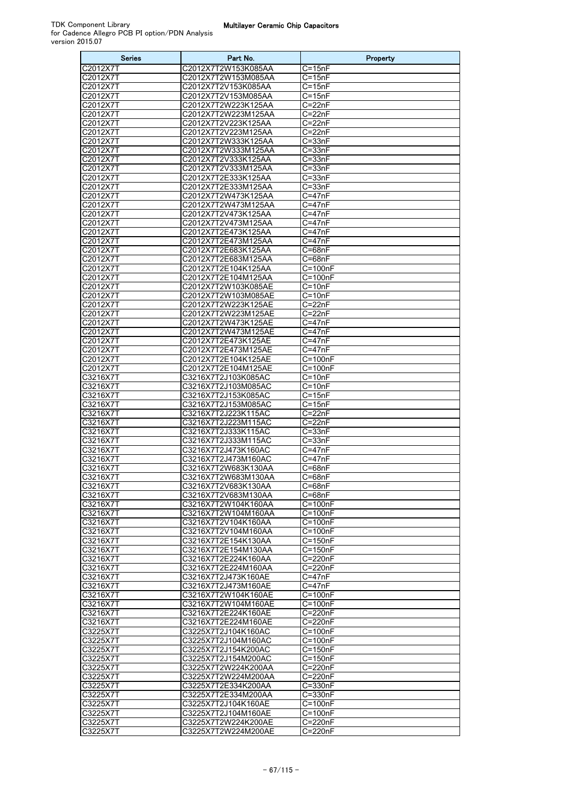| Series               | Part No.                                   | Property                          |
|----------------------|--------------------------------------------|-----------------------------------|
| C2012X7T             | C2012X7T2W153K085AA                        | C=15nF                            |
| C2012X7T             | C2012X7T2W153M085AA                        | C=15nF                            |
| C2012X7T<br>C2012X7T | C2012X7T2V153K085AA<br>C2012X7T2V153M085AA | $C = 15nF$<br>$C = 15nF$          |
| C2012X7T             | C2012X7T2W223K125AA                        | $C = 22nF$                        |
| C2012X7T             | C2012X7T2W223M125AA                        | $C = 22nF$                        |
| C2012X7T             | C2012X7T2V223K125AA                        | C=22nF                            |
| C2012X7T             | C2012X7T2V223M125AA                        | C=22nF                            |
| C2012X7T             | C2012X7T2W333K125AA                        | $C = 33nF$                        |
| C2012X7T             | C2012X7T2W333M125AA                        | C=33nF                            |
| C2012X7T<br>C2012X7T | C2012X7T2V333K125AA<br>C2012X7T2V333M125AA | $C = 33nF$<br>C=33nF              |
| C2012X7T             | C2012X7T2E333K125AA                        | $C = 33nF$                        |
| C2012X7T             | C2012X7T2E333M125AA                        | C=33nF                            |
| C2012X7T             | C2012X7T2W473K125AA                        | C=47nF                            |
| C2012X7T             | C2012X7T2W473M125AA                        | C=47nF                            |
| C2012X7T             | C2012X7T2V473K125AA                        | C=47nF                            |
| C2012X7T             | C2012X7T2V473M125AA                        | C=47nF                            |
| C2012X7T<br>C2012X7T | C2012X7T2E473K125AA<br>C2012X7T2E473M125AA | C=47nF<br>C=47nF                  |
| C2012X7T             | C2012X7T2E683K125AA                        | C=68nF                            |
| C2012X7T             | C2012X7T2E683M125AA                        | C=68nF                            |
| C2012X7T             | C2012X7T2E104K125AA                        | C=100nF                           |
| C2012X7T             | C2012X7T2E104M125AA                        | C=100nF                           |
| C2012X7T             | C2012X7T2W103K085AE                        | $C = 10nF$                        |
| C2012X7T             | C2012X7T2W103M085AE                        | C=10nF                            |
| C2012X7T<br>C2012X7T | C2012X7T2W223K125AE<br>C2012X7T2W223M125AE | C=22nF<br>C=22nF                  |
| C2012X7T             | C2012X7T2W473K125AE                        | $C = 47nF$                        |
| C2012X7T             | C2012X7T2W473M125AE                        | C=47nF                            |
| C2012X7T             | C2012X7T2E473K125AE                        | C=47nF                            |
| C2012X7T             | C2012X7T2E473M125AE                        | $C = 47nF$                        |
| C2012X7T             | C2012X7T2E104K125AE                        | C=100nF                           |
| C2012X7T<br>C3216X7T | C2012X7T2E104M125AE<br>C3216X7T2J103K085AC | C=100nF<br>$C = 10nF$             |
| C3216X7T             | C3216X7T2J103M085AC                        | C=10nF                            |
| C3216X7T             | C3216X7T2J153K085AC                        | $C = 15nF$                        |
| C3216X7T             | C3216X7T2J153M085AC                        | C=15nF                            |
| C3216X7T             | C3216X7T2J223K115AC                        | C=22nF                            |
| C3216X7T             | C3216X7T2J223M115AC                        | $C = 22nF$                        |
| C3216X7T<br>C3216X7T | C3216X7T2J333K115AC<br>C3216X7T2J333M115AC | $C = 33nF$<br>$\overline{C=3}3nF$ |
| C3216X7T             | C3216X7T2J473K160AC                        | C=47nF                            |
| C3216X7T             | C3216X7T2J473M160AC                        | C=47nF                            |
| C3216X7T             | C3216X7T2W683K130AA                        | $C = 68nF$                        |
| C3216X7T             | C3216X7T2W683M130AA                        | $C = 68nF$                        |
| C3216X7T             | C3216X7T2V683K130AA                        | $C = 68nF$                        |
| C3216X7T<br>C3216X7T | C3216X7T2V683M130AA<br>C3216X7T2W104K160AA | $C = 68nF$<br>$C = 100nF$         |
| C3216X7T             | C3216X7T2W104M160AA                        | $C = 100nF$                       |
| C3216X7T             | C3216X7T2V104K160AA                        | $C = 100nF$                       |
| C3216X7T             | C3216X7T2V104M160AA                        | $C = 100nF$                       |
| C3216X7T             | C3216X7T2E154K130AA                        | $C = 150nF$                       |
| C3216X7T             | C3216X7T2E154M130AA                        | $C = 150nF$<br>$C = 220nF$        |
| C3216X7T<br>C3216X7T | C3216X7T2E224K160AA<br>C3216X7T2E224M160AA | C=220nF                           |
| C3216X7T             | C3216X7T2J473K160AE                        | C=47nF                            |
| C3216X7T             | C3216X7T2J473M160AE                        | $C = 47nF$                        |
| C3216X7T             | C3216X7T2W104K160AE                        | $C = 100nF$                       |
| C3216X7T             | C3216X7T2W104M160AE                        | $C = 100nF$                       |
| C3216X7T             | C3216X7T2E224K160AE                        | C=220nF                           |
| C3216X7T<br>C3225X7T | C3216X7T2E224M160AE<br>C3225X7T2J104K160AC | C=220nF<br>C=100nF                |
| C3225X7T             | C3225X7T2J104M160AC                        | $C = 100nF$                       |
| C3225X7T             | C3225X7T2J154K200AC                        | $C = 150nF$                       |
| C3225X7T             | C3225X7T2J154M200AC                        | $C = 150nF$                       |
| C3225X7T             | C3225X7T2W224K200AA                        | C=220nF                           |
| C3225X7T             | C3225X7T2W224M200AA                        | C=220nF                           |
| C3225X7T<br>C3225X7T | C3225X7T2E334K200AA<br>C3225X7T2E334M200AA | C=330nF<br>C=330nF                |
| C3225X7T             | C3225X7T2J104K160AE                        | $C = 100nF$                       |
| C3225X7T             | C3225X7T2J104M160AE                        | $C = 100nF$                       |
| C3225X7T             | C3225X7T2W224K200AE                        | C=220nF                           |
| C3225X7T             | C3225X7T2W224M200AE                        | C=220nF                           |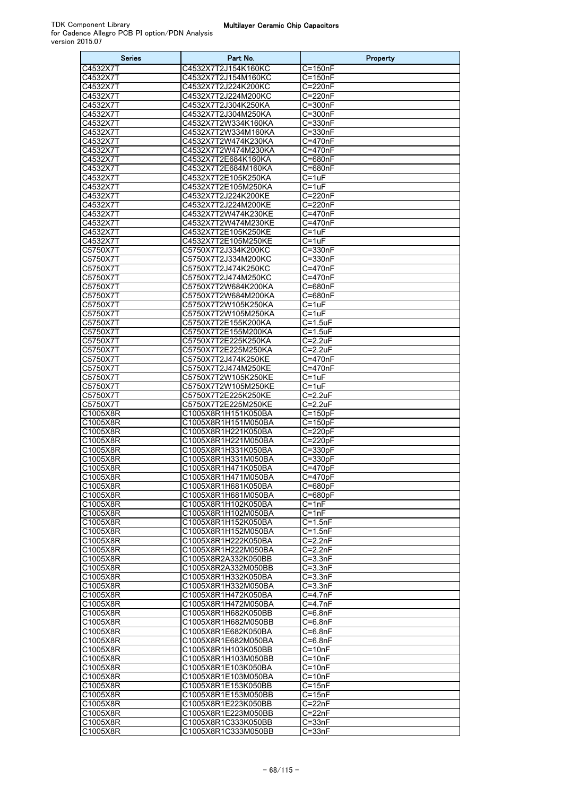| <b>Series</b>        | Part No.                                   | Property                   |
|----------------------|--------------------------------------------|----------------------------|
| C4532X7T             | C4532X7T2J154K160KC                        | $C = 150nF$                |
| C4532X7T             | C4532X7T2J154M160KC                        | $C = 150nF$                |
| C4532X7T             | C4532X7T2J224K200KC                        | C=220nF                    |
| C4532X7T             | C4532X7T2J224M200KC                        | C=220nF                    |
| C4532X7T             | C4532X7T2J304K250KA<br>C4532X7T2J304M250KA | $C = 300nF$<br>$C = 300nF$ |
| C4532X7T<br>C4532X7T | C4532X7T2W334K160KA                        | C=330nF                    |
| C4532X7T             | C4532X7T2W334M160KA                        | C=330nF                    |
| C4532X7T             | C4532X7T2W474K230KA                        | C=470nF                    |
| C4532X7T             | C4532X7T2W474M230KA                        | C=470nF                    |
| C4532X7T             | C4532X7T2E684K160KA                        | C=680nF                    |
| C4532X7T             | C4532X7T2E684M160KA                        | C=680nF                    |
| C4532X7T             | C4532X7T2E105K250KA                        | $C = 1uF$                  |
| C4532X7T<br>C4532X7T | C4532X7T2E105M250KA<br>C4532X7T2J224K200KE | C=1uF<br>C=220nF           |
| C4532X7T             | C4532X7T2J224M200KE                        | C=220nF                    |
| C4532X7T             | C4532X7T2W474K230KE                        | C=470nF                    |
| C4532X7T             | C4532X7T2W474M230KE                        | C=470nF                    |
| C4532X7T             | C4532X7T2E105K250KE                        | C=1uF                      |
| C4532X7T             | C4532X7T2E105M250KE                        | $C = 1uF$                  |
| C5750X7T             | C5750X7T2J334K200KC                        | C=330nF                    |
| C5750X7T             | C5750X7T2J334M200KC                        | C=330nF                    |
| C5750X7T             | C5750X7T2J474K250KC<br>C5750X7T2J474M250KC | $C = 470nF$<br>C=470nF     |
| C5750X7T<br>C5750X7T | C5750X7T2W684K200KA                        | C=680nF                    |
| C5750X7T             | C5750X7T2W684M200KA                        | C=680nF                    |
| C5750X7T             | C5750X7T2W105K250KA                        | C=1uF                      |
| C5750X7T             | C5750X7T2W105M250KA                        | $C = 1uF$                  |
| C5750X7T             | C5750X7T2E155K200KA                        | $C=1.5$ uF                 |
| C5750X7T             | C5750X7T2E155M200KA                        | $C = 1.5$ uF               |
| C5750X7T             | C5750X7T2E225K250KA                        | $C = 2.2uF$                |
| C5750X7T<br>C5750X7T | C5750X7T2E225M250KA<br>C5750X7T2J474K250KE | $C = 2.2uF$<br>$C = 470nF$ |
| C5750X7T             | C5750X7T2J474M250KE                        | C=470nF                    |
| C5750X7T             | C5750X7T2W105K250KE                        | $C = 1uF$                  |
| C5750X7T             | C5750X7T2W105M250KE                        | C=1uF                      |
| C5750X7T             | C5750X7T2E225K250KE                        | $C = 2.2uF$                |
| C5750X7T             | C5750X7T2E225M250KE                        | $C = 2.2uF$                |
| C1005X8R             | C1005X8R1H151K050BA                        | $C=150pF$                  |
| C1005X8R<br>C1005X8R | C1005X8R1H151M050BA<br>C1005X8R1H221K050BA | $C = 150pF$<br>$C = 220pF$ |
| C1005X8R             | C1005X8R1H221M050BA                        | $C = 220pF$                |
| C1005X8R             | C1005X8R1H331K050BA                        | $C = 330pF$                |
| C1005X8R             | C1005X8R1H331M050BA                        | C=330pF                    |
| C1005X8R             | C1005X8R1H471K050BA                        | C=470pF                    |
| C1005X8R             | C1005X8R1H471M050BA                        | C=470pF                    |
| C1005X8R             | C1005X8R1H681K050BA                        | $C = 680pF$                |
| C1005X8R<br>C1005X8R | C1005X8R1H681M050BA<br>C1005X8R1H102K050BA | $C = 680pF$<br>$C = 1nF$   |
| C1005X8R             | C1005X8R1H102M050BA                        | $C = 1nF$                  |
| C1005X8R             | C1005X8R1H152K050BA                        | C=1.5nF                    |
| C1005X8R             | C1005X8R1H152M050BA                        | $C = 1.5nF$                |
| C1005X8R             | C1005X8R1H222K050BA                        | C=2.2nF                    |
| C1005X8R             | C1005X8R1H222M050BA                        | $C=2.2nF$                  |
| C1005X8R             | C1005X8R2A332K050BB                        | $C = 3.3nF$                |
| C1005X8R<br>C1005X8R | C1005X8R2A332M050BB<br>C1005X8R1H332K050BA | C=3.3nF<br>$C = 3.3nF$     |
| C1005X8R             | C1005X8R1H332M050BA                        | $C = 3.3nF$                |
| C1005X8R             | C1005X8R1H472K050BA                        | $\overline{C}$ =4.7nF      |
| C1005X8R             | C1005X8R1H472M050BA                        | $C = 4.7nF$                |
| C1005X8R             | C1005X8R1H682K050BB                        | C=6.8nF                    |
| C1005X8R             | C1005X8R1H682M050BB                        | $C = 6.8nF$                |
| C1005X8R             | C1005X8R1E682K050BA                        | $C = 6.8nF$                |
| C1005X8R<br>C1005X8R | C1005X8R1E682M050BA<br>C1005X8R1H103K050BB | $C=6.8nF$<br>C=10nF        |
| C1005X8R             | C1005X8R1H103M050BB                        | C=10nF                     |
| C1005X8R             | C1005X8R1E103K050BA                        | $C = 10nF$                 |
| C1005X8R             | C1005X8R1E103M050BA                        | $C = 10nF$                 |
| C1005X8R             | C1005X8R1E153K050BB                        | $\overline{C=1}$ 5nF       |
| C1005X8R             | C1005X8R1E153M050BB                        | $C = 15nF$                 |
| C1005X8R             | C1005X8R1E223K050BB                        | C=22nF                     |
| C1005X8R             | C1005X8R1E223M050BB                        | $C = 22nF$                 |
| C1005X8R<br>C1005X8R | C1005X8R1C333K050BB<br>C1005X8R1C333M050BB | $C = 33nF$<br>$C = 33nF$   |
|                      |                                            |                            |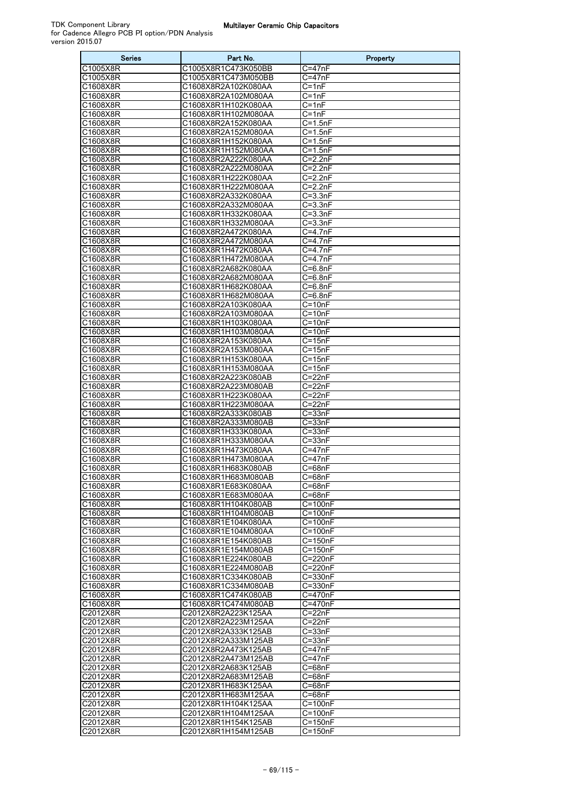| Series               | Part No.                                   | Property                   |
|----------------------|--------------------------------------------|----------------------------|
| C1005X8R             | C1005X8R1C473K050BB                        | C=47nF                     |
| C1005X8R             | C1005X8R1C473M050BB                        | C=47nF                     |
| C1608X8R<br>C1608X8R | C1608X8R2A102K080AA<br>C1608X8R2A102M080AA | $C = 1nF$<br>C=1nF         |
| C1608X8R             | C1608X8R1H102K080AA                        | $C = 1nF$                  |
| C1608X8R             | C1608X8R1H102M080AA                        | $C = 1nF$                  |
| C1608X8R             | C1608X8R2A152K080AA                        | $C = 1.5nF$                |
| C1608X8R             | C1608X8R2A152M080AA                        | $C = 1.5nF$                |
| C1608X8R             | C1608X8R1H152K080AA                        | $C = 1.5nF$                |
| C1608X8R             | C1608X8R1H152M080AA                        | $C = 1.5nF$                |
| C1608X8R<br>C1608X8R | C1608X8R2A222K080AA<br>C1608X8R2A222M080AA | $C = 2.2nF$<br>$C = 2.2nF$ |
| C1608X8R             | C1608X8R1H222K080AA                        | $C = 2.2nF$                |
| C1608X8R             | C1608X8R1H222M080AA                        | $C = 2.2nF$                |
| C1608X8R             | C1608X8R2A332K080AA                        | $C = 3.3nF$                |
| C1608X8R             | C1608X8R2A332M080AA                        | $C = 3.3nF$                |
| C1608X8R             | C1608X8R1H332K080AA                        | $C = 3.3nF$                |
| C1608X8R             | C1608X8R1H332M080AA                        | $C = 3.3nF$                |
| C1608X8R<br>C1608X8R | C1608X8R2A472K080AA<br>C1608X8R2A472M080AA | C=4.7nF<br>$C = 4.7nF$     |
| C1608X8R             | C1608X8R1H472K080AA                        | C=4.7nF                    |
| C1608X8R             | C1608X8R1H472M080AA                        | $C = 4.7nF$                |
| C1608X8R             | C1608X8R2A682K080AA                        | $C = 6.8nF$                |
| C1608X8R             | C1608X8R2A682M080AA                        | C=6.8nF                    |
| C1608X8R             | C1608X8R1H682K080AA                        | C=6.8nF                    |
| C1608X8R             | C1608X8R1H682M080AA                        | C=6.8nF                    |
| C1608X8R<br>C1608X8R | C1608X8R2A103K080AA<br>C1608X8R2A103M080AA | $C = 10nF$<br>C=10nF       |
| C1608X8R             | C1608X8R1H103K080AA                        | C=10nF                     |
| C1608X8R             | C1608X8R1H103M080AA                        | $C = 10nF$                 |
| C1608X8R             | C1608X8R2A153K080AA                        | $C = 15nF$                 |
| C1608X8R             | C1608X8R2A153M080AA                        | $C = 15nF$                 |
| C1608X8R             | C1608X8R1H153K080AA                        | C=15nF                     |
| C1608X8R<br>C1608X8R | C1608X8R1H153M080AA<br>C1608X8R2A223K080AB | $C = 15nF$<br>$C = 22nF$   |
| C1608X8R             | C1608X8R2A223M080AB                        | C=22nF                     |
| C1608X8R             | C1608X8R1H223K080AA                        | C=22nF                     |
| C1608X8R             | C1608X8R1H223M080AA                        | C=22nF                     |
| C1608X8R             | C1608X8R2A333K080AB                        | $C = 33nF$                 |
| C1608X8R             | C1608X8R2A333M080AB                        | $C = 33nF$                 |
| C1608X8R<br>C1608X8R | C1608X8R1H333K080AA<br>C1608X8R1H333M080AA | $C = 33nF$<br>$C = 33nF$   |
| C1608X8R             | C1608X8R1H473K080AA                        | C=47nF                     |
| C1608X8R             | C1608X8R1H473M080AA                        | C=47nF                     |
| C1608X8R             | C1608X8R1H683K080AB                        | $C = 68nF$                 |
| C1608X8R             | C1608X8R1H683M080AB                        | $C = 68nF$                 |
| C1608X8R             | C1608X8R1E683K080AA                        | C=68nF                     |
| C1608X8R             | C1608X8R1E683M080AA<br>C1608X8R1H104K080AB | $C = 68nF$                 |
| C1608X8R<br>C1608X8R | C1608X8R1H104M080AB                        | C=100nF<br>$C=100nF$       |
| C1608X8R             | C1608X8R1E104K080AA                        | C=100nF                    |
| C1608X8R             | C1608X8R1E104M080AA                        | $C = 100nF$                |
| C1608X8R             | C1608X8R1E154K080AB                        | $C = 150nF$                |
| C1608X8R             | C1608X8R1E154M080AB                        | $C = 150nF$                |
| C1608X8R             | C1608X8R1E224K080AB                        | C=220nF                    |
| C1608X8R<br>C1608X8R | C1608X8R1E224M080AB<br>C1608X8R1C334K080AB | C=220nF<br>C=330nF         |
| C1608X8R             | C1608X8R1C334M080AB                        | $C = 330nF$                |
| C1608X8R             | C1608X8R1C474K080AB                        | C=470nF                    |
| C1608X8R             | C1608X8R1C474M080AB                        | C=470nF                    |
| C2012X8R             | C2012X8R2A223K125AA                        | C=22nF                     |
| C2012X8R             | C2012X8R2A223M125AA                        | $C = 22nF$                 |
| C2012X8R<br>C2012X8R | C2012X8R2A333K125AB<br>C2012X8R2A333M125AB | $C = 33nF$<br>$C = 33nF$   |
| C2012X8R             | C2012X8R2A473K125AB                        | C=47nF                     |
| C2012X8R             | C2012X8R2A473M125AB                        | C=47nF                     |
| C2012X8R             | C2012X8R2A683K125AB                        | $C = 68nF$                 |
| C2012X8R             | C2012X8R2A683M125AB                        | $C = 68nF$                 |
| C2012X8R             | C2012X8R1H683K125AA                        | C=68nF                     |
| C2012X8R             | C2012X8R1H683M125AA                        | $C = 68nF$                 |
| C2012X8R<br>C2012X8R | C2012X8R1H104K125AA<br>C2012X8R1H104M125AA | $C = 100nF$<br>$C = 100nF$ |
| C2012X8R             | C2012X8R1H154K125AB                        | C=150nF                    |
| C2012X8R             | C2012X8R1H154M125AB                        | C=150nF                    |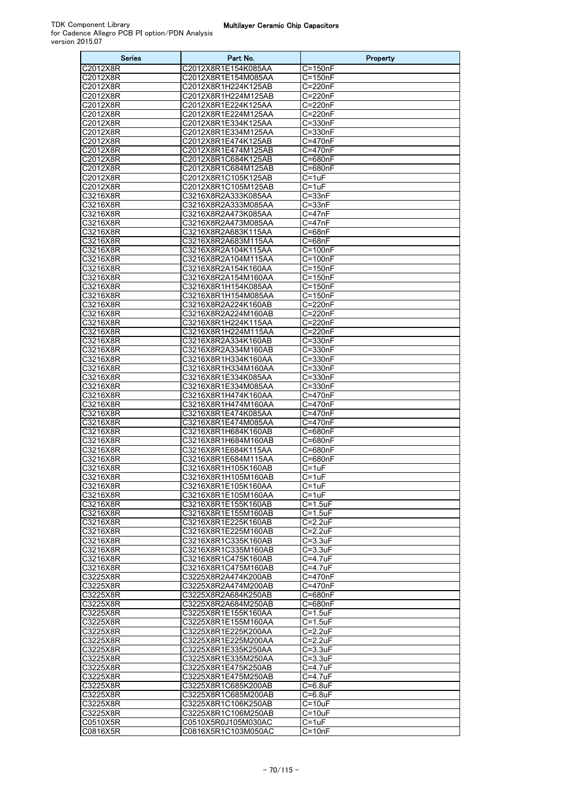| <b>Series</b>        | Part No.                                   | Property                   |
|----------------------|--------------------------------------------|----------------------------|
| C2012X8R             | C2012X8R1E154K085AA                        | $C = 150nF$                |
| C2012X8R             | C2012X8R1E154M085AA                        | $C = 150nF$                |
| C2012X8R             | C2012X8R1H224K125AB                        | C=220nF                    |
| C2012X8R<br>C2012X8R | C2012X8R1H224M125AB                        | C=220nF<br>C=220nF         |
| C2012X8R             | C2012X8R1E224K125AA<br>C2012X8R1E224M125AA | C=220nF                    |
| C2012X8R             | C2012X8R1E334K125AA                        | C=330nF                    |
| C2012X8R             | C2012X8R1E334M125AA                        | C=330nF                    |
| C2012X8R             | C2012X8R1E474K125AB                        | C=470nF                    |
| C2012X8R             | C2012X8R1E474M125AB                        | C=470nF                    |
| C2012X8R             | C2012X8R1C684K125AB                        | C=680nF                    |
| C2012X8R             | C2012X8R1C684M125AB                        | C=680nF                    |
| C2012X8R             | C2012X8R1C105K125AB                        | $C = 1uF$                  |
| C2012X8R<br>C3216X8R | C2012X8R1C105M125AB<br>C3216X8R2A333K085AA | $C = 1uF$<br>C=33nF        |
| C3216X8R             | C3216X8R2A333M085AA                        | $C = 33nF$                 |
| C3216X8R             | C3216X8R2A473K085AA                        | $C = 47nF$                 |
| C3216X8R             | C3216X8R2A473M085AA                        | $C = 47nF$                 |
| C3216X8R             | C3216X8R2A683K115AA                        | $C = 68nF$                 |
| C3216X8R             | C3216X8R2A683M115AA                        | $C = 68nF$                 |
| C3216X8R             | C3216X8R2A104K115AA                        | C=100nF                    |
| C3216X8R<br>C3216X8R | C3216X8R2A104M115AA<br>C3216X8R2A154K160AA | $C = 100nF$<br>$C = 150nF$ |
| C3216X8R             | C3216X8R2A154M160AA                        | $C = 150nF$                |
| C3216X8R             | C3216X8R1H154K085AA                        | C=150nF                    |
| C3216X8R             | C3216X8R1H154M085AA                        | $C = 150nF$                |
| C3216X8R             | C3216X8R2A224K160AB                        | C=220nF                    |
| C3216X8R             | C3216X8R2A224M160AB                        | C=220nF                    |
| C3216X8R             | C3216X8R1H224K115AA                        | C=220nF                    |
| C3216X8R             | C3216X8R1H224M115AA                        | C=220nF                    |
| C3216X8R<br>C3216X8R | C3216X8R2A334K160AB<br>C3216X8R2A334M160AB | C=330nF<br>C=330nF         |
| C3216X8R             | C3216X8R1H334K160AA                        | C=330nF                    |
| C3216X8R             | C3216X8R1H334M160AA                        | C=330nF                    |
| C3216X8R             | C3216X8R1E334K085AA                        | C=330nF                    |
| C3216X8R             | C3216X8R1E334M085AA                        | C=330nF                    |
| C3216X8R             | C3216X8R1H474K160AA                        | C=470nF                    |
| C3216X8R             | C3216X8R1H474M160AA                        | C=470nF                    |
| C3216X8R<br>C3216X8R | C3216X8R1E474K085AA<br>C3216X8R1E474M085AA | C=470nF<br>C=470nF         |
| C3216X8R             | C3216X8R1H684K160AB                        | C=680nF                    |
| C3216X8R             | C3216X8R1H684M160AB                        | C=680nF                    |
| C3216X8R             | C3216X8R1E684K115AA                        | C=680nF                    |
| C3216X8R             | C3216X8R1E684M115AA                        | C=680nF                    |
| C3216X8R             | C3216X8R1H105K160AB                        | C=1uF                      |
| C3216X8R             | C3216X8R1H105M160AB                        | $C = 1uF$                  |
| C3216X8R             | C3216X8R1E105K160AA                        | C=1uF                      |
| C3216X8R<br>C3216X8R | C3216X8R1E105M160AA<br>C3216X8R1E155K160AB | C=1uF<br>$C = 1.5$ uF      |
| C3216X8R             | C3216X8R1E155M160AB                        | $C = 1.5$ u $F$            |
| C3216X8R             | C3216X8R1E225K160AB                        | $C = 2.2uF$                |
| C3216X8R             | C3216X8R1E225M160AB                        | $C = 2.2uF$                |
| C3216X8R             | C3216X8R1C335K160AB                        | $C = 3.3uF$                |
| C3216X8R             | C3216X8R1C335M160AB                        | $C = 3.3uF$                |
| C3216X8R             | C3216X8R1C475K160AB                        | C=4.7uF                    |
| C3216X8R<br>C3225X8R | C3216X8R1C475M160AB<br>C3225X8R2A474K200AB | $C = 4.7uF$<br>C=470nF     |
| C3225X8R             | C3225X8R2A474M200AB                        | C=470nF                    |
| C3225X8R             | C3225X8R2A684K250AB                        | C=680nF                    |
| C3225X8R             | C3225X8R2A684M250AB                        | C=680nF                    |
| C3225X8R             | C3225X8R1E155K160AA                        | $C = 1.5$ uF               |
| C3225X8R             | C3225X8R1E155M160AA                        | $C = 1.5$ uF               |
| C3225X8R             | C3225X8R1E225K200AA                        | C=2.2uF                    |
| C3225X8R<br>C3225X8R | C3225X8R1E225M200AA<br>C3225X8R1E335K250AA | $C = 2.2uF$<br>C=3.3uF     |
| C3225X8R             | C3225X8R1E335M250AA                        | $C = 3.3uF$                |
| C3225X8R             | C3225X8R1E475K250AB                        | C=4.7uF                    |
| C3225X8R             | C3225X8R1E475M250AB                        | C=4.7uF                    |
| C3225X8R             | C3225X8R1C685K200AB                        | $C=6.8$ uF                 |
| C3225X8R             | C3225X8R1C685M200AB                        | C=6.8uF                    |
| C3225X8R             | C3225X8R1C106K250AB                        | $C = 10uF$                 |
| C3225X8R             | C3225X8R1C106M250AB                        | C=10uF                     |
| C0510X5R<br>C0816X5R | C0510X5R0J105M030AC<br>C0816X5R1C103M050AC | $C = 1uF$<br>C=10nF        |
|                      |                                            |                            |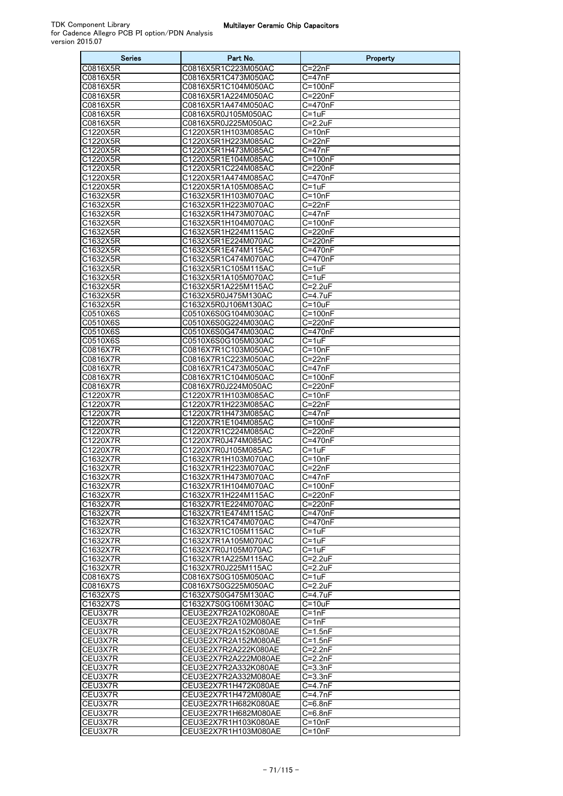| Series               | Part No.                                     | Property                   |
|----------------------|----------------------------------------------|----------------------------|
| C0816X5R             | C0816X5R1C223M050AC                          | $C = 22nF$                 |
| C0816X5R             | C0816X5R1C473M050AC                          | $C = 47nF$                 |
| C0816X5R             | C0816X5R1C104M050AC                          | C=100nF                    |
| C0816X5R             | C0816X5R1A224M050AC                          | C=220nF                    |
| C0816X5R<br>C0816X5R | C0816X5R1A474M050AC<br>C0816X5R0J105M050AC   | C=470nF<br>C=1uF           |
| C0816X5R             | C0816X5R0J225M050AC                          | $C = 2.2uF$                |
| C1220X5R             | C1220X5R1H103M085AC                          | $C = 10nF$                 |
| C1220X5R             | C1220X5R1H223M085AC                          | C=22nF                     |
| C1220X5R             | C1220X5R1H473M085AC                          | $C = 47nF$                 |
| C1220X5R             | C1220X5R1E104M085AC                          | $C = 100nF$                |
| C1220X5R             | C1220X5R1C224M085AC                          | $C = 220nF$                |
| C1220X5R             | C1220X5R1A474M085AC                          | C=470nF                    |
| C1220X5R<br>C1632X5R | C1220X5R1A105M085AC<br>C1632X5R1H103M070AC   | C=1uF<br>$C = 10nF$        |
| C1632X5R             | C1632X5R1H223M070AC                          | $C = 22nF$                 |
| C1632X5R             | C1632X5R1H473M070AC                          | C=47nF                     |
| C1632X5R             | C1632X5R1H104M070AC                          | C=100nF                    |
| C1632X5R             | C1632X5R1H224M115AC                          | C=220nF                    |
| C1632X5R             | C1632X5R1E224M070AC                          | C=220nF                    |
| C1632X5R             | C1632X5R1E474M115AC                          | C=470nF                    |
| C1632X5R             | C1632X5R1C474M070AC                          | C=470nF                    |
| C1632X5R<br>C1632X5R | C1632X5R1C105M115AC<br>C1632X5R1A105M070AC   | $C = 1uF$<br>$C = 1uF$     |
| C1632X5R             | C1632X5R1A225M115AC                          | $C = 2.2uF$                |
| C1632X5R             | C1632X5R0J475M130AC                          | C=4.7uF                    |
| C1632X5R             | C1632X5R0J106M130AC                          | $C = 10uF$                 |
| C0510X6S             | C0510X6S0G104M030AC                          | $C = 100nF$                |
| C0510X6S             | C0510X6S0G224M030AC                          | $C = 220nF$                |
| C0510X6S             | C0510X6S0G474M030AC                          | C=470nF                    |
| C0510X6S             | C0510X6S0G105M030AC                          | C=1uF                      |
| C0816X7R             | C0816X7R1C103M050AC<br>C0816X7R1C223M050AC   | $C = 10nF$<br>$C = 22nF$   |
| C0816X7R<br>C0816X7R | C0816X7R1C473M050AC                          | C=47nF                     |
| C0816X7R             | C0816X7R1C104M050AC                          | $C = 100nF$                |
| C0816X7R             | C0816X7R0J224M050AC                          | C=220nF                    |
| C1220X7R             | C1220X7R1H103M085AC                          | $C = 10nF$                 |
| C1220X7R             | C1220X7R1H223M085AC                          | $C = 22nF$                 |
| C1220X7R             | C1220X7R1H473M085AC                          | C=47nF                     |
| C1220X7R             | C1220X7R1E104M085AC                          | $C = 100nF$                |
| C1220X7R<br>C1220X7R | C1220X7R1C224M085AC<br>C1220X7R0J474M085AC   | C=220nF<br>C=470nF         |
| C1220X7R             | C1220X7R0J105M085AC                          | C=1uF                      |
| C1632X7R             | C1632X7R1H103M070AC                          | $C = 10nF$                 |
| C1632X7R             | C1632X7R1H223M070AC                          | C=22nF                     |
| C1632X/R             | C1632X7R1H473M070AC                          | C=47 nF                    |
| C1632X7R             | C1632X7R1H104M070AC                          | $C=100nF$                  |
| C1632X7R             | C1632X7R1H224M115AC                          | C=220nF                    |
| C1632X7R<br>C1632X7R | C1632X7R1E224M070AC<br>C1632X7R1E474M115AC   | C=220nF<br>C=470nF         |
| C1632X7R             | C1632X7R1C474M070AC                          | C=470nF                    |
| C1632X7R             | C1632X7R1C105M115AC                          | $C = 1uF$                  |
| C1632X7R             | C1632X7R1A105M070AC                          | C=1uF                      |
| C1632X7R             | C1632X7R0J105M070AC                          | $C = 1uF$                  |
| C1632X7R             | C1632X7R1A225M115AC                          | $C = 2.2uF$                |
| C1632X7R             | C1632X7R0J225M115AC                          | C=2.2uF                    |
| C0816X7S             | C0816X7S0G105M050AC                          | $C = 1uF$                  |
| C0816X7S<br>C1632X7S | C0816X7S0G225M050AC<br>C1632X7S0G475M130AC   | $C = 2.2uF$<br>$C = 4.7uF$ |
| C1632X7S             | C1632X7S0G106M130AC                          | $C = 10uF$                 |
| CEU3X7R              | CEU3E2X7R2A102K080AE                         | $C = 1nF$                  |
| CEU3X7R              | CEU3E2X7R2A102M080AE                         | $C = 1nF$                  |
| CEU3X7R              | CEU3E2X7R2A152K080AE                         | $C = 1.5nF$                |
| CEU3X7R              | CEU3E2X7R2A152M080AE                         | $C = 1.5nF$                |
| CEU3X7R              | CEU3E2X7R2A222K080AE                         | $C = 2.2nF$                |
| CEU3X7R              | CEU3E2X7R2A222M080AE                         | $C = 2.2nF$                |
| CEU3X7R              | CEU3E2X7R2A332K080AE                         | $C=3.3nF$                  |
| CEU3X7R<br>CEU3X7R   | CEU3E2X7R2A332M080AE<br>CEU3E2X7R1H472K080AE | $C = 3.3nF$<br>$C = 4.7nF$ |
| CEU3X7R              | CEU3E2X7R1H472M080AE                         | $C = 4.7nF$                |
| CEU3X7R              | CEU3E2X7R1H682K080AE                         | $C=6.8nF$                  |
| CEU3X7R              | CEU3E2X7R1H682M080AE                         | $C=6.8nF$                  |
| CEU3X7R              | CEU3E2X7R1H103K080AE                         | $C = 10nF$                 |
| CEU3X7R              | CEU3E2X7R1H103M080AE                         | $C = 10nF$                 |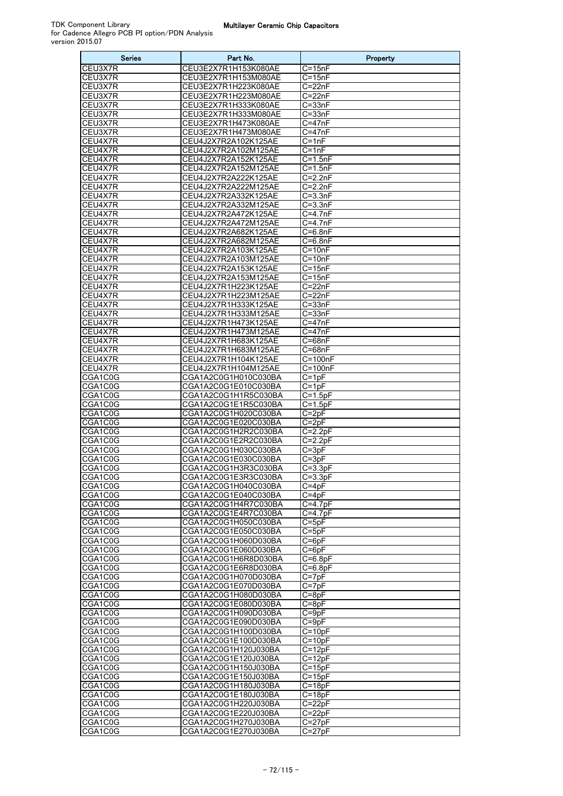| Series             | Part No.                                     | Property                          |
|--------------------|----------------------------------------------|-----------------------------------|
| CEU3X7R            | CEU3E2X7R1H153K080AE                         | C=15nF                            |
| CEU3X7R            | CEU3E2X7R1H153M080AE                         | $C = 15nF$                        |
| CEU3X7R            | CEU3E2X7R1H223K080AE                         | $C=22nF$                          |
| CEU3X7R<br>CEU3X7R | CEU3E2X7R1H223M080AE<br>CEU3E2X7R1H333K080AE | C=22nF<br>$C = 33nF$              |
| CEU3X7R            | CEU3E2X7R1H333M080AE                         | $C = 33nF$                        |
| CEU3X7R            | CEU3E2X7R1H473K080AE                         | C=47nF                            |
| CEU3X7R            | CEU3E2X7R1H473M080AE                         | C=47nF                            |
| CEU4X7R            | CEU4J2X7R2A102K125AE                         | C=1nF                             |
| CEU4X7R            | CEU4J2X7R2A102M125AE                         | $C=1nF$                           |
| CEU4X7R            | CEU4J2X7R2A152K125AE                         | $C = 1.5nF$                       |
| CEU4X7R            | CEU4J2X7R2A152M125AE                         | $C=1.5nF$                         |
| CEU4X7R            | CEU4J2X7R2A222K125AE                         | $C = 2.2nF$                       |
| CEU4X7R<br>CEU4X7R | CEU4J2X7R2A222M125AE<br>CEU4J2X7R2A332K125AE | $C = 2.2nF$<br>$C = 3.3nF$        |
| CEU4X7R            | CEU4J2X7R2A332M125AE                         | $C = 3.3nF$                       |
| CEU4X7R            | CEU4J2X7R2A472K125AE                         | $\overline{C=4}$ .7nF             |
| CEU4X7R            | CEU4J2X7R2A472M125AE                         | C=4.7nF                           |
| CEU4X7R            | CEU4J2X7R2A682K125AE                         | $C = 6.8nF$                       |
| CEU4X7R            | CEU4J2X7R2A682M125AE                         | $C = 6.8nF$                       |
| CEU4X7R            | CEU4J2X7R2A103K125AE                         | $C = 10nF$                        |
| CEU4X7R            | CEU4J2X7R2A103M125AE                         | C=10nF                            |
| CEU4X7R            | CEU4J2X7R2A153K125AE                         | C=15nF                            |
| CEU4X7R            | CEU4J2X7R2A153M125AE                         | $C = 15nF$                        |
| CEU4X7R<br>CEU4X7R | CEU4J2X7R1H223K125AE<br>CEU4J2X7R1H223M125AE | $C = 22nF$<br>C=22nF              |
| CEU4X7R            | CEU4J2X7R1H333K125AE                         | C=33nF                            |
| CEU4X7R            | CEU4J2X7R1H333M125AE                         | C=33nF                            |
| CEU4X7R            | CEU4J2X7R1H473K125AE                         | C=47nF                            |
| CEU4X7R            | CEU4J2X7R1H473M125AE                         | C=47nF                            |
| CEU4X7R            | CEU4J2X7R1H683K125AE                         | C=68nF                            |
| CEU4X7R            | CEU4J2X7R1H683M125AE                         | C=68nF                            |
| CEU4X7R            | CEU4J2X7R1H104K125AE                         | C=100nF                           |
| CEU4X7R            | CEU4J2X7R1H104M125AE                         | C=100nF                           |
| CGA1C0G            | CGA1A2C0G1H010C030BA<br>CGA1A2C0G1E010C030BA | $C = 1pF$                         |
| CGA1C0G<br>CGA1C0G | CGA1A2C0G1H1R5C030BA                         | $C = 1pF$<br>$C=1.5pF$            |
| CGA1C0G            | CGA1A2C0G1E1R5C030BA                         | $C = 1.5pF$                       |
| CGA1C0G            | CGA1A2C0G1H020C030BA                         | $C = 2pF$                         |
| CGA1C0G            | CGA1A2C0G1E020C030BA                         | $C = 2pF$                         |
| CGA1C0G            | CGA1A2C0G1H2R2C030BA                         | $C = 2.2pF$                       |
| CGA1C0G            | CGA1A2C0G1E2R2C030BA                         | $C=2.2pF$                         |
| CGA1C0G            | CGA1A2C0G1H030C030BA                         | $C = 3pF$                         |
| CGA1C0G<br>CGA1C0G | CGA1A2C0G1E030C030BA<br>CGA1A2C0G1H3R3C030BA | $C = 3pF$<br>$\overline{C=3}.3pF$ |
| CGA1C0G            | CGA1A2C0G1E3R3C030BA                         |                                   |
| CGA1C0G            | CGA1A2C0G1H040C030BA                         | U=3.3pF<br>$C = 4pF$              |
| CGA1C0G            | CGA1A2C0G1E040C030BA                         | $C = 4pF$                         |
| CGA1C0G            | CGA1A2C0G1H4R7C030BA                         | $C = 4.7pF$                       |
| CGA1C0G            | CGA1A2C0G1E4R7C030BA                         | $C=4.7pF$                         |
| CGA1C0G            | CGA1A2C0G1H050C030BA                         | $C = 5pF$                         |
| CGA1C0G            | CGA1A2C0G1E050C030BA                         | $C = 5pF$                         |
| CGA1C0G            | CGA1A2C0G1H060D030BA                         | $C = 6pF$                         |
| CGA1C0G            | CGA1A2C0G1E060D030BA                         | $C = 6pF$                         |
| CGA1C0G<br>CGA1C0G | CGA1A2C0G1H6R8D030BA<br>CGA1A2C0G1E6R8D030BA | $C = 6.8pF$<br>$C = 6.8pF$        |
| CGA1C0G            | CGA1A2C0G1H070D030BA                         | $C = 7pF$                         |
| CGA1C0G            | CGA1A2C0G1E070D030BA                         | $C=7pF$                           |
| CGA1C0G            | CGA1A2C0G1H080D030BA                         | $C = 8pF$                         |
| CGA1C0G            | CGA1A2C0G1E080D030BA                         | $C = 8pF$                         |
| CGA1C0G            | CGA1A2C0G1H090D030BA                         | $C = 9pF$                         |
| CGA1C0G            | CGA1A2C0G1E090D030BA                         | $C = 9pF$                         |
| CGA1C0G            | CGA1A2C0G1H100D030BA                         | $C = 10pF$                        |
| CGA1C0G            | CGA1A2C0G1E100D030BA                         | $C = 10pF$                        |
| CGA1C0G<br>CGA1C0G | CGA1A2C0G1H120J030BA<br>CGA1A2C0G1E120J030BA | $C = 12pF$<br>$C = 12pF$          |
| CGA1C0G            | CGA1A2C0G1H150J030BA                         | $C = 15pF$                        |
| CGA1C0G            | CGA1A2C0G1E150J030BA                         | $C = 15pF$                        |
| CGA1C0G            | CGA1A2C0G1H180J030BA                         | $C = 18pF$                        |
| CGA1C0G            | CGA1A2C0G1E180J030BA                         | $C = 18pF$                        |
| CGA1C0G            | CGA1A2C0G1H220J030BA                         | $C = 22pF$                        |
| CGA1C0G            | CGA1A2C0G1E220J030BA                         | $C = 22pF$                        |
| CGA1C0G            | CGA1A2C0G1H270J030BA                         | C=27pF                            |
| CGA1C0G            | CGA1A2C0G1E270J030BA                         | $C=27pF$                          |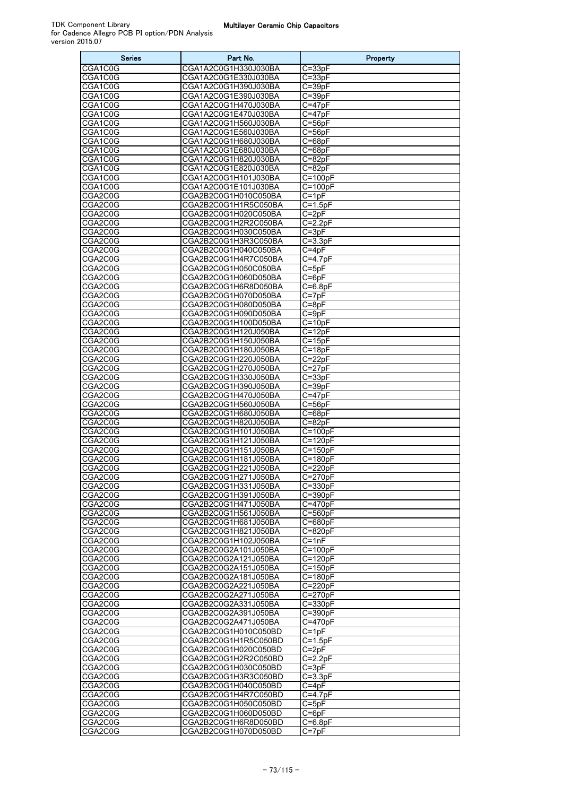| <b>Series</b>                    | Part No.                                     | Property                   |
|----------------------------------|----------------------------------------------|----------------------------|
| CGA1C0G                          | CGA1A2C0G1H330J030BA                         | $C = 33pF$                 |
| CGA1C0G                          | CGA1A2C0G1E330J030BA                         | $C = 33pF$                 |
| CGA1C0G                          | CGA1A2C0G1H390J030BA                         | $C = 39pF$                 |
| CGA1C0G                          | CGA1A2C0G1E390J030BA                         | $C = 39pF$                 |
| CGA1C0G                          | CGA1A2C0G1H470J030BA                         | C=47pF                     |
| CGA1C0G                          | CGA1A2C0G1E470J030BA                         | $C=47pF$                   |
| CGA1C0G                          | CGA1A2C0G1H560J030BA                         | $C = 56pF$                 |
| CGA1C0G                          | CGA1A2C0G1E560J030BA                         | $C = 56pF$                 |
| CGA1C0G<br>CGA1C0G               | CGA1A2C0G1H680J030BA<br>CGA1A2C0G1E680J030BA | $C = 68pF$                 |
| CGA1C0G                          | CGA1A2C0G1H820J030BA                         | $C = 68pF$<br>$C = 82pF$   |
| CGA1C0G                          | CGA1A2C0G1E820J030BA                         | $C = 82pF$                 |
| CGA1C0G                          | CGA1A2C0G1H101J030BA                         | $C = 100pF$                |
| CGA1C0G                          | CGA1A2C0G1E101J030BA                         | $C = 100pF$                |
| CGA2C0G                          | CGA2B2C0G1H010C050BA                         | $C = 1pF$                  |
| CGA2C0G                          | CGA2B2C0G1H1R5C050BA                         | $C = 1.5pF$                |
| CGA2C0G                          | CGA2B2C0G1H020C050BA                         | $C = 2pF$                  |
| CGA2C0G                          | CGA2B2C0G1H2R2C050BA                         | $C = 2.2pF$                |
| CGA2C0G                          | CGA2B2C0G1H030C050BA                         | $C = 3pF$                  |
| CGA2C0G                          | CGA2B2C0G1H3R3C050BA                         | $C = 3.3pF$                |
| CGA2C0G                          | CGA2B2C0G1H040C050BA                         | $C=4pF$                    |
| CGA2C0G                          | CGA2B2C0G1H4R7C050BA                         | $C=4.7pF$                  |
| CGA2C0G                          | CGA2B2C0G1H050C050BA                         | $C = 5pF$                  |
| CGA2C0G                          | CGA2B2C0G1H060D050BA                         | $C = 6pF$                  |
| CGA2C0G<br>CGA2C0G               | CGA2B2C0G1H6R8D050BA                         | $C = 6.8pF$<br>$C = 7pF$   |
| CGA2C0G                          | CGA2B2C0G1H070D050BA<br>CGA2B2C0G1H080D050BA | $C = 8pF$                  |
| CGA2C0G                          | CGA2B2C0G1H090D050BA                         | $C = 9pF$                  |
| CGA2C0G                          | CGA2B2C0G1H100D050BA                         | $C = 10pF$                 |
| CGA2C0G                          | CGA2B2C0G1H120J050BA                         | $C = 12pF$                 |
| CGA2C0G                          | CGA2B2C0G1H150J050BA                         | $C = 15pF$                 |
| CGA2C0G                          | CGA2B2C0G1H180J050BA                         | $C=18pF$                   |
| CGA2C0G                          | CGA2B2C0G1H220J050BA                         | C=22pF                     |
| CGA2C0G                          | CGA2B2C0G1H270J050BA                         | $C = 27pF$                 |
| CGA2C0G                          | CGA2B2C0G1H330J050BA                         | $C = 33pF$                 |
| CGA2C0G                          | CGA2B2C0G1H390J050BA                         | $C = 39pF$                 |
| CGA2C0G                          | CGA2B2C0G1H470J050BA                         | $C = 47pF$                 |
| CGA2C0G                          | CGA2B2C0G1H560J050BA                         | $C = 56pF$                 |
| CGA2C0G                          | CGA2B2C0G1H680J050BA                         | $C = 68pF$                 |
| CGA2C0G                          | CGA2B2C0G1H820J050BA                         | $C = 82pF$                 |
| CGA2C0G<br>CGA2C0G               | CGA2B2C0G1H101J050BA<br>CGA2B2C0G1H121J050BA | $C=100pF$<br>$C=120pF$     |
| CGA2C0G                          | CGA2B2C0G1H151J050BA                         | $C = 150pF$                |
| CGA2C0G                          | CGA2B2C0G1H181J050BA                         | $C=180pF$                  |
| CGA2C0G                          | CGA2B2C0G1H221J050BA                         | $C = 220pF$                |
| CGA2C0G                          | CGA2B2C0G1H271J050BA                         | $C = 270pF$                |
| CGA2C0G                          | CGA2B2C0G1H331J050BA                         | $C = 330pF$                |
| CGA2C0G                          | CGA2B2C0G1H391J050BA                         | $C = 390pF$                |
| CGA2C0G                          | CGA2B2C0G1H471J050BA                         | $C = 470pF$                |
| CGA2C0G                          | CGA2B2C0G1H561J050BA                         | $C = 560pF$                |
| CGA2C0G                          | CGA2B2C0G1H681J050BA                         | $C = 680pF$                |
| CGA2C0G                          | CGA2B2C0G1H821J050BA                         | $C = 820pF$                |
| CGA2C0G                          | CGA2B2C0G1H102J050BA                         | $C = 1nF$                  |
| CGA <sub>2</sub> C <sub>0G</sub> | CGA2B2C0G2A101J050BA                         | $C = 100pF$                |
| CGA2C0G<br>CGA2C0G               | CGA2B2C0G2A121J050BA<br>CGA2B2C0G2A151J050BA | $C = 120pF$<br>$C = 150pF$ |
| CGA2C0G                          | CGA2B2C0G2A181J050BA                         | $C = 180pF$                |
| CGA2C0G                          | CGA2B2C0G2A221J050BA                         | $C = 220pF$                |
| CGA <sub>2</sub> C <sub>0G</sub> | CGA2B2C0G2A271J050BA                         | $C = 270pF$                |
| CGA2C0G                          | CGA2B2C0G2A331J050BA                         | $C = 330pF$                |
| CGA2C0G                          | CGA2B2C0G2A391J050BA                         | $C = 390pF$                |
| CGA2C0G                          | CGA2B2C0G2A471J050BA                         | $C=470pF$                  |
| CGA2C0G                          | CGA2B2C0G1H010C050BD                         | $C = 1pF$                  |
| CGA <sub>2</sub> C <sub>0G</sub> | CGA2B2C0G1H1R5C050BD                         | $C=1.5pF$                  |
| CGA2C0G                          | CGA2B2C0G1H020C050BD                         | $C = 2pF$                  |
| CGA2C0G                          | CGA2B2C0G1H2R2C050BD                         | $C = 2.2pF$                |
| CGA2C0G                          | CGA2B2C0G1H030C050BD                         | $C = 3pF$                  |
| CGA2C0G                          | CGA2B2C0G1H3R3C050BD                         | $C = 3.3pF$                |
| CGA <sub>2</sub> C <sub>0G</sub> | CGA2B2C0G1H040C050BD                         | $C = 4pF$                  |
| CGA2C0G                          | CGA2B2C0G1H4R7C050BD                         | $C=4.7pF$                  |
| CGA2C0G<br>CGA2C0G               | CGA2B2C0G1H050C050BD<br>CGA2B2C0G1H060D050BD | $C = 5pF$<br>$C = 6pF$     |
| CGA2C0G                          | CGA2B2C0G1H6R8D050BD                         | $C = 6.8pF$                |
| CGA2C0G                          | CGA2B2C0G1H070D050BD                         | $C = 7pF$                  |
|                                  |                                              |                            |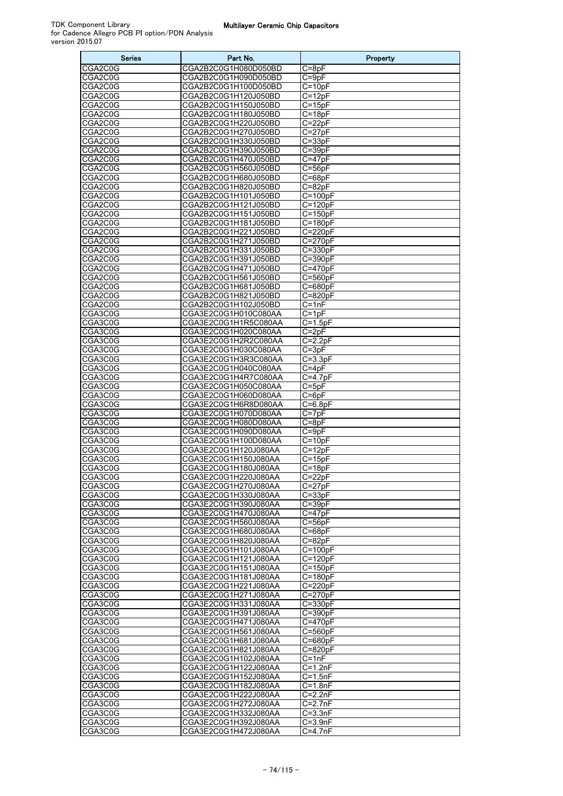| <b>Series</b>      | Part No.                                     | Property                 |
|--------------------|----------------------------------------------|--------------------------|
| CGA2C0G            | CGA2B2C0G1H080D050BD                         | $C = 8pF$                |
| CGA2C0G            | CGA2B2C0G1H090D050BD                         | $C = 9pF$                |
| CGA2C0G            | CGA2B2C0G1H100D050BD                         | $C = 10pF$               |
| CGA2C0G            | CGA2B2C0G1H120J050BD                         | $C = 12pF$               |
| CGA2C0G            | CGA2B2C0G1H150J050BD                         | $C = 15pF$               |
| CGA2C0G            | CGA2B2C0G1H180J050BD                         | $C = 18pF$               |
| CGA2C0G            | CGA2B2C0G1H220J050BD                         | $C = 22pF$               |
| CGA2C0G            | CGA2B2C0G1H270J050BD                         | $C = 27pF$               |
| CGA2C0G<br>CGA2C0G | CGA2B2C0G1H330J050BD<br>CGA2B2C0G1H390J050BD | $C = 33pF$<br>$C = 39pF$ |
| CGA2C0G            | CGA2B2C0G1H470J050BD                         | $C = 47pF$               |
| CGA2C0G            | CGA2B2C0G1H560J050BD                         | $C = 56pF$               |
| CGA2C0G            | CGA2B2C0G1H680J050BD                         | C=68pF                   |
| CGA2C0G            | CGA2B2C0G1H820J050BD                         | $C = 82pF$               |
| CGA2C0G            | CGA2B2C0G1H101J050BD                         | $C = 100pF$              |
| CGA2C0G            | CGA2B2C0G1H121J050BD                         | $C=120pF$                |
| CGA2C0G            | CGA2B2C0G1H151J050BD                         | $C = 150pF$              |
| CGA2C0G            | CGA2B2C0G1H181J050BD                         | $C = 180pF$              |
| CGA2C0G            | CGA2B2C0G1H221J050BD                         | $C=220pF$                |
| CGA2C0G            | CGA2B2C0G1H271J050BD                         | $C = 270pF$              |
| CGA2C0G            | CGA2B2C0G1H331J050BD                         | $C = 330pF$              |
| CGA2C0G            | CGA2B2C0G1H391J050BD                         | C=390pF                  |
| CGA2C0G<br>CGA2C0G | CGA2B2C0G1H471J050BD<br>CGA2B2C0G1H561J050BD | $C = 470pF$              |
| CGA2C0G            | CGA2B2C0G1H681J050BD                         | C=560pF<br>C=680pF       |
| CGA2C0G            | CGA2B2C0G1H821J050BD                         | C=820pF                  |
| CGA2C0G            | CGA2B2C0G1H102J050BD                         | $C = 1nF$                |
| CGA3C0G            | CGA3E2C0G1H010C080AA                         | $C=1pF$                  |
| CGA3C0G            | CGA3E2C0G1H1R5C080AA                         | $\overline{C=1}.5pF$     |
| CGA3C0G            | CGA3E2C0G1H020C080AA                         | C=2pF                    |
| CGA3C0G            | CGA3E2C0G1H2R2C080AA                         | $C = 2.2pF$              |
| CGA3C0G            | CGA3E2C0G1H030C080AA                         | $C = 3pF$                |
| CGA3C0G            | CGA3E2C0G1H3R3C080AA                         | $C = 3.3pF$              |
| CGA3C0G            | CGA3E2C0G1H040C080AA                         | $C = 4pF$                |
| CGA3C0G            | CGA3E2C0G1H4R7C080AA                         | $C = 4.7pF$              |
| CGA3C0G            | CGA3E2C0G1H050C080AA                         | $C = 5pF$                |
| CGA3C0G            | CGA3E2C0G1H060D080AA                         | $C = 6pF$                |
| CGA3C0G<br>CGA3C0G | CGA3E2C0G1H6R8D080AA<br>CGA3E2C0G1H070D080AA | $C = 6.8pF$<br>$C = 7pF$ |
| CGA3C0G            | CGA3E2C0G1H080D080AA                         | $C = 8pF$                |
| CGA3C0G            | CGA3E2C0G1H090D080AA                         | $C = 9pF$                |
| CGA3C0G            | CGA3E2C0G1H100D080AA                         | $C=10pF$                 |
| CGA3C0G            | CGA3E2C0G1H120J080AA                         | C=12pF                   |
| CGA3C0G            | CGA3E2C0G1H150J080AA                         | $C=15pF$                 |
| CGA3C0G            | CGA3E2C0G1H180J080AA                         | $C=18pF$                 |
| CGA3C0G            | CGA3E2C0G1H220J080AA                         | $C = 22pF$               |
| CGA3C0G            | CGA3E2C0G1H270J080AA                         | $C = 27pF$               |
| CGA3C0G            | CGA3E2C0G1H330J080AA                         | $C = 33pF$               |
| CGA3C0G            | CGA3E2C0G1H390J080AA                         | $C = 39pF$               |
| CGA3C0G<br>CGA3C0G | CGA3E2C0G1H470J080AA<br>CGA3E2C0G1H560J080AA | $C = 47pF$<br>$C = 56pF$ |
| CGA3C0G            | CGA3E2C0G1H680J080AA                         | C=68pF                   |
| CGA3C0G            | CGA3E2C0G1H820J080AA                         | C=82pF                   |
| CGA3C0G            | CGA3E2C0G1H101J080AA                         | $C = 100pF$              |
| CGA3C0G            | CGA3E2C0G1H121J080AA                         | $C = 120pF$              |
| CGA3C0G            | CGA3E2C0G1H151J080AA                         | $C = 150pF$              |
| CGA3C0G            | CGA3E2C0G1H181J080AA                         | $C = 180pF$              |
| CGA3C0G            | CGA3E2C0G1H221J080AA                         | $C = 220pF$              |
| CGA3C0G            | CGA3E2C0G1H271J080AA                         | $C = 270pF$              |
| CGA3C0G            | CGA3E2C0G1H331J080AA                         | $C = 330pF$              |
| CGA3C0G            | CGA3E2C0G1H391J080AA                         | $C = 390pF$              |
| CGA3C0G            | CGA3E2C0G1H471J080AA                         | $\overline{C=470}$ pF    |
| CGA3C0G<br>CGA3C0G | CGA3E2C0G1H561J080AA<br>CGA3E2C0G1H681J080AA | $C = 560pF$<br>C=680pF   |
| CGA3C0G            | CGA3E2C0G1H821J080AA                         | C=820pF                  |
| CGA3C0G            | CGA3E2C0G1H102J080AA                         | $C = 1nF$                |
| CGA3C0G            | CGA3E2C0G1H122J080AA                         | $C = 1.2nF$              |
| CGA3C0G            | CGA3E2C0G1H152J080AA                         | $C = 1.5nF$              |
| CGA3C0G            | CGA3E2C0G1H182J080AA                         | $C = 1.8nF$              |
| CGA3C0G            | CGA3E2C0G1H222J080AA                         | $C = 2.2nF$              |
| CGA3C0G            | CGA3E2C0G1H272J080AA                         | C=2.7nF                  |
| CGA3C0G            | CGA3E2C0G1H332J080AA                         | $C = 3.3nF$              |
| CGA3C0G            | CGA3E2C0G1H392J080AA                         | C=3.9nF                  |
| CGA3C0G            | CGA3E2C0G1H472J080AA                         | C=4.7nF                  |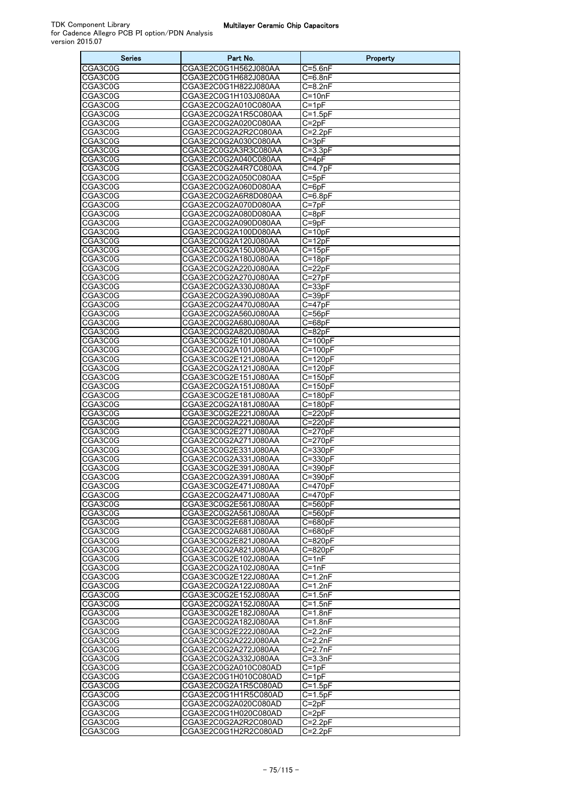| <b>Series</b>      | Part No.                                     | Property                   |
|--------------------|----------------------------------------------|----------------------------|
| CGA3C0G            | CGA3E2C0G1H562J080AA                         | $C = 5.6nF$                |
| CGA3C0G            | CGA3E2C0G1H682J080AA                         | C=6.8nF                    |
| CGA3C0G            | CGA3E2C0G1H822J080AA                         | $C = 8.2nF$                |
| CGA3C0G            | CGA3E2C0G1H103J080AA                         | $C = 10nF$                 |
| CGA3C0G            | CGA3E2C0G2A010C080AA                         | $C = 1pF$                  |
| CGA3C0G            | CGA3E2C0G2A1R5C080AA                         | $C=1.5pF$                  |
| CGA3C0G            | CGA3E2C0G2A020C080AA                         | $C = 2pF$                  |
| CGA3C0G            | CGA3E2C0G2A2R2C080AA                         | $C = 2.2pF$                |
| CGA3C0G<br>CGA3C0G | CGA3E2C0G2A030C080AA<br>CGA3E2C0G2A3R3C080AA | $C = 3pF$<br>$C = 3.3pF$   |
| CGA3C0G            | CGA3E2C0G2A040C080AA                         | $C = 4pF$                  |
| CGA3C0G            | CGA3E2C0G2A4R7C080AA                         | $C=4.7pF$                  |
| CGA3C0G            | CGA3E2C0G2A050C080AA                         | $C = 5pF$                  |
| CGA3C0G            | CGA3E2C0G2A060D080AA                         | $C = 6pF$                  |
| CGA3C0G            | CGA3E2C0G2A6R8D080AA                         | $C=6.8pF$                  |
| CGA3C0G            | CGA3E2C0G2A070D080AA                         | $C = 7pF$                  |
| CGA3C0G            | CGA3E2C0G2A080D080AA                         | $C = 8pF$                  |
| CGA3C0G            | CGA3E2C0G2A090D080AA                         | $C = 9pF$                  |
| CGA3C0G            | CGA3E2C0G2A100D080AA                         | $C = 10pF$                 |
| CGA3C0G            | CGA3E2C0G2A120J080AA                         | $C = 12pF$                 |
| CGA3C0G            | CGA3E2C0G2A150J080AA                         | $C=15pF$                   |
| CGA3C0G            | CGA3E2C0G2A180J080AA                         | $C=18pF$                   |
| CGA3C0G            | CGA3E2C0G2A220J080AA                         | $C = 22pF$                 |
| CGA3C0G            | CGA3E2C0G2A270J080AA<br>CGA3E2C0G2A330J080AA | $C = 27pF$<br>$C = 33pF$   |
| CGA3C0G<br>CGA3C0G | CGA3E2C0G2A390J080AA                         | $C = 39pF$                 |
| CGA3C0G            | CGA3E2C0G2A470J080AA                         | $C=47pF$                   |
| CGA3C0G            | CGA3E2C0G2A560J080AA                         | $C = 56pF$                 |
| CGA3C0G            | CGA3E2C0G2A680J080AA                         | $C = 68pF$                 |
| CGA3C0G            | CGA3E2C0G2A820J080AA                         | $C = 82pF$                 |
| CGA3C0G            | CGA3E3C0G2E101J080AA                         | $C = 100pF$                |
| CGA3C0G            | CGA3E2C0G2A101J080AA                         | $C = 100pF$                |
| CGA3C0G            | CGA3E3C0G2E121J080AA                         | $C = 120pF$                |
| CGA3C0G            | CGA3E2C0G2A121J080AA                         | $C = 120pF$                |
| CGA3C0G            | CGA3E3C0G2E151J080AA                         | $C = 150pF$                |
| CGA3C0G            | CGA3E2C0G2A151J080AA                         | $C = 150pF$                |
| CGA3C0G            | CGA3E3C0G2E181J080AA                         | $C = 180pF$                |
| CGA3C0G            | CGA3E2C0G2A181J080AA                         | $C = 180pF$                |
| CGA3C0G<br>CGA3C0G | CGA3E3C0G2E221J080AA<br>CGA3E2C0G2A221J080AA | $C = 220pF$                |
| CGA3C0G            | CGA3E3C0G2E271J080AA                         | $C = 220pF$<br>$C = 270pF$ |
| CGA3C0G            | CGA3E2C0G2A271J080AA                         | C=270pF                    |
| CGA3C0G            | CGA3E3C0G2E331J080AA                         | $C = 330pF$                |
| CGA3C0G            | CGA3E2C0G2A331J080AA                         | C=330pF                    |
| CGA3C0G            | CGA3E3C0G2E391J080AA                         | C=390pF                    |
| CGA3C0G            | CGA3E2C0G2A391J080AA                         | $C = 390pF$                |
| CGA3C0G            | CGA3E3C0G2E471J080AA                         | $C = 470pF$                |
| CGA3C0G            | CGA3E2C0G2A471J080AA                         | $C = 470pF$                |
| CGA3C0G            | CGA3E3C0G2E561J080AA                         | C=560pF                    |
| CGA3C0G            | CGA3E2C0G2A561J080AA                         | C=560pF                    |
| CGA3C0G            | CGA3E3C0G2E681J080AA                         | $C = 680pF$                |
| CGA3C0G            | CGA3E2C0G2A681J080AA                         | $C = 680pF$                |
| CGA3C0G            | CGA3E3C0G2E821J080AA                         | $C = 820pF$                |
| CGA3C0G<br>CGA3C0G | CGA3E2C0G2A821J080AA<br>CGA3E3C0G2E102J080AA | $C = 820pF$<br>$C = 1nF$   |
| CGA3C0G            | CGA3E2C0G2A102J080AA                         | C=1nF                      |
| CGA3C0G            | CGA3E3C0G2E122J080AA                         | $C=1.2nF$                  |
| CGA3C0G            | CGA3E2C0G2A122J080AA                         | $C = 1.2nF$                |
| CGA3C0G            | CGA3E3C0G2E152J080AA                         | $C = 1.5nF$                |
| CGA3C0G            | CGA3E2C0G2A152J080AA                         | $C = 1.5nF$                |
| CGA3C0G            | CGA3E3C0G2E182J080AA                         | C=1.8nF                    |
| CGA3C0G            | CGA3E2C0G2A182J080AA                         | $C = 1.8nF$                |
| CGA3C0G            | CGA3E3C0G2E222J080AA                         | $C = 2.2nF$                |
| CGA3C0G            | CGA3E2C0G2A222J080AA                         | $C = 2.2nF$                |
| CGA3C0G            | CGA3E2C0G2A272J080AA                         | $C = 2.7nF$                |
| CGA3C0G            | CGA3E2C0G2A332J080AA                         | C=3.3nF                    |
| CGA3C0G            | CGA3E2C0G2A010C080AD                         | $C = 1pF$                  |
| CGA3C0G<br>CGA3C0G | CGA3E2C0G1H010C080AD<br>CGA3E2C0G2A1R5C080AD | $C = 1pF$<br>$C=1.5pF$     |
| CGA3C0G            | CGA3E2C0G1H1R5C080AD                         | $C=1.5pF$                  |
| CGA3C0G            | CGA3E2C0G2A020C080AD                         | $C = 2pF$                  |
| CGA3C0G            | CGA3E2C0G1H020C080AD                         | $C = 2pF$                  |
| CGA3C0G            | CGA3E2C0G2A2R2C080AD                         | $C = 2.2pF$                |
| CGA3C0G            | CGA3E2C0G1H2R2C080AD                         | $C=2.2pF$                  |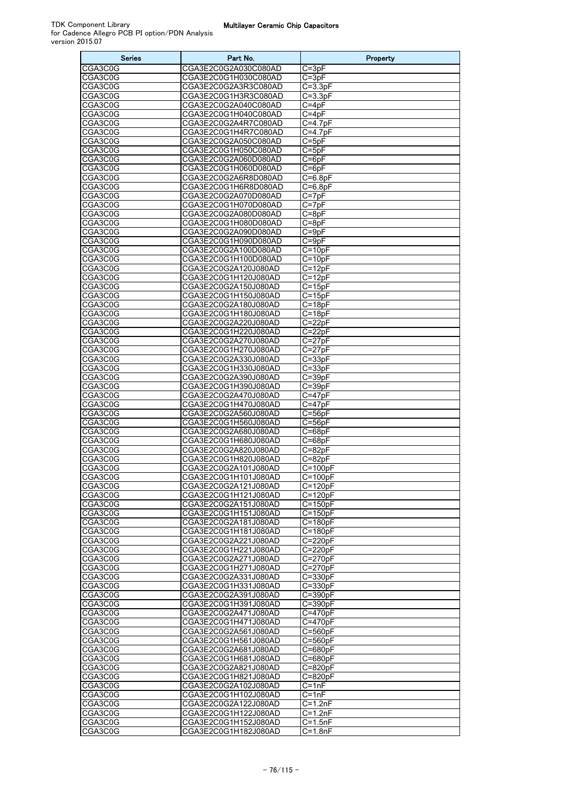| <b>Series</b>      | Part No.                                     | Property                   |
|--------------------|----------------------------------------------|----------------------------|
| CGA3C0G            | CGA3E2C0G2A030C080AD                         | $C = 3pF$                  |
| CGA3C0G            | CGA3E2C0G1H030C080AD                         | $C = 3pF$                  |
| CGA3C0G            | CGA3E2C0G2A3R3C080AD                         | $C = 3.3pF$                |
| CGA3C0G            | CGA3E2C0G1H3R3C080AD                         | $C = 3.3pF$                |
| CGA3C0G            | CGA3E2C0G2A040C080AD                         | $C = 4pF$                  |
| CGA3C0G            | CGA3E2C0G1H040C080AD                         | $C = 4pF$                  |
| CGA3C0G            | CGA3E2C0G2A4R7C080AD                         | $C = 4.7pF$                |
| CGA3C0G            | CGA3E2C0G1H4R7C080AD                         | $C = 4.7pF$                |
| CGA3C0G            | CGA3E2C0G2A050C080AD<br>CGA3E2C0G1H050C080AD | $C = 5pF$                  |
| CGA3C0G<br>CGA3C0G | CGA3E2C0G2A060D080AD                         | $C = 5pF$<br>$C = 6pF$     |
| CGA3C0G            | CGA3E2C0G1H060D080AD                         | $C = 6pF$                  |
| CGA3C0G            | CGA3E2C0G2A6R8D080AD                         | $C = 6.8pF$                |
| CGA3C0G            | CGA3E2C0G1H6R8D080AD                         | $C = 6.8pF$                |
| CGA3C0G            | CGA3E2C0G2A070D080AD                         | $C = 7pF$                  |
| CGA3C0G            | CGA3E2C0G1H070D080AD                         | $C = 7pF$                  |
| CGA3C0G            | CGA3E2C0G2A080D080AD                         | $C = 8pF$                  |
| CGA3C0G            | CGA3E2C0G1H080D080AD                         | $C = 8pF$                  |
| CGA3C0G            | CGA3E2C0G2A090D080AD                         | $C = 9pF$                  |
| CGA3C0G            | CGA3E2C0G1H090D080AD                         | $C = 9pF$                  |
| CGA3C0G            | CGA3E2C0G2A100D080AD                         | $C=10pF$                   |
| CGA3C0G            | CGA3E2C0G1H100D080AD                         | $C=10pF$                   |
| CGA3C0G            | CGA3E2C0G2A120J080AD<br>CGA3E2C0G1H120J080AD | $C = 12pF$                 |
| CGA3C0G<br>CGA3C0G | CGA3E2C0G2A150J080AD                         | $C = 12pF$<br>$C = 15pF$   |
| CGA3C0G            | CGA3E2C0G1H150J080AD                         | $C = 15pF$                 |
| CGA3C0G            | CGA3E2C0G2A180J080AD                         | $C=18pF$                   |
| CGA3C0G            | CGA3E2C0G1H180J080AD                         | $C = 18pF$                 |
| CGA3C0G            | CGA3E2C0G2A220J080AD                         | $C = 22pF$                 |
| CGA3C0G            | CGA3E2C0G1H220J080AD                         | $C = 22pF$                 |
| CGA3C0G            | CGA3E2C0G2A270J080AD                         | $C = 27pF$                 |
| CGA3C0G            | CGA3E2C0G1H270J080AD                         | C=27pF                     |
| CGA3C0G            | CGA3E2C0G2A330J080AD                         | $C = 33pF$                 |
| CGA3C0G            | CGA3E2C0G1H330J080AD                         | $C = 33pF$                 |
| CGA3C0G            | CGA3E2C0G2A390J080AD                         | $C = 39pF$                 |
| CGA3C0G            | CGA3E2C0G1H390J080AD                         | $C = 39pF$                 |
| CGA3C0G            | CGA3E2C0G2A470J080AD                         | $C = 47pF$                 |
| CGA3C0G<br>CGA3C0G | CGA3E2C0G1H470J080AD<br>CGA3E2C0G2A560J080AD | C=47pF<br>$C = 56pF$       |
| CGA3C0G            | CGA3E2C0G1H560J080AD                         | C=56pF                     |
| CGA3C0G            | CGA3E2C0G2A680J080AD                         | $\overline{C=68}$ pF       |
| CGA3C0G            | CGA3E2C0G1H680J080AD                         | C=68pF                     |
| CGA3C0G            | CGA3E2C0G2A820J080AD                         | $C = 82pF$                 |
| CGA3C0G            | CGA3E2C0G1H820J080AD                         | $C = 82pF$                 |
| CGA3C0G            | CGA3E2C0G2A101J080AD                         | $\overline{C}$ =100pF      |
| CGA3C0G            | CGA3E2C0G1H101J080AD                         | $C = 100pF$                |
| CGA3C0G            | CGA3E2C0G2A121J080AD                         | $C = 120pF$                |
| CGA3C0G            | CGA3E2C0G1H121J080AD                         | $C = 120pF$                |
| CGA3C0G            | CGA3E2C0G2A151J080AD                         | $C=150pF$                  |
| CGA3C0G            | CGA3E2C0G1H151J080AD                         | $C = 150pF$                |
| CGA3C0G<br>CGA3C0G | CGA3E2C0G2A181J080AD<br>CGA3E2C0G1H181J080AD | $C = 180pF$                |
| CGA3C0G            | CGA3E2C0G2A221J080AD                         | $C = 180pF$<br>$C = 220pF$ |
| CGA3C0G            | CGA3E2C0G1H221J080AD                         | $C = 220pF$                |
| CGA3C0G            | CGA3E2C0G2A271J080AD                         | $C = 270pF$                |
| CGA3C0G            | CGA3E2C0G1H271J080AD                         | $C = 270pF$                |
| CGA3C0G            | CGA3E2C0G2A331J080AD                         | C=330pF                    |
| CGA3C0G            | CGA3E2C0G1H331J080AD                         | $C = 330pF$                |
| CGA3C0G            | CGA3E2C0G2A391J080AD                         | $C = 390pF$                |
| CGA3C0G            | CGA3E2C0G1H391J080AD                         | $C = 390pF$                |
| CGA3C0G            | CGA3E2C0G2A471J080AD                         | $C = 470pF$                |
| CGA3C0G            | CGA3E2C0G1H471J080AD                         | $C=470pF$                  |
| CGA3C0G            | CGA3E2C0G2A561J080AD                         | C=560pF                    |
| CGA3C0G            | CGA3E2C0G1H561J080AD                         | $C = 560pF$                |
| CGA3C0G            | CGA3E2C0G2A681J080AD                         | $C = 680pF$<br>$C = 680pF$ |
| CGA3C0G<br>CGA3C0G | CGA3E2C0G1H681J080AD<br>CGA3E2C0G2A821J080AD | C=820pF                    |
| CGA3C0G            | CGA3E2C0G1H821J080AD                         | C=820pF                    |
| CGA3C0G            | CGA3E2C0G2A102J080AD                         | $C = 1nF$                  |
| CGA3C0G            | CGA3E2C0G1H102J080AD                         | $C = 1nF$                  |
| CGA3C0G            | CGA3E2C0G2A122J080AD                         | C=1.2nF                    |
| CGA3C0G            | CGA3E2C0G1H122J080AD                         | $C = 1.2nF$                |
| CGA3C0G            | CGA3E2C0G1H152J080AD                         | C=1.5nF                    |
| CGA3C0G            | CGA3E2C0G1H182J080AD                         | $C = 1.8nF$                |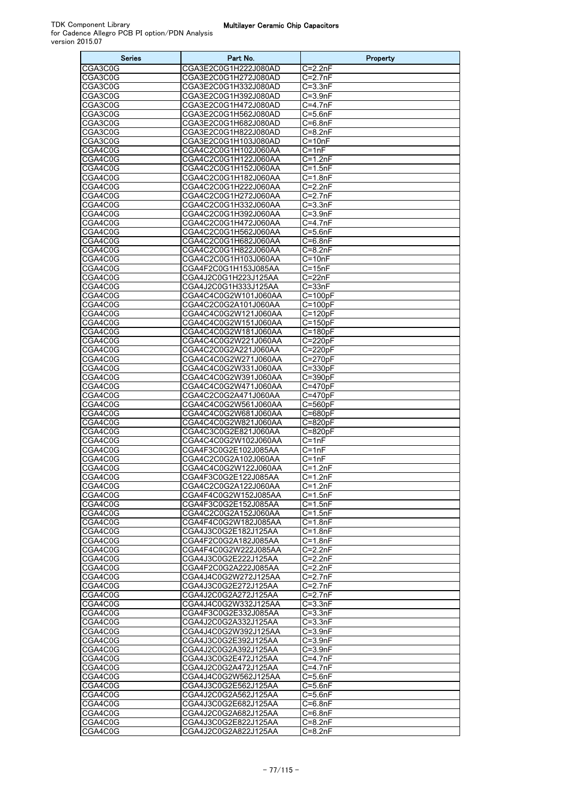| <b>Series</b>      | Part No.                                     | Property                 |
|--------------------|----------------------------------------------|--------------------------|
| CGA3C0G            | CGA3E2C0G1H222J080AD                         | $C = 2.2nF$              |
| CGA3C0G            | CGA3E2C0G1H272J080AD                         | $C = 2.7nF$              |
| CGA3C0G            | CGA3E2C0G1H332J080AD                         | $C = 3.3nF$              |
| CGA3C0G            | CGA3E2C0G1H392J080AD                         | $C = 3.9nF$              |
| CGA3C0G            | CGA3E2C0G1H472J080AD                         | $C = 4.7nF$              |
| CGA3C0G            | CGA3E2C0G1H562J080AD                         | $C=5.6nF$                |
| CGA3C0G            | CGA3E2C0G1H682J080AD                         | $C = 6.8nF$              |
| CGA3C0G            | CGA3E2C0G1H822J080AD                         | $C = 8.2nF$              |
| CGA3C0G            | CGA3E2C0G1H103J080AD                         | $C = 10nF$               |
| CGA4C0G<br>CGA4C0G | CGA4C2C0G1H102J060AA<br>CGA4C2C0G1H122J060AA | $C = 1nF$<br>$C = 1.2nF$ |
| CGA4C0G            | CGA4C2C0G1H152J060AA                         | $C=1.5nF$                |
| CGA4C0G            | CGA4C2C0G1H182J060AA                         | $C = 1.8nF$              |
| CGA4C0G            | CGA4C2C0G1H222J060AA                         | $C=2.2nF$                |
| CGA4C0G            | CGA4C2C0G1H272J060AA                         | $C = 2.7nF$              |
| CGA4C0G            | CGA4C2C0G1H332J060AA                         | $C=3.3nF$                |
| CGA4C0G            | CGA4C2C0G1H392J060AA                         | $C = 3.9nF$              |
| CGA4C0G            | CGA4C2C0G1H472J060AA                         | C=4.7nF                  |
| CGA4C0G            | CGA4C2C0G1H562J060AA                         | $C = 5.6nF$              |
| CGA4C0G            | CGA4C2C0G1H682J060AA                         | $C = 6.8nF$              |
| CGA4C0G            | CGA4C2C0G1H822J060AA                         | $C = 8.2nF$              |
| CGA4C0G            | CGA4C2C0G1H103J060AA                         | $C=10nF$                 |
| CGA4C0G            | CGA4F2C0G1H153J085AA                         | $C = 15nF$               |
| CGA4C0G            | CGA4J2C0G1H223J125AA                         | $C = 22nF$               |
| CGA4C0G            | CGA4J2C0G1H333J125AA                         | $C = 33nF$               |
| CGA4C0G            | CGA4C4C0G2W101J060AA                         | $C=100pF$                |
| CGA4C0G            | CGA4C2C0G2A101J060AA                         | $C = 100pF$              |
| CGA4C0G<br>CGA4C0G | CGA4C4C0G2W121J060AA<br>CGA4C4C0G2W151J060AA | $C = 120pF$              |
|                    |                                              | $C=150pF$                |
| CGA4C0G<br>CGA4C0G | CGA4C4C0G2W181J060AA<br>CGA4C4C0G2W221J060AA | $C = 180pF$<br>$C=220pF$ |
| CGA4C0G            | CGA4C2C0G2A221J060AA                         | $C=220pF$                |
| CGA4C0G            | CGA4C4C0G2W271J060AA                         | C=270pF                  |
| CGA4C0G            | CGA4C4C0G2W331J060AA                         | $C = 330pF$              |
| CGA4C0G            | CGA4C4C0G2W391J060AA                         | $C = 390pF$              |
| CGA4C0G            | CGA4C4C0G2W471J060AA                         | $C=470pF$                |
| CGA4C0G            | CGA4C2C0G2A471J060AA                         | $C=470pF$                |
| CGA4C0G            | CGA4C4C0G2W561J060AA                         | C=560pF                  |
| CGA4C0G            | CGA4C4C0G2W681J060AA                         | $C = 680pF$              |
| CGA4C0G            | CGA4C4C0G2W821J060AA                         | C=820pF                  |
| CGA4C0G            | CGA4C3C0G2E821J060AA                         | $C = 820pF$              |
| CGA4C0G            | CGA4C4C0G2W102J060AA                         | $C = 1nF$                |
| CGA4C0G            | CGA4F3C0G2E102J085AA                         | $C = 1nF$                |
| CGA4C0G            | CGA4C2C0G2A102J060AA                         | $C = 1nF$                |
| CGA4C0G            | CGA4C4C0G2W122J060AA<br>CGA4F3C0G2E122J085AA | C=1.2nF                  |
| CGA4C0G<br>CGA4C0G | CGA4C2C0G2A122J060AA                         | $C=1.2nF$<br>$C = 1.2nF$ |
| CGA4C0G            | CGA4F4C0G2W152J085AA                         | $\overline{C=1}.5nF$     |
| CGA4C0G            | CGA4F3C0G2E152J085AA                         | $C=1.5nF$                |
| CGA4C0G            | CGA4C2C0G2A152J060AA                         | $C = 1.5nF$              |
| CGA4C0G            | CGA4F4C0G2W182J085AA                         | $C = 1.8nF$              |
| CGA4C0G            | CGA4J3C0G2E182J125AA                         | C=1.8nF                  |
| CGA4C0G            | CGA4F2C0G2A182J085AA                         | C=1.8nF                  |
| CGA4C0G            | CGA4F4C0G2W222J085AA                         | $C=2.2nF$                |
| CGA4C0G            | CGA4J3C0G2E222J125AA                         | $C = 2.2nF$              |
| CGA4C0G            | CGA4F2C0G2A222J085AA                         | C=2.2nF                  |
| CGA4C0G            | CGA4J4C0G2W272J125AA                         | C=2.7nF                  |
| CGA4C0G            | CGA4J3C0G2E272J125AA                         | $C = 2.7nF$              |
| CGA4C0G            | CGA4J2C0G2A272J125AA                         | $C=2.7nF$                |
| CGA4C0G            | CGA4J4C0G2W332J125AA                         | $C = 3.3nF$              |
| CGA4C0G            | CGA4F3C0G2E332J085AA                         | C=3.3nF                  |
| CGA4C0G<br>CGA4C0G | CGA4J2C0G2A332J125AA<br>CGA4J4C0G2W392J125AA | $C = 3.3nF$<br>C=3.9nF   |
| CGA4C0G            | CGA4J3C0G2E392J125AA                         | C=3.9nF                  |
| CGA4C0G            | CGA4J2C0G2A392J125AA                         | $C = 3.9nF$              |
| CGA4C0G            | CGA4J3C0G2E472J125AA                         | C=4.7nF                  |
| CGA4C0G            | CGA4J2C0G2A472J125AA                         | C=4.7nF                  |
| CGA4C0G            | CGA4J4C0G2W562J125AA                         | C=5.6nF                  |
| CGA4C0G            | CGA4J3C0G2E562J125AA                         | C=5.6nF                  |
| CGA4C0G            | CGA4J2C0G2A562J125AA                         | C=5.6nF                  |
| CGA4C0G            | CGA4J3C0G2E682J125AA                         | C=6.8nF                  |
| CGA4C0G            | CGA4J2C0G2A682J125AA                         | $C = 6.8nF$              |
| CGA4C0G            | CGA4J3C0G2E822J125AA                         | C=8.2nF                  |
| CGA4C0G            | CGA4J2C0G2A822J125AA                         | C=8.2nF                  |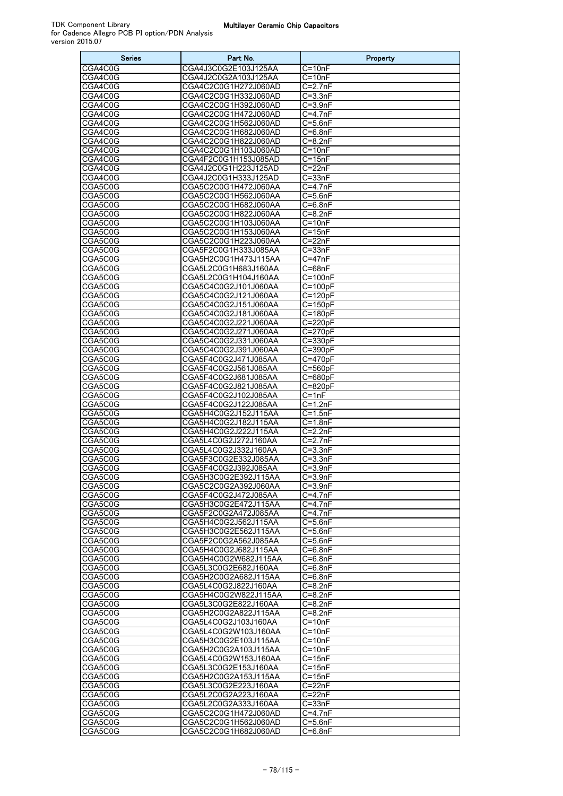| <b>Series</b>      | Part No.                                     | Property                   |
|--------------------|----------------------------------------------|----------------------------|
| CGA4C0G            | CGA4J3C0G2E103J125AA                         | $C = 10nF$                 |
| CGA4C0G            | CGA4J2C0G2A103J125AA                         | $C = 10nF$                 |
| CGA4C0G            | CGA4C2C0G1H272J060AD                         | $C = 2.7nF$                |
| CGA4C0G            | CGA4C2C0G1H332J060AD                         | $C = 3.3nF$                |
| CGA4C0G            | CGA4C2C0G1H392J060AD                         | C=3.9nF                    |
| CGA4C0G            | CGA4C2C0G1H472J060AD                         | $C=4.7nF$                  |
| CGA4C0G            | CGA4C2C0G1H562J060AD                         | $C = 5.6nF$                |
| CGA4C0G            | CGA4C2C0G1H682J060AD                         | $C = 6.8nF$                |
| CGA4C0G            | CGA4C2C0G1H822J060AD                         | $C = 8.2nF$                |
| CGA4C0G            | CGA4C2C0G1H103J060AD                         | $C = 10nF$                 |
| CGA4C0G            | CGA4F2C0G1H153J085AD                         | $C = 15nF$                 |
| CGA4C0G            | CGA4J2C0G1H223J125AD                         | $C=22nF$                   |
| CGA4C0G            | CGA4J2C0G1H333J125AD                         | $C = 33nF$                 |
| CGA5C0G            | CGA5C2C0G1H472J060AA                         | C=4.7nF                    |
| CGA5C0G            | CGA5C2C0G1H562J060AA                         | $C = 5.6nF$                |
| CGA5C0G            | CGA5C2C0G1H682J060AA                         | $C = 6.8nF$                |
| CGA5C0G            | CGA5C2C0G1H822J060AA                         | $C = 8.2nF$                |
| CGA5C0G            | CGA5C2C0G1H103J060AA                         | $C = 10nF$                 |
| CGA5C0G            | CGA5C2C0G1H153J060AA                         | $C = 15nF$                 |
| CGA5C0G            | CGA5C2C0G1H223J060AA                         | C=22nF                     |
| CGA5C0G            | CGA5F2C0G1H333J085AA                         | $C = 33nF$                 |
| CGA5C0G            | CGA5H2C0G1H473J115AA                         | C=47nF                     |
| CGA5C0G            | CGA5L2C0G1H683J160AA                         | $C = 68nF$                 |
| CGA5C0G            | CGA5L2C0G1H104J160AA                         | C=100nF                    |
| CGA5C0G            | CGA5C4C0G2J101J060AA                         | $C = 100pF$                |
| CGA5C0G            | CGA5C4C0G2J121J060AA                         | $\overline{C}$ =120pF      |
| CGA5C0G            | CGA5C4C0G2J151J060AA                         | $C = 150pF$                |
| CGA5C0G            | CGA5C4C0G2J181J060AA                         | $C = 180pF$                |
| CGA5C0G            | CGA5C4C0G2J221J060AA                         | $C=220pF$                  |
| CGA5C0G            | CGA5C4C0G2J271J060AA                         | $C = 270pF$                |
| CGA5C0G            | CGA5C4C0G2J331J060AA                         | $C = 330pF$                |
| CGA5C0G            | CGA5C4C0G2J391J060AA                         | C=390pF                    |
| CGA5C0G            | CGA5F4C0G2J471J085AA                         | $C = 470pF$                |
| CGA5C0G            | CGA5F4C0G2J561J085AA                         | C=560pF                    |
| CGA5C0G            | CGA5F4C0G2J681J085AA                         | C=680pF                    |
| CGA5C0G            | CGA5F4C0G2J821J085AA                         | $\overline{C}$ =820pF      |
| CGA5C0G            | CGA5F4C0G2J102J085AA                         | $C = 1nF$                  |
| CGA5C0G            | CGA5F4C0G2J122J085AA                         | $C = 1.2nF$                |
| CGA5C0G            | CGA5H4C0G2J152J115AA                         | $\overline{C=1}.5nF$       |
| CGA5C0G            | CGA5H4C0G2J182J115AA                         | C=1.8nF                    |
| CGA5C0G            | CGA5H4C0G2J222J115AA                         | $\overline{C}$ =2.2nF      |
| CGA5C0G            | CGA5L4C0G2J272J160AA                         | $C = 2.7nF$                |
| CGA5C0G            | CGA5L4C0G2J332J160AA                         | $C = 3.3nF$                |
| CGA5C0G            | CGA5F3C0G2E332J085AA                         | $C = 3.3nF$                |
| CGA5C0G            | CGA5F4C0G2J392J085AA                         | C=3.9nF                    |
| CGA5C0G            | CGA5H3C0G2E392J115AA                         | $C = 3.9nF$                |
| CGA5C0G            | CGA5C2C0G2A392J060AA                         | C=3.9nF                    |
| CGA5C0G<br>CGA5C0G | CGA5F4C0G2J472J085AA<br>CGA5H3C0G2E472J115AA | C=4.7nF                    |
|                    |                                              | C=4.7nF                    |
| CGA5C0G            | CGA5F2C0G2A472J085AA<br>CGA5H4C0G2J562J115AA | $\overline{C}$ =4.7nF      |
| CGA5C0G            |                                              | C=5.6nF                    |
| CGA5C0G<br>CGA5C0G | CGA5H3C0G2E562J115AA<br>CGA5F2C0G2A562J085AA | $C = 5.6nF$<br>$C = 5.6nF$ |
| CGA5C0G            | CGA5H4C0G2J682J115AA                         | $C = 6.8nF$                |
| CGA5C0G            | CGA5H4C0G2W682J115AA                         | C=6.8nF                    |
| CGA5C0G            | CGA5L3C0G2E682J160AA                         | $C = 6.8nF$                |
| CGA5C0G            | CGA5H2C0G2A682J115AA                         | C=6.8nF                    |
| CGA5C0G            | CGA5L4C0G2J822J160AA                         | C=8.2nF                    |
| CGA5C0G            | CGA5H4C0G2W822J115AA                         | $\overline{C}$ =8.2nF      |
| CGA5C0G            | CGA5L3C0G2E822J160AA                         | $C = 8.2nF$                |
| CGA5C0G            | CGA5H2C0G2A822J115AA                         | C=8.2nF                    |
| CGA5C0G            | CGA5L4C0G2J103J160AA                         | $C = 10nF$                 |
| CGA5C0G            | CGA5L4C0G2W103J160AA                         | $C = 10nF$                 |
| CGA5C0G            | CGA5H3C0G2E103J115AA                         | $C = 10nF$                 |
| CGA5C0G            | CGA5H2C0G2A103J115AA                         | $C = 10nF$                 |
| CGA5C0G            | CGA5L4C0G2W153J160AA                         | C=15nF                     |
| CGA5C0G            | CGA5L3C0G2E153J160AA                         | $C = 15nF$                 |
| CGA5C0G            | CGA5H2C0G2A153J115AA                         | C=15nF                     |
| CGA5C0G            | CGA5L3C0G2E223J160AA                         | $C = 22nF$                 |
| CGA5C0G            | CGA5L2C0G2A223J160AA                         | $C = 22nF$                 |
| CGA5C0G            | CGA5L2C0G2A333J160AA                         | C=33nF                     |
| CGA5C0G            | CGA5C2C0G1H472J060AD                         | C=4.7nF                    |
| CGA5C0G            | CGA5C2C0G1H562J060AD                         | C=5.6nF                    |
| CGA5C0G            | CGA5C2C0G1H682J060AD                         | C=6.8nF                    |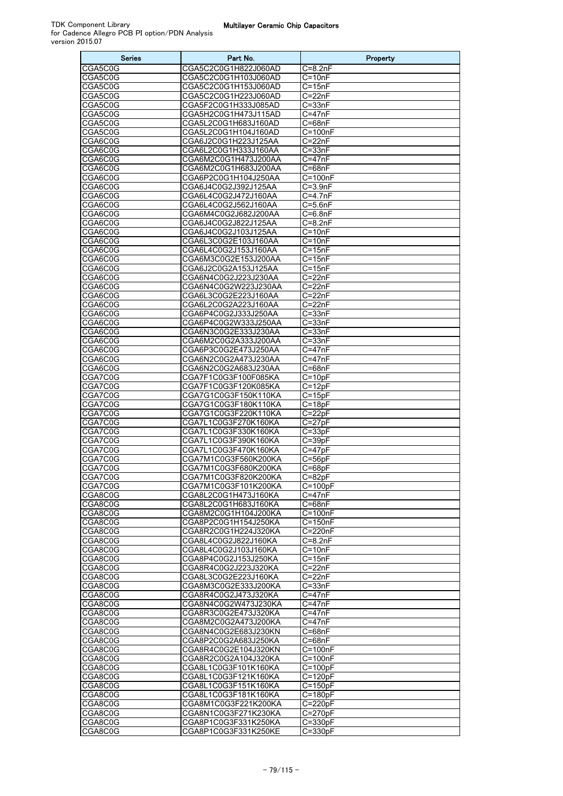| <b>Series</b>      | Part No.                                     | Property                   |
|--------------------|----------------------------------------------|----------------------------|
| CGA5C0G            | CGA5C2C0G1H822J060AD                         | $C = 8.2nF$                |
| CGA5C0G            | CGA5C2C0G1H103J060AD                         | $C = 10nF$                 |
| CGA5C0G            | CGA5C2C0G1H153J060AD                         | $C = 15nF$                 |
| CGA5C0G            | CGA5C2C0G1H223J060AD                         | $C = 22nF$                 |
| CGA5C0G            | CGA5F2C0G1H333J085AD                         | $C = 33nF$                 |
| CGA5C0G<br>CGA5C0G | CGA5H2C0G1H473J115AD<br>CGA5L2C0G1H683J160AD | $C = 47nF$<br>$C = 68nF$   |
| CGA5C0G            | CGA5L2C0G1H104J160AD                         | $C = 100nF$                |
| CGA6C0G            | CGA6J2C0G1H223J125AA                         | $C = 22nF$                 |
| CGA6C0G            | CGA6L2C0G1H333J160AA                         | $C = 33nF$                 |
| CGA6C0G            | CGA6M2C0G1H473J200AA                         | $C = 47nF$                 |
| CGA6C0G            | CGA6M2C0G1H683J200AA                         | $C = 68nF$                 |
| CGA6C0G            | CGA6P2C0G1H104J250AA                         | $C = 100nF$                |
| CGA6C0G            | CGA6J4C0G2J392J125AA                         | $C = 3.9nF$                |
| CGA6C0G            | CGA6L4C0G2J472J160AA                         | $C = 4.7nF$                |
| CGA6C0G            | CGA6L4C0G2J562J160AA                         | $C = 5.6nF$                |
| CGA6C0G<br>CGA6C0G | CGA6M4C0G2J682J200AA<br>CGA6J4C0G2J822J125AA | $C=6.8nF$<br>$C = 8.2nF$   |
| CGA6C0G            | CGA6J4C0G2J103J125AA                         | $C = 10nF$                 |
| CGA6C0G            | CGA6L3C0G2E103J160AA                         | $C = 10nF$                 |
| CGA6C0G            | CGA6L4C0G2J153J160AA                         | $C = 15nF$                 |
| CGA6C0G            | CGA6M3C0G2E153J200AA                         | $C = 15nF$                 |
| CGA6C0G            | CGA6J2C0G2A153J125AA                         | $C = 15nF$                 |
| CGA6C0G            | CGA6N4C0G2J223J230AA                         | $C = 22nF$                 |
| CGA6C0G            | CGA6N4C0G2W223J230AA                         | $C = 22nF$                 |
| CGA6C0G            | CGA6L3C0G2E223J160AA                         | $C = 22nF$                 |
| CGA6C0G            | CGA6L2C0G2A223J160AA                         | $C = 22nF$                 |
| CGA6C0G            | CGA6P4C0G2J333J250AA                         | $C = 33nF$                 |
| CGA6C0G<br>CGA6C0G | CGA6P4C0G2W333J250AA<br>CGA6N3C0G2E333J230AA | $C = 33nF$<br>$C = 33nF$   |
| CGA6C0G            | CGA6M2C0G2A333J200AA                         | $C = 33nF$                 |
| CGA6C0G            | CGA6P3C0G2E473J250AA                         | $C = 47nF$                 |
| CGA6C0G            | CGA6N2C0G2A473J230AA                         | $C = 47nF$                 |
| CGA6C0G            | CGA6N2C0G2A683J230AA                         | $C = 68nF$                 |
| CGA7C0G            | CGA7F1C0G3F100F085KA                         | $C = 10pF$                 |
| CGA7C0G            | CGA7F1C0G3F120K085KA                         | $C = 12pF$                 |
| CGA7C0G<br>CGA7C0G | CGA7G1C0G3F150K110KA                         | $C = 15pF$                 |
| CGA7C0G            | CGA7G1C0G3F180K110KA<br>CGA7G1C0G3F220K110KA | $C = 18pF$<br>$C = 22pF$   |
| CGA7C0G            | CGA7L1C0G3F270K160KA                         | $C = 27pF$                 |
| CGA7C0G            | CGA7L1C0G3F330K160KA                         | $C = 33pF$                 |
| CGA7C0G            | CGA7L1C0G3F390K160KA                         | $C = 39pF$                 |
| CGA7C0G            | CGA7L1C0G3F470K160KA                         | $C = 47pF$                 |
| CGA7C0G            | CGA7M1C0G3F560K200KA                         | $C = 56pF$                 |
| CGA7C0G<br>CGA7C0G | CGA7M1C0G3F680K200KA<br>CGA7M1C0G3F820K200KA | $C = 68pF$                 |
| CGA7C0G            | CGA7M1C0G3F101K200KA                         | $C = 82pF$<br>$C = 100pF$  |
| CGA8C0G            | CGA8L2C0G1H473J160KA                         | C=47nF                     |
| CGA8C0G            | CGA8L2C0G1H683J160KA                         | C=68nF                     |
| CGA8C0G            | CGA8M2C0G1H104J200KA                         | $C = 100nF$                |
| CGA8C0G            | CGA8P2C0G1H154J250KA                         | C=150nF                    |
| CGA8C0G            | CGA8R2C0G1H224J320KA                         | C=220nF                    |
| CGA8C0G            | CGA8L4C0G2J822J160KA                         | $C = 8.2nF$                |
| CGA8C0G<br>CGA8C0G | CGA8L4C0G2J103J160KA                         | $C = 10nF$                 |
| CGA8C0G            | CGA8P4C0G2J153J250KA<br>CGA8R4C0G2J223J320KA | $C = 15nF$<br>C=22nF       |
| CGA8C0G            | CGA8L3C0G2E223J160KA                         | $C = 22nF$                 |
| CGA8C0G            | CGA8M3C0G2E333J200KA                         | $C = 33nF$                 |
| CGA8C0G            | CGA8R4C0G2J473J320KA                         | C=47nF                     |
| CGA8C0G            | CGA8N4C0G2W473J230KA                         | $C = 47nF$                 |
| CGA8C0G            | CGA8R3C0G2E473J320KA                         | C=47nF                     |
| CGA8C0G            | CGA8M2C0G2A473J200KA                         | C=47nF                     |
| CGA8C0G            | CGA8N4C0G2E683J230KN                         | $C = 68nF$                 |
| CGA8C0G<br>CGA8C0G | CGA8P2C0G2A683J250KA<br>CGA8R4C0G2E104J320KN | C=68nF<br>$C = 100nF$      |
| CGA8C0G            | CGA8R2C0G2A104J320KA                         | C=100nF                    |
| CGA8C0G            | CGA8L1C0G3F101K160KA                         | $C = 100pF$                |
| CGA8C0G            | CGA8L1C0G3F121K160KA                         | $C = 120pF$                |
| CGA8C0G            | CGA8L1C0G3F151K160KA                         | $C = 150pF$                |
| CGA8C0G            | CGA8L1C0G3F181K160KA                         | $C = 180pF$                |
| CGA8C0G<br>CGA8C0G | CGA8M1C0G3F221K200KA<br>CGA8N1C0G3F271K230KA | $C = 220pF$<br>$C = 270pF$ |
| CGA8C0G            | CGA8P1C0G3F331K250KA                         | $C = 330pF$                |
| CGA8C0G            | CGA8P1C0G3F331K250KE                         | C=330pF                    |
|                    |                                              |                            |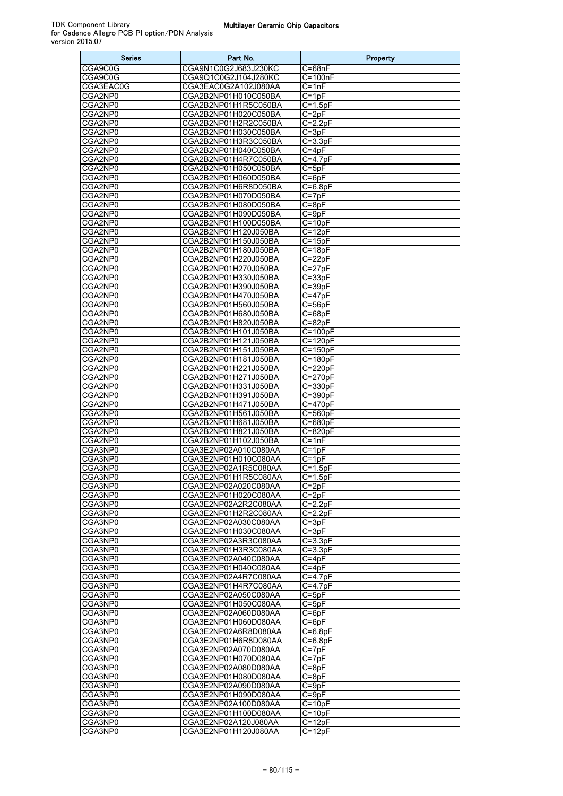| <b>Series</b>      | Part No.                                     | Property                   |
|--------------------|----------------------------------------------|----------------------------|
| CGA9C0G            | CGA9N1C0G2J683J230KC                         | $C = 68nF$                 |
| CGA9C0G            | CGA9Q1C0G2J104J280KC                         | $C = 100nF$                |
| CGA3EAC0G          | CGA3EAC0G2A102J080AA                         | C=1nF                      |
| CGA2NP0            | CGA2B2NP01H010C050BA                         | $C = 1pF$                  |
| CGA2NP0            | CGA2B2NP01H1R5C050BA                         | $C = 1.5pF$                |
| CGA2NP0            | CGA2B2NP01H020C050BA                         | $C=2pF$                    |
| CGA2NP0            | CGA2B2NP01H2R2C050BA                         | $C = 2.2pF$                |
| CGA2NP0            | CGA2B2NP01H030C050BA                         | $C = 3pF$                  |
| CGA2NP0            | CGA2B2NP01H3R3C050BA                         | $C = 3.3pF$                |
| CGA2NP0            | CGA2B2NP01H040C050BA                         | $C=4pF$                    |
| CGA2NP0<br>CGA2NP0 | CGA2B2NP01H4R7C050BA<br>CGA2B2NP01H050C050BA | $C = 4.7pF$<br>$C = 5pF$   |
| CGA2NP0            | CGA2B2NP01H060D050BA                         | $C = 6pF$                  |
| CGA2NP0            | CGA2B2NP01H6R8D050BA                         | $C=6.8pF$                  |
| CGA2NP0            | CGA2B2NP01H070D050BA                         | $C = 7pF$                  |
| CGA2NP0            | CGA2B2NP01H080D050BA                         | $C = 8pF$                  |
| CGA2NP0            | CGA2B2NP01H090D050BA                         | $C = 9pF$                  |
| CGA2NP0            | CGA2B2NP01H100D050BA                         | $C = 10pF$                 |
| CGA2NP0            | CGA2B2NP01H120J050BA                         | $C = 12pF$                 |
| CGA2NP0            | CGA2B2NP01H150J050BA                         | $C = 15pF$                 |
| CGA2NP0            | CGA2B2NP01H180J050BA                         | $C = 18pF$                 |
| CGA2NP0            | CGA2B2NP01H220J050BA                         | $C = 22pF$                 |
| CGA2NP0            | CGA2B2NP01H270J050BA                         | C=27pF                     |
| CGA2NP0            | CGA2B2NP01H330J050BA                         | $C = 33pF$                 |
| CGA2NP0            | CGA2B2NP01H390J050BA                         | $C = 39pF$                 |
| CGA2NP0            | CGA2B2NP01H470J050BA                         | $C = 47pF$                 |
| CGA2NP0            | CGA2B2NP01H560J050BA                         | $C = 56pF$                 |
| CGA2NP0            | CGA2B2NP01H680J050BA                         | C=68pF                     |
| CGA2NP0            | CGA2B2NP01H820J050BA                         | $C = 82pF$                 |
| CGA2NP0            | CGA2B2NP01H101J050BA                         | $C=100pF$                  |
| CGA2NP0            | CGA2B2NP01H121J050BA                         | $C = 120pF$                |
| CGA2NP0            | CGA2B2NP01H151J050BA                         | $C = 150pF$                |
| CGA2NP0            | CGA2B2NP01H181J050BA                         | $C = 180pF$                |
| CGA2NP0            | CGA2B2NP01H221J050BA                         | $C = 220pF$                |
| CGA2NP0            | CGA2B2NP01H271J050BA                         | $C = 270pF$                |
| CGA2NP0            | CGA2B2NP01H331J050BA                         | $C = 330pF$                |
| CGA2NP0<br>CGA2NP0 | CGA2B2NP01H391J050BA                         | $C = 390pF$                |
| CGA2NP0            | CGA2B2NP01H471J050BA<br>CGA2B2NP01H561J050BA | $C = 470pF$<br>$C = 560pF$ |
| CGA2NP0            | CGA2B2NP01H681J050BA                         | $C = 680pF$                |
| CGA2NP0            | CGA2B2NP01H821J050BA                         | $C = 820pF$                |
| CGA2NP0            | CGA2B2NP01H102J050BA                         | $C = 1nF$                  |
| CGA3NP0            | CGA3E2NP02A010C080AA                         | $C = 1pF$                  |
| CGA3NP0            | CGA3E2NP01H010C080AA                         | $C = 1pF$                  |
| CGA3NP0            | CGA3E2NP02A1R5C080AA                         | $C = 1.5pF$                |
| CGA3NP0            | CGA3E2NP01H1R5C080AA                         | $C=1.5pF$                  |
| CGA3NP0            | CGA3E2NP02A020C080AA                         | $C = 2pF$                  |
| CGA3NP0            | CGA3E2NP01H020C080AA                         | $C=2pF$                    |
| CGA3NP0            | CGA3E2NP02A2R2C080AA                         | $C = 2.2pF$                |
| CGA3NP0            | CGA3E2NP01H2R2C080AA                         | $C = 2.2pF$                |
| CGA3NP0            | CGA3E2NP02A030C080AA                         | $C = 3pF$                  |
| CGA3NP0            | CGA3E2NP01H030C080AA                         | $C = 3pF$                  |
| CGA3NP0            | CGA3E2NP02A3R3C080AA                         | $C = 3.3pF$                |
| CGA3NP0            | CGA3E2NP01H3R3C080AA                         | $C = 3.3pF$                |
| CGA3NP0            | CGA3E2NP02A040C080AA                         | $C = 4pF$                  |
| CGA3NP0            | CGA3E2NP01H040C080AA                         | $C = 4pF$                  |
| CGA3NP0            | CGA3E2NP02A4R7C080AA                         | $C = 4.7pF$                |
| CGA3NP0            | CGA3E2NP01H4R7C080AA                         | C=4.7pF                    |
| CGA3NP0            | CGA3E2NP02A050C080AA                         | $C = 5pF$                  |
| CGA3NP0<br>CGA3NP0 | CGA3E2NP01H050C080AA<br>CGA3E2NP02A060D080AA | $C = 5pF$<br>$C = 6pF$     |
| CGA3NP0            | CGA3E2NP01H060D080AA                         | $C = 6pF$                  |
| CGA3NP0            | CGA3E2NP02A6R8D080AA                         | C=6.8pF                    |
| CGA3NP0            | CGA3E2NP01H6R8D080AA                         | $C = 6.8pF$                |
| CGA3NP0            | CGA3E2NP02A070D080AA                         | $C = 7pF$                  |
| CGA3NP0            | CGA3E2NP01H070D080AA                         | $C = 7pF$                  |
| CGA3NP0            | CGA3E2NP02A080D080AA                         | $C = 8pF$                  |
| CGA3NP0            | CGA3E2NP01H080D080AA                         | C=8pF                      |
| CGA3NP0            | CGA3E2NP02A090D080AA                         | $C = 9pF$                  |
| CGA3NP0            | CGA3E2NP01H090D080AA                         | $C = 9pF$                  |
| CGA3NP0            | CGA3E2NP02A100D080AA                         | $C = 10pF$                 |
| CGA3NP0            | CGA3E2NP01H100D080AA                         | $C = 10pF$                 |
| CGA3NP0            | CGA3E2NP02A120J080AA                         | $C = 12pF$                 |
| CGA3NP0            | CGA3E2NP01H120J080AA                         | $C = 12pF$                 |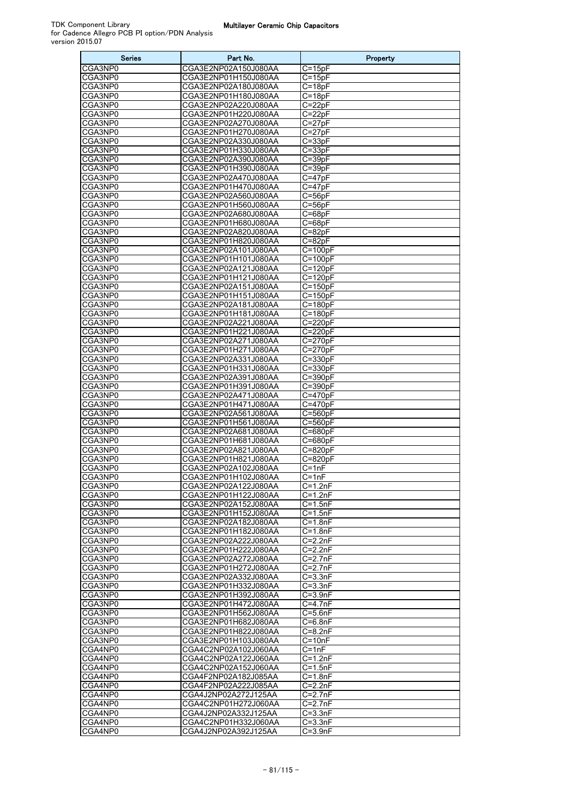| <b>Series</b>      | Part No.                                     | Property                   |
|--------------------|----------------------------------------------|----------------------------|
| CGA3NP0            | CGA3E2NP02A150J080AA                         | $C = 15pF$                 |
| CGA3NP0            | CGA3E2NP01H150J080AA                         | $C = 15pF$                 |
| CGA3NP0            | CGA3E2NP02A180J080AA                         | C=18pF                     |
| CGA3NP0            | CGA3E2NP01H180J080AA                         | $C = 18pF$                 |
| CGA3NP0            | CGA3E2NP02A220J080AA                         | $C = 22pF$                 |
| CGA3NP0<br>CGA3NP0 | CGA3E2NP01H220J080AA<br>CGA3E2NP02A270J080AA | C=22pF<br>$C = 27pF$       |
| CGA3NP0            | CGA3E2NP01H270J080AA                         | C=27pF                     |
| CGA3NP0            | CGA3E2NP02A330J080AA                         | $C = 33pF$                 |
| CGA3NP0            | CGA3E2NP01H330J080AA                         | $C = 33pF$                 |
| CGA3NP0            | CGA3E2NP02A390J080AA                         | $C = 39pF$                 |
| CGA3NP0            | CGA3E2NP01H390J080AA                         | $C = 39pF$                 |
| CGA3NP0            | CGA3E2NP02A470J080AA                         | $C = 47pF$                 |
| CGA3NP0            | CGA3E2NP01H470J080AA                         | $C = 47pF$                 |
| CGA3NP0            | CGA3E2NP02A560J080AA                         | $C = 56pF$                 |
| CGA3NP0            | CGA3E2NP01H560J080AA                         | C=56pF                     |
| CGA3NP0            | CGA3E2NP02A680J080AA                         | $C = 68pF$                 |
| CGA3NP0<br>CGA3NP0 | CGA3E2NP01H680J080AA<br>CGA3E2NP02A820J080AA | $C = 68pF$                 |
| CGA3NP0            | CGA3E2NP01H820J080AA                         | C=82pF<br>C=82pF           |
| CGA3NP0            | CGA3E2NP02A101J080AA                         | $C = 100pF$                |
| CGA3NP0            | CGA3E2NP01H101J080AA                         | $C=100pF$                  |
| CGA3NP0            | CGA3E2NP02A121J080AA                         | $C = 120pF$                |
| CGA3NP0            | CGA3E2NP01H121J080AA                         | $C = 120pF$                |
| CGA3NP0            | CGA3E2NP02A151J080AA                         | $C = 150pF$                |
| CGA3NP0            | CGA3E2NP01H151J080AA                         | $C = 150pF$                |
| CGA3NP0            | CGA3E2NP02A181J080AA                         | $C = 180pF$                |
| CGA3NP0            | CGA3E2NP01H181J080AA                         | $C=180pF$                  |
| CGA3NP0            | CGA3E2NP02A221J080AA                         | C=220pF                    |
| CGA3NP0<br>CGA3NP0 | CGA3E2NP01H221J080AA<br>CGA3E2NP02A271J080AA | $C = 220pF$<br>$C = 270pF$ |
| CGA3NP0            | CGA3E2NP01H271J080AA                         | $C = 270pF$                |
| CGA3NP0            | CGA3E2NP02A331J080AA                         | $C = 330pF$                |
| CGA3NP0            | CGA3E2NP01H331J080AA                         | C=330pF                    |
| CGA3NP0            | CGA3E2NP02A391J080AA                         | C=390pF                    |
| CGA3NP0            | CGA3E2NP01H391J080AA                         | C=390pF                    |
| CGA3NP0            | CGA3E2NP02A471J080AA                         | C=470pF                    |
| CGA3NP0<br>CGA3NP0 | CGA3E2NP01H471J080AA<br>CGA3E2NP02A561J080AA | $C = 470pF$<br>$C = 560pF$ |
| CGA3NP0            | CGA3E2NP01H561J080AA                         | $C = 560pF$                |
| CGA3NP0            | CGA3E2NP02A681J080AA                         | C=680pF                    |
| CGA3NP0            | CGA3E2NP01H681J080AA                         | C=680pF                    |
| CGA3NP0            | CGA3E2NP02A821J080AA                         | C=820pF                    |
| CGA3NP0            | CGA3E2NP01H821J080AA                         | C=820pF                    |
| CGA3NP0            | CGA3E2NP02A102J080AA                         | C=1nF                      |
| CGA3NP0<br>CGA3NP0 | CGA3EZNP01H102J080AA<br>CGA3E2NP02A122J080AA | ∪=1nF<br>$C=1.2nF$         |
| CGA3NP0            | CGA3E2NP01H122J080AA                         | $C = 1.2nF$                |
| CGA3NP0            | CGA3E2NP02A152J080AA                         | $C = 1.5nF$                |
| CGA3NP0            | CGA3E2NP01H152J080AA                         | $\overline{C=1}.5nF$       |
| CGA3NP0            | CGA3E2NP02A182J080AA                         | $C = 1.8nF$                |
| CGA3NP0            | CGA3E2NP01H182J080AA                         | $C=1.8nF$                  |
| CGA3NP0            | CGA3E2NP02A222J080AA                         | $C = 2.2nF$                |
| CGA3NP0            | CGA3E2NP01H222J080AA                         | $C = 2.2nF$                |
| CGA3NP0<br>CGA3NP0 | CGA3E2NP02A272J080AA<br>CGA3E2NP01H272J080AA | $C = 2.7nF$<br>$C=2.7nF$   |
| CGA3NP0            | CGA3E2NP02A332J080AA                         | $C = 3.3nF$                |
| CGA3NP0            | CGA3E2NP01H332J080AA                         | $C = 3.3nF$                |
| CGA3NP0            | CGA3E2NP01H392J080AA                         | $C = 3.9nF$                |
| CGA3NP0            | CGA3E2NP01H472J080AA                         | C=4.7nF                    |
| CGA3NP0            | CGA3E2NP01H562J080AA                         | C=5.6nF                    |
| CGA3NP0            | CGA3E2NP01H682J080AA                         | $\overline{C}$ =6.8nF      |
| CGA3NP0            | CGA3E2NP01H822J080AA                         | C=8.2nF                    |
| CGA3NP0<br>CGA4NP0 | CGA3E2NP01H103J080AA<br>CGA4C2NP02A102J060AA | $C = 10nF$<br>$C=1nF$      |
| CGA4NP0            | CGA4C2NP02A122J060AA                         | C=1.2nF                    |
| CGA4NP0            | CGA4C2NP02A152J060AA                         | $C=1.5nF$                  |
| CGA4NP0            | CGA4F2NP02A182J085AA                         | $C = 1.8nF$                |
| CGA4NP0            | CGA4F2NP02A222J085AA                         | $C = 2.2nF$                |
| CGA4NP0            | CGA4J2NP02A272J125AA                         | $C = 2.7nF$                |
| CGA4NP0            | CGA4C2NP01H272J060AA                         | C=2.7nF                    |
| CGA4NP0<br>CGA4NP0 | CGA4J2NP02A332J125AA<br>CGA4C2NP01H332J060AA | $C = 3.3nF$<br>$C = 3.3nF$ |
| CGA4NP0            | CGA4J2NP02A392J125AA                         | C=3.9nF                    |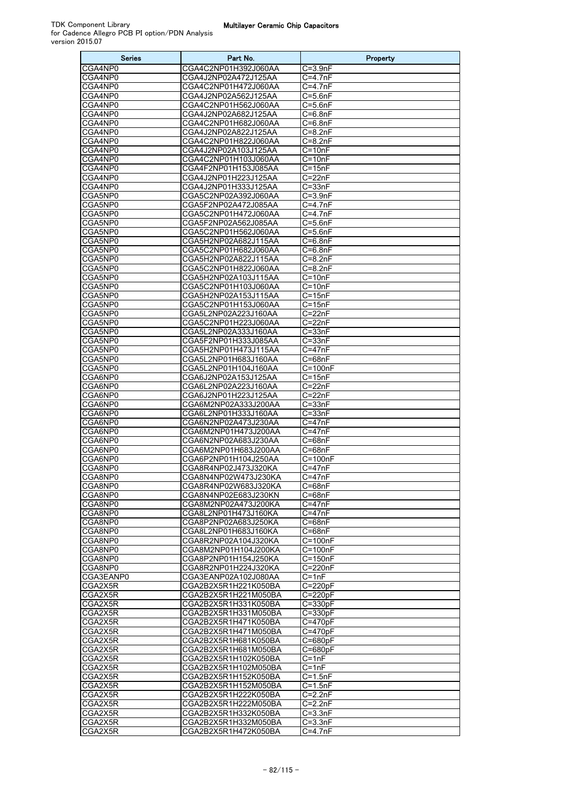| <b>Series</b>      | Part No.                                     | Property                   |
|--------------------|----------------------------------------------|----------------------------|
| CGA4NP0            | CGA4C2NP01H392J060AA                         | $C = 3.9nF$                |
| CGA4NP0            | CGA4J2NP02A472J125AA                         | $C = 4.7nF$                |
| CGA4NP0            | CGA4C2NP01H472J060AA                         | C=4.7nF                    |
| CGA4NP0            | CGA4J2NP02A562J125AA                         | $C = 5.6nF$                |
| CGA4NP0            | CGA4C2NP01H562J060AA                         | $C = 5.6nF$                |
| CGA4NP0            | CGA4J2NP02A682J125AA                         | $C = 6.8nF$                |
| CGA4NP0            | CGA4C2NP01H682J060AA                         | $C = 6.8nF$                |
| CGA4NP0            | CGA4J2NP02A822J125AA                         | $C = 8.2nF$                |
| CGA4NP0            | CGA4C2NP01H822J060AA                         | $C = 8.2nF$                |
| CGA4NP0            | CGA4J2NP02A103J125AA                         | $C = 10nF$                 |
| CGA4NP0<br>CGA4NP0 | CGA4C2NP01H103J060AA<br>CGA4F2NP01H153J085AA | $C = 10nF$<br>$C = 15nF$   |
| CGA4NP0            | CGA4J2NP01H223J125AA                         | $C = 22nF$                 |
| CGA4NP0            | CGA4J2NP01H333J125AA                         | $C = 33nF$                 |
| CGA5NP0            | CGA5C2NP02A392J060AA                         | $C = 3.9nF$                |
| CGA5NP0            | CGA5F2NP02A472J085AA                         | $C = 4.7nF$                |
| CGA5NP0            | CGA5C2NP01H472J060AA                         | $C = 4.7nF$                |
| CGA5NP0            | CGA5F2NP02A562J085AA                         | $C = 5.6nF$                |
| CGA5NP0            | CGA5C2NP01H562J060AA                         | $C = 5.6nF$                |
| CGA5NP0            | CGA5H2NP02A682J115AA                         | $C = 6.8nF$                |
| CGA5NP0            | CGA5C2NP01H682J060AA                         | $C = 6.8nF$                |
| CGA5NP0            | CGA5H2NP02A822J115AA                         | $C = 8.2nF$                |
| CGA5NP0            | CGA5C2NP01H822J060AA                         | $C = 8.2nF$                |
| CGA5NP0            | CGA5H2NP02A103J115AA                         | $C = 10nF$                 |
| CGA5NP0            | CGA5C2NP01H103J060AA                         | $C = 10nF$                 |
| CGA5NP0            | CGA5H2NP02A153J115AA                         | $C = 15nF$                 |
| CGA5NP0            | CGA5C2NP01H153J060AA                         | $C = 15nF$                 |
| CGA5NP0            | CGA5L2NP02A223J160AA                         | $C = 22nF$                 |
| CGA5NP0            | CGA5C2NP01H223J060AA                         | $C = 22nF$                 |
| CGA5NP0            | CGA5L2NP02A333J160AA                         | $C = 33nF$                 |
| CGA5NP0<br>CGA5NP0 | CGA5F2NP01H333J085AA<br>CGA5H2NP01H473J115AA | $C = 33nF$<br>$C = 47nF$   |
| CGA5NP0            | CGA5L2NP01H683J160AA                         | $C = 68nF$                 |
| CGA5NP0            | CGA5L2NP01H104J160AA                         | $C = 100nF$                |
| CGA6NP0            | CGA6J2NP02A153J125AA                         | $C = 15nF$                 |
| CGA6NP0            | CGA6L2NP02A223J160AA                         | $C = 22nF$                 |
| CGA6NP0            | CGA6J2NP01H223J125AA                         | $C = 22nF$                 |
| CGA6NP0            | CGA6M2NP02A333J200AA                         | $C = 33nF$                 |
| CGA6NP0            | CGA6L2NP01H333J160AA                         | $C = 33nF$                 |
| CGA6NP0            | CGA6N2NP02A473J230AA                         | $C = 47nF$                 |
| CGA6NP0            | CGA6M2NP01H473J200AA                         | $C = 47nF$                 |
| CGA6NP0            | CGA6N2NP02A683J230AA                         | $C = 68nF$                 |
| CGA6NP0            | CGA6M2NP01H683J200AA                         | C=68nF                     |
| CGA6NP0            | CGA6P2NP01H104J250AA                         | $C = 100nF$                |
| CGA8NP0            | CGA8R4NP02J473J320KA                         | $C = 47nF$                 |
| CGA8NP0            | CGA8N4NP02W473J230KA                         | $C = 47nF$                 |
| CGA8NP0            | CGA8R4NP02W683J320KA                         | $C = 68nF$                 |
| CGA8NP0            | CGA8N4NP02E683J230KN                         | $C = 68nF$                 |
| CGA8NP0            | CGA8M2NP02A473J200KA                         | $\overline{C=4}$ 7nF       |
| CGA8NP0<br>CGA8NP0 | CGA8L2NP01H473J160KA<br>CGA8P2NP02A683J250KA | $C = 47nF$<br>$C = 68nF$   |
| CGA8NP0            | CGA8L2NP01H683J160KA                         | $C = 68nF$                 |
| CGA8NP0            | CGA8R2NP02A104J320KA                         | C=100nF                    |
| CGA8NP0            | CGA8M2NP01H104J200KA                         | $C=100nF$                  |
| CGA8NP0            | CGA8P2NP01H154J250KA                         | $C = 150nF$                |
| CGA8NP0            | CGA8R2NP01H224J320KA                         | C=220nF                    |
| CGA3EANP0          | CGA3EANP02A102J080AA                         | $C = 1nF$                  |
| CGA2X5R            | CGA2B2X5R1H221K050BA                         | $C = 220pF$                |
| CGA2X5R            | CGA2B2X5R1H221M050BA                         | $C = 220pF$                |
| CGA2X5R            | CGA2B2X5R1H331K050BA                         | $C = 330pF$                |
| CGA2X5R            | CGA2B2X5R1H331M050BA                         | $C = 330pF$                |
| CGA2X5R            | CGA2B2X5R1H471K050BA                         | C=470pF                    |
| CGA2X5R            | CGA2B2X5R1H471M050BA                         | $C = 470pF$                |
| CGA2X5R            | CGA2B2X5R1H681K050BA                         | $C = 680pF$                |
| CGA2X5R            | CGA2B2X5R1H681M050BA                         | C=680pF                    |
| CGA2X5R            | CGA2B2X5R1H102K050BA                         | $C = 1nF$                  |
| CGA2X5R            | CGA2B2X5R1H102M050BA                         | $C = 1nF$                  |
| CGA2X5R            | CGA2B2X5R1H152K050BA                         | $C = 1.5nF$                |
| CGA2X5R<br>CGA2X5R | CGA2B2X5R1H152M050BA                         | $C=1.5nF$                  |
| CGA2X5R            | CGA2B2X5R1H222K050BA<br>CGA2B2X5R1H222M050BA | $C = 2.2nF$<br>$C = 2.2nF$ |
| CGA2X5R            | CGA2B2X5R1H332K050BA                         | $C = 3.3nF$                |
| CGA2X5R            | CGA2B2X5R1H332M050BA                         | $C = 3.3nF$                |
| CGA2X5R            | CGA2B2X5R1H472K050BA                         | $C = 4.7nF$                |
|                    |                                              |                            |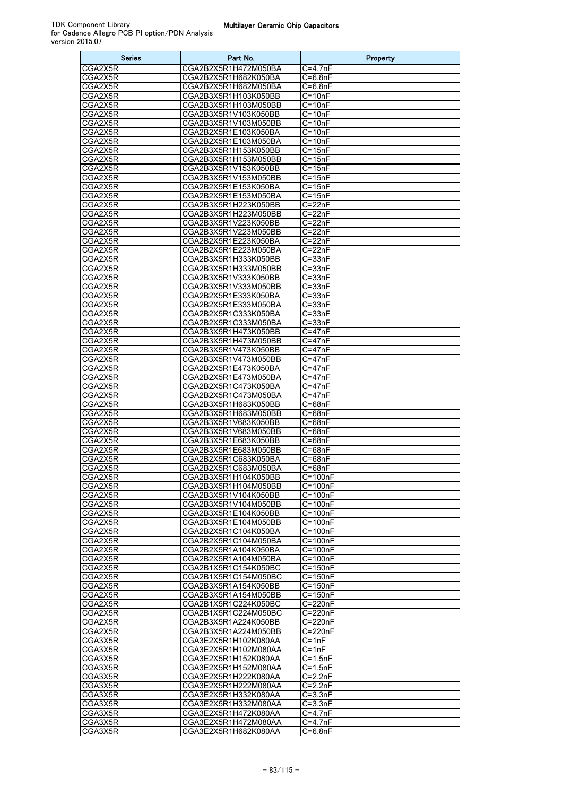| <b>Series</b>      | Part No.                                     | Property             |
|--------------------|----------------------------------------------|----------------------|
| CGA2X5R            | CGA2B2X5R1H472M050BA                         | $C = 4.7nF$          |
| CGA2X5R            | CGA2B2X5R1H682K050BA                         | C=6.8nF              |
| CGA2X5R            | CGA2B2X5R1H682M050BA                         | $C = 6.8nF$          |
| CGA2X5R            | CGA2B3X5R1H103K050BB                         | $C = 10nF$           |
| CGA2X5R            | CGA2B3X5R1H103M050BB                         | $C = 10nF$           |
| CGA2X5R            | CGA2B3X5R1V103K050BB                         | $C = 10nF$           |
| CGA2X5R            | CGA2B3X5R1V103M050BB                         | $C = 10nF$           |
| CGA2X5R            | CGA2B2X5R1E103K050BA                         | $C = 10nF$           |
| CGA2X5R            | CGA2B2X5R1E103M050BA                         | $C = 10nF$           |
| CGA2X5R            | CGA2B3X5R1H153K050BB                         | $C = 15nF$           |
| CGA2X5R            | CGA2B3X5R1H153M050BB                         | $C = 15nF$           |
| CGA2X5R            | CGA2B3X5R1V153K050BB                         | C=15nF               |
| CGA2X5R            | CGA2B3X5R1V153M050BB                         | $C = 15nF$           |
| CGA2X5R            | CGA2B2X5R1E153K050BA                         | $C = 15nF$           |
| CGA2X5R            | CGA2B2X5R1E153M050BA                         | $C = 15nF$           |
| CGA2X5R            | CGA2B3X5R1H223K050BB                         | $C = 22nF$           |
| CGA2X5R            | CGA2B3X5R1H223M050BB                         | $C = 22nF$           |
| CGA2X5R            | CGA2B3X5R1V223K050BB                         | $C = 22nF$           |
| CGA2X5R            | CGA2B3X5R1V223M050BB                         | C=22nF               |
| CGA2X5R            | CGA2B2X5R1E223K050BA                         | $C = 22nF$           |
| CGA2X5R            | CGA2B2X5R1E223M050BA                         | $C = 22nF$           |
| CGA2X5R            | CGA2B3X5R1H333K050BB                         | $C = 33nF$           |
| CGA2X5R            | CGA2B3X5R1H333M050BB                         | $C = 33nF$           |
| CGA2X5R            | CGA2B3X5R1V333K050BB                         | $C = 33nF$           |
| CGA2X5R            | CGA2B3X5R1V333M050BB                         | $C = 33nF$           |
| CGA2X5R            | CGA2B2X5R1E333K050BA                         | $C = 33nF$           |
| CGA2X5R            | CGA2B2X5R1E333M050BA                         | $C = 33nF$           |
| CGA2X5R            | CGA2B2X5R1C333K050BA                         | $C = 33nF$           |
| CGA2X5R            | CGA2B2X5R1C333M050BA                         | $C = 33nF$           |
| CGA2X5R            | CGA2B3X5R1H473K050BB                         | $C = 47nF$           |
| CGA2X5R            | CGA2B3X5R1H473M050BB                         | $C = 47nF$           |
| CGA2X5R            | CGA2B3X5R1V473K050BB                         | C=47nF               |
| CGA2X5R            | CGA2B3X5R1V473M050BB                         | $C = 47nF$           |
| CGA2X5R            | CGA2B2X5R1E473K050BA                         | $C = 47nF$           |
| CGA2X5R            | CGA2B2X5R1E473M050BA                         | $C = 47nF$           |
| CGA2X5R            | CGA2B2X5R1C473K050BA                         | C=47nF               |
| CGA2X5R<br>CGA2X5R | CGA2B2X5R1C473M050BA<br>CGA2B3X5R1H683K050BB | C=47nF<br>$C = 68nF$ |
| CGA2X5R            | CGA2B3X5R1H683M050BB                         | $C = 68nF$           |
| CGA2X5R            | CGA2B3X5R1V683K050BB                         | $C = 68nF$           |
| CGA2X5R            | CGA2B3X5R1V683M050BB                         | C=68nF               |
| CGA2X5R            | CGA2B3X5R1E683K050BB                         | C=68nF               |
| CGA2X5R            | CGA2B3X5R1E683M050BB                         | $C = 68nF$           |
| CGA2X5R            | CGA2B2X5R1C683K050BA                         | $C = 68nF$           |
| CGA2X5R            | CGA2B2X5R1C683M050BA                         | $C = 68nF$           |
| CGA2X5R            | CGA2B3X5R1H104K050BB                         | $C = 100nF$          |
| CGA2X5R            | CGA2B3X5R1H104M050BB                         | $C = 100nF$          |
| CGA2X5R            | CGA2B3X5R1V104K050BB                         | C=100nF              |
| CGA2X5R            | CGA2B3X5R1V104M050BB                         | C=100nF              |
| CGA2X5R            | CGA2B3X5R1E104K050BB                         | C=100nF              |
| CGA2X5R            | CGA2B3X5R1E104M050BB                         | $C = 100nF$          |
| CGA2X5R            | CGA2B2X5R1C104K050BA                         | C=100nF              |
| CGA2X5R            | CGA2B2X5R1C104M050BA                         | C=100nF              |
| CGA2X5R            | CGA2B2X5R1A104K050BA                         | C=100nF              |
| CGA2X5R            | CGA2B2X5R1A104M050BA                         | C=100nF              |
| CGA2X5R            | CGA2B1X5R1C154K050BC                         | $C = 150nF$          |
| CGA2X5R            | CGA2B1X5R1C154M050BC                         | C=150nF              |
| CGA2X5R            | CGA2B3X5R1A154K050BB                         | $C = 150nF$          |
| CGA2X5R            | CGA2B3X5R1A154M050BB                         | C=150nF              |
| CGA2X5R            | CGA2B1X5R1C224K050BC                         | C=220nF              |
| CGA2X5R            | CGA2B1X5R1C224M050BC                         | $C=220nF$            |
| CGA2X5R            | CGA2B3X5R1A224K050BB                         | C=220nF              |
| CGA2X5R            | CGA2B3X5R1A224M050BB                         | C=220nF              |
| CGA3X5R            | CGA3E2X5R1H102K080AA                         | C=1nF                |
| CGA3X5R            | CGA3E2X5R1H102M080AA                         | $C = 1nF$            |
| CGA3X5R            | CGA3E2X5R1H152K080AA                         | C=1.5nF              |
| CGA3X5R            | CGA3E2X5R1H152M080AA                         | $C = 1.5nF$          |
| CGA3X5R            | CGA3E2X5R1H222K080AA                         | $C = 2.2nF$          |
| CGA3X5R            | CGA3E2X5R1H222M080AA                         | C=2.2nF              |
| CGA3X5R            | CGA3E2X5R1H332K080AA                         | $C = 3.3nF$          |
| CGA3X5R            | CGA3E2X5R1H332M080AA                         | C=3.3nF              |
| CGA3X5R            | CGA3E2X5R1H472K080AA                         | $C = 4.7nF$          |
| CGA3X5R            | CGA3E2X5R1H472M080AA                         | $C = 4.7nF$          |
| CGA3X5R            | CGA3E2X5R1H682K080AA                         | $C = 6.8nF$          |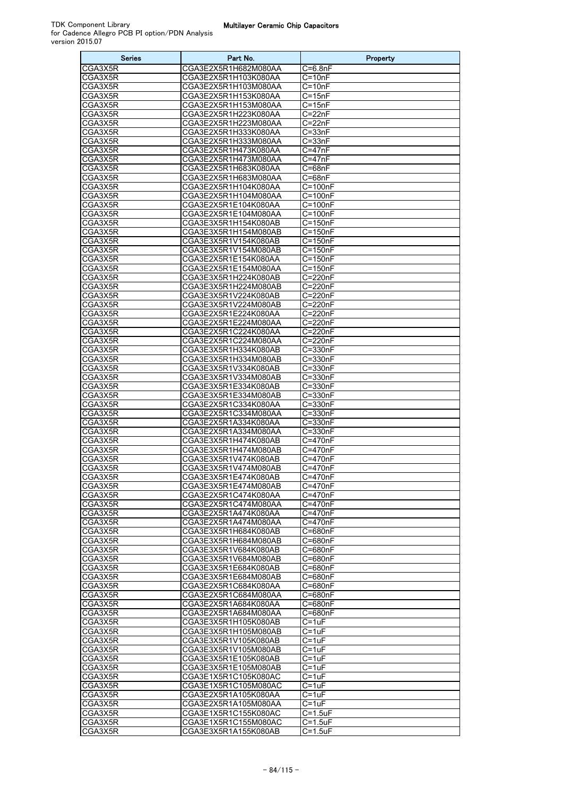| <b>Series</b>      | Part No.                                     | Property                   |
|--------------------|----------------------------------------------|----------------------------|
| CGA3X5R            | CGA3E2X5R1H682M080AA                         | $C = 6.8nF$                |
| CGA3X5R            | CGA3E2X5R1H103K080AA                         | $C = 10nF$                 |
| CGA3X5R            | CGA3E2X5R1H103M080AA                         | $C = 10nF$                 |
| CGA3X5R            | CGA3E2X5R1H153K080AA                         | $C = 15nF$                 |
| CGA3X5R            | CGA3E2X5R1H153M080AA                         | $C = 15nF$                 |
| CGA3X5R            | CGA3E2X5R1H223K080AA                         | $C = 22nF$                 |
| CGA3X5R            | CGA3E2X5R1H223M080AA                         | C=22nF                     |
| CGA3X5R<br>CGA3X5R | CGA3E2X5R1H333K080AA                         | $C = 33nF$<br>$C = 33nF$   |
| CGA3X5R            | CGA3E2X5R1H333M080AA<br>CGA3E2X5R1H473K080AA | $C = 47nF$                 |
| CGA3X5R            | CGA3E2X5R1H473M080AA                         | $C = 47nF$                 |
| CGA3X5R            | CGA3E2X5R1H683K080AA                         | $C = 68nF$                 |
| CGA3X5R            | CGA3E2X5R1H683M080AA                         | $C = 68nF$                 |
| CGA3X5R            | CGA3E2X5R1H104K080AA                         | $C = 100nF$                |
| CGA3X5R            | CGA3E2X5R1H104M080AA                         | C=100nF                    |
| CGA3X5R            | CGA3E2X5R1E104K080AA                         | $C=100nF$                  |
| CGA3X5R            | CGA3E2X5R1E104M080AA                         | C=100nF                    |
| CGA3X5R            | CGA3E3X5R1H154K080AB                         | $C = 150nF$                |
| CGA3X5R            | CGA3E3X5R1H154M080AB                         | $C = 150nF$                |
| CGA3X5R            | CGA3E3X5R1V154K080AB                         | $C = 150nF$                |
| CGA3X5R            | CGA3E3X5R1V154M080AB                         | $C = 150nF$                |
| CGA3X5R            | CGA3E2X5R1E154K080AA                         | C=150nF                    |
| CGA3X5R<br>CGA3X5R | CGA3E2X5R1E154M080AA<br>CGA3E3X5R1H224K080AB | $C = 150nF$<br>$C = 220nF$ |
| CGA3X5R            | CGA3E3X5R1H224M080AB                         | C=220nF                    |
| CGA3X5R            | CGA3E3X5R1V224K080AB                         | $\overline{C}$ =220nF      |
| CGA3X5R            | CGA3E3X5R1V224M080AB                         | C=220nF                    |
| CGA3X5R            | CGA3E2X5R1E224K080AA                         | C=220nF                    |
| CGA3X5R            | CGA3E2X5R1E224M080AA                         | C=220nF                    |
| CGA3X5R            | CGA3E2X5R1C224K080AA                         | C=220nF                    |
| CGA3X5R            | CGA3E2X5R1C224M080AA                         | $\overline{C}$ =220nF      |
| CGA3X5R            | CGA3E3X5R1H334K080AB                         | C=330nF                    |
| CGA3X5R            | CGA3E3X5R1H334M080AB                         | C=330nF                    |
| CGA3X5R            | CGA3E3X5R1V334K080AB                         | C=330nF                    |
| CGA3X5R            | CGA3E3X5R1V334M080AB                         | C=330nF                    |
| CGA3X5R            | CGA3E3X5R1E334K080AB                         | $\overline{C}$ =330nF      |
| CGA3X5R<br>CGA3X5R | CGA3E3X5R1E334M080AB<br>CGA3E2X5R1C334K080AA | C=330nF<br>C=330nF         |
| CGA3X5R            | CGA3E2X5R1C334M080AA                         | C=330nF                    |
| CGA3X5R            | CGA3E2X5R1A334K080AA                         | C=330nF                    |
| CGA3X5R            | CGA3E2X5R1A334M080AA                         | $\overline{C}$ =330nF      |
| CGA3X5R            | CGA3E3X5R1H474K080AB                         | $C=470nF$                  |
| CGA3X5R            | CGA3E3X5R1H474M080AB                         | C=470nF                    |
| CGA3X5R            | CGA3E3X5R1V474K080AB                         | C=470nF                    |
| CGA3X5R            | CGA3E3X5R1V474M080AB                         | C=470nF                    |
| CGA3X5R            | CGA3E3X5R1E474K080AB                         | $C = 470nF$                |
| CGA3X5R            | CGA3E3X5R1E474M080AB                         | C=470nF                    |
| CGA3X5R<br>CGA3X5R | CGA3E2X5R1C474K080AA<br>CGA3E2X5R1C474M080AA | C=470nF<br>C=470nF         |
| CGA3X5R            | CGA3E2X5R1A474K080AA                         | C=470nF                    |
| CGA3X5R            | CGA3E2X5R1A474M080AA                         | $C=470nF$                  |
| CGA3X5R            | CGA3E3X5R1H684K080AB                         | C=680nF                    |
| CGA3X5R            | CGA3E3X5R1H684M080AB                         | C=680nF                    |
| CGA3X5R            | CGA3E3X5R1V684K080AB                         | C=680nF                    |
| CGA3X5R            | CGA3E3X5R1V684M080AB                         | C=680nF                    |
| CGA3X5R            | CGA3E3X5R1E684K080AB                         | C=680nF                    |
| CGA3X5R            | CGA3E3X5R1E684M080AB                         | C=680nF                    |
| CGA3X5R            | CGA3E2X5R1C684K080AA                         | C=680nF                    |
| CGA3X5R            | CGA3E2X5R1C684M080AA                         | C=680nF                    |
| CGA3X5R            | CGA3E2X5R1A684K080AA                         | C=680nF                    |
| CGA3X5R<br>CGA3X5R | CGA3E2X5R1A684M080AA<br>CGA3E3X5R1H105K080AB | C=680nF<br>$C = 1uF$       |
| CGA3X5R            | CGA3E3X5R1H105M080AB                         | $C = 1uF$                  |
| CGA3X5R            | CGA3E3X5R1V105K080AB                         | $C = 1uF$                  |
| CGA3X5R            | CGA3E3X5R1V105M080AB                         | $C = 1uF$                  |
| CGA3X5R            | CGA3E3X5R1E105K080AB                         | $C = 1uF$                  |
| CGA3X5R            | CGA3E3X5R1E105M080AB                         | $C = 1uF$                  |
| CGA3X5R            | CGA3E1X5R1C105K080AC                         | $C = 1uF$                  |
| CGA3X5R            | CGA3E1X5R1C105M080AC                         | $C = 1uF$                  |
| CGA3X5R            | CGA3E2X5R1A105K080AA                         | C=1uF                      |
| CGA3X5R            | CGA3E2X5R1A105M080AA                         | C=1uF                      |
| CGA3X5R            | CGA3E1X5R1C155K080AC                         | $C = 1.5$ uF               |
| CGA3X5R            | CGA3E1X5R1C155M080AC                         | C=1.5uF                    |
| CGA3X5R            | CGA3E3X5R1A155K080AB                         | C=1.5uF                    |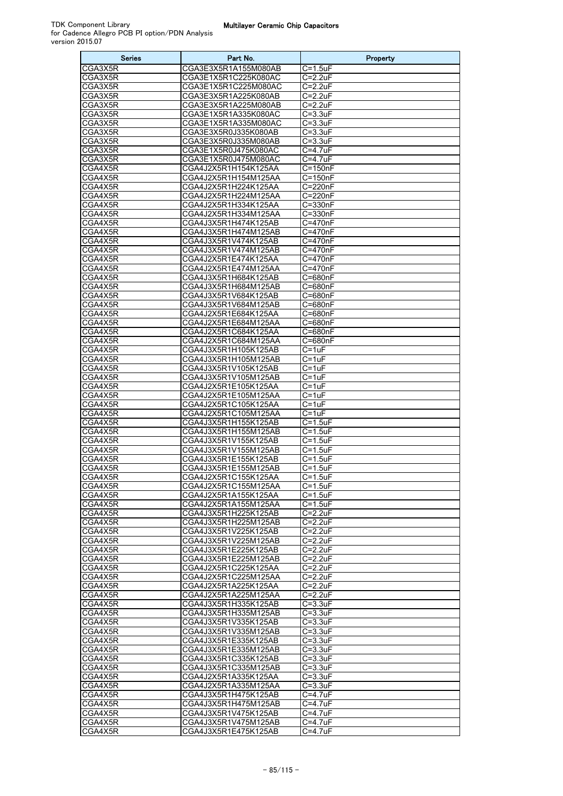| <b>Series</b>      | Part No.                                     | Property                         |
|--------------------|----------------------------------------------|----------------------------------|
| CGA3X5R            | CGA3E3X5R1A155M080AB                         | $\overline{C=1}.5$ uF            |
| CGA3X5R            | CGA3E1X5R1C225K080AC                         | $C=2.2uF$                        |
| CGA3X5R            | CGA3E1X5R1C225M080AC                         | $C = 2.2uF$                      |
| CGA3X5R            | CGA3E3X5R1A225K080AB                         | $C = 2.2uF$                      |
| CGA3X5R            | CGA3E3X5R1A225M080AB                         | $C = 2.2uF$                      |
| CGA3X5R            | CGA3E1X5R1A335K080AC                         | $C = 3.3uF$                      |
| CGA3X5R            | CGA3E1X5R1A335M080AC                         | $C = 3.3uF$                      |
| CGA3X5R<br>CGA3X5R | CGA3E3X5R0J335K080AB                         | $C = 3.3uF$                      |
| CGA3X5R            | CGA3E3X5R0J335M080AB<br>CGA3E1X5R0J475K080AC | $C = 3.3$ uF<br>C=4.7uF          |
| CGA3X5R            | CGA3E1X5R0J475M080AC                         | $C = 4.7uF$                      |
| CGA4X5R            | CGA4J2X5R1H154K125AA                         | $C = 150nF$                      |
| CGA4X5R            | CGA4J2X5R1H154M125AA                         | $C = 150nF$                      |
| CGA4X5R            | CGA4J2X5R1H224K125AA                         | $C=220nF$                        |
| CGA4X5R            | CGA4J2X5R1H224M125AA                         | C=220nF                          |
| CGA4X5R            | CGA4J2X5R1H334K125AA                         | $\overline{C=330nF}$             |
| CGA4X5R            | CGA4J2X5R1H334M125AA                         | C=330nF                          |
| CGA4X5R            | CGA4J3X5R1H474K125AB                         | C=470nF                          |
| CGA4X5R            | CGA4J3X5R1H474M125AB                         | C=470nF                          |
| CGA4X5R            | CGA4J3X5R1V474K125AB                         | C=470nF                          |
| CGA4X5R            | CGA4J3X5R1V474M125AB                         | $\overline{C}$ =470nF            |
| CGA4X5R<br>CGA4X5R | CGA4J2X5R1E474K125AA<br>CGA4J2X5R1E474M125AA | C=470nF<br>C=470nF               |
| CGA4X5R            | CGA4J3X5R1H684K125AB                         | C=680nF                          |
| CGA4X5R            | CGA4J3X5R1H684M125AB                         | C=680nF                          |
| CGA4X5R            | CGA4J3X5R1V684K125AB                         | C=680nF                          |
| CGA4X5R            | CGA4J3X5R1V684M125AB                         | C=680nF                          |
| CGA4X5R            | CGA4J2X5R1E684K125AA                         | C=680nF                          |
| CGA4X5R            | CGA4J2X5R1E684M125AA                         | C=680nF                          |
| CGA4X5R            | CGA4J2X5R1C684K125AA                         | C=680nF                          |
| CGA4X5R            | CGA4J2X5R1C684M125AA                         | $\overline{C}$ =680nF            |
| CGA4X5R            | CGA4J3X5R1H105K125AB                         | C=1uF                            |
| CGA4X5R            | CGA4J3X5R1H105M125AB                         | $C = 1uF$                        |
| CGA4X5R            | CGA4J3X5R1V105K125AB                         | $C=1uF$                          |
| CGA4X5R            | CGA4J3X5R1V105M125AB                         | $C = 1uF$                        |
| CGA4X5R<br>CGA4X5R | CGA4J2X5R1E105K125AA<br>CGA4J2X5R1E105M125AA | $C = 1uF$<br>C=1uF               |
| CGA4X5R            | CGA4J2X5R1C105K125AA                         | $C = 1uF$                        |
| CGA4X5R            | CGA4J2X5R1C105M125AA                         | $C=1uF$                          |
| CGA4X5R            | CGA4J3X5R1H155K125AB                         | C=1.5uF                          |
| CGA4X5R            | CGA4J3X5R1H155M125AB                         | $C = 1.5$ uF                     |
| CGA4X5R            | CGA4J3X5R1V155K125AB                         | $C = 1.5$ uF                     |
| CGA4X5R            | CGA4J3X5R1V155M125AB                         | C=1.5uF                          |
| CGA4X5R            | CGA4J3X5R1E155K125AB                         | $C = 1.5$ uF                     |
| CGA4X5R            | CGA4J3X5R1E155M125AB                         | C=1.5uF                          |
| CGA4X5R            | CGA4J2X5R1C155K125AA                         | $C = 1.5$ uF                     |
| CGA4X5R            | CGA4J2X5R1C155M125AA                         | $C = 1.5$ uF                     |
| CGA4X5R<br>CGA4X5R | CGA4J2X5R1A155K125AA<br>CGA4J2X5R1A155M125AA | C=1.5uF<br>$\overline{C=1.5}$ uF |
| CGA4X5R            | CGA4J3X5R1H225K125AB                         | $C = 2.2uF$                      |
| CGA4X5R            | CGA4J3X5R1H225M125AB                         | C=2.2uF                          |
| CGA4X5R            | CGA4J3X5R1V225K125AB                         | C=2.2uF                          |
| CGA4X5R            | CGA4J3X5R1V225M125AB                         | C=2.2uF                          |
| CGA4X5R            | CGA4J3X5R1E225K125AB                         | $C = 2.2uF$                      |
| CGA4X5R            | CGA4J3X5R1E225M125AB                         | $C = 2.2uF$                      |
| CGA4X5R            | CGA4J2X5R1C225K125AA                         | C=2.2uF                          |
| CGA4X5R            | CGA4J2X5R1C225M125AA                         | C=2.2uF                          |
| CGA4X5R            | CGA4J2X5R1A225K125AA                         | C=2.2uF                          |
| CGA4X5R            | CGA4J2X5R1A225M125AA                         | $C=2.2uF$                        |
| CGA4X5R            | CGA4J3X5R1H335K125AB                         | C=3.3uF                          |
| CGA4X5R<br>CGA4X5R | CGA4J3X5R1H335M125AB<br>CGA4J3X5R1V335K125AB | C=3.3uF<br>$C = 3.3uF$           |
| CGA4X5R            | CGA4J3X5R1V335M125AB                         | $C = 3.3uF$                      |
| CGA4X5R            | CGA4J3X5R1E335K125AB                         | $C = 3.3uF$                      |
| CGA4X5R            | CGA4J3X5R1E335M125AB                         | C=3.3uF                          |
| CGA4X5R            | CGA4J3X5R1C335K125AB                         | C=3.3uF                          |
| CGA4X5R            | CGA4J3X5R1C335M125AB                         | C=3.3uF                          |
| CGA4X5R            | CGA4J2X5R1A335K125AA                         | $C = 3.3uF$                      |
| CGA4X5R            | CGA4J2X5R1A335M125AA                         | $\overline{C}$ =3.3uF            |
| CGA4X5R            | CGA4J3X5R1H475K125AB                         | C=4.7uF                          |
| CGA4X5R            | CGA4J3X5R1H475M125AB                         | C=4.7uF                          |
| CGA4X5R            | CGA4J3X5R1V475K125AB                         | $\overline{C=4}$ . 7uF           |
| CGA4X5R<br>CGA4X5R | CGA4J3X5R1V475M125AB                         | C=4.7uF<br>$C=4.7uF$             |
|                    | CGA4J3X5R1E475K125AB                         |                                  |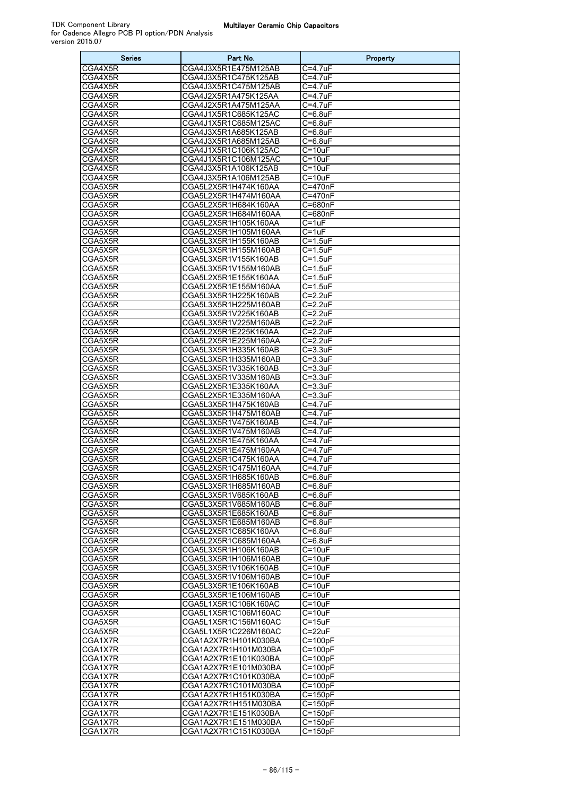| <b>Series</b>      | Part No.                                     | Property                     |
|--------------------|----------------------------------------------|------------------------------|
| CGA4X5R            | CGA4J3X5R1E475M125AB                         | C=4.7uF                      |
| CGA4X5R            | CGA4J3X5R1C475K125AB                         | $C = 4.7$ uF                 |
| CGA4X5R            | CGA4J3X5R1C475M125AB                         | $C = 4.7uF$                  |
| CGA4X5R            | CGA4J2X5R1A475K125AA                         | $C = 4.7$ u $F$              |
| CGA4X5R            | CGA4J2X5R1A475M125AA                         | $C = 4.7uF$                  |
| CGA4X5R            | CGA4J1X5R1C685K125AC                         | $C = 6.8$ uF                 |
| CGA4X5R            | CGA4J1X5R1C685M125AC                         | $C = 6.8$ uF                 |
| CGA4X5R            | CGA4J3X5R1A685K125AB                         | $C = 6.8$ uF                 |
| CGA4X5R<br>CGA4X5R | CGA4J3X5R1A685M125AB<br>CGA4J1X5R1C106K125AC | $C = 6.8$ uF<br>$C = 10uF$   |
| CGA4X5R            | CGA4J1X5R1C106M125AC                         | $C = 10uF$                   |
| CGA4X5R            | CGA4J3X5R1A106K125AB                         | $C = 10uF$                   |
| CGA4X5R            | CGA4J3X5R1A106M125AB                         | $C = 10uF$                   |
| CGA5X5R            | CGA5L2X5R1H474K160AA                         | C=470nF                      |
| CGA5X5R            | CGA5L2X5R1H474M160AA                         | C=470nF                      |
| CGA5X5R            | CGA5L2X5R1H684K160AA                         | C=680nF                      |
| CGA5X5R            | CGA5L2X5R1H684M160AA                         | C=680nF                      |
| CGA5X5R            | CGA5L2X5R1H105K160AA                         | $C = 1uF$                    |
| CGA5X5R            | CGA5L2X5R1H105M160AA                         | C=1uF                        |
| CGA5X5R            | CGA5L3X5R1H155K160AB                         | $C = 1.5$ uF                 |
| CGA5X5R            | CGA5L3X5R1H155M160AB                         | $C = 1.5$ uF                 |
| CGA5X5R<br>CGA5X5R | CGA5L3X5R1V155K160AB<br>CGA5L3X5R1V155M160AB | $C = 1.5$ uF<br>$C = 1.5$ uF |
| CGA5X5R            | CGA5L2X5R1E155K160AA                         | $C = 1.5uF$                  |
| CGA5X5R            | CGA5L2X5R1E155M160AA                         | $C = 1.5$ uF                 |
| CGA5X5R            | CGA5L3X5R1H225K160AB                         | $\overline{C}$ =2.2uF        |
| CGA5X5R            | CGA5L3X5R1H225M160AB                         | $C = 2.2uF$                  |
| CGA5X5R            | CGA5L3X5R1V225K160AB                         | $C = 2.2uF$                  |
| CGA5X5R            | CGA5L3X5R1V225M160AB                         | $C = 2.2uF$                  |
| CGA5X5R            | CGA5L2X5R1E225K160AA                         | C=2.2uF                      |
| CGA5X5R            | CGA5L2X5R1E225M160AA                         | $C = 2.2uF$                  |
| CGA5X5R            | CGA5L3X5R1H335K160AB                         | $C = 3.3uF$                  |
| CGA5X5R            | CGA5L3X5R1H335M160AB                         | $C = 3.3uF$                  |
| CGA5X5R<br>CGA5X5R | CGA5L3X5R1V335K160AB<br>CGA5L3X5R1V335M160AB | $C = 3.3$ uF<br>$C = 3.3uF$  |
| CGA5X5R            | CGA5L2X5R1E335K160AA                         | $\overline{C}$ =3.3uF        |
| CGA5X5R            | CGA5L2X5R1E335M160AA                         | $C = 3.3uF$                  |
| CGA5X5R            | CGA5L3X5R1H475K160AB                         | C=4.7uF                      |
| CGA5X5R            | CGA5L3X5R1H475M160AB                         | C=4.7uF                      |
| CGA5X5R            | CGA5L3X5R1V475K160AB                         | $C = 4.7uF$                  |
| CGA5X5R            | CGA5L3X5R1V475M160AB                         | $C = 4.7uF$                  |
| CGA5X5R            | CGA5L2X5R1E475K160AA                         | $C = 4.7$ uF                 |
| CGA5X5R            | CGA5L2X5R1E475M160AA                         | $C = 4.7uF$                  |
| CGA5X5R            | CGA5L2X5R1C475K160AA                         | C=4.7uF                      |
| CGA5X5R<br>CGA5X5R | CGA5L2X5R1C475M160AA                         | $C = 4.7$ uF                 |
| CGA5X5R            | CGA5L3X5R1H685K160AB<br>CGA5L3X5R1H685M160AB | $C = 6.8$ uF<br>$C = 6.8$ uF |
| CGA5X5R            | CGA5L3X5R1V685K160AB                         | C=6.8uF                      |
| CGA5X5R            | CGA5L3X5R1V685M160AB                         | $C = 6.8$ uF                 |
| CGA5X5R            | CGA5L3X5R1E685K160AB                         | $C = 6.8$ uF                 |
| CGA5X5R            | CGA5L3X5R1E685M160AB                         | $C = 6.8$ uF                 |
| CGA5X5R            | CGA5L2X5R1C685K160AA                         | $\overline{C=6}$ .8uF        |
| CGA5X5R            | CGA5L2X5R1C685M160AA                         | C=6.8uF                      |
| CGA5X5R            | CGA5L3X5R1H106K160AB                         | $C=10uF$                     |
| CGA5X5R            | CGA5L3X5R1H106M160AB                         | $C = 10uF$                   |
| CGA5X5R<br>CGA5X5R | CGA5L3X5R1V106K160AB<br>CGA5L3X5R1V106M160AB | $C = 10uF$<br>$C = 10uF$     |
| CGA5X5R            | CGA5L3X5R1E106K160AB                         | $C = 10uF$                   |
| CGA5X5R            | CGA5L3X5R1E106M160AB                         | $C = 10uF$                   |
| CGA5X5R            | CGA5L1X5R1C106K160AC                         | $C = 10uF$                   |
| CGA5X5R            | CGA5L1X5R1C106M160AC                         | $C = 10uF$                   |
| CGA5X5R            | CGA5L1X5R1C156M160AC                         | $C = 15uF$                   |
| CGA5X5R            | CGA5L1X5R1C226M160AC                         | C=22uF                       |
| CGA1X7R            | CGA1A2X7R1H101K030BA                         | $C = 100pF$                  |
| CGA1X7R            | CGA1A2X7R1H101M030BA                         | $C = 100pF$                  |
| CGA1X7R            | CGA1A2X7R1E101K030BA                         | $C = 100pF$                  |
| CGA1X7R<br>CGA1X7R | CGA1A2X7R1E101M030BA<br>CGA1A2X7R1C101K030BA | $C = 100pF$<br>$C = 100pF$   |
| CGA1X7R            | CGA1A2X7R1C101M030BA                         | $C = 100pF$                  |
| CGA1X7R            | CGA1A2X7R1H151K030BA                         | $C = 150pF$                  |
| CGA1X7R            | CGA1A2X7R1H151M030BA                         | $C = 150pF$                  |
| CGA1X7R            | CGA1A2X7R1E151K030BA                         | $C = 150pF$                  |
| CGA1X7R            | CGA1A2X7R1E151M030BA                         | $C = 150pF$                  |
| CGA1X7R            | CGA1A2X7R1C151K030BA                         | $C=150pF$                    |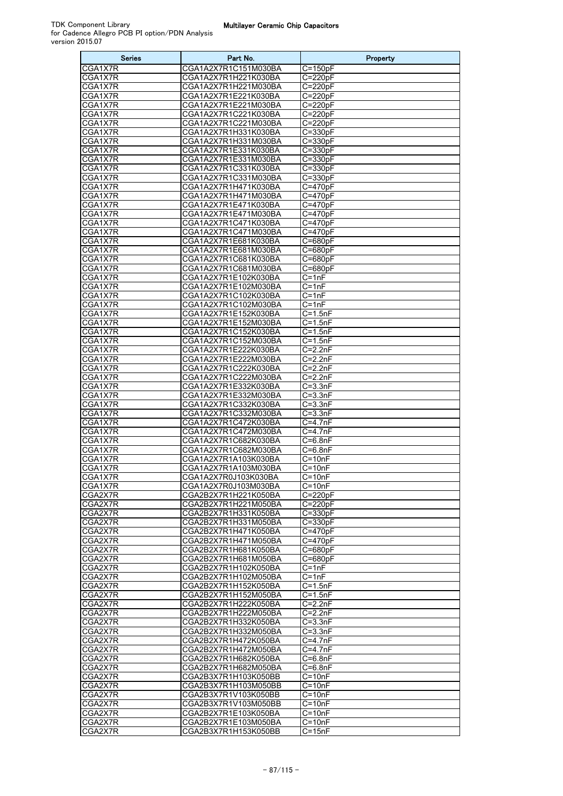| <b>Series</b>      | Part No.                                     | Property                   |
|--------------------|----------------------------------------------|----------------------------|
| CGA1X7R            | CGA1A2X7R1C151M030BA                         | $C = 150pF$                |
| CGA1X7R            | CGA1A2X7R1H221K030BA                         | $C = 220pF$                |
| CGA1X7R            | CGA1A2X7R1H221M030BA                         | $C = 220pF$                |
| CGA1X7R            | CGA1A2X7R1E221K030BA                         | $C = 220pF$                |
| CGA1X7R            | CGA1A2X7R1E221M030BA                         | $C = 220pF$                |
| CGA1X7R            | CGA1A2X7R1C221K030BA                         | $C = 220pF$                |
| CGA1X7R            | CGA1A2X7R1C221M030BA                         | $C = 220pF$                |
| CGA1X7R<br>CGA1X7R | CGA1A2X7R1H331K030BA                         | $C = 330pF$                |
| CGA1X7R            | CGA1A2X7R1H331M030BA<br>CGA1A2X7R1E331K030BA | C=330pF<br>$C = 330pF$     |
| CGA1X7R            | CGA1A2X7R1E331M030BA                         | $C = 330pF$                |
| CGA1X7R            | CGA1A2X7R1C331K030BA                         | $C = 330pF$                |
| CGA1X7R            | CGA1A2X7R1C331M030BA                         | $C = 330pF$                |
| CGA1X7R            | CGA1A2X7R1H471K030BA                         | $C = 470pF$                |
| CGA1X7R            | CGA1A2X7R1H471M030BA                         | $C = 470pF$                |
| CGA1X7R            | CGA1A2X7R1E471K030BA                         | $C=470pF$                  |
| CGA1X7R            | CGA1A2X7R1E471M030BA                         | $C=470pF$                  |
| CGA1X7R            | CGA1A2X7R1C471K030BA                         | $C = 470pF$                |
| CGA1X7R            | CGA1A2X7R1C471M030BA                         | $C = 470pF$                |
| CGA1X7R            | CGA1A2X7R1E681K030BA                         | $C = 680pF$                |
| CGA1X7R            | CGA1A2X7R1E681M030BA                         | $C = 680pF$                |
| CGA1X7R            | CGA1A2X7R1C681K030BA<br>CGA1A2X7R1C681M030BA | C=680pF                    |
| CGA1X7R<br>CGA1X7R | CGA1A2X7R1E102K030BA                         | C=680pF<br>$C=1nF$         |
| CGA1X7R            | CGA1A2X7R1E102M030BA                         | $C = 1nF$                  |
| CGA1X7R            | CGA1A2X7R1C102K030BA                         | $C = 1nF$                  |
| CGA1X7R            | CGA1A2X7R1C102M030BA                         | $\overline{C}$ =1nF        |
| CGA1X7R            | CGA1A2X7R1E152K030BA                         | $C=1.5nF$                  |
| CGA1X7R            | CGA1A2X7R1E152M030BA                         | $C=1.5nF$                  |
| CGA1X7R            | CGA1A2X7R1C152K030BA                         | $C = 1.5nF$                |
| CGA1X7R            | CGA1A2X7R1C152M030BA                         | $C = 1.5nF$                |
| CGA1X7R            | CGA1A2X7R1E222K030BA                         | $C = 2.2nF$                |
| CGA1X7R            | CGA1A2X7R1E222M030BA                         | $C = 2.2nF$                |
| CGA1X7R            | CGA1A2X7R1C222K030BA                         | $C = 2.2nF$                |
| CGA1X7R            | CGA1A2X7R1C222M030BA                         | C=2.2nF                    |
| CGA1X7R            | CGA1A2X7R1E332K030BA                         | $C = 3.3nF$                |
| CGA1X7R<br>CGA1X7R | CGA1A2X7R1E332M030BA<br>CGA1A2X7R1C332K030BA | $C = 3.3nF$<br>$C = 3.3nF$ |
| CGA1X7R            | CGA1A2X7R1C332M030BA                         | $C = 3.3nF$                |
| CGA1X7R            | CGA1A2X7R1C472K030BA                         | C=4.7nF                    |
| CGA1X7R            | CGA1A2X7R1C472M030BA                         | $\overline{C=4}$ .7nF      |
| CGA1X7R            | CGA1A2X7R1C682K030BA                         | $C = 6.8nF$                |
| CGA1X7R            | CGA1A2X7R1C682M030BA                         | $C = 6.8nF$                |
| CGA1X7R            | CGA1A2X7R1A103K030BA                         | $C=10nF$                   |
| CGA1X7R            | CGA1A2X7R1A103M030BA                         | $C = 10nF$                 |
| CGA1X7R            | CGA1A2X7R0J103K030BA                         | $C = 10nF$                 |
| CGA1X7R            | CGA1A2X7R0J103M030BA                         | C=10nF                     |
| CGA2X7R<br>CGA2X7R | CGA2B2X7R1H221K050BA<br>CGA2B2X7R1H221M050BA | $C = 220pF$<br>$C = 220pF$ |
| CGA2X7R            | CGA2B2X7R1H331K050BA                         | $C = 330pF$                |
| CGA2X7R            | CGA2B2X7R1H331M050BA                         | $C = 330pF$                |
| CGA2X7R            | CGA2B2X7R1H471K050BA                         | $C = 470pF$                |
| CGA2X7R            | CGA2B2X7R1H471M050BA                         | C=470pF                    |
| CGA2X7R            | CGA2B2X7R1H681K050BA                         | $C = 680pF$                |
| CGA2X7R            | CGA2B2X7R1H681M050BA                         | $C = 680pF$                |
| CGA2X7R            | CGA2B2X7R1H102K050BA                         | $C = 1nF$                  |
| CGA2X7R            | CGA2B2X7R1H102M050BA                         | $C=1nF$                    |
| CGA2X7R            | CGA2B2X7R1H152K050BA                         | C=1.5nF                    |
| CGA2X7R            | CGA2B2X7R1H152M050BA                         | $C = 1.5nF$                |
| CGA2X7R            | CGA2B2X7R1H222K050BA<br>CGA2B2X7R1H222M050BA | $C = 2.2nF$                |
| CGA2X7R<br>CGA2X7R | CGA2B2X7R1H332K050BA                         | C=2.2nF<br>$C = 3.3nF$     |
| CGA2X7R            | CGA2B2X7R1H332M050BA                         | $C = 3.3nF$                |
| CGA2X7R            | CGA2B2X7R1H472K050BA                         | $\overline{C=4}$ .7nF      |
| CGA2X7R            | CGA2B2X7R1H472M050BA                         | $C = 4.7nF$                |
| CGA2X7R            | CGA2B2X7R1H682K050BA                         | C=6.8nF                    |
| CGA2X7R            | CGA2B2X7R1H682M050BA                         | $C = 6.8nF$                |
| CGA2X7R            | CGA2B3X7R1H103K050BB                         | C=10nF                     |
| CGA2X7R            | CGA2B3X7R1H103M050BB                         | $C = 10nF$                 |
| CGA2X7R            | CGA2B3X7R1V103K050BB                         | $C = 10nF$                 |
| CGA2X7R            | CGA2B3X7R1V103M050BB                         | C=10nF                     |
| CGA2X7R            | CGA2B2X7R1E103K050BA                         | $C=10nF$                   |
| CGA2X7R            | CGA2B2X7R1E103M050BA                         | $C = 10nF$                 |
| CGA2X7R            | CGA2B3X7R1H153K050BB                         | $C = 15nF$                 |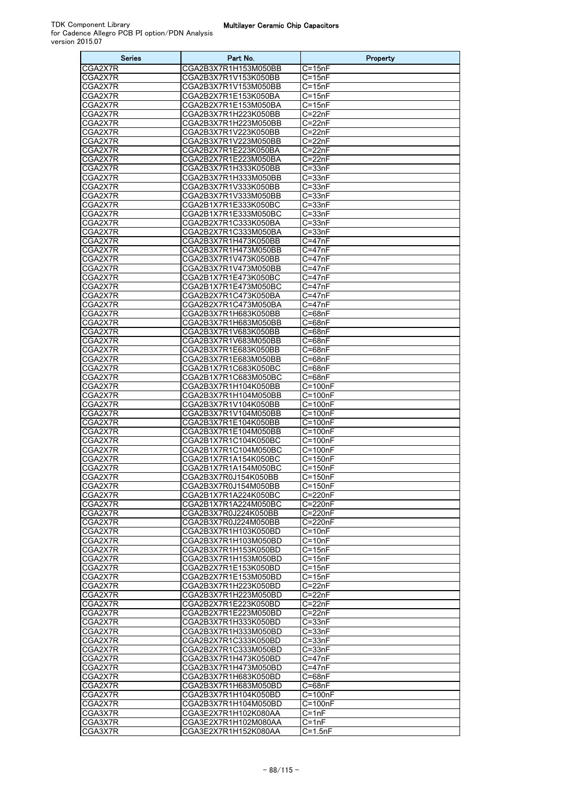| <b>Series</b>      | Part No.                                     | Property                 |
|--------------------|----------------------------------------------|--------------------------|
| CGA2X7R            | CGA2B3X7R1H153M050BB                         | $C = 15nF$               |
| CGA2X7R            | CGA2B3X7R1V153K050BB                         | $C = 15nF$               |
| CGA2X7R            | CGA2B3X7R1V153M050BB                         | $C = 15nF$               |
| CGA2X7R            | CGA2B2X7R1E153K050BA                         | $C = 15nF$               |
| CGA2X7R            | CGA2B2X7R1E153M050BA                         | $C = 15nF$               |
| CGA2X7R            | CGA2B3X7R1H223K050BB                         | $\overline{C=22nF}$      |
| CGA2X7R            | CGA2B3X7R1H223M050BB                         | $C = 22nF$               |
| CGA2X7R            | CGA2B3X7R1V223K050BB                         | $C = 22nF$               |
| CGA2X7R<br>CGA2X7R | CGA2B3X7R1V223M050BB                         | $C = 22nF$<br>C=22nF     |
| CGA2X7R            | CGA2B2X7R1E223K050BA<br>CGA2B2X7R1E223M050BA | $C=22nF$                 |
| CGA2X7R            | CGA2B3X7R1H333K050BB                         | $C = 33nF$               |
| CGA2X7R            | CGA2B3X7R1H333M050BB                         | $C = 33nF$               |
| CGA2X7R            | CGA2B3X7R1V333K050BB                         | $C = 33nF$               |
| CGA2X7R            | CGA2B3X7R1V333M050BB                         | $C = 33nF$               |
| CGA2X7R            | CGA2B1X7R1E333K050BC                         | $C = 33nF$               |
| CGA2X7R            | CGA2B1X7R1E333M050BC                         | $C = 33nF$               |
| CGA2X7R            | CGA2B2X7R1C333K050BA                         | $C = 33nF$               |
| CGA2X7R            | CGA2B2X7R1C333M050BA                         | $C = 33nF$               |
| CGA2X7R            | CGA2B3X7R1H473K050BB                         | $C = 47nF$               |
| CGA2X7R            | CGA2B3X7R1H473M050BB                         | C=47nF                   |
| CGA2X7R            | CGA2B3X7R1V473K050BB                         | C=47nF                   |
| CGA2X7R<br>CGA2X7R | CGA2B3X7R1V473M050BB                         | C=47nF<br>$C=47nF$       |
| CGA2X7R            | CGA2B1X7R1E473K050BC<br>CGA2B1X7R1E473M050BC | $C = 47nF$               |
| CGA2X7R            | CGA2B2X7R1C473K050BA                         | $C = 47nF$               |
| CGA2X7R            | CGA2B2X7R1C473M050BA                         | C=47nF                   |
| CGA2X7R            | CGA2B3X7R1H683K050BB                         | C=68nF                   |
| CGA2X7R            | CGA2B3X7R1H683M050BB                         | $C = 68nF$               |
| CGA2X7R            | CGA2B3X7R1V683K050BB                         | C=68nF                   |
| CGA2X7R            | CGA2B3X7R1V683M050BB                         | $\overline{C}$ =68nF     |
| CGA2X7R            | CGA2B3X7R1E683K050BB                         | C=68nF                   |
| CGA2X7R            | CGA2B3X7R1E683M050BB                         | C=68nF                   |
| CGA2X7R            | CGA2B1X7R1C683K050BC                         | $C = 68nF$               |
| CGA2X7R            | CGA2B1X7R1C683M050BC                         | C=68nF                   |
| CGA2X7R            | CGA2B3X7R1H104K050BB                         | C=100nF                  |
| CGA2X7R            | CGA2B3X7R1H104M050BB                         | $C=100nF$                |
| CGA2X7R<br>CGA2X7R | CGA2B3X7R1V104K050BB                         | C=100nF                  |
| CGA2X7R            | CGA2B3X7R1V104M050BB<br>CGA2B3X7R1E104K050BB | $C = 100nF$<br>$C=100nF$ |
| CGA2X7R            | CGA2B3X7R1E104M050BB                         | $\overline{C=100nF}$     |
| CGA2X7R            | CGA2B1X7R1C104K050BC                         | C=100nF                  |
| CGA2X7R            | CGA2B1X7R1C104M050BC                         | C=100nF                  |
| CGA2X7R            | CGA2B1X7R1A154K050BC                         | $C=150nF$                |
| CGA2X7R            | CGA2B1X7R1A154M050BC                         | C=150nF                  |
| CGA2X7R            | CGA2B3X7R0J154K050BB                         | $C = 150nF$              |
| CGA2X7R            | CGA2B3X7R0J154M050BB                         | C=150nF                  |
| CGA2X7R            | CGA2B1X7R1A224K050BC                         | $C=220nF$                |
| CGA2X7R            | CGA2B1X7R1A224M050BC                         | $C=220nF$                |
| CGA2X7R            | CGA2B3X7R0J224K050BB                         | C=220nF                  |
| CGA2X7R            | CGA2B3X7R0J224M050BB                         | C=220nF                  |
| CGA2X7R<br>CGA2X7R | CGA2B3X7R1H103K050BD<br>CGA2B3X7R1H103M050BD | $C = 10nF$<br>C=10nF     |
| CGA2X7R            | CGA2B3X7R1H153K050BD                         | $C = 15nF$               |
| CGA2X7R            | CGA2B3X7R1H153M050BD                         | $C = 15nF$               |
| CGA2X7R            | CGA2B2X7R1E153K050BD                         | C=15nF                   |
| CGA2X7R            | CGA2B2X7R1E153M050BD                         | $C = 15nF$               |
| CGA2X7R            | CGA2B3X7R1H223K050BD                         | C=22nF                   |
| CGA2X7R            | CGA2B3X7R1H223M050BD                         | $C=22nF$                 |
| CGA2X7R            | CGA2B2X7R1E223K050BD                         | $\overline{C}$ =22nF     |
| CGA2X7R            | CGA2B2X7R1E223M050BD                         | C=22nF                   |
| CGA2X7R            | CGA2B3X7R1H333K050BD                         | $C = 33nF$               |
| CGA2X7R            | CGA2B3X7R1H333M050BD                         | C=33nF                   |
| CGA2X7R            | CGA2B2X7R1C333K050BD                         | $C = 33nF$               |
| CGA2X7R            | CGA2B2X7R1C333M050BD                         | $C = 33nF$               |
| CGA2X7R<br>CGA2X7R | CGA2B3X7R1H473K050BD<br>CGA2B3X7R1H473M050BD | C=47nF<br>$C = 47nF$     |
| CGA2X7R            | CGA2B3X7R1H683K050BD                         | C=68nF                   |
| CGA2X7R            | CGA2B3X7R1H683M050BD                         | $C = 68nF$               |
| CGA2X7R            | CGA2B3X7R1H104K050BD                         | $C = 100nF$              |
| CGA2X7R            | CGA2B3X7R1H104M050BD                         | $C = 100nF$              |
| CGA3X7R            | CGA3E2X7R1H102K080AA                         | $C = 1nF$                |
| CGA3X7R            | CGA3E2X7R1H102M080AA                         | C=1nF                    |
| CGA3X7R            | CGA3E2X7R1H152K080AA                         | C=1.5nF                  |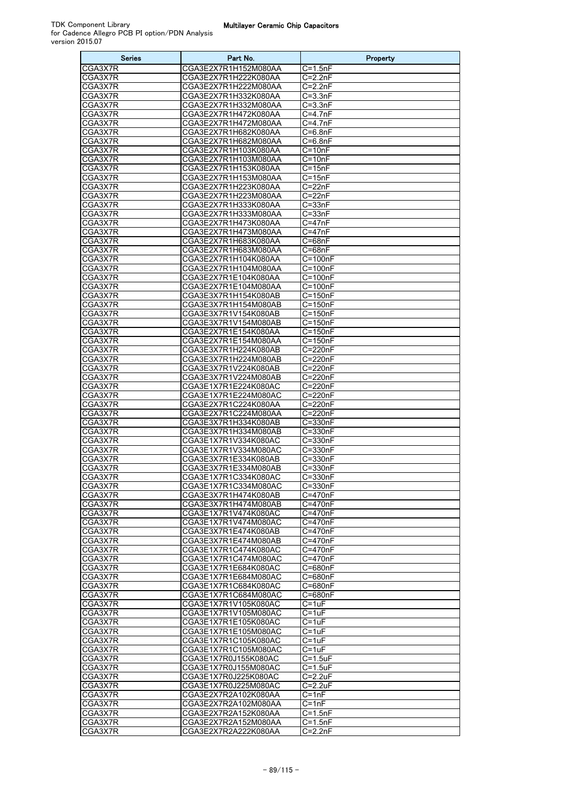| <b>Series</b>      | Part No.                                     | Property                   |
|--------------------|----------------------------------------------|----------------------------|
| CGA3X7R            | CGA3E2X7R1H152M080AA                         | C=1.5nF                    |
| CGA3X7R            | CGA3E2X7R1H222K080AA                         | $C = 2.2nF$                |
| CGA3X7R            | CGA3E2X7R1H222M080AA                         | $C = 2.2nF$                |
| CGA3X7R            | CGA3E2X7R1H332K080AA                         | $C = 3.3nF$                |
| CGA3X7R            | CGA3E2X7R1H332M080AA                         | $C = 3.3nF$                |
| CGA3X7R<br>CGA3X7R | CGA3E2X7R1H472K080AA<br>CGA3E2X7R1H472M080AA | $C = 4.7nF$<br>$C = 4.7nF$ |
| CGA3X7R            | CGA3E2X7R1H682K080AA                         | $C = 6.8nF$                |
| CGA3X7R            | CGA3E2X7R1H682M080AA                         | $C = 6.8nF$                |
| CGA3X7R            | CGA3E2X7R1H103K080AA                         | $C = 10nF$                 |
| CGA3X7R            | CGA3E2X7R1H103M080AA                         | $C = 10nF$                 |
| CGA3X7R            | CGA3E2X7R1H153K080AA                         | $C = 15nF$                 |
| CGA3X7R            | CGA3E2X7R1H153M080AA                         | $C = 15nF$                 |
| CGA3X7R            | CGA3E2X7R1H223K080AA                         | $C = 22nF$                 |
| CGA3X7R            | CGA3E2X7R1H223M080AA                         | $C = 22nF$                 |
| CGA3X7R<br>CGA3X7R | CGA3E2X7R1H333K080AA<br>CGA3E2X7R1H333M080AA | $C = 33nF$<br>$C = 33nF$   |
| CGA3X7R            | CGA3E2X7R1H473K080AA                         | $C = 47nF$                 |
| CGA3X7R            | CGA3E2X7R1H473M080AA                         | $C=47nF$                   |
| CGA3X7R            | CGA3E2X7R1H683K080AA                         | $C = 68nF$                 |
| CGA3X7R            | CGA3E2X7R1H683M080AA                         | $C = 68nF$                 |
| CGA3X7R            | CGA3E2X7R1H104K080AA                         | $C = 100nF$                |
| CGA3X7R            | CGA3E2X7R1H104M080AA                         | $C = 100nF$                |
| CGA3X7R            | CGA3E2X7R1E104K080AA                         | $C=100nF$                  |
| CGA3X7R            | CGA3E2X7R1E104M080AA                         | $C=100nF$                  |
| CGA3X7R<br>CGA3X7R | CGA3E3X7R1H154K080AB<br>CGA3E3X7R1H154M080AB | $C = 150nF$<br>$C = 150nF$ |
| CGA3X7R            | CGA3E3X7R1V154K080AB                         | $C = 150nF$                |
| CGA3X7R            | CGA3E3X7R1V154M080AB                         | $C = 150nF$                |
| CGA3X7R            | CGA3E2X7R1E154K080AA                         | $C = 150nF$                |
| CGA3X7R            | CGA3E2X7R1E154M080AA                         | $C = 150nF$                |
| CGA3X7R            | CGA3E3X7R1H224K080AB                         | C=220nF                    |
| CGA3X7R            | CGA3E3X7R1H224M080AB                         | C=220nF                    |
| CGA3X7R            | CGA3E3X7R1V224K080AB                         | $C = 220nF$                |
| CGA3X7R<br>CGA3X7R | CGA3E3X7R1V224M080AB<br>CGA3E1X7R1E224K080AC | C=220nF<br>C=220nF         |
| CGA3X7R            | CGA3E1X7R1E224M080AC                         | C=220nF                    |
| CGA3X7R            | CGA3E2X7R1C224K080AA                         | C=220nF                    |
| CGA3X7R            | CGA3E2X7R1C224M080AA                         | $C = 220nF$                |
| CGA3X7R            | CGA3E3X7R1H334K080AB                         | C=330nF                    |
| CGA3X7R            | CGA3E3X7R1H334M080AB                         | $\overline{C}$ =330nF      |
| CGA3X7R            | CGA3E1X7R1V334K080AC                         | C=330nF                    |
| CGA3X7R<br>CGA3X7R | CGA3E1X7R1V334M080AC<br>CGA3E3X7R1E334K080AB | C=330nF<br>$C = 330nF$     |
| CGA3X7R            | CGA3E3X7R1E334M080AB                         | C=330nF                    |
| CGA3X7R            | CGA3E1X7R1C334K080AC                         | C=330nF                    |
| CGA3X7R            | CGA3E1X7R1C334M080AC                         | C=330nF                    |
| CGA3X7R            | CGA3E3X7R1H474K080AB                         | C=470nF                    |
| CGA3X7R            | CGA3E3X7R1H474M080AB                         | C=470nF                    |
| CGA3X7R            | CGA3E1X7R1V474K080AC                         | C=470nF                    |
| CGA3X7R            | CGA3E1X7R1V474M080AC                         | C=470nF                    |
| CGA3X7R<br>CGA3X7R | CGA3E3X7R1E474K080AB<br>CGA3E3X7R1E474M080AB | C=470nF<br>C=470nF         |
| CGA3X7R            | CGA3E1X7R1C474K080AC                         | C=470nF                    |
| CGA3X7R            | CGA3E1X7R1C474M080AC                         | C=470nF                    |
| CGA3X7R            | CGA3E1X7R1E684K080AC                         | C=680nF                    |
| CGA3X7R            | CGA3E1X7R1E684M080AC                         | C=680nF                    |
| CGA3X7R            | CGA3E1X7R1C684K080AC                         | C=680nF                    |
| CGA3X7R            | CGA3E1X7R1C684M080AC                         | C=680nF                    |
| CGA3X7R            | CGA3E1X7R1V105K080AC<br>CGA3E1X7R1V105M080AC | $C = 1uF$<br>$C = 1uF$     |
| CGA3X7R<br>CGA3X7R | CGA3E1X7R1E105K080AC                         | $C = 1uF$                  |
| CGA3X7R            | CGA3E1X7R1E105M080AC                         | $C = 1uF$                  |
| CGA3X7R            | CGA3E1X7R1C105K080AC                         | $C = 1uF$                  |
| CGA3X7R            | CGA3E1X7R1C105M080AC                         | $C = 1uF$                  |
| CGA3X7R            | CGA3E1X7R0J155K080AC                         | C=1.5uF                    |
| CGA3X7R            | CGA3E1X7R0J155M080AC                         | $C = 1.5$ uF               |
| CGA3X7R            | CGA3E1X7R0J225K080AC                         | C=2.2uF                    |
| CGA3X7R            | CGA3E1X7R0J225M080AC                         | $C = 2.2uF$                |
| CGA3X7R            | CGA3E2X7R2A102K080AA<br>CGA3E2X7R2A102M080AA | $C = 1nF$                  |
| CGA3X7R<br>CGA3X7R | CGA3E2X7R2A152K080AA                         | C=1nF<br>$C = 1.5nF$       |
| CGA3X7R            | CGA3E2X7R2A152M080AA                         | $C = 1.5nF$                |
| CGA3X7R            | CGA3E2X7R2A222K080AA                         | C=2.2nF                    |
|                    |                                              |                            |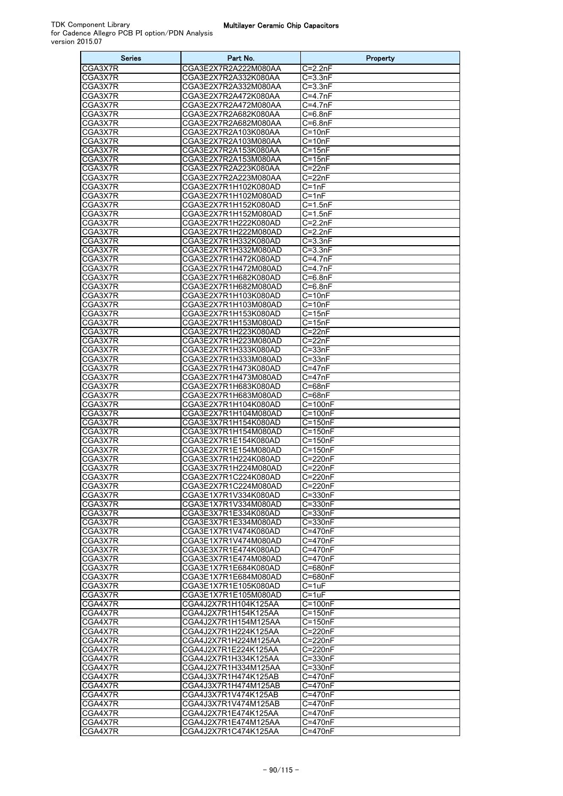| <b>Series</b>      | Part No.                                     | Property                   |
|--------------------|----------------------------------------------|----------------------------|
| CGA3X7R            | CGA3E2X7R2A222M080AA                         | $C = 2.2nF$                |
| CGA3X7R            | CGA3E2X7R2A332K080AA                         | $C = 3.3nF$                |
| CGA3X7R            | CGA3E2X7R2A332M080AA                         | $C = 3.3nF$                |
| CGA3X7R            | CGA3E2X7R2A472K080AA                         | C=4.7nF                    |
| CGA3X7R            | CGA3E2X7R2A472M080AA                         | $C = 4.7nF$                |
| CGA3X7R            | CGA3E2X7R2A682K080AA                         | $C = 6.8nF$                |
| CGA3X7R            | CGA3E2X7R2A682M080AA                         | $C = 6.8nF$                |
| CGA3X7R            | CGA3E2X7R2A103K080AA                         | $C = 10nF$                 |
| CGA3X7R            | CGA3E2X7R2A103M080AA                         | $C = 10nF$                 |
| CGA3X7R            | CGA3E2X7R2A153K080AA                         | $C = 15nF$                 |
| CGA3X7R            | CGA3E2X7R2A153M080AA                         | $C = 15nF$                 |
| CGA3X7R            | CGA3E2X7R2A223K080AA                         | $C = 22nF$                 |
| CGA3X7R            | CGA3E2X7R2A223M080AA                         | C=22nF                     |
| CGA3X7R            | CGA3E2X7R1H102K080AD                         | $C = 1nF$                  |
| CGA3X7R            | CGA3E2X7R1H102M080AD                         | $C = 1nF$                  |
| CGA3X7R            | CGA3E2X7R1H152K080AD                         | $C=1.5nF$                  |
| CGA3X7R            | CGA3E2X7R1H152M080AD                         | $C=1.5nF$                  |
| CGA3X7R            | CGA3E2X7R1H222K080AD                         | $C = 2.2nF$                |
| CGA3X7R            | CGA3E2X7R1H222M080AD                         | $C = 2.2nF$                |
| CGA3X7R            | CGA3E2X7R1H332K080AD                         | $C = 3.3nF$                |
| CGA3X7R            | CGA3E2X7R1H332M080AD                         | $C = 3.3nF$                |
| CGA3X7R            | CGA3E2X7R1H472K080AD                         | $C = 4.7nF$                |
| CGA3X7R            | CGA3E2X7R1H472M080AD                         | $C = 4.7nF$                |
| CGA3X7R            | CGA3E2X7R1H682K080AD                         | $C = 6.8nF$                |
| CGA3X7R            | CGA3E2X7R1H682M080AD                         | $C = 6.8nF$                |
| CGA3X7R            | CGA3E2X7R1H103K080AD                         | $C = 10nF$                 |
| CGA3X7R            | CGA3E2X7R1H103M080AD                         | $C = 10nF$                 |
| CGA3X7R            | CGA3E2X7R1H153K080AD                         | $C = 15nF$                 |
| CGA3X7R            | CGA3E2X7R1H153M080AD                         | $C = 15nF$                 |
| CGA3X7R            | CGA3E2X7R1H223K080AD                         | $C = 22nF$                 |
| CGA3X7R            | CGA3E2X7R1H223M080AD                         | $C = 22nF$                 |
| CGA3X7R            | CGA3E2X7R1H333K080AD                         | $C = 33nF$                 |
| CGA3X7R            | CGA3E2X7R1H333M080AD                         | $C = 33nF$                 |
| CGA3X7R            | CGA3E2X7R1H473K080AD                         | $C = 47nF$                 |
| CGA3X7R            | CGA3E2X7R1H473M080AD                         | $C = 47nF$                 |
| CGA3X7R            | CGA3E2X7R1H683K080AD                         | $C = 68nF$                 |
| CGA3X7R            | CGA3E2X7R1H683M080AD                         | $C = 68nF$                 |
| CGA3X7R            | CGA3E2X7R1H104K080AD                         | C=100nF                    |
| CGA3X7R<br>CGA3X7R | CGA3E2X7R1H104M080AD<br>CGA3E3X7R1H154K080AD | $C = 100nF$                |
|                    |                                              | $C = 150nF$<br>$C = 150nF$ |
| CGA3X7R<br>CGA3X7R | CGA3E3X7R1H154M080AD<br>CGA3E2X7R1E154K080AD | $C = 150nF$                |
| CGA3X7R            | CGA3E2X7R1E154M080AD                         | $C = 150nF$                |
| CGA3X7R            | CGA3E3X7R1H224K080AD                         | $C = 220nF$                |
| CGA3X7R            | CGA3E3X7R1H224M080AD                         | C=220nF                    |
| CGA3X7R            | CGA3E2X7R1C224K080AD                         | $C = 220nF$                |
| CGA3X7R            | CGA3E2X7R1C224M080AD                         | $C = 220nF$                |
| CGA3X7R            | CGA3E1X7R1V334K080AD                         | C=330nF                    |
| CGA3X7R            | CGA3E1X7R1V334M080AD                         | C=330nF                    |
| CGA3X7R            | CGA3E3X7R1E334K080AD                         | C=330nF                    |
| CGA3X7R            | CGA3E3X7R1E334M080AD                         | C=330nF                    |
| CGA3X7R            | CGA3E1X7R1V474K080AD                         | C=470nF                    |
| CGA3X7R            | CGA3E1X7R1V474M080AD                         | C=470nF                    |
| CGA3X7R            | CGA3E3X7R1E474K080AD                         | C=470nF                    |
| CGA3X7R            | CGA3E3X7R1E474M080AD                         | C=470nF                    |
| CGA3X7R            | CGA3E1X7R1E684K080AD                         | C=680nF                    |
| CGA3X7R            | CGA3E1X7R1E684M080AD                         | C=680nF                    |
| CGA3X7R            | CGA3E1X7R1E105K080AD                         | C=1uF                      |
| CGA3X7R            | CGA3E1X7R1E105M080AD                         | C=1uF                      |
| CGA4X7R            | CGA4J2X7R1H104K125AA                         | C=100nF                    |
| CGA4X7R            | CGA4J2X7R1H154K125AA                         | $C = 150nF$                |
| CGA4X7R            | CGA4J2X7R1H154M125AA                         | $C = 150nF$                |
| CGA4X7R            | CGA4J2X7R1H224K125AA                         | C=220nF                    |
| CGA4X7R            | CGA4J2X7R1H224M125AA                         | C=220nF                    |
| CGA4X7R            | CGA4J2X7R1E224K125AA                         | C=220nF                    |
| CGA4X7R            | CGA4J2X7R1H334K125AA                         | C=330nF                    |
| CGA4X7R            | CGA4J2X7R1H334M125AA                         | C=330nF                    |
| CGA4X7R            | CGA4J3X7R1H474K125AB                         | C=470nF                    |
| CGA4X7R            | CGA4J3X7R1H474M125AB                         | C=470nF                    |
| CGA4X7R            | CGA4J3X7R1V474K125AB                         | C=470nF                    |
| CGA4X7R            | CGA4J3X7R1V474M125AB                         | C=470nF                    |
| CGA4X7R            | CGA4J2X7R1E474K125AA                         | C=470nF                    |
| CGA4X7R            | CGA4J2X7R1E474M125AA                         | C=470nF                    |
| CGA4X7R            | CGA4J2X7R1C474K125AA                         | $C = 470nF$                |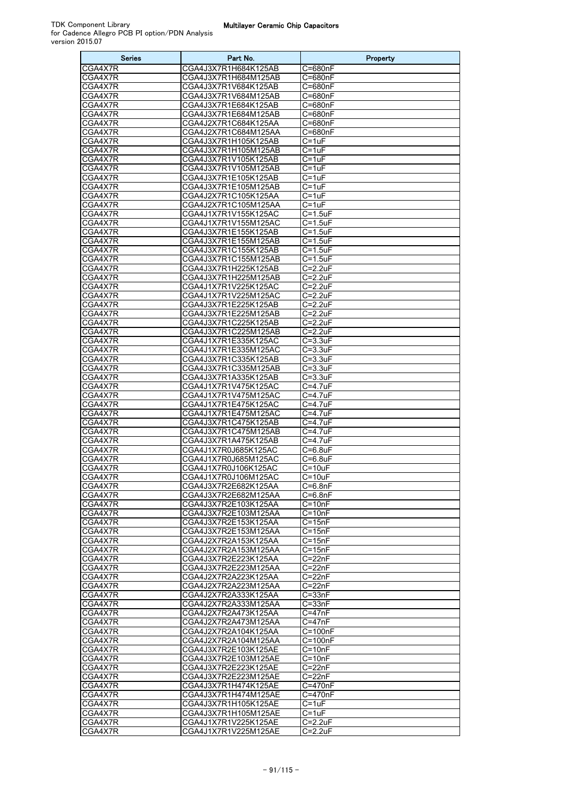| <b>Series</b>      | Part No.                                     | Property                  |
|--------------------|----------------------------------------------|---------------------------|
| CGA4X7R            | CGA4J3X7R1H684K125AB                         | C=680nF                   |
| CGA4X7R            | CGA4J3X7R1H684M125AB                         | C=680nF                   |
| CGA4X7R            | CGA4J3X7R1V684K125AB                         | C=680nF                   |
| CGA4X7R            | CGA4J3X7R1V684M125AB                         | C=680nF                   |
| CGA4X7R            | CGA4J3X7R1E684K125AB                         | C=680nF                   |
| CGA4X7R            | CGA4J3X7R1E684M125AB                         | $\overline{C}$ =680nF     |
| CGA4X7R            | CGA4J2X7R1C684K125AA                         | C=680nF                   |
| CGA4X7R<br>CGA4X7R | CGA4J2X7R1C684M125AA<br>CGA4J3X7R1H105K125AB | C=680nF<br>$C = 1uF$      |
| CGA4X7R            | CGA4J3X7R1H105M125AB                         | $C = 1uF$                 |
| CGA4X7R            | CGA4J3X7R1V105K125AB                         | $C = 1uF$                 |
| CGA4X7R            | CGA4J3X7R1V105M125AB                         | $C = 1uF$                 |
| CGA4X7R            | CGA4J3X7R1E105K125AB                         | $C = 1uF$                 |
| CGA4X7R            | CGA4J3X7R1E105M125AB                         | C=1uF                     |
| CGA4X7R            | CGA4J2X7R1C105K125AA                         | $C = 1uF$                 |
| CGA4X7R            | CGA4J2X7R1C105M125AA                         | $C = 1uF$                 |
| CGA4X7R            | CGA4J1X7R1V155K125AC                         | $C = 1.5$ uF              |
| CGA4X7R            | CGA4J1X7R1V155M125AC                         | $C = 1.5$ uF              |
| CGA4X7R            | CGA4J3X7R1E155K125AB                         | C=1.5uF                   |
| CGA4X7R            | CGA4J3X7R1E155M125AB                         | $C = 1.5$ uF              |
| CGA4X7R            | CGA4J3X7R1C155K125AB                         | $C = 1.5$ uF              |
| CGA4X7R            | CGA4J3X7R1C155M125AB<br>CGA4J3X7R1H225K125AB | $C = 1.5uF$               |
| CGA4X7R<br>CGA4X7R | CGA4J3X7R1H225M125AB                         | C=2.2uF<br>$C=2.2uF$      |
| CGA4X7R            | CGA4J1X7R1V225K125AC                         | $C = 2.2uF$               |
| CGA4X7R            | CGA4J1X7R1V225M125AC                         | $C = 2.2uF$               |
| CGA4X7R            | CGA4J3X7R1E225K125AB                         | $C = 2.2uF$               |
| CGA4X7R            | CGA4J3X7R1E225M125AB                         | C=2.2uF                   |
| CGA4X7R            | CGA4J3X7R1C225K125AB                         | $C=2.2uF$                 |
| CGA4X7R            | CGA4J3X7R1C225M125AB                         | $C = 2.2uF$               |
| CGA4X7R            | CGA4J1X7R1E335K125AC                         | $C = 3.3uF$               |
| CGA4X7R            | CGA4J1X7R1E335M125AC                         | $C = 3.3uF$               |
| CGA4X7R            | CGA4J3X7R1C335K125AB                         | $C = 3.3uF$               |
| CGA4X7R            | CGA4J3X7R1C335M125AB                         | $C = 3.3uF$               |
| CGA4X7R            | CGA4J3X7R1A335K125AB                         | $C = 3.3uF$               |
| CGA4X7R            | CGA4J1X7R1V475K125AC                         | $C = 4.7uF$               |
| CGA4X7R<br>CGA4X7R | CGA4J1X7R1V475M125AC<br>CGA4J1X7R1E475K125AC | C=4.7uF<br>C=4.7uF        |
| CGA4X7R            | CGA4J1X7R1E475M125AC                         | $C = 4.7uF$               |
| CGA4X7R            | CGA4J3X7R1C475K125AB                         | $C = 4.7uF$               |
| CGA4X7R            | CGA4J3X7R1C475M125AB                         | $C = 4.7uF$               |
| CGA4X7R            | CGA4J3X7R1A475K125AB                         | $C = 4.7uF$               |
| CGA4X7R            | CGA4J1X7R0J685K125AC                         | C=6.8uF                   |
| CGA4X7R            | CGA4J1X7R0J685M125AC                         | C=6.8uF                   |
| CGA4X7R            | CGA4J1X7R0J106K125AC                         | $C = 10uF$                |
| CGA4X7R            | CGA4J1X7R0J106M125AC                         | $C = 10uF$                |
| CGA4X7R            | CGA4J3X7R2E682K125AA                         | $C = 6.8nF$               |
| CGA4X7R<br>CGA4X7R | CGA4J3X7R2E682M125AA<br>CGA4J3X7R2E103K125AA | $C = 6.8nF$<br>$C = 10nF$ |
| CGA4X7R            | CGA4J3X7R2E103M125AA                         | $C = 10nF$                |
| CGA4X7R            | CGA4J3X7R2E153K125AA                         | C=15nF                    |
| CGA4X7R            | CGA4J3X7R2E153M125AA                         | $C = 15nF$                |
| CGA4X7R            | CGA4J2X7R2A153K125AA                         | $C = 15nF$                |
| CGA4X7R            | CGA4J2X7R2A153M125AA                         | $\overline{C=1}$ 5nF      |
| CGA4X7R            | CGA4J3X7R2E223K125AA                         | $C = 22nF$                |
| CGA4X7R            | CGA4J3X7R2E223M125AA                         | C=22nF                    |
| CGA4X7R            | CGA4J2X7R2A223K125AA                         | C=22nF                    |
| CGA4X7R            | CGA4J2X7R2A223M125AA                         | $C = 22nF$                |
| CGA4X7R            | CGA4J2X7R2A333K125AA                         | $C = 33nF$                |
| CGA4X7R            | CGA4J2X7R2A333M125AA                         | C=33nF                    |
| CGA4X7R<br>CGA4X7R | CGA4J2X7R2A473K125AA<br>CGA4J2X7R2A473M125AA | C=47nF<br>$C = 47nF$      |
| CGA4X7R            | CGA4J2X7R2A104K125AA                         | C=100nF                   |
| CGA4X7R            | CGA4J2X7R2A104M125AA                         | $C = 100nF$               |
| CGA4X7R            | CGA4J3X7R2E103K125AE                         | $C = 10nF$                |
| CGA4X7R            | CGA4J3X7R2E103M125AE                         | C=10nF                    |
| CGA4X7R            | CGA4J3X7R2E223K125AE                         | $C = 22nF$                |
| CGA4X7R            | CGA4J3X7R2E223M125AE                         | $C = 22nF$                |
| CGA4X7R            | CGA4J3X7R1H474K125AE                         | C=470nF                   |
| CGA4X7R            | CGA4J3X7R1H474M125AE                         | C=470nF                   |
| CGA4X7R            | CGA4J3X7R1H105K125AE                         | C=1uF                     |
| CGA4X7R            | CGA4J3X7R1H105M125AE                         | $C=1uF$                   |
| CGA4X7R            | CGA4J1X7R1V225K125AE                         | $C = 2.2uF$               |
| CGA4X7R            | CGA4J1X7R1V225M125AE                         | $C = 2.2uF$               |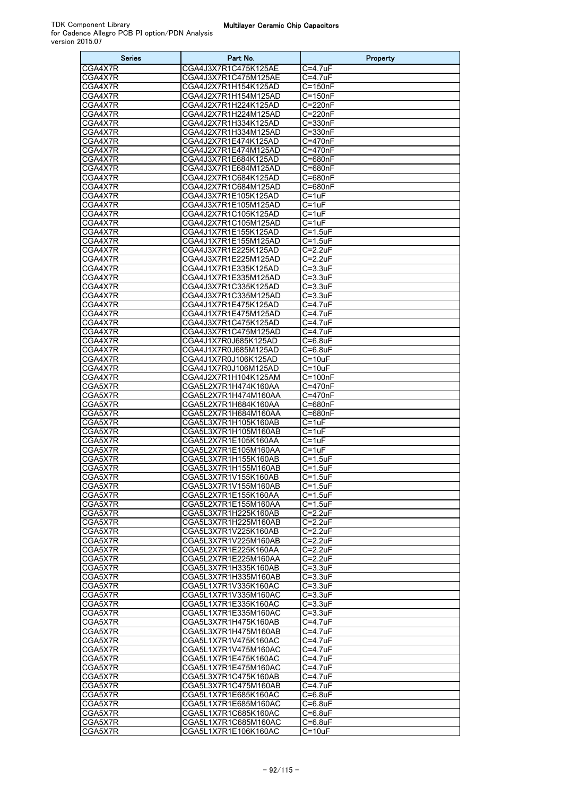| <b>Series</b>      | Part No.                                     | Property                             |
|--------------------|----------------------------------------------|--------------------------------------|
| CGA4X7R            | CGA4J3X7R1C475K125AE                         | C=4.7uF                              |
| CGA4X7R            | CGA4J3X7R1C475M125AE                         | C=4.7uF                              |
| CGA4X7R            | CGA4J2X7R1H154K125AD                         | $C = 150nF$                          |
| CGA4X7R            | CGA4J2X7R1H154M125AD                         | $C = 150nF$                          |
| CGA4X7R            | CGA4J2X7R1H224K125AD                         | C=220nF                              |
| CGA4X7R            | CGA4J2X7R1H224M125AD                         | C=220nF                              |
| CGA4X7R            | CGA4J2X7R1H334K125AD                         | C=330nF                              |
| CGA4X7R<br>CGA4X7R | CGA4J2X7R1H334M125AD<br>CGA4J2X7R1E474K125AD | C=330nF                              |
| CGA4X7R            | CGA4J2X7R1E474M125AD                         | C=470nF<br>C=470nF                   |
| CGA4X7R            | CGA4J3X7R1E684K125AD                         | $\overline{C}$ =680nF                |
| CGA4X7R            | CGA4J3X7R1E684M125AD                         | C=680nF                              |
| CGA4X7R            | CGA4J2X7R1C684K125AD                         | C=680nF                              |
| CGA4X7R            | CGA4J2X7R1C684M125AD                         | $C = 680nF$                          |
| CGA4X7R            | CGA4J3X7R1E105K125AD                         | $C = 1uF$                            |
| CGA4X7R            | CGA4J3X7R1E105M125AD                         | $C = 1uF$                            |
| CGA4X7R            | CGA4J2X7R1C105K125AD                         | $C = 1uF$                            |
| CGA4X7R            | CGA4J2X7R1C105M125AD                         | C=1uF                                |
| CGA4X7R            | CGA4J1X7R1E155K125AD                         | $C = 1.5$ u $F$                      |
| CGA4X7R            | CGA4J1X7R1E155M125AD                         | $C = 1.5$ uF                         |
| CGA4X7R            | CGA4J3X7R1E225K125AD                         | $C = 2.2uF$                          |
| CGA4X7R            | CGA4J3X7R1E225M125AD<br>CGA4J1X7R1E335K125AD | $C = 2.2uF$                          |
| CGA4X7R<br>CGA4X7R | CGA4J1X7R1E335M125AD                         | $C = 3.3uF$<br>C=3.3uF               |
| CGA4X7R            | CGA4J3X7R1C335K125AD                         | $C = 3.3uF$                          |
| CGA4X7R            | CGA4J3X7R1C335M125AD                         | $C = 3.3uF$                          |
| CGA4X7R            | CGA4J1X7R1E475K125AD                         | $C = 4.7$ uF                         |
| CGA4X7R            | CGA4J1X7R1E475M125AD                         | C=4.7uF                              |
| CGA4X7R            | CGA4J3X7R1C475K125AD                         | C=4.7uF                              |
| CGA4X7R            | CGA4J3X7R1C475M125AD                         | $C = 4.7uF$                          |
| CGA4X7R            | CGA4J1X7R0J685K125AD                         | $C = 6.8$ uF                         |
| CGA4X7R            | CGA4J1X7R0J685M125AD                         | C=6.8uF                              |
| CGA4X7R            | CGA4J1X7R0J106K125AD                         | $C = 10uF$                           |
| CGA4X7R            | CGA4J1X7R0J106M125AD                         | $C = 10uF$                           |
| CGA4X7R            | CGA4J2X7R1H104K125AM                         | $C = 100nF$                          |
| CGA5X7R            | CGA5L2X7R1H474K160AA                         | C=470nF                              |
| CGA5X7R            | CGA5L2X7R1H474M160AA                         | C=470nF                              |
| CGA5X7R<br>CGA5X7R | CGA5L2X7R1H684K160AA<br>CGA5L2X7R1H684M160AA | C=680nF<br>C=680nF                   |
| CGA5X7R            | CGA5L3X7R1H105K160AB                         | $C = 1uF$                            |
| CGA5X7R            | CGA5L3X7R1H105M160AB                         | $C = 1uF$                            |
| CGA5X7R            | CGA5L2X7R1E105K160AA                         | $C = 1uF$                            |
| CGA5X7R            | CGA5L2X7R1E105M160AA                         | $C = 1uF$                            |
| CGA5X7R            | CGA5L3X7R1H155K160AB                         | $C=1.5uF$                            |
| CGA5X7R            | CGA5L3X7R1H155M160AB                         | C=1.5uF                              |
| CGA5X7R            | CGA5L3X7R1V155K160AB                         | $C = 1.5$ uF                         |
| CGA5X7R            | CGA5L3X7R1V155M160AB                         | $C = 1.5$ uF                         |
| CGA5X7R            | CGA5L2X7R1E155K160AA                         | C=1.5uF                              |
| CGA5X7R            | CGA5L2X7R1E155M160AA                         | $\overline{C=1}.5$ uF                |
| CGA5X7R            | CGA5L3X7R1H225K160AB                         | $C = 2.2uF$                          |
| CGA5X7R<br>CGA5X7R | CGA5L3X7R1H225M160AB<br>CGA5L3X7R1V225K160AB | $C = 2.2uF$<br>$C = 2.2uF$           |
| CGA5X7R            | CGA5L3X7R1V225M160AB                         | C=2.2uF                              |
| CGA5X7R            | CGA5L2X7R1E225K160AA                         | $C=2.2uF$                            |
| CGA5X7R            | CGA5L2X7R1E225M160AA                         | $C = 2.2uF$                          |
| CGA5X7R            | CGA5L3X7R1H335K160AB                         | $C = 3.3uF$                          |
| CGA5X7R            | CGA5L3X7R1H335M160AB                         | $C = 3.3uF$                          |
| CGA5X7R            | CGA5L1X7R1V335K160AC                         | $C = 3.3uF$                          |
| CGA5X7R            | CGA5L1X7R1V335M160AC                         | $\overline{C=3}.3uF$                 |
| CGA5X7R            | CGA5L1X7R1E335K160AC                         | C=3.3uF                              |
| CGA5X7R            | CGA5L1X7R1E335M160AC                         | C=3.3uF                              |
| CGA5X7R            | CGA5L3X7R1H475K160AB                         | $\overline{C=4}$ . 7uF               |
| CGA5X7R            | CGA5L3X7R1H475M160AB                         | C=4.7uF                              |
| CGA5X7R            | CGA5L1X7R1V475K160AC                         | C=4.7uF                              |
| CGA5X7R            | CGA5L1X7R1V475M160AC<br>CGA5L1X7R1E475K160AC | $C = 4.7uF$<br>$\overline{C}$ =4.7uF |
| CGA5X7R<br>CGA5X7R | CGA5L1X7R1E475M160AC                         | C=4.7uF                              |
| CGA5X7R            | CGA5L3X7R1C475K160AB                         | C=4.7uF                              |
| CGA5X7R            | CGA5L3X7R1C475M160AB                         | C=4.7uF                              |
| CGA5X7R            | CGA5L1X7R1E685K160AC                         | C=6.8uF                              |
| CGA5X7R            | CGA5L1X7R1E685M160AC                         | C=6.8uF                              |
| CGA5X7R            | CGA5L1X7R1C685K160AC                         | C=6.8uF                              |
| CGA5X7R            | CGA5L1X7R1C685M160AC                         | $C = 6.8$ uF                         |
| CGA5X7R            | CGA5L1X7R1E106K160AC                         | C=10uF                               |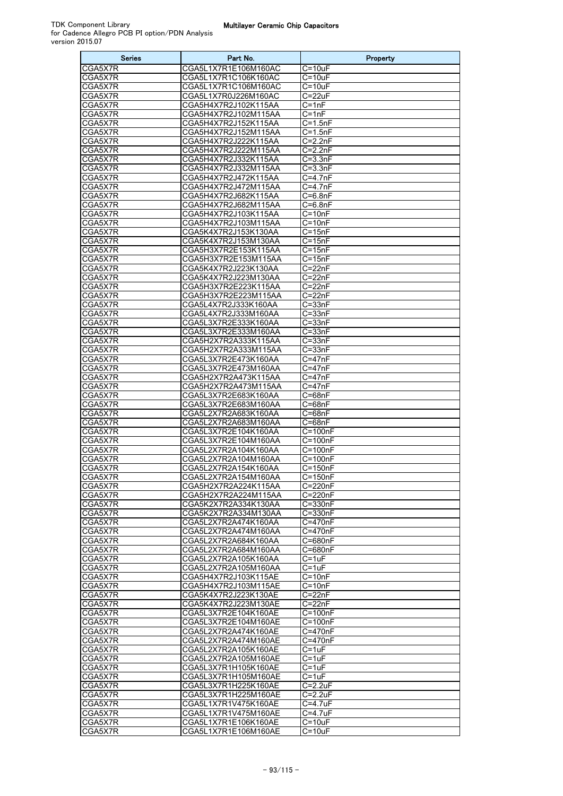| <b>Series</b>      | Part No.                                     | Property                   |
|--------------------|----------------------------------------------|----------------------------|
| CGA5X7R            | CGA5L1X7R1E106M160AC                         | $C = 10uF$                 |
| CGA5X7R            | CGA5L1X7R1C106K160AC                         | $C = 10uF$                 |
| CGA5X7R            | CGA5L1X7R1C106M160AC                         | $C = 10uF$                 |
| CGA5X7R            | CGA5L1X7R0J226M160AC                         | $C = 22uF$                 |
| CGA5X7R            | CGA5H4X7R2J102K115AA                         | $C = 1nF$                  |
| CGA5X7R            | CGA5H4X7R2J102M115AA                         | $C = 1nF$                  |
| CGA5X7R            | CGA5H4X7R2J152K115AA                         | $C = 1.5nF$                |
| CGA5X7R            | CGA5H4X7R2J152M115AA                         | $C = 1.5nF$                |
| CGA5X7R<br>CGA5X7R | CGA5H4X7R2J222K115AA                         | $C = 2.2nF$<br>$C = 2.2nF$ |
| CGA5X7R            | CGA5H4X7R2J222M115AA<br>CGA5H4X7R2J332K115AA | $C = 3.3nF$                |
| CGA5X7R            | CGA5H4X7R2J332M115AA                         | $C = 3.3nF$                |
| CGA5X7R            | CGA5H4X7R2J472K115AA                         | $C = 4.7nF$                |
| CGA5X7R            | CGA5H4X7R2J472M115AA                         | $C = 4.7nF$                |
| CGA5X7R            | CGA5H4X7R2J682K115AA                         | $C = 6.8nF$                |
| CGA5X7R            | CGA5H4X7R2J682M115AA                         | $C = 6.8nF$                |
| CGA5X7R            | CGA5H4X7R2J103K115AA                         | $C = 10nF$                 |
| CGA5X7R            | CGA5H4X7R2J103M115AA                         | $C = 10nF$                 |
| CGA5X7R            | CGA5K4X7R2J153K130AA                         | $C = 15nF$                 |
| CGA5X7R            | CGA5K4X7R2J153M130AA                         | $C = 15nF$                 |
| CGA5X7R            | CGA5H3X7R2E153K115AA                         | $C = 15nF$                 |
| CGA5X7R            | CGA5H3X7R2E153M115AA                         | $C = 15nF$                 |
| CGA5X7R            | CGA5K4X7R2J223K130AA<br>CGA5K4X7R2J223M130AA | $C = 22nF$                 |
| CGA5X7R<br>CGA5X7R | CGA5H3X7R2E223K115AA                         | C=22nF<br>$C = 22nF$       |
| CGA5X7R            | CGA5H3X7R2E223M115AA                         | C=22nF                     |
| CGA5X7R            | CGA5L4X7R2J333K160AA                         | $C = 33nF$                 |
| CGA5X7R            | CGA5L4X7R2J333M160AA                         | $C = 33nF$                 |
| CGA5X7R            | CGA5L3X7R2E333K160AA                         | $C = 33nF$                 |
| CGA5X7R            | CGA5L3X7R2E333M160AA                         | $C = 33nF$                 |
| CGA5X7R            | CGA5H2X7R2A333K115AA                         | $C = 33nF$                 |
| CGA5X7R            | CGA5H2X7R2A333M115AA                         | $C = 33nF$                 |
| CGA5X7R            | CGA5L3X7R2E473K160AA                         | $C = 47nF$                 |
| CGA5X7R            | CGA5L3X7R2E473M160AA                         | $C=47nF$                   |
| CGA5X7R            | CGA5H2X7R2A473K115AA                         | $C = 47nF$                 |
| CGA5X7R            | CGA5H2X7R2A473M115AA                         | C=47nF                     |
| CGA5X7R            | CGA5L3X7R2E683K160AA                         | $C = 68nF$                 |
| CGA5X7R<br>CGA5X7R | CGA5L3X7R2E683M160AA<br>CGA5L2X7R2A683K160AA | $C = 68nF$<br>$C = 68nF$   |
| CGA5X7R            | CGA5L2X7R2A683M160AA                         | $C = 68nF$                 |
| CGA5X7R            | CGA5L3X7R2E104K160AA                         | C=100nF                    |
| CGA5X7R            | CGA5L3X7R2E104M160AA                         | $C = 100nF$                |
| CGA5X7R            | CGA5L2X7R2A104K160AA                         | $C = 100nF$                |
| CGA5X7R            | CGA5L2X7R2A104M160AA                         | $C = 100nF$                |
| CGA5X7R            | CGA5L2X7R2A154K160AA                         | $C = 150nF$                |
| CGA5X7R            | CGA5L2X7R2A154M160AA                         | C=150nF                    |
| CGA5X7R            | CGA5H2X7R2A224K115AA                         | C=220nF                    |
| CGA5X7R            | CGA5H2X7R2A224M115AA                         | C=220nF                    |
| CGA5X7R            | CGA5K2X7R2A334K130AA                         | $C = 330nF$                |
| CGA5X7R            | CGA5K2X7R2A334M130AA                         | C=330nF                    |
| CGA5X7R<br>CGA5X7R | CGA5L2X7R2A474K160AA<br>CGA5L2X7R2A474M160AA | C=470nF<br>C=470nF         |
| CGA5X7R            | CGA5L2X7R2A684K160AA                         | C=680nF                    |
| CGA5X7R            | CGA5L2X7R2A684M160AA                         | $C = 680nF$                |
| CGA5X7R            | CGA5L2X7R2A105K160AA                         | $C = 1uF$                  |
| CGA5X7R            | CGA5L2X7R2A105M160AA                         | C=1uF                      |
| CGA5X7R            | CGA5H4X7R2J103K115AE                         | $C = 10nF$                 |
| CGA5X7R            | CGA5H4X7R2J103M115AE                         | $C = 10nF$                 |
| CGA5X7R            | CGA5K4X7R2J223K130AE                         | $C = 22nF$                 |
| CGA5X7R            | CGA5K4X7R2J223M130AE                         | $C = 22nF$                 |
| CGA5X7R            | CGA5L3X7R2E104K160AE                         | C=100nF                    |
| CGA5X7R            | CGA5L3X7R2E104M160AE                         | $C = 100nF$                |
| CGA5X7R            | CGA5L2X7R2A474K160AE                         | C=470nF                    |
| CGA5X7R            | CGA5L2X7R2A474M160AE                         | C=470nF                    |
| CGA5X7R<br>CGA5X7R | CGA5L2X7R2A105K160AE<br>CGA5L2X7R2A105M160AE | $C = 1uF$<br>C=1uF         |
| CGA5X7R            | CGA5L3X7R1H105K160AE                         | $C = 1uF$                  |
| CGA5X7R            | CGA5L3X7R1H105M160AE                         | C=1uF                      |
| CGA5X7R            | CGA5L3X7R1H225K160AE                         | $C = 2.2uF$                |
| CGA5X7R            | CGA5L3X7R1H225M160AE                         | $C = 2.2uF$                |
| CGA5X7R            | CGA5L1X7R1V475K160AE                         | C=4.7uF                    |
| CGA5X7R            | CGA5L1X7R1V475M160AE                         | $C=4.7$ u $F$              |
| CGA5X7R            | CGA5L1X7R1E106K160AE                         | $C = 10uF$                 |
| CGA5X7R            | CGA5L1X7R1E106M160AE                         | $C = 10uF$                 |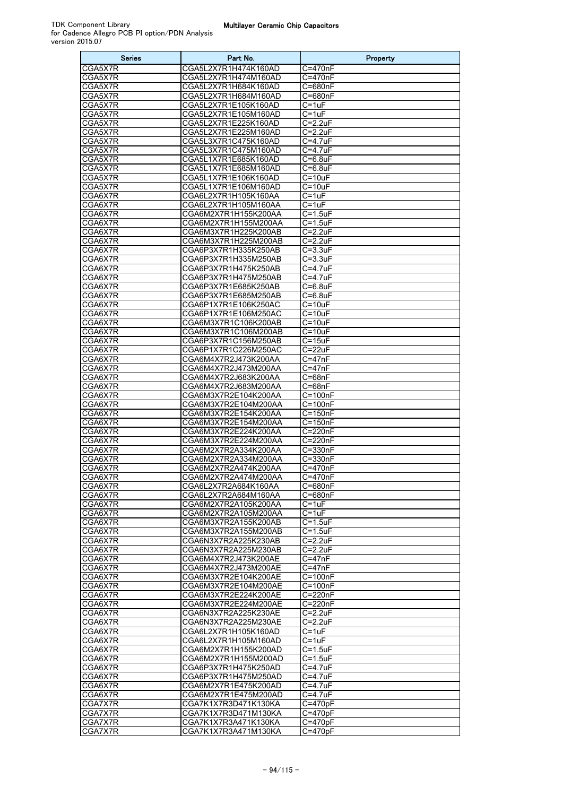| <b>Series</b>      | Part No.                                     | Property                    |
|--------------------|----------------------------------------------|-----------------------------|
| CGA5X7R            | CGA5L2X7R1H474K160AD                         | C=470nF                     |
| CGA5X7R            | CGA5L2X7R1H474M160AD                         | C=470nF                     |
| CGA5X7R            | CGA5L2X7R1H684K160AD                         | C=680nF                     |
| CGA5X7R            | CGA5L2X7R1H684M160AD                         | $C = 680nF$                 |
| CGA5X7R            | CGA5L2X7R1E105K160AD                         | $C = 1uF$                   |
| CGA5X7R            | CGA5L2X7R1E105M160AD                         | $C = 1uF$                   |
| CGA5X7R            | CGA5L2X7R1E225K160AD                         | $C = 2.2uF$                 |
| CGA5X7R            | CGA5L2X7R1E225M160AD                         | $C = 2.2uF$                 |
| CGA5X7R<br>CGA5X7R | CGA5L3X7R1C475K160AD<br>CGA5L3X7R1C475M160AD | $C = 4.7uF$<br>$C = 4.7$ uF |
| CGA5X7R            | CGA5L1X7R1E685K160AD                         | $C = 6.8$ uF                |
| CGA5X7R            | CGA5L1X7R1E685M160AD                         | $C = 6.8$ uF                |
| CGA5X7R            | CGA5L1X7R1E106K160AD                         | $C = 10uF$                  |
| CGA5X7R            | CGA5L1X7R1E106M160AD                         | $C = 10uF$                  |
| CGA6X7R            | CGA6L2X7R1H105K160AA                         | $C = 1uF$                   |
| CGA6X7R            | CGA6L2X7R1H105M160AA                         | $C = 1uF$                   |
| CGA6X7R            | CGA6M2X7R1H155K200AA                         | $C = 1.5$ uF                |
| CGA6X7R            | CGA6M2X7R1H155M200AA                         | C=1.5uF                     |
| CGA6X7R            | CGA6M3X7R1H225K200AB                         | $C=2.2uF$                   |
| CGA6X7R            | CGA6M3X7R1H225M200AB                         | $C = 2.2uF$                 |
| CGA6X7R            | CGA6P3X7R1H335K250AB                         | $C=3.3uF$                   |
| CGA6X7R            | CGA6P3X7R1H335M250AB<br>CGA6P3X7R1H475K250AB | $C = 3.3uF$                 |
| CGA6X7R<br>CGA6X7R | CGA6P3X7R1H475M250AB                         | C=4.7uF<br>$C=4.7uF$        |
| CGA6X7R            | CGA6P3X7R1E685K250AB                         | C=6.8uF                     |
| CGA6X7R            | CGA6P3X7R1E685M250AB                         | $C = 6.8$ uF                |
| CGA6X7R            | CGA6P1X7R1E106K250AC                         | C=10uF                      |
| CGA6X7R            | CGA6P1X7R1E106M250AC                         | $C = 10uF$                  |
| CGA6X7R            | CGA6M3X7R1C106K200AB                         | $C = 10uF$                  |
| CGA6X7R            | CGA6M3X7R1C106M200AB                         | $C = 10uF$                  |
| CGA6X7R            | CGA6P3X7R1C156M250AB                         | $C = 15uF$                  |
| CGA6X7R            | CGA6P1X7R1C226M250AC                         | C=22uF                      |
| CGA6X7R            | CGA6M4X7R2J473K200AA                         | C=47nF                      |
| CGA6X7R            | CGA6M4X7R2J473M200AA                         | $C = 47nF$                  |
| CGA6X7R            | CGA6M4X7R2J683K200AA                         | C=68nF                      |
| CGA6X7R            | CGA6M4X7R2J683M200AA                         | $\overline{C}$ =68nF        |
| CGA6X7R<br>CGA6X7R | CGA6M3X7R2E104K200AA<br>CGA6M3X7R2E104M200AA | C=100nF<br>C=100nF          |
| CGA6X7R            | CGA6M3X7R2E154K200AA                         | $C = 150nF$                 |
| CGA6X7R            | CGA6M3X7R2E154M200AA                         | $C = 150nF$                 |
| CGA6X7R            | CGA6M3X7R2E224K200AA                         | $\overline{C=2}$ 20nF       |
| CGA6X7R            | CGA6M3X7R2E224M200AA                         | C=220nF                     |
| CGA6X7R            | CGA6M2X7R2A334K200AA                         | C=330nF                     |
| CGA6X7R            | CGA6M2X7R2A334M200AA                         | $C = 330nF$                 |
| CGA6X7R            | CGA6M2X7R2A474K200AA                         | C=470nF                     |
| CGA6X7R            | CGA6M2X7R2A474M200AA                         | C=470nF                     |
| CGA6X7R            | CGA6L2X7R2A684K160AA<br>CGA6L2X7R2A684M160AA | C=680nF                     |
| CGA6X7R<br>CGA6X7R | CGA6M2X7R2A105K200AA                         | C=680nF<br>$C = 1uF$        |
| CGA6X7R            | CGA6M2X7R2A105M200AA                         | $C=1uF$                     |
| CGA6X7R            | CGA6M3X7R2A155K200AB                         | $C=1.5$ uF                  |
| CGA6X7R            | CGA6M3X7R2A155M200AB                         | C=1.5uF                     |
| CGA6X7R            | CGA6N3X7R2A225K230AB                         | C=2.2uF                     |
| CGA6X7R            | CGA6N3X7R2A225M230AB                         | $C = 2.2uF$                 |
| CGA6X7R            | CGA6M4X7R2J473K200AE                         | $C = 47nF$                  |
| CGA6X7R            | CGA6M4X7R2J473M200AE                         | C=47nF                      |
| CGA6X7R            | CGA6M3X7R2E104K200AE                         | $\overline{C=100nF}$        |
| CGA6X7R            | CGA6M3X7R2E104M200AE                         | C=100nF                     |
| CGA6X7R            | CGA6M3X7R2E224K200AE                         | $C=220nF$                   |
| CGA6X7R            | CGA6M3X7R2E224M200AE<br>CGA6N3X7R2A225K230AE | C=220nF                     |
| CGA6X7R<br>CGA6X7R | CGA6N3X7R2A225M230AE                         | C=2.2uF<br>$C = 2.2uF$      |
| CGA6X7R            | CGA6L2X7R1H105K160AD                         | C=1uF                       |
| CGA6X7R            | CGA6L2X7R1H105M160AD                         | $C = 1uF$                   |
| CGA6X7R            | CGA6M2X7R1H155K200AD                         | $C = 1.5$ uF                |
| CGA6X7R            | CGA6M2X7R1H155M200AD                         | $C = 1.5$ uF                |
| CGA6X7R            | CGA6P3X7R1H475K250AD                         | C=4.7uF                     |
| CGA6X7R            | CGA6P3X7R1H475M250AD                         | C=4.7uF                     |
| CGA6X7R            | CGA6M2X7R1E475K200AD                         | $C = 4.7uF$                 |
| CGA6X7R            | CGA6M2X7R1E475M200AD                         | C=4.7uF                     |
| CGA7X7R            | CGA7K1X7R3D471K130KA                         | C=470pF                     |
| CGA7X7R            | CGA7K1X7R3D471M130KA                         | $C = 470pF$                 |
| CGA7X7R            | CGA7K1X7R3A471K130KA<br>CGA7K1X7R3A471M130KA | C=470pF<br>$C=470pF$        |
| CGA7X7R            |                                              |                             |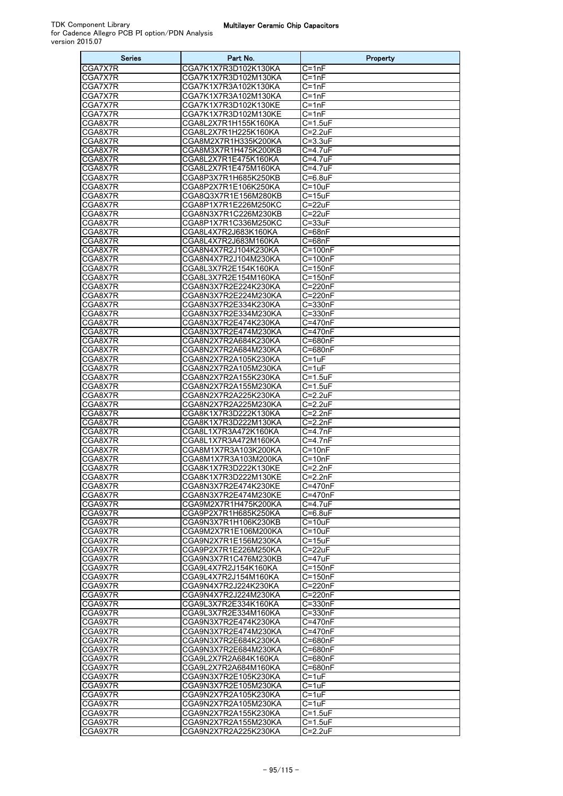| <b>Series</b>      | Part No.                                     | Property                   |
|--------------------|----------------------------------------------|----------------------------|
| CGA7X7R            | CGA7K1X7R3D102K130KA                         | $C = 1nF$                  |
| CGA7X7R            | CGA7K1X7R3D102M130KA                         | C=1nF                      |
| CGA7X7R            | CGA7K1X7R3A102K130KA                         | C=1nF                      |
| CGA7X7R            | CGA7K1X7R3A102M130KA                         | $C = 1nF$                  |
| CGA7X7R            | CGA7K1X7R3D102K130KE                         | $C = 1nF$                  |
| CGA7X7R            | CGA7K1X7R3D102M130KE                         | $C = 1nF$                  |
| CGA8X7R            | CGA8L2X7R1H155K160KA                         | $C = 1.5$ uF               |
| CGA8X7R            | CGA8L2X7R1H225K160KA                         | $C = 2.2uF$                |
| CGA8X7R            | CGA8M2X7R1H335K200KA                         | $C = 3.3uF$                |
| CGA8X7R<br>CGA8X7R | CGA8M3X7R1H475K200KB<br>CGA8L2X7R1E475K160KA | $C = 4.7uF$<br>$C = 4.7uF$ |
| CGA8X7R            | CGA8L2X7R1E475M160KA                         | $C = 4.7$ uF               |
| CGA8X7R            | CGA8P3X7R1H685K250KB                         | $C = 6.8uF$                |
| CGA8X7R            | CGA8P2X7R1E106K250KA                         | $C = 10uF$                 |
| CGA8X7R            | CGA8Q3X7R1E156M280KB                         | $C = 15uF$                 |
| CGA8X7R            | CGA8P1X7R1E226M250KC                         | $C = 22uF$                 |
| CGA8X7R            | CGA8N3X7R1C226M230KB                         | $C = 22uF$                 |
| CGA8X7R            | CGA8P1X7R1C336M250KC                         | $C = 33uF$                 |
| CGA8X7R            | CGA8L4X7R2J683K160KA                         | $C = 68nF$                 |
| CGA8X7R            | CGA8L4X7R2J683M160KA                         | $C = 68nF$                 |
| CGA8X7R            | CGA8N4X7R2J104K230KA                         | $C = 100nF$                |
| CGA8X7R            | CGA8N4X7R2J104M230KA                         | $C = 100nF$                |
| CGA8X7R            | CGA8L3X7R2E154K160KA                         | $C = 150nF$                |
| CGA8X7R            | CGA8L3X7R2E154M160KA                         | $C = 150nF$                |
| CGA8X7R            | CGA8N3X7R2E224K230KA                         | C=220nF                    |
| CGA8X7R            | CGA8N3X7R2E224M230KA                         | C=220nF                    |
| CGA8X7R            | CGA8N3X7R2E334K230KA<br>CGA8N3X7R2E334M230KA | C=330nF                    |
| CGA8X7R<br>CGA8X7R | CGA8N3X7R2E474K230KA                         | C=330nF<br>C=470nF         |
| CGA8X7R            | CGA8N3X7R2E474M230KA                         | C=470nF                    |
| CGA8X7R            | CGA8N2X7R2A684K230KA                         | C=680nF                    |
| CGA8X7R            | CGA8N2X7R2A684M230KA                         | C=680nF                    |
| CGA8X7R            | CGA8N2X7R2A105K230KA                         | $C = 1uF$                  |
| CGA8X7R            | CGA8N2X7R2A105M230KA                         | $C=1uF$                    |
| CGA8X7R            | CGA8N2X7R2A155K230KA                         | $C = 1.5$ uF               |
| CGA8X7R            | CGA8N2X7R2A155M230KA                         | $C=1.5$ uF                 |
| CGA8X7R            | CGA8N2X7R2A225K230KA                         | $C = 2.2uF$                |
| CGA8X7R            | CGA8N2X7R2A225M230KA                         | C=2.2uF                    |
| CGA8X7R            | CGA8K1X7R3D222K130KA                         | $C=2.2nF$                  |
| CGA8X7R            | CGA8K1X7R3D222M130KA                         | $C = 2.2nF$                |
| CGA8X7R            | CGA8L1X7R3A472K160KA                         | $C = 4.7nF$                |
| CGA8X7R            | CGA8L1X7R3A472M160KA                         | $C = 4.7nF$                |
| CGA8X7R<br>CGA8X7R | CGA8M1X7R3A103K200KA<br>CGA8M1X7R3A103M200KA | $C = 10nF$<br>$C=10nF$     |
| CGA8X7R            | CGA8K1X7R3D222K130KE                         | $C = 2.2nF$                |
| CGA8X7R            | CGA8K1X7R3D222M130KE                         | $C = 2.2nF$                |
| CGA8X7R            | CGA8N3X7R2E474K230KE                         | C=470nF                    |
| CGA8X7R            | CGA8N3X7R2E474M230KE                         | C=470nF                    |
| CGA9X7R            | CGA9M2X7R1H475K200KA                         | $C = 4.7uF$                |
| CGA9X7R            | CGA9P2X7R1H685K250KA                         | $C = 6.8$ uF               |
| CGA9X7R            | CGA9N3X7R1H106K230KB                         | $C = 10uF$                 |
| CGA9X7R            | CGA9M2X7R1E106M200KA                         | $C = 10uF$                 |
| CGA9X7R            | CGA9N2X7R1E156M230KA                         | $C = 15uF$                 |
| CGA9X7R            | CGA9P2X7R1E226M250KA                         | $C = 22uF$                 |
| CGA9X7R            | CGA9N3X7R1C476M230KB                         | $C = 47uF$                 |
| CGA9X7R            | CGA9L4X7R2J154K160KA                         | $C = 150nF$                |
| CGA9X7R            | CGA9L4X7R2J154M160KA                         | $C = 150nF$                |
| CGA9X7R            | CGA9N4X7R2J224K230KA                         | $C=220nF$                  |
| CGA9X7R<br>CGA9X7R | CGA9N4X7R2J224M230KA<br>CGA9L3X7R2E334K160KA | $C=220nF$<br>C=330nF       |
| CGA9X7R            | CGA9L3X7R2E334M160KA                         | C=330nF                    |
| CGA9X7R            | CGA9N3X7R2E474K230KA                         | C=470nF                    |
| CGA9X7R            | CGA9N3X7R2E474M230KA                         | C=470nF                    |
| CGA9X7R            | CGA9N3X7R2E684K230KA                         | $C = 680nF$                |
| CGA9X7R            | CGA9N3X7R2E684M230KA                         | C=680nF                    |
| CGA9X7R            | CGA9L2X7R2A684K160KA                         | C=680nF                    |
| CGA9X7R            | CGA9L2X7R2A684M160KA                         | C=680nF                    |
| CGA9X7R            | CGA9N3X7R2E105K230KA                         | $C = 1uF$                  |
| CGA9X7R            | CGA9N3X7R2E105M230KA                         | $C = 1uF$                  |
| CGA9X7R            | CGA9N2X7R2A105K230KA                         | C=1uF                      |
| CGA9X7R            | CGA9N2X7R2A105M230KA                         | $\overline{C}$ =1uF        |
| CGA9X7R            | CGA9N2X7R2A155K230KA                         | $C = 1.5$ u $F$            |
| CGA9X7R            | CGA9N2X7R2A155M230KA                         | $C = 1.5$ uF               |
| CGA9X7R            | CGA9N2X7R2A225K230KA                         | C=2.2uF                    |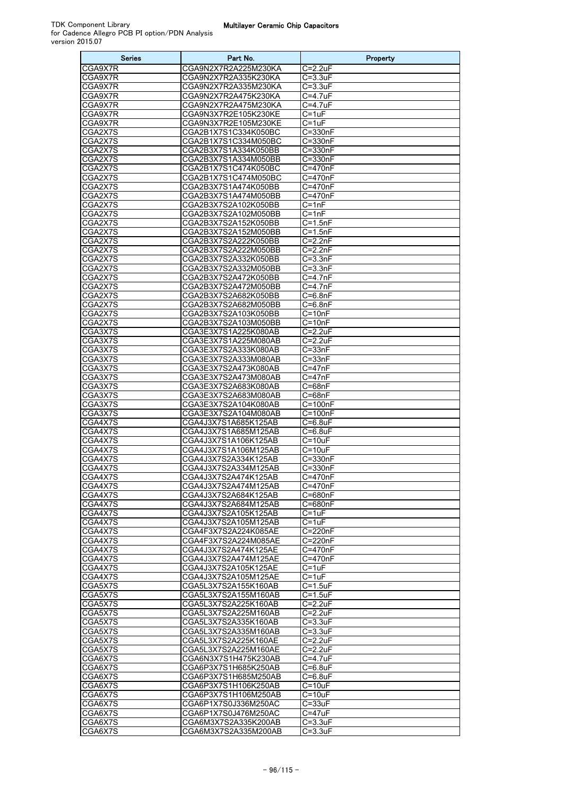| <b>Series</b>      | Part No.                                     | Property                 |
|--------------------|----------------------------------------------|--------------------------|
| CGA9X7R            | CGA9N2X7R2A225M230KA                         | $C = 2.2uF$              |
| CGA9X7R            | CGA9N2X7R2A335K230KA                         | $C = 3.3uF$              |
| CGA9X7R            | CGA9N2X7R2A335M230KA                         | $C = 3.3uF$              |
| CGA9X7R            | CGA9N2X7R2A475K230KA                         | $C = 4.7$ u $F$          |
| CGA9X7R            | CGA9N2X7R2A475M230KA                         | $C = 4.7uF$              |
| CGA9X7R            | CGA9N3X7R2E105K230KE                         | $C = 1uF$                |
| CGA9X7R            | CGA9N3X7R2E105M230KE                         | $C = 1uF$                |
| CGA2X7S            | CGA2B1X7S1C334K050BC                         | C=330nF<br>$C = 330nF$   |
| CGA2X7S<br>CGA2X7S | CGA2B1X7S1C334M050BC<br>CGA2B3X7S1A334K050BB | $C = 330nF$              |
| CGA2X7S            | CGA2B3X7S1A334M050BB                         | C=330nF                  |
| CGA2X7S            | CGA2B1X7S1C474K050BC                         | C=470nF                  |
| CGA2X7S            | CGA2B1X7S1C474M050BC                         | C=470nF                  |
| CGA2X7S            | CGA2B3X7S1A474K050BB                         | C=470nF                  |
| CGA2X7S            | CGA2B3X7S1A474M050BB                         | C=470nF                  |
| CGA2X7S            | CGA2B3X7S2A102K050BB                         | $C = 1nF$                |
| CGA2X7S            | CGA2B3X7S2A102M050BB                         | $C = 1nF$                |
| CGA2X7S            | CGA2B3X7S2A152K050BB                         | $C = 1.5nF$              |
| CGA2X7S            | CGA2B3X7S2A152M050BB                         | $C = 1.5nF$              |
| CGA2X7S            | CGA2B3X7S2A222K050BB                         | $C = 2.2nF$              |
| CGA2X7S            | CGA2B3X7S2A222M050BB                         | $C = 2.2nF$              |
| CGA2X7S            | CGA2B3X7S2A332K050BB<br>CGA2B3X7S2A332M050BB | $C = 3.3nF$              |
| CGA2X7S<br>CGA2X7S | CGA2B3X7S2A472K050BB                         | $C = 3.3nF$<br>$C=4.7nF$ |
| CGA2X7S            | CGA2B3X7S2A472M050BB                         | $C = 4.7nF$              |
| CGA2X7S            | CGA2B3X7S2A682K050BB                         | $C = 6.8nF$              |
| CGA2X7S            | CGA2B3X7S2A682M050BB                         | $C = 6.8nF$              |
| CGA2X7S            | CGA2B3X7S2A103K050BB                         | $C = 10nF$               |
| CGA2X7S            | CGA2B3X7S2A103M050BB                         | $C = 10nF$               |
| CGA3X7S            | CGA3E3X7S1A225K080AB                         | $C = 2.2uF$              |
| CGA3X7S            | CGA3E3X7S1A225M080AB                         | $C = 2.2uF$              |
| CGA3X7S            | CGA3E3X7S2A333K080AB                         | $C = 33nF$               |
| CGA3X7S            | CGA3E3X7S2A333M080AB                         | $C = 33nF$               |
| CGA3X7S            | CGA3E3X7S2A473K080AB                         | $C = 47nF$               |
| CGA3X7S            | CGA3E3X7S2A473M080AB                         | $C = 47nF$               |
| CGA3X7S            | CGA3E3X7S2A683K080AB                         | $C = 68nF$               |
| CGA3X7S            | CGA3E3X7S2A683M080AB                         | $C = 68nF$               |
| CGA3X7S<br>CGA3X7S | CGA3E3X7S2A104K080AB<br>CGA3E3X7S2A104M080AB | C=100nF<br>C=100nF       |
| CGA4X7S            | CGA4J3X7S1A685K125AB                         | $C=6.8$ uF               |
| CGA4X7S            | CGA4J3X7S1A685M125AB                         | $\overline{C}$ =6.8uF    |
| CGA4X7S            | CGA4J3X7S1A106K125AB                         | $C = 10uF$               |
| CGA4X7S            | CGA4J3X7S1A106M125AB                         | $C = 10uF$               |
| CGA4X7S            | CGA4J3X7S2A334K125AB                         | $C = 330nF$              |
| CGA4X7S            | CGA4J3X7S2A334M125AB                         | C=330nF                  |
| CGA4X7S            | CGA4J3X7S2A474K125AB                         | $C = 470nF$              |
| CGA4X7S            | CGA4J3X7S2A474M125AB                         | C=470nF                  |
| CGA4X7S            | CGA4J3X7S2A684K125AB                         | C=680nF                  |
| CGA4X7S            | CGA4J3X7S2A684M125AB                         | C=680nF                  |
| CGA4X7S            | CGA4J3X7S2A105K125AB                         | $C = 1uF$                |
| CGA4X7S<br>CGA4X7S | CGA4J3X7S2A105M125AB<br>CGA4F3X7S2A224K085AE | C=1uF<br>C=220nF         |
| CGA4X7S            | CGA4F3X7S2A224M085AE                         | $C=220nF$                |
| CGA4X7S            | CGA4J3X7S2A474K125AE                         | C=470nF                  |
| CGA4X7S            | CGA4J3X7S2A474M125AE                         | C=470nF                  |
| CGA4X7S            | CGA4J3X7S2A105K125AE                         | $\overline{C}$ =1uF      |
| CGA4X7S            | CGA4J3X7S2A105M125AE                         | $C = 1uF$                |
| CGA5X7S            | CGA5L3X7S2A155K160AB                         | C=1.5uF                  |
| CGA5X7S            | CGA5L3X7S2A155M160AB                         | $C=1.5$ uF               |
| CGA5X7S            | CGA5L3X7S2A225K160AB                         | $C = 2.2uF$              |
| CGA5X7S            | CGA5L3X7S2A225M160AB                         | C=2.2uF                  |
| CGA5X7S            | CGA5L3X7S2A335K160AB                         | C=3.3uF                  |
| CGA5X7S            | CGA5L3X7S2A335M160AB                         | $C = 3.3uF$              |
| CGA5X7S            | CGA5L3X7S2A225K160AE<br>CGA5L3X7S2A225M160AE | $C=2.2uF$                |
| CGA5X7S            | CGA6N3X7S1H475K230AB                         | $C = 2.2uF$              |
| CGA6X7S<br>CGA6X7S | CGA6P3X7S1H685K250AB                         | C=4.7uF<br>$C = 6.8$ uF  |
| CGA6X7S            | CGA6P3X7S1H685M250AB                         | C=6.8uF                  |
| CGA6X7S            | CGA6P3X7S1H106K250AB                         | $C=10uF$                 |
| CGA6X7S            | CGA6P3X7S1H106M250AB                         | $C = 10uF$               |
| CGA6X7S            | CGA6P1X7S0J336M250AC                         | C=33uF                   |
| CGA6X7S            | CGA6P1X7S0J476M250AC                         | $C = 47uF$               |
| CGA6X7S            | CGA6M3X7S2A335K200AB                         | $C = 3.3uF$              |
| CGA6X7S            | CGA6M3X7S2A335M200AB                         | C=3.3uF                  |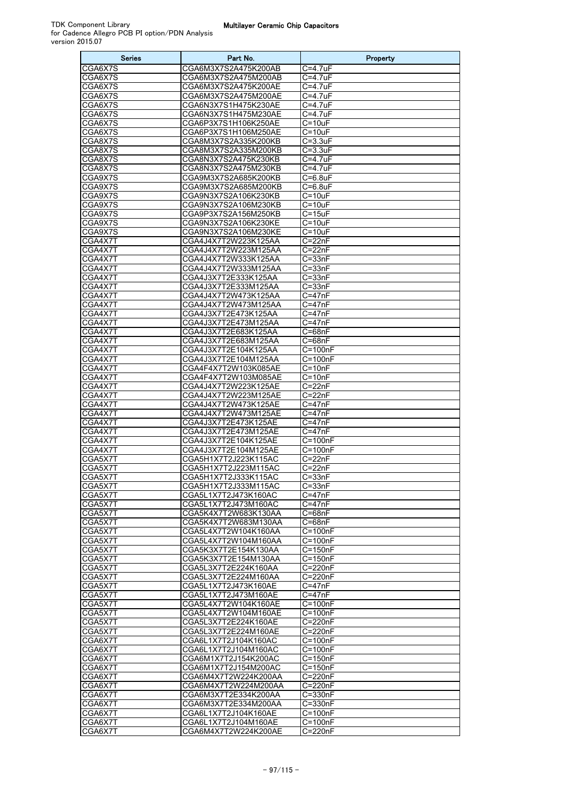| <b>Series</b>      | Part No.                                     | Property                  |
|--------------------|----------------------------------------------|---------------------------|
| CGA6X7S            | CGA6M3X7S2A475K200AB                         | $C=4.7$ uF                |
| CGA6X7S            | CGA6M3X7S2A475M200AB                         | $C = 4.7$ uF              |
| CGA6X7S            | CGA6M3X7S2A475K200AE                         | C=4.7uF                   |
| CGA6X7S            | CGA6M3X7S2A475M200AE                         | C=4.7uF                   |
| CGA6X7S            | CGA6N3X7S1H475K230AE                         | C=4.7uF                   |
| CGA6X7S            | CGA6N3X7S1H475M230AE                         | C=4.7uF                   |
| CGA6X7S            | CGA6P3X7S1H106K250AE                         | $C = 10uF$                |
| CGA6X7S<br>CGA8X7S | CGA6P3X7S1H106M250AE<br>CGA8M3X7S2A335K200KB | $C = 10uF$<br>$C = 3.3uF$ |
| CGA8X7S            | CGA8M3X7S2A335M200KB                         | $C = 3.3uF$               |
| CGA8X7S            | CGA8N3X7S2A475K230KB                         | C=4.7uF                   |
| CGA8X7S            | CGA8N3X7S2A475M230KB                         | C=4.7uF                   |
| CGA9X7S            | CGA9M3X7S2A685K200KB                         | $C = 6.8$ uF              |
| CGA9X7S            | CGA9M3X7S2A685M200KB                         | $C = 6.8$ uF              |
| CGA9X7S            | CGA9N3X7S2A106K230KB                         | $C = 10uF$                |
| CGA9X7S            | CGA9N3X7S2A106M230KB                         | $C = 10uF$                |
| CGA9X7S            | CGA9P3X7S2A156M250KB                         | C=15uF                    |
| CGA9X7S            | CGA9N3X7S2A106K230KE                         | $C = 10uF$                |
| CGA9X7S            | CGA9N3X7S2A106M230KE                         | $C = 10uF$                |
| CGA4X7T            | CGA4J4X7T2W223K125AA                         | C=22nF                    |
| CGA4X7T            | CGA4J4X7T2W223M125AA                         | $C = 22nF$                |
| CGA4X7T            | CGA4J4X7T2W333K125AA                         | $C = 33nF$                |
| CGA4X7T<br>CGA4X7T | CGA4J4X7T2W333M125AA<br>CGA4J3X7T2E333K125AA | $C = 33nF$<br>C=33nF      |
| CGA4X7T            | CGA4J3X7T2E333M125AA                         | $C = 33nF$                |
| CGA4X7T            | CGA4J4X7T2W473K125AA                         | C=47nF                    |
| CGA4X7T            | CGA4J4X7T2W473M125AA                         | C=47nF                    |
| CGA4X7T            | CGA4J3X7T2E473K125AA                         | C=47nF                    |
| CGA4X7T            | CGA4J3X7T2E473M125AA                         | $C=47nF$                  |
| CGA4X7T            | CGA4J3X7T2E683K125AA                         | $C = 68nF$                |
| CGA4X7T            | CGA4J3X7T2E683M125AA                         | $C = 68nF$                |
| CGA4X7T            | CGA4J3X7T2E104K125AA                         | C=100nF                   |
| CGA4X7T            | CGA4J3X7T2E104M125AA                         | C=100nF                   |
| CGA4X7T            | CGA4F4X7T2W103K085AE                         | $C = 10nF$                |
| CGA4X7T            | CGA4F4X7T2W103M085AE                         | $C = 10nF$                |
| CGA4X7T            | CGA4J4X7T2W223K125AE                         | $\overline{C=2}$ 2nF      |
| CGA4X7T<br>CGA4X7T | CGA4J4X7T2W223M125AE<br>CGA4J4X7T2W473K125AE | C=22nF<br>C=47nF          |
| CGA4X7T            | CGA4J4X7T2W473M125AE                         | $C=47nF$                  |
| CGA4X7T            | CGA4J3X7T2E473K125AE                         | $C = 47nF$                |
| CGA4X7T            | CGA4J3X7T2E473M125AE                         | $C = 47nF$                |
| CGA4X7T            | CGA4J3X7T2E104K125AE                         | $C=100nF$                 |
| CGA4X7T            | CGA4J3X7T2E104M125AE                         | C=100nF                   |
| CGA5X7T            | CGA5H1X7T2J223K115AC                         | $C = 22nF$                |
| CGA5X7T            | CGA5H1X7T2J223M115AC                         | C=22nF                    |
| CGA5X7T            | CGA5H1X7T2J333K115AC                         | $C = 33nF$                |
| CGA5X7T            | CGA5H1X7T2J333M115AC                         | C=33nF                    |
| CGA5X7T<br>CGA5X7T | CGA5L1X7T2J473K160AC<br>CGA5L1X7T2J473M160AC | C=47nF<br>$C = 47nF$      |
| CGA5X7T            | CGA5K4X7T2W683K130AA                         | $C = 68nF$                |
| CGA5X7T            | CGA5K4X7T2W683M130AA                         | C=68nF                    |
| CGA5X7T            | CGA5L4X7T2W104K160AA                         | C=100nF                   |
| CGA5X7T            | CGA5L4X7T2W104M160AA                         | C=100nF                   |
| CGA5X7T            | CGA5K3X7T2E154K130AA                         | $C=150nF$                 |
| CGA5X7T            | CGA5K3X7T2E154M130AA                         | $C = 150nF$               |
| CGA5X7T            | CGA5L3X7T2E224K160AA                         | C=220nF                   |
| CGA5X7T            | CGA5L3X7T2E224M160AA                         | C=220nF                   |
| CGA5X7T            | CGA5L1X7T2J473K160AE                         | C=47nF                    |
| CGA5X7T            | CGA5L1X7T2J473M160AE                         | $C = 47nF$                |
| CGA5X7T            | CGA5L4X7T2W104K160AE<br>CGA5L4X7T2W104M160AE | C=100nF<br>C=100nF        |
| CGA5X7T<br>CGA5X7T | CGA5L3X7T2E224K160AE                         | C=220nF                   |
| CGA5X7T            | CGA5L3X7T2E224M160AE                         | C=220nF                   |
| CGA6X7T            | CGA6L1X7T2J104K160AC                         | $C=100nF$                 |
| CGA6X7T            | CGA6L1X7T2J104M160AC                         | C=100nF                   |
| CGA6X7T            | CGA6M1X7T2J154K200AC                         | C=150nF                   |
| CGA6X7T            | CGA6M1X7T2J154M200AC                         | C=150nF                   |
| CGA6X7T            | CGA6M4X7T2W224K200AA                         | $C = 220nF$               |
| CGA6X7T            | CGA6M4X7T2W224M200AA                         | C=220nF                   |
| CGA6X7T            | CGA6M3X7T2E334K200AA                         | C=330nF                   |
| CGA6X7T            | CGA6M3X7T2E334M200AA                         | C=330nF                   |
| CGA6X7T            | CGA6L1X7T2J104K160AE                         | C=100nF                   |
| CGA6X7T            | CGA6L1X7T2J104M160AE                         | C=100nF                   |
| CGA6X7T            | CGA6M4X7T2W224K200AE                         | C=220nF                   |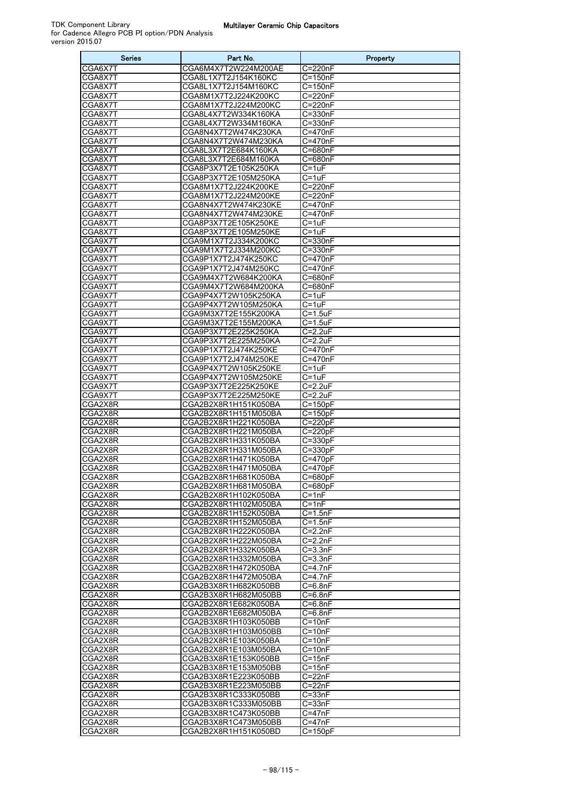| <b>Series</b>      | Part No.                                     | Property                           |
|--------------------|----------------------------------------------|------------------------------------|
| CGA6X7T            | CGA6M4X7T2W224M200AE                         | C=220nF                            |
| CGA8X7T            | CGA8L1X7T2J154K160KC                         | $C = 150nF$                        |
| CGA8X7T            | CGA8L1X7T2J154M160KC                         | $C = 150nF$                        |
| CGA8X7T            | CGA8M1X7T2J224K200KC                         | $C = 220nF$                        |
| CGA8X7T            | CGA8M1X7T2J224M200KC                         | C=220nF                            |
| CGA8X7T            | CGA8L4X7T2W334K160KA                         | C=330nF                            |
| CGA8X7T            | CGA8L4X7T2W334M160KA                         | C=330nF                            |
| CGA8X7T            | CGA8N4X7T2W474K230KA                         | C=470nF                            |
| CGA8X7T            | CGA8N4X7T2W474M230KA                         | C=470nF                            |
| CGA8X7T<br>CGA8X7T | CGA8L3X7T2E684K160KA<br>CGA8L3X7T2E684M160KA | C=680nF<br>C=680nF                 |
| CGA8X7T            | CGA8P3X7T2E105K250KA                         | $C = 1uF$                          |
| CGA8X7T            | CGA8P3X7T2E105M250KA                         | $C = 1uF$                          |
| CGA8X7T            | CGA8M1X7T2J224K200KE                         | C=220nF                            |
| CGA8X7T            | CGA8M1X7T2J224M200KE                         | $C=220nF$                          |
| CGA8X7T            | CGA8N4X7T2W474K230KE                         | C=470nF                            |
| CGA8X7T            | CGA8N4X7T2W474M230KE                         | C=470nF                            |
| CGA8X7T            | CGA8P3X7T2E105K250KE                         | $C = 1uF$                          |
| CGA8X7T            | CGA8P3X7T2E105M250KE                         | C=1uF                              |
| CGA9X7T            | CGA9M1X7T2J334K200KC                         | C=330nF                            |
| CGA9X7T            | CGA9M1X7T2J334M200KC                         | C=330nF                            |
| CGA9X7T            | CGA9P1X7T2J474K250KC<br>CGA9P1X7T2J474M250KC | C=470nF                            |
| CGA9X7T<br>CGA9X7T | CGA9M4X7T2W684K200KA                         | $C = 470nF$<br>C=680nF             |
| CGA9X7T            | CGA9M4X7T2W684M200KA                         | C=680nF                            |
| CGA9X7T            | CGA9P4X7T2W105K250KA                         | $C = 1uF$                          |
| CGA9X7T            | CGA9P4X7T2W105M250KA                         | $C = 1uF$                          |
| CGA9X7T            | CGA9M3X7T2E155K200KA                         | $C = 1.5$ uF                       |
| CGA9X7T            | CGA9M3X7T2E155M200KA                         | $C=1.5$ uF                         |
| CGA9X7T            | CGA9P3X7T2E225K250KA                         | $C = 2.2uF$                        |
| CGA9X7T            | CGA9P3X7T2E225M250KA                         | $C = 2.2uF$                        |
| CGA9X7T            | CGA9P1X7T2J474K250KE                         | C=470nF                            |
| CGA9X7T            | CGA9P1X7T2J474M250KE                         | $C = 470nF$                        |
| CGA9X7T            | CGA9P4X7T2W105K250KE                         | C=1uF                              |
| CGA9X7T            | CGA9P4X7T2W105M250KE                         | $C=1uF$                            |
| CGA9X7T            | CGA9P3X7T2E225K250KE                         | $C = 2.2uF$                        |
| CGA9X7T<br>CGA2X8R | CGA9P3X7T2E225M250KE<br>CGA2B2X8R1H151K050BA | $C = 2.2uF$<br>$C = 150pF$         |
| CGA2X8R            | CGA2B2X8R1H151M050BA                         | $C = 150pF$                        |
| CGA2X8R            | CGA2B2X8R1H221K050BA                         | $C = 220pF$                        |
| CGA2X8R            | CGA2B2X8R1H221M050BA                         | $C=220pF$                          |
| CGA2X8R            | CGA2B2X8R1H331K050BA                         | $C = 330pF$                        |
| CGA2X8R            | CGA2B2X8R1H331M050BA                         | $C = 330pF$                        |
| CGA2X8R            | CGA2B2X8R1H471K050BA                         | C=470pF                            |
| CGA2X8R            | CGA2B2X8R1H471M050BA                         | $C = 470pF$                        |
| CGA2X8R            | CGA2B2X8R1H681K050BA                         | $C = 680pF$                        |
| CGA2X8R            | CGA2B2X8R1H681M050BA                         | $C = 680pF$                        |
| CGA2X8R            | CGA2B2X8R1H102K050BA                         | C=1nF                              |
| CGA2X8R            | CGA2B2X8R1H102M050BA<br>CGA2B2X8R1H152K050BA | $\overline{C=1}$ nF<br>$C = 1.5nF$ |
| CGA2X8R<br>CGA2X8R | CGA2B2X8R1H152M050BA                         | C=1.5nF                            |
| CGA2X8R            | CGA2B2X8R1H222K050BA                         | $C = 2.2nF$                        |
| CGA2X8R            | CGA2B2X8R1H222M050BA                         | C=2.2nF                            |
| CGA2X8R            | CGA2B2X8R1H332K050BA                         | $C=3.3nF$                          |
| CGA2X8R            | CGA2B2X8R1H332M050BA                         | $C = 3.3nF$                        |
| CGA2X8R            | CGA2B2X8R1H472K050BA                         | C=4.7nF                            |
| CGA2X8R            | CGA2B2X8R1H472M050BA                         | $C = 4.7nF$                        |
| CGA2X8R            | CGA2B3X8R1H682K050BB                         | $C = 6.8nF$                        |
| CGA2X8R            | CGA2B3X8R1H682M050BB                         | $\overline{C}$ =6.8nF              |
| CGA2X8R            | CGA2B2X8R1E682K050BA                         | $C = 6.8nF$                        |
| CGA2X8R<br>CGA2X8R | CGA2B2X8R1E682M050BA<br>CGA2B3X8R1H103K050BB | C=6.8nF<br>$C = 10nF$              |
| CGA2X8R            | CGA2B3X8R1H103M050BB                         | $C = 10nF$                         |
| CGA2X8R            | CGA2B2X8R1E103K050BA                         | $C = 10nF$                         |
| CGA2X8R            | CGA2B2X8R1E103M050BA                         | $C = 10nF$                         |
| CGA2X8R            | CGA2B3X8R1E153K050BB                         | C=15nF                             |
| CGA2X8R            | CGA2B3X8R1E153M050BB                         | $C = 15nF$                         |
| CGA2X8R            | CGA2B3X8R1E223K050BB                         | C=22nF                             |
| CGA2X8R            | CGA2B3X8R1E223M050BB                         | $C=22nF$                           |
| CGA2X8R            | CGA2B3X8R1C333K050BB                         | $C = 33nF$                         |
| CGA2X8R            | CGA2B3X8R1C333M050BB                         | C=33nF                             |
| CGA2X8R            | CGA2B3X8R1C473K050BB                         | $C = 47nF$                         |
| CGA2X8R            | CGA2B3X8R1C473M050BB                         | $C = 47nF$                         |
| CGA2X8R            | CGA2B2X8R1H151K050BD                         | $C = 150pF$                        |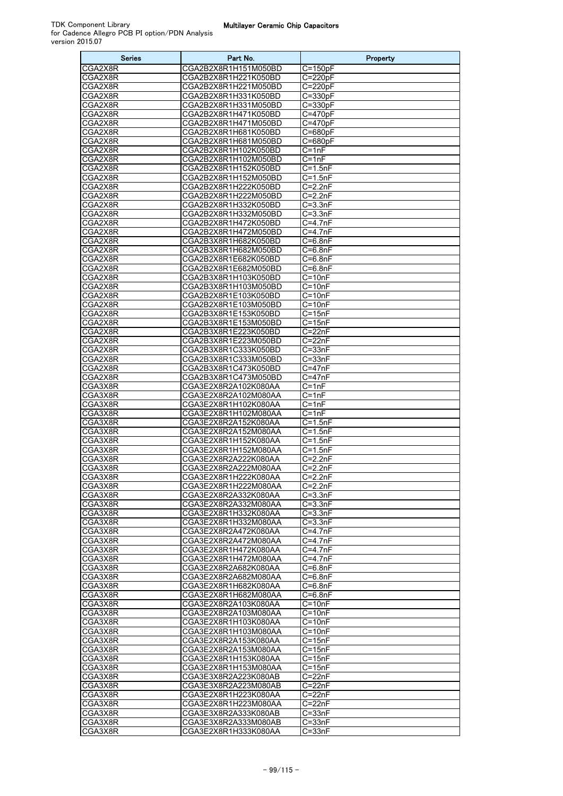| <b>Series</b>      | Part No.                                     | Property                            |
|--------------------|----------------------------------------------|-------------------------------------|
| CGA2X8R            | CGA2B2X8R1H151M050BD                         | $C=150pF$                           |
| CGA2X8R            | CGA2B2X8R1H221K050BD                         | $C=220pF$                           |
| CGA2X8R            | CGA2B2X8R1H221M050BD                         | $C = 220pF$                         |
| CGA2X8R            | CGA2B2X8R1H331K050BD                         | C=330pF                             |
| CGA2X8R            | CGA2B2X8R1H331M050BD                         | $C = 330pF$                         |
| CGA2X8R<br>CGA2X8R | CGA2B2X8R1H471K050BD<br>CGA2B2X8R1H471M050BD | $C=470pF$                           |
| CGA2X8R            | CGA2B2X8R1H681K050BD                         | $C = 470pF$<br>C=680pF              |
| CGA2X8R            | CGA2B2X8R1H681M050BD                         | C=680pF                             |
| CGA2X8R            | CGA2B2X8R1H102K050BD                         | $C = 1nF$                           |
| CGA2X8R            | CGA2B2X8R1H102M050BD                         | $C = 1nF$                           |
| CGA2X8R            | CGA2B2X8R1H152K050BD                         | $C = 1.5nF$                         |
| CGA2X8R            | CGA2B2X8R1H152M050BD                         | $C = 1.5nF$                         |
| CGA2X8R            | CGA2B2X8R1H222K050BD                         | $C=2.2nF$                           |
| CGA2X8R            | CGA2B2X8R1H222M050BD                         | C=2.2nF                             |
| CGA2X8R            | CGA2B2X8R1H332K050BD                         | $C = 3.3nF$                         |
| CGA2X8R            | CGA2B2X8R1H332M050BD                         | $C = 3.3nF$                         |
| CGA2X8R            | CGA2B2X8R1H472K050BD                         | C=4.7nF                             |
| CGA2X8R            | CGA2B2X8R1H472M050BD                         | C=4.7nF                             |
| CGA2X8R<br>CGA2X8R | CGA2B3X8R1H682K050BD<br>CGA2B3X8R1H682M050BD | C=6.8nF<br>$\overline{C}$ =6.8nF    |
| CGA2X8R            | CGA2B2X8R1E682K050BD                         | $C = 6.8nF$                         |
| CGA2X8R            | CGA2B2X8R1E682M050BD                         | C=6.8nF                             |
| CGA2X8R            | CGA2B3X8R1H103K050BD                         | $C = 10nF$                          |
| CGA2X8R            | CGA2B3X8R1H103M050BD                         | $C = 10nF$                          |
| CGA2X8R            | CGA2B2X8R1E103K050BD                         | $C = 10nF$                          |
| CGA2X8R            | CGA2B2X8R1E103M050BD                         | $C = 10nF$                          |
| CGA2X8R            | CGA2B3X8R1E153K050BD                         | $C = 15nF$                          |
| CGA2X8R            | CGA2B3X8R1E153M050BD                         | $C = 15nF$                          |
| CGA2X8R            | CGA2B3X8R1E223K050BD                         | C=22nF                              |
| CGA2X8R            | CGA2B3X8R1E223M050BD                         | $C = 22nF$                          |
| CGA2X8R<br>CGA2X8R | CGA2B3X8R1C333K050BD<br>CGA2B3X8R1C333M050BD | $C = 33nF$<br>$C = 33nF$            |
| CGA2X8R            | CGA2B3X8R1C473K050BD                         | $C = 47nF$                          |
| CGA2X8R            | CGA2B3X8R1C473M050BD                         | $C = 47nF$                          |
| CGA3X8R            | CGA3E2X8R2A102K080AA                         | $C = 1nF$                           |
| CGA3X8R            | CGA3E2X8R2A102M080AA                         | $\overline{C}$ =1nF                 |
| CGA3X8R            | CGA3E2X8R1H102K080AA                         | C=1nF                               |
| CGA3X8R            | CGA3E2X8R1H102M080AA                         | $C = 1nF$                           |
| CGA3X8R            | CGA3E2X8R2A152K080AA                         | $C = 1.5nF$                         |
| CGA3X8R<br>CGA3X8R | CGA3E2X8R2A152M080AA<br>CGA3E2X8R1H152K080AA | $\overline{C=1}.5nF$<br>$C = 1.5nF$ |
| CGA3X8R            | CGA3E2X8R1H152M080AA                         | $C=1.5nF$                           |
| CGA3X8R            | CGA3E2X8R2A222K080AA                         | $C=2.2nF$                           |
| CGA3X8R            | CGA3E2X8R2A222M080AA                         | C=2.2nF                             |
| CGA3X8R            | CGA3E2X8R1H222K080AA                         | $C = 2.2nF$                         |
| CGA3X8R            | CGA3E2X8R1H222M080AA                         | $C = 2.2nF$                         |
| CGA3X8R            | CGA3E2X8R2A332K080AA                         | $C = 3.3nF$                         |
| CGA3X8R            | CGA3E2X8R2A332M080AA                         | $\overline{C}$ =3.3nF               |
| CGA3X8R            | CGA3E2X8R1H332K080AA                         | $C = 3.3nF$                         |
| CGA3X8R            | CGA3E2X8R1H332M080AA<br>CGA3E2X8R2A472K080AA | C=3.3nF                             |
| CGA3X8R<br>CGA3X8R | CGA3E2X8R2A472M080AA                         | C=4.7nF<br>C=4.7nF                  |
| CGA3X8R            | CGA3E2X8R1H472K080AA                         | $C=4.7nF$                           |
| CGA3X8R            | CGA3E2X8R1H472M080AA                         | $C = 4.7nF$                         |
| CGA3X8R            | CGA3E2X8R2A682K080AA                         | $C = 6.8nF$                         |
| CGA3X8R            | CGA3E2X8R2A682M080AA                         | C=6.8nF                             |
| CGA3X8R            | CGA3E2X8R1H682K080AA                         | C=6.8nF                             |
| CGA3X8R            | CGA3E2X8R1H682M080AA                         | C=6.8nF                             |
| CGA3X8R            | CGA3E2X8R2A103K080AA                         | C=10nF                              |
| CGA3X8R            | CGA3E2X8R2A103M080AA                         | $C = 10nF$                          |
| CGA3X8R            | CGA3E2X8R1H103K080AA<br>CGA3E2X8R1H103M080AA | $C = 10nF$                          |
| CGA3X8R<br>CGA3X8R | CGA3E2X8R2A153K080AA                         | C=10nF<br>$C = 15nF$                |
| CGA3X8R            | CGA3E2X8R2A153M080AA                         | $C = 15nF$                          |
| CGA3X8R            | CGA3E2X8R1H153K080AA                         | C=15nF                              |
| CGA3X8R            | CGA3E2X8R1H153M080AA                         | $C = 15nF$                          |
| CGA3X8R            | CGA3E3X8R2A223K080AB                         | C=22nF                              |
| CGA3X8R            | CGA3E3X8R2A223M080AB                         | $C = 22nF$                          |
| CGA3X8R            | CGA3E2X8R1H223K080AA                         | $C = 22nF$                          |
| CGA3X8R            | CGA3E2X8R1H223M080AA                         | C=22nF                              |
| CGA3X8R            | CGA3E3X8R2A333K080AB                         | C=33nF                              |
| CGA3X8R<br>CGA3X8R | CGA3E3X8R2A333M080AB<br>CGA3E2X8R1H333K080AA | $C = 33nF$<br>C=33nF                |
|                    |                                              |                                     |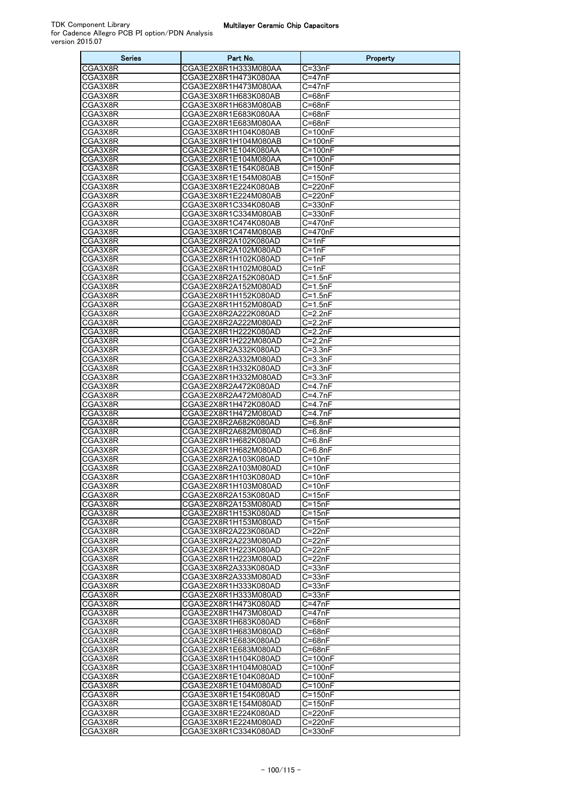| <b>Series</b>      | Part No.                                     | Property                   |
|--------------------|----------------------------------------------|----------------------------|
| CGA3X8R            | CGA3E2X8R1H333M080AA                         | $C = 33nF$                 |
| CGA3X8R            | CGA3E2X8R1H473K080AA                         | $C = 47nF$                 |
| CGA3X8R            | CGA3E2X8R1H473M080AA                         | C=47nF                     |
| CGA3X8R            | CGA3E3X8R1H683K080AB                         | $C = 68nF$                 |
| CGA3X8R            | CGA3E3X8R1H683M080AB                         | $C = 68nF$                 |
| CGA3X8R            | CGA3E2X8R1E683K080AA                         | $C = 68nF$                 |
| CGA3X8R            | CGA3E2X8R1E683M080AA                         | $C = 68nF$                 |
| CGA3X8R            | CGA3E3X8R1H104K080AB                         | C=100nF                    |
| CGA3X8R<br>CGA3X8R | CGA3E3X8R1H104M080AB<br>CGA3E2X8R1E104K080AA | C=100nF<br>C=100nF         |
| CGA3X8R            | CGA3E2X8R1E104M080AA                         | $C = 100nF$                |
| CGA3X8R            | CGA3E3X8R1E154K080AB                         | $C = 150nF$                |
| CGA3X8R            | CGA3E3X8R1E154M080AB                         | C=150nF                    |
| CGA3X8R            | CGA3E3X8R1E224K080AB                         | $C = 220nF$                |
| CGA3X8R            | CGA3E3X8R1E224M080AB                         | C=220nF                    |
| CGA3X8R            | CGA3E3X8R1C334K080AB                         | $C = 330nF$                |
| CGA3X8R            | CGA3E3X8R1C334M080AB                         | C=330nF                    |
| CGA3X8R            | CGA3E3X8R1C474K080AB                         | C=470nF                    |
| CGA3X8R            | CGA3E3X8R1C474M080AB                         | C=470nF                    |
| CGA3X8R            | CGA3E2X8R2A102K080AD                         | $C = 1nF$                  |
| CGA3X8R            | CGA3E2X8R2A102M080AD                         | $C = 1nF$                  |
| CGA3X8R            | CGA3E2X8R1H102K080AD                         | $C = 1nF$                  |
| CGA3X8R            | CGA3E2X8R1H102M080AD                         | $C = 1nF$                  |
| CGA3X8R            | CGA3E2X8R2A152K080AD                         | $C = 1.5nF$                |
| CGA3X8R            | CGA3E2X8R2A152M080AD                         | $C = 1.5nF$                |
| CGA3X8R            | CGA3E2X8R1H152K080AD                         | $C=1.5nF$                  |
| CGA3X8R            | CGA3E2X8R1H152M080AD                         | $C = 1.5nF$<br>$C = 2.2nF$ |
| CGA3X8R<br>CGA3X8R | CGA3E2X8R2A222K080AD<br>CGA3E2X8R2A222M080AD |                            |
| CGA3X8R            | CGA3E2X8R1H222K080AD                         | C=2.2nF<br>$C = 2.2nF$     |
| CGA3X8R            | CGA3E2X8R1H222M080AD                         | $C = 2.2nF$                |
| CGA3X8R            | CGA3E2X8R2A332K080AD                         | $C = 3.3nF$                |
| CGA3X8R            | CGA3E2X8R2A332M080AD                         | $C = 3.3nF$                |
| CGA3X8R            | CGA3E2X8R1H332K080AD                         | $C = 3.3nF$                |
| CGA3X8R            | CGA3E2X8R1H332M080AD                         | $C = 3.3nF$                |
| CGA3X8R            | CGA3E2X8R2A472K080AD                         | $C=4.7nF$                  |
| CGA3X8R            | CGA3E2X8R2A472M080AD                         | $C = 4.7nF$                |
| CGA3X8R            | CGA3E2X8R1H472K080AD                         | $C = 4.7nF$                |
| CGA3X8R            | CGA3E2X8R1H472M080AD                         | C=4.7nF                    |
| CGA3X8R            | CGA3E2X8R2A682K080AD                         | $C = 6.8nF$                |
| CGA3X8R            | CGA3E2X8R2A682M080AD                         | $C = 6.8nF$                |
| CGA3X8R            | CGA3E2X8R1H682K080AD                         | $C = 6.8nF$                |
| CGA3X8R            | CGA3E2X8R1H682M080AD                         | $C = 6.8nF$                |
| CGA3X8R<br>CGA3X8R | CGA3E2X8R2A103K080AD                         | $C = 10nF$<br>$C = 10nF$   |
| CGA3X8R            | CGA3E2X8R2A103M080AD<br>CGA3E2X8R1H103K080AD | $C = 10nF$                 |
| CGA3X8R            | CGA3E2X8R1H103M080AD                         | $C = 10nF$                 |
| CGA3X8R            | CGA3E2X8R2A153K080AD                         | $C = 15nF$                 |
| CGA3X8R            | CGA3E2X8R2A153M080AD                         | C=15nF                     |
| CGA3X8R            | CGA3E2X8R1H153K080AD                         | $C = 15nF$                 |
| CGA3X8R            | CGA3E2X8R1H153M080AD                         | $\overline{C}$ =15nF       |
| CGA3X8R            | CGA3E3X8R2A223K080AD                         | C=22nF                     |
| CGA3X8R            | CGA3E3X8R2A223M080AD                         | $C = 22nF$                 |
| CGA3X8R            | CGA3E2X8R1H223K080AD                         | C=22nF                     |
| CGA3X8R            | CGA3E2X8R1H223M080AD                         | $C = 22nF$                 |
| CGA3X8R            | CGA3E3X8R2A333K080AD                         | $C = 33nF$                 |
| CGA3X8R            | CGA3E3X8R2A333M080AD                         | $C = 33nF$                 |
| CGA3X8R            | CGA3E2X8R1H333K080AD                         | $C = 33nF$                 |
| CGA3X8R            | CGA3E2X8R1H333M080AD                         | C=33nF<br>$C = 47nF$       |
| CGA3X8R<br>CGA3X8R | CGA3E2X8R1H473K080AD<br>CGA3E2X8R1H473M080AD | $C = 47nF$                 |
| CGA3X8R            | CGA3E3X8R1H683K080AD                         | $C = 68nF$                 |
| CGA3X8R            | CGA3E3X8R1H683M080AD                         | $C = 68nF$                 |
| CGA3X8R            | CGA3E2X8R1E683K080AD                         | C=68nF                     |
| CGA3X8R            | CGA3E2X8R1E683M080AD                         | C=68nF                     |
| CGA3X8R            | CGA3E3X8R1H104K080AD                         | C=100nF                    |
| CGA3X8R            | CGA3E3X8R1H104M080AD                         | C=100nF                    |
| CGA3X8R            | CGA3E2X8R1E104K080AD                         | $C = 100nF$                |
| CGA3X8R            | CGA3E2X8R1E104M080AD                         | C=100nF                    |
| CGA3X8R            | CGA3E3X8R1E154K080AD                         | C=150nF                    |
| CGA3X8R            | CGA3E3X8R1E154M080AD                         | $\overline{C}$ =150nF      |
| CGA3X8R            | CGA3E3X8R1E224K080AD                         | C=220nF                    |
| CGA3X8R            | CGA3E3X8R1E224M080AD                         | C=220nF                    |
| CGA3X8R            | CGA3E3X8R1C334K080AD                         | C=330nF                    |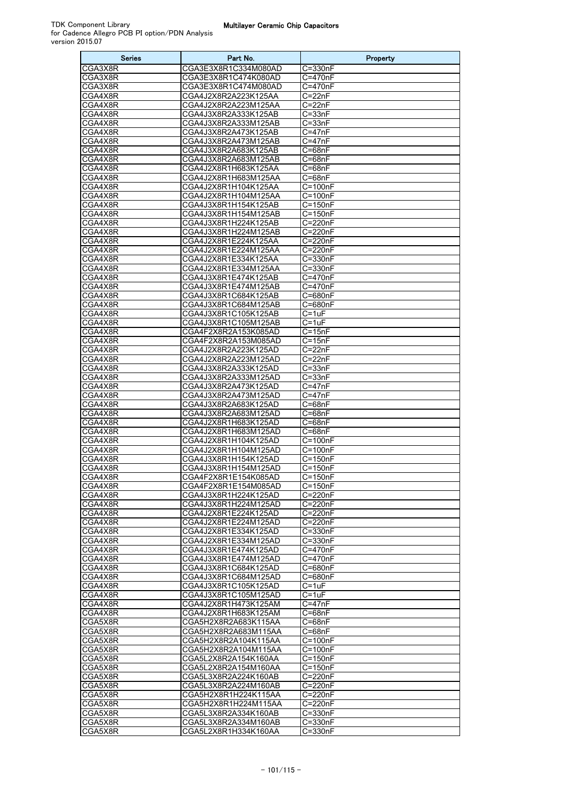| <b>Series</b>      | Part No.                                     | Property                 |
|--------------------|----------------------------------------------|--------------------------|
| CGA3X8R            | CGA3E3X8R1C334M080AD                         | $\overline{C=330nF}$     |
| CGA3X8R            | CGA3E3X8R1C474K080AD                         | C=470nF                  |
| CGA3X8R            | CGA3E3X8R1C474M080AD                         | $C=470nF$                |
| CGA4X8R            | CGA4J2X8R2A223K125AA                         | $C = 22nF$               |
| CGA4X8R            | CGA4J2X8R2A223M125AA                         | $C = 22nF$               |
| CGA4X8R            | CGA4J3X8R2A333K125AB                         | $C = 33nF$               |
| CGA4X8R            | CGA4J3X8R2A333M125AB                         | $C = 33nF$               |
| CGA4X8R<br>CGA4X8R | CGA4J3X8R2A473K125AB                         | C=47nF<br>$C = 47nF$     |
| CGA4X8R            | CGA4J3X8R2A473M125AB<br>CGA4J3X8R2A683K125AB | $C = 68nF$               |
| CGA4X8R            | CGA4J3X8R2A683M125AB                         | C=68nF                   |
| CGA4X8R            | CGA4J2X8R1H683K125AA                         | C=68nF                   |
| CGA4X8R            | CGA4J2X8R1H683M125AA                         | $C = 68nF$               |
| CGA4X8R            | CGA4J2X8R1H104K125AA                         | $C = 100nF$              |
| CGA4X8R            | CGA4J2X8R1H104M125AA                         | $C=100nF$                |
| CGA4X8R            | CGA4J3X8R1H154K125AB                         | $C=150nF$                |
| CGA4X8R            | CGA4J3X8R1H154M125AB                         | C=150nF                  |
| CGA4X8R            | CGA4J3X8R1H224K125AB                         | C=220nF                  |
| CGA4X8R            | CGA4J3X8R1H224M125AB                         | C=220nF                  |
| CGA4X8R            | CGA4J2X8R1E224K125AA                         | C=220nF                  |
| CGA4X8R            | CGA4J2X8R1E224M125AA                         | $C=220nF$                |
| CGA4X8R<br>CGA4X8R | CGA4J2X8R1E334K125AA<br>CGA4J2X8R1E334M125AA | C=330nF<br>$C = 330nF$   |
| CGA4X8R            | CGA4J3X8R1E474K125AB                         | C=470nF                  |
| CGA4X8R            | CGA4J3X8R1E474M125AB                         | C=470nF                  |
| CGA4X8R            | CGA4J3X8R1C684K125AB                         | $\overline{C}$ =680nF    |
| CGA4X8R            | CGA4J3X8R1C684M125AB                         | C=680nF                  |
| CGA4X8R            | CGA4J3X8R1C105K125AB                         | C=1uF                    |
| CGA4X8R            | CGA4J3X8R1C105M125AB                         | $C=1uF$                  |
| CGA4X8R            | CGA4F2X8R2A153K085AD                         | $C = 15nF$               |
| CGA4X8R            | CGA4F2X8R2A153M085AD                         | $C = 15nF$               |
| CGA4X8R            | CGA4J2X8R2A223K125AD                         | C=22nF                   |
| CGA4X8R            | CGA4J2X8R2A223M125AD                         | C=22nF                   |
| CGA4X8R            | CGA4J3X8R2A333K125AD                         | C=33nF                   |
| CGA4X8R            | CGA4J3X8R2A333M125AD                         | C=33nF                   |
| CGA4X8R            | CGA4J3X8R2A473K125AD                         | C=47nF                   |
| CGA4X8R<br>CGA4X8R | CGA4J3X8R2A473M125AD<br>CGA4J3X8R2A683K125AD | C=47nF<br>C=68nF         |
| CGA4X8R            | CGA4J3X8R2A683M125AD                         | $C = 68nF$               |
| CGA4X8R            | CGA4J2X8R1H683K125AD                         | C=68nF                   |
| CGA4X8R            | CGA4J2X8R1H683M125AD                         | $\overline{C}$ =68nF     |
| CGA4X8R            | CGA4J2X8R1H104K125AD                         | C=100nF                  |
| CGA4X8R            | CGA4J2X8R1H104M125AD                         | C=100nF                  |
| CGA4X8R            | CGA4J3X8R1H154K125AD                         | $C=150nF$                |
| CGA4X8R            | CGA4J3X8R1H154M125AD                         | C=150nF                  |
| CGA4X8R            | CGA4F2X8R1E154K085AD                         | $C = 150nF$              |
| CGA4X8R            | CGA4F2X8R1E154M085AD                         | C=150nF                  |
| CGA4X8R<br>CGA4X8R | CGA4J3X8R1H224K125AD<br>CGA4J3X8R1H224M125AD | $C=220nF$<br>$C = 220nF$ |
| CGA4X8R            | CGA4J2X8R1E224K125AD                         | C=220nF                  |
| CGA4X8R            | CGA4J2X8R1E224M125AD                         | C=220nF                  |
| CGA4X8R            | CGA4J2X8R1E334K125AD                         | C=330nF                  |
| CGA4X8R            | CGA4J2X8R1E334M125AD                         | C=330nF                  |
| CGA4X8R            | CGA4J3X8R1E474K125AD                         | C=470nF                  |
| CGA4X8R            | CGA4J3X8R1E474M125AD                         | C=470nF                  |
| CGA4X8R            | CGA4J3X8R1C684K125AD                         | C=680nF                  |
| CGA4X8R            | CGA4J3X8R1C684M125AD                         | C=680nF                  |
| CGA4X8R            | CGA4J3X8R1C105K125AD                         | $C = 1$ uF               |
| CGA4X8R            | CGA4J3X8R1C105M125AD                         | $C = 1uF$                |
| CGA4X8R            | CGA4J2X8R1H473K125AM                         | $C = 47nF$               |
| CGA4X8R<br>CGA5X8R | CGA4J2X8R1H683K125AM<br>CGA5H2X8R2A683K115AA | C=68nF                   |
| CGA5X8R            | CGA5H2X8R2A683M115AA                         | C=68nF<br>C=68nF         |
| CGA5X8R            | CGA5H2X8R2A104K115AA                         | $C = 100nF$              |
| CGA5X8R            | CGA5H2X8R2A104M115AA                         | C=100nF                  |
| CGA5X8R            | CGA5L2X8R2A154K160AA                         | C=150nF                  |
| CGA5X8R            | CGA5L2X8R2A154M160AA                         | C=150nF                  |
| CGA5X8R            | CGA5L3X8R2A224K160AB                         | C=220nF                  |
| CGA5X8R            | CGA5L3X8R2A224M160AB                         | $C=220nF$                |
| CGA5X8R            | CGA5H2X8R1H224K115AA                         | C=220nF                  |
| CGA5X8R            | CGA5H2X8R1H224M115AA                         | C=220nF                  |
| CGA5X8R            | CGA5L3X8R2A334K160AB                         | C=330nF                  |
| CGA5X8R            | CGA5L3X8R2A334M160AB                         | C=330nF                  |
| CGA5X8R            | CGA5L2X8R1H334K160AA                         | C=330nF                  |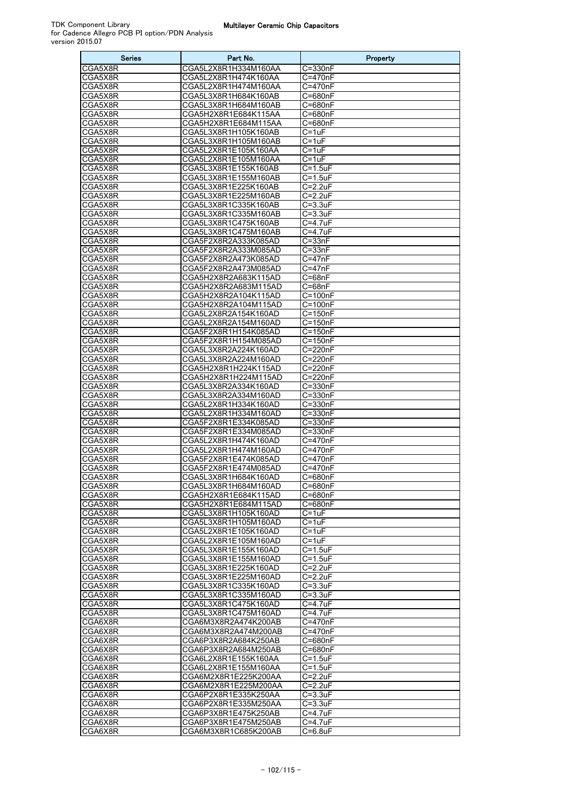| <b>Series</b> | Part No.             | Property              |
|---------------|----------------------|-----------------------|
| CGA5X8R       | CGA5L2X8R1H334M160AA | C=330nF               |
| CGA5X8R       | CGA5L2X8R1H474K160AA | C=470nF               |
| CGA5X8R       | CGA5L2X8R1H474M160AA | C=470nF               |
| CGA5X8R       | CGA5L3X8R1H684K160AB | C=680nF               |
| CGA5X8R       | CGA5L3X8R1H684M160AB | C=680nF               |
| CGA5X8R       | CGA5H2X8R1E684K115AA | $\overline{C}$ =680nF |
| CGA5X8R       | CGA5H2X8R1E684M115AA | C=680nF               |
| CGA5X8R       | CGA5L3X8R1H105K160AB | C=1uF                 |
| CGA5X8R       | CGA5L3X8R1H105M160AB | $C = 1uF$             |
| CGA5X8R       | CGA5L2X8R1E105K160AA | $C = 1uF$             |
| CGA5X8R       | CGA5L2X8R1E105M160AA | $C = 1uF$             |
| CGA5X8R       | CGA5L3X8R1E155K160AB | $C = 1.5$ uF          |
| CGA5X8R       | CGA5L3X8R1E155M160AB | $C = 1.5$ uF          |
| CGA5X8R       | CGA5L3X8R1E225K160AB | $C = 2.2uF$           |
| CGA5X8R       | CGA5L3X8R1E225M160AB | $C = 2.2uF$           |
| CGA5X8R       | CGA5L3X8R1C335K160AB | $C = 3.3uF$           |
| CGA5X8R       | CGA5L3X8R1C335M160AB | $C = 3.3uF$           |
| CGA5X8R       | CGA5L3X8R1C475K160AB | C=4.7uF               |
| CGA5X8R       | CGA5L3X8R1C475M160AB | C=4.7uF               |
| CGA5X8R       | CGA5F2X8R2A333K085AD | $C = 33nF$            |
| CGA5X8R       | CGA5F2X8R2A333M085AD | C=33nF                |
| CGA5X8R       | CGA5F2X8R2A473K085AD | C=47nF                |
| CGA5X8R       | CGA5F2X8R2A473M085AD | $C = 47nF$            |
| CGA5X8R       | CGA5H2X8R2A683K115AD | $C = 68nF$            |
| CGA5X8R       | CGA5H2X8R2A683M115AD | $C = 68nF$            |
| CGA5X8R       | CGA5H2X8R2A104K115AD | $\overline{C}$ =100nF |
| CGA5X8R       | CGA5H2X8R2A104M115AD | $C=100nF$             |
| CGA5X8R       | CGA5L2X8R2A154K160AD | $C = 150nF$           |
| CGA5X8R       | CGA5L2X8R2A154M160AD | $C = 150nF$           |
| CGA5X8R       | CGA5F2X8R1H154K085AD | $C = 150nF$           |
| CGA5X8R       | CGA5F2X8R1H154M085AD | $C = 150nF$           |
| CGA5X8R       | CGA5L3X8R2A224K160AD | C=220nF               |
| CGA5X8R       | CGA5L3X8R2A224M160AD | C=220nF               |
| CGA5X8R       | CGA5H2X8R1H224K115AD | $C = 220nF$           |
| CGA5X8R       | CGA5H2X8R1H224M115AD | C=220nF               |
| CGA5X8R       | CGA5L3X8R2A334K160AD | $\overline{C}$ =330nF |
| CGA5X8R       | CGA5L3X8R2A334M160AD | C=330nF               |
| CGA5X8R       | CGA5L2X8R1H334K160AD | C=330nF               |
| CGA5X8R       | CGA5L2X8R1H334M160AD | C=330nF               |
| CGA5X8R       | CGA5F2X8R1E334K085AD | $C = 330nF$           |
| CGA5X8R       | CGA5F2X8R1E334M085AD | $\overline{C}$ =330nF |
| CGA5X8R       | CGA5L2X8R1H474K160AD | $C=470nF$             |
| CGA5X8R       | CGA5L2X8R1H474M160AD | C=470nF               |
| CGA5X8R       | CGA5F2X8R1E474K085AD | C=470nF               |
| CGA5X8R       | CGA5F2X8R1E474M085AD | $C=470nF$             |
| CGA5X8R       | CGA5L3X8R1H684K160AD | C=680nF               |
| CGA5X8R       | CGA5L3X8R1H684M160AD | C=680nF               |
| CGA5X8R       | CGA5H2X8R1E684K115AD | C=680nF               |
| CGA5X8R       | CGA5H2X8R1E684M115AD | C=680nF               |
| CGA5X8R       | CGA5L3X8R1H105K160AD | $C = 1uF$             |
| CGA5X8R       | CGA5L3X8R1H105M160AD | $C = 1uF$             |
| CGA5X8R       | CGA5L2X8R1E105K160AD | $C = 1uF$             |
| CGA5X8R       | CGA5L2X8R1E105M160AD | $C = 1uF$             |
| CGA5X8R       | CGA5L3X8R1E155K160AD | $C = 1.5$ u $F$       |
| CGA5X8R       | CGA5L3X8R1E155M160AD | C=1.5uF               |
| CGA5X8R       | CGA5L3X8R1E225K160AD | C=2.2uF               |
| CGA5X8R       | CGA5L3X8R1E225M160AD | $C = 2.2uF$           |
| CGA5X8R       | CGA5L3X8R1C335K160AD | $C = 3.3uF$           |
| CGA5X8R       | CGA5L3X8R1C335M160AD | $C=3.3uF$             |
| CGA5X8R       | CGA5L3X8R1C475K160AD | $C = 4.7uF$           |
| CGA5X8R       | CGA5L3X8R1C475M160AD | $C = 4.7uF$           |
| CGA6X8R       | CGA6M3X8R2A474K200AB | C=470nF               |
| CGA6X8R       | CGA6M3X8R2A474M200AB | C=470nF               |
| CGA6X8R       | CGA6P3X8R2A684K250AB | C=680nF               |
| CGA6X8R       | CGA6P3X8R2A684M250AB | C=680nF               |
| CGA6X8R       | CGA6L2X8R1E155K160AA | $C = 1.5$ uF          |
| CGA6X8R       | CGA6L2X8R1E155M160AA | $\overline{C=1}.5$ uF |
| CGA6X8R       | CGA6M2X8R1E225K200AA | C=2.2uF               |
| CGA6X8R       | CGA6M2X8R1E225M200AA | $C = 2.2uF$           |
| CGA6X8R       | CGA6P2X8R1E335K250AA | $C = 3.3uF$           |
| CGA6X8R       | CGA6P2X8R1E335M250AA | C=3.3uF               |
| CGA6X8R       | CGA6P3X8R1E475K250AB | C=4.7uF               |
| CGA6X8R       | CGA6P3X8R1E475M250AB | C=4.7uF               |
| CGA6X8R       | CGA6M3X8R1C685K200AB | C=6.8uF               |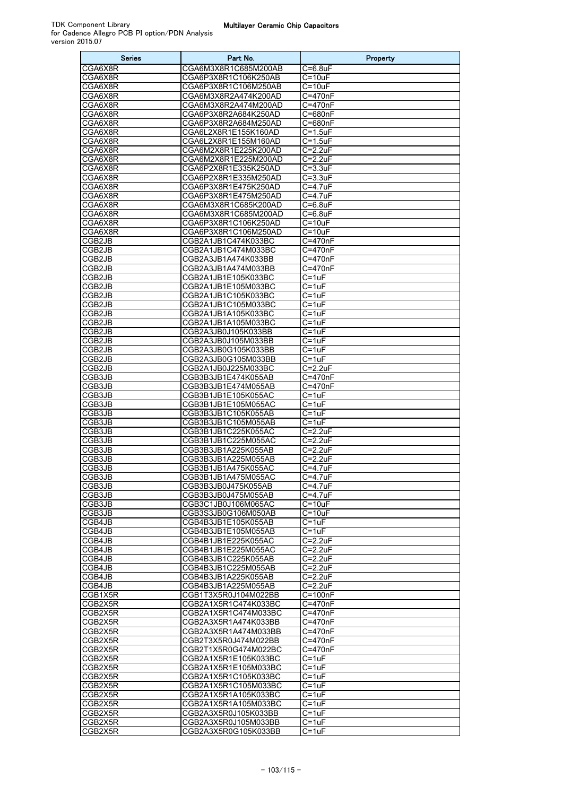| <b>Series</b>                | Part No.                                     | Property                   |
|------------------------------|----------------------------------------------|----------------------------|
| CGA6X8R                      | CGA6M3X8R1C685M200AB                         | $C=6.8$ uF                 |
| CGA6X8R                      | CGA6P3X8R1C106K250AB                         | $C=10uF$                   |
| CGA6X8R                      | CGA6P3X8R1C106M250AB                         | $C = 10uF$                 |
| CGA6X8R                      | CGA6M3X8R2A474K200AD                         | C=470nF                    |
| CGA6X8R                      | CGA6M3X8R2A474M200AD                         | C=470nF                    |
| CGA6X8R                      | CGA6P3X8R2A684K250AD                         | C=680nF                    |
| CGA6X8R                      | CGA6P3X8R2A684M250AD                         | C=680nF                    |
| CGA6X8R                      | CGA6L2X8R1E155K160AD                         | $C = 1.5$ uF               |
| CGA6X8R                      | CGA6L2X8R1E155M160AD                         | $C=1.5uF$                  |
| CGA6X8R<br>CGA6X8R           | CGA6M2X8R1E225K200AD<br>CGA6M2X8R1E225M200AD | C=2.2uF<br>$C = 2.2uF$     |
| CGA6X8R                      | CGA6P2X8R1E335K250AD                         | $C = 3.3uF$                |
| CGA6X8R                      | CGA6P2X8R1E335M250AD                         | $C = 3.3uF$                |
| CGA6X8R                      | CGA6P3X8R1E475K250AD                         | $C = 4.7uF$                |
| CGA6X8R                      | CGA6P3X8R1E475M250AD                         | $C = 4.7uF$                |
| CGA6X8R                      | CGA6M3X8R1C685K200AD                         | $C = 6.8$ uF               |
| CGA6X8R                      | CGA6M3X8R1C685M200AD                         | $C = 6.8$ uF               |
| CGA6X8R                      | CGA6P3X8R1C106K250AD                         | $C = 10uF$                 |
| CGA6X8R                      | CGA6P3X8R1C106M250AD                         | $C = 10uF$                 |
| CGB2JB                       | CGB2A1JB1C474K033BC                          | C=470nF                    |
| CGB <sub>2JB</sub>           | CGB2A1JB1C474M033BC                          | C=470nF                    |
| CGB2JB                       | CGB2A3JB1A474K033BB                          | C=470nF                    |
| CGB2JB                       | CGB2A3JB1A474M033BB                          | $C = 470nF$                |
| CGB2JB                       | CGB2A1JB1E105K033BC                          | $C = 1uF$                  |
| CGB2JB<br>CGB <sub>2JB</sub> | CGB2A1JB1E105M033BC<br>CGB2A1JB1C105K033BC   | $C = 1uF$<br>$C = 1uF$     |
| CGB2JB                       | CGB2A1JB1C105M033BC                          | $C=1uF$                    |
| CGB2JB                       | CGB2A1JB1A105K033BC                          | $C = 1uF$                  |
| CGB2JB                       | CGB2A1JB1A105M033BC                          | C=1uF                      |
| CGB2JB                       | CGB2A3JB0J105K033BB                          | $C=1uF$                    |
| CGB <sub>2JB</sub>           | CGB2A3JB0J105M033BB                          | $C = 1uF$                  |
| CGB2JB                       | CGB2A3JB0G105K033BB                          | $C = 1uF$                  |
| CGB2JB                       | CGB2A3JB0G105M033BB                          | $C = 1uF$                  |
| CGB2JB                       | CGB2A1JB0J225M033BC                          | $C = 2.2uF$                |
| CGB3JB                       | CGB3B3JB1E474K055AB                          | C=470nF                    |
| CGB3JB                       | CGB3B3JB1E474M055AB                          | C=470nF                    |
| CGB3JB                       | CGB3B1JB1E105K055AC                          | $C = 1uF$                  |
| CGB3JB                       | CGB3B1JB1E105M055AC                          | $C = 1uF$                  |
| CGB3JB                       | CGB3B3JB1C105K055AB                          | C=1uF                      |
| CGB3JB                       | CGB3B3JB1C105M055AB                          | $C=1uF$                    |
| CGB3JB<br>CGB3JB             | CGB3B1JB1C225K055AC<br>CGB3B1JB1C225M055AC   | $C = 2.2uF$<br>$C = 2.2uF$ |
| CGB3JB                       | CGB3B3JB1A225K055AB                          | $C = 2.2uF$                |
| CGB3JB                       | CGB3B3JB1A225M055AB                          | $C=2.2uF$                  |
| CGB3JB                       | CGB3B1JB1A475K055AC                          | C=4.7uF                    |
| CGB3JB                       | CGB3B1JB1A475M055AC                          | $C = 4.7uF$                |
| CGB3JB                       | CGB3B3JB0J475K055AB                          | $C=4.7uF$                  |
| CGB3JB                       | CGB3B3JB0J475M055AB                          | C=4.7uF                    |
| CGB3JB                       | CGB3C1JB0J106M065AC                          | $C = 10uF$                 |
| CGB3JB                       | CGB3S3JB0G106M050AB                          | $C = 10uF$                 |
| CGB4JB                       | CGB4B3JB1E105K055AB                          | C=1uF                      |
| CGB4JB                       | CGB4B3JB1E105M055AB                          | $C = 1uF$                  |
| CGB4JB                       | CGB4B1JB1E225K055AC                          | C=2.2uF                    |
| CGB4JB                       | CGB4B1JB1E225M055AC                          | $C = 2.2uF$                |
| CGB4JB                       | CGB4B3JB1C225K055AB                          | $C = 2.2uF$                |
| CGB4JB<br>CGB4JB             | CGB4B3JB1C225M055AB<br>CGB4B3JB1A225K055AB   | $C = 2.2uF$                |
| CGB4JB                       | CGB4B3JB1A225M055AB                          | $C = 2.2uF$<br>$C = 2.2uF$ |
| CGB1X5R                      | CGB1T3X5R0J104M022BB                         | $\overline{C=100n}$ F      |
| CGB2X5R                      | CGB2A1X5R1C474K033BC                         | C=470nF                    |
| CGB2X5R                      | CGB2A1X5R1C474M033BC                         | C=470nF                    |
| CGB2X5R                      | CGB2A3X5R1A474K033BB                         | C=470nF                    |
| CGB2X5R                      | CGB2A3X5R1A474M033BB                         | C=470nF                    |
| CGB2X5R                      | CGB2T3X5R0J474M022BB                         | C=470nF                    |
| CGB2X5R                      | CGB2T1X5R0G474M022BC                         | C=470nF                    |
| CGB2X5R                      | CGB2A1X5R1E105K033BC                         | C=1uF                      |
| CGB2X5R                      | CGB2A1X5R1E105M033BC                         | $C = 1uF$                  |
| CGB2X5R                      | CGB2A1X5R1C105K033BC                         | C=1uF                      |
| CGB2X5R                      | CGB2A1X5R1C105M033BC                         | $C = 1uF$                  |
| CGB2X5R                      | CGB2A1X5R1A105K033BC                         | $C = 1uF$                  |
| CGB2X5R                      | CGB2A1X5R1A105M033BC                         | C=1uF                      |
| CGB2X5R<br>CGB2X5R           | CGB2A3X5R0J105K033BB<br>CGB2A3X5R0J105M033BB | $C = 1uF$                  |
| CGB2X5R                      | CGB2A3X5R0G105K033BB                         | C=1uF<br>$C = 1uF$         |
|                              |                                              |                            |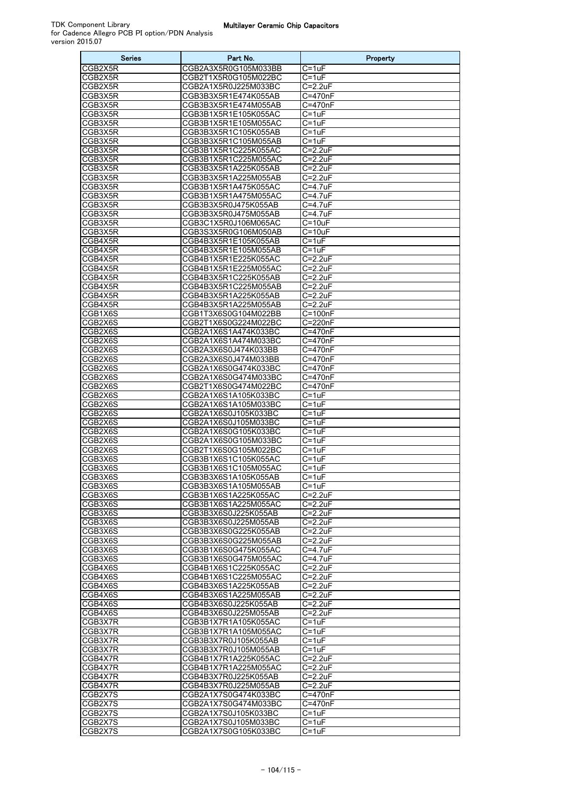| <b>Series</b>      | Part No.                                     | Property                   |
|--------------------|----------------------------------------------|----------------------------|
| CGB2X5R            | CGB2A3X5R0G105M033BB                         | $C = 1uF$                  |
| CGB2X5R            | CGB2T1X5R0G105M022BC                         | $C = 1uF$                  |
| CGB2X5R            | CGB2A1X5R0J225M033BC                         | $C = 2.2uF$                |
| CGB3X5R            | CGB3B3X5R1E474K055AB                         | $C=470nF$                  |
| CGB3X5R            | CGB3B3X5R1E474M055AB                         | C=470nF                    |
| CGB3X5R<br>CGB3X5R | CGB3B1X5R1E105K055AC<br>CGB3B1X5R1E105M055AC | $C = 1uF$<br>$C = 1uF$     |
| CGB3X5R            | CGB3B3X5R1C105K055AB                         | $C = 1uF$                  |
| CGB3X5R            | CGB3B3X5R1C105M055AB                         | $C = 1uF$                  |
| CGB3X5R            | CGB3B1X5R1C225K055AC                         | $C = 2.2uF$                |
| CGB3X5R            | CGB3B1X5R1C225M055AC                         | $C = 2.2uF$                |
| CGB3X5R            | CGB3B3X5R1A225K055AB                         | $C = 2.2uF$                |
| CGB3X5R            | CGB3B3X5R1A225M055AB                         | $C = 2.2uF$                |
| CGB3X5R            | CGB3B1X5R1A475K055AC                         | $C = 4.7uF$                |
| CGB3X5R            | CGB3B1X5R1A475M055AC                         | C=4.7uF                    |
| CGB3X5R            | CGB3B3X5R0J475K055AB                         | $C = 4.7uF$                |
| CGB3X5R            | CGB3B3X5R0J475M055AB                         | $C = 4.7uF$                |
| CGB3X5R<br>CGB3X5R | CGB3C1X5R0J106M065AC<br>CGB3S3X5R0G106M050AB | $C = 10uF$<br>$C = 10uF$   |
| CGB4X5R            | CGB4B3X5R1E105K055AB                         | C=1uF                      |
| CGB4X5R            | CGB4B3X5R1E105M055AB                         | $C = 1uF$                  |
| CGB4X5R            | CGB4B1X5R1E225K055AC                         | $C = 2.2uF$                |
| CGB4X5R            | CGB4B1X5R1E225M055AC                         | $C = 2.2uF$                |
| CGB4X5R            | CGB4B3X5R1C225K055AB                         | $C = 2.2uF$                |
| CGB4X5R            | CGB4B3X5R1C225M055AB                         | $C = 2.2uF$                |
| CGB4X5R            | CGB4B3X5R1A225K055AB                         | $C = 2.2uF$                |
| CGB4X5R            | CGB4B3X5R1A225M055AB                         | $C = 2.2uF$                |
| CGB1X6S            | CGB1T3X6S0G104M022BB                         | $C = 100nF$                |
| CGB2X6S            | CGB2T1X6S0G224M022BC                         | $\overline{C}$ =220nF      |
| CGB2X6S<br>CGB2X6S | CGB2A1X6S1A474K033BC<br>CGB2A1X6S1A474M033BC | C=470nF<br>C=470nF         |
| CGB2X6S            | CGB2A3X6S0J474K033BB                         | C=470nF                    |
| CGB2X6S            | CGB2A3X6S0J474M033BB                         | $C = 470nF$                |
| CGB2X6S            | CGB2A1X6S0G474K033BC                         | C=470nF                    |
| CGB2X6S            | CGB2A1X6S0G474M033BC                         | C=470nF                    |
| CGB2X6S            | CGB2T1X6S0G474M022BC                         | C=470nF                    |
| CGB2X6S            | CGB2A1X6S1A105K033BC                         | $C = 1uF$                  |
| CGB2X6S            | CGB2A1X6S1A105M033BC                         | $C = 1uF$                  |
| CGB2X6S<br>CGB2X6S | CGB2A1X6S0J105K033BC                         | $C=1uF$                    |
| CGB2X6S            | CGB2A1X6S0J105M033BC<br>CGB2A1X6S0G105K033BC | $C = 1uF$<br>$C = 1uF$     |
| CGB2X6S            | CGB2A1X6S0G105M033BC                         | $C = 1uF$                  |
| CGB2X6S            | CGB2T1X6S0G105M022BC                         | $C = 1uF$                  |
| CGB3X6S            | CGB3B1X6S1C105K055AC                         | $C = 1uF$                  |
| CGB3X6S            | CGB3B1X6S1C105M055AC                         | $C = 1uF$                  |
| CGB3X6S            | CGB3B3X6S1A105K055AB                         | C=1uF                      |
| CGB3X6S            | CGB3B3X6S1A105M055AB                         | $C = 1uF$                  |
| CGB3X6S            | CGB3B1X6S1A225K055AC                         | $C = 2.2uF$                |
| CGB3X6S<br>CGB3X6S | CGB3B1X6S1A225M055AC<br>CGB3B3X6S0J225K055AB | $C = 2.2uF$<br>$C = 2.2uF$ |
| CGB3X6S            | CGB3B3X6S0J225M055AB                         | $C = 2.2uF$                |
| CGB3X6S            | CGB3B3X6S0G225K055AB                         | $C = 2.2uF$                |
| CGB3X6S            | CGB3B3X6S0G225M055AB                         | $C = 2.2uF$                |
| CGB3X6S            | CGB3B1X6S0G475K055AC                         | $C = 4.7uF$                |
| CGB3X6S            | CGB3B1X6S0G475M055AC                         | $C = 4.7$ uF               |
| CGB4X6S            | CGB4B1X6S1C225K055AC                         | C=2.2uF                    |
| CGB4X6S            | CGB4B1X6S1C225M055AC                         | $C=2.2uF$                  |
| CGB4X6S            | CGB4B3X6S1A225K055AB                         | $C = 2.2uF$                |
| CGB4X6S<br>CGB4X6S | CGB4B3X6S1A225M055AB<br>CGB4B3X6S0J225K055AB | C=2.2uF<br>$C = 2.2uF$     |
| CGB4X6S            | CGB4B3X6S0J225M055AB                         | $C = 2.2uF$                |
| CGB3X7R            | CGB3B1X7R1A105K055AC                         | $C=1uF$                    |
| CGB3X7R            | CGB3B1X7R1A105M055AC                         | $C = 1uF$                  |
| CGB3X7R            | CGB3B3X7R0J105K055AB                         | C=1uF                      |
| CGB3X7R            | CGB3B3X7R0J105M055AB                         | $C = 1uF$                  |
| CGB4X7R            | CGB4B1X7R1A225K055AC                         | $C = 2.2uF$                |
| CGB4X7R            | CGB4B1X7R1A225M055AC                         | $C=2.2uF$                  |
| CGB4X7R            | CGB4B3X7R0J225K055AB                         | $C = 2.2uF$                |
| CGB4X7R<br>CGB2X7S | CGB4B3X7R0J225M055AB<br>CGB2A1X7S0G474K033BC | C=2.2uF<br>$C=470nF$       |
| CGB2X7S            | CGB2A1X7S0G474M033BC                         | C=470nF                    |
| CGB2X7S            | CGB2A1X7S0J105K033BC                         | $C = 1uF$                  |
| CGB2X7S            | CGB2A1X7S0J105M033BC                         | $C = 1uF$                  |
| CGB2X7S            | CGB2A1X7S0G105K033BC                         | $C = 1uF$                  |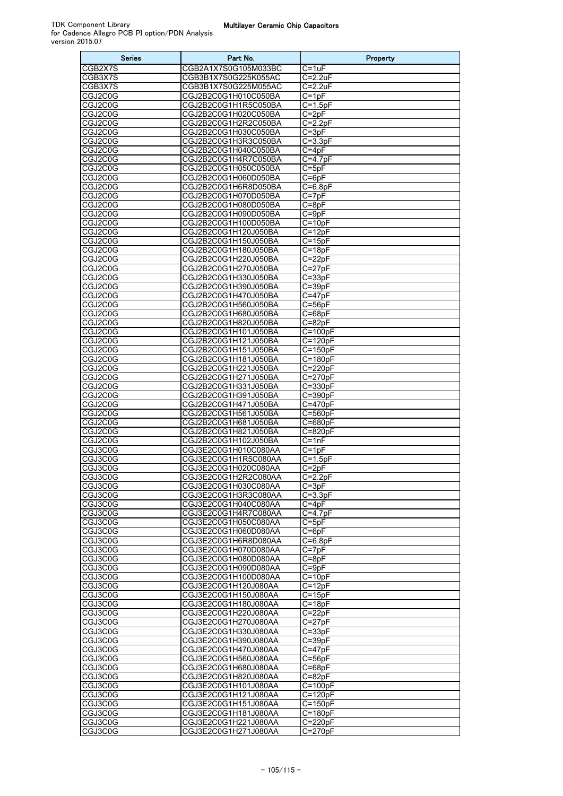| <b>Series</b>      | Part No.                                     | Property                           |
|--------------------|----------------------------------------------|------------------------------------|
| CGB2X7S            | CGB2A1X7S0G105M033BC                         | $C = 1uF$                          |
| CGB3X7S            | CGB3B1X7S0G225K055AC                         | $C = 2.2uF$                        |
| CGB3X7S            | CGB3B1X7S0G225M055AC                         | $C = 2.2uF$                        |
| CGJ2C0G            | CGJ2B2C0G1H010C050BA                         | $C=1pF$                            |
| CGJ2C0G            | CGJ2B2C0G1H1R5C050BA<br>CGJ2B2C0G1H020C050BA | $C=1.5pF$                          |
| CGJ2C0G<br>CGJ2C0G | CGJ2B2C0G1H2R2C050BA                         | $C = 2pF$<br>$C = 2.2pF$           |
| CGJ2C0G            | CGJ2B2C0G1H030C050BA                         | $C = 3pF$                          |
| CGJ2C0G            | CGJ2B2C0G1H3R3C050BA                         | $C = 3.3pF$                        |
| CGJ2C0G            | CGJ2B2C0G1H040C050BA                         | $C = 4pF$                          |
| CGJ2C0G            | CGJ2B2C0G1H4R7C050BA                         | $C = 4.7pF$                        |
| CGJ2C0G            | CGJ2B2C0G1H050C050BA                         | $C = 5pF$                          |
| CGJ2C0G            | CGJ2B2C0G1H060D050BA                         | $C = 6pF$                          |
| CGJ2C0G            | CGJ2B2C0G1H6R8D050BA                         | $\overline{C}$ =6.8pF              |
| CGJ2C0G            | CGJ2B2C0G1H070D050BA                         | $C = 7pF$                          |
| CGJ2C0G            | CGJ2B2C0G1H080D050BA                         | $C = 8pF$                          |
| CGJ2C0G<br>CGJ2C0G | CGJ2B2C0G1H090D050BA<br>CGJ2B2C0G1H100D050BA | $C = 9pF$<br>$C = 10pF$            |
| CGJ2C0G            | CGJ2B2C0G1H120J050BA                         | $C=12pF$                           |
| CGJ2C0G            | CGJ2B2C0G1H150J050BA                         | $C = 15pF$                         |
| CGJ2C0G            | CGJ2B2C0G1H180J050BA                         | $C = 18pF$                         |
| CGJ2C0G            | CGJ2B2C0G1H220J050BA                         | $C = 22pF$                         |
| CGJ2C0G            | CGJ2B2C0G1H270J050BA                         | $C = 27pF$                         |
| CGJ2C0G            | CGJ2B2C0G1H330J050BA                         | $C = 33pF$                         |
| CGJ2C0G            | CGJ2B2C0G1H390J050BA                         | $C = 39pF$                         |
| CGJ2C0G            | CGJ2B2C0G1H470J050BA                         | C=47pF                             |
| CGJ2C0G<br>CGJ2C0G | CGJ2B2C0G1H560J050BA<br>CGJ2B2C0G1H680J050BA | $C = 56pF$<br>$C = 68pF$           |
| CGJ2C0G            | CGJ2B2C0G1H820J050BA                         | $C = 82pF$                         |
| CGJ2C0G            | CGJ2B2C0G1H101J050BA                         | $C=100pF$                          |
| CGJ2C0G            | CGJ2B2C0G1H121J050BA                         | $C = 120pF$                        |
| CGJ2C0G            | CGJ2B2C0G1H151J050BA                         | $C=150pF$                          |
| CGJ2C0G            | CGJ2B2C0G1H181J050BA                         | $C = 180pF$                        |
| CGJ2C0G            | CGJ2B2C0G1H221J050BA                         | $C = 220pF$                        |
| CGJ2C0G            | CGJ2B2C0G1H271J050BA                         | $C = 270pF$                        |
| CGJ2C0G<br>CGJ2C0G | CGJ2B2C0G1H331J050BA<br>CGJ2B2C0G1H391J050BA | $C = 330pF$<br>C=390pF             |
| CGJ2C0G            | CGJ2B2C0G1H471J050BA                         | $C = 470pF$                        |
| CGJ2C0G            | CGJ2B2C0G1H561J050BA                         | C=560pF                            |
| CGJ2C0G            | CGJ2B2C0G1H681J050BA                         | $C = 680pF$                        |
| CGJ2C0G            | CGJ2B2C0G1H821J050BA                         | C=820pF                            |
| CGJ2C0G            | CGJ2B2C0G1H102J050BA                         | $C=1nF$                            |
| CGJ3C0G<br>CGJ3C0G | CGJ3E2C0G1H010C080AA<br>CGJ3E2C0G1H1R5C080AA | $C = 1pF$<br>$\overline{C}$ =1.5pF |
| CGJ3C0G            | CGJ3E2C0G1H020C080AA                         | $C=2pF$                            |
| CGJ3C0G            | CGJ3E2C0G1H2R2C080AA                         | $C = 2.2pF$                        |
| CGJ3C0G            | CGJ3E2C0G1H030C080AA                         | $C=3pF$                            |
| CGJ3C0G            | CGJ3E2C0G1H3R3C080AA                         | $C = 3.3pF$                        |
| CGJ3C0G            | CGJ3E2C0G1H040C080AA                         | $C = 4pF$                          |
| CGJ3C0G            | CGJ3E2C0G1H4R7C080AA                         | $C=4.7pF$                          |
| CGJ3C0G<br>CGJ3C0G | CGJ3E2C0G1H050C080AA<br>CGJ3E2C0G1H060D080AA | $C = 5pF$<br>$C = 6pF$             |
| CGJ3C0G            | CGJ3E2C0G1H6R8D080AA                         | $C = 6.8pF$                        |
| CGJ3C0G            | CGJ3E2C0G1H070D080AA                         | $C = 7pF$                          |
| CGJ3C0G            | CGJ3E2C0G1H080D080AA                         | $C = 8pF$                          |
| CGJ3C0G            | CGJ3E2C0G1H090D080AA                         | $C = 9pF$                          |
| CGJ3C0G            | CGJ3E2C0G1H100D080AA                         | $C=10pF$                           |
| CGJ3C0G            | CGJ3E2C0G1H120J080AA                         | $C = 12pF$                         |
| CGJ3C0G<br>CGJ3C0G | CGJ3E2C0G1H150J080AA<br>CGJ3E2C0G1H180J080AA | $C = 15pF$<br>C=18pF               |
| CGJ3C0G            | CGJ3E2C0G1H220J080AA                         | C=22pF                             |
| CGJ3C0G            | CGJ3E2C0G1H270J080AA                         | $C = 27pF$                         |
| CGJ3C0G            | CGJ3E2C0G1H330J080AA                         | $C = 33pF$                         |
| CGJ3C0G            | CGJ3E2C0G1H390J080AA                         | $C = 39pF$                         |
| CGJ3C0G            | CGJ3E2C0G1H470J080AA                         | $C = 47pF$                         |
| CGJ3C0G<br>CGJ3C0G | CGJ3E2C0G1H560J080AA                         | C=56pF<br>$C = 68pF$               |
| CGJ3C0G            | CGJ3E2C0G1H680J080AA<br>CGJ3E2C0G1H820J080AA | C=82pF                             |
| CGJ3C0G            | CGJ3E2C0G1H101J080AA                         | $\overline{C}$ =100pF              |
| CGJ3C0G            | CGJ3E2C0G1H121J080AA                         | $C = 120pF$                        |
| CGJ3C0G            | CGJ3E2C0G1H151J080AA                         | $C = 150pF$                        |
| CGJ3C0G            | CGJ3E2C0G1H181J080AA                         | $C = 180pF$                        |
| CGJ3C0G            | CGJ3E2C0G1H221J080AA                         | $C = 220pF$                        |
| CGJ3C0G            | CGJ3E2C0G1H271J080AA                         | $C = 270pF$                        |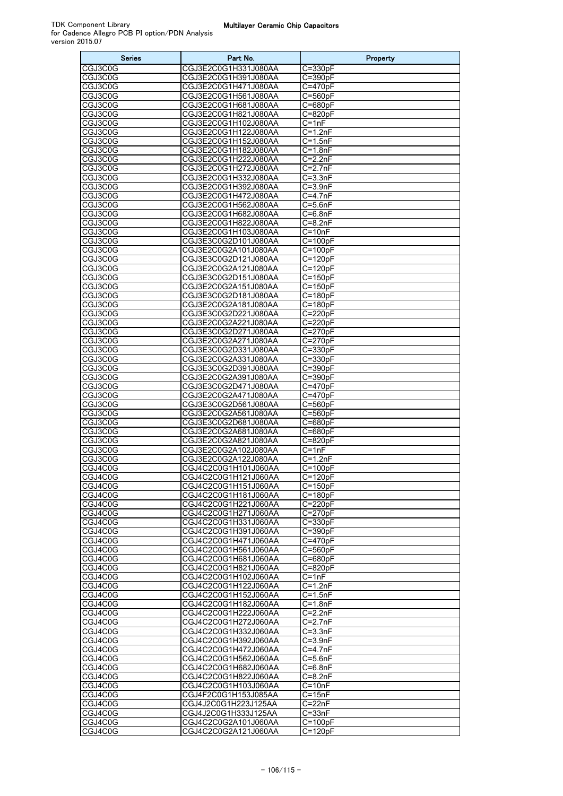| <b>Series</b>      | Part No.                                     | Property                   |
|--------------------|----------------------------------------------|----------------------------|
| CGJ3C0G            | CGJ3E2C0G1H331J080AA                         | $\overline{C=330}$ pF      |
| CGJ3C0G            | CGJ3E2C0G1H391J080AA                         | $C = 390pF$                |
| CGJ3C0G            | CGJ3E2C0G1H471J080AA                         | C=470pF                    |
| CGJ3C0G            | CGJ3E2C0G1H561J080AA                         | $C = 560pF$                |
| CGJ3C0G            | CGJ3E2C0G1H681J080AA                         | $C = 680pF$                |
| CGJ3C0G            | CGJ3E2C0G1H821J080AA                         | C=820pF                    |
| CGJ3C0G            | CGJ3E2C0G1H102J080AA                         | $C = 1nF$                  |
| CGJ3C0G            | CGJ3E2C0G1H122J080AA                         | $C = 1.2nF$                |
| CGJ3C0G            | CGJ3E2C0G1H152J080AA                         | $C=1.5nF$                  |
| CGJ3C0G<br>CGJ3C0G | CGJ3E2C0G1H182J080AA<br>CGJ3E2C0G1H222J080AA | $C = 1.8nF$<br>$C = 2.2nF$ |
| CGJ3C0G            | CGJ3E2C0G1H272J080AA                         | $C=2.7nF$                  |
| CGJ3C0G            | CGJ3E2C0G1H332J080AA                         | $C = 3.3nF$                |
| CGJ3C0G            | CGJ3E2C0G1H392J080AA                         | $C = 3.9nF$                |
| CGJ3C0G            | CGJ3E2C0G1H472J080AA                         | C=4.7nF                    |
| CGJ3C0G            | CGJ3E2C0G1H562J080AA                         | $C=5.6nF$                  |
| CGJ3C0G            | CGJ3E2C0G1H682J080AA                         | $C = 6.8nF$                |
| CGJ3C0G            | CGJ3E2C0G1H822J080AA                         | C=8.2nF                    |
| CGJ3C0G            | CGJ3E2C0G1H103J080AA                         | $C = 10nF$                 |
| CGJ3C0G            | CGJ3E3C0G2D101J080AA                         | $C = 100pF$                |
| CGJ3C0G            | CGJ3E2C0G2A101J080AA                         | $C = 100pF$                |
| CGJ3C0G            | CGJ3E3C0G2D121J080AA                         | $C = 120pF$                |
| CGJ3C0G            | CGJ3E2C0G2A121J080AA                         | C=120pF                    |
| CGJ3C0G            | CGJ3E3C0G2D151J080AA                         | $C = 150pF$                |
| CGJ3C0G            | CGJ3E2C0G2A151J080AA                         | $C = 150pF$                |
| CGJ3C0G            | CGJ3E3C0G2D181J080AA                         | $C=180pF$                  |
| CGJ3C0G<br>CGJ3C0G | CGJ3E2C0G2A181J080AA<br>CGJ3E3C0G2D221J080AA | $C = 180pF$<br>$C = 220pF$ |
| CGJ3C0G            | CGJ3E2C0G2A221J080AA                         | $C = 220pF$                |
| CGJ3C0G            | CGJ3E3C0G2D271J080AA                         | $C = 270pF$                |
| CGJ3C0G            | CGJ3E2C0G2A271J080AA                         | $C=270pF$                  |
| CGJ3C0G            | CGJ3E3C0G2D331J080AA                         | C=330pF                    |
| CGJ3C0G            | CGJ3E2C0G2A331J080AA                         | C=330pF                    |
| CGJ3C0G            | CGJ3E3C0G2D391J080AA                         | C=390pF                    |
| CGJ3C0G            | CGJ3E2C0G2A391J080AA                         | $C = 390pF$                |
| CGJ3C0G            | CGJ3E3C0G2D471J080AA                         | $C=470pF$                  |
| CGJ3C0G            | CGJ3E2C0G2A471J080AA                         | $C=470pF$                  |
| CGJ3C0G            | CGJ3E3C0G2D561J080AA                         | C=560pF                    |
| CGJ3C0G            | CGJ3E2C0G2A561J080AA                         | C=560pF                    |
| CGJ3C0G            | CGJ3E3C0G2D681J080AA                         | $C = 680pF$                |
| CGJ3C0G            | CGJ3E2C0G2A681J080AA                         | $C = 680pF$                |
| CGJ3C0G<br>CGJ3C0G | CGJ3E2C0G2A821J080AA<br>CGJ3E2C0G2A102J080AA | C=820pF<br>$C = 1nF$       |
| CGJ3C0G            | CGJ3E2C0G2A122J080AA                         | $C=1.2nF$                  |
| CGJ4C0G            | CGJ4C2C0G1H101J060AA                         | $\overline{C}$ =100pF      |
| CGJ4C0G            | CGJ4C2C0G1H121J060AA                         | $C = 120pF$                |
| CGJ4C0G            | CGJ4C2C0G1H151J060AA                         | $C = 150pF$                |
| CGJ4C0G            | CGJ4C2C0G1H181J060AA                         | $C = 180pF$                |
| CGJ4C0G            | CGJ4C2C0G1H221J060AA                         | $C=220pF$                  |
| CGJ4C0G            | CGJ4C2C0G1H271J060AA                         | $C = 270pF$                |
| CGJ4C0G            | CGJ4C2C0G1H331J060AA                         | C=330pF                    |
| CGJ4C0G            | CGJ4C2C0G1H391J060AA                         | $C = 390pF$                |
| CGJ4C0G            | CGJ4C2C0G1H471J060AA                         | C=470pF                    |
| CGJ4C0G            | CGJ4C2C0G1H561J060AA                         | $C = 560pF$                |
| CGJ4C0G            | CGJ4C2C0G1H681J060AA                         | $C = 680pF$                |
| CGJ4C0G            | CGJ4C2C0G1H821J060AA                         | $C = 820pF$<br>$C=1nF$     |
| CGJ4C0G<br>CGJ4C0G | CGJ4C2C0G1H102J060AA<br>CGJ4C2C0G1H122J060AA | C=1.2nF                    |
| CGJ4C0G            | CGJ4C2C0G1H152J060AA                         | $\overline{C=1}.5nF$       |
| CGJ4C0G            | CGJ4C2C0G1H182J060AA                         | $C = 1.8nF$                |
| CGJ4C0G            | CGJ4C2C0G1H222J060AA                         | C=2.2nF                    |
| CGJ4C0G            | CGJ4C2C0G1H272J060AA                         | C=2.7nF                    |
| CGJ4C0G            | CGJ4C2C0G1H332J060AA                         | C=3.3nF                    |
| CGJ4C0G            | CGJ4C2C0G1H392J060AA                         | $C = 3.9nF$                |
| CGJ4C0G            | CGJ4C2C0G1H472J060AA                         | C=4.7nF                    |
| CGJ4C0G            | CGJ4C2C0G1H562J060AA                         | $C = 5.6nF$                |
| CGJ4C0G            | CGJ4C2C0G1H682J060AA                         | C=6.8nF                    |
| CGJ4C0G            | CGJ4C2C0G1H822J060AA                         | C=8.2nF                    |
| CGJ4C0G            | CGJ4C2C0G1H103J060AA                         | $\overline{C=}10nF$        |
| CGJ4C0G            | CGJ4F2C0G1H153J085AA                         | $C = 15nF$                 |
| CGJ4C0G            | CGJ4J2C0G1H223J125AA                         | C=22nF                     |
| CGJ4C0G            | CGJ4J2C0G1H333J125AA                         | $\overline{C=3}$ 3nF       |
| CGJ4C0G<br>CGJ4C0G | CGJ4C2C0G2A101J060AA<br>CGJ4C2C0G2A121J060AA | $C = 100pF$<br>$C = 120pF$ |
|                    |                                              |                            |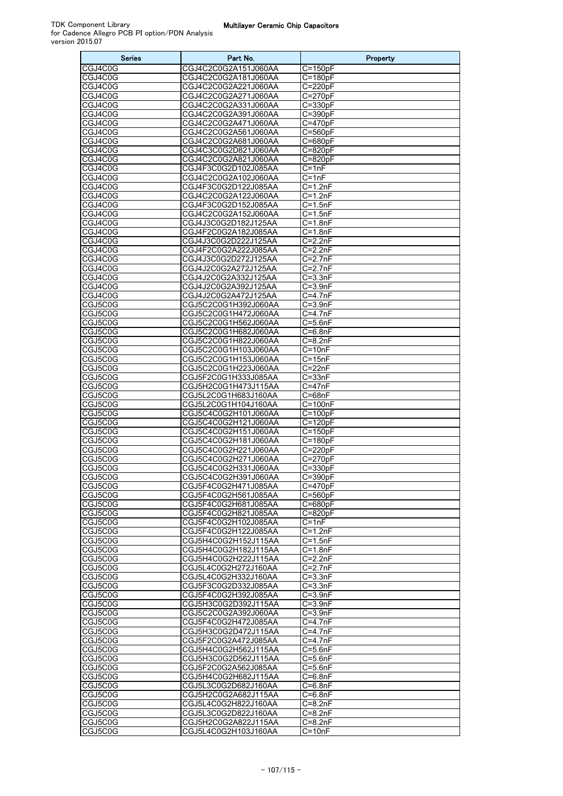| <b>Series</b>      | Part No.                                     | Property                   |
|--------------------|----------------------------------------------|----------------------------|
| CGJ4C0G            | CGJ4C2C0G2A151J060AA                         | $C = 150pF$                |
| CGJ4C0G            | CGJ4C2C0G2A181J060AA                         | $C = 180pF$                |
| CGJ4C0G            | CGJ4C2C0G2A221J060AA                         | C=220pF                    |
| CGJ4C0G            | CGJ4C2C0G2A271J060AA                         | C=270pF                    |
| CGJ4C0G            | CGJ4C2C0G2A331J060AA                         | $C = 330pF$                |
| CGJ4C0G<br>CGJ4C0G | CGJ4C2C0G2A391J060AA<br>CGJ4C2C0G2A471J060AA | C=390pF<br>$C = 470pF$     |
| CGJ4C0G            | CGJ4C2C0G2A561J060AA                         | $C = 560pF$                |
| CGJ4C0G            | CGJ4C2C0G2A681J060AA                         | C=680pF                    |
| CGJ4C0G            | CGJ4C3C0G2D821J060AA                         | $C = 820pF$                |
| CGJ4C0G            | CGJ4C2C0G2A821J060AA                         | C=820pF                    |
| CGJ4C0G            | CGJ4F3C0G2D102J085AA                         | $C = 1nF$                  |
| CGJ4C0G            | CGJ4C2C0G2A102J060AA                         | $C = 1nF$                  |
| CGJ4C0G            | CGJ4F3C0G2D122J085AA                         | $C = 1.2nF$                |
| CGJ4C0G            | CGJ4C2C0G2A122J060AA                         | $C = 1.2nF$                |
| CGJ4C0G<br>CGJ4C0G | CGJ4F3C0G2D152J085AA<br>CGJ4C2C0G2A152J060AA | $C = 1.5nF$<br>$C=1.5nF$   |
| CGJ4C0G            | CGJ4J3C0G2D182J125AA                         | $C = 1.8nF$                |
| CGJ4C0G            | CGJ4F2C0G2A182J085AA                         | $C = 1.8nF$                |
| CGJ4C0G            | CGJ4J3C0G2D222J125AA                         | $C = 2.2nF$                |
| CGJ4C0G            | CGJ4F2C0G2A222J085AA                         | $C = 2.2nF$                |
| CGJ4C0G            | CGJ4J3C0G2D272J125AA                         | $C=2.7nF$                  |
| CGJ4C0G            | CGJ4J2C0G2A272J125AA                         | $C = 2.7nF$                |
| CGJ4C0G            | CGJ4J2C0G2A332J125AA                         | $C = 3.3nF$                |
| CGJ4C0G            | CGJ4J2C0G2A392J125AA                         | $C = 3.9nF$                |
| CGJ4C0G            | CGJ4J2C0G2A472J125AA                         | $C = 4.7nF$                |
| CGJ5C0G            | CGJ5C2C0G1H392J060AA                         | $C = 3.9nF$                |
| CGJ5C0G            | CGJ5C2C0G1H472J060AA                         | $C = 4.7nF$                |
| CGJ5C0G<br>CGJ5C0G | CGJ5C2C0G1H562J060AA<br>CGJ5C2C0G1H682J060AA | $C = 5.6nF$<br>$C = 6.8nF$ |
| CGJ5C0G            | CGJ5C2C0G1H822J060AA                         | $C = 8.2nF$                |
| CGJ5C0G            | CGJ5C2C0G1H103J060AA                         | $C = 10nF$                 |
| CGJ5C0G            | CGJ5C2C0G1H153J060AA                         | $C = 15nF$                 |
| CGJ5C0G            | CGJ5C2C0G1H223J060AA                         | $C=22nF$                   |
| CGJ5C0G            | CGJ5F2C0G1H333J085AA                         | $C = 33nF$                 |
| CGJ5C0G            | CGJ5H2C0G1H473J115AA                         | $C = 47nF$                 |
| CGJ5C0G            | CGJ5L2C0G1H683J160AA                         | $C = 68nF$                 |
| CGJ5C0G            | CGJ5L2C0G1H104J160AA                         | C=100nF                    |
| CGJ5C0G            | CGJ5C4C0G2H101J060AA                         | $C = 100pF$                |
| CGJ5C0G            | CGJ5C4C0G2H121J060AA                         | $C = 120pF$                |
| CGJ5C0G<br>CGJ5C0G | CGJ5C4C0G2H151J060AA<br>CGJ5C4C0G2H181J060AA | $C = 150pF$<br>$C = 180pF$ |
| CGJ5C0G            | CGJ5C4C0G2H221J060AA                         | $C = 220pF$                |
| CGJ5C0G            | CGJ5C4C0G2H271J060AA                         | C=270pF                    |
| CGJ5C0G            | CGJ5C4C0G2H331J060AA                         | C=330pF                    |
| <b>UGJ5UUG</b>     | CGJ5C4C0GZH391J060AA                         | C=390pF                    |
| CGJ5C0G            | CGJ5F4C0G2H471J085AA                         | $C=470pF$                  |
| CGJ5C0G            | CGJ5F4C0G2H561J085AA                         | $C = 560pF$                |
| CGJ5C0G            | CGJ5F4C0G2H681J085AA                         | $C = 680pF$                |
| CGJ5C0G            | CGJ5F4C0G2H821J085AA                         | C=820pF                    |
| CGJ5C0G<br>CGJ5C0G | CGJ5F4C0G2H102J085AA<br>CGJ5F4C0G2H122J085AA | $C = 1nF$<br>$C=1.2nF$     |
| CGJ5C0G            | CGJ5H4C0G2H152J115AA                         | $C = 1.5nF$                |
| CGJ5C0G            | CGJ5H4C0G2H182J115AA                         | $C = 1.8nF$                |
| CGJ5C0G            | CGJ5H4C0G2H222J115AA                         | $C=2.2nF$                  |
| CGJ5C0G            | CGJ5L4C0G2H272J160AA                         | $C = 2.7nF$                |
| CGJ5C0G            | CGJ5L4C0G2H332J160AA                         | $\overline{C=3}.3nF$       |
| CGJ5C0G            | CGJ5F3C0G2D332J085AA                         | $C = 3.3nF$                |
| CGJ5C0G            | CGJ5F4C0G2H392J085AA                         | $C = 3.9nF$                |
| CGJ5C0G            | CGJ5H3C0G2D392J115AA                         | $C = 3.9nF$                |
| CGJ5C0G            | CGJ5C2C0G2A392J060AA                         | $C = 3.9nF$                |
| CGJ5C0G<br>CGJ5C0G | CGJ5F4C0G2H472J085AA<br>CGJ5H3C0G2D472J115AA | $C=4.7nF$<br>C=4.7nF       |
| CGJ5C0G            | CGJ5F2C0G2A472J085AA                         | $C = 4.7nF$                |
| CGJ5C0G            | CGJ5H4C0G2H562J115AA                         | $C = 5.6nF$                |
| CGJ5C0G            | CGJ5H3C0G2D562J115AA                         | $C = 5.6nF$                |
| CGJ5C0G            | CGJ5F2C0G2A562J085AA                         | $C=5.6nF$                  |
| CGJ5C0G            | CGJ5H4C0G2H682J115AA                         | $C = 6.8nF$                |
| CGJ5C0G            | CGJ5L3C0G2D682J160AA                         | $C = 6.8nF$                |
| CGJ5C0G            | CGJ5H2C0G2A682J115AA                         | C=6.8nF                    |
| CGJ5C0G            | CGJ5L4C0G2H822J160AA                         | $C = 8.2nF$                |
| CGJ5C0G<br>CGJ5C0G | CGJ5L3C0G2D822J160AA<br>CGJ5H2C0G2A822J115AA | $C = 8.2nF$<br>$C = 8.2nF$ |
| CGJ5C0G            | CGJ5L4C0G2H103J160AA                         | $C = 10nF$                 |
|                    |                                              |                            |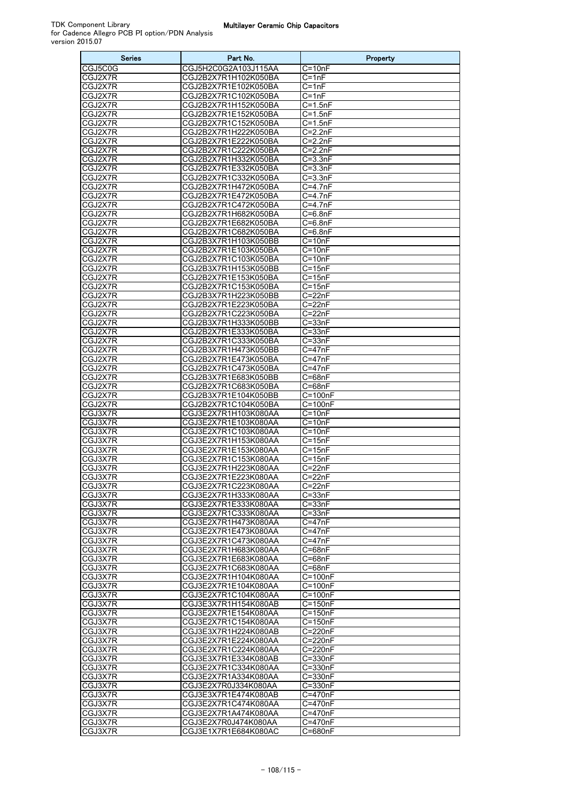| <b>Series</b>      | Part No.                                     | Property                         |
|--------------------|----------------------------------------------|----------------------------------|
| CGJ5C0G            | CGJ5H2C0G2A103J115AA                         | $C = 10nF$                       |
| CGJ2X7R            | CGJ2B2X7R1H102K050BA                         | $C = 1nF$                        |
| CGJ2X7R            | CGJ2B2X7R1E102K050BA                         | C=1nF                            |
| CGJ2X7R            | CGJ2B2X7R1C102K050BA                         | $C = 1nF$                        |
| CGJ2X7R            | CGJ2B2X7R1H152K050BA                         | $C=1.5nF$                        |
| CGJ2X7R            | CGJ2B2X7R1E152K050BA                         | $C = 1.5nF$                      |
| CGJ2X7R            | CGJ2B2X7R1C152K050BA                         | $C = 1.5nF$                      |
| CGJ2X7R            | CGJ2B2X7R1H222K050BA                         | $C = 2.2nF$                      |
| CGJ2X7R            | CGJ2B2X7R1E222K050BA                         | $C = 2.2nF$                      |
| CGJ2X7R<br>CGJ2X7R | CGJ2B2X7R1C222K050BA<br>CGJ2B2X7R1H332K050BA | C=2.2nF<br>$C = 3.3nF$           |
| CGJ2X7R            | CGJ2B2X7R1E332K050BA                         | $C = 3.3nF$                      |
| CGJ2X7R            | CGJ2B2X7R1C332K050BA                         | $C = 3.3nF$                      |
| CGJ2X7R            | CGJ2B2X7R1H472K050BA                         | $C = 4.7nF$                      |
| CGJ2X7R            | CGJ2B2X7R1E472K050BA                         | $C = 4.7nF$                      |
| CGJ2X7R            | CGJ2B2X7R1C472K050BA                         | $C = 4.7nF$                      |
| CGJ2X7R            | CGJ2B2X7R1H682K050BA                         | $C = 6.8nF$                      |
| CGJ2X7R            | CGJ2B2X7R1E682K050BA                         | C=6.8nF                          |
| CGJ2X7R            | CGJ2B2X7R1C682K050BA                         | $C=6.8nF$                        |
| CGJ2X7R            | CGJ2B3X7R1H103K050BB                         | $C = 10nF$                       |
| CGJ2X7R            | CGJ2B2X7R1E103K050BA                         | $C = 10nF$                       |
| CGJ2X7R            | CGJ2B2X7R1C103K050BA                         | $C = 10nF$                       |
| CGJ2X7R            | CGJ2B3X7R1H153K050BB                         | $C = 15nF$                       |
| CGJ2X7R            | CGJ2B2X7R1E153K050BA                         | $C = 15nF$                       |
| CGJ2X7R            | CGJ2B2X7R1C153K050BA                         | $C = 15nF$                       |
| CGJ2X7R            | CGJ2B3X7R1H223K050BB                         | C=22nF                           |
| CGJ2X7R            | CGJ2B2X7R1E223K050BA                         | $C = 22nF$                       |
| CGJ2X7R            | CGJ2B2X7R1C223K050BA                         | $C = 22nF$                       |
| CGJ2X7R            | CGJ2B3X7R1H333K050BB                         | $C = 33nF$                       |
| CGJ2X7R<br>CGJ2X7R | CGJ2B2X7R1E333K050BA<br>CGJ2B2X7R1C333K050BA | $C = 33nF$<br>$C = 33nF$         |
| CGJ2X7R            | CGJ2B3X7R1H473K050BB                         | C=47nF                           |
| CGJ2X7R            | CGJ2B2X7R1E473K050BA                         | $C = 47nF$                       |
| CGJ2X7R            | CGJ2B2X7R1C473K050BA                         | $C = 47nF$                       |
| CGJ2X7R            | CGJ2B3X7R1E683K050BB                         | C=68nF                           |
| CGJ2X7R            | CGJ2B2X7R1C683K050BA                         | C=68nF                           |
| CGJ2X7R            | CGJ2B3X7R1E104K050BB                         | $C=100nF$                        |
| CGJ2X7R            | CGJ2B2X7R1C104K050BA                         | C=100nF                          |
| CGJ3X7R            | CGJ3E2X7R1H103K080AA                         | $C=10nF$                         |
| CGJ3X7R            | CGJ3E2X7R1E103K080AA                         | $C = 10nF$                       |
| CGJ3X7R            | CGJ3E2X7R1C103K080AA                         | $C = 10nF$                       |
| CGJ3X7R            | CGJ3E2X7R1H153K080AA                         | $C = 15nF$                       |
| CGJ3X7R            | CGJ3E2X7R1E153K080AA                         | $C = 15nF$                       |
| CGJ3X7R            | CGJ3E2X7R1C153K080AA                         | $C = 15nF$                       |
| CGJ3X7R            | CGJ3E2X7R1H223K080AA                         | C=22nF                           |
| CGJ3X7R<br>CGJ3X7R | CGJ3E2X7R1E223K080AA<br>CGJ3E2X7R1C223K080AA | $C = 22nF$<br>$C = 22nF$         |
| CGJ3X7R            | CGJ3E2X7R1H333K080AA                         | $C = 33nF$                       |
| CGJ3X7R            | CGJ3E2X7R1E333K080AA                         | $\overline{C=3}$ 3nF             |
| CGJ3X7R            | CGJ3E2X7R1C333K080AA                         | $C = 33nF$                       |
| CGJ3X7R            | CGJ3E2X7R1H473K080AA                         | C=47nF                           |
| CGJ3X7R            | CGJ3E2X7R1E473K080AA                         | $C = 47nF$                       |
| CGJ3X7R            | CGJ3E2X7R1C473K080AA                         | C=47nF                           |
| CGJ3X7R            | CGJ3E2X7R1H683K080AA                         | C=68nF                           |
| CGJ3X7R            | CGJ3E2X7R1E683K080AA                         | $C = 68nF$                       |
| CGJ3X7R            | CGJ3E2X7R1C683K080AA                         | C=68nF                           |
| CGJ3X7R            | CGJ3E2X7R1H104K080AA                         | $C = 100nF$                      |
| CGJ3X7R            | CGJ3E2X7R1E104K080AA                         | C=100nF                          |
| CGJ3X7R            | CGJ3E2X7R1C104K080AA                         | $C=100nF$                        |
| CGJ3X7R            | CGJ3E3X7R1H154K080AB                         | C=150nF                          |
| CGJ3X7R<br>CGJ3X7R | CGJ3E2X7R1E154K080AA<br>CGJ3E2X7R1C154K080AA | C=150nF<br>$C = 150nF$           |
|                    | CGJ3E3X7R1H224K080AB                         |                                  |
| CGJ3X7R<br>CGJ3X7R | CGJ3E2X7R1E224K080AA                         | C=220nF<br>$\overline{C=2}$ 20nF |
| CGJ3X7R            | CGJ3E2X7R1C224K080AA                         | C=220nF                          |
| CGJ3X7R            | CGJ3E3X7R1E334K080AB                         | C=330nF                          |
| CGJ3X7R            | CGJ3E2X7R1C334K080AA                         | C=330nF                          |
| CGJ3X7R            | CGJ3E2X7R1A334K080AA                         | C=330nF                          |
| CGJ3X7R            | CGJ3E2X7R0J334K080AA                         | $\overline{C=3}$ 30nF            |
| CGJ3X7R            | CGJ3E3X7R1E474K080AB                         | C=470nF                          |
| CGJ3X7R            | CGJ3E2X7R1C474K080AA                         | C=470nF                          |
| CGJ3X7R            | CGJ3E2X7R1A474K080AA                         | C=470nF                          |
| CGJ3X7R            | CGJ3E2X7R0J474K080AA                         | C=470nF                          |
| CGJ3X7R            | CGJ3E1X7R1E684K080AC                         | C=680nF                          |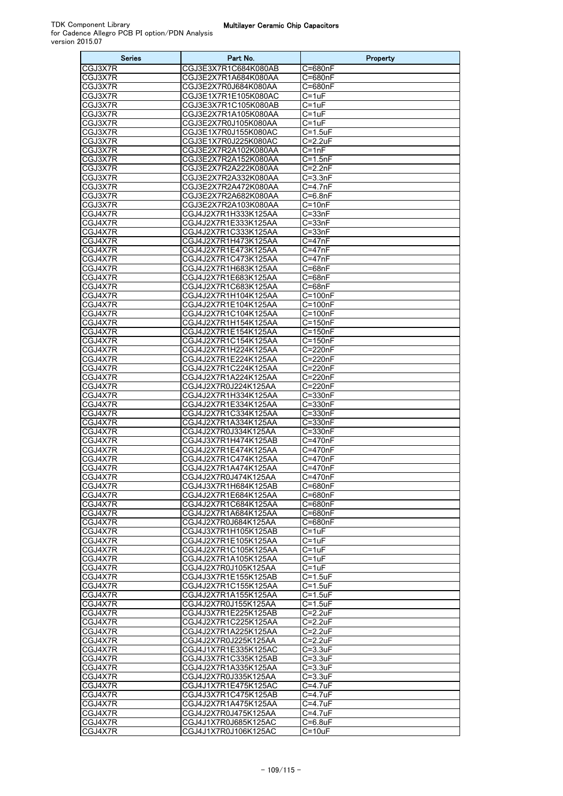| <b>Series</b>      | Part No.                                     | Property                 |
|--------------------|----------------------------------------------|--------------------------|
| CGJ3X7R            | CGJ3E3X7R1C684K080AB                         | C=680nF                  |
| CGJ3X7R            | CGJ3E2X7R1A684K080AA                         | $C = 680nF$              |
| CGJ3X7R            | CGJ3E2X7R0J684K080AA                         | C=680nF                  |
| CGJ3X7R            | CGJ3E1X7R1E105K080AC                         | $C=1uF$                  |
| CGJ3X7R            | CGJ3E3X7R1C105K080AB                         | $C = 1uF$                |
| CGJ3X7R            | CGJ3E2X7R1A105K080AA                         | C=1uF                    |
| CGJ3X7R            | CGJ3E2X7R0J105K080AA                         | C=1uF                    |
| CGJ3X7R            | CGJ3E1X7R0J155K080AC                         | $C = 1.5$ uF             |
| CGJ3X7R<br>CGJ3X7R | CGJ3E1X7R0J225K080AC                         | $C = 2.2uF$<br>$C = 1nF$ |
| CGJ3X7R            | CGJ3E2X7R2A102K080AA<br>CGJ3E2X7R2A152K080AA | $C = 1.5nF$              |
| CGJ3X7R            | CGJ3E2X7R2A222K080AA                         | $C = 2.2nF$              |
| CGJ3X7R            | CGJ3E2X7R2A332K080AA                         | $C = 3.3nF$              |
| CGJ3X7R            | CGJ3E2X7R2A472K080AA                         | C=4.7nF                  |
| CGJ3X7R            | CGJ3E2X7R2A682K080AA                         | $C = 6.8nF$              |
| CGJ3X7R            | CGJ3E2X7R2A103K080AA                         | $C = 10nF$               |
| CGJ4X7R            | CGJ4J2X7R1H333K125AA                         | $C = 33nF$               |
| CGJ4X7R            | CGJ4J2X7R1E333K125AA                         | $C = 33nF$               |
| CGJ4X7R            | CGJ4J2X7R1C333K125AA                         | $C = 33nF$               |
| CGJ4X7R            | CGJ4J2X7R1H473K125AA                         | $C = 47nF$               |
| CGJ4X7R            | CGJ4J2X7R1E473K125AA                         | C=47nF                   |
| CGJ4X7R            | CGJ4J2X7R1C473K125AA                         | $C = 47nF$               |
| CGJ4X7R<br>CGJ4X7R | CGJ4J2X7R1H683K125AA<br>CGJ4J2X7R1E683K125AA | $C = 68nF$               |
| CGJ4X7R            | CGJ4J2X7R1C683K125AA                         | $C = 68nF$<br>C=68nF     |
| CGJ4X7R            | CGJ4J2X7R1H104K125AA                         | C=100nF                  |
| CGJ4X7R            | CGJ4J2X7R1E104K125AA                         | $C = 100nF$              |
| CGJ4X7R            | CGJ4J2X7R1C104K125AA                         | C=100nF                  |
| CGJ4X7R            | CGJ4J2X7R1H154K125AA                         | C=150nF                  |
| CGJ4X7R            | CGJ4J2X7R1E154K125AA                         | $C = 150nF$              |
| CGJ4X7R            | CGJ4J2X7R1C154K125AA                         | C=150nF                  |
| CGJ4X7R            | CGJ4J2X7R1H224K125AA                         | C=220nF                  |
| CGJ4X7R            | CGJ4J2X7R1E224K125AA                         | $C = 220nF$              |
| CGJ4X7R            | CGJ4J2X7R1C224K125AA                         | C=220nF                  |
| CGJ4X7R            | CGJ4J2X7R1A224K125AA                         | $C = 220nF$              |
| CGJ4X7R            | CGJ4J2X7R0J224K125AA                         | C=220nF                  |
| CGJ4X7R            | CGJ4J2X7R1H334K125AA                         | $C = 330nF$              |
| CGJ4X7R            | CGJ4J2X7R1E334K125AA                         | C=330nF                  |
| CGJ4X7R<br>CGJ4X7R | CGJ4J2X7R1C334K125AA<br>CGJ4J2X7R1A334K125AA | C=330nF<br>$C = 330nF$   |
| CGJ4X7R            | CGJ4J2X7R0J334K125AA                         | C=330nF                  |
| CGJ4X7R            | CGJ4J3X7R1H474K125AB                         | C=470nF                  |
| CGJ4X7R            | CGJ4J2X7R1E474K125AA                         | $C = 470nF$              |
| CGJ4X7R            | CGJ4J2X7R1C474K125AA                         | C=470nF                  |
| CGJ4X7R            | CGJ4J2X7R1A474K125AA                         | C=470nF                  |
| CGJ4X7R            | CGJ4J2X7R0J474K125AA                         | $C = 470nF$              |
| CGJ4X7R            | CGJ4J3X7R1H684K125AB                         | C=680nF                  |
| CGJ4X7R            | CGJ4J2X7R1E684K125AA                         | C=680nF                  |
| CGJ4X7R            | CGJ4J2X7R1C684K125AA                         | $\overline{C}$ =680nF    |
| CGJ4X7R            | CGJ4J2X7R1A684K125AA                         | C=680nF                  |
| CGJ4X7R            | CGJ4J2X7R0J684K125AA                         | C=680nF                  |
| CGJ4X7R<br>CGJ4X7R | CGJ4J3X7R1H105K125AB<br>CGJ4J2X7R1E105K125AA | $C = 1uF$<br>$C = 1uF$   |
| CGJ4X7R            | CGJ4J2X7R1C105K125AA                         | $C = 1uF$                |
| CGJ4X7R            | CGJ4J2X7R1A105K125AA                         | C=1uF                    |
| CGJ4X7R            | CGJ4J2X7R0J105K125AA                         | C=1uF                    |
| CGJ4X7R            | CGJ4J3X7R1E155K125AB                         | $C = 1.5$ uF             |
| CGJ4X7R            | CGJ4J2X7R1C155K125AA                         | C=1.5uF                  |
| CGJ4X7R            | CGJ4J2X7R1A155K125AA                         | $C = 1.5$ uF             |
| CGJ4X7R            | CGJ4J2X7R0J155K125AA                         | C=1.5uF                  |
| CGJ4X7R            | CGJ4J3X7R1E225K125AB                         | C=2.2uF                  |
| CGJ4X7R            | CGJ4J2X7R1C225K125AA                         | C=2.2uF                  |
| CGJ4X7R            | CGJ4J2X7R1A225K125AA                         | C=2.2uF                  |
| CGJ4X7R            | CGJ4J2X7R0J225K125AA                         | $C = 2.2uF$              |
| CGJ4X7R            | CGJ4J1X7R1E335K125AC                         | $C = 3.3uF$              |
| CGJ4X7R<br>CGJ4X7R | CGJ4J3X7R1C335K125AB<br>CGJ4J2X7R1A335K125AA | C=3.3uF<br>$C = 3.3uF$   |
| CGJ4X7R            | CGJ4J2X7R0J335K125AA                         | $C = 3.3uF$              |
| CGJ4X7R            | CGJ4J1X7R1E475K125AC                         | C=4.7uF                  |
| CGJ4X7R            | CGJ4J3X7R1C475K125AB                         | C=4.7uF                  |
| CGJ4X7R            | CGJ4J2X7R1A475K125AA                         | C=4.7uF                  |
| CGJ4X7R            | CGJ4J2X7R0J475K125AA                         | $C = 4.7uF$              |
| CGJ4X7R            | CGJ4J1X7R0J685K125AC                         | $C = 6.8$ uF             |
| CGJ4X7R            | CGJ4J1X7R0J106K125AC                         | $C = 10uF$               |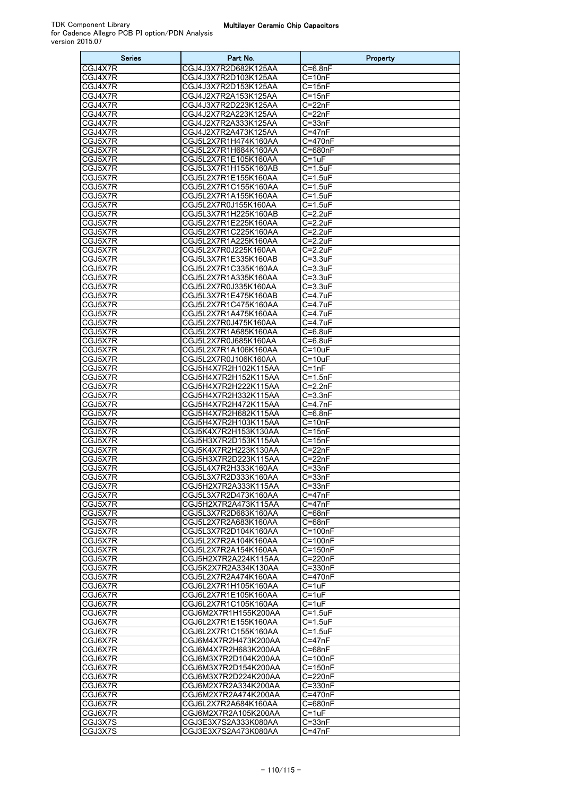| <b>Series</b>      | Part No.                                     | Property                    |
|--------------------|----------------------------------------------|-----------------------------|
| CGJ4X7R            | CGJ4J3X7R2D682K125AA                         | $C = 6.8nF$                 |
| CGJ4X7R            | CGJ4J3X7R2D103K125AA                         | $C = 10nF$                  |
| CGJ4X7R            | CGJ4J3X7R2D153K125AA                         | $C = 15nF$                  |
| CGJ4X7R            | CGJ4J2X7R2A153K125AA                         | $C = 15nF$                  |
| CGJ4X7R            | CGJ4J3X7R2D223K125AA                         | $C = 22nF$                  |
| CGJ4X7R            | CGJ4J2X7R2A223K125AA                         | $C = 22nF$                  |
| CGJ4X7R            | CGJ4J2X7R2A333K125AA                         | $C = 33nF$                  |
| CGJ4X7R            | CGJ4J2X7R2A473K125AA                         | $C = 47nF$                  |
| CGJ5X7R            | CGJ5L2X7R1H474K160AA                         | $C=470nF$                   |
| CGJ5X7R<br>CGJ5X7R | CGJ5L2X7R1H684K160AA<br>CGJ5L2X7R1E105K160AA | C=680nF                     |
| CGJ5X7R            | CGJ5L3X7R1H155K160AB                         | $C = 1uF$<br>$C = 1.5$ uF   |
| CGJ5X7R            | CGJ5L2X7R1E155K160AA                         | $C = 1.5$ u $F$             |
| CGJ5X7R            | CGJ5L2X7R1C155K160AA                         | $\overline{C}$ =1.5uF       |
| CGJ5X7R            | CGJ5L2X7R1A155K160AA                         | $C = 1.5$ uF                |
| CGJ5X7R            | CGJ5L2X7R0J155K160AA                         | $C = 1.5uF$                 |
| CGJ5X7R            | CGJ5L3X7R1H225K160AB                         | $C = 2.2uF$                 |
| CGJ5X7R            | CGJ5L2X7R1E225K160AA                         | $C = 2.2uF$                 |
| CGJ5X7R            | CGJ5L2X7R1C225K160AA                         | $C = 2.2uF$                 |
| CGJ5X7R            | CGJ5L2X7R1A225K160AA                         | $C = 2.2uF$                 |
| CGJ5X7R            | CGJ5L2X7R0J225K160AA                         | $C=2.2uF$                   |
| CGJ5X7R            | CGJ5L3X7R1E335K160AB                         | $C = 3.3uF$                 |
| CGJ5X7R            | CGJ5L2X7R1C335K160AA                         | $C = 3.3uF$                 |
| CGJ5X7R            | CGJ5L2X7R1A335K160AA                         | $C = 3.3uF$                 |
| CGJ5X7R            | CGJ5L2X7R0J335K160AA                         | $C = 3.3uF$                 |
| CGJ5X7R            | CGJ5L3X7R1E475K160AB                         | C=4.7uF                     |
| CGJ5X7R            | CGJ5L2X7R1C475K160AA                         | $C = 4.7uF$                 |
| CGJ5X7R            | CGJ5L2X7R1A475K160AA                         | $C = 4.7$ uF                |
| CGJ5X7R<br>CGJ5X7R | CGJ5L2X7R0J475K160AA<br>CGJ5L2X7R1A685K160AA | $C = 4.7uF$<br>$C = 6.8$ uF |
| CGJ5X7R            | CGJ5L2X7R0J685K160AA                         | $C = 6.8$ uF                |
| CGJ5X7R            | CGJ5L2X7R1A106K160AA                         | $C = 10uF$                  |
| CGJ5X7R            | CGJ5L2X7R0J106K160AA                         | $C = 10uF$                  |
| CGJ5X7R            | CGJ5H4X7R2H102K115AA                         | C=1nF                       |
| CGJ5X7R            | CGJ5H4X7R2H152K115AA                         | $C=1.5nF$                   |
| CGJ5X7R            | CGJ5H4X7R2H222K115AA                         | $C = 2.2nF$                 |
| CGJ5X7R            | CGJ5H4X7R2H332K115AA                         | $C = 3.3nF$                 |
| CGJ5X7R            | CGJ5H4X7R2H472K115AA                         | $C = 4.7nF$                 |
| CGJ5X7R            | CGJ5H4X7R2H682K115AA                         | $C = 6.8nF$                 |
| CGJ5X7R            | CGJ5H4X7R2H103K115AA                         | $C = 10nF$                  |
| CGJ5X7R            | CGJ5K4X7R2H153K130AA                         | $C = 15nF$                  |
| CGJ5X7R            | CGJ5H3X7R2D153K115AA                         | $C = 15nF$                  |
| CGJ5X7R<br>CGJ5X7R | CGJ5K4X7R2H223K130AA                         | $C = 22nF$<br>$C=22nF$      |
| CGJ5X7R            | CGJ5H3X7R2D223K115AA                         |                             |
| CGJ5X7R            | CGJ5L4X7R2H333K160AA<br>CGJ5L3X7R2D333K160AA | $C = 33nF$<br>$C = 33nF$    |
| CGJ5X7R            | CGJ5H2X7R2A333K115AA                         | $C = 33nF$                  |
| CGJ5X7R            | CGJ5L3X7R2D473K160AA                         | $C = 47nF$                  |
| CGJ5X7R            | CGJ5H2X7R2A473K115AA                         | $C = 47nF$                  |
| CGJ5X7R            | CGJ5L3X7R2D683K160AA                         | C=68nF                      |
| CGJ5X7R            | CGJ5L2X7R2A683K160AA                         | C=68nF                      |
| CGJ5X7R            | CGJ5L3X7R2D104K160AA                         | $C = 100nF$                 |
| CGJ5X7R            | CGJ5L2X7R2A104K160AA                         | $C = 100nF$                 |
| CGJ5X7R            | CGJ5L2X7R2A154K160AA                         | $\overline{C=150n}$ F       |
| CGJ5X7R            | CGJ5H2X7R2A224K115AA                         | C=220nF                     |
| CGJ5X7R            | CGJ5K2X7R2A334K130AA                         | C=330nF                     |
| CGJ5X7R            | CGJ5L2X7R2A474K160AA                         | C=470nF                     |
| CGJ6X7R            | CGJ6L2X7R1H105K160AA                         | $C = 1uF$                   |
| CGJ6X7R            | CGJ6L2X7R1E105K160AA                         | $C = 1uF$                   |
| CGJ6X7R<br>CGJ6X7R | CGJ6L2X7R1C105K160AA<br>CGJ6M2X7R1H155K200AA | $C = 1uF$<br>$C = 1.5$ uF   |
| CGJ6X7R            | CGJ6L2X7R1E155K160AA                         | $C=1.5$ uF                  |
| CGJ6X7R            | CGJ6L2X7R1C155K160AA                         | $C = 1.5$ uF                |
| CGJ6X7R            | CGJ6M4X7R2H473K200AA                         | $C = 47nF$                  |
| CGJ6X7R            | CGJ6M4X7R2H683K200AA                         | $C = 68nF$                  |
| CGJ6X7R            | CGJ6M3X7R2D104K200AA                         | C=100nF                     |
| CGJ6X7R            | CGJ6M3X7R2D154K200AA                         | $C = 150nF$                 |
| CGJ6X7R            | CGJ6M3X7R2D224K200AA                         | C=220nF                     |
| CGJ6X7R            | CGJ6M2X7R2A334K200AA                         | C=330nF                     |
| CGJ6X7R            | CGJ6M2X7R2A474K200AA                         | C=470nF                     |
| CGJ6X7R            | CGJ6L2X7R2A684K160AA                         | C=680nF                     |
| CGJ6X7R            | CGJ6M2X7R2A105K200AA                         | $C = 1uF$                   |
| CGJ3X7S            | CGJ3E3X7S2A333K080AA                         | $C = 33nF$                  |
| CGJ3X7S            | CGJ3E3X7S2A473K080AA                         | $C = 47nF$                  |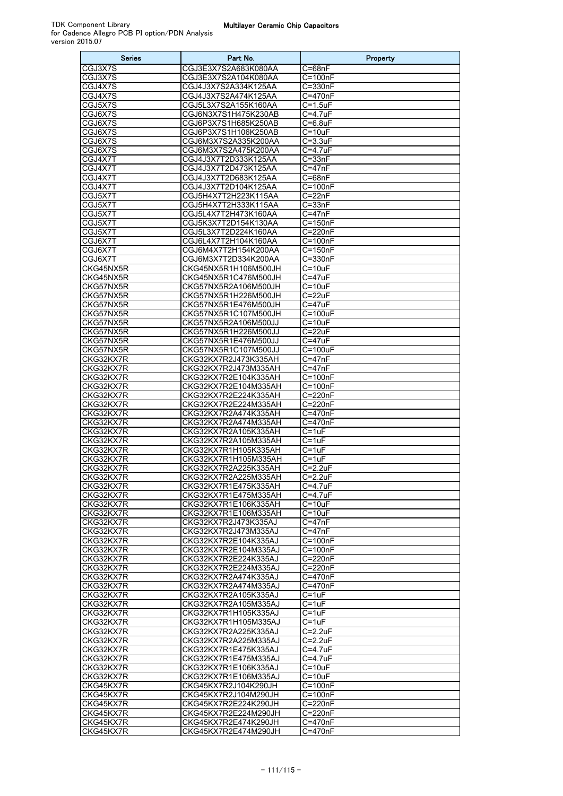| <b>Series</b>          | Part No.                                     | Property                 |
|------------------------|----------------------------------------------|--------------------------|
| CGJ3X7S                | CGJ3E3X7S2A683K080AA                         | $C = 68nF$               |
| CGJ3X7S                | CGJ3E3X7S2A104K080AA                         | $\overline{C}$ =100nF    |
| CGJ4X7S                | CGJ4J3X7S2A334K125AA                         | C=330nF                  |
| CGJ4X7S                | CGJ4J3X7S2A474K125AA                         | C=470nF                  |
| CGJ5X7S                | CGJ5L3X7S2A155K160AA                         | $C = 1.5uF$              |
| CGJ6X7S                | CGJ6N3X7S1H475K230AB                         | C=4.7uF                  |
| CGJ6X7S                | CGJ6P3X7S1H685K250AB                         | C=6.8uF                  |
| CGJ6X7S                | CGJ6P3X7S1H106K250AB                         | $C = 10uF$               |
| CGJ6X7S<br>CGJ6X7S     | CGJ6M3X7S2A335K200AA                         | $C = 3.3uF$<br>C=4.7uF   |
| CGJ4X7T                | CGJ6M3X7S2A475K200AA<br>CGJ4J3X7T2D333K125AA | $C = 33nF$               |
| CGJ4X7T                | CGJ4J3X7T2D473K125AA                         | C=47nF                   |
| CGJ4X7T                | CGJ4J3X7T2D683K125AA                         | $C = 68nF$               |
| CGJ4X7T                | CGJ4J3X7T2D104K125AA                         | C=100nF                  |
| CGJ5X7T                | CGJ5H4X7T2H223K115AA                         | $C = 22nF$               |
| CGJ5X7T                | CGJ5H4X7T2H333K115AA                         | $C = 33nF$               |
| CGJ5X7T                | CGJ5L4X7T2H473K160AA                         | C=47nF                   |
| CGJ5X7T                | CGJ5K3X7T2D154K130AA                         | C=150nF                  |
| CGJ5X7T                | CGJ5L3X7T2D224K160AA                         | $C = 220nF$              |
| CGJ6X7T                | CGJ6L4X7T2H104K160AA                         | C=100nF                  |
| CGJ6X7T                | CGJ6M4X7T2H154K200AA                         | $C = 150nF$              |
| CGJ6X7T                | CGJ6M3X7T2D334K200AA                         | C=330nF                  |
| CKG45NX5R              | CKG45NX5R1H106M500JH                         | $C = 10uF$               |
| CKG45NX5R<br>CKG57NX5R | CKG45NX5R1C476M500JH<br>CKG57NX5R2A106M500JH | $C = 47uF$               |
| CKG57NX5R              | CKG57NX5R1H226M500JH                         | $C = 10uF$<br>$C = 22uF$ |
| CKG57NX5R              | CKG57NX5R1E476M500JH                         | C=47uF                   |
| CKG57NX5R              | CKG57NX5R1C107M500JH                         | C=100uF                  |
| CKG57NX5R              | CKG57NX5R2A106M500JJ                         | $C = 10uF$               |
| CKG57NX5R              | CKG57NX5R1H226M500JJ                         | $C = 22uF$               |
| CKG57NX5R              | CKG57NX5R1E476M500JJ                         | C=47uF                   |
| CKG57NX5R              | CKG57NX5R1C107M500JJ                         | C=100uF                  |
| CKG32KX7R              | CKG32KX7R2J473K335AH                         | $C = 47nF$               |
| CKG32KX7R              | CKG32KX7R2J473M335AH                         | $C = 47nF$               |
| CKG32KX7R              | CKG32KX7R2E104K335AH                         | $C = 100nF$              |
| CKG32KX7R              | CKG32KX7R2E104M335AH                         | $C = 100nF$              |
| CKG32KX7R              | CKG32KX7R2E224K335AH                         | C=220nF                  |
| CKG32KX7R<br>CKG32KX7R | CKG32KX7R2E224M335AH                         | C=220nF                  |
| CKG32KX7R              | CKG32KX7R2A474K335AH<br>CKG32KX7R2A474M335AH | C=470nF<br>C=470nF       |
| CKG32KX7R              | CKG32KX7R2A105K335AH                         | $C=1uF$                  |
| CKG32KX7R              | CKG32KX7R2A105M335AH                         | $C = 1uF$                |
| CKG32KX7R              | CKG32KX7R1H105K335AH                         | $C = 1uF$                |
| CKG32KX7R              | CKG32KX7R1H105M335AH                         | $C=1uF$                  |
| CKG32KX7R              | CKG32KX7R2A225K335AH                         | $C = 2.2uF$              |
| CKG32KX7R              | CKG32KX7R2A225M335AH                         | $C = 2.2uF$              |
| CKG32KX7R              | CKG32KX7R1E475K335AH                         | C=4.7uF                  |
| CKG32KX7R              | CKG32KX7R1E475M335AH                         | C=4.7uF                  |
| CKG32KX7R              | CKG32KX7R1E106K335AH                         | $C = 10uF$               |
| CKG32KX7R              | CKG32KX7R1E106M335AH                         | $C = 10uF$               |
| CKG32KX7R<br>CKG32KX7R | CKG32KX7R2J473K335AJ<br>CKG32KX7R2J473M335AJ | $C = 47nF$<br>$C = 47nF$ |
| CKG32KX7R              | CKG32KX7R2E104K335AJ                         | $C=100nF$                |
| CKG32KX7R              | CKG32KX7R2E104M335AJ                         | $\overline{C}$ =100nF    |
| CKG32KX7R              | CKG32KX7R2E224K335AJ                         | C=220nF                  |
| CKG32KX7R              | CKG32KX7R2E224M335AJ                         | C=220nF                  |
| CKG32KX7R              | CKG32KX7R2A474K335AJ                         | C=470nF                  |
| CKG32KX7R              | CKG32KX7R2A474M335AJ                         | C=470nF                  |
| CKG32KX7R              | CKG32KX7R2A105K335AJ                         | $C = 1uF$                |
| CKG32KX7R              | CKG32KX7R2A105M335AJ                         | $C = 1uF$                |
| CKG32KX7R              | CKG32KX7R1H105K335AJ                         | $C = 1uF$                |
| CKG32KX7R              | CKG32KX7R1H105M335AJ                         | C=1uF                    |
| CKG32KX7R<br>CKG32KX7R | CKG32KX7R2A225K335AJ<br>CKG32KX7R2A225M335AJ | C=2.2uF<br>$C=2.2uF$     |
| CKG32KX7R              | CKG32KX7R1E475K335AJ                         | C=4.7uF                  |
| CKG32KX7R              | CKG32KX7R1E475M335AJ                         | $\overline{C}$ =4.7uF    |
| CKG32KX7R              | CKG32KX7R1E106K335AJ                         | $C = 10uF$               |
| CKG32KX7R              | CKG32KX7R1E106M335AJ                         | $C = 10uF$               |
| CKG45KX7R              | CKG45KX7R2J104K290JH                         | $C = 100nF$              |
| CKG45KX7R              | CKG45KX7R2J104M290JH                         | $C = 100nF$              |
| CKG45KX7R              | CKG45KX7R2E224K290JH                         | C=220nF                  |
| CKG45KX7R              | CKG45KX7R2E224M290JH                         | C=220nF                  |
| CKG45KX7R              | CKG45KX7R2E474K290JH                         | C=470nF                  |
| CKG45KX7R              | CKG45KX7R2E474M290JH                         | C=470nF                  |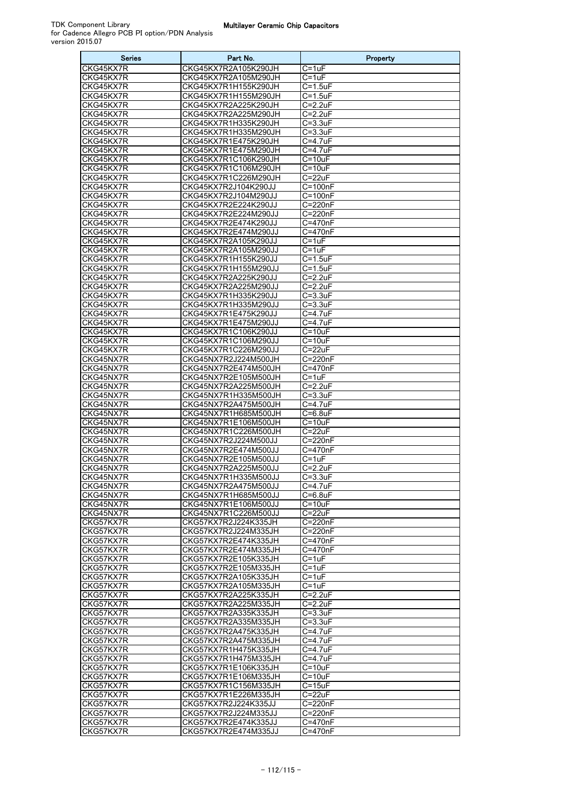| <b>Series</b>          | Part No.                                     | Property               |
|------------------------|----------------------------------------------|------------------------|
| CKG45KX7R              | CKG45KX7R2A105K290JH                         | C=1uF                  |
| CKG45KX7R              | CKG45KX7R2A105M290JH                         | $C = 1uF$              |
| CKG45KX7R              | CKG45KX7R1H155K290JH                         | C=1.5uF                |
| CKG45KX7R              | CKG45KX7R1H155M290JH                         | $C=1.5$ uF             |
| CKG45KX7R<br>CKG45KX7R | CKG45KX7R2A225K290JH<br>CKG45KX7R2A225M290JH | C=2.2uF<br>$C = 2.2uF$ |
| CKG45KX7R              | CKG45KX7R1H335K290JH                         | $C = 3.3uF$            |
| CKG45KX7R              | CKG45KX7R1H335M290JH                         | $C = 3.3uF$            |
| CKG45KX7R              | CKG45KX7R1E475K290JH                         | C=4.7uF                |
| CKG45KX7R              | CKG45KX7R1E475M290JH                         | $C = 4.7$ uF           |
| CKG45KX7R              | CKG45KX7R1C106K290JH                         | $C = 10uF$             |
| CKG45KX7R              | CKG45KX7R1C106M290JH                         | $C = 10uF$             |
| CKG45KX7R              | CKG45KX7R1C226M290JH                         | C=22uF                 |
| CKG45KX7R              | CKG45KX7R2J104K290JJ                         | $C=100nF$              |
| CKG45KX7R              | CKG45KX7R2J104M290JJ                         | $C = 100nF$            |
| CKG45KX7R              | CKG45KX7R2E224K290JJ                         | C=220nF                |
| CKG45KX7R<br>CKG45KX7R | CKG45KX7R2E224M290JJ<br>CKG45KX7R2E474K290JJ | C=220nF<br>C=470nF     |
| CKG45KX7R              | CKG45KX7R2E474M290JJ                         | C=470nF                |
| CKG45KX7R              | CKG45KX7R2A105K290JJ                         | $C = 1uF$              |
| CKG45KX7R              | CKG45KX7R2A105M290JJ                         | C=1uF                  |
| CKG45KX7R              | CKG45KX7R1H155K290JJ                         | $C=1.5uF$              |
| CKG45KX7R              | CKG45KX7R1H155M290JJ                         | $C = 1.5$ uF           |
| CKG45KX7R              | CKG45KX7R2A225K290JJ                         | C=2.2uF                |
| CKG45KX7R              | CKG45KX7R2A225M290JJ                         | C=2.2uF                |
| CKG45KX7R              | CKG45KX7R1H335K290JJ                         | $C = 3.3uF$            |
| CKG45KX7R              | CKG45KX7R1H335M290JJ                         | $C = 3.3uF$            |
| CKG45KX7R              | CKG45KX7R1E475K290JJ                         | C=4.7uF                |
| CKG45KX7R              | CKG45KX7R1E475M290JJ                         | C=4.7uF                |
| CKG45KX7R<br>CKG45KX7R | CKG45KX7R1C106K290JJ<br>CKG45KX7R1C106M290JJ | C=10uF<br>$C = 10uF$   |
| CKG45KX7R              | CKG45KX7R1C226M290JJ                         | $C = 22uF$             |
| CKG45NX7R              | CKG45NX7R2J224M500JH                         | C=220nF                |
| CKG45NX7R              | CKG45NX7R2E474M500JH                         | C=470nF                |
| CKG45NX7R              | CKG45NX7R2E105M500JH                         | $C = 1uF$              |
| CKG45NX7R              | CKG45NX7R2A225M500JH                         | $C = 2.2uF$            |
| CKG45NX7R              | CKG45NX7R1H335M500JH                         | $C = 3.3uF$            |
| CKG45NX7R              | CKG45NX7R2A475M500JH                         | C=4.7uF                |
| CKG45NX7R              | CKG45NX7R1H685M500JH                         | $C = 6.8$ uF           |
| CKG45NX7R<br>CKG45NX7R | CKG45NX7R1E106M500JH<br>CKG45NX7R1C226M500JH | C=10uF<br>C=22uF       |
| CKG45NX7R              | CKG45NX7R2J224M500JJ                         | C=220nF                |
| CKG45NX7R              | CKG45NX7R2E474M500JJ                         | $C = 470nF$            |
| CKG45NX7R              | CKG45NX7R2E105M500JJ                         | $C = 1uF$              |
| CKG45NX7R              | CKG45NX7R2A225M500JJ                         | $C = 2.2uF$            |
| CKG45NX7R              | CKG45NX7R1H335M500JJ                         | $C = 3.3uF$            |
| CKG45NX7R              | CKG45NX7R2A475M500JJ                         | $C = 4.7uF$            |
| CKG45NX7R              | CKG45NX7R1H685M500JJ                         | $C = 6.8$ uF           |
| CKG45NX7R              | CKG45NX7R1E106M500JJ                         | $C = 10uF$             |
| CKG45NX7R<br>CKG57KX7R | CKG45NX7R1C226M500JJ<br>CKG57KX7R2J224K335JH | $C = 22uF$             |
| CKG57KX7R              | CKG57KX7R2J224M335JH                         | C=220nF<br>C=220nF     |
| CKG57KX7R              | CKG57KX7R2E474K335JH                         | C=470nF                |
| CKG57KX7R              | CKG57KX7R2E474M335JH                         | C=470nF                |
| CKG57KX7R              | CKG57KX7R2E105K335JH                         | $C = 1uF$              |
| CKG57KX7R              | CKG57KX7R2E105M335JH                         | $C = 1uF$              |
| CKG57KX7R              | CKG57KX7R2A105K335JH                         | $C = 1uF$              |
| CKG57KX7R              | CKG57KX7R2A105M335JH                         | $C = 1uF$              |
| CKG57KX7R              | CKG57KX7R2A225K335JH                         | $C = 2.2uF$            |
| CKG57KX7R<br>CKG57KX7R | CKG57KX7R2A225M335JH                         | $C = 2.2uF$            |
| CKG57KX7R              | CKG57KX7R2A335K335JH<br>CKG57KX7R2A335M335JH | C=3.3uF<br>$C = 3.3uF$ |
| CKG57KX7R              | CKG57KX7R2A475K335JH                         | C=4.7uF                |
| CKG57KX7R              | CKG57KX7R2A475M335JH                         | C=4.7uF                |
| CKG57KX7R              | CKG57KX7R1H475K335JH                         | $C = 4.7uF$            |
| CKG57KX7R              | CKG57KX7R1H475M335JH                         | C=4.7uF                |
| CKG57KX7R              | CKG57KX7R1E106K335JH                         | $C = 10uF$             |
| CKG57KX7R              | CKG57KX7R1E106M335JH                         | $C = 10uF$             |
| CKG57KX7R              | CKG57KX7R1C156M335JH                         | $C = 15uF$             |
| CKG57KX7R              | CKG57KX7R1E226M335JH                         | $C = 22uF$             |
| CKG57KX7R<br>CKG57KX7R | CKG57KX7R2J224K335JJ<br>CKG57KX7R2J224M335JJ | C=220nF<br>C=220nF     |
| CKG57KX7R              | CKG57KX7R2E474K335JJ                         | C=470nF                |
| CKG57KX7R              | CKG57KX7R2E474M335JJ                         | C=470nF                |
|                        |                                              |                        |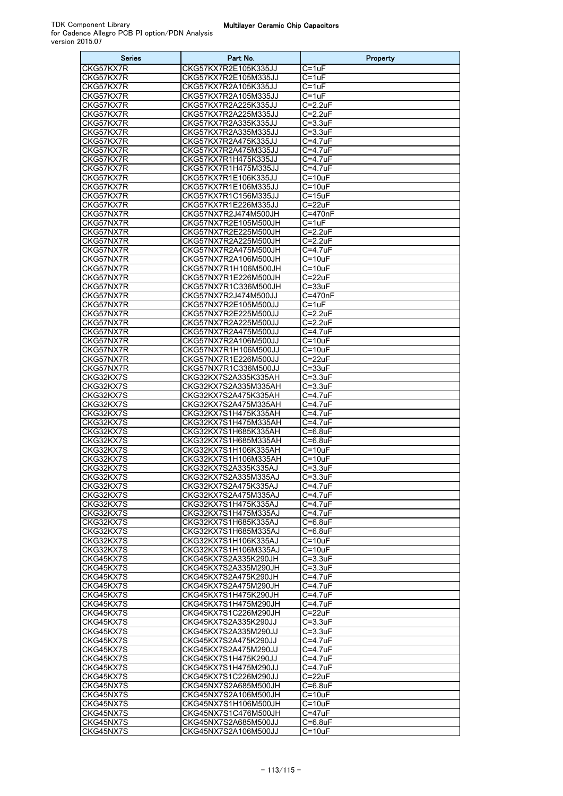| Series                 | Part No.                                     | Property                  |
|------------------------|----------------------------------------------|---------------------------|
| CKG57KX7R              | CKG57KX7R2E105K335JJ                         | C=1uF                     |
| CKG57KX7R              | CKG57KX7R2E105M335JJ                         | C=1uF                     |
| CKG57KX7R              | CKG57KX7R2A105K335JJ                         | C=1uF                     |
| CKG57KX7R<br>CKG57KX7R | CKG57KX7R2A105M335JJ<br>CKG57KX7R2A225K335JJ | C=1uF<br>$C = 2.2uF$      |
| CKG57KX7R              | CKG57KX7R2A225M335JJ                         | $C = 2.2uF$               |
| CKG57KX7R              | CKG57KX7R2A335K335JJ                         | $C = 3.3uF$               |
| CKG57KX7R              | CKG57KX7R2A335M335JJ                         | $C = 3.3uF$               |
| CKG57KX7R              | CKG57KX7R2A475K335JJ                         | C=4.7uF                   |
| CKG57KX7R              | CKG57KX7R2A475M335JJ                         | C=4.7uF                   |
| CKG57KX7R              | CKG57KX7R1H475K335JJ                         | C=4.7uF                   |
| CKG57KX7R              | CKG57KX7R1H475M335JJ                         | C=4.7uF                   |
| CKG57KX7R<br>CKG57KX7R | CKG57KX7R1E106K335JJ<br>CKG57KX7R1E106M335JJ | C=10uF<br>C=10uF          |
| CKG57KX7R              | CKG57KX7R1C156M335JJ                         | $C = 15uF$                |
| CKG57KX7R              | CKG57KX7R1E226M335JJ                         | C=22uF                    |
| CKG57NX7R              | CKG57NX7R2J474M500JH                         | C=470nF                   |
| CKG57NX7R              | CKG57NX7R2E105M500JH                         | $C = 1uF$                 |
| CKG57NX7R              | CKG57NX7R2E225M500JH                         | C=2.2uF                   |
| CKG57NX7R              | CKG57NX7R2A225M500JH                         | $C = 2.2uF$               |
| CKG57NX7R              | CKG57NX7R2A475M500JH<br>CKG57NX7R2A106M500JH | $C = 4.7uF$<br>$C = 10uF$ |
| CKG57NX7R<br>CKG57NX7R | CKG57NX7R1H106M500JH                         | C=10uF                    |
| CKG57NX7R              | CKG57NX7R1E226M500JH                         | $C = 22uF$                |
| CKG57NX7R              | CKG57NX7R1C336M500JH                         | $C = 33uF$                |
| CKG57NX7R              | CKG57NX7R2J474M500JJ                         | C=470nF                   |
| CKG57NX7R              | CKG57NX7R2E105M500JJ                         | C=1uF                     |
| CKG57NX7R              | CKG57NX7R2E225M500JJ                         | C=2.2uF                   |
| CKG57NX7R              | CKG57NX7R2A225M500JJ                         | $C = 2.2uF$               |
| CKG57NX7R<br>CKG57NX7R | CKG57NX7R2A475M500JJ<br>CKG57NX7R2A106M500JJ | C=4.7uF<br>$C = 10uF$     |
| CKG57NX7R              | CKG57NX7R1H106M500JJ                         | $C = 10uF$                |
| CKG57NX7R              | CKG57NX7R1E226M500JJ                         | C=22uF                    |
| CKG57NX7R              | CKG57NX7R1C336M500JJ                         | C=33uF                    |
| CKG32KX7S              | CKG32KX7S2A335K335AH                         | $C = 3.3uF$               |
| CKG32KX7S              | CKG32KX7S2A335M335AH                         | C=3.3uF                   |
| CKG32KX7S              | CKG32KX7S2A475K335AH                         | C=4.7uF                   |
| CKG32KX7S<br>CKG32KX7S | CKG32KX7S2A475M335AH<br>CKG32KX7S1H475K335AH | C=4.7uF<br>C=4.7uF        |
| CKG32KX7S              | CKG32KX7S1H475M335AH                         | $C = 4.7uF$               |
| CKG32KX7S              | CKG32KX7S1H685K335AH                         | C=6.8uF                   |
| CKG32KX7S              | CKG32KX7S1H685M335AH                         | $\overline{C} = 6.8$ uF   |
| CKG32KX7S              | CKG32KX7S1H106K335AH                         | C=10uF                    |
| CKG32KX7S              | CKG32KX7S1H106M335AH                         | $C = 10uF$                |
| CKG32KX7S<br>CKG32KX7S | CKG32KX7S2A335K335AJ<br>CKG32KX7S2A335M335AJ | $C = 3.3uF$               |
| CKG32KX7S              | CKG32KX7S2A475K335AJ                         | U=3.3uF<br>C=4.7uF        |
| CKG32KX7S              | CKG32KX7S2A475M335AJ                         | $C=4.7uF$                 |
| CKG32KX7S              | CKG32KX7S1H475K335AJ                         | C=4.7uF                   |
| CKG32KX7S              | CKG32KX7S1H475M335AJ                         | C=4.7uF                   |
| CKG32KX7S              | CKG32KX7S1H685K335AJ                         | C=6.8uF                   |
| CKG32KX7S              | CKG32KX7S1H685M335AJ                         | $C = 6.8$ uF              |
| CKG32KX7S<br>CKG32KX7S | CKG32KX7S1H106K335AJ<br>CKG32KX7S1H106M335AJ | $C = 10uF$<br>$C = 10uF$  |
| CKG45KX7S              | CKG45KX7S2A335K290JH                         | $C = 3.3uF$               |
| CKG45KX7S              | CKG45KX7S2A335M290JH                         | $C = 3.3uF$               |
| CKG45KX7S              | CKG45KX7S2A475K290JH                         | C=4.7uF                   |
| CKG45KX7S              | CKG45KX7S2A475M290JH                         | $C = 4.7uF$               |
| CKG45KX7S              | CKG45KX7S1H475K290JH                         | C=4.7uF                   |
| CKG45KX7S              | CKG45KX7S1H475M290JH                         | C=4.7uF                   |
| CKG45KX7S<br>CKG45KX7S | CKG45KX7S1C226M290JH<br>CKG45KX7S2A335K290JJ | C=22uF<br>$C = 3.3uF$     |
| CKG45KX7S              | CKG45KX7S2A335M290JJ                         | $C = 3.3uF$               |
| CKG45KX7S              | CKG45KX7S2A475K290JJ                         | C=4.7uF                   |
| CKG45KX7S              | CKG45KX7S2A475M290JJ                         | C=4.7uF                   |
| CKG45KX7S              | CKG45KX7S1H475K290JJ                         | C=4.7uF                   |
| CKG45KX7S              | CKG45KX7S1H475M290JJ                         | C=4.7uF                   |
| CKG45KX7S              | CKG45KX7S1C226M290JJ                         | C=22uF                    |
| CKG45NX7S<br>CKG45NX7S | CKG45NX7S2A685M500JH<br>CKG45NX7S2A106M500JH | C=6.8uF<br>$C = 10uF$     |
| CKG45NX7S              | CKG45NX7S1H106M500JH                         | C=10uF                    |
| CKG45NX7S              | CKG45NX7S1C476M500JH                         | $C = 47uF$                |
| CKG45NX7S              | CKG45NX7S2A685M500JJ                         | $C=6.8$ uF                |
| CKG45NX7S              | CKG45NX7S2A106M500JJ                         | C=10uF                    |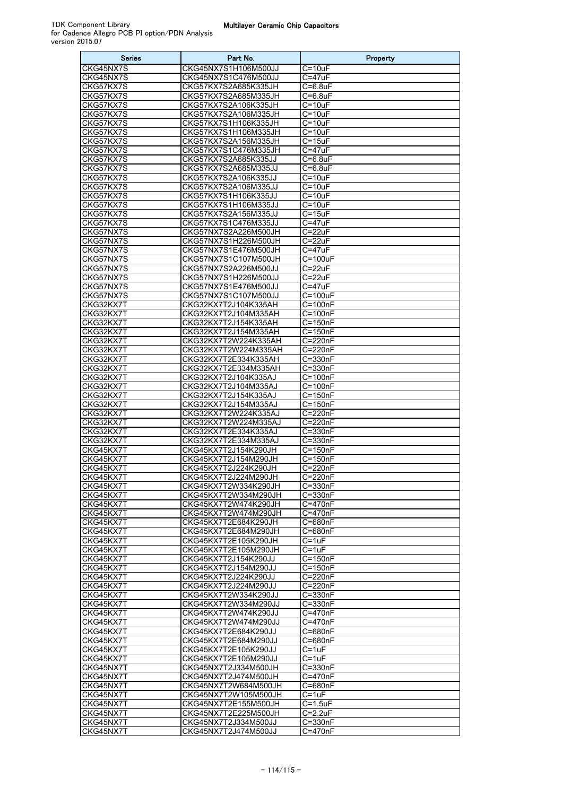| Series                 | Part No.                                     | Property                |
|------------------------|----------------------------------------------|-------------------------|
| CKG45NX7S              | CKG45NX7S1H106M500JJ                         | C=10uF                  |
| CKG45NX7S              | CKG45NX7S1C476M500JJ                         | C=47uF                  |
| CKG57KX7S<br>CKG57KX7S | CKG57KX7S2A685K335JH<br>CKG57KX7S2A685M335JH | $C = 6.8$ uF            |
| CKG57KX7S              | CKG57KX7S2A106K335JH                         | C=6.8uF<br>C=10uF       |
| CKG57KX7S              | CKG57KX7S2A106M335JH                         | $C = 10uF$              |
| CKG57KX7S              | CKG57KX7S1H106K335JH                         | $C = 10uF$              |
| CKG57KX7S              | CKG57KX7S1H106M335JH                         | $C = 10uF$              |
| CKG57KX7S              | CKG57KX7S2A156M335JH                         | $C = 15uF$              |
| CKG57KX7S              | CKG57KX7S1C476M335JH                         | C=47uF                  |
| CKG57KX7S<br>CKG57KX7S | CKG57KX7S2A685K335JJ<br>CKG57KX7S2A685M335JJ | C=6.8uF<br>$C = 6.8$ uF |
| CKG57KX7S              | CKG57KX7S2A106K335JJ                         | $C = 10uF$              |
| CKG57KX7S              | CKG57KX7S2A106M335JJ                         | $C = 10uF$              |
| CKG57KX7S              | CKG57KX7S1H106K335JJ                         | C=10uF                  |
| CKG57KX7S              | CKG57KX7S1H106M335JJ                         | $C = 10uF$              |
| CKG57KX7S              | CKG57KX7S2A156M335JJ                         | $C = 15uF$              |
| CKG57KX7S              | CKG57KX7S1C476M335JJ                         | C=47uF                  |
| CKG57NX7S<br>CKG57NX7S | CKG57NX7S2A226M500JH<br>CKG57NX7S1H226M500JH | C=22uF<br>C=22uF        |
| CKG57NX7S              | CKG57NX7S1E476M500JH                         | C=47uF                  |
| CKG57NX7S              | CKG57NX7S1C107M500JH                         | C=100uF                 |
| CKG57NX7S              | CKG57NX7S2A226M500JJ                         | $C = 22uF$              |
| CKG57NX7S              | CKG57NX7S1H226M500JJ                         | C=22uF                  |
| CKG57NX7S              | CKG57NX7S1E476M500JJ                         | C=47uF                  |
| CKG57NX7S              | CKG57NX7S1C107M500JJ                         | $C = 100uF$             |
| CKG32KX7T<br>CKG32KX7T | CKG32KX7T2J104K335AH<br>CKG32KX7T2J104M335AH | $C = 100nF$<br>C=100nF  |
| CKG32KX7T              | CKG32KX7T2J154K335AH                         | $C = 150nF$             |
| CKG32KX7T              | CKG32KX7T2J154M335AH                         | $C = 150nF$             |
| CKG32KX7T              | CKG32KX7T2W224K335AH                         | C=220nF                 |
| CKG32KX7T              | CKG32KX7T2W224M335AH                         | C=220nF                 |
| CKG32KX7T              | CKG32KX7T2E334K335AH                         | C=330nF                 |
| CKG32KX7T<br>CKG32KX7T | CKG32KX7T2E334M335AH<br>CKG32KX7T2J104K335AJ | C=330nF<br>C=100nF      |
| CKG32KX7T              | CKG32KX7T2J104M335AJ                         | C=100nF                 |
| CKG32KX7T              | CKG32KX7T2J154K335AJ                         | $C=150nF$               |
| CKG32KX7T              | CKG32KX7T2J154M335AJ                         | C=150nF                 |
| CKG32KX7T              | CKG32KX7T2W224K335AJ                         | C=220nF                 |
| CKG32KX7T              | CKG32KX7T2W224M335AJ                         | C=220nF                 |
| CKG32KX7T<br>CKG32KX7T | CKG32KX7T2E334K335AJ<br>CKG32KX7T2E334M335AJ | C=330nF<br>$C = 330nF$  |
| CKG45KX7T              | CKG45KX7T2J154K290JH                         | $C = 150nF$             |
| CKG45KX7T              | CKG45KX7T2J154M290JH                         | $C = 150nF$             |
| CKG45KX7T              | CKG45KX7T2J224K290JH                         | C=220nF                 |
| CKG45KX7T              | CKG45KX7T2J224M290JH                         | $C = 220nF$             |
| CKG45KX7T<br>CKG45KX7T | CKG45KX7T2W334K290JH<br>CKG45KX7T2W334M290JH | $C = 330nF$<br>C=330nF  |
| CKG45KX7T              | CKG45KX7T2W474K290JH                         | C=470nF                 |
| CKG45KX7T              | CKG45KX7T2W474M290JH                         | C=470nF                 |
| CKG45KX7T              | CKG45KX7T2E684K290JH                         | C=680nF                 |
| CKG45KX7T              | CKG45KX7T2E684M290JH                         | C=680nF                 |
| CKG45KX7T              | CKG45KX7T2E105K290JH                         | C=1uF                   |
| CKG45KX7T<br>CKG45KX7T | CKG45KX7T2E105M290JH                         | $C = 1uF$               |
| CKG45KX7T              | CKG45KX7T2J154K290JJ<br>CKG45KX7T2J154M290JJ | $C = 150nF$<br>C=150nF  |
| CKG45KX7T              | CKG45KX7T2J224K290JJ                         | C=220nF                 |
| CKG45KX7T              | CKG45KX7T2J224M290JJ                         | C=220nF                 |
| CKG45KX7T              | CKG45KX7T2W334K290JJ                         | C=330nF                 |
| CKG45KX7T              | CKG45KX7T2W334M290JJ                         | C=330nF                 |
| CKG45KX7T              | CKG45KX7T2W474K290JJ                         | C=470nF                 |
| CKG45KX7T<br>CKG45KX7T | CKG45KX7T2W474M290JJ<br>CKG45KX7T2E684K290JJ | C=470nF<br>C=680nF      |
| CKG45KX7T              | CKG45KX7T2E684M290JJ                         | C=680nF                 |
| CKG45KX7T              | CKG45KX7T2E105K290JJ                         | $C=1uF$                 |
| CKG45KX7T              | CKG45KX7T2E105M290JJ                         | $C = 1uF$               |
| CKG45NX7T              | CKG45NX7T2J334M500JH                         | C=330nF                 |
| CKG45NX7T<br>CKG45NX7T | CKG45NX7T2J474M500JH<br>CKG45NX7T2W684M500JH | C=470nF                 |
| CKG45NX7T              | CKG45NX7T2W105M500JH                         | C=680nF<br>$C = 1uF$    |
| CKG45NX7T              | CKG45NX7T2E155M500JH                         | C=1.5uF                 |
| CKG45NX7T              | CKG45NX7T2E225M500JH                         | $C=2.2uF$               |
| CKG45NX7T              | CKG45NX7T2J334M500JJ                         | C=330nF                 |
| CKG45NX7T              | CKG45NX7T2J474M500JJ                         | $C = 470nF$             |